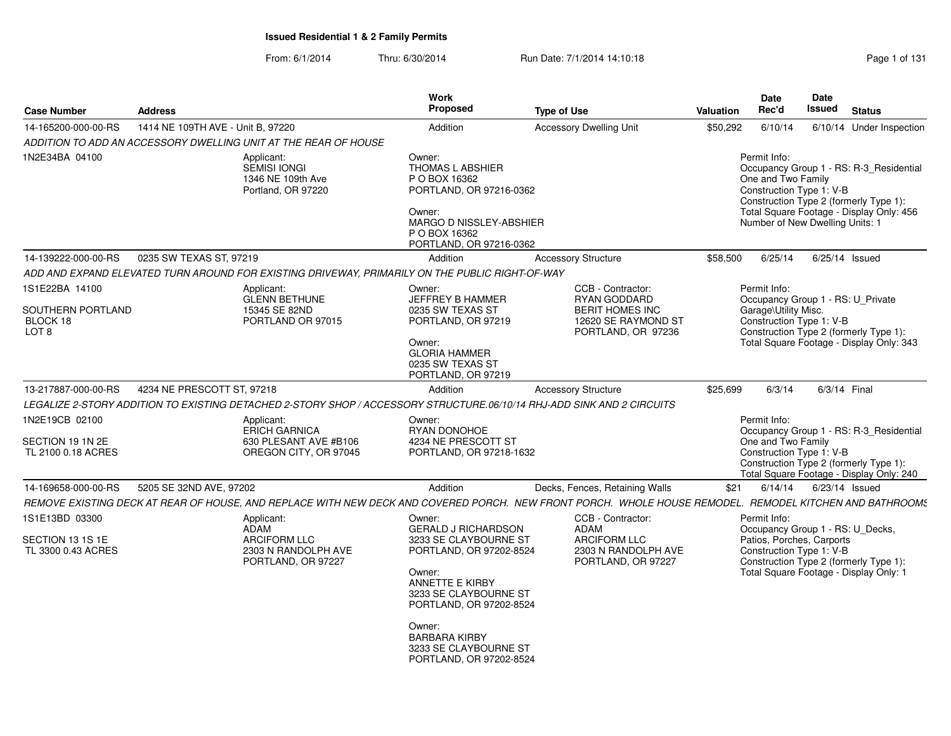From: 6/1/2014Thru: 6/30/2014 Run Date: 7/1/2014 14:10:18

| Page 1 of 131 |  |  |  |
|---------------|--|--|--|
|---------------|--|--|--|

| <b>Case Number</b>                                                  | <b>Address</b>                    |                                                                                                                        | <b>Work</b><br>Proposed                                                                                                                                                                                                                                                | <b>Type of Use</b>                                                                                                                                      | <b>Valuation</b> | Date<br>Rec'd                                                                                             | Date<br>Issued | <b>Status</b>                                                                                                                 |
|---------------------------------------------------------------------|-----------------------------------|------------------------------------------------------------------------------------------------------------------------|------------------------------------------------------------------------------------------------------------------------------------------------------------------------------------------------------------------------------------------------------------------------|---------------------------------------------------------------------------------------------------------------------------------------------------------|------------------|-----------------------------------------------------------------------------------------------------------|----------------|-------------------------------------------------------------------------------------------------------------------------------|
| 14-165200-000-00-RS                                                 | 1414 NE 109TH AVE - Unit B, 97220 |                                                                                                                        | Addition                                                                                                                                                                                                                                                               | <b>Accessory Dwelling Unit</b>                                                                                                                          | \$50,292         | 6/10/14                                                                                                   |                | 6/10/14 Under Inspection                                                                                                      |
|                                                                     |                                   | ADDITION TO ADD AN ACCESSORY DWELLING UNIT AT THE REAR OF HOUSE                                                        |                                                                                                                                                                                                                                                                        |                                                                                                                                                         |                  |                                                                                                           |                |                                                                                                                               |
| 1N2E34BA 04100                                                      |                                   | Applicant:<br><b>SEMISI IONGI</b><br>1346 NE 109th Ave<br>Portland, OR 97220                                           | Owner:<br><b>THOMAS L ABSHIER</b><br>P O BOX 16362<br>PORTLAND, OR 97216-0362<br>Owner:<br>MARGO D NISSLEY-ABSHIER<br>P O BOX 16362<br>PORTLAND, OR 97216-0362                                                                                                         |                                                                                                                                                         |                  | Permit Info:<br>One and Two Family<br>Construction Type 1: V-B<br>Number of New Dwelling Units: 1         |                | Occupancy Group 1 - RS: R-3_Residential<br>Construction Type 2 (formerly Type 1):<br>Total Square Footage - Display Only: 456 |
| 14-139222-000-00-RS                                                 | 0235 SW TEXAS ST, 97219           |                                                                                                                        | Addition                                                                                                                                                                                                                                                               | <b>Accessory Structure</b>                                                                                                                              | \$58,500         | 6/25/14                                                                                                   |                | 6/25/14 Issued                                                                                                                |
|                                                                     |                                   | ADD AND EXPAND ELEVATED TURN AROUND FOR EXISTING DRIVEWAY, PRIMARILY ON THE PUBLIC RIGHT-OF-WAY                        |                                                                                                                                                                                                                                                                        |                                                                                                                                                         |                  |                                                                                                           |                |                                                                                                                               |
| 1S1E22BA 14100<br>SOUTHERN PORTLAND<br>BLOCK 18<br>LOT <sub>8</sub> |                                   | Applicant:<br><b>GLENN BETHUNE</b><br>15345 SE 82ND<br>PORTLAND OR 97015                                               | Owner:<br>JEFFREY B HAMMER<br>0235 SW TEXAS ST<br>PORTLAND, OR 97219<br>Owner:<br><b>GLORIA HAMMER</b><br>0235 SW TEXAS ST<br>PORTLAND, OR 97219                                                                                                                       | CCB - Contractor:<br>RYAN GODDARD<br><b>BERIT HOMES INC</b><br>12620 SE RAYMOND ST<br>PORTLAND, OR 97236                                                |                  | Permit Info:<br>Occupancy Group 1 - RS: U_Private<br>Garage\Utility Misc.<br>Construction Type 1: V-B     |                | Construction Type 2 (formerly Type 1):<br>Total Square Footage - Display Only: 343                                            |
| 13-217887-000-00-RS                                                 | 4234 NE PRESCOTT ST, 97218        |                                                                                                                        | Addition                                                                                                                                                                                                                                                               | <b>Accessory Structure</b>                                                                                                                              | \$25,699         | 6/3/14                                                                                                    | 6/3/14 Final   |                                                                                                                               |
|                                                                     |                                   | LEGALIZE 2-STORY ADDITION TO EXISTING DETACHED 2-STORY SHOP / ACCESSORY STRUCTURE.06/10/14 RHJ-ADD SINK AND 2 CIRCUITS |                                                                                                                                                                                                                                                                        |                                                                                                                                                         |                  |                                                                                                           |                |                                                                                                                               |
| 1N2E19CB 02100<br>SECTION 19 1N 2E<br>TL 2100 0.18 ACRES            |                                   | Applicant:<br><b>ERICH GARNICA</b><br>630 PLESANT AVE #B106<br>OREGON CITY, OR 97045                                   | Owner:<br>RYAN DONOHOE<br>4234 NE PRESCOTT ST<br>PORTLAND, OR 97218-1632                                                                                                                                                                                               |                                                                                                                                                         |                  | Permit Info:<br>One and Two Family<br>Construction Type 1: V-B                                            |                | Occupancy Group 1 - RS: R-3_Residential<br>Construction Type 2 (formerly Type 1):<br>Total Square Footage - Display Only: 240 |
| 14-169658-000-00-RS                                                 | 5205 SE 32ND AVE, 97202           |                                                                                                                        | Addition                                                                                                                                                                                                                                                               | Decks, Fences, Retaining Walls                                                                                                                          | \$21             | 6/14/14                                                                                                   |                | $6/23/14$ Issued                                                                                                              |
|                                                                     |                                   |                                                                                                                        |                                                                                                                                                                                                                                                                        | REMOVE EXISTING DECK AT REAR OF HOUSE, AND REPLACE WITH NEW DECK AND COVERED PORCH. NEW FRONT PORCH. WHOLE HOUSE REMODEL. REMODEL KITCHEN AND BATHROOMS |                  |                                                                                                           |                |                                                                                                                               |
| 1S1E13BD 03300<br>SECTION 13 1S 1E<br>TL 3300 0.43 ACRES            |                                   | Applicant:<br><b>ADAM</b><br><b>ARCIFORM LLC</b><br>2303 N RANDOLPH AVE<br>PORTLAND, OR 97227                          | Owner:<br><b>GERALD J RICHARDSON</b><br>3233 SE CLAYBOURNE ST<br>PORTLAND, OR 97202-8524<br>Owner:<br><b>ANNETTE E KIRBY</b><br>3233 SE CLAYBOURNE ST<br>PORTLAND, OR 97202-8524<br>Owner:<br><b>BARBARA KIRBY</b><br>3233 SE CLAYBOURNE ST<br>PORTLAND, OR 97202-8524 | CCB - Contractor:<br>ADAM<br><b>ARCIFORM LLC</b><br>2303 N RANDOLPH AVE<br>PORTLAND, OR 97227                                                           |                  | Permit Info:<br>Occupancy Group 1 - RS: U_Decks,<br>Patios, Porches, Carports<br>Construction Type 1: V-B |                | Construction Type 2 (formerly Type 1):<br>Total Square Footage - Display Only: 1                                              |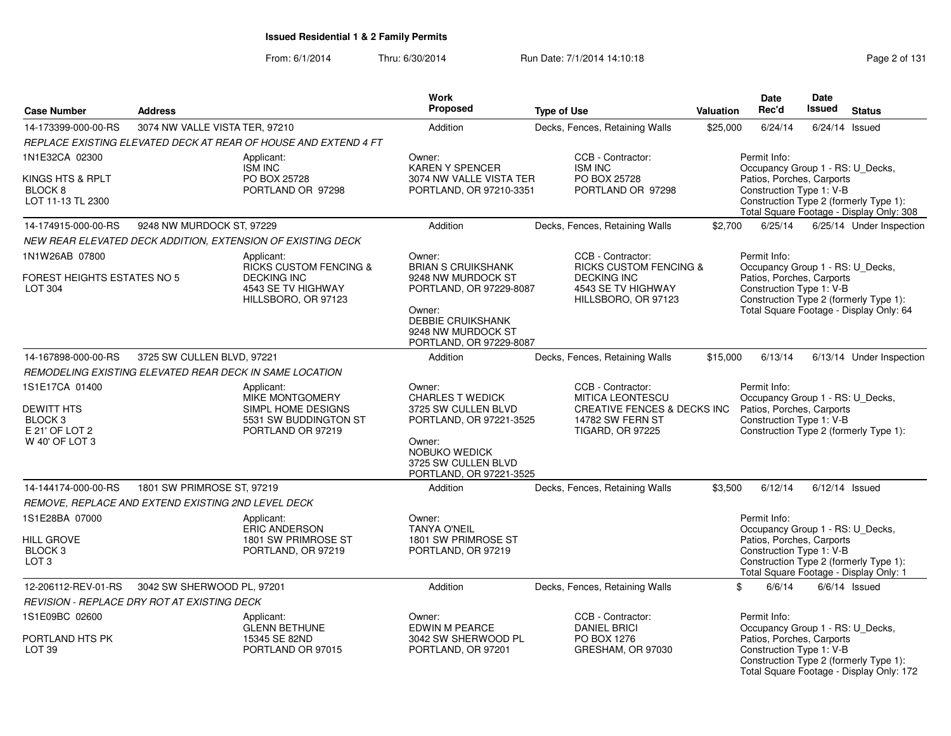From: 6/1/2014Thru: 6/30/2014 **Run Date: 7/1/2014 14:10:18** Page 2 of 131

| <b>Case Number</b>                                                                     | <b>Address</b>                                          |                                                                                                                    | Work<br><b>Proposed</b>                                                                                                                                          | <b>Type of Use</b>                                                                                                                    | Valuation | <b>Date</b><br>Rec'd                                                                                      | <b>Date</b><br><b>Issued</b> | <b>Status</b>                                                                      |
|----------------------------------------------------------------------------------------|---------------------------------------------------------|--------------------------------------------------------------------------------------------------------------------|------------------------------------------------------------------------------------------------------------------------------------------------------------------|---------------------------------------------------------------------------------------------------------------------------------------|-----------|-----------------------------------------------------------------------------------------------------------|------------------------------|------------------------------------------------------------------------------------|
| 14-173399-000-00-RS                                                                    | 3074 NW VALLE VISTA TER, 97210                          |                                                                                                                    | Addition                                                                                                                                                         | Decks, Fences, Retaining Walls                                                                                                        | \$25,000  | 6/24/14                                                                                                   |                              | $6/24/14$ Issued                                                                   |
|                                                                                        |                                                         | REPLACE EXISTING ELEVATED DECK AT REAR OF HOUSE AND EXTEND 4 FT                                                    |                                                                                                                                                                  |                                                                                                                                       |           |                                                                                                           |                              |                                                                                    |
| 1N1E32CA 02300                                                                         |                                                         | Applicant:<br>ISM INC                                                                                              | Owner:<br><b>KAREN Y SPENCER</b>                                                                                                                                 | CCB - Contractor:<br><b>ISM INC</b>                                                                                                   |           | Permit Info:<br>Occupancy Group 1 - RS: U_Decks,                                                          |                              |                                                                                    |
| KINGS HTS & RPLT<br>BLOCK <sub>8</sub><br>LOT 11-13 TL 2300                            |                                                         | PO BOX 25728<br>PORTLAND OR 97298                                                                                  | 3074 NW VALLE VISTA TER<br>PORTLAND, OR 97210-3351                                                                                                               | PO BOX 25728<br>PORTLAND OR 97298                                                                                                     |           | Patios, Porches, Carports<br>Construction Type 1: V-B                                                     |                              | Construction Type 2 (formerly Type 1):<br>Total Square Footage - Display Only: 308 |
| 14-174915-000-00-RS                                                                    | 9248 NW MURDOCK ST, 97229                               |                                                                                                                    | Addition                                                                                                                                                         | Decks, Fences, Retaining Walls                                                                                                        | \$2,700   | 6/25/14                                                                                                   |                              | 6/25/14 Under Inspection                                                           |
|                                                                                        |                                                         | NEW REAR ELEVATED DECK ADDITION, EXTENSION OF EXISTING DECK                                                        |                                                                                                                                                                  |                                                                                                                                       |           |                                                                                                           |                              |                                                                                    |
| 1N1W26AB 07800<br>FOREST HEIGHTS ESTATES NO 5<br>LOT 304                               |                                                         | Applicant:<br><b>RICKS CUSTOM FENCING &amp;</b><br><b>DECKING INC</b><br>4543 SE TV HIGHWAY<br>HILLSBORO, OR 97123 | Owner:<br><b>BRIAN S CRUIKSHANK</b><br>9248 NW MURDOCK ST<br>PORTLAND, OR 97229-8087                                                                             | CCB - Contractor:<br><b>RICKS CUSTOM FENCING &amp;</b><br><b>DECKING INC</b><br>4543 SE TV HIGHWAY<br>HILLSBORO, OR 97123             |           | Permit Info:<br>Occupancy Group 1 - RS: U_Decks,<br>Patios, Porches, Carports<br>Construction Type 1: V-B |                              | Construction Type 2 (formerly Type 1):                                             |
|                                                                                        |                                                         |                                                                                                                    | Owner:<br>DEBBIE CRUIKSHANK<br>9248 NW MURDOCK ST<br>PORTLAND, OR 97229-8087                                                                                     |                                                                                                                                       |           |                                                                                                           |                              | Total Square Footage - Display Only: 64                                            |
| 14-167898-000-00-RS                                                                    | 3725 SW CULLEN BLVD, 97221                              |                                                                                                                    | Addition                                                                                                                                                         | Decks, Fences, Retaining Walls                                                                                                        | \$15,000  | 6/13/14                                                                                                   |                              | 6/13/14 Under Inspection                                                           |
|                                                                                        | REMODELING EXISTING ELEVATED REAR DECK IN SAME LOCATION |                                                                                                                    |                                                                                                                                                                  |                                                                                                                                       |           |                                                                                                           |                              |                                                                                    |
| 1S1E17CA 01400<br>DEWITT HTS<br>BLOCK <sub>3</sub><br>E 21' OF LOT 2<br>W 40' OF LOT 3 |                                                         | Applicant:<br><b>MIKE MONTGOMERY</b><br>SIMPL HOME DESIGNS<br>5531 SW BUDDINGTON ST<br>PORTLAND OR 97219           | Owner:<br><b>CHARLES T WEDICK</b><br>3725 SW CULLEN BLVD<br>PORTLAND, OR 97221-3525<br>Owner:<br>NOBUKO WEDICK<br>3725 SW CULLEN BLVD<br>PORTLAND, OR 97221-3525 | CCB - Contractor:<br><b>MITICA LEONTESCU</b><br><b>CREATIVE FENCES &amp; DECKS INC</b><br>14782 SW FERN ST<br><b>TIGARD, OR 97225</b> |           | Permit Info:<br>Occupancy Group 1 - RS: U_Decks,<br>Patios, Porches, Carports<br>Construction Type 1: V-B |                              | Construction Type 2 (formerly Type 1):                                             |
| 14-144174-000-00-RS                                                                    | 1801 SW PRIMROSE ST, 97219                              |                                                                                                                    | Addition                                                                                                                                                         | Decks, Fences, Retaining Walls                                                                                                        | \$3,500   | 6/12/14                                                                                                   |                              | $6/12/14$ Issued                                                                   |
|                                                                                        | REMOVE, REPLACE AND EXTEND EXISTING 2ND LEVEL DECK      |                                                                                                                    |                                                                                                                                                                  |                                                                                                                                       |           |                                                                                                           |                              |                                                                                    |
| 1S1E28BA 07000<br><b>HILL GROVE</b><br>BLOCK <sub>3</sub><br>LOT <sub>3</sub>          |                                                         | Applicant:<br><b>ERIC ANDERSON</b><br>1801 SW PRIMROSE ST<br>PORTLAND, OR 97219                                    | Owner:<br><b>TANYA O'NEIL</b><br>1801 SW PRIMROSE ST<br>PORTLAND, OR 97219                                                                                       |                                                                                                                                       |           | Permit Info:<br>Occupancy Group 1 - RS: U_Decks,<br>Patios, Porches, Carports<br>Construction Type 1: V-B |                              | Construction Type 2 (formerly Type 1):<br>Total Square Footage - Display Only: 1   |
| 12-206112-REV-01-RS                                                                    | 3042 SW SHERWOOD PL, 97201                              |                                                                                                                    | Addition                                                                                                                                                         | Decks, Fences, Retaining Walls                                                                                                        |           | 6/6/14<br>\$                                                                                              |                              | $6/6/14$ Issued                                                                    |
|                                                                                        | <b>REVISION - REPLACE DRY ROT AT EXISTING DECK</b>      |                                                                                                                    |                                                                                                                                                                  |                                                                                                                                       |           |                                                                                                           |                              |                                                                                    |
| 1S1E09BC 02600<br>PORTLAND HTS PK<br><b>LOT 39</b>                                     |                                                         | Applicant:<br><b>GLENN BETHUNE</b><br>15345 SE 82ND<br>PORTLAND OR 97015                                           | Owner:<br>EDWIN M PEARCE<br>3042 SW SHERWOOD PL<br>PORTLAND, OR 97201                                                                                            | CCB - Contractor:<br><b>DANIEL BRICI</b><br>PO BOX 1276<br>GRESHAM, OR 97030                                                          |           | Permit Info:<br>Occupancy Group 1 - RS: U_Decks,<br>Patios, Porches, Carports<br>Construction Type 1: V-B |                              | Construction Type 2 (formerly Type 1):                                             |
|                                                                                        |                                                         |                                                                                                                    |                                                                                                                                                                  |                                                                                                                                       |           | Total Square Footage - Display Only: 172                                                                  |                              |                                                                                    |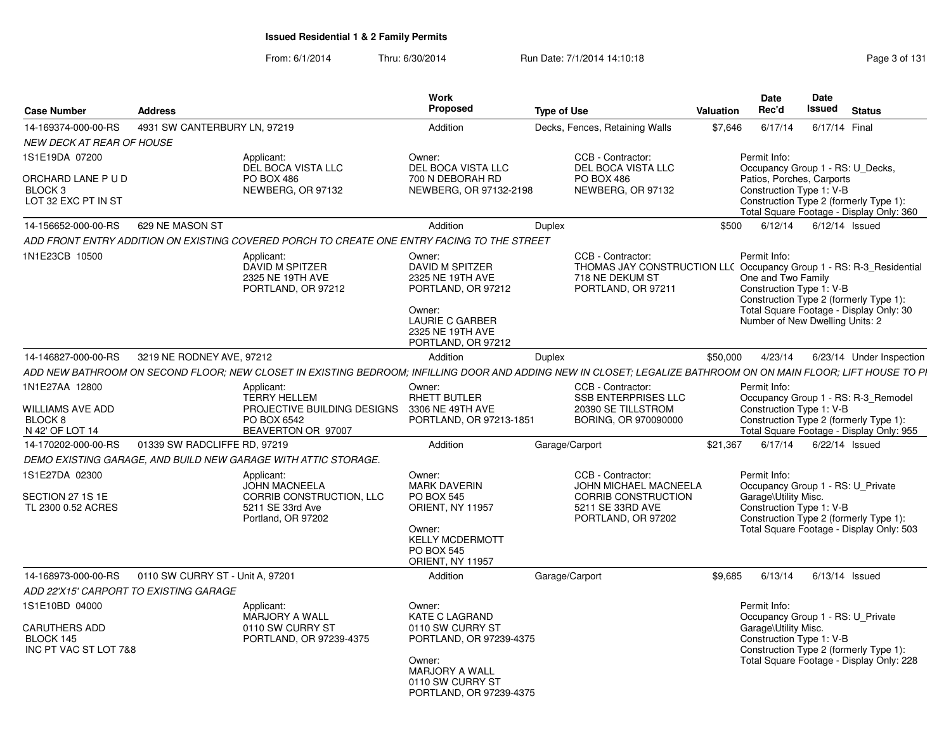| <b>Case Number</b>                                                                 | <b>Address</b>                   |                                                                                                                                                                 | Work<br><b>Proposed</b>                                                                                                                             | <b>Type of Use</b> |                                                                                                                                   | <b>Valuation</b> | <b>Date</b><br>Rec'd                                                                              | Date<br>Issued | <b>Status</b>                                                                                                             |
|------------------------------------------------------------------------------------|----------------------------------|-----------------------------------------------------------------------------------------------------------------------------------------------------------------|-----------------------------------------------------------------------------------------------------------------------------------------------------|--------------------|-----------------------------------------------------------------------------------------------------------------------------------|------------------|---------------------------------------------------------------------------------------------------|----------------|---------------------------------------------------------------------------------------------------------------------------|
| 14-169374-000-00-RS                                                                | 4931 SW CANTERBURY LN, 97219     |                                                                                                                                                                 | Addition                                                                                                                                            |                    | Decks, Fences, Retaining Walls                                                                                                    | \$7.646          | 6/17/14                                                                                           | 6/17/14 Final  |                                                                                                                           |
| <b>NEW DECK AT REAR OF HOUSE</b>                                                   |                                  |                                                                                                                                                                 |                                                                                                                                                     |                    |                                                                                                                                   |                  |                                                                                                   |                |                                                                                                                           |
| 1S1E19DA 07200                                                                     |                                  | Applicant:<br>DEL BOCA VISTA LLC                                                                                                                                | Owner:<br>DEL BOCA VISTA LLC                                                                                                                        |                    | CCB - Contractor:<br>DEL BOCA VISTA LLC                                                                                           |                  | Permit Info:                                                                                      |                | Occupancy Group 1 - RS: U_Decks,                                                                                          |
| ORCHARD LANE P U D<br>BLOCK <sub>3</sub><br>LOT 32 EXC PT IN ST                    |                                  | <b>PO BOX 486</b><br>NEWBERG, OR 97132                                                                                                                          | 700 N DEBORAH RD<br>NEWBERG, OR 97132-2198                                                                                                          |                    | PO BOX 486<br>NEWBERG, OR 97132                                                                                                   |                  | Patios, Porches, Carports<br>Construction Type 1: V-B                                             |                | Construction Type 2 (formerly Type 1):<br>Total Square Footage - Display Only: 360                                        |
| 14-156652-000-00-RS                                                                | 629 NE MASON ST                  |                                                                                                                                                                 | Addition                                                                                                                                            | <b>Duplex</b>      |                                                                                                                                   | \$500            | 6/12/14                                                                                           |                | $6/12/14$ Issued                                                                                                          |
|                                                                                    |                                  | ADD FRONT ENTRY ADDITION ON EXISTING COVERED PORCH TO CREATE ONE ENTRY FACING TO THE STREET                                                                     |                                                                                                                                                     |                    |                                                                                                                                   |                  |                                                                                                   |                |                                                                                                                           |
| 1N1E23CB 10500                                                                     |                                  | Applicant:<br>DAVID M SPITZER<br>2325 NE 19TH AVE<br>PORTLAND, OR 97212                                                                                         | Owner:<br>DAVID M SPITZER<br>2325 NE 19TH AVE<br>PORTLAND, OR 97212<br>Owner:<br><b>LAURIE C GARBER</b><br>2325 NE 19TH AVE<br>PORTLAND, OR 97212   |                    | CCB - Contractor:<br>THOMAS JAY CONSTRUCTION LLC Occupancy Group 1 - RS: R-3 Residential<br>718 NE DEKUM ST<br>PORTLAND, OR 97211 |                  | Permit Info:<br>One and Two Family<br>Construction Type 1: V-B<br>Number of New Dwelling Units: 2 |                | Construction Type 2 (formerly Type 1):<br>Total Square Footage - Display Only: 30                                         |
| 14-146827-000-00-RS                                                                | 3219 NE RODNEY AVE, 97212        |                                                                                                                                                                 | Addition                                                                                                                                            | Duplex             |                                                                                                                                   | \$50,000         | 4/23/14                                                                                           |                | 6/23/14 Under Inspection                                                                                                  |
|                                                                                    |                                  | ADD NEW BATHROOM ON SECOND FLOOR: NEW CLOSET IN EXISTING BEDROOM: INFILLING DOOR AND ADDING NEW IN CLOSET; LEGALIZE BATHROOM ON ON MAIN FLOOR: LIFT HOUSE TO PI |                                                                                                                                                     |                    |                                                                                                                                   |                  |                                                                                                   |                |                                                                                                                           |
| 1N1E27AA 12800<br><b>WILLIAMS AVE ADD</b><br>BLOCK <sub>8</sub><br>N 42' OF LOT 14 |                                  | Applicant:<br><b>TERRY HELLEM</b><br>PROJECTIVE BUILDING DESIGNS<br>PO BOX 6542<br>BEAVERTON OR 97007                                                           | Owner:<br><b>RHETT BUTLER</b><br>3306 NE 49TH AVE<br>PORTLAND, OR 97213-1851                                                                        |                    | CCB - Contractor:<br><b>SSB ENTERPRISES LLC</b><br>20390 SE TILLSTROM<br>BORING, OR 970090000                                     |                  | Permit Info:<br>Construction Type 1: V-B                                                          |                | Occupancy Group 1 - RS: R-3_Remodel<br>Construction Type 2 (formerly Type 1):<br>Total Square Footage - Display Only: 955 |
| 14-170202-000-00-RS                                                                | 01339 SW RADCLIFFE RD, 97219     |                                                                                                                                                                 | Addition                                                                                                                                            |                    | Garage/Carport                                                                                                                    | \$21.367         | 6/17/14                                                                                           |                | 6/22/14 Issued                                                                                                            |
|                                                                                    |                                  | DEMO EXISTING GARAGE, AND BUILD NEW GARAGE WITH ATTIC STORAGE.                                                                                                  |                                                                                                                                                     |                    |                                                                                                                                   |                  |                                                                                                   |                |                                                                                                                           |
| 1S1E27DA 02300<br>SECTION 27 1S 1E<br>TL 2300 0.52 ACRES                           |                                  | Applicant:<br><b>JOHN MACNEELA</b><br>CORRIB CONSTRUCTION. LLC<br>5211 SE 33rd Ave<br>Portland, OR 97202                                                        | Owner:<br><b>MARK DAVERIN</b><br><b>PO BOX 545</b><br>ORIENT, NY 11957<br>Owner:<br><b>KELLY MCDERMOTT</b><br><b>PO BOX 545</b><br>ORIENT, NY 11957 |                    | CCB - Contractor:<br><b>JOHN MICHAEL MACNEELA</b><br>CORRIB CONSTRUCTION<br>5211 SE 33RD AVE<br>PORTLAND, OR 97202                |                  | Permit Info:<br>Garage\Utility Misc.<br>Construction Type 1: V-B                                  |                | Occupancy Group 1 - RS: U_Private<br>Construction Type 2 (formerly Type 1):<br>Total Square Footage - Display Only: 503   |
| 14-168973-000-00-RS<br>ADD 22'X15' CARPORT TO EXISTING GARAGE                      | 0110 SW CURRY ST - Unit A, 97201 |                                                                                                                                                                 | Addition                                                                                                                                            |                    | Garage/Carport                                                                                                                    | \$9,685          | 6/13/14                                                                                           |                | $6/13/14$ Issued                                                                                                          |
| 1S1E10BD 04000                                                                     |                                  | Applicant:                                                                                                                                                      | Owner:                                                                                                                                              |                    |                                                                                                                                   |                  | Permit Info:                                                                                      |                |                                                                                                                           |
| CARUTHERS ADD<br>BLOCK 145<br>INC PT VAC ST LOT 7&8                                |                                  | MARJORY A WALL<br>0110 SW CURRY ST<br>PORTLAND, OR 97239-4375                                                                                                   | <b>KATE C LAGRAND</b><br>0110 SW CURRY ST<br>PORTLAND, OR 97239-4375<br>Owner:<br>MARJORY A WALL<br>0110 SW CURRY ST<br>PORTLAND, OR 97239-4375     |                    |                                                                                                                                   |                  | Garage\Utility Misc.<br>Construction Type 1: V-B                                                  |                | Occupancy Group 1 - RS: U Private<br>Construction Type 2 (formerly Type 1):<br>Total Square Footage - Display Only: 228   |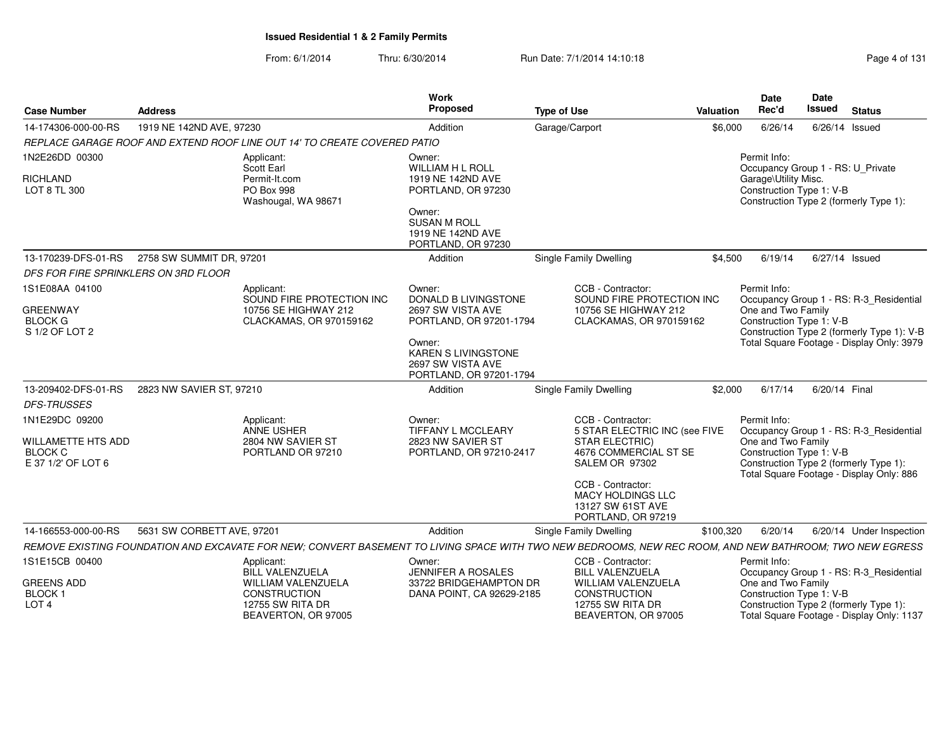| <b>Case Number</b>                                     | <b>Address</b>             |                                                                                             | <b>Work</b><br>Proposed                                                                                                       | <b>Type of Use</b>                                                                                                                                      | <b>Valuation</b> | <b>Date</b><br>Rec'd                                                                     | Date<br><b>Issued</b> | <b>Status</b>                                                                           |
|--------------------------------------------------------|----------------------------|---------------------------------------------------------------------------------------------|-------------------------------------------------------------------------------------------------------------------------------|---------------------------------------------------------------------------------------------------------------------------------------------------------|------------------|------------------------------------------------------------------------------------------|-----------------------|-----------------------------------------------------------------------------------------|
| 14-174306-000-00-RS                                    | 1919 NE 142ND AVE, 97230   |                                                                                             | Addition                                                                                                                      | Garage/Carport                                                                                                                                          | \$6,000          | 6/26/14                                                                                  |                       | $6/26/14$ Issued                                                                        |
|                                                        |                            | REPLACE GARAGE ROOF AND EXTEND ROOF LINE OUT 14' TO CREATE COVERED PATIO                    |                                                                                                                               |                                                                                                                                                         |                  |                                                                                          |                       |                                                                                         |
| 1N2E26DD 00300<br><b>RICHLAND</b>                      |                            | Applicant:<br>Scott Earl<br>Permit-It.com                                                   | Owner:<br>WILLIAM H L ROLL<br>1919 NE 142ND AVE                                                                               |                                                                                                                                                         |                  | Permit Info:<br>Occupancy Group 1 - RS: U_Private<br>Garage\Utility Misc.                |                       |                                                                                         |
| LOT 8 TL 300                                           |                            | PO Box 998<br>Washougal, WA 98671                                                           | PORTLAND, OR 97230<br>Owner:<br><b>SUSAN M ROLL</b><br>1919 NE 142ND AVE                                                      |                                                                                                                                                         |                  | Construction Type 1: V-B<br>Construction Type 2 (formerly Type 1):                       |                       |                                                                                         |
|                                                        |                            |                                                                                             | PORTLAND, OR 97230                                                                                                            |                                                                                                                                                         |                  |                                                                                          |                       |                                                                                         |
| 13-170239-DFS-01-RS                                    | 2758 SW SUMMIT DR, 97201   |                                                                                             | Addition                                                                                                                      | <b>Single Family Dwelling</b>                                                                                                                           | \$4,500          | 6/19/14                                                                                  |                       | $6/27/14$ Issued                                                                        |
| DFS FOR FIRE SPRINKLERS ON 3RD FLOOR                   |                            |                                                                                             |                                                                                                                               |                                                                                                                                                         |                  |                                                                                          |                       |                                                                                         |
| 1S1E08AA 04100                                         |                            | Applicant:<br>SOUND FIRE PROTECTION INC                                                     | Owner:<br>DONALD B LIVINGSTONE                                                                                                | CCB - Contractor:<br>SOUND FIRE PROTECTION INC                                                                                                          |                  | Permit Info:                                                                             |                       | Occupancy Group 1 - RS: R-3_Residential                                                 |
| <b>GREENWAY</b><br><b>BLOCK G</b><br>S 1/2 OF LOT 2    |                            | 10756 SE HIGHWAY 212<br>CLACKAMAS, OR 970159162                                             | 2697 SW VISTA AVE<br>PORTLAND, OR 97201-1794<br>Owner:<br>KAREN S LIVINGSTONE<br>2697 SW VISTA AVE<br>PORTLAND, OR 97201-1794 | 10756 SE HIGHWAY 212<br>CLACKAMAS, OR 970159162                                                                                                         |                  | One and Two Family<br>Construction Type 1: V-B                                           |                       | Construction Type 2 (formerly Type 1): V-B<br>Total Square Footage - Display Only: 3979 |
| 13-209402-DFS-01-RS                                    | 2823 NW SAVIER ST, 97210   |                                                                                             | Addition                                                                                                                      | <b>Single Family Dwelling</b>                                                                                                                           | \$2,000          | 6/17/14                                                                                  | 6/20/14 Final         |                                                                                         |
| <b>DFS-TRUSSES</b>                                     |                            |                                                                                             |                                                                                                                               |                                                                                                                                                         |                  |                                                                                          |                       |                                                                                         |
| 1N1E29DC 09200<br><b>WILLAMETTE HTS ADD</b>            |                            | Applicant:<br><b>ANNE USHER</b><br>2804 NW SAVIER ST                                        | Owner:<br>TIFFANY L MCCLEARY<br>2823 NW SAVIER ST                                                                             | CCB - Contractor:<br>5 STAR ELECTRIC INC (see FIVE<br>STAR ELECTRIC)                                                                                    |                  | Permit Info:<br>One and Two Family                                                       |                       | Occupancy Group 1 - RS: R-3_Residential                                                 |
| <b>BLOCK C</b><br>E 37 1/2' OF LOT 6                   |                            | PORTLAND OR 97210                                                                           | PORTLAND, OR 97210-2417                                                                                                       | 4676 COMMERCIAL ST SE<br>SALEM OR 97302                                                                                                                 |                  | Construction Type 1: V-B<br>Construction Type 2 (formerly Type 1):                       |                       | Total Square Footage - Display Only: 886                                                |
|                                                        |                            |                                                                                             |                                                                                                                               | CCB - Contractor:<br>MACY HOLDINGS LLC<br>13127 SW 61ST AVE<br>PORTLAND, OR 97219                                                                       |                  |                                                                                          |                       |                                                                                         |
| 14-166553-000-00-RS                                    | 5631 SW CORBETT AVE, 97201 |                                                                                             | Addition                                                                                                                      | Single Family Dwelling                                                                                                                                  | \$100,320        | 6/20/14                                                                                  |                       | 6/20/14 Under Inspection                                                                |
|                                                        |                            |                                                                                             |                                                                                                                               | REMOVE EXISTING FOUNDATION AND EXCAVATE FOR NEW; CONVERT BASEMENT TO LIVING SPACE WITH TWO NEW BEDROOMS, NEW REC ROOM, AND NEW BATHROOM; TWO NEW EGRESS |                  |                                                                                          |                       |                                                                                         |
| 1S1E15CB 00400                                         |                            | Applicant:<br><b>BILL VALENZUELA</b>                                                        | Owner:<br><b>JENNIFER A ROSALES</b>                                                                                           | CCB - Contractor:<br><b>BILL VALENZUELA</b>                                                                                                             |                  | Permit Info:                                                                             |                       | Occupancy Group 1 - RS: R-3_Residential                                                 |
| <b>GREENS ADD</b><br><b>BLOCK1</b><br>LOT <sub>4</sub> |                            | WILLIAM VALENZUELA<br><b>CONSTRUCTION</b><br><b>12755 SW RITA DR</b><br>BEAVERTON, OR 97005 | 33722 BRIDGEHAMPTON DR<br>DANA POINT, CA 92629-2185                                                                           | WILLIAM VALENZUELA<br><b>CONSTRUCTION</b><br><b>12755 SW RITA DR</b><br>BEAVERTON, OR 97005                                                             |                  | One and Two Family<br>Construction Type 1: V-B<br>Construction Type 2 (formerly Type 1): |                       | Total Square Footage - Display Only: 1137                                               |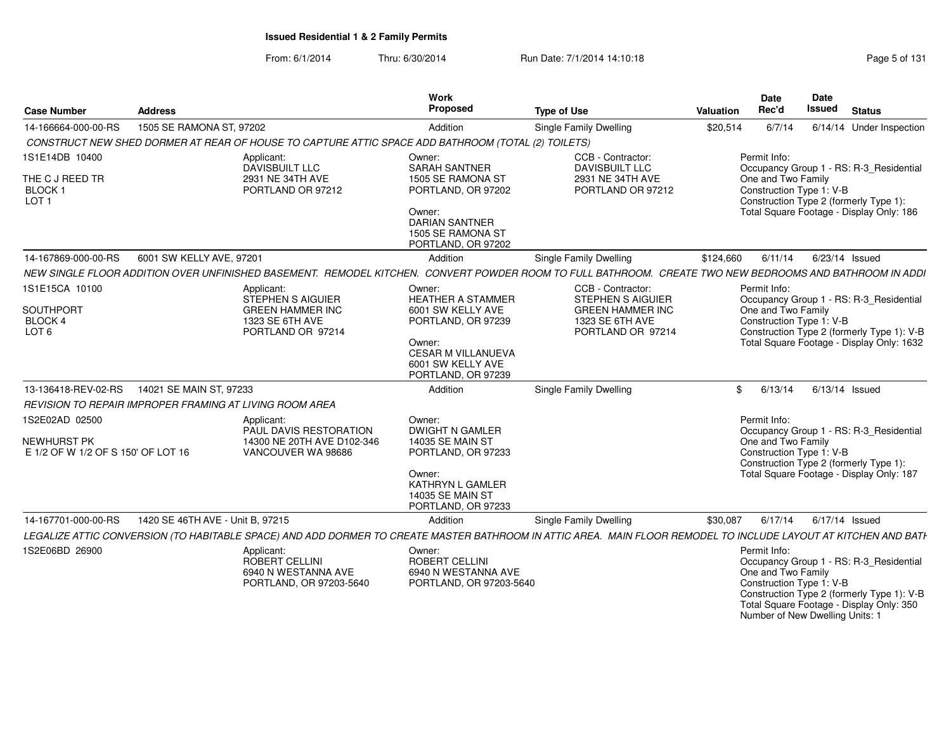From: 6/1/2014Thru: 6/30/2014 **Run Date: 7/1/2014 14:10:18** Phromas Rage 5 of 131

| <b>Case Number</b>                                                          | <b>Address</b>                                          |                                                                                                                                                                 | Work<br>Proposed                                                                                                                                                | <b>Type of Use</b>                                                                                        | Valuation | <b>Date</b><br>Rec'd                                                                              | Date<br><b>Issued</b> | <b>Status</b>                                                                                                                      |
|-----------------------------------------------------------------------------|---------------------------------------------------------|-----------------------------------------------------------------------------------------------------------------------------------------------------------------|-----------------------------------------------------------------------------------------------------------------------------------------------------------------|-----------------------------------------------------------------------------------------------------------|-----------|---------------------------------------------------------------------------------------------------|-----------------------|------------------------------------------------------------------------------------------------------------------------------------|
| 14-166664-000-00-RS                                                         | 1505 SE RAMONA ST, 97202                                |                                                                                                                                                                 | Addition                                                                                                                                                        | Single Family Dwelling                                                                                    | \$20,514  | 6/7/14                                                                                            |                       | 6/14/14 Under Inspection                                                                                                           |
|                                                                             |                                                         | CONSTRUCT NEW SHED DORMER AT REAR OF HOUSE TO CAPTURE ATTIC SPACE ADD BATHROOM (TOTAL (2) TOILETS)                                                              |                                                                                                                                                                 |                                                                                                           |           |                                                                                                   |                       |                                                                                                                                    |
| 1S1E14DB 10400<br>THE C J REED TR<br>BLOCK <sub>1</sub><br>LOT <sub>1</sub> |                                                         | Applicant:<br>DAVISBUILT LLC<br>2931 NE 34TH AVE<br>PORTLAND OR 97212                                                                                           | Owner:<br><b>SARAH SANTNER</b><br>1505 SE RAMONA ST<br>PORTLAND, OR 97202<br>Owner:<br><b>DARIAN SANTNER</b><br>1505 SE RAMONA ST<br>PORTLAND, OR 97202         | CCB - Contractor:<br><b>DAVISBUILT LLC</b><br>2931 NE 34TH AVE<br>PORTLAND OR 97212                       |           | Permit Info:<br>One and Two Family<br>Construction Type 1: V-B                                    |                       | Occupancy Group 1 - RS: R-3_Residential<br>Construction Type 2 (formerly Type 1):<br>Total Square Footage - Display Only: 186      |
| 14-167869-000-00-RS                                                         | 6001 SW KELLY AVE, 97201                                |                                                                                                                                                                 | Addition                                                                                                                                                        | <b>Single Family Dwelling</b>                                                                             | \$124,660 | 6/11/14                                                                                           |                       | 6/23/14 Issued                                                                                                                     |
|                                                                             |                                                         | NEW SINGLE FLOOR ADDITION OVER UNFINISHED BASEMENT. REMODEL KITCHEN. CONVERT POWDER ROOM TO FULL BATHROOM. CREATE TWO NEW BEDROOMS AND BATHROOM IN ADDI         |                                                                                                                                                                 |                                                                                                           |           |                                                                                                   |                       |                                                                                                                                    |
| 1S1E15CA 10100<br>SOUTHPORT<br>BLOCK 4<br>LOT <sub>6</sub>                  |                                                         | Applicant:<br>STEPHEN S AIGUIER<br><b>GREEN HAMMER INC</b><br>1323 SE 6TH AVE<br>PORTLAND OR 97214                                                              | Owner:<br><b>HEATHER A STAMMER</b><br>6001 SW KELLY AVE<br>PORTLAND, OR 97239<br>Owner:<br><b>CESAR M VILLANUEVA</b><br>6001 SW KELLY AVE<br>PORTLAND, OR 97239 | CCB - Contractor:<br>STEPHEN S AIGUIER<br><b>GREEN HAMMER INC</b><br>1323 SE 6TH AVE<br>PORTLAND OR 97214 |           | Permit Info:<br>One and Two Family<br>Construction Type 1: V-B                                    |                       | Occupancy Group 1 - RS: R-3_Residential<br>Construction Type 2 (formerly Type 1): V-B<br>Total Square Footage - Display Only: 1632 |
| 13-136418-REV-02-RS                                                         | 14021 SE MAIN ST. 97233                                 |                                                                                                                                                                 | Addition                                                                                                                                                        | Single Family Dwelling                                                                                    |           | \$6/13/14                                                                                         |                       | 6/13/14 Issued                                                                                                                     |
|                                                                             | REVISION TO REPAIR IMPROPER FRAMING AT LIVING ROOM AREA |                                                                                                                                                                 |                                                                                                                                                                 |                                                                                                           |           |                                                                                                   |                       |                                                                                                                                    |
| 1S2E02AD 02500<br>NEWHURST PK<br>E 1/2 OF W 1/2 OF S 150' OF LOT 16         |                                                         | Applicant:<br>PAUL DAVIS RESTORATION<br>14300 NE 20TH AVE D102-346<br>VANCOUVER WA 98686                                                                        | Owner:<br><b>DWIGHT N GAMLER</b><br>14035 SE MAIN ST<br>PORTLAND, OR 97233<br>Owner:<br>KATHRYN L GAMLER<br>14035 SE MAIN ST<br>PORTLAND, OR 97233              |                                                                                                           |           | Permit Info:<br>One and Two Family<br>Construction Type 1: V-B                                    |                       | Occupancy Group 1 - RS: R-3_Residential<br>Construction Type 2 (formerly Type 1):<br>Total Square Footage - Display Only: 187      |
| 14-167701-000-00-RS                                                         | 1420 SE 46TH AVE - Unit B. 97215                        |                                                                                                                                                                 | Addition                                                                                                                                                        | Single Family Dwelling                                                                                    | \$30,087  | 6/17/14                                                                                           |                       | 6/17/14 Issued                                                                                                                     |
|                                                                             |                                                         | LEGALIZE ATTIC CONVERSION (TO HABITABLE SPACE) AND ADD DORMER TO CREATE MASTER BATHROOM IN ATTIC AREA. MAIN FLOOR REMODEL TO INCLUDE LAYOUT AT KITCHEN AND BATH |                                                                                                                                                                 |                                                                                                           |           |                                                                                                   |                       |                                                                                                                                    |
| 1S2E06BD 26900                                                              |                                                         | Applicant:<br>ROBERT CELLINI<br>6940 N WESTANNA AVE<br>PORTLAND, OR 97203-5640                                                                                  | Owner:<br><b>ROBERT CELLINI</b><br>6940 N WESTANNA AVE<br>PORTLAND, OR 97203-5640                                                                               |                                                                                                           |           | Permit Info:<br>One and Two Family<br>Construction Type 1: V-B<br>Number of New Dwelling Units: 1 |                       | Occupancy Group 1 - RS: R-3 Residential<br>Construction Type 2 (formerly Type 1): V-B<br>Total Square Footage - Display Only: 350  |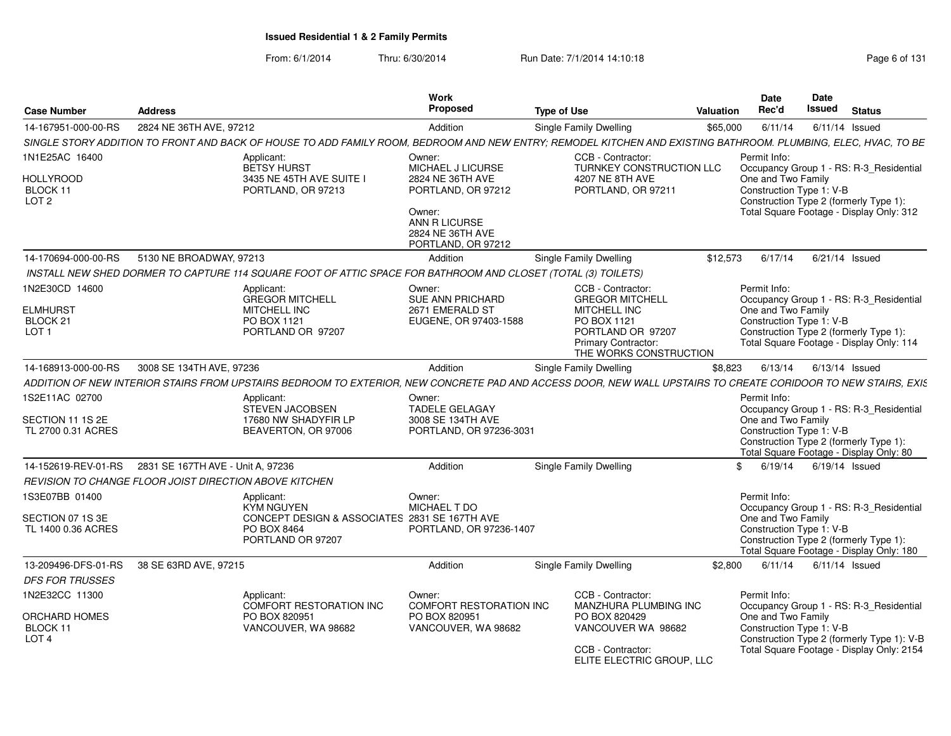From: 6/1/2014Thru: 6/30/2014 Run Date: 7/1/2014 14:10:18 Research 2010 Rage 6 of 131

| <b>Case Number</b>                                                           | <b>Address</b>                                                                                                                                                 | Work<br>Proposed                                                              | <b>Type of Use</b>                                                                                                                               | Valuation | <b>Date</b><br>Rec'd                                           | Date<br><b>Issued</b> | <b>Status</b>                                                                                                                 |
|------------------------------------------------------------------------------|----------------------------------------------------------------------------------------------------------------------------------------------------------------|-------------------------------------------------------------------------------|--------------------------------------------------------------------------------------------------------------------------------------------------|-----------|----------------------------------------------------------------|-----------------------|-------------------------------------------------------------------------------------------------------------------------------|
| 14-167951-000-00-RS                                                          | 2824 NE 36TH AVE, 97212                                                                                                                                        | Addition                                                                      | <b>Single Family Dwelling</b>                                                                                                                    | \$65,000  | 6/11/14                                                        | $6/11/14$ Issued      |                                                                                                                               |
|                                                                              | SINGLE STORY ADDITION TO FRONT AND BACK OF HOUSE TO ADD FAMILY ROOM, BEDROOM AND NEW ENTRY; REMODEL KITCHEN AND EXISTING BATHROOM. PLUMBING, ELEC, HVAC, TO BE |                                                                               |                                                                                                                                                  |           |                                                                |                       |                                                                                                                               |
| 1N1E25AC 16400<br><b>HOLLYROOD</b><br>BLOCK 11<br>LOT <sub>2</sub>           | Applicant:<br>BETSY HURST<br>3435 NE 45TH AVE SUITE I<br>PORTLAND, OR 97213                                                                                    | Owner:<br>MICHAEL J LICURSE<br>2824 NE 36TH AVE<br>PORTLAND, OR 97212         | CCB - Contractor:<br>TURNKEY CONSTRUCTION LLC<br>4207 NE 8TH AVE<br>PORTLAND, OR 97211                                                           |           | Permit Info:<br>One and Two Family<br>Construction Type 1: V-B |                       | Occupancy Group 1 - RS: R-3_Residential<br>Construction Type 2 (formerly Type 1):                                             |
|                                                                              |                                                                                                                                                                | Owner:<br>ANN R LICURSE<br>2824 NE 36TH AVE<br>PORTLAND, OR 97212             |                                                                                                                                                  |           |                                                                |                       | Total Square Footage - Display Only: 312                                                                                      |
| 14-170694-000-00-RS                                                          | 5130 NE BROADWAY, 97213                                                                                                                                        | Addition                                                                      | Single Family Dwelling                                                                                                                           | \$12,573  | 6/17/14                                                        | $6/21/14$ Issued      |                                                                                                                               |
|                                                                              | INSTALL NEW SHED DORMER TO CAPTURE 114 SQUARE FOOT OF ATTIC SPACE FOR BATHROOM AND CLOSET (TOTAL (3) TOILETS)                                                  |                                                                               |                                                                                                                                                  |           |                                                                |                       |                                                                                                                               |
| 1N2E30CD 14600<br><b>ELMHURST</b><br>BLOCK <sub>21</sub><br>LOT <sub>1</sub> | Applicant:<br><b>GREGOR MITCHELL</b><br>MITCHELL INC<br>PO BOX 1121<br>PORTLAND OR 97207                                                                       | Owner:<br><b>SUE ANN PRICHARD</b><br>2671 EMERALD ST<br>EUGENE, OR 97403-1588 | CCB - Contractor:<br><b>GREGOR MITCHELL</b><br>MITCHELL INC<br>PO BOX 1121<br>PORTLAND OR 97207<br>Primary Contractor:<br>THE WORKS CONSTRUCTION |           | Permit Info:<br>One and Two Family<br>Construction Type 1: V-B |                       | Occupancy Group 1 - RS: R-3_Residential<br>Construction Type 2 (formerly Type 1):<br>Total Square Footage - Display Only: 114 |
| 14-168913-000-00-RS                                                          | 3008 SE 134TH AVE, 97236                                                                                                                                       | Addition                                                                      | Single Family Dwelling                                                                                                                           | \$8,823   | 6/13/14                                                        | 6/13/14 Issued        |                                                                                                                               |
|                                                                              | ADDITION OF NEW INTERIOR STAIRS FROM UPSTAIRS BEDROOM TO EXTERIOR, NEW CONCRETE PAD AND ACCESS DOOR, NEW WALL UPSTAIRS TO CREATE CORIDOOR TO NEW STAIRS, EXIS  |                                                                               |                                                                                                                                                  |           |                                                                |                       |                                                                                                                               |
| 1S2E11AC 02700                                                               | Applicant:                                                                                                                                                     | Owner:                                                                        |                                                                                                                                                  |           | Permit Info:                                                   |                       |                                                                                                                               |
| SECTION 11 1S 2E<br>TL 2700 0.31 ACRES                                       | <b>STEVEN JACOBSEN</b><br>17680 NW SHADYFIR LP<br>BEAVERTON, OR 97006                                                                                          | <b>TADELE GELAGAY</b><br>3008 SE 134TH AVE<br>PORTLAND, OR 97236-3031         |                                                                                                                                                  |           | One and Two Family<br>Construction Type 1: V-B                 |                       | Occupancy Group 1 - RS: R-3_Residential<br>Construction Type 2 (formerly Type 1):<br>Total Square Footage - Display Only: 80  |
| 14-152619-REV-01-RS                                                          | 2831 SE 167TH AVE - Unit A, 97236                                                                                                                              | Addition                                                                      | <b>Single Family Dwelling</b>                                                                                                                    | \$        | 6/19/14                                                        | 6/19/14 Issued        |                                                                                                                               |
|                                                                              | REVISION TO CHANGE FLOOR JOIST DIRECTION ABOVE KITCHEN                                                                                                         |                                                                               |                                                                                                                                                  |           |                                                                |                       |                                                                                                                               |
| 1S3E07BB 01400                                                               | Applicant:<br><b>KYM NGUYEN</b>                                                                                                                                | Owner:<br><b>MICHAEL T DO</b>                                                 |                                                                                                                                                  |           | Permit Info:                                                   |                       | Occupancy Group 1 - RS: R-3 Residential                                                                                       |
| SECTION 07 1S 3E<br>TL 1400 0.36 ACRES                                       | CONCEPT DESIGN & ASSOCIATES 2831 SE 167TH AVE<br>PO BOX 8464<br>PORTLAND OR 97207                                                                              | PORTLAND, OR 97236-1407                                                       |                                                                                                                                                  |           | One and Two Family<br>Construction Type 1: V-B                 |                       | Construction Type 2 (formerly Type 1):<br>Total Square Footage - Display Only: 180                                            |
| 13-209496-DFS-01-RS                                                          | 38 SE 63RD AVE, 97215                                                                                                                                          | Addition                                                                      | Single Family Dwelling                                                                                                                           | \$2,800   | 6/11/14                                                        | $6/11/14$ Issued      |                                                                                                                               |
| <b>DFS FOR TRUSSES</b>                                                       |                                                                                                                                                                |                                                                               |                                                                                                                                                  |           |                                                                |                       |                                                                                                                               |
| 1N2E32CC 11300                                                               | Applicant:<br>COMFORT RESTORATION INC                                                                                                                          | Owner:<br>COMFORT RESTORATION INC                                             | CCB - Contractor:<br>MANZHURA PLUMBING INC                                                                                                       |           | Permit Info:                                                   |                       | Occupancy Group 1 - RS: R-3_Residential                                                                                       |
| ORCHARD HOMES<br>BLOCK 11<br>LOT <sub>4</sub>                                | PO BOX 820951<br>VANCOUVER, WA 98682                                                                                                                           | PO BOX 820951<br>VANCOUVER, WA 98682                                          | PO BOX 820429<br>VANCOUVER WA 98682                                                                                                              |           | One and Two Family<br>Construction Type 1: V-B                 |                       | Construction Type 2 (formerly Type 1): V-B                                                                                    |
|                                                                              |                                                                                                                                                                |                                                                               | CCB - Contractor:<br>ELITE ELECTRIC GROUP, LLC                                                                                                   |           |                                                                |                       | Total Square Footage - Display Only: 2154                                                                                     |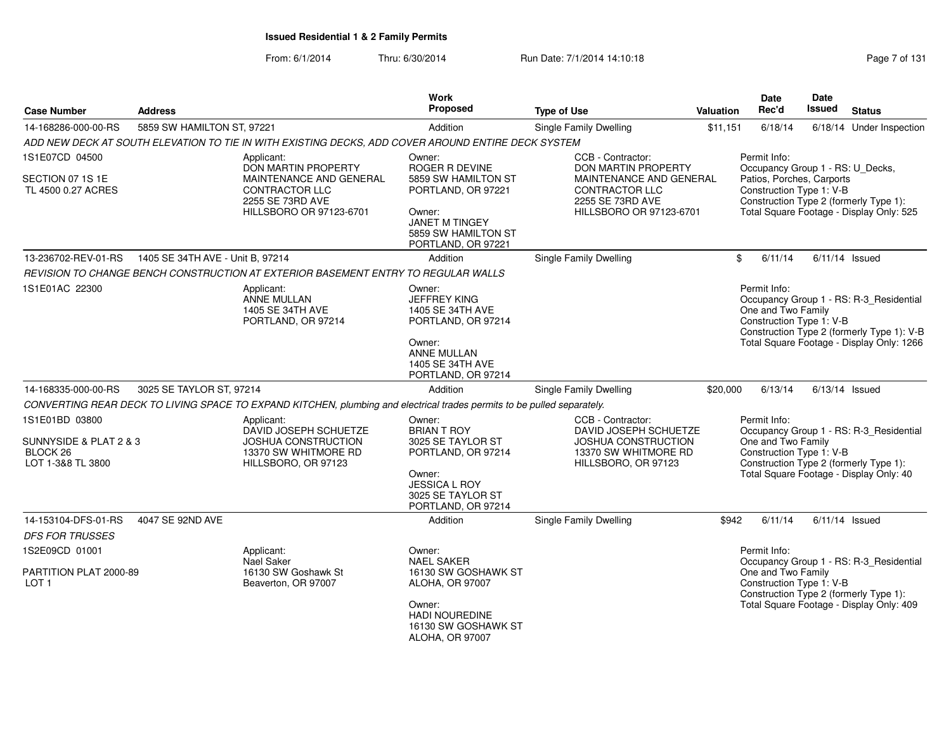| <b>Case Number</b>                         | <b>Address</b>                   |                                                                                                                         | <b>Work</b><br><b>Proposed</b>                                               | <b>Type of Use</b>                                                   | <b>Valuation</b> | <b>Date</b><br>Rec'd               | <b>Date</b><br><b>Issued</b>                          | <b>Status</b>                                                                         |
|--------------------------------------------|----------------------------------|-------------------------------------------------------------------------------------------------------------------------|------------------------------------------------------------------------------|----------------------------------------------------------------------|------------------|------------------------------------|-------------------------------------------------------|---------------------------------------------------------------------------------------|
| 14-168286-000-00-RS                        | 5859 SW HAMILTON ST, 97221       |                                                                                                                         | Addition                                                                     | Single Family Dwelling                                               | \$11,151         | 6/18/14                            |                                                       | 6/18/14 Under Inspection                                                              |
|                                            |                                  | ADD NEW DECK AT SOUTH ELEVATION TO TIE IN WITH EXISTING DECKS, ADD COVER AROUND ENTIRE DECK SYSTEM                      |                                                                              |                                                                      |                  |                                    |                                                       |                                                                                       |
| 1S1E07CD 04500                             |                                  | Applicant:<br>DON MARTIN PROPERTY                                                                                       | Owner:<br>ROGER R DEVINE                                                     | CCB - Contractor:<br>DON MARTIN PROPERTY                             |                  | Permit Info:                       |                                                       | Occupancy Group 1 - RS: U_Decks,                                                      |
| SECTION 07 1S 1E<br>TL 4500 0.27 ACRES     |                                  | MAINTENANCE AND GENERAL<br><b>CONTRACTOR LLC</b><br>2255 SE 73RD AVE                                                    | 5859 SW HAMILTON ST<br>PORTLAND, OR 97221                                    | MAINTENANCE AND GENERAL<br><b>CONTRACTOR LLC</b><br>2255 SE 73RD AVE |                  |                                    | Patios, Porches, Carports<br>Construction Type 1: V-B | Construction Type 2 (formerly Type 1):                                                |
|                                            |                                  | HILLSBORO OR 97123-6701                                                                                                 | Owner:<br><b>JANET M TINGEY</b><br>5859 SW HAMILTON ST<br>PORTLAND, OR 97221 | HILLSBORO OR 97123-6701                                              |                  |                                    |                                                       | Total Square Footage - Display Only: 525                                              |
| 13-236702-REV-01-RS                        | 1405 SE 34TH AVE - Unit B, 97214 |                                                                                                                         | Addition                                                                     | <b>Single Family Dwelling</b>                                        |                  | \$<br>6/11/14                      |                                                       | $6/11/14$ Issued                                                                      |
|                                            |                                  | REVISION TO CHANGE BENCH CONSTRUCTION AT EXTERIOR BASEMENT ENTRY TO REGULAR WALLS                                       |                                                                              |                                                                      |                  |                                    |                                                       |                                                                                       |
| 1S1E01AC 22300                             |                                  | Applicant:<br>ANNE MULLAN<br>1405 SE 34TH AVE<br>PORTLAND, OR 97214                                                     | Owner:<br><b>JEFFREY KING</b><br>1405 SE 34TH AVE<br>PORTLAND, OR 97214      |                                                                      |                  | Permit Info:<br>One and Two Family | Construction Type 1: V-B                              | Occupancy Group 1 - RS: R-3_Residential<br>Construction Type 2 (formerly Type 1): V-B |
|                                            |                                  |                                                                                                                         | Owner:<br>ANNE MULLAN<br>1405 SE 34TH AVE<br>PORTLAND, OR 97214              |                                                                      |                  |                                    |                                                       | Total Square Footage - Display Only: 1266                                             |
| 14-168335-000-00-RS                        | 3025 SE TAYLOR ST, 97214         |                                                                                                                         | Addition                                                                     | Single Family Dwelling                                               | \$20,000         | 6/13/14                            |                                                       | $6/13/14$ Issued                                                                      |
|                                            |                                  | CONVERTING REAR DECK TO LIVING SPACE TO EXPAND KITCHEN, plumbing and electrical trades permits to be pulled separately. |                                                                              |                                                                      |                  |                                    |                                                       |                                                                                       |
| 1S1E01BD 03800<br>SUNNYSIDE & PLAT 2 & 3   |                                  | Applicant:<br>DAVID JOSEPH SCHUETZE<br>JOSHUA CONSTRUCTION                                                              | Owner:<br><b>BRIAN T ROY</b><br>3025 SE TAYLOR ST                            | CCB - Contractor:<br>DAVID JOSEPH SCHUETZE<br>JOSHUA CONSTRUCTION    |                  | Permit Info:<br>One and Two Family |                                                       | Occupancy Group 1 - RS: R-3 Residential                                               |
| BLOCK <sub>26</sub><br>LOT 1-3&8 TL 3800   |                                  | 13370 SW WHITMORE RD<br>HILLSBORO, OR 97123                                                                             | PORTLAND, OR 97214<br>Owner:                                                 | 13370 SW WHITMORE RD<br>HILLSBORO, OR 97123                          |                  |                                    | Construction Type 1: V-B                              | Construction Type 2 (formerly Type 1):<br>Total Square Footage - Display Only: 40     |
|                                            |                                  |                                                                                                                         | <b>JESSICA L ROY</b><br>3025 SE TAYLOR ST<br>PORTLAND, OR 97214              |                                                                      |                  |                                    |                                                       |                                                                                       |
| 14-153104-DFS-01-RS                        | 4047 SE 92ND AVE                 |                                                                                                                         | Addition                                                                     | <b>Single Family Dwelling</b>                                        | \$942            | 6/11/14                            |                                                       | $6/11/14$ Issued                                                                      |
| <b>DFS FOR TRUSSES</b>                     |                                  |                                                                                                                         |                                                                              |                                                                      |                  |                                    |                                                       |                                                                                       |
| 1S2E09CD 01001                             |                                  | Applicant:<br>Nael Saker                                                                                                | Owner:<br><b>NAEL SAKER</b>                                                  |                                                                      |                  | Permit Info:                       |                                                       | Occupancy Group 1 - RS: R-3_Residential                                               |
| PARTITION PLAT 2000-89<br>LOT <sub>1</sub> |                                  | 16130 SW Goshawk St<br>Beaverton, OR 97007                                                                              | 16130 SW GOSHAWK ST<br>ALOHA, OR 97007                                       |                                                                      |                  | One and Two Family                 | Construction Type 1: V-B                              | Construction Type 2 (formerly Type 1):                                                |
|                                            |                                  |                                                                                                                         | Owner:<br>HADI NOUREDINE<br>16130 SW GOSHAWK ST<br>ALOHA, OR 97007           |                                                                      |                  |                                    |                                                       | Total Square Footage - Display Only: 409                                              |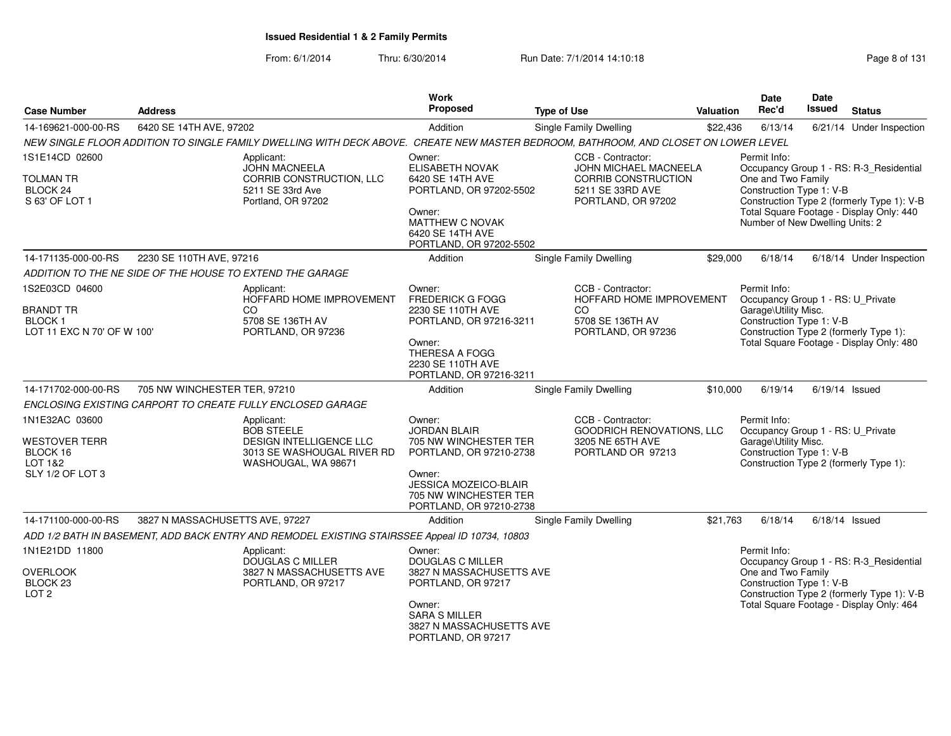| <b>Case Number</b>                                       | <b>Address</b>                  |                                                                                                                                     | <b>Work</b><br>Proposed                                                           | <b>Type of Use</b>                                                       | Valuation | <b>Date</b><br>Rec'd                                                                                  | Date<br><b>Issued</b> | <b>Status</b>                                                                      |
|----------------------------------------------------------|---------------------------------|-------------------------------------------------------------------------------------------------------------------------------------|-----------------------------------------------------------------------------------|--------------------------------------------------------------------------|-----------|-------------------------------------------------------------------------------------------------------|-----------------------|------------------------------------------------------------------------------------|
| 14-169621-000-00-RS                                      | 6420 SE 14TH AVE, 97202         |                                                                                                                                     | Addition                                                                          | Single Family Dwelling                                                   | \$22,436  | 6/13/14                                                                                               |                       | 6/21/14 Under Inspection                                                           |
|                                                          |                                 | NEW SINGLE FLOOR ADDITION TO SINGLE FAMILY DWELLING WITH DECK ABOVE. CREATE NEW MASTER BEDROOM, BATHROOM, AND CLOSET ON LOWER LEVEL |                                                                                   |                                                                          |           |                                                                                                       |                       |                                                                                    |
| 1S1E14CD 02600                                           |                                 | Applicant:<br><b>JOHN MACNEELA</b>                                                                                                  | Owner:<br>ELISABETH NOVAK                                                         | CCB - Contractor:<br>JOHN MICHAEL MACNEELA                               |           | Permit Info:                                                                                          |                       | Occupancy Group 1 - RS: R-3_Residential                                            |
| <b>TOLMAN TR</b><br>BLOCK 24<br>S 63' OF LOT 1           |                                 | CORRIB CONSTRUCTION, LLC<br>5211 SE 33rd Ave<br>Portland, OR 97202                                                                  | 6420 SE 14TH AVE<br>PORTLAND, OR 97202-5502                                       | CORRIB CONSTRUCTION<br>5211 SE 33RD AVE<br>PORTLAND, OR 97202            |           | One and Two Family<br>Construction Type 1: V-B                                                        |                       | Construction Type 2 (formerly Type 1): V-B                                         |
|                                                          |                                 |                                                                                                                                     | Owner:<br><b>MATTHEW C NOVAK</b><br>6420 SE 14TH AVE<br>PORTLAND, OR 97202-5502   |                                                                          |           | Number of New Dwelling Units: 2                                                                       |                       | Total Square Footage - Display Only: 440                                           |
| 14-171135-000-00-RS                                      | 2230 SE 110TH AVE, 97216        |                                                                                                                                     | Addition                                                                          | Single Family Dwelling                                                   | \$29,000  | 6/18/14                                                                                               |                       | 6/18/14 Under Inspection                                                           |
|                                                          |                                 | ADDITION TO THE NE SIDE OF THE HOUSE TO EXTEND THE GARAGE                                                                           |                                                                                   |                                                                          |           |                                                                                                       |                       |                                                                                    |
| 1S2E03CD 04600<br><b>BRANDT TR</b><br><b>BLOCK1</b>      |                                 | Applicant:<br>HOFFARD HOME IMPROVEMENT<br>CO<br>5708 SE 136TH AV                                                                    | Owner:<br><b>FREDERICK G FOGG</b><br>2230 SE 110TH AVE<br>PORTLAND, OR 97216-3211 | CCB - Contractor:<br>HOFFARD HOME IMPROVEMENT<br>CO.<br>5708 SE 136TH AV |           | Permit Info:<br>Occupancy Group 1 - RS: U_Private<br>Garage\Utility Misc.<br>Construction Type 1: V-B |                       |                                                                                    |
| LOT 11 EXC N 70' OF W 100'                               |                                 | PORTLAND, OR 97236                                                                                                                  | Owner:<br>THERESA A FOGG<br>2230 SE 110TH AVE<br>PORTLAND, OR 97216-3211          | PORTLAND, OR 97236                                                       |           |                                                                                                       |                       | Construction Type 2 (formerly Type 1):<br>Total Square Footage - Display Only: 480 |
| 14-171702-000-00-RS                                      | 705 NW WINCHESTER TER, 97210    |                                                                                                                                     | Addition                                                                          | Single Family Dwelling                                                   | \$10,000  | 6/19/14                                                                                               |                       | $6/19/14$ Issued                                                                   |
|                                                          |                                 | ENCLOSING EXISTING CARPORT TO CREATE FULLY ENCLOSED GARAGE                                                                          |                                                                                   |                                                                          |           |                                                                                                       |                       |                                                                                    |
| 1N1E32AC 03600                                           |                                 | Applicant:<br><b>BOB STEELE</b>                                                                                                     | Owner:<br><b>JORDAN BLAIR</b>                                                     | CCB - Contractor:<br>GOODRICH RENOVATIONS, LLC                           |           | Permit Info:<br>Occupancy Group 1 - RS: U_Private                                                     |                       |                                                                                    |
| WESTOVER TERR<br>BLOCK 16<br>LOT 1&2<br>SLY 1/2 OF LOT 3 |                                 | <b>DESIGN INTELLIGENCE LLC</b><br>3013 SE WASHOUGAL RIVER RD<br>WASHOUGAL, WA 98671                                                 | 705 NW WINCHESTER TER<br>PORTLAND, OR 97210-2738<br>Owner:                        | 3205 NE 65TH AVE<br>PORTLAND OR 97213                                    |           | Garage\Utility Misc.<br>Construction Type 1: V-B                                                      |                       | Construction Type 2 (formerly Type 1):                                             |
|                                                          |                                 |                                                                                                                                     | JESSICA MOZEICO-BLAIR<br>705 NW WINCHESTER TER<br>PORTLAND, OR 97210-2738         |                                                                          |           |                                                                                                       |                       |                                                                                    |
| 14-171100-000-00-RS                                      | 3827 N MASSACHUSETTS AVE, 97227 |                                                                                                                                     | Addition                                                                          | <b>Single Family Dwelling</b>                                            | \$21.763  | 6/18/14                                                                                               |                       | $6/18/14$ Issued                                                                   |
|                                                          |                                 | ADD 1/2 BATH IN BASEMENT, ADD BACK ENTRY AND REMODEL EXISTING STAIRSSEE Appeal ID 10734, 10803                                      |                                                                                   |                                                                          |           |                                                                                                       |                       |                                                                                    |
| 1N1E21DD 11800<br><b>OVERLOOK</b>                        |                                 | Applicant:<br>DOUGLAS C MILLER<br>3827 N MASSACHUSETTS AVE                                                                          | Owner:<br><b>DOUGLAS C MILLER</b><br>3827 N MASSACHUSETTS AVE                     |                                                                          |           | Permit Info:<br>One and Two Family                                                                    |                       | Occupancy Group 1 - RS: R-3_Residential                                            |
| BLOCK <sub>23</sub><br>LOT <sub>2</sub>                  |                                 | PORTLAND, OR 97217                                                                                                                  | PORTLAND, OR 97217                                                                |                                                                          |           | Construction Type 1: V-B                                                                              |                       | Construction Type 2 (formerly Type 1): V-B                                         |
|                                                          |                                 |                                                                                                                                     | Owner:<br><b>SARA S MILLER</b><br>3827 N MASSACHUSETTS AVE<br>PORTLAND, OR 97217  |                                                                          |           |                                                                                                       |                       | Total Square Footage - Display Only: 464                                           |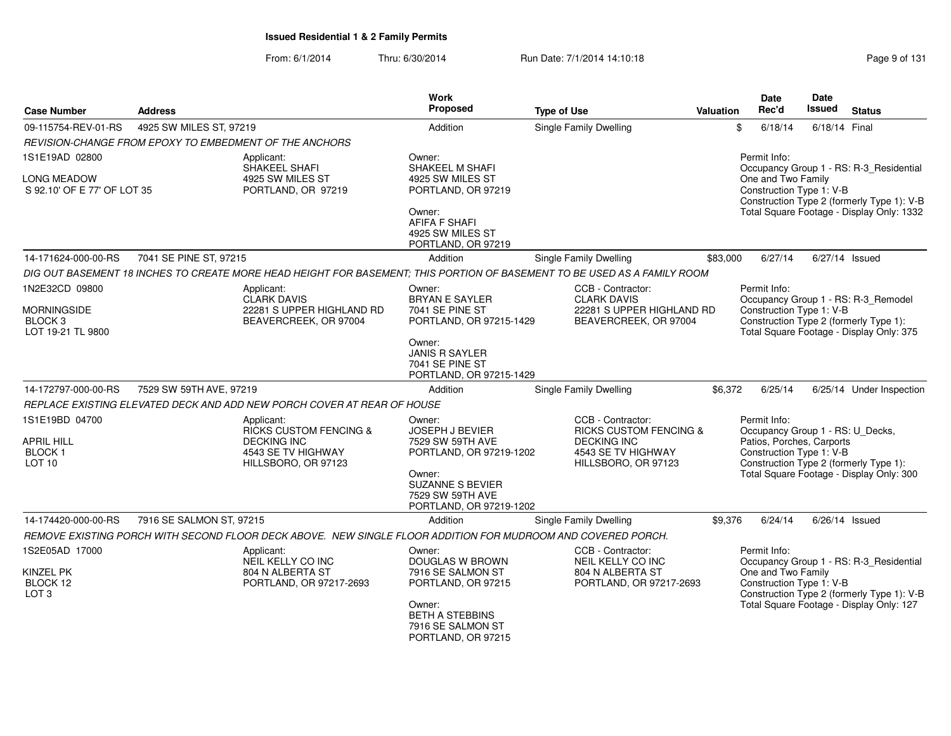| <b>Case Number</b>                                            | <b>Address</b>           |                                                                                                                          | Work<br><b>Proposed</b>                                                          | <b>Type of Use</b>                                                       | Valuation | Date<br>Rec'd                                    | Date<br><b>Issued</b> | <b>Status</b>                                                                                                             |
|---------------------------------------------------------------|--------------------------|--------------------------------------------------------------------------------------------------------------------------|----------------------------------------------------------------------------------|--------------------------------------------------------------------------|-----------|--------------------------------------------------|-----------------------|---------------------------------------------------------------------------------------------------------------------------|
| 09-115754-REV-01-RS                                           | 4925 SW MILES ST, 97219  |                                                                                                                          | Addition                                                                         | Single Family Dwelling                                                   |           | \$<br>6/18/14                                    | 6/18/14 Final         |                                                                                                                           |
|                                                               |                          | REVISION-CHANGE FROM EPOXY TO EMBEDMENT OF THE ANCHORS                                                                   |                                                                                  |                                                                          |           |                                                  |                       |                                                                                                                           |
| 1S1E19AD 02800                                                |                          | Applicant:<br>SHAKEEL SHAFI                                                                                              | Owner:<br>SHAKEEL M SHAFI                                                        |                                                                          |           | Permit Info:                                     |                       | Occupancy Group 1 - RS: R-3 Residential                                                                                   |
| LONG MEADOW                                                   |                          | 4925 SW MILES ST                                                                                                         | 4925 SW MILES ST                                                                 |                                                                          |           | One and Two Family                               |                       |                                                                                                                           |
| S 92.10' OF E 77' OF LOT 35                                   |                          | PORTLAND, OR 97219                                                                                                       | PORTLAND, OR 97219                                                               |                                                                          |           | Construction Type 1: V-B                         |                       | Construction Type 2 (formerly Type 1): V-B                                                                                |
|                                                               |                          |                                                                                                                          | Owner:<br><b>AFIFA F SHAFI</b><br>4925 SW MILES ST<br>PORTLAND, OR 97219         |                                                                          |           |                                                  |                       | Total Square Footage - Display Only: 1332                                                                                 |
| 14-171624-000-00-RS                                           | 7041 SE PINE ST, 97215   |                                                                                                                          | Addition                                                                         | <b>Single Family Dwelling</b>                                            | \$83,000  | 6/27/14                                          |                       | 6/27/14 Issued                                                                                                            |
|                                                               |                          | DIG OUT BASEMENT 18 INCHES TO CREATE MORE HEAD HEIGHT FOR BASEMENT; THIS PORTION OF BASEMENT TO BE USED AS A FAMILY ROOM |                                                                                  |                                                                          |           |                                                  |                       |                                                                                                                           |
| 1N2E32CD 09800                                                |                          | Applicant:                                                                                                               | Owner:                                                                           | CCB - Contractor:                                                        |           | Permit Info:                                     |                       |                                                                                                                           |
| <b>MORNINGSIDE</b><br>BLOCK <sub>3</sub><br>LOT 19-21 TL 9800 |                          | <b>CLARK DAVIS</b><br>22281 S UPPER HIGHLAND RD<br>BEAVERCREEK, OR 97004                                                 | <b>BRYAN E SAYLER</b><br>7041 SE PINE ST<br>PORTLAND, OR 97215-1429              | <b>CLARK DAVIS</b><br>22281 S UPPER HIGHLAND RD<br>BEAVERCREEK, OR 97004 |           | Construction Type 1: V-B                         |                       | Occupancy Group 1 - RS: R-3_Remodel<br>Construction Type 2 (formerly Type 1):<br>Total Square Footage - Display Only: 375 |
|                                                               |                          |                                                                                                                          | Owner:<br><b>JANIS R SAYLER</b><br>7041 SE PINE ST<br>PORTLAND, OR 97215-1429    |                                                                          |           |                                                  |                       |                                                                                                                           |
| 14-172797-000-00-RS                                           | 7529 SW 59TH AVE, 97219  |                                                                                                                          | Addition                                                                         | Single Family Dwelling                                                   | \$6,372   | 6/25/14                                          |                       | 6/25/14 Under Inspection                                                                                                  |
|                                                               |                          | REPLACE EXISTING ELEVATED DECK AND ADD NEW PORCH COVER AT REAR OF HOUSE                                                  |                                                                                  |                                                                          |           |                                                  |                       |                                                                                                                           |
| 1S1E19BD 04700                                                |                          | Applicant:<br>RICKS CUSTOM FENCING &                                                                                     | Owner:<br>JOSEPH J BEVIER                                                        | CCB - Contractor:<br><b>RICKS CUSTOM FENCING &amp;</b>                   |           | Permit Info:<br>Occupancy Group 1 - RS: U_Decks, |                       |                                                                                                                           |
| <b>APRIL HILL</b>                                             |                          | <b>DECKING INC</b>                                                                                                       | 7529 SW 59TH AVE                                                                 | <b>DECKING INC</b>                                                       |           | Patios, Porches, Carports                        |                       |                                                                                                                           |
| <b>BLOCK1</b><br>LOT <sub>10</sub>                            |                          | 4543 SE TV HIGHWAY<br>HILLSBORO, OR 97123                                                                                | PORTLAND, OR 97219-1202                                                          | 4543 SE TV HIGHWAY<br>HILLSBORO, OR 97123                                |           | Construction Type 1: V-B                         |                       | Construction Type 2 (formerly Type 1):                                                                                    |
|                                                               |                          |                                                                                                                          | Owner:<br><b>SUZANNE S BEVIER</b><br>7529 SW 59TH AVE<br>PORTLAND, OR 97219-1202 |                                                                          |           |                                                  |                       | Total Square Footage - Display Only: 300                                                                                  |
| 14-174420-000-00-RS                                           | 7916 SE SALMON ST, 97215 |                                                                                                                          | Addition                                                                         | Single Family Dwelling                                                   | \$9,376   | 6/24/14                                          |                       | $6/26/14$ Issued                                                                                                          |
|                                                               |                          | REMOVE EXISTING PORCH WITH SECOND FLOOR DECK ABOVE. NEW SINGLE FLOOR ADDITION FOR MUDROOM AND COVERED PORCH.             |                                                                                  |                                                                          |           |                                                  |                       |                                                                                                                           |
| 1S2E05AD 17000                                                |                          | Applicant:<br>NEIL KELLY CO INC                                                                                          | Owner:<br>DOUGLAS W BROWN                                                        | CCB - Contractor:<br>NEIL KELLY CO INC                                   |           | Permit Info:                                     |                       | Occupancy Group 1 - RS: R-3_Residential                                                                                   |
| <b>KINZEL PK</b><br>BLOCK 12<br>LOT <sub>3</sub>              |                          | 804 N ALBERTA ST<br>PORTLAND, OR 97217-2693                                                                              | 7916 SE SALMON ST<br>PORTLAND, OR 97215                                          | 804 N ALBERTA ST<br>PORTLAND, OR 97217-2693                              |           | One and Two Family<br>Construction Type 1: V-B   |                       | Construction Type 2 (formerly Type 1): V-B                                                                                |
|                                                               |                          |                                                                                                                          | Owner:<br><b>BETH A STEBBINS</b><br>7916 SE SALMON ST<br>PORTLAND, OR 97215      |                                                                          |           |                                                  |                       | Total Square Footage - Display Only: 127                                                                                  |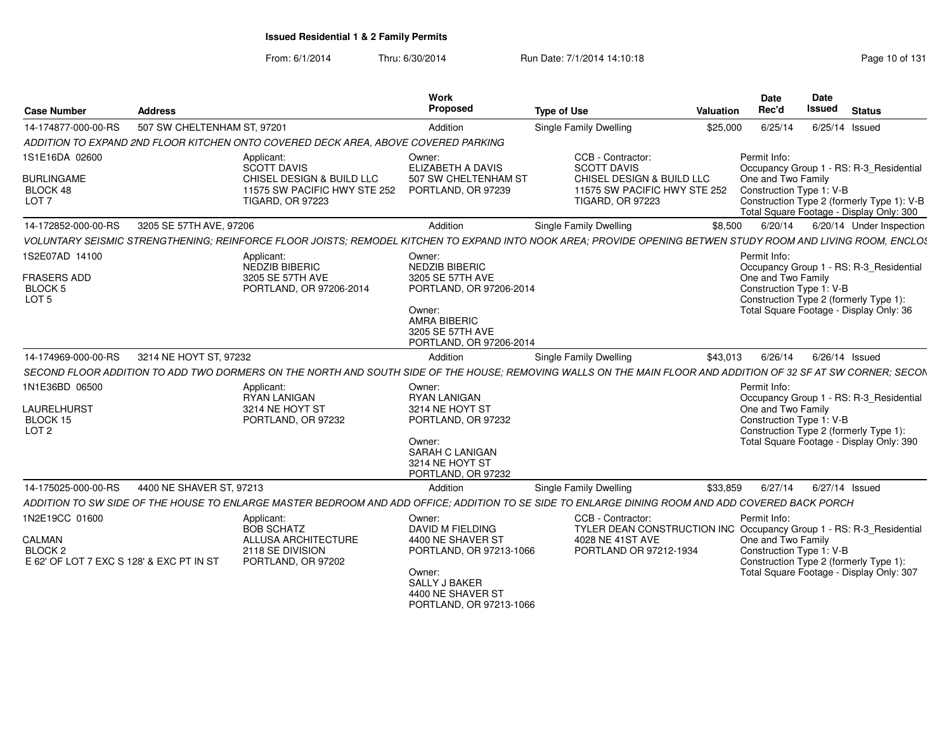From: 6/1/2014

| <b>Case Number</b>                                                                         | <b>Address</b>              |                                                                                                                                                               | Work<br>Proposed                                                                                                                                             | <b>Type of Use</b>                                                                                                                     | Valuation | Date<br>Rec'd                                                  | <b>Date</b><br>Issued | <b>Status</b>                                                                                                                     |
|--------------------------------------------------------------------------------------------|-----------------------------|---------------------------------------------------------------------------------------------------------------------------------------------------------------|--------------------------------------------------------------------------------------------------------------------------------------------------------------|----------------------------------------------------------------------------------------------------------------------------------------|-----------|----------------------------------------------------------------|-----------------------|-----------------------------------------------------------------------------------------------------------------------------------|
| 14-174877-000-00-RS                                                                        | 507 SW CHELTENHAM ST, 97201 |                                                                                                                                                               | Addition                                                                                                                                                     | Single Family Dwelling                                                                                                                 | \$25,000  | 6/25/14                                                        |                       | 6/25/14 Issued                                                                                                                    |
|                                                                                            |                             | ADDITION TO EXPAND 2ND FLOOR KITCHEN ONTO COVERED DECK AREA, ABOVE COVERED PARKING                                                                            |                                                                                                                                                              |                                                                                                                                        |           |                                                                |                       |                                                                                                                                   |
| 1S1E16DA 02600<br><b>BURLINGAME</b><br>BLOCK 48<br>LOT <sub>7</sub>                        |                             | Applicant:<br>SCOTT DAVIS<br>CHISEL DESIGN & BUILD LLC<br>11575 SW PACIFIC HWY STE 252 PORTLAND, OR 97239<br><b>TIGARD, OR 97223</b>                          | Owner:<br>ELIZABETH A DAVIS<br>507 SW CHELTENHAM ST                                                                                                          | CCB - Contractor:<br><b>SCOTT DAVIS</b><br>CHISEL DESIGN & BUILD LLC<br>11575 SW PACIFIC HWY STE 252<br><b>TIGARD, OR 97223</b>        |           | Permit Info:<br>One and Two Family<br>Construction Type 1: V-B |                       | Occupancy Group 1 - RS: R-3_Residential<br>Construction Type 2 (formerly Type 1): V-B<br>Total Square Footage - Display Only: 300 |
| 14-172852-000-00-RS                                                                        | 3205 SE 57TH AVE, 97206     |                                                                                                                                                               | Addition                                                                                                                                                     | Single Family Dwelling                                                                                                                 | \$8,500   | 6/20/14                                                        |                       | 6/20/14 Under Inspection                                                                                                          |
|                                                                                            |                             | VOLUNTARY SEISMIC STRENGTHENING; REINFORCE FLOOR JOISTS; REMODEL KITCHEN TO EXPAND INTO NOOK AREA; PROVIDE OPENING BETWEN STUDY ROOM AND LIVING ROOM, ENCLOS  |                                                                                                                                                              |                                                                                                                                        |           |                                                                |                       |                                                                                                                                   |
| 1S2E07AD 14100<br><b>FRASERS ADD</b><br><b>BLOCK5</b><br>LOT <sub>5</sub>                  |                             | Applicant:<br>NEDZIB BIBERIC<br>3205 SE 57TH AVE<br>PORTLAND, OR 97206-2014                                                                                   | Owner:<br><b>NEDZIB BIBERIC</b><br>3205 SE 57TH AVE<br>PORTLAND, OR 97206-2014<br>Owner:<br>AMRA BIBERIC<br>3205 SE 57TH AVE<br>PORTLAND, OR 97206-2014      |                                                                                                                                        |           | Permit Info:<br>One and Two Family<br>Construction Type 1: V-B |                       | Occupancy Group 1 - RS: R-3_Residential<br>Construction Type 2 (formerly Type 1):<br>Total Square Footage - Display Only: 36      |
| 14-174969-000-00-RS                                                                        | 3214 NE HOYT ST, 97232      |                                                                                                                                                               | Addition                                                                                                                                                     | Single Family Dwelling                                                                                                                 | \$43,013  | 6/26/14                                                        | 6/26/14 Issued        |                                                                                                                                   |
|                                                                                            |                             | SECOND FLOOR ADDITION TO ADD TWO DORMERS ON THE NORTH AND SOUTH SIDE OF THE HOUSE: REMOVING WALLS ON THE MAIN FLOOR AND ADDITION OF 32 SF AT SW CORNER: SECON |                                                                                                                                                              |                                                                                                                                        |           |                                                                |                       |                                                                                                                                   |
| 1N1E36BD 06500<br><b>LAURELHURST</b><br>BLOCK 15<br>LOT <sub>2</sub>                       |                             | Applicant:<br><b>RYAN LANIGAN</b><br>3214 NE HOYT ST<br>PORTLAND, OR 97232                                                                                    | Owner:<br><b>RYAN LANIGAN</b><br>3214 NE HOYT ST<br>PORTLAND, OR 97232<br>Owner:<br><b>SARAH C LANIGAN</b><br>3214 NE HOYT ST<br>PORTLAND, OR 97232          |                                                                                                                                        |           | Permit Info:<br>One and Two Family<br>Construction Type 1: V-B |                       | Occupancy Group 1 - RS: R-3 Residential<br>Construction Type 2 (formerly Type 1):<br>Total Square Footage - Display Only: 390     |
| 14-175025-000-00-RS                                                                        | 4400 NE SHAVER ST, 97213    |                                                                                                                                                               | Addition                                                                                                                                                     | Single Family Dwelling                                                                                                                 | \$33,859  | 6/27/14                                                        |                       | 6/27/14 Issued                                                                                                                    |
|                                                                                            |                             | ADDITION TO SW SIDE OF THE HOUSE TO ENLARGE MASTER BEDROOM AND ADD OFFICE; ADDITION TO SE SIDE TO ENLARGE DINING ROOM AND ADD COVERED BACK PORCH              |                                                                                                                                                              |                                                                                                                                        |           |                                                                |                       |                                                                                                                                   |
| 1N2E19CC 01600<br>CALMAN<br>BLOCK <sub>2</sub><br>E 62' OF LOT 7 EXC S 128' & EXC PT IN ST |                             | Applicant:<br><b>BOB SCHATZ</b><br><b>ALLUSA ARCHITECTURE</b><br>2118 SE DIVISION<br>PORTLAND, OR 97202                                                       | Owner:<br><b>DAVID M FIELDING</b><br>4400 NE SHAVER ST<br>PORTLAND, OR 97213-1066<br>Owner:<br>SALLY J BAKER<br>4400 NE SHAVER ST<br>PORTLAND, OR 97213-1066 | CCB - Contractor:<br>TYLER DEAN CONSTRUCTION INC Occupancy Group 1 - RS: R-3_Residential<br>4028 NE 41ST AVE<br>PORTLAND OR 97212-1934 |           | Permit Info:<br>One and Two Family<br>Construction Type 1: V-B |                       | Construction Type 2 (formerly Type 1):<br>Total Square Footage - Display Only: 307                                                |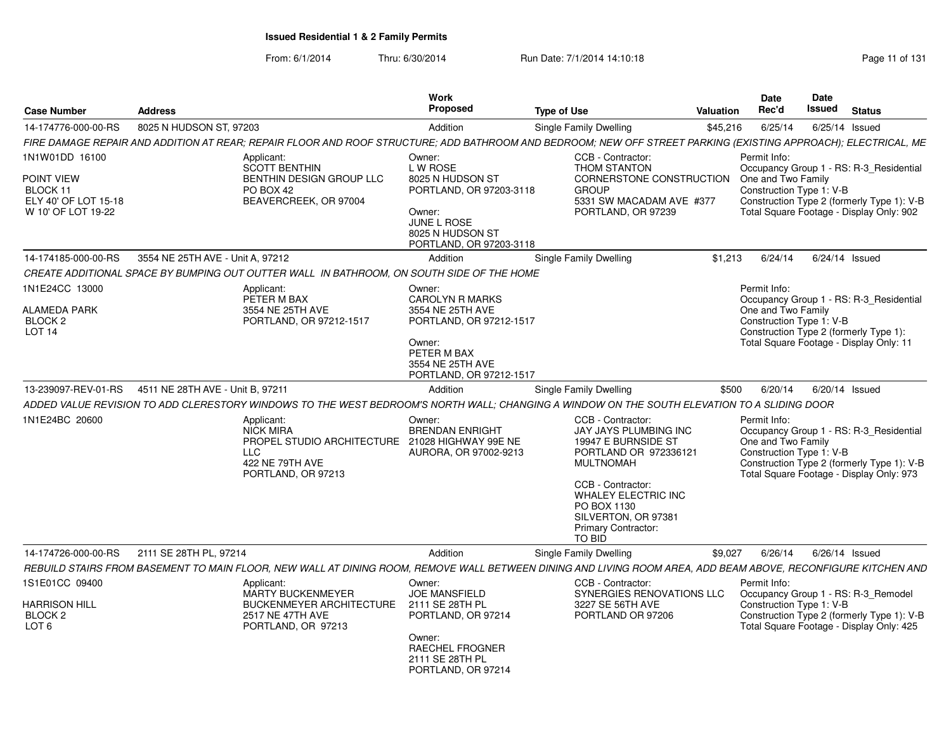| <b>Case Number</b>                                                                     | <b>Address</b>                   |                                                                                                                                                                | Work<br>Proposed                                                                                                                                        | <b>Type of Use</b>                                                                                                                                                                                                                              | <b>Valuation</b> | Date<br>Rec'd                                                                                                                                       | <b>Date</b><br>Issued | <b>Status</b> |                                                                                       |
|----------------------------------------------------------------------------------------|----------------------------------|----------------------------------------------------------------------------------------------------------------------------------------------------------------|---------------------------------------------------------------------------------------------------------------------------------------------------------|-------------------------------------------------------------------------------------------------------------------------------------------------------------------------------------------------------------------------------------------------|------------------|-----------------------------------------------------------------------------------------------------------------------------------------------------|-----------------------|---------------|---------------------------------------------------------------------------------------|
| 14-174776-000-00-RS                                                                    | 8025 N HUDSON ST, 97203          |                                                                                                                                                                | Addition                                                                                                                                                | <b>Single Family Dwelling</b>                                                                                                                                                                                                                   | \$45,216         | 6/25/14                                                                                                                                             | 6/25/14 Issued        |               |                                                                                       |
|                                                                                        |                                  | FIRE DAMAGE REPAIR AND ADDITION AT REAR; REPAIR FLOOR AND ROOF STRUCTURE; ADD BATHROOM AND BEDROOM; NEW OFF STREET PARKING (EXISTING APPROACH); ELECTRICAL, ME |                                                                                                                                                         |                                                                                                                                                                                                                                                 |                  |                                                                                                                                                     |                       |               |                                                                                       |
| 1N1W01DD 16100<br>POINT VIEW<br>BLOCK 11<br>ELY 40' OF LOT 15-18<br>W 10' OF LOT 19-22 |                                  | Applicant:<br><b>SCOTT BENTHIN</b><br>BENTHIN DESIGN GROUP LLC<br>PO BOX 42<br>BEAVERCREEK, OR 97004                                                           | Owner:<br>L W ROSE<br>8025 N HUDSON ST<br>PORTLAND, OR 97203-3118<br>Owner:<br><b>JUNE L ROSE</b><br>8025 N HUDSON ST<br>PORTLAND, OR 97203-3118        | CCB - Contractor:<br>THOM STANTON<br>CORNERSTONE CONSTRUCTION<br><b>GROUP</b><br>5331 SW MACADAM AVE #377<br>PORTLAND, OR 97239                                                                                                                 |                  | Permit Info:<br>One and Two Family<br>Construction Type 1: V-B<br>Total Square Footage - Display Only: 902                                          |                       |               | Occupancy Group 1 - RS: R-3 Residential<br>Construction Type 2 (formerly Type 1): V-B |
| 14-174185-000-00-RS                                                                    | 3554 NE 25TH AVE - Unit A, 97212 |                                                                                                                                                                | Addition                                                                                                                                                | Single Family Dwelling                                                                                                                                                                                                                          | \$1,213          | 6/24/14                                                                                                                                             | 6/24/14 Issued        |               |                                                                                       |
|                                                                                        |                                  | CREATE ADDITIONAL SPACE BY BUMPING OUT OUTTER WALL IN BATHROOM, ON SOUTH SIDE OF THE HOME                                                                      |                                                                                                                                                         |                                                                                                                                                                                                                                                 |                  |                                                                                                                                                     |                       |               |                                                                                       |
| 1N1E24CC 13000<br><b>ALAMEDA PARK</b><br>BLOCK <sub>2</sub><br>LOT <sub>14</sub>       |                                  | Applicant:<br>PETER M BAX<br>3554 NE 25TH AVE<br>PORTLAND, OR 97212-1517                                                                                       | Owner:<br><b>CAROLYN R MARKS</b><br>3554 NE 25TH AVE<br>PORTLAND, OR 97212-1517<br>Owner:<br>PETER M BAX<br>3554 NE 25TH AVE<br>PORTLAND, OR 97212-1517 |                                                                                                                                                                                                                                                 |                  | Permit Info:<br>One and Two Family<br>Construction Type 1: V-B<br>Construction Type 2 (formerly Type 1):<br>Total Square Footage - Display Only: 11 |                       |               | Occupancy Group 1 - RS: R-3 Residential                                               |
| 13-239097-REV-01-RS                                                                    | 4511 NE 28TH AVE - Unit B. 97211 |                                                                                                                                                                | Addition                                                                                                                                                | Single Family Dwelling                                                                                                                                                                                                                          | \$500            | 6/20/14                                                                                                                                             | 6/20/14 Issued        |               |                                                                                       |
|                                                                                        |                                  | ADDED VALUE REVISION TO ADD CLERESTORY WINDOWS TO THE WEST BEDROOM'S NORTH WALL: CHANGING A WINDOW ON THE SOUTH ELEVATION TO A SLIDING DOOR                    |                                                                                                                                                         |                                                                                                                                                                                                                                                 |                  |                                                                                                                                                     |                       |               |                                                                                       |
| 1N1E24BC 20600                                                                         |                                  | Applicant:<br><b>NICK MIRA</b><br>PROPEL STUDIO ARCHITECTURE 21028 HIGHWAY 99E NE<br>LLC<br>422 NE 79TH AVE<br>PORTLAND, OR 97213                              | Owner:<br><b>BRENDAN ENRIGHT</b><br>AURORA, OR 97002-9213                                                                                               | CCB - Contractor:<br><b>JAY JAYS PLUMBING INC</b><br>19947 E BURNSIDE ST<br>PORTLAND OR 972336121<br><b>MULTNOMAH</b><br>CCB - Contractor:<br>WHALEY ELECTRIC INC<br>PO BOX 1130<br>SILVERTON, OR 97381<br><b>Primary Contractor:</b><br>TO BID |                  | Permit Info:<br>One and Two Family<br>Construction Type 1: V-B<br>Total Square Footage - Display Only: 973                                          |                       |               | Occupancy Group 1 - RS: R-3_Residential<br>Construction Type 2 (formerly Type 1): V-B |
| 14-174726-000-00-RS                                                                    | 2111 SE 28TH PL, 97214           |                                                                                                                                                                | Addition                                                                                                                                                | Single Family Dwelling                                                                                                                                                                                                                          | \$9.027          | 6/26/14                                                                                                                                             | 6/26/14 Issued        |               |                                                                                       |
|                                                                                        |                                  | REBUILD STAIRS FROM BASEMENT TO MAIN FLOOR, NEW WALL AT DINING ROOM, REMOVE WALL BETWEEN DINING AND LIVING ROOM AREA, ADD BEAM ABOVE, RECONFIGURE KITCHEN AND  |                                                                                                                                                         |                                                                                                                                                                                                                                                 |                  |                                                                                                                                                     |                       |               |                                                                                       |
| 1S1E01CC 09400<br>HARRISON HILL<br>BLOCK <sub>2</sub><br>LOT <sub>6</sub>              |                                  | Applicant:<br>MARTY BUCKENMEYER<br><b>BUCKENMEYER ARCHITECTURE</b><br>2517 NE 47TH AVE<br>PORTLAND, OR 97213                                                   | Owner:<br><b>JOE MANSFIELD</b><br>2111 SE 28TH PL<br>PORTLAND, OR 97214<br>Owner:                                                                       | CCB - Contractor:<br>SYNERGIES RENOVATIONS LLC<br>3227 SE 56TH AVE<br>PORTLAND OR 97206                                                                                                                                                         |                  | Permit Info:<br>Occupancy Group 1 - RS: R-3 Remodel<br>Construction Type 1: V-B<br>Total Square Footage - Display Only: 425                         |                       |               | Construction Type 2 (formerly Type 1): V-B                                            |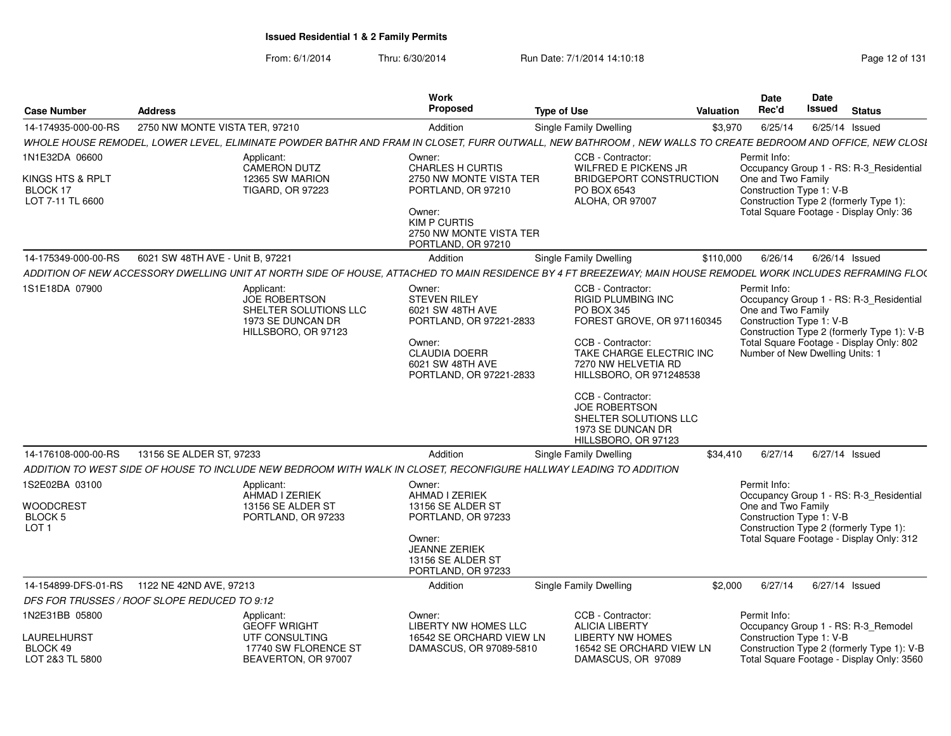|                                                        |                                                                                                                                                               | Work                                               |                                                 | Date            | Date                                                                        |
|--------------------------------------------------------|---------------------------------------------------------------------------------------------------------------------------------------------------------------|----------------------------------------------------|-------------------------------------------------|-----------------|-----------------------------------------------------------------------------|
| Case Number<br><b>Address</b>                          |                                                                                                                                                               | Proposed                                           | <b>Type of Use</b>                              | Valuation Rec'd | <b>Issued</b> Status                                                        |
| 14-174935-000-00-RS  2750 NW MONTE VISTA TER, 97210    |                                                                                                                                                               | Addition                                           | <b>Single Family Dwelling</b>                   |                 | \$3,970  6/25/14  6/25/14  Issued                                           |
|                                                        | WHOLE HOUSE REMODEL, LOWER LEVEL, ELIMINATE POWDER BATHR AND FRAM IN CLOSET, FURR OUTWALL, NEW BATHROOM, NEW WALLS TO CREATE BEDROOM AND OFFICE, NEW CLOSI    |                                                    |                                                 |                 |                                                                             |
| 1N1E32DA 06600                                         | Applicant:                                                                                                                                                    | Owner:                                             | CCB - Contractor:                               | Permit Info:    |                                                                             |
| KINGS HTS & RPLT                                       | CAMERON DUTZ<br>12365 SW MARION                                                                                                                               | <b>CHARLES H CURTIS</b><br>2750 NW MONTE VISTA TER | WILFRED E PICKENS JR<br>BRIDGEPORT CONSTRUCTION |                 | Occupancy Group 1 - RS: R-3 Residential<br>One and Two Family               |
| BLOCK 17                                               | <b>TIGARD, OR 97223</b>                                                                                                                                       | PORTLAND, OR 97210                                 | PO BOX 6543                                     |                 | Construction Type 1: V-B                                                    |
| LOT 7-11 TL 6600                                       |                                                                                                                                                               |                                                    | ALOHA, OR 97007                                 |                 | Construction Type 2 (formerly Type 1):                                      |
|                                                        |                                                                                                                                                               | Owner:<br><b>KIM P CURTIS</b>                      |                                                 |                 | Total Square Footage - Display Only: 36                                     |
|                                                        |                                                                                                                                                               | 2750 NW MONTE VISTA TER                            |                                                 |                 |                                                                             |
|                                                        |                                                                                                                                                               | PORTLAND, OR 97210                                 |                                                 |                 |                                                                             |
| 14-175349-000-00-RS   6021 SW 48TH AVE - Unit B, 97221 |                                                                                                                                                               | Addition                                           | Single Family Dwelling                          |                 | \$110,000  6/26/14  6/26/14  Issued                                         |
|                                                        | ADDITION OF NEW ACCESSORY DWELLING UNIT AT NORTH SIDE OF HOUSE, ATTACHED TO MAIN RESIDENCE BY 4 FT BREEZEWAY; MAIN HOUSE REMODEL WORK INCLUDES REFRAMING FLO( |                                                    |                                                 |                 |                                                                             |
| 1S1E18DA 07900                                         | Applicant:                                                                                                                                                    | Owner:                                             | <b>CCB - Contractor:</b>                        | Permit Info:    |                                                                             |
|                                                        | <b>JOE ROBERTSON</b><br>SHELTER SOLUTIONS LLC                                                                                                                 | STEVEN RILEY<br>6021 SW 48TH AVE                   | RIGID PLUMBING INC<br>PO BOX 345                |                 | Occupancy Group 1 - RS: R-3_Residential<br>One and Two Family               |
|                                                        | 1973 SE DUNCAN DR                                                                                                                                             | PORTLAND, OR 97221-2833                            | FOREST GROVE, OR 971160345                      |                 | Construction Type 1: V-B                                                    |
|                                                        | HILLSBORO, OR 97123                                                                                                                                           |                                                    | CCB - Contractor:                               |                 | Construction Type 2 (formerly Type 1): V-B                                  |
|                                                        |                                                                                                                                                               | Owner:<br><b>CLAUDIA DOERR</b>                     | TAKE CHARGE ELECTRIC INC                        |                 | Total Square Footage - Display Only: 802<br>Number of New Dwelling Units: 1 |
|                                                        |                                                                                                                                                               | 6021 SW 48TH AVE                                   | 7270 NW HELVETIA RD                             |                 |                                                                             |
|                                                        |                                                                                                                                                               | PORTLAND, OR 97221-2833                            | HILLSBORO, OR 971248538                         |                 |                                                                             |
|                                                        |                                                                                                                                                               |                                                    | CCB - Contractor:                               |                 |                                                                             |
|                                                        |                                                                                                                                                               |                                                    | JOE ROBERTSON                                   |                 |                                                                             |
|                                                        |                                                                                                                                                               |                                                    | SHELTER SOLUTIONS LI<br>1973 SE DUNCAN DR       |                 |                                                                             |
|                                                        |                                                                                                                                                               |                                                    | HILL SBORO, OR 97123                            |                 |                                                                             |
|                                                        |                                                                                                                                                               | Addition                                           | <b>Single Family Dwelling</b>                   |                 | \$34,410  6/27/14  6/27/14  Issued                                          |
|                                                        | ADDITION TO WEST SIDE OF HOUSE TO INCLUDE NEW BEDROOM WITH WALK IN CLOSET, RECONFIGURE HALLWAY LEADING TO ADDITION                                            |                                                    |                                                 |                 |                                                                             |
| 1S2E02BA 03100                                         | Applicant:                                                                                                                                                    | Owner:                                             |                                                 | Permit Info:    |                                                                             |
|                                                        | AHMAD I ZERIEK                                                                                                                                                | AHMAD I ZERIEK                                     |                                                 |                 | Occupancy Group 1 - RS: R-3 Residential                                     |
| <b>WOODCREST</b><br>BLOCK 5                            | 13156 SE ALDER ST<br>PORTLAND, OR 97233                                                                                                                       | 13156 SE ALDER ST<br>PORTLAND, OR 97233            |                                                 |                 | One and Two Family<br>Construction Type 1: V-B                              |
| LOT <sub>1</sub>                                       |                                                                                                                                                               |                                                    |                                                 |                 | Construction Type 2 (formerly Type 1):                                      |
|                                                        |                                                                                                                                                               | Owner:<br><b>JEANNE ZERIEK</b>                     |                                                 |                 | Total Square Footage - Display Only: 312                                    |
|                                                        |                                                                                                                                                               | 13156 SE ALDER ST                                  |                                                 |                 |                                                                             |
|                                                        |                                                                                                                                                               | PORTLAND, OR 97233                                 |                                                 |                 |                                                                             |
| 14-154899-DFS-01-RS  1122 NE 42ND AVE, 97213           |                                                                                                                                                               | Addition                                           | Single Family Dwelling                          |                 | \$2,000 6/27/14 6/27/14 Issued                                              |
| DFS FOR TRUSSES / ROOF SLOPE REDUCED TO 9:12           |                                                                                                                                                               |                                                    |                                                 |                 |                                                                             |
| 1N2E31BB 05800                                         | Applicant:                                                                                                                                                    | Owner:                                             | CCB - Contractor:                               | Permit Info:    |                                                                             |
| LAURELHURST                                            | <b>GEOFF WRIGHT</b><br>UTF CONSULTING                                                                                                                         | LIBERTY NW HOMES LLC<br>16542 SE ORCHARD VIEW LN   | ALICIA LIBERTY<br><b>LIBERTY NW HOMES</b>       |                 | Occupancy Group 1 - RS: R-3_Remodel<br>Construction Type 1: V-B             |
| BLOCK 49                                               | 17740 SW FLORENCE ST                                                                                                                                          | DAMASCUS, OR 97089-5810                            | 16542 SE ORCHARD VIEW LN                        |                 | Construction Type 2 (formerly Type 1): V-B                                  |
| LOT 2&3 TL 5800                                        | BEAVERTON, OR 97007                                                                                                                                           |                                                    | DAMASCUS, OR 97089                              |                 | Total Square Footage - Display Only: 3560                                   |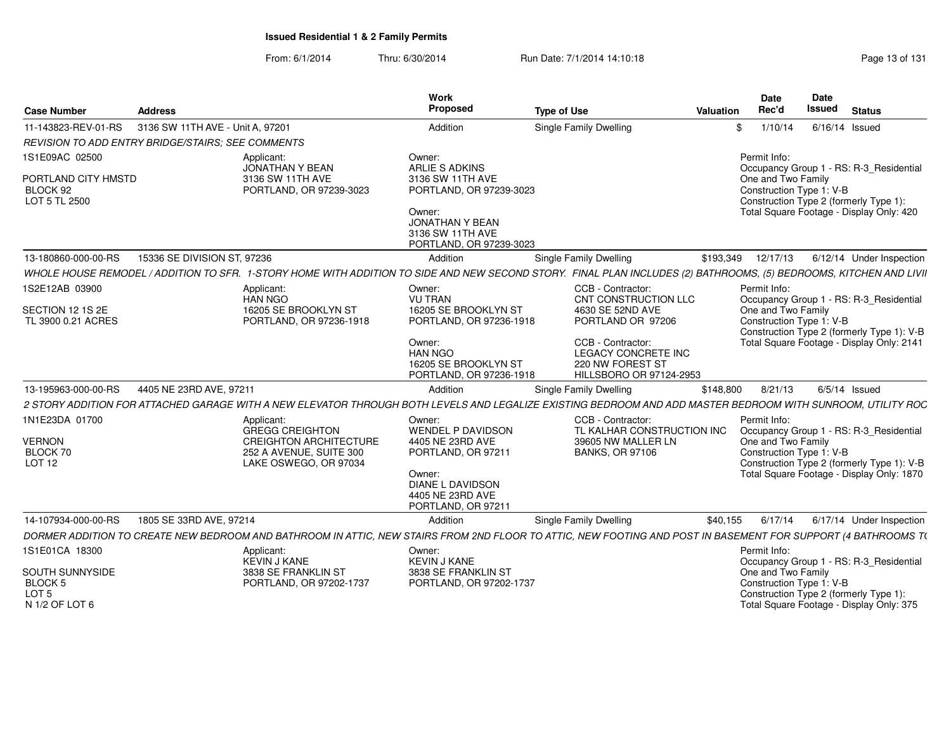| <b>Case Number</b>                                                      | <b>Address</b>                   |                                                                                                                                                                    | Work<br>Proposed                                                                | <b>Type of Use</b> |                                                                                                 | <b>Valuation</b> | <b>Date</b><br>Rec'd               | Date<br>Issued<br><b>Status</b>                                                                                |
|-------------------------------------------------------------------------|----------------------------------|--------------------------------------------------------------------------------------------------------------------------------------------------------------------|---------------------------------------------------------------------------------|--------------------|-------------------------------------------------------------------------------------------------|------------------|------------------------------------|----------------------------------------------------------------------------------------------------------------|
| 11-143823-REV-01-RS                                                     | 3136 SW 11TH AVE - Unit A. 97201 |                                                                                                                                                                    | Addition                                                                        |                    | Single Family Dwelling                                                                          |                  | 1/10/14<br>\$.                     | 6/16/14 Issued                                                                                                 |
| REVISION TO ADD ENTRY BRIDGE/STAIRS: SEE COMMENTS                       |                                  |                                                                                                                                                                    |                                                                                 |                    |                                                                                                 |                  |                                    |                                                                                                                |
| 1S1E09AC 02500                                                          |                                  | Applicant:<br><b>JONATHAN Y BEAN</b>                                                                                                                               | Owner:<br>ARLIE S ADKINS                                                        |                    |                                                                                                 |                  | Permit Info:                       | Occupancy Group 1 - RS: R-3_Residential                                                                        |
| PORTLAND CITY HMSTD<br>BLOCK 92<br>LOT 5 TL 2500                        |                                  | 3136 SW 11TH AVE<br>PORTLAND, OR 97239-3023                                                                                                                        | 3136 SW 11TH AVE<br>PORTLAND, OR 97239-3023                                     |                    |                                                                                                 |                  | One and Two Family                 | Construction Type 1: V-B<br>Construction Type 2 (formerly Type 1):                                             |
|                                                                         |                                  |                                                                                                                                                                    | Owner:<br><b>JONATHAN Y BEAN</b><br>3136 SW 11TH AVE<br>PORTLAND, OR 97239-3023 |                    |                                                                                                 |                  |                                    | Total Square Footage - Display Only: 420                                                                       |
| 13-180860-000-00-RS                                                     | 15336 SE DIVISION ST, 97236      |                                                                                                                                                                    | Addition                                                                        |                    | <b>Single Family Dwelling</b>                                                                   | \$193,349        | 12/17/13                           | 6/12/14 Under Inspection                                                                                       |
|                                                                         |                                  | WHOLE HOUSE REMODEL / ADDITION TO SFR. 1-STORY HOME WITH ADDITION TO SIDE AND NEW SECOND STORY. FINAL PLAN INCLUDES (2) BATHROOMS, (5) BEDROOMS, KITCHEN AND LIVII |                                                                                 |                    |                                                                                                 |                  |                                    |                                                                                                                |
| 1S2E12AB 03900                                                          |                                  | Applicant:<br><b>HAN NGO</b>                                                                                                                                       | Owner:<br><b>VU TRAN</b>                                                        |                    | CCB - Contractor:<br>CNT CONSTRUCTION LLC                                                       |                  | Permit Info:                       | Occupancy Group 1 - RS: R-3 Residential                                                                        |
| SECTION 12 1S 2E<br>TL 3900 0.21 ACRES                                  |                                  | 16205 SE BROOKLYN ST<br>PORTLAND, OR 97236-1918                                                                                                                    | 16205 SE BROOKLYN ST<br>PORTLAND, OR 97236-1918                                 |                    | 4630 SE 52ND AVE<br>PORTLAND OR 97206                                                           |                  | One and Two Family                 | Construction Type 1: V-B<br>Construction Type 2 (formerly Type 1): V-B                                         |
|                                                                         |                                  |                                                                                                                                                                    | Owner:<br><b>HAN NGO</b><br>16205 SE BROOKLYN ST<br>PORTLAND, OR 97236-1918     |                    | CCB - Contractor:<br><b>LEGACY CONCRETE INC</b><br>220 NW FOREST ST<br>HILLSBORO OR 97124-2953  |                  |                                    | Total Square Footage - Display Only: 2141                                                                      |
| 13-195963-000-00-RS                                                     | 4405 NE 23RD AVE, 97211          |                                                                                                                                                                    | Addition                                                                        |                    | Single Family Dwelling                                                                          | \$148,800        | 8/21/13                            | $6/5/14$ Issued                                                                                                |
|                                                                         |                                  | 2 STORY ADDITION FOR ATTACHED GARAGE WITH A NEW ELEVATOR THROUGH BOTH LEVELS AND LEGALIZE EXISTING BEDROOM AND ADD MASTER BEDROOM WITH SUNROOM, UTILITY ROC        |                                                                                 |                    |                                                                                                 |                  |                                    |                                                                                                                |
| 1N1E23DA 01700<br><b>VERNON</b><br>BLOCK 70                             |                                  | Applicant:<br><b>GREGG CREIGHTON</b><br><b>CREIGHTON ARCHITECTURE</b><br>252 A AVENUE, SUITE 300                                                                   | Owner:<br><b>WENDEL P DAVIDSON</b><br>4405 NE 23RD AVE<br>PORTLAND, OR 97211    |                    | CCB - Contractor:<br>TL KALHAR CONSTRUCTION INC<br>39605 NW MALLER LN<br><b>BANKS, OR 97106</b> |                  | Permit Info:<br>One and Two Family | Occupancy Group 1 - RS: R-3 Residential<br>Construction Type 1: V-B                                            |
| LOT <sub>12</sub>                                                       |                                  | LAKE OSWEGO, OR 97034                                                                                                                                              | Owner:<br><b>DIANE L DAVIDSON</b><br>4405 NE 23RD AVE<br>PORTLAND, OR 97211     |                    |                                                                                                 |                  |                                    | Construction Type 2 (formerly Type 1): V-B<br>Total Square Footage - Display Only: 1870                        |
| 14-107934-000-00-RS                                                     | 1805 SE 33RD AVE, 97214          |                                                                                                                                                                    | Addition                                                                        |                    | <b>Single Family Dwelling</b>                                                                   | \$40,155         | 6/17/14                            | 6/17/14 Under Inspection                                                                                       |
|                                                                         |                                  | DORMER ADDITION TO CREATE NEW BEDROOM AND BATHROOM IN ATTIC, NEW STAIRS FROM 2ND FLOOR TO ATTIC, NEW FOOTING AND POST IN BASEMENT FOR SUPPORT (4 BATHROOMS T(      |                                                                                 |                    |                                                                                                 |                  |                                    |                                                                                                                |
| 1S1E01CA 18300                                                          |                                  | Applicant:<br><b>KEVIN J KANE</b>                                                                                                                                  | Owner:<br><b>KEVIN J KANE</b>                                                   |                    |                                                                                                 |                  | Permit Info:                       | Occupancy Group 1 - RS: R-3_Residential                                                                        |
| SOUTH SUNNYSIDE<br><b>BLOCK 5</b><br>LOT <sub>5</sub><br>N 1/2 OF LOT 6 |                                  | 3838 SE FRANKLIN ST<br>PORTLAND, OR 97202-1737                                                                                                                     | 3838 SE FRANKLIN ST<br>PORTLAND, OR 97202-1737                                  |                    |                                                                                                 |                  | One and Two Family                 | Construction Type 1: V-B<br>Construction Type 2 (formerly Type 1):<br>Total Square Footage - Display Only: 375 |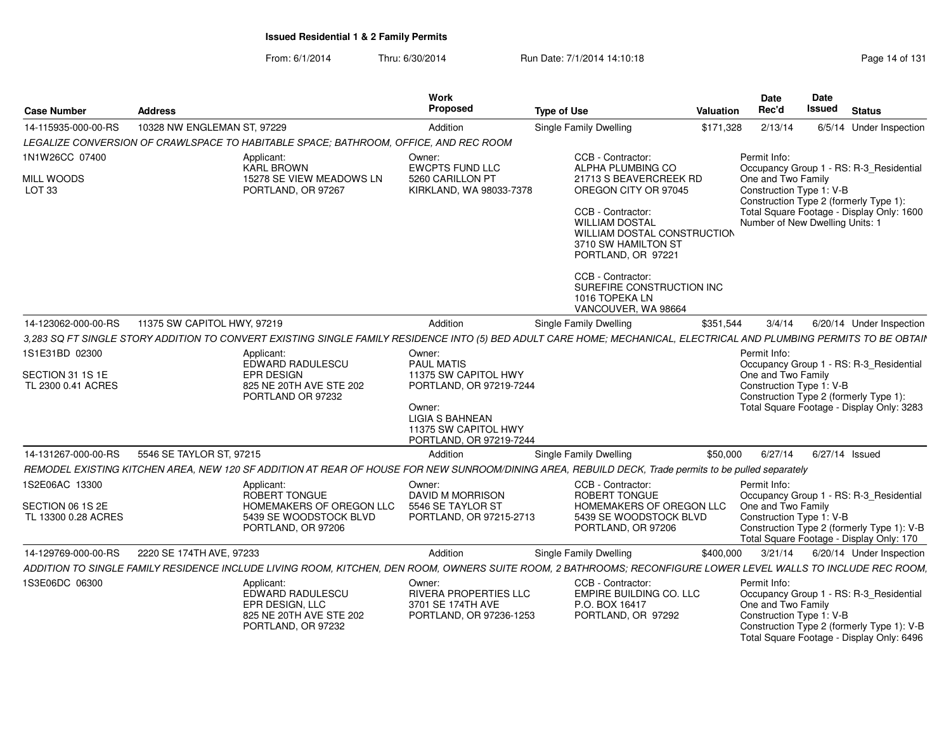From: 6/1/2014Thru: 6/30/2014 **Run Date: 7/1/2014 14:10:18** Page 14 of 131

| <b>Case Number</b>                                 | <b>Address</b>              |                                                                                                                                                                      | <b>Work</b><br>Proposed                         | <b>Type of Use</b>                                 | Date<br>Valuation<br>Rec'd | <b>Date</b><br>Issued<br>Status                                                         |
|----------------------------------------------------|-----------------------------|----------------------------------------------------------------------------------------------------------------------------------------------------------------------|-------------------------------------------------|----------------------------------------------------|----------------------------|-----------------------------------------------------------------------------------------|
| 14-115935-000-00-RS                                | 10328 NW ENGLEMAN ST, 97229 |                                                                                                                                                                      | Addition                                        | Single Family Dwelling                             | \$171,328 2/13/14          | 6/5/14 Under Inspection                                                                 |
|                                                    |                             | LEGALIZE CONVERSION OF CRAWLSPACE TO HABITABLE SPACE; BATHROOM, OFFICE, AND REC ROOM                                                                                 |                                                 |                                                    |                            |                                                                                         |
| 1N1W26CC 07400                                     |                             | Applicant:                                                                                                                                                           | Owner:                                          | CCB - Contractor:                                  | Permit Info:               |                                                                                         |
| <b>MILL WOODS</b>                                  |                             | KARL BROWN<br>15278 SE VIEW MEADOWS LN                                                                                                                               | <b>EWCPTS FUND LLC</b><br>5260 CARILLON PT      | ALPHA PLUMBING CO<br>21713 S BEAVERCREEK RD        | One and Two Family         | Occupancy Group 1 - RS: R-3_Residential                                                 |
| LOT <sub>33</sub>                                  |                             | PORTLAND, OR 97267                                                                                                                                                   | KIRKLAND, WA 98033-7378                         | OREGON CITY OR 97045                               |                            | Construction Type 1: V-B                                                                |
|                                                    |                             |                                                                                                                                                                      |                                                 | CCB - Contractor:                                  |                            | Construction Type 2 (formerly Type 1):<br>Total Square Footage - Display Only: 1600     |
|                                                    |                             |                                                                                                                                                                      |                                                 | <b>WILLIAM DOSTAL</b>                              |                            | Number of New Dwelling Units: 1                                                         |
|                                                    |                             |                                                                                                                                                                      |                                                 | WILLIAM DOSTAL CONSTRUCTION<br>3710 SW HAMILTON ST |                            |                                                                                         |
|                                                    |                             |                                                                                                                                                                      |                                                 | PORTLAND, OR 97221                                 |                            |                                                                                         |
|                                                    |                             |                                                                                                                                                                      |                                                 |                                                    |                            |                                                                                         |
|                                                    |                             |                                                                                                                                                                      |                                                 | CCB - Contractor:<br>SUREFIRE CONSTRUCTION INC     |                            |                                                                                         |
|                                                    |                             |                                                                                                                                                                      |                                                 | 1016 TOPEKA LN<br>VANCOUVER, WA 98664              |                            |                                                                                         |
| 14-123062-000-00-RS    11375 SW CAPITOL HWY, 97219 |                             |                                                                                                                                                                      | Addition                                        | Single Family Dwelling                             |                            | \$351,544   3/4/14   6/20/14   Under Inspection                                         |
|                                                    |                             | 3,283 SQ FT SINGLE STORY ADDITION TO CONVERT EXISTING SINGLE FAMILY RESIDENCE INTO (5) BED ADULT CARE HOME; MECHANICAL, ELECTRICAL AND PLUMBING PERMITS TO BE OBTAIN |                                                 |                                                    |                            |                                                                                         |
| 1S1E31BD 02300                                     |                             | Applicant:                                                                                                                                                           | Owner:                                          |                                                    | Permit Info:               |                                                                                         |
|                                                    |                             | EDWARD RADULESCU                                                                                                                                                     | <b>PAUL MATIS</b>                               |                                                    |                            | Occupancy Group 1 - RS: R-3_Residential                                                 |
| SECTION 31 1S 1E<br>TL 2300 0.41 ACRES             |                             | EPR DESIGN<br>825 NE 20TH AVE STE 202                                                                                                                                | 11375 SW CAPITOL HWY<br>PORTLAND, OR 97219-7244 |                                                    | One and Two Family         | Construction Type 1: V-B                                                                |
|                                                    |                             | PORTLAND OR 97232                                                                                                                                                    |                                                 |                                                    |                            | Construction Type 2 (formerly Type 1):                                                  |
|                                                    |                             |                                                                                                                                                                      | Owner:<br><b>LIGIA S BAHNEAN</b>                |                                                    |                            | Total Square Footage - Display Only: 3283                                               |
|                                                    |                             |                                                                                                                                                                      | 11375 SW CAPITOL HWY                            |                                                    |                            |                                                                                         |
|                                                    |                             |                                                                                                                                                                      | PORTLAND, OR 97219-7244                         |                                                    |                            |                                                                                         |
| 14-131267-000-00-RS 5546 SE TAYLOR ST, 97215       |                             | REMODEL EXISTING KITCHEN AREA, NEW 120 SF ADDITION AT REAR OF HOUSE FOR NEW SUNROOM/DINING AREA, REBUILD DECK, Trade permits to be pulled separately                 | Addition                                        | <b>Single Family Dwelling</b>                      |                            | \$50,000 6/27/14 6/27/14 Issued                                                         |
| 1S2E06AC 13300                                     |                             |                                                                                                                                                                      |                                                 | CCB - Contractor:                                  | Permit Info:               |                                                                                         |
|                                                    |                             | Applicant:<br>ROBERT TONGUE                                                                                                                                          | Owner:<br>DAVID M MORRISON                      | <b>ROBERT TONGUE</b>                               |                            | Occupancy Group 1 - RS: R-3_Residential                                                 |
| SECTION 06 1S 2E                                   |                             | HOMEMAKERS OF OREGON LLC<br>5439 SE WOODSTOCK BLVD                                                                                                                   | 5546 SE TAYLOR ST                               | HOMEMAKERS OF OREGON LLC One and Two Family        |                            |                                                                                         |
| TL 13300 0.28 ACRES                                |                             | PORTLAND, OR 97206                                                                                                                                                   | PORTLAND, OR 97215-2713                         | 5439 SE WOODSTOCK BLVD<br>PORTLAND, OR 97206       |                            | Construction Type 1: V-B<br>Construction Type 2 (formerly Type 1): V-B                  |
|                                                    |                             |                                                                                                                                                                      |                                                 |                                                    |                            | Total Square Footage - Display Only: 170                                                |
| 14-129769-000-00-RS 2220 SE 174TH AVE, 97233       |                             |                                                                                                                                                                      | Addition                                        | <b>Single Family Dwelling</b>                      | \$400,000                  | 3/21/14 6/20/14 Under Inspection                                                        |
|                                                    |                             | ADDITION TO SINGLE FAMILY RESIDENCE INCLUDE LIVING ROOM, KITCHEN, DEN ROOM, OWNERS SUITE ROOM, 2 BATHROOMS; RECONFIGURE LOWER LEVEL WALLS TO INCLUDE REC ROOM,       |                                                 |                                                    |                            |                                                                                         |
| 1S3E06DC 06300                                     |                             | Applicant:<br>EDWARD RADULESCU                                                                                                                                       | Owner:<br><b>RIVERA PROPERTIES LLC</b>          | CCB - Contractor:<br>EMPIRE BUILDING CO. LLC       | Permit Info:               | Occupancy Group 1 - RS: R-3_Residential                                                 |
|                                                    |                             | EPR DESIGN, LLC                                                                                                                                                      | 3701 SE 174TH AVE                               | P.O. BOX 16417                                     |                            | One and Two Family                                                                      |
|                                                    |                             | 825 NE 20TH AVE STE 202                                                                                                                                              | PORTLAND, OR 97236-1253                         | PORTLAND, OR 97292                                 |                            | Construction Type 1: V-B                                                                |
|                                                    |                             | PORTLAND, OR 97232                                                                                                                                                   |                                                 |                                                    |                            | Construction Type 2 (formerly Type 1): V-B<br>Total Square Footage - Display Only: 6496 |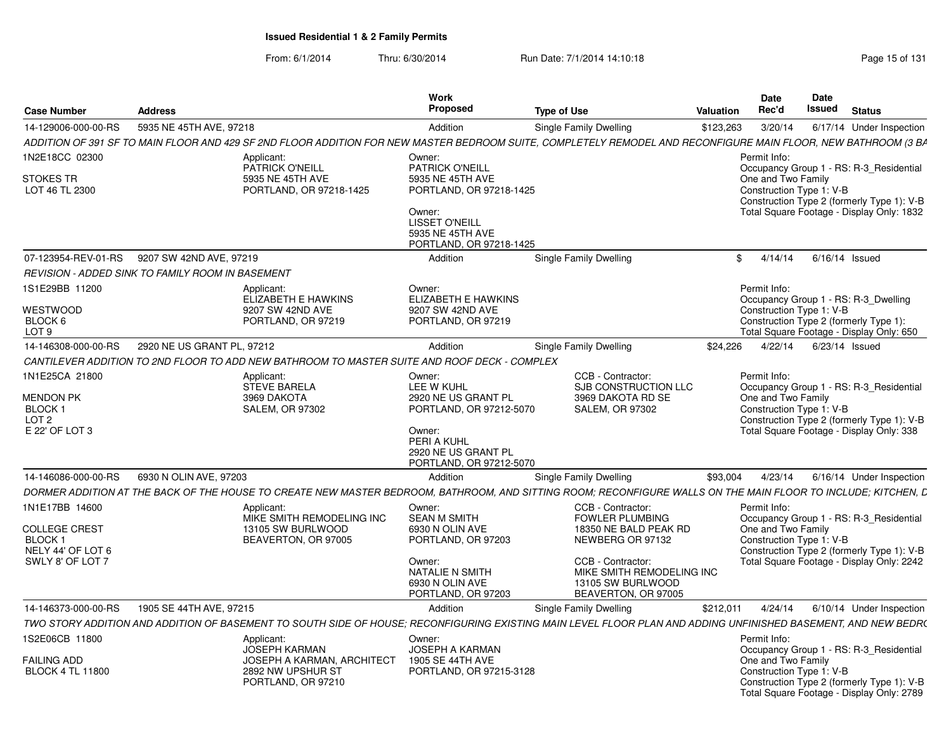|                                                                                            |                            |                                                                                                                                                                | Work                                                                                                                                                              |                                                                                                                                                                                        |           | <b>Date</b>                                                                                                                | Date   |                |                                                                                                                                    |
|--------------------------------------------------------------------------------------------|----------------------------|----------------------------------------------------------------------------------------------------------------------------------------------------------------|-------------------------------------------------------------------------------------------------------------------------------------------------------------------|----------------------------------------------------------------------------------------------------------------------------------------------------------------------------------------|-----------|----------------------------------------------------------------------------------------------------------------------------|--------|----------------|------------------------------------------------------------------------------------------------------------------------------------|
| <b>Case Number</b>                                                                         | <b>Address</b>             |                                                                                                                                                                | Proposed                                                                                                                                                          | <b>Type of Use</b>                                                                                                                                                                     | Valuation | Rec'd                                                                                                                      | Issued | <b>Status</b>  |                                                                                                                                    |
| 14-129006-000-00-RS                                                                        | 5935 NE 45TH AVE, 97218    |                                                                                                                                                                | Addition                                                                                                                                                          | <b>Single Family Dwelling</b>                                                                                                                                                          | \$123,263 | 3/20/14                                                                                                                    |        |                | 6/17/14 Under Inspection                                                                                                           |
|                                                                                            |                            | ADDITION OF 391 SF TO MAIN FLOOR AND 429 SF 2ND FLOOR ADDITION FOR NEW MASTER BEDROOM SUITE, COMPLETELY REMODEL AND RECONFIGURE MAIN FLOOR, NEW BATHROOM (3 BA |                                                                                                                                                                   |                                                                                                                                                                                        |           |                                                                                                                            |        |                |                                                                                                                                    |
| 1N2E18CC 02300<br><b>STOKES TR</b><br>LOT 46 TL 2300                                       |                            | Applicant:<br>PATRICK O'NEILL<br>5935 NE 45TH AVE<br>PORTLAND, OR 97218-1425                                                                                   | Owner:<br><b>PATRICK O'NEILL</b><br>5935 NE 45TH AVE<br>PORTLAND, OR 97218-1425<br>Owner:<br><b>LISSET O'NEILL</b><br>5935 NE 45TH AVE<br>PORTLAND, OR 97218-1425 |                                                                                                                                                                                        |           | Permit Info:<br>One and Two Family<br>Construction Type 1: V-B                                                             |        |                | Occupancy Group 1 - RS: R-3 Residential<br>Construction Type 2 (formerly Type 1): V-B<br>Total Square Footage - Display Only: 1832 |
| 07-123954-REV-01-RS                                                                        | 9207 SW 42ND AVE, 97219    |                                                                                                                                                                | Addition                                                                                                                                                          | Single Family Dwelling                                                                                                                                                                 |           | \$4/14/14                                                                                                                  |        | 6/16/14 Issued |                                                                                                                                    |
| <b>REVISION - ADDED SINK TO FAMILY ROOM IN BASEMENT</b>                                    |                            |                                                                                                                                                                |                                                                                                                                                                   |                                                                                                                                                                                        |           |                                                                                                                            |        |                |                                                                                                                                    |
| 1S1E29BB 11200<br>WESTWOOD<br>BLOCK 6<br>LOT <sub>9</sub>                                  |                            | Applicant:<br>ELIZABETH E HAWKINS<br>9207 SW 42ND AVE<br>PORTLAND, OR 97219                                                                                    | Owner:<br>ELIZABETH E HAWKINS<br>9207 SW 42ND AVE<br>PORTLAND, OR 97219                                                                                           |                                                                                                                                                                                        |           | Permit Info:<br>Occupancy Group 1 - RS: R-3_Dwelling<br>Construction Type 1: V-B<br>Construction Type 2 (formerly Type 1): |        |                | Total Square Footage - Display Only: 650                                                                                           |
| 14-146308-000-00-RS                                                                        | 2920 NE US GRANT PL. 97212 |                                                                                                                                                                | Addition                                                                                                                                                          | Single Family Dwelling                                                                                                                                                                 | \$24.226  | 4/22/14 6/23/14 Issued                                                                                                     |        |                |                                                                                                                                    |
|                                                                                            |                            | CANTILEVER ADDITION TO 2ND FLOOR TO ADD NEW BATHROOM TO MASTER SUITE AND ROOF DECK - COMPLEX                                                                   |                                                                                                                                                                   |                                                                                                                                                                                        |           |                                                                                                                            |        |                |                                                                                                                                    |
| 1N1E25CA 21800<br><b>MENDON PK</b><br><b>BLOCK1</b><br>LOT <sub>2</sub><br>E 22' OF LOT 3  |                            | Applicant:<br><b>STEVE BARELA</b><br>3969 DAKOTA<br><b>SALEM, OR 97302</b>                                                                                     | Owner:<br>LEE W KUHL<br>2920 NE US GRANT PL<br>PORTLAND, OR 97212-5070<br>Owner:<br>PERI A KUHL<br>2920 NE US GRANT PL<br>PORTLAND, OR 97212-5070                 | CCB - Contractor:<br>SJB CONSTRUCTION LLC<br>3969 DAKOTA RD SE<br><b>SALEM, OR 97302</b>                                                                                               |           | Permit Info:<br>One and Two Family<br>Construction Type 1: V-B                                                             |        |                | Occupancy Group 1 - RS: R-3_Residential<br>Construction Type 2 (formerly Type 1): V-B<br>Total Square Footage - Display Only: 338  |
| 14-146086-000-00-RS                                                                        | 6930 N OLIN AVE, 97203     |                                                                                                                                                                | Addition                                                                                                                                                          | Single Family Dwelling                                                                                                                                                                 | \$93.004  | 4/23/14                                                                                                                    |        |                | 6/16/14 Under Inspection                                                                                                           |
|                                                                                            |                            | DORMER ADDITION AT THE BACK OF THE HOUSE TO CREATE NEW MASTER BEDROOM, BATHROOM, AND SITTING ROOM; RECONFIGURE WALLS ON THE MAIN FLOOR TO INCLUDE; KITCHEN, L  |                                                                                                                                                                   |                                                                                                                                                                                        |           |                                                                                                                            |        |                |                                                                                                                                    |
| 1N1E17BB 14600<br><b>COLLEGE CREST</b><br>BLOCK 1<br>NELY 44' OF LOT 6<br>SWLY 8' OF LOT 7 |                            | Applicant:<br>MIKE SMITH REMODELING INC<br>13105 SW BURLWOOD<br>BEAVERTON, OR 97005                                                                            | Owner:<br><b>SEAN M SMITH</b><br>6930 N OLIN AVE<br>PORTLAND, OR 97203<br>Owner:<br><b>NATALIE N SMITH</b><br>6930 N OLIN AVE<br>PORTLAND, OR 97203               | CCB - Contractor:<br><b>FOWLER PLUMBING</b><br>18350 NE BALD PEAK RD<br>NEWBERG OR 97132<br>CCB - Contractor:<br>MIKE SMITH REMODELING INC<br>13105 SW BURLWOOD<br>BEAVERTON, OR 97005 |           | Permit Info:<br>One and Two Family<br>Construction Type 1: V-B                                                             |        |                | Occupancy Group 1 - RS: R-3_Residential<br>Construction Type 2 (formerly Type 1): V-B<br>Total Square Footage - Display Only: 2242 |
| 14-146373-000-00-RS                                                                        | 1905 SE 44TH AVE, 97215    |                                                                                                                                                                | Addition                                                                                                                                                          | Single Family Dwelling                                                                                                                                                                 | \$212,011 | 4/24/14                                                                                                                    |        |                | 6/10/14 Under Inspection                                                                                                           |
|                                                                                            |                            | TWO STORY ADDITION AND ADDITION OF BASEMENT TO SOUTH SIDE OF HOUSE: RECONFIGURING EXISTING MAIN LEVEL FLOOR PLAN AND ADDING UNFINISHED BASEMENT, AND NEW BEDR( |                                                                                                                                                                   |                                                                                                                                                                                        |           |                                                                                                                            |        |                |                                                                                                                                    |
| 1S2E06CB 11800<br><b>FAILING ADD</b><br><b>BLOCK 4 TL 11800</b>                            |                            | Applicant:<br>JOSEPH KARMAN<br><b>JOSEPH A KARMAN, ARCHITECT</b><br>2892 NW UPSHUR ST<br>PORTLAND, OR 97210                                                    | Owner:<br>JOSEPH A KARMAN<br>1905 SE 44TH AVE<br>PORTLAND, OR 97215-3128                                                                                          |                                                                                                                                                                                        |           | Permit Info:<br>One and Two Family<br>Construction Type 1: V-B                                                             |        |                | Occupancy Group 1 - RS: R-3_Residential<br>Construction Type 2 (formerly Type 1): V-B<br>Total Square Footage - Display Only: 2789 |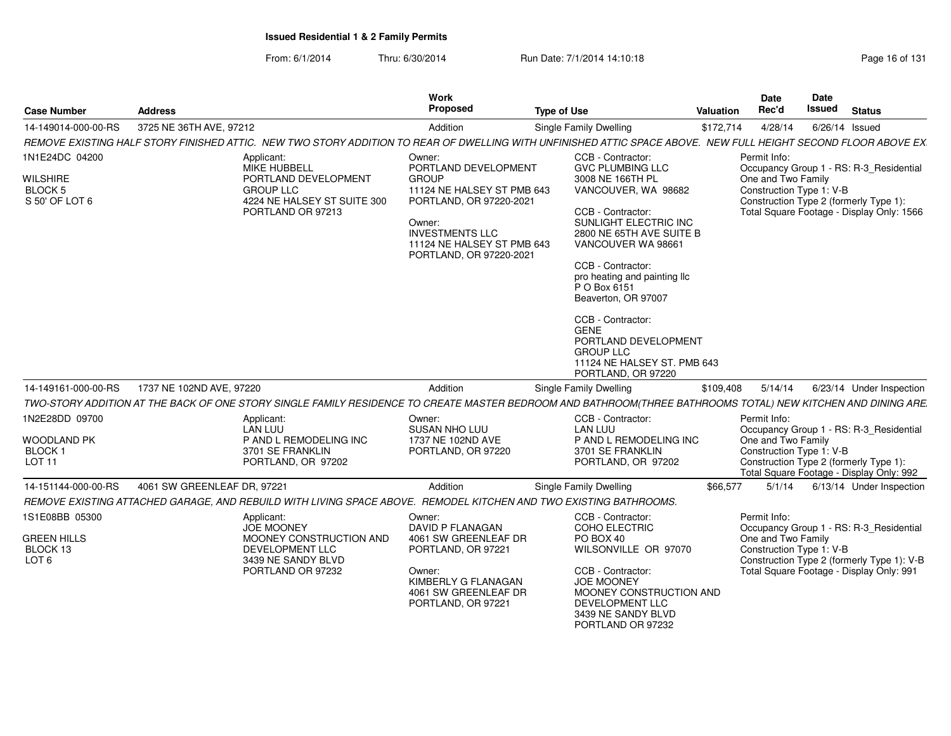| <b>Case Number</b>                                                   | <b>Address</b>              |                                                                                                                                   | <b>Work</b><br>Proposed                                                                                                                                                                              | <b>Type of Use</b>                                                                                                                                                                                                                                                                                                                                                                                                       | Valuation | Date<br>Rec'd                                                  | Date<br>Issued | <b>Status</b>                                                                                                                     |
|----------------------------------------------------------------------|-----------------------------|-----------------------------------------------------------------------------------------------------------------------------------|------------------------------------------------------------------------------------------------------------------------------------------------------------------------------------------------------|--------------------------------------------------------------------------------------------------------------------------------------------------------------------------------------------------------------------------------------------------------------------------------------------------------------------------------------------------------------------------------------------------------------------------|-----------|----------------------------------------------------------------|----------------|-----------------------------------------------------------------------------------------------------------------------------------|
| 14-149014-000-00-RS                                                  | 3725 NE 36TH AVE, 97212     |                                                                                                                                   | Addition                                                                                                                                                                                             | <b>Single Family Dwelling</b>                                                                                                                                                                                                                                                                                                                                                                                            | \$172,714 | 4/28/14                                                        |                | $6/26/14$ Issued                                                                                                                  |
|                                                                      |                             |                                                                                                                                   |                                                                                                                                                                                                      | REMOVE EXISTING HALF STORY FINISHED ATTIC. NEW TWO STORY ADDITION TO REAR OF DWELLING WITH UNFINISHED ATTIC SPACE ABOVE. NEW FULL HEIGHT SECOND FLOOR ABOVE EX.                                                                                                                                                                                                                                                          |           |                                                                |                |                                                                                                                                   |
| 1N1E24DC 04200<br><b>WILSHIRE</b><br>BLOCK 5<br>S 50' OF LOT 6       |                             | Applicant:<br><b>MIKE HUBBELL</b><br>PORTLAND DEVELOPMENT<br><b>GROUP LLC</b><br>4224 NE HALSEY ST SUITE 300<br>PORTLAND OR 97213 | Owner:<br>PORTLAND DEVELOPMENT<br><b>GROUP</b><br>11124 NE HALSEY ST PMB 643<br>PORTLAND, OR 97220-2021<br>Owner:<br><b>INVESTMENTS LLC</b><br>11124 NE HALSEY ST PMB 643<br>PORTLAND, OR 97220-2021 | CCB - Contractor:<br><b>GVC PLUMBING LLC</b><br>3008 NE 166TH PL<br>VANCOUVER, WA 98682<br>CCB - Contractor:<br>SUNLIGHT ELECTRIC INC<br>2800 NE 65TH AVE SUITE B<br>VANCOUVER WA 98661<br>CCB - Contractor:<br>pro heating and painting Ilc<br>P O Box 6151<br>Beaverton, OR 97007<br>CCB - Contractor:<br><b>GENE</b><br>PORTLAND DEVELOPMENT<br><b>GROUP LLC</b><br>11124 NE HALSEY ST. PMB 643<br>PORTLAND, OR 97220 |           | Permit Info:<br>One and Two Family<br>Construction Type 1: V-B |                | Occupancy Group 1 - RS: R-3_Residential<br>Construction Type 2 (formerly Type 1):<br>Total Square Footage - Display Only: 1566    |
| 14-149161-000-00-RS                                                  | 1737 NE 102ND AVE, 97220    |                                                                                                                                   | Addition                                                                                                                                                                                             | <b>Single Family Dwelling</b>                                                                                                                                                                                                                                                                                                                                                                                            | \$109,408 | 5/14/14                                                        |                | 6/23/14 Under Inspection                                                                                                          |
|                                                                      |                             |                                                                                                                                   |                                                                                                                                                                                                      | TWO-STORY ADDITION AT THE BACK OF ONE STORY SINGLE FAMILY RESIDENCE TO CREATE MASTER BEDROOM AND BATHROOM(THREE BATHROOMS TOTAL) NEW KITCHEN AND DINING ARE.                                                                                                                                                                                                                                                             |           |                                                                |                |                                                                                                                                   |
| 1N2E28DD 09700<br><b>WOODLAND PK</b><br>BLOCK 1                      |                             | Applicant:<br><b>LAN LUU</b><br>P AND L REMODELING INC<br>3701 SE FRANKLIN                                                        | Owner:<br><b>SUSAN NHO LUU</b><br>1737 NE 102ND AVE<br>PORTLAND, OR 97220                                                                                                                            | CCB - Contractor:<br><b>LAN LUU</b><br>P AND L REMODELING INC<br>3701 SE FRANKLIN                                                                                                                                                                                                                                                                                                                                        |           | Permit Info:<br>One and Two Family<br>Construction Type 1: V-B |                | Occupancy Group 1 - RS: R-3_Residential                                                                                           |
| LOT <sub>11</sub>                                                    |                             | PORTLAND, OR 97202                                                                                                                |                                                                                                                                                                                                      | PORTLAND, OR 97202                                                                                                                                                                                                                                                                                                                                                                                                       |           |                                                                |                | Construction Type 2 (formerly Type 1):<br>Total Square Footage - Display Only: 992                                                |
| 14-151144-000-00-RS                                                  | 4061 SW GREENLEAF DR, 97221 |                                                                                                                                   | Addition                                                                                                                                                                                             | <b>Single Family Dwelling</b>                                                                                                                                                                                                                                                                                                                                                                                            | \$66,577  | 5/1/14                                                         |                | 6/13/14 Under Inspection                                                                                                          |
|                                                                      |                             | REMOVE EXISTING ATTACHED GARAGE, AND REBUILD WITH LIVING SPACE ABOVE. REMODEL KITCHEN AND TWO EXISTING BATHROOMS.                 |                                                                                                                                                                                                      |                                                                                                                                                                                                                                                                                                                                                                                                                          |           |                                                                |                |                                                                                                                                   |
| 1S1E08BB 05300<br><b>GREEN HILLS</b><br>BLOCK 13<br>LOT <sub>6</sub> |                             | Applicant:<br><b>JOE MOONEY</b><br>MOONEY CONSTRUCTION AND<br>DEVELOPMENT LLC<br>3439 NE SANDY BLVD<br>PORTLAND OR 97232          | Owner:<br><b>DAVID P FLANAGAN</b><br>4061 SW GREENLEAF DR<br>PORTLAND, OR 97221<br>Owner:<br>KIMBERLY G FLANAGAN<br>4061 SW GREENLEAF DR<br>PORTLAND, OR 97221                                       | CCB - Contractor:<br><b>COHO ELECTRIC</b><br>PO BOX 40<br>WILSONVILLE OR 97070<br>CCB - Contractor:<br><b>JOE MOONEY</b><br>MOONEY CONSTRUCTION AND<br>DEVELOPMENT LLC<br>3439 NE SANDY BLVD<br>PORTLAND OR 97232                                                                                                                                                                                                        |           | Permit Info:<br>One and Two Family<br>Construction Type 1: V-B |                | Occupancy Group 1 - RS: R-3_Residential<br>Construction Type 2 (formerly Type 1): V-B<br>Total Square Footage - Display Only: 991 |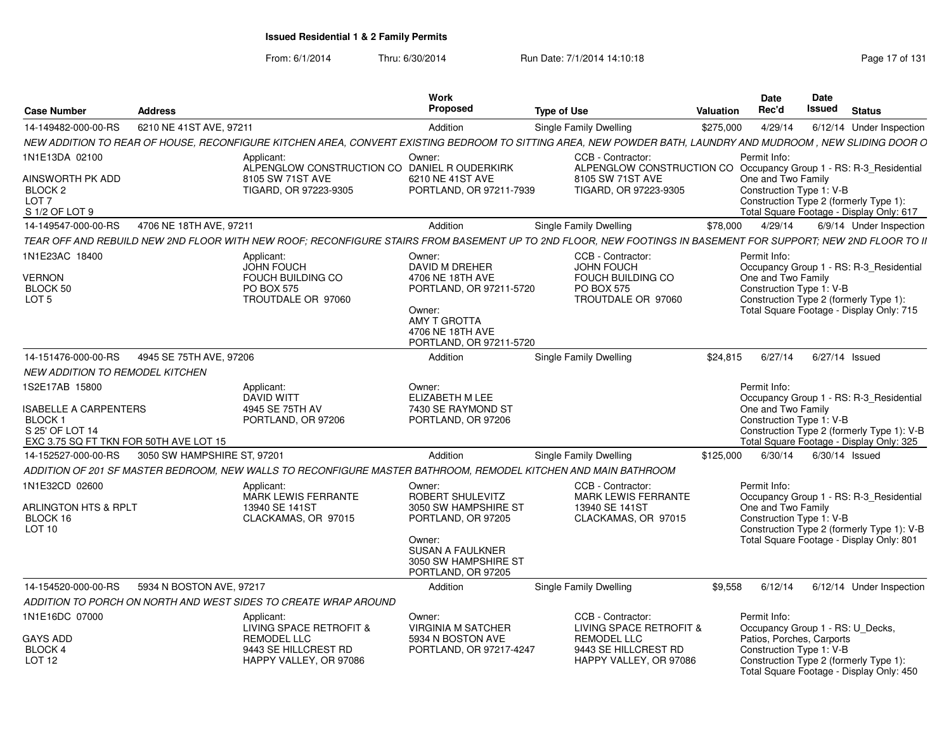From: 6/1/2014Thru: 6/30/2014 **Run Date: 7/1/2014 14:10:18** Research 2010 Page 17 of 131

| <b>Case Number</b>                                                                                                                | <b>Address</b>              |                                                                                                                                                               | Work<br><b>Proposed</b>                                                                                                                                     | <b>Type of Use</b>                                                                                                                  | <b>Valuation</b> | Date<br>Rec'd                                                                                                                                                                                   | <b>Date</b><br>Issued | <b>Status</b> |                                                                                       |
|-----------------------------------------------------------------------------------------------------------------------------------|-----------------------------|---------------------------------------------------------------------------------------------------------------------------------------------------------------|-------------------------------------------------------------------------------------------------------------------------------------------------------------|-------------------------------------------------------------------------------------------------------------------------------------|------------------|-------------------------------------------------------------------------------------------------------------------------------------------------------------------------------------------------|-----------------------|---------------|---------------------------------------------------------------------------------------|
| 14-149482-000-00-RS                                                                                                               | 6210 NE 41ST AVE, 97211     |                                                                                                                                                               | Addition                                                                                                                                                    | <b>Single Family Dwelling</b>                                                                                                       | \$275,000        | 4/29/14                                                                                                                                                                                         |                       |               | 6/12/14 Under Inspection                                                              |
|                                                                                                                                   |                             | NEW ADDITION TO REAR OF HOUSE, RECONFIGURE KITCHEN AREA, CONVERT EXISTING BEDROOM TO SITTING AREA, NEW POWDER BATH, LAUNDRY AND MUDROOM, NEW SLIDING DOOR O   |                                                                                                                                                             |                                                                                                                                     |                  |                                                                                                                                                                                                 |                       |               |                                                                                       |
| 1N1E13DA 02100<br>AINSWORTH PK ADD<br>BLOCK <sub>2</sub><br>LOT <sub>7</sub>                                                      |                             | Applicant:<br>ALPENGLOW CONSTRUCTION CO DANIEL ROUDERKIRK<br>8105 SW 71ST AVE<br>TIGARD, OR 97223-9305                                                        | Owner:<br>6210 NE 41ST AVE<br>PORTLAND, OR 97211-7939                                                                                                       | CCB - Contractor:<br>ALPENGLOW CONSTRUCTION CO Occupancy Group 1 - RS: R-3_Residential<br>8105 SW 71ST AVE<br>TIGARD, OR 97223-9305 |                  | Permit Info:<br>One and Two Family<br>Construction Type 1: V-B<br>Construction Type 2 (formerly Type 1):                                                                                        |                       |               |                                                                                       |
| S 1/2 OF LOT 9                                                                                                                    |                             |                                                                                                                                                               |                                                                                                                                                             |                                                                                                                                     |                  | Total Square Footage - Display Only: 617                                                                                                                                                        |                       |               |                                                                                       |
| 14-149547-000-00-RS                                                                                                               | 4706 NE 18TH AVE, 97211     |                                                                                                                                                               | Addition                                                                                                                                                    | <b>Single Family Dwelling</b>                                                                                                       | \$78,000         | 4/29/14                                                                                                                                                                                         |                       |               | 6/9/14 Under Inspection                                                               |
|                                                                                                                                   |                             | TEAR OFF AND REBUILD NEW 2ND FLOOR WITH NEW ROOF; RECONFIGURE STAIRS FROM BASEMENT UP TO 2ND FLOOR, NEW FOOTINGS IN BASEMENT FOR SUPPORT; NEW 2ND FLOOR TO II |                                                                                                                                                             |                                                                                                                                     |                  |                                                                                                                                                                                                 |                       |               |                                                                                       |
| 1N1E23AC 18400<br><b>VERNON</b><br>BLOCK 50<br>LOT <sub>5</sub>                                                                   |                             | Applicant:<br><b>JOHN FOUCH</b><br><b>FOUCH BUILDING CO</b><br><b>PO BOX 575</b><br>TROUTDALE OR 97060                                                        | Owner:<br>DAVID M DREHER<br>4706 NE 18TH AVE<br>PORTLAND, OR 97211-5720<br>Owner:<br>AMY T GROTTA<br>4706 NE 18TH AVE<br>PORTLAND, OR 97211-5720            | CCB - Contractor:<br>JOHN FOUCH<br><b>FOUCH BUILDING CO</b><br><b>PO BOX 575</b><br>TROUTDALE OR 97060                              |                  | Permit Info:<br>One and Two Family<br>Construction Type 1: V-B<br>Construction Type 2 (formerly Type 1):<br>Total Square Footage - Display Only: 715                                            |                       |               | Occupancy Group 1 - RS: R-3_Residential                                               |
| 14-151476-000-00-RS                                                                                                               | 4945 SE 75TH AVE, 97206     |                                                                                                                                                               | Addition                                                                                                                                                    | <b>Single Family Dwelling</b>                                                                                                       | \$24.815         | 6/27/14                                                                                                                                                                                         | 6/27/14 Issued        |               |                                                                                       |
| <b>NEW ADDITION TO REMODEL KITCHEN</b>                                                                                            |                             |                                                                                                                                                               |                                                                                                                                                             |                                                                                                                                     |                  |                                                                                                                                                                                                 |                       |               |                                                                                       |
| 1S2E17AB 15800<br><b>ISABELLE A CARPENTERS</b><br>BLOCK <sub>1</sub><br>S 25' OF LOT 14<br>EXC 3.75 SQ FT TKN FOR 50TH AVE LOT 15 |                             | Applicant:<br>DAVID WITT<br>4945 SE 75TH AV<br>PORTLAND, OR 97206                                                                                             | Owner:<br><b>ELIZABETH M LEE</b><br>7430 SE RAYMOND ST<br>PORTLAND, OR 97206                                                                                |                                                                                                                                     |                  | Permit Info:<br>One and Two Family<br>Construction Type 1: V-B<br>Total Square Footage - Display Only: 325                                                                                      |                       |               | Occupancy Group 1 - RS: R-3 Residential<br>Construction Type 2 (formerly Type 1): V-B |
| 14-152527-000-00-RS                                                                                                               | 3050 SW HAMPSHIRE ST, 97201 |                                                                                                                                                               | Addition                                                                                                                                                    | Single Family Dwelling                                                                                                              | \$125,000        | 6/30/14                                                                                                                                                                                         | $6/30/14$ Issued      |               |                                                                                       |
|                                                                                                                                   |                             | ADDITION OF 201 SF MASTER BEDROOM, NEW WALLS TO RECONFIGURE MASTER BATHROOM, REMODEL KITCHEN AND MAIN BATHROOM                                                |                                                                                                                                                             |                                                                                                                                     |                  |                                                                                                                                                                                                 |                       |               |                                                                                       |
| 1N1E32CD 02600<br><b>ARLINGTON HTS &amp; RPLT</b><br>BLOCK 16<br>LOT 10                                                           |                             | Applicant:<br><b>MARK LEWIS FERRANTE</b><br>13940 SE 141ST<br>CLACKAMAS, OR 97015                                                                             | Owner:<br>ROBERT SHULEVITZ<br>3050 SW HAMPSHIRE ST<br>PORTLAND, OR 97205<br>Owner:<br><b>SUSAN A FAULKNER</b><br>3050 SW HAMPSHIRE ST<br>PORTLAND, OR 97205 | CCB - Contractor:<br><b>MARK LEWIS FERRANTE</b><br>13940 SE 141ST<br>CLACKAMAS, OR 97015                                            |                  | Permit Info:<br>One and Two Family<br>Construction Type 1: V-B<br>Total Square Footage - Display Only: 801                                                                                      |                       |               | Occupancy Group 1 - RS: R-3_Residential<br>Construction Type 2 (formerly Type 1): V-B |
| 14-154520-000-00-RS                                                                                                               | 5934 N BOSTON AVE, 97217    |                                                                                                                                                               | Addition                                                                                                                                                    | <b>Single Family Dwelling</b>                                                                                                       | \$9,558          | 6/12/14                                                                                                                                                                                         |                       |               | 6/12/14 Under Inspection                                                              |
|                                                                                                                                   |                             | ADDITION TO PORCH ON NORTH AND WEST SIDES TO CREATE WRAP AROUND                                                                                               |                                                                                                                                                             |                                                                                                                                     |                  |                                                                                                                                                                                                 |                       |               |                                                                                       |
| 1N1E16DC 07000<br><b>GAYS ADD</b><br>BLOCK 4<br>LOT 12                                                                            |                             | Applicant:<br>LIVING SPACE RETROFIT &<br><b>REMODEL LLC</b><br>9443 SE HILLCREST RD<br>HAPPY VALLEY, OR 97086                                                 | Owner:<br><b>VIRGINIA M SATCHER</b><br>5934 N BOSTON AVE<br>PORTLAND, OR 97217-4247                                                                         | CCB - Contractor:<br>LIVING SPACE RETROFIT &<br><b>REMODEL LLC</b><br>9443 SE HILLCREST RD<br>HAPPY VALLEY, OR 97086                |                  | Permit Info:<br>Occupancy Group 1 - RS: U_Decks,<br>Patios, Porches, Carports<br>Construction Type 1: V-B<br>Construction Type 2 (formerly Type 1):<br>Total Square Footage - Display Only: 450 |                       |               |                                                                                       |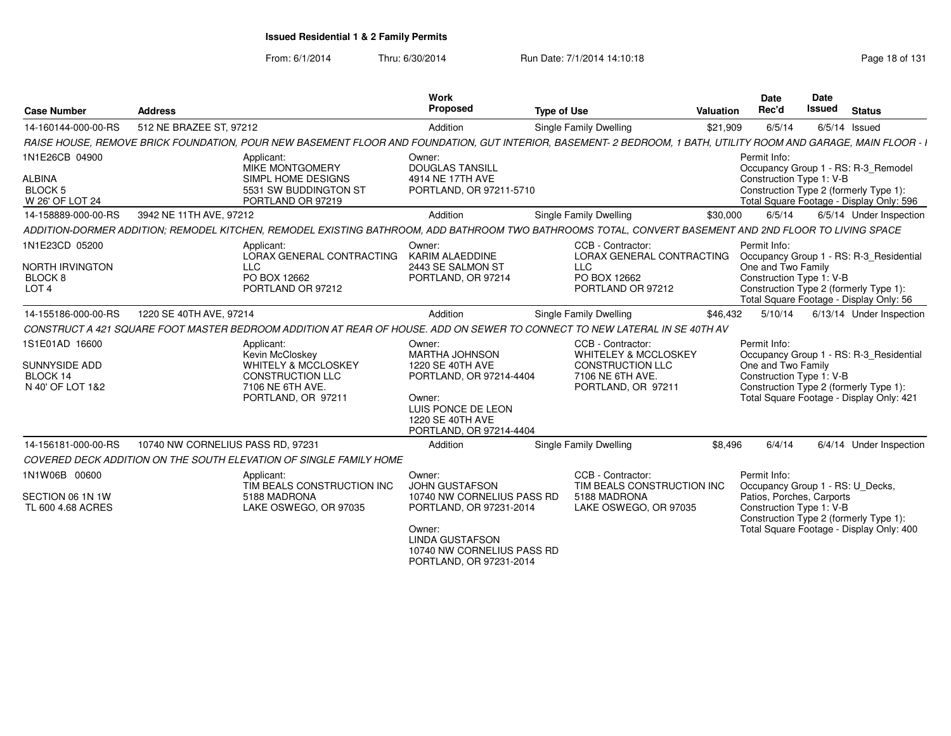From: 6/1/2014

| <b>Case Number</b>                                                                 | <b>Address</b>                                                                                                                                                   | Work<br>Proposed                                                                                                                                                                      | <b>Type of Use</b>                                                                                                 | Valuation | <b>Date</b><br>Rec'd                                                                                      | Date<br><b>Issued</b> | <b>Status</b>                                                                                                                 |
|------------------------------------------------------------------------------------|------------------------------------------------------------------------------------------------------------------------------------------------------------------|---------------------------------------------------------------------------------------------------------------------------------------------------------------------------------------|--------------------------------------------------------------------------------------------------------------------|-----------|-----------------------------------------------------------------------------------------------------------|-----------------------|-------------------------------------------------------------------------------------------------------------------------------|
| 14-160144-000-00-RS                                                                | 512 NE BRAZEE ST. 97212                                                                                                                                          | Addition                                                                                                                                                                              | Single Family Dwelling                                                                                             | \$21,909  | 6/5/14                                                                                                    |                       | $6/5/14$ Issued                                                                                                               |
|                                                                                    | RAISE HOUSE, REMOVE BRICK FOUNDATION, POUR NEW BASEMENT FLOOR AND FOUNDATION, GUT INTERIOR, BASEMENT- 2 BEDROOM, 1 BATH, UTILITY ROOM AND GARAGE, MAIN FLOOR - I |                                                                                                                                                                                       |                                                                                                                    |           |                                                                                                           |                       |                                                                                                                               |
| 1N1E26CB 04900<br><b>ALBINA</b><br><b>BLOCK 5</b><br>W 26' OF LOT 24               | Applicant:<br><b>MIKE MONTGOMERY</b><br>SIMPL HOME DESIGNS<br>5531 SW BUDDINGTON ST<br>PORTLAND OR 97219                                                         | Owner:<br><b>DOUGLAS TANSILL</b><br>4914 NE 17TH AVE<br>PORTLAND, OR 97211-5710                                                                                                       |                                                                                                                    |           | Permit Info:<br>Construction Type 1: V-B                                                                  |                       | Occupancy Group 1 - RS: R-3 Remodel<br>Construction Type 2 (formerly Type 1):<br>Total Square Footage - Display Only: 596     |
| 14-158889-000-00-RS                                                                | 3942 NE 11TH AVE, 97212                                                                                                                                          | Addition                                                                                                                                                                              | Single Family Dwelling                                                                                             | \$30,000  | 6/5/14                                                                                                    |                       | 6/5/14 Under Inspection                                                                                                       |
|                                                                                    | ADDITION-DORMER ADDITION: REMODEL KITCHEN. REMODEL EXISTING BATHROOM. ADD BATHROOM TWO BATHROOMS TOTAL. CONVERT BASEMENT AND 2ND FLOOR TO LIVING SPACE           |                                                                                                                                                                                       |                                                                                                                    |           |                                                                                                           |                       |                                                                                                                               |
| 1N1E23CD 05200<br><b>NORTH IRVINGTON</b><br>BLOCK <sub>8</sub><br>LOT <sub>4</sub> | Applicant:<br>LORAX GENERAL CONTRACTING<br><b>LLC</b><br>PO BOX 12662<br>PORTLAND OR 97212                                                                       | Owner:<br>KARIM ALAEDDINE<br>2443 SE SALMON ST<br>PORTLAND, OR 97214                                                                                                                  | CCB - Contractor:<br>LORAX GENERAL CONTRACTING<br>LLC<br>PO BOX 12662<br>PORTLAND OR 97212                         |           | Permit Info:<br>One and Two Family<br>Construction Type 1: V-B                                            |                       | Occupancy Group 1 - RS: R-3_Residential<br>Construction Type 2 (formerly Type 1):<br>Total Square Footage - Display Only: 56  |
| 14-155186-000-00-RS                                                                | 1220 SE 40TH AVE, 97214                                                                                                                                          | Addition                                                                                                                                                                              | Single Family Dwelling                                                                                             | \$46,432  | 5/10/14                                                                                                   |                       | 6/13/14 Under Inspection                                                                                                      |
|                                                                                    | CONSTRUCT A 421 SQUARE FOOT MASTER BEDROOM ADDITION AT REAR OF HOUSE. ADD ON SEWER TO CONNECT TO NEW LATERAL IN SE 40TH AV                                       |                                                                                                                                                                                       |                                                                                                                    |           |                                                                                                           |                       |                                                                                                                               |
| 1S1E01AD 16600<br>SUNNYSIDE ADD<br>BLOCK 14<br>N 40' OF LOT 1&2                    | Applicant:<br>Kevin McCloskey<br>WHITELY & MCCLOSKEY<br><b>CONSTRUCTION LLC</b><br>7106 NE 6TH AVE.<br>PORTLAND, OR 97211                                        | Owner:<br><b>MARTHA JOHNSON</b><br>1220 SE 40TH AVE<br>PORTLAND, OR 97214-4404<br>Owner:<br>LUIS PONCE DE LEON<br>1220 SE 40TH AVE<br>PORTLAND, OR 97214-4404                         | CCB - Contractor:<br><b>WHITELEY &amp; MCCLOSKEY</b><br>CONSTRUCTION LLC<br>7106 NE 6TH AVE.<br>PORTLAND, OR 97211 |           | Permit Info:<br>One and Two Family<br>Construction Type 1: V-B                                            |                       | Occupancy Group 1 - RS: R-3 Residential<br>Construction Type 2 (formerly Type 1):<br>Total Square Footage - Display Only: 421 |
| 14-156181-000-00-RS                                                                | 10740 NW CORNELIUS PASS RD, 97231                                                                                                                                | Addition                                                                                                                                                                              | Single Family Dwelling                                                                                             | \$8,496   | 6/4/14                                                                                                    |                       | 6/4/14 Under Inspection                                                                                                       |
|                                                                                    | COVERED DECK ADDITION ON THE SOUTH ELEVATION OF SINGLE FAMILY HOME                                                                                               |                                                                                                                                                                                       |                                                                                                                    |           |                                                                                                           |                       |                                                                                                                               |
| 1N1W06B 00600<br>SECTION 06 1N 1W<br>TL 600 4.68 ACRES                             | Applicant:<br>TIM BEALS CONSTRUCTION INC<br>5188 MADRONA<br>LAKE OSWEGO, OR 97035                                                                                | Owner:<br><b>JOHN GUSTAFSON</b><br>10740 NW CORNELIUS PASS RD<br>PORTLAND, OR 97231-2014<br>Owner:<br><b>LINDA GUSTAFSON</b><br>10740 NW CORNELIUS PASS RD<br>PORTLAND, OR 97231-2014 | CCB - Contractor:<br>TIM BEALS CONSTRUCTION INC<br>5188 MADRONA<br>LAKE OSWEGO, OR 97035                           |           | Permit Info:<br>Occupancy Group 1 - RS: U_Decks,<br>Patios, Porches, Carports<br>Construction Type 1: V-B |                       | Construction Type 2 (formerly Type 1):<br>Total Square Footage - Display Only: 400                                            |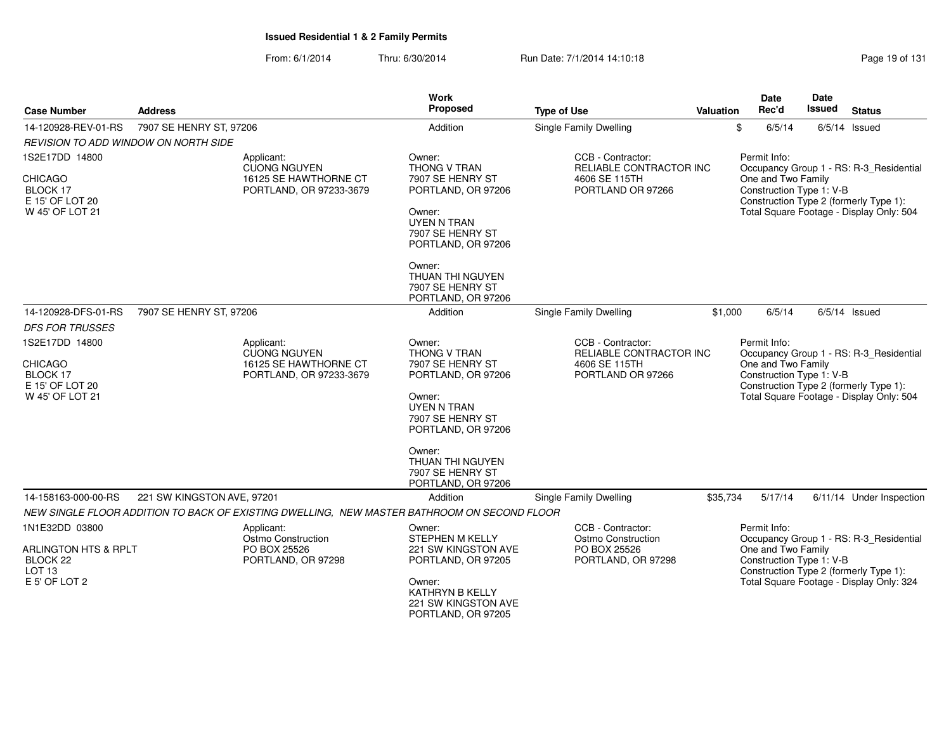| <b>Case Number</b>                                                                                  | <b>Address</b>                                                                        | Work<br>Proposed                                                                                                                                                                                                   | <b>Type of Use</b>                                                                   | Valuation | <b>Date</b><br>Rec'd                                           | Date<br>Issued | <b>Status</b>                                                                                                                 |
|-----------------------------------------------------------------------------------------------------|---------------------------------------------------------------------------------------|--------------------------------------------------------------------------------------------------------------------------------------------------------------------------------------------------------------------|--------------------------------------------------------------------------------------|-----------|----------------------------------------------------------------|----------------|-------------------------------------------------------------------------------------------------------------------------------|
| 14-120928-REV-01-RS                                                                                 | 7907 SE HENRY ST, 97206                                                               | Addition                                                                                                                                                                                                           | <b>Single Family Dwelling</b>                                                        |           | \$<br>6/5/14                                                   |                | $6/5/14$ Issued                                                                                                               |
| REVISION TO ADD WINDOW ON NORTH SIDE                                                                |                                                                                       |                                                                                                                                                                                                                    |                                                                                      |           |                                                                |                |                                                                                                                               |
| 1S2E17DD 14800<br><b>CHICAGO</b><br>BLOCK 17<br>E 15' OF LOT 20<br>W 45' OF LOT 21                  | Applicant:<br><b>CUONG NGUYEN</b><br>16125 SE HAWTHORNE CT<br>PORTLAND, OR 97233-3679 | Owner:<br>THONG V TRAN<br>7907 SE HENRY ST<br>PORTLAND, OR 97206<br>Owner:<br><b>UYEN N TRAN</b><br>7907 SE HENRY ST<br>PORTLAND, OR 97206<br>Owner:<br>THUAN THI NGUYEN<br>7907 SE HENRY ST                       | CCB - Contractor:<br>RELIABLE CONTRACTOR INC<br>4606 SE 115TH<br>PORTLAND OR 97266   |           | Permit Info:<br>One and Two Family<br>Construction Type 1: V-B |                | Occupancy Group 1 - RS: R-3_Residential<br>Construction Type 2 (formerly Type 1):<br>Total Square Footage - Display Only: 504 |
|                                                                                                     |                                                                                       | PORTLAND, OR 97206                                                                                                                                                                                                 |                                                                                      |           |                                                                |                |                                                                                                                               |
| 14-120928-DFS-01-RS                                                                                 | 7907 SE HENRY ST, 97206                                                               | Addition                                                                                                                                                                                                           | Single Family Dwelling                                                               | \$1,000   | 6/5/14                                                         |                | $6/5/14$ Issued                                                                                                               |
| <b>DFS FOR TRUSSES</b>                                                                              |                                                                                       |                                                                                                                                                                                                                    |                                                                                      |           |                                                                |                |                                                                                                                               |
| 1S2E17DD 14800<br><b>CHICAGO</b><br>BLOCK 17<br>E 15' OF LOT 20<br>W 45' OF LOT 21                  | Applicant:<br><b>CUONG NGUYEN</b><br>16125 SE HAWTHORNE CT<br>PORTLAND, OR 97233-3679 | Owner:<br>THONG V TRAN<br>7907 SE HENRY ST<br>PORTLAND, OR 97206<br>Owner:<br><b>UYEN N TRAN</b><br>7907 SE HENRY ST<br>PORTLAND, OR 97206<br>Owner:<br>THUAN THI NGUYEN<br>7907 SE HENRY ST<br>PORTLAND, OR 97206 | CCB - Contractor:<br>RELIABLE CONTRACTOR INC<br>4606 SE 115TH<br>PORTLAND OR 97266   |           | Permit Info:<br>One and Two Family<br>Construction Type 1: V-B |                | Occupancy Group 1 - RS: R-3 Residential<br>Construction Type 2 (formerly Type 1):<br>Total Square Footage - Display Only: 504 |
| 14-158163-000-00-RS                                                                                 | 221 SW KINGSTON AVE, 97201                                                            | Addition                                                                                                                                                                                                           | Single Family Dwelling                                                               | \$35,734  | 5/17/14                                                        |                | 6/11/14 Under Inspection                                                                                                      |
|                                                                                                     |                                                                                       | NEW SINGLE FLOOR ADDITION TO BACK OF EXISTING DWELLING, NEW MASTER BATHROOM ON SECOND FLOOR                                                                                                                        |                                                                                      |           |                                                                |                |                                                                                                                               |
| 1N1E32DD 03800<br><b>ARLINGTON HTS &amp; RPLT</b><br>BLOCK 22<br>LOT <sub>13</sub><br>E 5' OF LOT 2 | Applicant:<br>Ostmo Construction<br>PO BOX 25526<br>PORTLAND, OR 97298                | Owner:<br>STEPHEN M KELLY<br><b>221 SW KINGSTON AVE</b><br>PORTLAND, OR 97205<br>Owner:<br>KATHRYN B KELLY<br><b>221 SW KINGSTON AVE</b><br>PORTLAND, OR 97205                                                     | CCB - Contractor:<br><b>Ostmo Construction</b><br>PO BOX 25526<br>PORTLAND, OR 97298 |           | Permit Info:<br>One and Two Family<br>Construction Type 1: V-B |                | Occupancy Group 1 - RS: R-3_Residential<br>Construction Type 2 (formerly Type 1):<br>Total Square Footage - Display Only: 324 |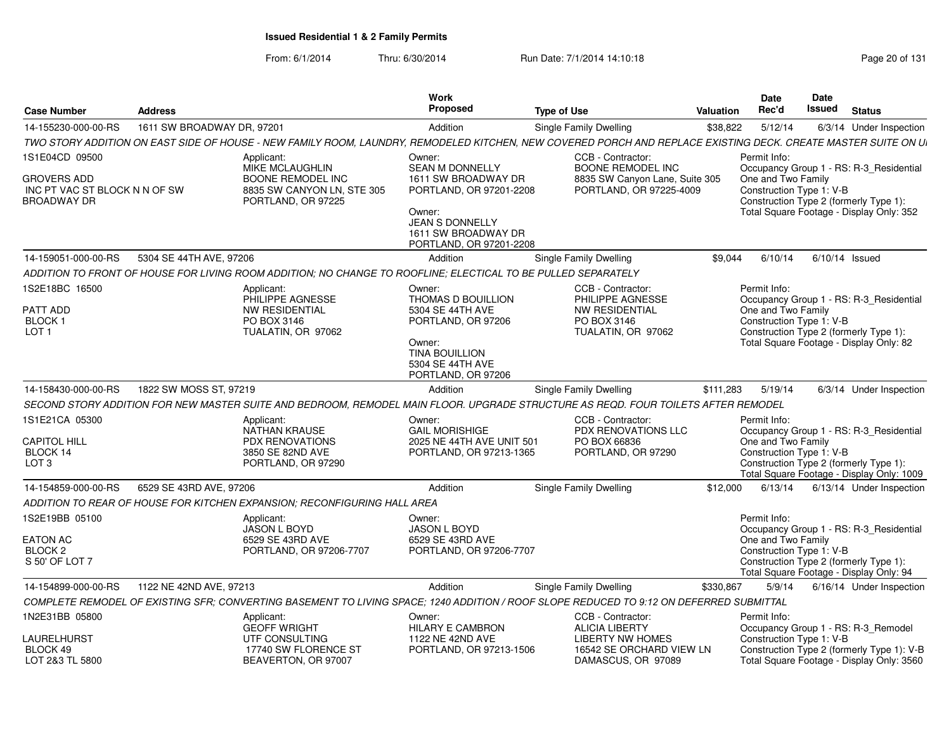| <b>Case Number</b>                                                        | <b>Address</b>             |                                                                                                               | Work<br><b>Proposed</b>                                                                                                                             | <b>Type of Use</b>                                                                                                                                            | Valuation | <b>Date</b><br>Rec'd                                           | Date<br>Issued   | <b>Status</b>                                                                                                                 |
|---------------------------------------------------------------------------|----------------------------|---------------------------------------------------------------------------------------------------------------|-----------------------------------------------------------------------------------------------------------------------------------------------------|---------------------------------------------------------------------------------------------------------------------------------------------------------------|-----------|----------------------------------------------------------------|------------------|-------------------------------------------------------------------------------------------------------------------------------|
| 14-155230-000-00-RS                                                       | 1611 SW BROADWAY DR. 97201 |                                                                                                               | Addition                                                                                                                                            | Single Family Dwelling                                                                                                                                        | \$38,822  | 5/12/14                                                        |                  | 6/3/14 Under Inspection                                                                                                       |
|                                                                           |                            |                                                                                                               |                                                                                                                                                     | TWO STORY ADDITION ON EAST SIDE OF HOUSE - NEW FAMILY ROOM, LAUNDRY, REMODELED KITCHEN, NEW COVERED PORCH AND REPLACE EXISTING DECK. CREATE MASTER SUITE ON U |           |                                                                |                  |                                                                                                                               |
| 1S1E04CD 09500                                                            |                            | Applicant:                                                                                                    | Owner:                                                                                                                                              | CCB - Contractor:                                                                                                                                             |           | Permit Info:                                                   |                  |                                                                                                                               |
| <b>GROVERS ADD</b><br>INC PT VAC ST BLOCK N N OF SW<br><b>BROADWAY DR</b> |                            | <b>MIKE MCLAUGHLIN</b><br>BOONE REMODEL INC<br>8835 SW CANYON LN, STE 305<br>PORTLAND, OR 97225               | <b>SEAN M DONNELLY</b><br>1611 SW BROADWAY DR<br>PORTLAND, OR 97201-2208<br>Owner:<br><b>JEAN S DONNELLY</b>                                        | <b>BOONE REMODEL INC</b><br>8835 SW Canyon Lane, Suite 305<br>PORTLAND, OR 97225-4009                                                                         |           | One and Two Family<br>Construction Type 1: V-B                 |                  | Occupancy Group 1 - RS: R-3_Residential<br>Construction Type 2 (formerly Type 1):<br>Total Square Footage - Display Only: 352 |
|                                                                           |                            |                                                                                                               | 1611 SW BROADWAY DR<br>PORTLAND, OR 97201-2208                                                                                                      |                                                                                                                                                               |           |                                                                |                  |                                                                                                                               |
| 14-159051-000-00-RS                                                       | 5304 SE 44TH AVE, 97206    |                                                                                                               | <b>Addition</b>                                                                                                                                     | <b>Single Family Dwelling</b>                                                                                                                                 | \$9.044   | 6/10/14                                                        | $6/10/14$ Issued |                                                                                                                               |
|                                                                           |                            | ADDITION TO FRONT OF HOUSE FOR LIVING ROOM ADDITION: NO CHANGE TO ROOFLINE: ELECTICAL TO BE PULLED SEPARATELY |                                                                                                                                                     |                                                                                                                                                               |           |                                                                |                  |                                                                                                                               |
| 1S2E18BC 16500<br>PATT ADD<br><b>BLOCK1</b><br>LOT <sub>1</sub>           |                            | Applicant<br>PHILIPPE AGNESSE<br><b>NW RESIDENTIAL</b><br>PO BOX 3146<br>TUALATIN, OR 97062                   | Owner:<br>THOMAS D BOUILLION<br>5304 SE 44TH AVE<br>PORTLAND, OR 97206<br>Owner:<br><b>TINA BOUILLION</b><br>5304 SE 44TH AVE<br>PORTLAND, OR 97206 | CCB - Contractor:<br>PHILIPPE AGNESSE<br><b>NW RESIDENTIAL</b><br>PO BOX 3146<br>TUALATIN, OR 97062                                                           |           | Permit Info:<br>One and Two Family<br>Construction Type 1: V-B |                  | Occupancy Group 1 - RS: R-3_Residential<br>Construction Type 2 (formerly Type 1):<br>Total Square Footage - Display Only: 82  |
|                                                                           |                            |                                                                                                               |                                                                                                                                                     |                                                                                                                                                               |           |                                                                |                  |                                                                                                                               |
| 14-158430-000-00-RS                                                       | 1822 SW MOSS ST, 97219     |                                                                                                               | Addition                                                                                                                                            | Single Family Dwelling                                                                                                                                        | \$111,283 | 5/19/14                                                        |                  | 6/3/14 Under Inspection                                                                                                       |
|                                                                           |                            |                                                                                                               |                                                                                                                                                     | SECOND STORY ADDITION FOR NEW MASTER SUITE AND BEDROOM. REMODEL MAIN FLOOR, UPGRADE STRUCTURE AS REQD. FOUR TOILETS AFTER REMODEL                             |           |                                                                |                  |                                                                                                                               |
|                                                                           |                            | Applicant:                                                                                                    | Owner:                                                                                                                                              | CCB - Contractor:                                                                                                                                             |           | Permit Info:                                                   |                  |                                                                                                                               |
|                                                                           |                            | <b>NATHAN KRAUSE</b>                                                                                          | <b>GAIL MORISHIGE</b>                                                                                                                               | <b>PDX RENOVATIONS LLC</b>                                                                                                                                    |           |                                                                |                  | Occupancy Group 1 - RS: R-3_Residential                                                                                       |
| 1S1E21CA 05300<br><b>CAPITOL HILL</b>                                     |                            | <b>PDX RENOVATIONS</b>                                                                                        | 2025 NE 44TH AVE UNIT 501                                                                                                                           | PO BOX 66836                                                                                                                                                  |           | One and Two Family                                             |                  |                                                                                                                               |
| BLOCK 14<br>LOT <sub>3</sub>                                              |                            | 3850 SE 82ND AVE<br>PORTLAND, OR 97290                                                                        | PORTLAND, OR 97213-1365                                                                                                                             | PORTLAND, OR 97290                                                                                                                                            |           | Construction Type 1: V-B                                       |                  | Construction Type 2 (formerly Type 1):<br>Total Square Footage - Display Only: 1009                                           |
| 14-154859-000-00-RS                                                       | 6529 SE 43RD AVE, 97206    |                                                                                                               | Addition                                                                                                                                            | Single Family Dwelling                                                                                                                                        | \$12,000  | 6/13/14                                                        |                  | 6/13/14 Under Inspection                                                                                                      |
|                                                                           |                            | ADDITION TO REAR OF HOUSE FOR KITCHEN EXPANSION: RECONFIGURING HALL AREA                                      |                                                                                                                                                     |                                                                                                                                                               |           |                                                                |                  |                                                                                                                               |
| 1S2E19BB 05100                                                            |                            | Applicant:                                                                                                    | Owner:                                                                                                                                              |                                                                                                                                                               |           | Permit Info:                                                   |                  |                                                                                                                               |
|                                                                           |                            | <b>JASON L BOYD</b>                                                                                           | <b>JASON L BOYD</b>                                                                                                                                 |                                                                                                                                                               |           |                                                                |                  | Occupancy Group 1 - RS: R-3_Residential                                                                                       |
| <b>EATON AC</b><br>BLOCK <sub>2</sub>                                     |                            | 6529 SE 43RD AVE<br>PORTLAND, OR 97206-7707                                                                   | 6529 SE 43RD AVE<br>PORTLAND, OR 97206-7707                                                                                                         |                                                                                                                                                               |           | One and Two Family                                             |                  |                                                                                                                               |
| S 50' OF LOT 7                                                            |                            |                                                                                                               |                                                                                                                                                     |                                                                                                                                                               |           | Construction Type 1: V-B                                       |                  | Construction Type 2 (formerly Type 1):<br>Total Square Footage - Display Only: 94                                             |
| 14-154899-000-00-RS                                                       | 1122 NE 42ND AVE, 97213    |                                                                                                               | Addition                                                                                                                                            | Single Family Dwelling                                                                                                                                        | \$330,867 | 5/9/14                                                         |                  | 6/16/14 Under Inspection                                                                                                      |
|                                                                           |                            |                                                                                                               |                                                                                                                                                     | COMPLETE REMODEL OF EXISTING SFR; CONVERTING BASEMENT TO LIVING SPACE; 1240 ADDITION / ROOF SLOPE REDUCED TO 9:12 ON DEFERRED SUBMITTAL                       |           |                                                                |                  |                                                                                                                               |
| 1N2E31BB 05800                                                            |                            | Applicant:                                                                                                    | Owner:                                                                                                                                              | CCB - Contractor:                                                                                                                                             |           | Permit Info:                                                   |                  |                                                                                                                               |
|                                                                           |                            | <b>GEOFF WRIGHT</b>                                                                                           | <b>HILARY E CAMBRON</b>                                                                                                                             | <b>ALICIA LIBERTY</b>                                                                                                                                         |           |                                                                |                  | Occupancy Group 1 - RS: R-3 Remodel                                                                                           |
| LAURELHURST<br>BLOCK 49                                                   |                            | UTF CONSULTING<br>17740 SW FLORENCE ST                                                                        | 1122 NE 42ND AVE<br>PORTLAND, OR 97213-1506                                                                                                         | <b>LIBERTY NW HOMES</b><br>16542 SE ORCHARD VIEW LN                                                                                                           |           | Construction Type 1: V-B                                       |                  | Construction Type 2 (formerly Type 1): V-B                                                                                    |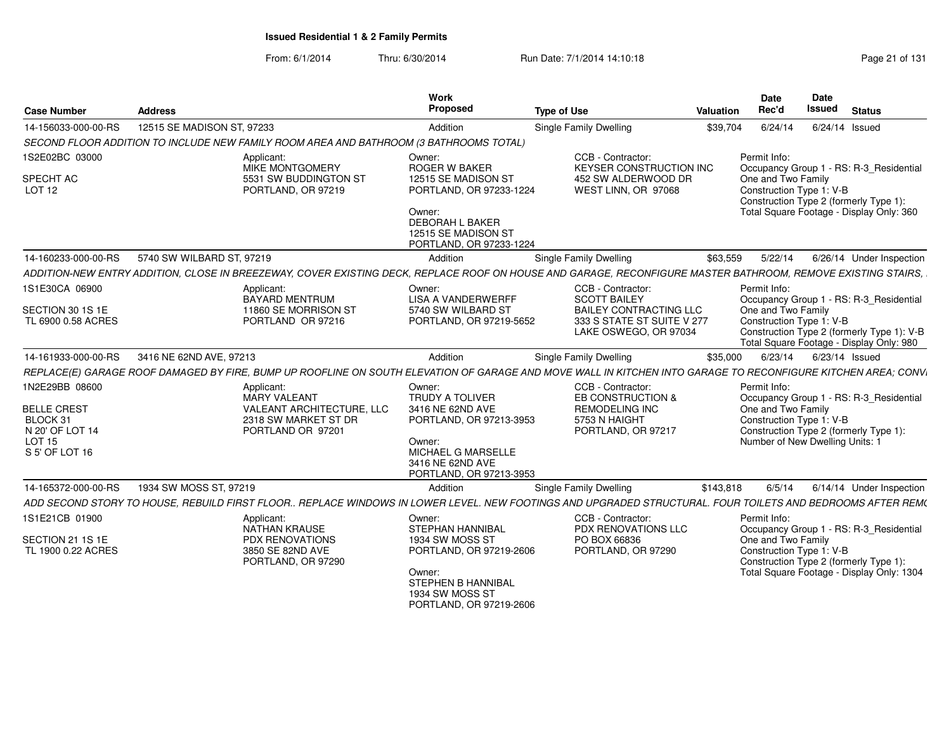From: 6/1/2014Thru: 6/30/2014 Run Date: 7/1/2014 14:10:18 Research 2010 Page 21 of 131

| <b>Case Number</b>                     | <b>Address</b>                                                                                                                                                | Work<br>Proposed                                                                  | <b>Type of Use</b>                                                                   | <b>Valuation</b> | <b>Date</b><br>Rec'd                           | Date<br><b>Issued</b> | <b>Status</b>                                                                          |
|----------------------------------------|---------------------------------------------------------------------------------------------------------------------------------------------------------------|-----------------------------------------------------------------------------------|--------------------------------------------------------------------------------------|------------------|------------------------------------------------|-----------------------|----------------------------------------------------------------------------------------|
| 14-156033-000-00-RS                    | 12515 SE MADISON ST, 97233                                                                                                                                    | Addition                                                                          | <b>Single Family Dwelling</b>                                                        | \$39,704         | 6/24/14                                        |                       | $6/24/14$ Issued                                                                       |
|                                        | SECOND FLOOR ADDITION TO INCLUDE NEW FAMILY ROOM AREA AND BATHROOM (3 BATHROOMS TOTAL)                                                                        |                                                                                   |                                                                                      |                  |                                                |                       |                                                                                        |
| 1S2E02BC 03000                         | Applicant:<br>MIKE MONTGOMERY                                                                                                                                 | Owner:<br><b>ROGER W BAKER</b>                                                    | CCB - Contractor:<br><b>KEYSER CONSTRUCTION INC</b>                                  |                  | Permit Info:                                   |                       | Occupancy Group 1 - RS: R-3 Residential                                                |
| SPECHT AC<br>LOT <sub>12</sub>         | 5531 SW BUDDINGTON ST<br>PORTLAND, OR 97219                                                                                                                   | 12515 SE MADISON ST<br>PORTLAND, OR 97233-1224                                    | 452 SW ALDERWOOD DR<br>WEST LINN, OR 97068                                           |                  | One and Two Family<br>Construction Type 1: V-B |                       | Construction Type 2 (formerly Type 1):                                                 |
|                                        |                                                                                                                                                               | Owner:<br>DEBORAH L BAKER<br>12515 SE MADISON ST<br>PORTLAND, OR 97233-1224       |                                                                                      |                  |                                                |                       | Total Square Footage - Display Only: 360                                               |
| 14-160233-000-00-RS                    | 5740 SW WILBARD ST, 97219                                                                                                                                     | Addition                                                                          | <b>Single Family Dwelling</b>                                                        | \$63,559         | 5/22/14                                        |                       | 6/26/14 Under Inspection                                                               |
|                                        | ADDITION-NEW ENTRY ADDITION, CLOSE IN BREEZEWAY, COVER EXISTING DECK, REPLACE ROOF ON HOUSE AND GARAGE, RECONFIGURE MASTER BATHROOM, REMOVE EXISTING STAIRS,  |                                                                                   |                                                                                      |                  |                                                |                       |                                                                                        |
| 1S1E30CA 06900                         | Applicant:<br><b>BAYARD MENTRUM</b>                                                                                                                           | Owner:<br><b>LISA A VANDERWERFF</b>                                               | CCB - Contractor:<br><b>SCOTT BAILEY</b>                                             |                  | Permit Info:                                   |                       | Occupancy Group 1 - RS: R-3 Residential                                                |
| SECTION 30 1S 1E<br>TL 6900 0.58 ACRES | 11860 SE MORRISON ST<br>PORTLAND OR 97216                                                                                                                     | 5740 SW WILBARD ST<br>PORTLAND, OR 97219-5652                                     | <b>BAILEY CONTRACTING LLC</b><br>333 S STATE ST SUITE V 277<br>LAKE OSWEGO, OR 97034 |                  | One and Two Family<br>Construction Type 1: V-B |                       | Construction Type 2 (formerly Type 1): V-B<br>Total Square Footage - Display Only: 980 |
| 14-161933-000-00-RS                    | 3416 NE 62ND AVE, 97213                                                                                                                                       | Addition                                                                          | <b>Single Family Dwelling</b>                                                        | \$35,000         | 6/23/14                                        |                       | 6/23/14 Issued                                                                         |
|                                        | REPLACE(E) GARAGE ROOF DAMAGED BY FIRE, BUMP UP ROOFLINE ON SOUTH ELEVATION OF GARAGE AND MOVE WALL IN KITCHEN INTO GARAGE TO RECONFIGURE KITCHEN AREA; CONVI |                                                                                   |                                                                                      |                  |                                                |                       |                                                                                        |
| 1N2E29BB 08600                         | Applicant:<br><b>MARY VALEANT</b>                                                                                                                             | Owner:<br><b>TRUDY A TOLIVER</b>                                                  | CCB - Contractor:<br>EB CONSTRUCTION &                                               |                  | Permit Info:                                   |                       |                                                                                        |
| <b>BELLE CREST</b>                     | VALEANT ARCHITECTURE, LLC                                                                                                                                     | 3416 NE 62ND AVE                                                                  | <b>REMODELING INC</b>                                                                |                  | One and Two Family                             |                       | Occupancy Group 1 - RS: R-3_Residential                                                |
| BLOCK 31                               | 2318 SW MARKET ST DR                                                                                                                                          | PORTLAND, OR 97213-3953                                                           | 5753 N HAIGHT                                                                        |                  | Construction Type 1: V-B                       |                       |                                                                                        |
| N 20' OF LOT 14                        | PORTLAND OR 97201                                                                                                                                             |                                                                                   | PORTLAND, OR 97217                                                                   |                  |                                                |                       | Construction Type 2 (formerly Type 1):                                                 |
| <b>LOT 15</b><br>S 5' OF LOT 16        |                                                                                                                                                               | Owner:<br>MICHAEL G MARSELLE<br>3416 NE 62ND AVE<br>PORTLAND, OR 97213-3953       |                                                                                      |                  | Number of New Dwelling Units: 1                |                       |                                                                                        |
| 14-165372-000-00-RS                    | 1934 SW MOSS ST, 97219                                                                                                                                        | Addition                                                                          | <b>Single Family Dwelling</b>                                                        | \$143,818        | 6/5/14                                         |                       | 6/14/14 Under Inspection                                                               |
|                                        | ADD SECOND STORY TO HOUSE, REBUILD FIRST FLOOR REPLACE WINDOWS IN LOWER LEVEL. NEW FOOTINGS AND UPGRADED STRUCTURAL. FOUR TOILETS AND BEDROOMS AFTER REM(     |                                                                                   |                                                                                      |                  |                                                |                       |                                                                                        |
| 1S1E21CB 01900                         | Applicant:<br>NATHAN KRAUSE                                                                                                                                   | Owner:<br>STEPHAN HANNIBAL                                                        | CCB - Contractor:<br>PDX RENOVATIONS LLC                                             |                  | Permit Info:                                   |                       | Occupancy Group 1 - RS: R-3 Residential                                                |
| SECTION 21 1S 1E                       | <b>PDX RENOVATIONS</b>                                                                                                                                        | 1934 SW MOSS ST                                                                   | PO BOX 66836                                                                         |                  | One and Two Family                             |                       |                                                                                        |
| TL 1900 0.22 ACRES                     | 3850 SE 82ND AVE<br>PORTLAND, OR 97290                                                                                                                        | PORTLAND, OR 97219-2606                                                           | PORTLAND, OR 97290                                                                   |                  | Construction Type 1: V-B                       |                       | Construction Type 2 (formerly Type 1):                                                 |
|                                        |                                                                                                                                                               | Owner:<br><b>STEPHEN B HANNIBAL</b><br>1934 SW MOSS ST<br>PORTLAND, OR 97219-2606 |                                                                                      |                  |                                                |                       | Total Square Footage - Display Only: 1304                                              |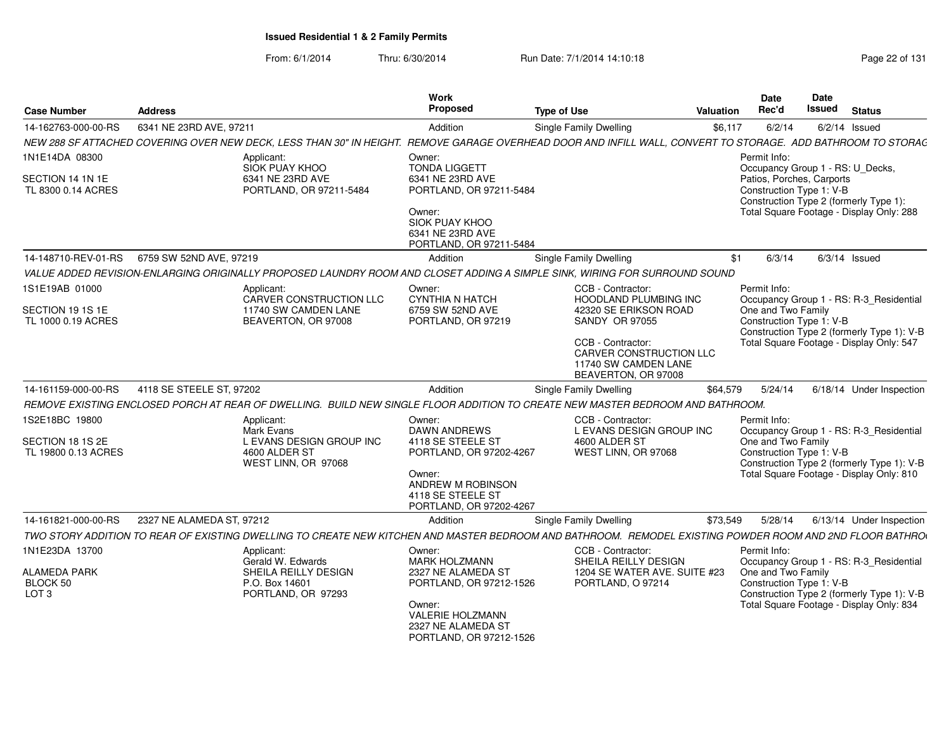| <b>Case Number</b>                                  | <b>Address</b>            |                                                                                                                                                              | Work<br>Proposed                                                                                                                               | <b>Type of Use</b>                                                                                 | <b>Valuation</b> | Date<br>Rec'd                                                                             | <b>Date</b><br>Issued                    | <b>Status</b>                                                                          |
|-----------------------------------------------------|---------------------------|--------------------------------------------------------------------------------------------------------------------------------------------------------------|------------------------------------------------------------------------------------------------------------------------------------------------|----------------------------------------------------------------------------------------------------|------------------|-------------------------------------------------------------------------------------------|------------------------------------------|----------------------------------------------------------------------------------------|
| 14-162763-000-00-RS                                 | 6341 NE 23RD AVE, 97211   |                                                                                                                                                              | Addition                                                                                                                                       | Single Family Dwelling                                                                             | \$6,117          | 6/2/14                                                                                    |                                          | $6/2/14$ Issued                                                                        |
|                                                     |                           | NEW 288 SF ATTACHED COVERING OVER NEW DECK, LESS THAN 30" IN HEIGHT. REMOVE GARAGE OVERHEAD DOOR AND INFILL WALL, CONVERT TO STORAGE. ADD BATHROOM TO STORAG |                                                                                                                                                |                                                                                                    |                  |                                                                                           |                                          |                                                                                        |
| 1N1E14DA 08300                                      |                           | Applicant:                                                                                                                                                   | Owner:                                                                                                                                         |                                                                                                    |                  | Permit Info:                                                                              |                                          |                                                                                        |
| SECTION 14 1N 1E<br>TL 8300 0.14 ACRES              |                           | SIÓK PUAY KHOO<br>6341 NE 23RD AVE<br>PORTLAND, OR 97211-5484                                                                                                | <b>TONDA LIGGETT</b><br>6341 NE 23RD AVE<br>PORTLAND, OR 97211-5484<br>Owner:<br>SIOK PUAY KHOO<br>6341 NE 23RD AVE<br>PORTLAND, OR 97211-5484 |                                                                                                    |                  | Occupancy Group 1 - RS: U_Decks,<br>Patios, Porches, Carports<br>Construction Type 1: V-B |                                          | Construction Type 2 (formerly Type 1):<br>Total Square Footage - Display Only: 288     |
| 14-148710-REV-01-RS                                 | 6759 SW 52ND AVE, 97219   |                                                                                                                                                              | Addition                                                                                                                                       | Single Family Dwelling                                                                             | \$1              | 6/3/14                                                                                    |                                          | $6/3/14$ Issued                                                                        |
|                                                     |                           | VALUE ADDED REVISION-ENLARGING ORIGINALLY PROPOSED LAUNDRY ROOM AND CLOSET ADDING A SIMPLE SINK, WIRING FOR SURROUND SOUND                                   |                                                                                                                                                |                                                                                                    |                  |                                                                                           |                                          |                                                                                        |
| 1S1E19AB 01000                                      |                           | Applicant:<br><b>CARVER CONSTRUCTION LLC</b>                                                                                                                 | Owner:<br><b>CYNTHIA N HATCH</b>                                                                                                               | CCB - Contractor:<br><b>HOODLAND PLUMBING INC</b>                                                  |                  | Permit Info:                                                                              |                                          | Occupancy Group 1 - RS: R-3_Residential                                                |
| SECTION 19 1S 1E<br>TL 1000 0.19 ACRES              |                           | 11740 SW CAMDEN LANE<br>BEAVERTON, OR 97008                                                                                                                  | 6759 SW 52ND AVE<br>PORTLAND, OR 97219                                                                                                         | 42320 SE ERIKSON ROAD<br><b>SANDY OR 97055</b>                                                     |                  | One and Two Family<br>Construction Type 1: V-B                                            |                                          | Construction Type 2 (formerly Type 1): V-B                                             |
|                                                     |                           |                                                                                                                                                              |                                                                                                                                                | CCB - Contractor:<br><b>CARVER CONSTRUCTION LLC</b><br>11740 SW CAMDEN LANE<br>BEAVERTON, OR 97008 |                  |                                                                                           | Total Square Footage - Display Only: 547 |                                                                                        |
| 14-161159-000-00-RS                                 | 4118 SE STEELE ST, 97202  |                                                                                                                                                              | Addition                                                                                                                                       | Single Family Dwelling                                                                             | \$64,579         | 5/24/14                                                                                   |                                          | 6/18/14 Under Inspection                                                               |
|                                                     |                           | REMOVE EXISTING ENCLOSED PORCH AT REAR OF DWELLING. BUILD NEW SINGLE FLOOR ADDITION TO CREATE NEW MASTER BEDROOM AND BATHROOM.                               |                                                                                                                                                |                                                                                                    |                  |                                                                                           |                                          |                                                                                        |
| 1S2E18BC 19800                                      |                           | Applicant:<br>Mark Evans                                                                                                                                     | Owner:<br><b>DAWN ANDREWS</b>                                                                                                                  | CCB - Contractor:<br>L EVANS DESIGN GROUP INC                                                      |                  | Permit Info:                                                                              |                                          | Occupancy Group 1 - RS: R-3_Residential                                                |
| SECTION 18 1S 2E<br>TL 19800 0.13 ACRES             |                           | L EVANS DESIGN GROUP INC<br>4600 ALDER ST<br>WEST LINN, OR 97068                                                                                             | 4118 SE STEELE ST<br>PORTLAND, OR 97202-4267<br>Owner:<br>ANDREW M ROBINSON<br>4118 SE STEELE ST<br>PORTLAND, OR 97202-4267                    | 4600 ALDER ST<br>WEST LINN, OR 97068                                                               |                  | One and Two Family<br>Construction Type 1: V-B                                            |                                          | Construction Type 2 (formerly Type 1): V-B<br>Total Square Footage - Display Only: 810 |
| 14-161821-000-00-RS                                 | 2327 NE ALAMEDA ST, 97212 |                                                                                                                                                              | Addition                                                                                                                                       | <b>Single Family Dwelling</b>                                                                      | \$73,549         | 5/28/14                                                                                   |                                          | 6/13/14 Under Inspection                                                               |
|                                                     |                           | TWO STORY ADDITION TO REAR OF EXISTING DWELLING TO CREATE NEW KITCHEN AND MASTER BEDROOM AND BATHROOM. REMODEL EXISTING POWDER ROOM AND 2ND FLOOR BATHROO    |                                                                                                                                                |                                                                                                    |                  |                                                                                           |                                          |                                                                                        |
| 1N1E23DA 13700                                      |                           | Applicant:<br>Gerald W. Edwards                                                                                                                              | Owner:<br>MARK HOLZMANN                                                                                                                        | CCB - Contractor:<br>SHEILA REILLY DESIGN                                                          |                  | Permit Info:                                                                              |                                          | Occupancy Group 1 - RS: R-3_Residential                                                |
| <b>ALAMEDA PARK</b><br>BLOCK 50<br>LOT <sub>3</sub> |                           | SHEILA REILLY DESIGN<br>P.O. Box 14601<br>PORTLAND, OR 97293                                                                                                 | 2327 NE ALAMEDA ST<br>PORTLAND, OR 97212-1526<br>Owner:<br><b>VALERIE HOLZMANN</b><br>2327 NE ALAMEDA ST<br>PORTLAND, OR 97212-1526            | 1204 SE WATER AVE, SUITE #23<br>PORTLAND, O 97214                                                  |                  | One and Two Family<br>Construction Type 1: V-B                                            |                                          | Construction Type 2 (formerly Type 1): V-B<br>Total Square Footage - Display Only: 834 |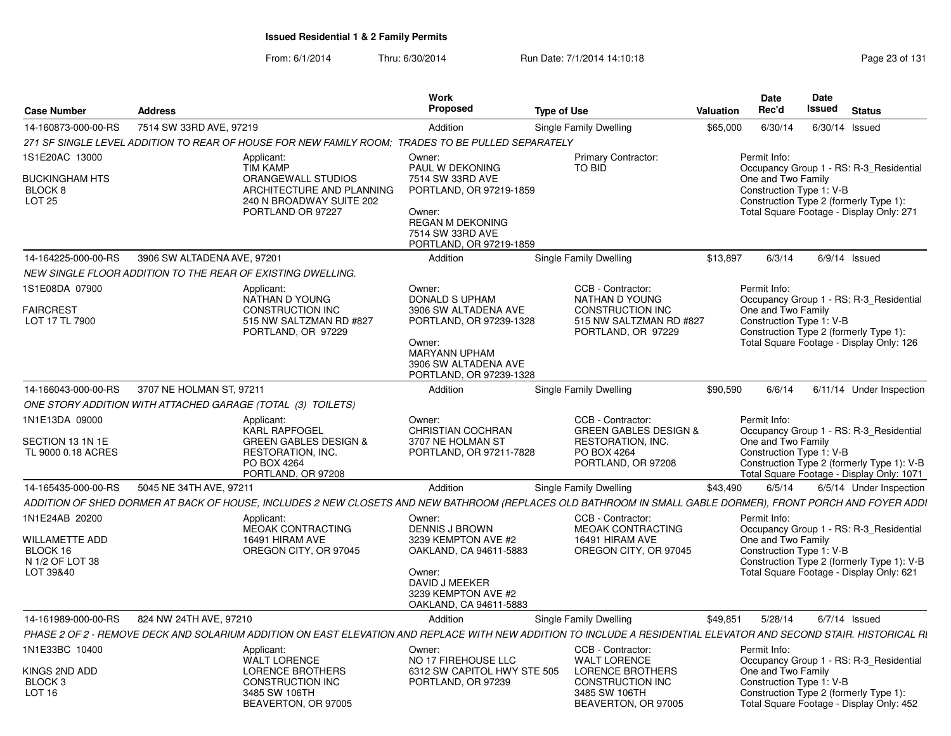| <b>Case Number</b>                                                             | <b>Address</b>                                                                                                                   | Work<br><b>Proposed</b>                                                                                                                                                                   | <b>Type of Use</b>                                                                                                                     | Valuation | <b>Date</b><br>Rec'd                                           | Date<br>Issued | <b>Status</b>                                                                                                                      |  |
|--------------------------------------------------------------------------------|----------------------------------------------------------------------------------------------------------------------------------|-------------------------------------------------------------------------------------------------------------------------------------------------------------------------------------------|----------------------------------------------------------------------------------------------------------------------------------------|-----------|----------------------------------------------------------------|----------------|------------------------------------------------------------------------------------------------------------------------------------|--|
| 14-160873-000-00-RS                                                            | 7514 SW 33RD AVE, 97219                                                                                                          | Addition                                                                                                                                                                                  | Single Family Dwelling                                                                                                                 | \$65,000  | 6/30/14                                                        |                | $6/30/14$ Issued                                                                                                                   |  |
|                                                                                |                                                                                                                                  | 271 SF SINGLE LEVEL ADDITION TO REAR OF HOUSE FOR NEW FAMILY ROOM; TRADES TO BE PULLED SEPARATELY                                                                                         |                                                                                                                                        |           |                                                                |                |                                                                                                                                    |  |
| 1S1E20AC 13000<br><b>BUCKINGHAM HTS</b><br><b>BLOCK 8</b><br>LOT <sub>25</sub> | Applicant:<br><b>TIM KAMP</b><br>ORANGEWALL STUDIOS<br>240 N BROADWAY SUITE 202<br>PORTLAND OR 97227                             | Owner:<br>PAUL W DEKONING<br>7514 SW 33RD AVE<br>PORTLAND, OR 97219-1859<br>ARCHITECTURE AND PLANNING<br>Owner:<br><b>REGAN M DEKONING</b><br>7514 SW 33RD AVE<br>PORTLAND, OR 97219-1859 | Primary Contractor:<br>TO BID                                                                                                          |           | Permit Info:<br>One and Two Family<br>Construction Type 1: V-B |                | Occupancy Group 1 - RS: R-3 Residential<br>Construction Type 2 (formerly Type 1):<br>Total Square Footage - Display Only: 271      |  |
| 14-164225-000-00-RS                                                            | 3906 SW ALTADENA AVE, 97201                                                                                                      | Addition                                                                                                                                                                                  | Single Family Dwelling                                                                                                                 | \$13,897  | 6/3/14                                                         |                | $6/9/14$ Issued                                                                                                                    |  |
|                                                                                | NEW SINGLE FLOOR ADDITION TO THE REAR OF EXISTING DWELLING.                                                                      |                                                                                                                                                                                           |                                                                                                                                        |           |                                                                |                |                                                                                                                                    |  |
| 1S1E08DA 07900<br><b>FAIRCREST</b><br>LOT 17 TL 7900                           | Applicant:<br>NATHAN D YOUNG<br><b>CONSTRUCTION INC</b><br>515 NW SALTZMAN RD #827<br>PORTLAND, OR 97229                         | Owner:<br><b>DONALD S UPHAM</b><br>3906 SW ALTADENA AVE<br>PORTLAND, OR 97239-1328<br>Owner:<br><b>MARYANN UPHAM</b><br>3906 SW ALTADENA AVE<br>PORTLAND, OR 97239-1328                   | CCB - Contractor:<br>NATHAN D YOUNG<br>CONSTRUCTION INC<br>515 NW SALTZMAN RD #827<br>PORTLAND, OR 97229                               |           | Permit Info:<br>One and Two Family<br>Construction Type 1: V-B |                | Occupancy Group 1 - RS: R-3_Residential<br>Construction Type 2 (formerly Type 1):<br>Total Square Footage - Display Only: 126      |  |
| 14-166043-000-00-RS                                                            | 3707 NE HOLMAN ST, 97211                                                                                                         | Addition                                                                                                                                                                                  | Single Family Dwelling                                                                                                                 | \$90,590  | 6/6/14                                                         |                | 6/11/14 Under Inspection                                                                                                           |  |
|                                                                                | ONE STORY ADDITION WITH ATTACHED GARAGE (TOTAL (3) TOILETS)                                                                      |                                                                                                                                                                                           |                                                                                                                                        |           |                                                                |                |                                                                                                                                    |  |
| 1N1E13DA 09000<br>SECTION 13 1N 1E<br>TL 9000 0.18 ACRES                       | Applicant:<br><b>KARL RAPFOGEL</b><br><b>GREEN GABLES DESIGN &amp;</b><br>RESTORATION, INC.<br>PO BOX 4264<br>PORTLAND, OR 97208 | Owner:<br><b>CHRISTIAN COCHRAN</b><br>3707 NE HOLMAN ST<br>PORTLAND, OR 97211-7828                                                                                                        | CCB - Contractor:<br><b>GREEN GABLES DESIGN &amp;</b><br>RESTORATION, INC.<br>PO BOX 4264<br>PORTLAND, OR 97208                        |           | Permit Info:<br>One and Two Family<br>Construction Type 1: V-B |                | Occupancy Group 1 - RS: R-3 Residential<br>Construction Type 2 (formerly Type 1): V-B<br>Total Square Footage - Display Only: 1071 |  |
| 14-165435-000-00-RS                                                            | 5045 NE 34TH AVE, 97211                                                                                                          | Addition                                                                                                                                                                                  | Single Family Dwelling                                                                                                                 | \$43,490  | 6/5/14                                                         |                | 6/5/14 Under Inspection                                                                                                            |  |
|                                                                                |                                                                                                                                  | ADDITION OF SHED DORMER AT BACK OF HOUSE, INCLUDES 2 NEW CLOSETS AND NEW BATHROOM (REPLACES OLD BATHROOM IN SMALL GABLE DORMER), FRONT PORCH AND FOYER ADDI                               |                                                                                                                                        |           |                                                                |                |                                                                                                                                    |  |
| 1N1E24AB 20200<br>WILLAMETTE ADD<br>BLOCK 16<br>N 1/2 OF LOT 38<br>LOT 39&40   | Applicant:<br><b>MEOAK CONTRACTING</b><br>16491 HIRAM AVE<br>OREGON CITY, OR 97045                                               | Owner:<br><b>DENNIS J BROWN</b><br>3239 KEMPTON AVE #2<br>OAKLAND, CA 94611-5883<br>Owner:<br>DAVID J MEEKER<br>3239 KEMPTON AVE #2<br>OAKLAND, CA 94611-5883                             | CCB - Contractor:<br>MEOAK CONTRACTING<br>16491 HIRAM AVE<br>OREGON CITY, OR 97045                                                     |           | Permit Info:<br>One and Two Family<br>Construction Type 1: V-B |                | Occupancy Group 1 - RS: R-3 Residential<br>Construction Type 2 (formerly Type 1): V-B<br>Total Square Footage - Display Only: 621  |  |
| 14-161989-000-00-RS                                                            | 824 NW 24TH AVE, 97210                                                                                                           | Addition                                                                                                                                                                                  | Single Family Dwelling                                                                                                                 | \$49.851  | 5/28/14                                                        |                | $6/7/14$ Issued                                                                                                                    |  |
|                                                                                |                                                                                                                                  | PHASE 2 OF 2 - REMOVE DECK AND SOLARIUM ADDITION ON EAST ELEVATION AND REPLACE WITH NEW ADDITION TO INCLUDE A RESIDENTIAL ELEVATOR AND SECOND STAIR. HISTORICAL RI                        |                                                                                                                                        |           |                                                                |                |                                                                                                                                    |  |
| 1N1E33BC 10400<br>KINGS 2ND ADD<br>BLOCK <sub>3</sub><br>LOT <sub>16</sub>     | Applicant:<br><b>WALT LORENCE</b><br><b>LORENCE BROTHERS</b><br>CONSTRUCTION INC<br>3485 SW 106TH<br>BEAVERTON, OR 97005         | Owner:<br>NO 17 FIREHOUSE LLC<br>6312 SW CAPITOL HWY STE 505<br>PORTLAND, OR 97239                                                                                                        | CCB - Contractor:<br><b>WALT LORENCE</b><br><b>LORENCE BROTHERS</b><br><b>CONSTRUCTION INC</b><br>3485 SW 106TH<br>BEAVERTON, OR 97005 |           | Permit Info:<br>One and Two Family<br>Construction Type 1: V-B |                | Occupancy Group 1 - RS: R-3_Residential<br>Construction Type 2 (formerly Type 1):<br>Total Square Footage - Display Only: 452      |  |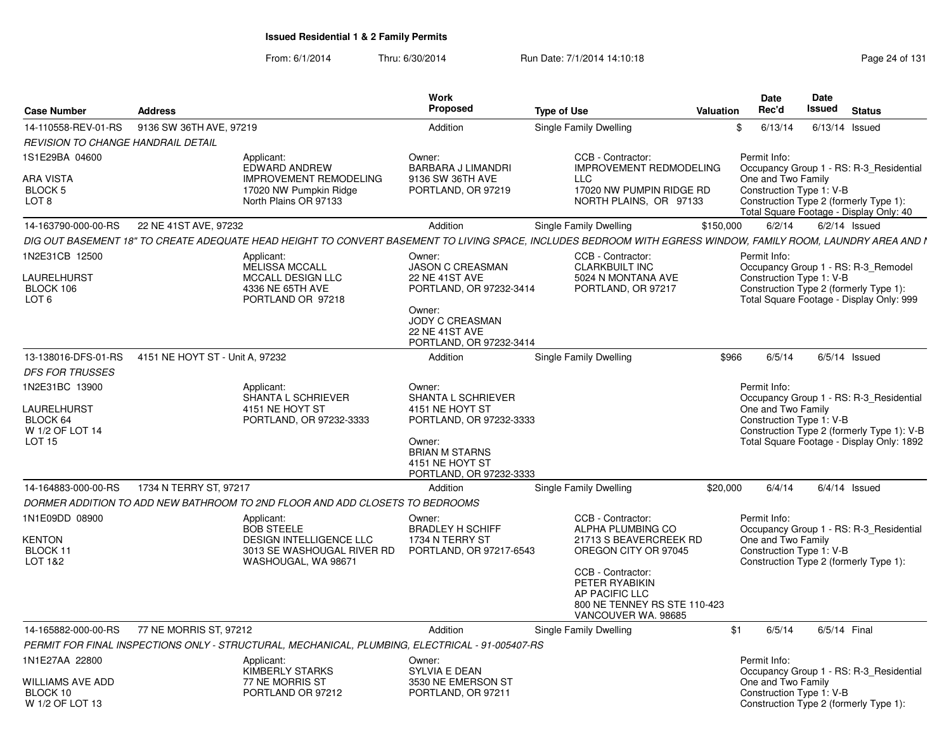| <b>Case Number</b>                                                            | <b>Address</b>                  |                                                                                                                                                               | Work<br><b>Proposed</b>                                                                                                                                     | <b>Type of Use</b> |                                                                                                                                                                                                          | <b>Valuation</b> |       | Date<br>Rec'd                                                  | Date<br>Issued | <b>Status</b>                                                                                                                      |
|-------------------------------------------------------------------------------|---------------------------------|---------------------------------------------------------------------------------------------------------------------------------------------------------------|-------------------------------------------------------------------------------------------------------------------------------------------------------------|--------------------|----------------------------------------------------------------------------------------------------------------------------------------------------------------------------------------------------------|------------------|-------|----------------------------------------------------------------|----------------|------------------------------------------------------------------------------------------------------------------------------------|
| 14-110558-REV-01-RS                                                           | 9136 SW 36TH AVE, 97219         |                                                                                                                                                               | Addition                                                                                                                                                    |                    | Single Family Dwelling                                                                                                                                                                                   |                  | \$    | 6/13/14                                                        |                | $6/13/14$ Issued                                                                                                                   |
| REVISION TO CHANGE HANDRAIL DETAIL                                            |                                 |                                                                                                                                                               |                                                                                                                                                             |                    |                                                                                                                                                                                                          |                  |       |                                                                |                |                                                                                                                                    |
| 1S1E29BA 04600                                                                |                                 | Applicant:<br><b>EDWARD ANDREW</b>                                                                                                                            | Owner:<br><b>BARBARA J LIMANDRI</b>                                                                                                                         |                    | CCB - Contractor:<br><b>IMPROVEMENT REDMODELING</b>                                                                                                                                                      |                  |       | Permit Info:                                                   |                | Occupancy Group 1 - RS: R-3_Residential                                                                                            |
| ARA VISTA<br>BLOCK 5<br>LOT <sub>8</sub>                                      |                                 | <b>IMPROVEMENT REMODELING</b><br>17020 NW Pumpkin Ridge<br>North Plains OR 97133                                                                              | 9136 SW 36TH AVE<br>PORTLAND, OR 97219                                                                                                                      |                    | <b>LLC</b><br>17020 NW PUMPIN RIDGE RD<br>NORTH PLAINS, OR 97133                                                                                                                                         |                  |       | One and Two Family<br>Construction Type 1: V-B                 |                | Construction Type 2 (formerly Type 1):<br>Total Square Footage - Display Only: 40                                                  |
| 14-163790-000-00-RS                                                           | 22 NE 41ST AVE, 97232           |                                                                                                                                                               | Addition                                                                                                                                                    |                    | Single Family Dwelling                                                                                                                                                                                   | \$150,000        |       | 6/2/14                                                         |                | $6/2/14$ Issued                                                                                                                    |
|                                                                               |                                 | DIG OUT BASEMENT 18" TO CREATE ADEQUATE HEAD HEIGHT TO CONVERT BASEMENT TO LIVING SPACE, INCLUDES BEDROOM WITH EGRESS WINDOW, FAMILY ROOM, LAUNDRY AREA AND I |                                                                                                                                                             |                    |                                                                                                                                                                                                          |                  |       |                                                                |                |                                                                                                                                    |
| 1N2E31CB 12500<br>LAURELHURST<br>BLOCK 106                                    |                                 | Applicant:<br>MELISSA MCCALL<br>MCCALL DESIGN LLC<br>4336 NE 65TH AVE                                                                                         | Owner:<br><b>JASON C CREASMAN</b><br><b>22 NE 41ST AVE</b><br>PORTLAND, OR 97232-3414                                                                       |                    | CCB - Contractor:<br><b>CLARKBUILT INC</b><br>5024 N MONTANA AVE<br>PORTLAND, OR 97217                                                                                                                   |                  |       | Permit Info:<br>Construction Type 1: V-B                       |                | Occupancy Group 1 - RS: R-3_Remodel<br>Construction Type 2 (formerly Type 1):                                                      |
| LOT <sub>6</sub>                                                              |                                 | PORTLAND OR 97218                                                                                                                                             | Owner:<br><b>JODY C CREASMAN</b><br><b>22 NE 41ST AVE</b><br>PORTLAND, OR 97232-3414                                                                        |                    |                                                                                                                                                                                                          |                  |       |                                                                |                | Total Square Footage - Display Only: 999                                                                                           |
| 13-138016-DFS-01-RS                                                           | 4151 NE HOYT ST - Unit A, 97232 |                                                                                                                                                               | Addition                                                                                                                                                    |                    | Single Family Dwelling                                                                                                                                                                                   |                  | \$966 | 6/5/14                                                         |                | $6/5/14$ Issued                                                                                                                    |
| <b>DFS FOR TRUSSES</b>                                                        |                                 |                                                                                                                                                               |                                                                                                                                                             |                    |                                                                                                                                                                                                          |                  |       |                                                                |                |                                                                                                                                    |
| 1N2E31BC 13900<br>LAURELHURST<br>BLOCK 64<br>W 1/2 OF LOT 14<br><b>LOT 15</b> |                                 | Applicant:<br>SHANTA L SCHRIEVER<br>4151 NE HOYT ST<br>PORTLAND, OR 97232-3333                                                                                | Owner:<br>SHANTA L SCHRIEVER<br>4151 NE HOYT ST<br>PORTLAND, OR 97232-3333<br>Owner:<br><b>BRIAN M STARNS</b><br>4151 NE HOYT ST<br>PORTLAND, OR 97232-3333 |                    |                                                                                                                                                                                                          |                  |       | Permit Info:<br>One and Two Family<br>Construction Type 1: V-B |                | Occupancy Group 1 - RS: R-3_Residential<br>Construction Type 2 (formerly Type 1): V-B<br>Total Square Footage - Display Only: 1892 |
| 14-164883-000-00-RS                                                           | 1734 N TERRY ST, 97217          |                                                                                                                                                               | Addition                                                                                                                                                    |                    | Single Family Dwelling                                                                                                                                                                                   | \$20,000         |       | 6/4/14                                                         |                | $6/4/14$ Issued                                                                                                                    |
|                                                                               |                                 | DORMER ADDITION TO ADD NEW BATHROOM TO 2ND FLOOR AND ADD CLOSETS TO BEDROOMS                                                                                  |                                                                                                                                                             |                    |                                                                                                                                                                                                          |                  |       |                                                                |                |                                                                                                                                    |
| 1N1E09DD 08900<br>KENTON<br>BLOCK 11<br>LOT 1&2                               |                                 | Applicant:<br><b>BOB STEELE</b><br><b>DESIGN INTELLIGENCE LLC</b><br>3013 SE WASHOUGAL RIVER RD<br>WASHOUGAL, WA 98671                                        | Owner:<br><b>BRADLEY H SCHIFF</b><br>1734 N TERRY ST<br>PORTLAND, OR 97217-6543                                                                             |                    | CCB - Contractor:<br>ALPHA PLUMBING CO<br>21713 S BEAVERCREEK RD<br>OREGON CITY OR 97045<br>CCB - Contractor:<br>PETER RYABIKIN<br>AP PACIFIC LLC<br>800 NE TENNEY RS STE 110-423<br>VANCOUVER WA. 98685 |                  |       | Permit Info:<br>One and Two Family<br>Construction Type 1: V-B |                | Occupancy Group 1 - RS: R-3 Residential<br>Construction Type 2 (formerly Type 1):                                                  |
| 14-165882-000-00-RS                                                           | 77 NE MORRIS ST, 97212          |                                                                                                                                                               | Addition                                                                                                                                                    |                    | Single Family Dwelling                                                                                                                                                                                   |                  | \$1   | 6/5/14                                                         | 6/5/14 Final   |                                                                                                                                    |
|                                                                               |                                 | PERMIT FOR FINAL INSPECTIONS ONLY - STRUCTURAL, MECHANICAL, PLUMBING, ELECTRICAL - 91-005407-RS                                                               |                                                                                                                                                             |                    |                                                                                                                                                                                                          |                  |       |                                                                |                |                                                                                                                                    |
| 1N1E27AA 22800                                                                |                                 | Applicant:<br><b>KIMBERLY STARKS</b>                                                                                                                          | Owner:<br>SYLVIA E DEAN                                                                                                                                     |                    |                                                                                                                                                                                                          |                  |       | Permit Info:                                                   |                | Occupancy Group 1 - RS: R-3_Residential                                                                                            |
| WILLIAMS AVE ADD<br>BLOCK 10<br>W 1/2 OF LOT 13                               |                                 | 77 NE MORRIS ST<br>PORTLAND OR 97212                                                                                                                          | 3530 NE EMERSON ST<br>PORTLAND, OR 97211                                                                                                                    |                    |                                                                                                                                                                                                          |                  |       | One and Two Family<br>Construction Type 1: V-B                 |                | Construction Type 2 (formerly Type 1):                                                                                             |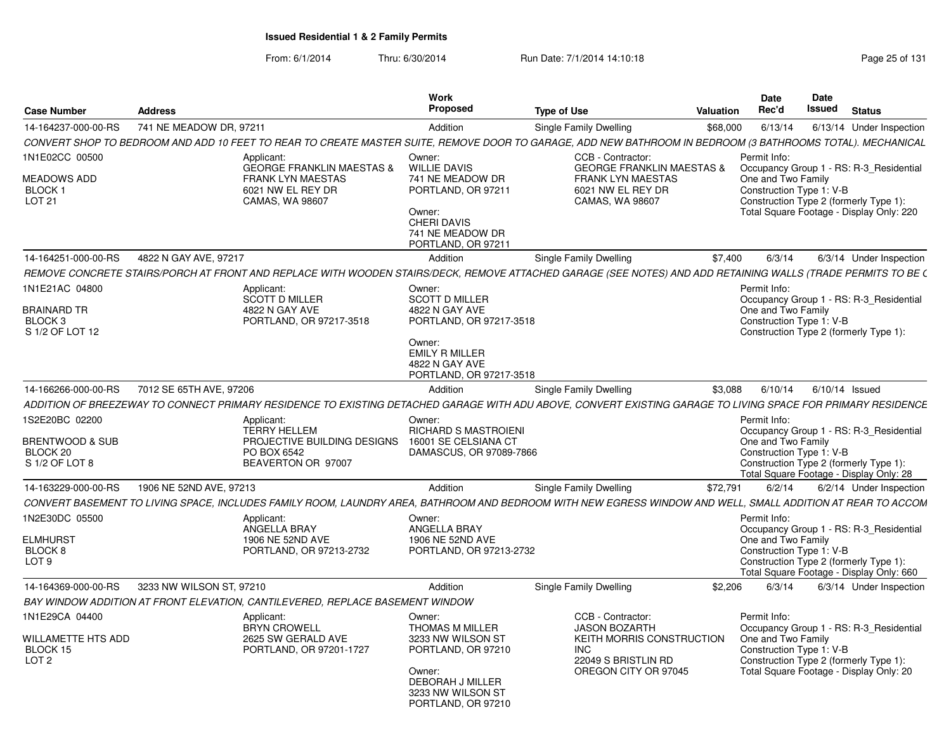| <b>Case Number</b>                                                          | <b>Address</b>           |                                                                                                                                                              | Work<br><b>Proposed</b>                                                                                                                                      | <b>Type of Use</b>                                                                                                                  | <b>Valuation</b> | <b>Date</b><br>Rec'd                                           | Date<br>Issued | <b>Status</b>                                                                                                                 |
|-----------------------------------------------------------------------------|--------------------------|--------------------------------------------------------------------------------------------------------------------------------------------------------------|--------------------------------------------------------------------------------------------------------------------------------------------------------------|-------------------------------------------------------------------------------------------------------------------------------------|------------------|----------------------------------------------------------------|----------------|-------------------------------------------------------------------------------------------------------------------------------|
| 14-164237-000-00-RS                                                         | 741 NE MEADOW DR. 97211  |                                                                                                                                                              | Addition                                                                                                                                                     | Single Family Dwelling                                                                                                              | \$68,000         | 6/13/14                                                        |                | 6/13/14 Under Inspection                                                                                                      |
|                                                                             |                          | CONVERT SHOP TO BEDROOM AND ADD 10 FEET TO REAR TO CREATE MASTER SUITE, REMOVE DOOR TO GARAGE, ADD NEW BATHROOM IN BEDROOM (3 BATHROOMS TOTAL). MECHANICAL   |                                                                                                                                                              |                                                                                                                                     |                  |                                                                |                |                                                                                                                               |
| 1N1E02CC 00500                                                              |                          | Applicant:                                                                                                                                                   | Owner:                                                                                                                                                       | CCB - Contractor:                                                                                                                   |                  | Permit Info:                                                   |                |                                                                                                                               |
| <b>MEADOWS ADD</b><br>BLOCK <sub>1</sub><br>LOT <sub>21</sub>               |                          | <b>GEORGE FRANKLIN MAESTAS &amp;</b><br><b>FRANK LYN MAESTAS</b><br>6021 NW EL REY DR<br>CAMAS, WA 98607                                                     | <b>WILLIE DAVIS</b><br>741 NE MEADOW DR<br>PORTLAND, OR 97211<br>Owner:<br><b>CHERI DAVIS</b><br>741 NE MEADOW DR<br>PORTLAND, OR 97211                      | <b>GEORGE FRANKLIN MAESTAS &amp;</b><br><b>FRANK LYN MAESTAS</b><br>6021 NW EL REY DR<br>CAMAS, WA 98607                            |                  | One and Two Family<br>Construction Type 1: V-B                 |                | Occupancy Group 1 - RS: R-3_Residential<br>Construction Type 2 (formerly Type 1):<br>Total Square Footage - Display Only: 220 |
| 14-164251-000-00-RS                                                         | 4822 N GAY AVE, 97217    |                                                                                                                                                              | Addition                                                                                                                                                     | Single Family Dwelling                                                                                                              | \$7.400          | 6/3/14                                                         |                | 6/3/14 Under Inspection                                                                                                       |
|                                                                             |                          | REMOVE CONCRETE STAIRS/PORCH AT FRONT AND REPLACE WITH WOODEN STAIRS/DECK, REMOVE ATTACHED GARAGE (SEE NOTES) AND ADD RETAINING WALLS (TRADE PERMITS TO BE ( |                                                                                                                                                              |                                                                                                                                     |                  |                                                                |                |                                                                                                                               |
| 1N1E21AC 04800<br>BRAINARD TR<br>BLOCK <sub>3</sub><br>S 1/2 OF LOT 12      |                          | Applicant:<br><b>SCOTT D MILLER</b><br>4822 N GAY AVE<br>PORTLAND, OR 97217-3518                                                                             | Owner:<br><b>SCOTT D MILLER</b><br>4822 N GAY AVE<br>PORTLAND, OR 97217-3518<br>Owner:<br><b>EMILY R MILLER</b><br>4822 N GAY AVE<br>PORTLAND, OR 97217-3518 |                                                                                                                                     |                  | Permit Info:<br>One and Two Family<br>Construction Type 1: V-B |                | Occupancy Group 1 - RS: R-3 Residential<br>Construction Type 2 (formerly Type 1):                                             |
| 14-166266-000-00-RS                                                         | 7012 SE 65TH AVE, 97206  |                                                                                                                                                              | Addition                                                                                                                                                     | Single Family Dwelling                                                                                                              | \$3,088          | 6/10/14                                                        |                | $6/10/14$ Issued                                                                                                              |
|                                                                             |                          | ADDITION OF BREEZEWAY TO CONNECT PRIMARY RESIDENCE TO EXISTING DETACHED GARAGE WITH ADU ABOVE. CONVERT EXISTING GARAGE TO LIVING SPACE FOR PRIMARY RESIDENCE |                                                                                                                                                              |                                                                                                                                     |                  |                                                                |                |                                                                                                                               |
| 1S2E20BC 02200<br><b>BRENTWOOD &amp; SUB</b><br>BLOCK 20<br>S 1/2 OF LOT 8  |                          | Applicant:<br><b>TERRY HELLEM</b><br>PROJECTIVE BUILDING DESIGNS<br>PO BOX 6542<br>BEAVERTON OR 97007                                                        | Owner:<br><b>RICHARD S MASTROIENI</b><br>16001 SE CELSIANA CT<br>DAMASCUS, OR 97089-7866                                                                     |                                                                                                                                     |                  | Permit Info:<br>One and Two Family<br>Construction Type 1: V-B |                | Occupancy Group 1 - RS: R-3 Residential<br>Construction Type 2 (formerly Type 1):<br>Total Square Footage - Display Only: 28  |
| 14-163229-000-00-RS                                                         | 1906 NE 52ND AVE, 97213  |                                                                                                                                                              | Addition                                                                                                                                                     | Single Family Dwelling                                                                                                              | \$72,791         | 6/2/14                                                         |                | 6/2/14 Under Inspection                                                                                                       |
|                                                                             |                          | CONVERT BASEMENT TO LIVING SPACE, INCLUDES FAMILY ROOM, LAUNDRY AREA, BATHROOM AND BEDROOM WITH NEW EGRESS WINDOW AND WELL, SMALL ADDITION AT REAR TO ACCOM  |                                                                                                                                                              |                                                                                                                                     |                  |                                                                |                |                                                                                                                               |
| 1N2E30DC 05500<br><b>ELMHURST</b><br>BLOCK 8<br>LOT <sub>9</sub>            |                          | Applicant:<br>ANGELLA BRAY<br>1906 NE 52ND AVE<br>PORTLAND, OR 97213-2732                                                                                    | Owner:<br><b>ANGELLA BRAY</b><br>1906 NE 52ND AVE<br>PORTLAND, OR 97213-2732                                                                                 |                                                                                                                                     |                  | Permit Info:<br>One and Two Family<br>Construction Type 1: V-B |                | Occupancy Group 1 - RS: R-3_Residential<br>Construction Type 2 (formerly Type 1):<br>Total Square Footage - Display Only: 660 |
| 14-164369-000-00-RS                                                         | 3233 NW WILSON ST, 97210 |                                                                                                                                                              | Addition                                                                                                                                                     | Single Family Dwelling                                                                                                              | \$2,206          | 6/3/14                                                         |                | 6/3/14 Under Inspection                                                                                                       |
|                                                                             |                          | BAY WINDOW ADDITION AT FRONT ELEVATION. CANTILEVERED. REPLACE BASEMENT WINDOW                                                                                |                                                                                                                                                              |                                                                                                                                     |                  |                                                                |                |                                                                                                                               |
| 1N1E29CA 04400<br><b>WILLAMETTE HTS ADD</b><br>BLOCK 15<br>LOT <sub>2</sub> |                          | Applicant:<br><b>BRYN CROWELL</b><br>2625 SW GERALD AVE<br>PORTLAND, OR 97201-1727                                                                           | Owner:<br>THOMAS M MILLER<br>3233 NW WILSON ST<br>PORTLAND, OR 97210<br>Owner:<br><b>DEBORAH J MILLER</b><br>3233 NW WILSON ST<br>PORTLAND, OR 97210         | CCB - Contractor:<br><b>JASON BOZARTH</b><br>KEITH MORRIS CONSTRUCTION<br><b>INC</b><br>22049 S BRISTLIN RD<br>OREGON CITY OR 97045 |                  | Permit Info:<br>One and Two Family<br>Construction Type 1: V-B |                | Occupancy Group 1 - RS: R-3 Residential<br>Construction Type 2 (formerly Type 1):<br>Total Square Footage - Display Only: 20  |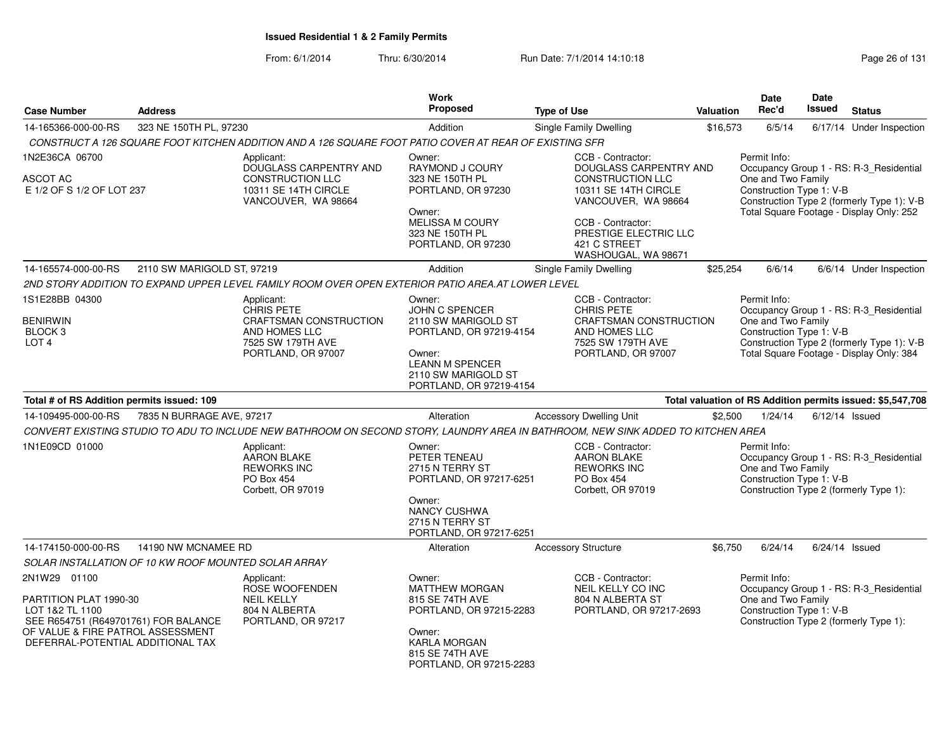|                                                                                                                                                                             |                                                      |                                                                                                                                  | <b>Work</b>                                                                                                                                                             |                                                                                                                                                                                                            |                  | <b>Date</b>                                                    | Date             |                                                                                                                                   |
|-----------------------------------------------------------------------------------------------------------------------------------------------------------------------------|------------------------------------------------------|----------------------------------------------------------------------------------------------------------------------------------|-------------------------------------------------------------------------------------------------------------------------------------------------------------------------|------------------------------------------------------------------------------------------------------------------------------------------------------------------------------------------------------------|------------------|----------------------------------------------------------------|------------------|-----------------------------------------------------------------------------------------------------------------------------------|
| <b>Case Number</b>                                                                                                                                                          | <b>Address</b>                                       |                                                                                                                                  | Proposed                                                                                                                                                                | <b>Type of Use</b>                                                                                                                                                                                         | <b>Valuation</b> | Rec'd                                                          | Issued           | <b>Status</b>                                                                                                                     |
| 14-165366-000-00-RS                                                                                                                                                         | 323 NE 150TH PL, 97230                               |                                                                                                                                  | Addition                                                                                                                                                                | <b>Single Family Dwelling</b>                                                                                                                                                                              | \$16,573         | 6/5/14                                                         | 6/17/14          | Under Inspection                                                                                                                  |
|                                                                                                                                                                             |                                                      | CONSTRUCT A 126 SQUARE FOOT KITCHEN ADDITION AND A 126 SQUARE FOOT PATIO COVER AT REAR OF EXISTING SFR                           |                                                                                                                                                                         |                                                                                                                                                                                                            |                  |                                                                |                  |                                                                                                                                   |
| 1N2E36CA 06700<br>ASCOT AC<br>E 1/2 OF S 1/2 OF LOT 237                                                                                                                     |                                                      | Applicant:<br>DOUGLASS CARPENTRY AND<br><b>CONSTRUCTION LLC</b><br>10311 SE 14TH CIRCLE<br>VANCOUVER, WA 98664                   | Owner:<br>RAYMOND J COURY<br>323 NE 150TH PL<br>PORTLAND, OR 97230<br>Owner:<br>MELISSA M COURY<br>323 NE 150TH PL<br>PORTLAND, OR 97230                                | CCB - Contractor:<br>DOUGLASS CARPENTRY AND<br><b>CONSTRUCTION LLC</b><br>10311 SE 14TH CIRCLE<br>VANCOUVER, WA 98664<br>CCB - Contractor:<br>PRESTIGE ELECTRIC LLC<br>421 C STREET<br>WASHOUGAL, WA 98671 |                  | Permit Info:<br>One and Two Family<br>Construction Type 1: V-B |                  | Occupancy Group 1 - RS: R-3_Residential<br>Construction Type 2 (formerly Type 1): V-B<br>Total Square Footage - Display Only: 252 |
| 14-165574-000-00-RS                                                                                                                                                         | 2110 SW MARIGOLD ST, 97219                           |                                                                                                                                  | Addition                                                                                                                                                                | Single Family Dwelling                                                                                                                                                                                     | \$25,254         | 6/6/14                                                         |                  | 6/6/14 Under Inspection                                                                                                           |
|                                                                                                                                                                             |                                                      | 2ND STORY ADDITION TO EXPAND UPPER LEVEL FAMILY ROOM OVER OPEN EXTERIOR PATIO AREA.AT LOWER LEVEL                                |                                                                                                                                                                         |                                                                                                                                                                                                            |                  |                                                                |                  |                                                                                                                                   |
| 1S1E28BB 04300<br><b>BENIRWIN</b><br>BLOCK 3<br>LOT <sub>4</sub>                                                                                                            |                                                      | Applicant:<br><b>CHRIS PETE</b><br>CRAFTSMAN CONSTRUCTION<br>AND HOMES LLC<br>7525 SW 179TH AVE<br>PORTLAND, OR 97007            | Owner:<br><b>JOHN C SPENCER</b><br>2110 SW MARIGOLD ST<br>PORTLAND, OR 97219-4154<br>Owner:<br><b>LEANN M SPENCER</b><br>2110 SW MARIGOLD ST<br>PORTLAND, OR 97219-4154 | CCB - Contractor:<br><b>CHRIS PETE</b><br>CRAFTSMAN CONSTRUCTION<br>AND HOMES LLC<br>7525 SW 179TH AVE<br>PORTLAND, OR 97007                                                                               |                  | Permit Info:<br>One and Two Family<br>Construction Type 1: V-B |                  | Occupancy Group 1 - RS: R-3_Residential<br>Construction Type 2 (formerly Type 1): V-B<br>Total Square Footage - Display Only: 384 |
| Total # of RS Addition permits issued: 109                                                                                                                                  |                                                      |                                                                                                                                  |                                                                                                                                                                         |                                                                                                                                                                                                            |                  |                                                                |                  | Total valuation of RS Addition permits issued: \$5,547,708                                                                        |
| 14-109495-000-00-RS                                                                                                                                                         | 7835 N BURRAGE AVE, 97217                            |                                                                                                                                  | Alteration                                                                                                                                                              | <b>Accessory Dwelling Unit</b>                                                                                                                                                                             | \$2,500          | 1/24/14                                                        | $6/12/14$ Issued |                                                                                                                                   |
|                                                                                                                                                                             |                                                      | CONVERT EXISTING STUDIO TO ADU TO INCLUDE NEW BATHROOM ON SECOND STORY, LAUNDRY AREA IN BATHROOM, NEW SINK ADDED TO KITCHEN AREA |                                                                                                                                                                         |                                                                                                                                                                                                            |                  |                                                                |                  |                                                                                                                                   |
| 1N1E09CD 01000                                                                                                                                                              |                                                      | Applicant:<br><b>AARON BLAKE</b><br><b>REWORKS INC</b><br>PO Box 454<br>Corbett, OR 97019                                        | Owner:<br>PETER TENEAU<br>2715 N TERRY ST<br>PORTLAND, OR 97217-6251<br>Owner:<br>NANCY CUSHWA<br>2715 N TERRY ST<br>PORTLAND, OR 97217-6251                            | CCB - Contractor:<br><b>AARON BLAKE</b><br><b>REWORKS INC</b><br>PO Box 454<br>Corbett, OR 97019                                                                                                           |                  | Permit Info:<br>One and Two Family<br>Construction Type 1: V-B |                  | Occupancy Group 1 - RS: R-3_Residential<br>Construction Type 2 (formerly Type 1):                                                 |
| 14-174150-000-00-RS                                                                                                                                                         | 14190 NW MCNAMEE RD                                  |                                                                                                                                  | Alteration                                                                                                                                                              | <b>Accessory Structure</b>                                                                                                                                                                                 | \$6,750          | 6/24/14                                                        | $6/24/14$ Issued |                                                                                                                                   |
|                                                                                                                                                                             | SOLAR INSTALLATION OF 10 KW ROOF MOUNTED SOLAR ARRAY |                                                                                                                                  |                                                                                                                                                                         |                                                                                                                                                                                                            |                  |                                                                |                  |                                                                                                                                   |
| 2N1W29 01100<br>PARTITION PLAT 1990-30<br>LOT 1&2 TL 1100<br>SEE R654751 (R649701761) FOR BALANCE<br>OF VALUE & FIRE PATROL ASSESSMENT<br>DEFERRAL-POTENTIAL ADDITIONAL TAX |                                                      | Applicant:<br>ROSE WOOFENDEN<br><b>NEIL KELLY</b><br>804 N ALBERTA<br>PORTLAND, OR 97217                                         | Owner:<br><b>MATTHEW MORGAN</b><br>815 SE 74TH AVE<br>PORTLAND, OR 97215-2283<br>Owner:<br>KARLA MORGAN<br>815 SE 74TH AVE<br>PORTLAND, OR 97215-2283                   | CCB - Contractor:<br>NEIL KELLY CO INC<br>804 N ALBERTA ST<br>PORTLAND, OR 97217-2693                                                                                                                      |                  | Permit Info:<br>One and Two Family<br>Construction Type 1: V-B |                  | Occupancy Group 1 - RS: R-3_Residential<br>Construction Type 2 (formerly Type 1):                                                 |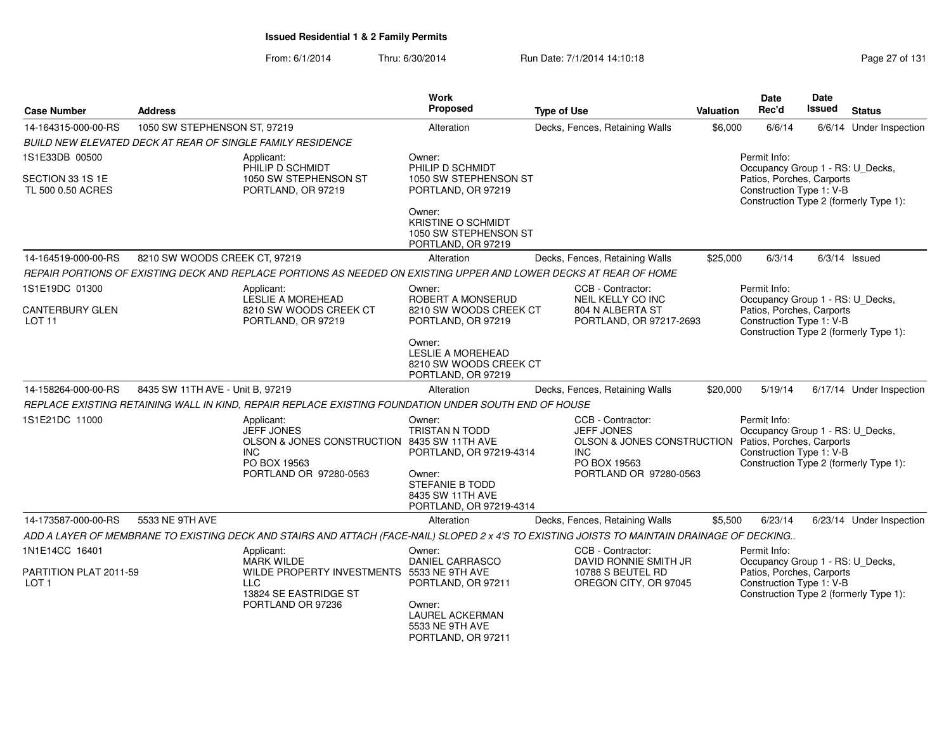| <b>Case Number</b>                         | <b>Address</b>                   |                                                                                                                                              | Work<br>Proposed                                                                                            | <b>Type of Use</b>                                                                                 | <b>Valuation</b> | <b>Date</b><br>Rec'd                                                                                                                                | Date<br><b>Issued</b> | <b>Status</b>            |
|--------------------------------------------|----------------------------------|----------------------------------------------------------------------------------------------------------------------------------------------|-------------------------------------------------------------------------------------------------------------|----------------------------------------------------------------------------------------------------|------------------|-----------------------------------------------------------------------------------------------------------------------------------------------------|-----------------------|--------------------------|
| 14-164315-000-00-RS                        | 1050 SW STEPHENSON ST, 97219     |                                                                                                                                              | Alteration                                                                                                  | Decks, Fences, Retaining Walls                                                                     | \$6,000          | 6/6/14                                                                                                                                              | 6/6/14                | <b>Under Inspection</b>  |
|                                            |                                  | BUILD NEW ELEVATED DECK AT REAR OF SINGLE FAMILY RESIDENCE                                                                                   |                                                                                                             |                                                                                                    |                  |                                                                                                                                                     |                       |                          |
| 1S1E33DB 00500                             |                                  | Applicant:<br>PHILIP D SCHMIDT                                                                                                               | Owner:<br>PHILIP D SCHMIDT                                                                                  |                                                                                                    |                  | Permit Info:<br>Occupancy Group 1 - RS: U_Decks,                                                                                                    |                       |                          |
| SECTION 33 1S 1E<br>TL 500 0.50 ACRES      |                                  | 1050 SW STEPHENSON ST<br>PORTLAND, OR 97219                                                                                                  | 1050 SW STEPHENSON ST<br>PORTLAND, OR 97219                                                                 |                                                                                                    |                  | Patios, Porches, Carports<br>Construction Type 1: V-B<br>Construction Type 2 (formerly Type 1):                                                     |                       |                          |
|                                            |                                  |                                                                                                                                              | Owner:<br><b>KRISTINE O SCHMIDT</b><br>1050 SW STEPHENSON ST<br>PORTLAND, OR 97219                          |                                                                                                    |                  |                                                                                                                                                     |                       |                          |
| 14-164519-000-00-RS                        | 8210 SW WOODS CREEK CT, 97219    |                                                                                                                                              | Alteration                                                                                                  | Decks, Fences, Retaining Walls                                                                     | \$25,000         | 6/3/14                                                                                                                                              |                       | $6/3/14$ Issued          |
|                                            |                                  | REPAIR PORTIONS OF EXISTING DECK AND REPLACE PORTIONS AS NEEDED ON EXISTING UPPER AND LOWER DECKS AT REAR OF HOME                            |                                                                                                             |                                                                                                    |                  |                                                                                                                                                     |                       |                          |
| 1S1E19DC 01300<br><b>CANTERBURY GLEN</b>   |                                  | Applicant:<br><b>LESLIE A MOREHEAD</b><br>8210 SW WOODS CREEK CT                                                                             | Owner:<br>ROBERT A MONSERUD<br>8210 SW WOODS CREEK CT                                                       | CCB - Contractor:<br>NEIL KELLY CO INC<br>804 N ALBERTA ST                                         |                  | Permit Info:<br>Occupancy Group 1 - RS: U_Decks,<br>Patios, Porches, Carports                                                                       |                       |                          |
| LOT <sub>11</sub>                          |                                  | PORTLAND, OR 97219                                                                                                                           | PORTLAND, OR 97219                                                                                          | PORTLAND, OR 97217-2693                                                                            |                  | Construction Type 1: V-B<br>Construction Type 2 (formerly Type 1):                                                                                  |                       |                          |
|                                            |                                  |                                                                                                                                              | Owner:<br><b>LESLIE A MOREHEAD</b><br>8210 SW WOODS CREEK CT<br>PORTLAND, OR 97219                          |                                                                                                    |                  |                                                                                                                                                     |                       |                          |
| 14-158264-000-00-RS                        | 8435 SW 11TH AVE - Unit B, 97219 |                                                                                                                                              | Alteration                                                                                                  | Decks, Fences, Retaining Walls                                                                     | \$20,000         | 5/19/14                                                                                                                                             |                       | 6/17/14 Under Inspection |
|                                            |                                  | REPLACE EXISTING RETAINING WALL IN KIND, REPAIR REPLACE EXISTING FOUNDATION UNDER SOUTH END OF HOUSE                                         |                                                                                                             |                                                                                                    |                  |                                                                                                                                                     |                       |                          |
| 1S1E21DC 11000                             |                                  | Applicant:<br><b>JEFF JONES</b><br>OLSON & JONES CONSTRUCTION 8435 SW 11TH AVE<br><b>INC</b><br>PO BOX 19563                                 | Owner:<br><b>TRISTAN N TODD</b><br>PORTLAND, OR 97219-4314                                                  | CCB - Contractor:<br><b>JEFF JONES</b><br>OLSON & JONES CONSTRUCTION<br><b>INC</b><br>PO BOX 19563 |                  | Permit Info:<br>Occupancy Group 1 - RS: U Decks,<br>Patios, Porches, Carports<br>Construction Type 1: V-B<br>Construction Type 2 (formerly Type 1): |                       |                          |
|                                            |                                  | PORTLAND OR 97280-0563                                                                                                                       | Owner:<br>STEFANIE B TODD<br>8435 SW 11TH AVE<br>PORTLAND, OR 97219-4314                                    | PORTLAND OR 97280-0563                                                                             |                  |                                                                                                                                                     |                       |                          |
| 14-173587-000-00-RS                        | 5533 NE 9TH AVE                  |                                                                                                                                              | Alteration                                                                                                  | Decks, Fences, Retaining Walls                                                                     | \$5,500          | 6/23/14                                                                                                                                             |                       | 6/23/14 Under Inspection |
|                                            |                                  | ADD A LAYER OF MEMBRANE TO EXISTING DECK AND STAIRS AND ATTACH (FACE-NAIL) SLOPED 2 x 4'S TO EXISTING JOISTS TO MAINTAIN DRAINAGE OF DECKING |                                                                                                             |                                                                                                    |                  |                                                                                                                                                     |                       |                          |
| 1N1E14CC 16401                             |                                  | Applicant:<br><b>MARK WILDE</b>                                                                                                              | Owner:<br><b>DANIEL CARRASCO</b>                                                                            | CCB - Contractor:<br>DAVID RONNIE SMITH JR                                                         |                  | Permit Info:<br>Occupancy Group 1 - RS: U_Decks,                                                                                                    |                       |                          |
| PARTITION PLAT 2011-59<br>LOT <sub>1</sub> |                                  | WILDE PROPERTY INVESTMENTS<br><b>LLC</b><br>13824 SE EASTRIDGE ST<br>PORTLAND OR 97236                                                       | 5533 NE 9TH AVE<br>PORTLAND, OR 97211<br>Owner:<br>LAUREL ACKERMAN<br>5533 NE 9TH AVE<br>PORTLAND, OR 97211 | 10788 S BEUTEL RD<br>OREGON CITY, OR 97045                                                         |                  | Patios, Porches, Carports<br>Construction Type 1: V-B<br>Construction Type 2 (formerly Type 1):                                                     |                       |                          |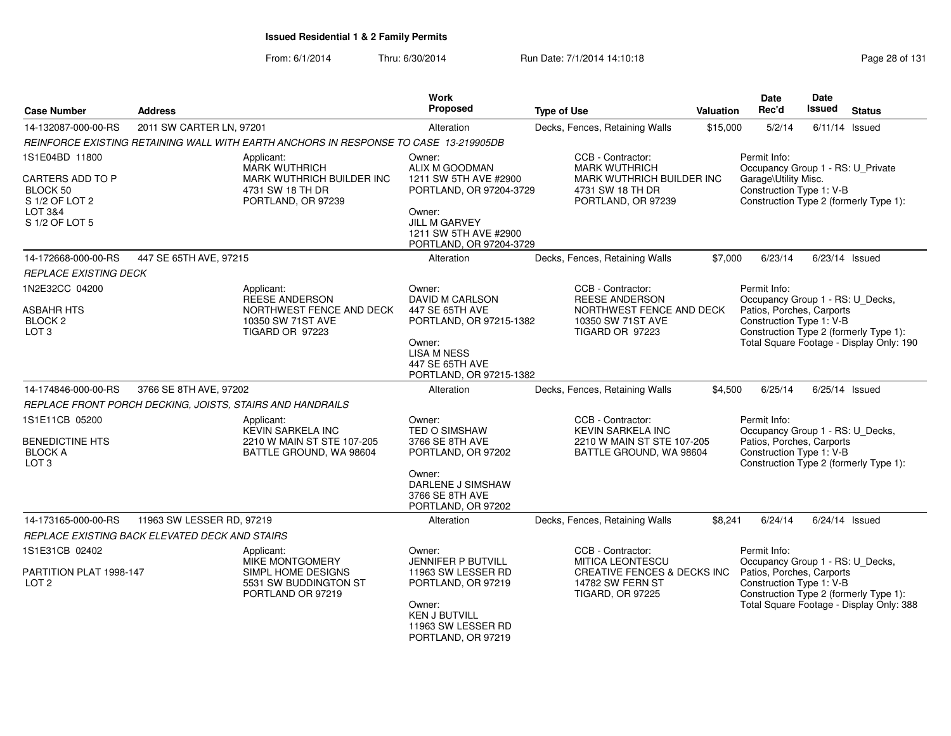| <b>Case Number</b>                                                                            | <b>Address</b>                                 |                                                                                                           | Work<br><b>Proposed</b>                                                                                                                                     | <b>Type of Use</b>                                                                                                         | <b>Valuation</b> | Date<br>Rec'd                                                                                             | Date<br><b>Issued</b> | <b>Status</b>                                                                      |
|-----------------------------------------------------------------------------------------------|------------------------------------------------|-----------------------------------------------------------------------------------------------------------|-------------------------------------------------------------------------------------------------------------------------------------------------------------|----------------------------------------------------------------------------------------------------------------------------|------------------|-----------------------------------------------------------------------------------------------------------|-----------------------|------------------------------------------------------------------------------------|
| 14-132087-000-00-RS                                                                           | 2011 SW CARTER LN, 97201                       |                                                                                                           | Alteration                                                                                                                                                  | Decks, Fences, Retaining Walls                                                                                             | \$15,000         | 5/2/14                                                                                                    |                       | $6/11/14$ Issued                                                                   |
|                                                                                               |                                                | REINFORCE EXISTING RETAINING WALL WITH EARTH ANCHORS IN RESPONSE TO CASE 13-219905DB                      |                                                                                                                                                             |                                                                                                                            |                  |                                                                                                           |                       |                                                                                    |
| 1S1E04BD 11800<br>CARTERS ADD TO P<br>BLOCK 50<br>S 1/2 OF LOT 2<br>LOT 3&4<br>S 1/2 OF LOT 5 |                                                | Applicant:<br><b>MARK WUTHRICH</b><br>MARK WUTHRICH BUILDER INC<br>4731 SW 18 TH DR<br>PORTLAND, OR 97239 | Owner:<br>ALIX M GOODMAN<br>1211 SW 5TH AVE #2900<br>PORTLAND, OR 97204-3729<br>Owner:<br>JILL M GARVEY<br>1211 SW 5TH AVE #2900<br>PORTLAND, OR 97204-3729 | CCB - Contractor:<br><b>MARK WUTHRICH</b><br>MARK WUTHRICH BUILDER INC<br>4731 SW 18 TH DR<br>PORTLAND, OR 97239           |                  | Permit Info:<br>Occupancy Group 1 - RS: U_Private<br>Garage\Utility Misc.<br>Construction Type 1: V-B     |                       | Construction Type 2 (formerly Type 1):                                             |
| 14-172668-000-00-RS                                                                           | 447 SE 65TH AVE, 97215                         |                                                                                                           | Alteration                                                                                                                                                  | Decks, Fences, Retaining Walls                                                                                             | \$7,000          | 6/23/14                                                                                                   |                       | $6/23/14$ Issued                                                                   |
| REPLACE EXISTING DECK                                                                         |                                                |                                                                                                           |                                                                                                                                                             |                                                                                                                            |                  |                                                                                                           |                       |                                                                                    |
| 1N2E32CC 04200<br><b>ASBAHR HTS</b><br>BLOCK <sub>2</sub><br>LOT <sub>3</sub>                 |                                                | Applicant:<br>REESE ANDERSON<br>NORTHWEST FENCE AND DECK<br>10350 SW 71ST AVE<br>TIGARD OR 97223          | Owner:<br>DAVID M CARLSON<br>447 SE 65TH AVE<br>PORTLAND, OR 97215-1382<br>Owner:<br><b>LISA M NESS</b><br>447 SE 65TH AVE<br>PORTLAND, OR 97215-1382       | CCB - Contractor:<br>REESE ANDERSON<br>NORTHWEST FENCE AND DECK<br>10350 SW 71ST AVE<br>TIGARD OR 97223                    |                  | Permit Info:<br>Occupancy Group 1 - RS: U_Decks,<br>Patios, Porches, Carports<br>Construction Type 1: V-B |                       | Construction Type 2 (formerly Type 1):<br>Total Square Footage - Display Only: 190 |
| 14-174846-000-00-RS                                                                           | 3766 SE 8TH AVE, 97202                         |                                                                                                           | Alteration                                                                                                                                                  | Decks, Fences, Retaining Walls                                                                                             | \$4,500          | 6/25/14                                                                                                   |                       | $6/25/14$ Issued                                                                   |
|                                                                                               |                                                | REPLACE FRONT PORCH DECKING, JOISTS, STAIRS AND HANDRAILS                                                 |                                                                                                                                                             |                                                                                                                            |                  |                                                                                                           |                       |                                                                                    |
| 1S1E11CB 05200<br><b>BENEDICTINE HTS</b><br><b>BLOCK A</b><br>LOT <sub>3</sub>                |                                                | Applicant:<br><b>KEVIN SARKELA INC</b><br>2210 W MAIN ST STE 107-205<br>BATTLE GROUND, WA 98604           | Owner:<br><b>TED O SIMSHAW</b><br>3766 SE 8TH AVE<br>PORTLAND, OR 97202<br>Owner:<br>DARLENE J SIMSHAW<br>3766 SE 8TH AVE<br>PORTLAND, OR 97202             | CCB - Contractor:<br><b>KEVIN SARKELA INC</b><br>2210 W MAIN ST STE 107-205<br>BATTLE GROUND, WA 98604                     |                  | Permit Info:<br>Occupancy Group 1 - RS: U_Decks,<br>Patios, Porches, Carports<br>Construction Type 1: V-B |                       | Construction Type 2 (formerly Type 1):                                             |
| 14-173165-000-00-RS                                                                           | 11963 SW LESSER RD, 97219                      |                                                                                                           | Alteration                                                                                                                                                  | Decks, Fences, Retaining Walls                                                                                             | \$8,241          | 6/24/14                                                                                                   |                       | $6/24/14$ Issued                                                                   |
|                                                                                               | REPLACE EXISTING BACK ELEVATED DECK AND STAIRS |                                                                                                           |                                                                                                                                                             |                                                                                                                            |                  |                                                                                                           |                       |                                                                                    |
| 1S1E31CB 02402<br>PARTITION PLAT 1998-147<br>LOT <sub>2</sub>                                 |                                                | Applicant:<br>MIKE MONTGOMERY<br>SIMPL HOME DESIGNS<br>5531 SW BUDDINGTON ST<br>PORTLAND OR 97219         | Owner:<br>JENNIFER P BUTVILL<br>11963 SW LESSER RD<br>PORTLAND, OR 97219<br>Owner:<br><b>KEN J BUTVILL</b><br>11963 SW LESSER RD<br>PORTLAND, OR 97219      | CCB - Contractor:<br><b>MITICA LEONTESCU</b><br>CREATIVE FENCES & DECKS INC<br>14782 SW FERN ST<br><b>TIGARD, OR 97225</b> |                  | Permit Info:<br>Occupancy Group 1 - RS: U_Decks,<br>Patios, Porches, Carports<br>Construction Type 1: V-B |                       | Construction Type 2 (formerly Type 1):<br>Total Square Footage - Display Only: 388 |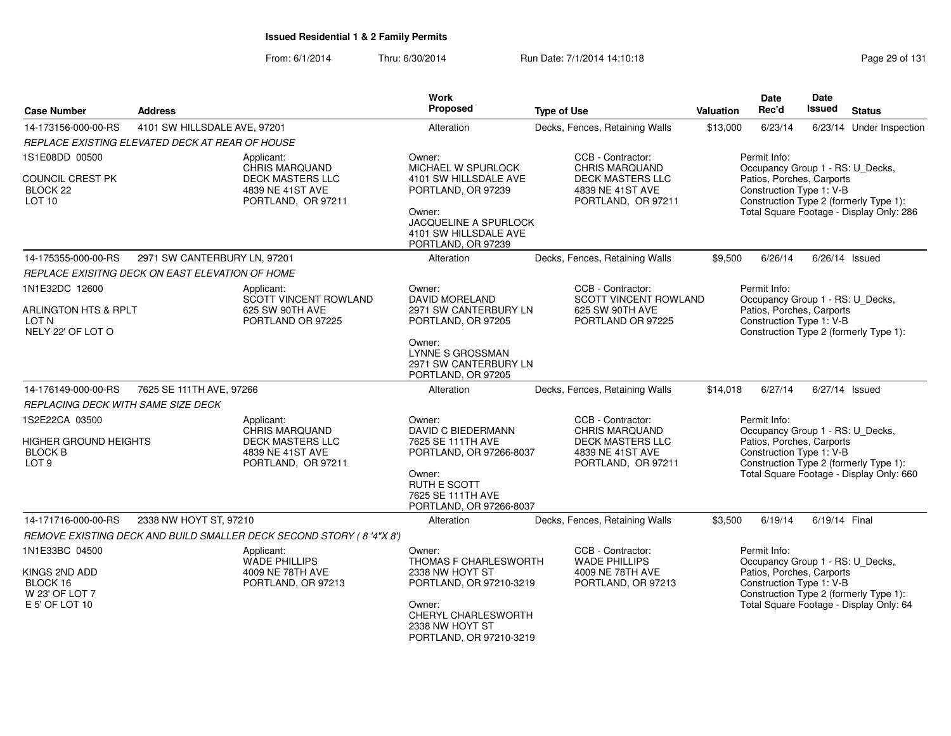| <b>Case Number</b>                                            | <b>Address</b>                                  |                                                                     | <b>Work</b><br><b>Proposed</b>                                                   | <b>Type of Use</b>                                                    | <b>Valuation</b> | Date<br>Rec'd                                                                 | <b>Date</b><br><b>Issued</b> | <b>Status</b>                            |
|---------------------------------------------------------------|-------------------------------------------------|---------------------------------------------------------------------|----------------------------------------------------------------------------------|-----------------------------------------------------------------------|------------------|-------------------------------------------------------------------------------|------------------------------|------------------------------------------|
| 14-173156-000-00-RS                                           | 4101 SW HILLSDALE AVE, 97201                    |                                                                     | Alteration                                                                       | Decks, Fences, Retaining Walls                                        | \$13,000         | 6/23/14                                                                       |                              | 6/23/14 Under Inspection                 |
|                                                               | REPLACE EXISTING ELEVATED DECK AT REAR OF HOUSE |                                                                     |                                                                                  |                                                                       |                  |                                                                               |                              |                                          |
| 1S1E08DD 00500<br>COUNCIL CREST PK                            |                                                 | Applicant:<br>CHRIS MARQUAND<br><b>DECK MASTERS LLC</b>             | Owner:<br>MICHAEL W SPURLOCK<br>4101 SW HILLSDALE AVE                            | CCB - Contractor:<br><b>CHRIS MARQUAND</b><br><b>DECK MASTERS LLC</b> |                  | Permit Info:<br>Occupancy Group 1 - RS: U_Decks,<br>Patios, Porches, Carports |                              |                                          |
| BLOCK <sub>22</sub><br>LOT <sub>10</sub>                      |                                                 | 4839 NE 41ST AVE<br>PORTLAND, OR 97211                              | PORTLAND, OR 97239                                                               | 4839 NE 41ST AVE<br>PORTLAND, OR 97211                                |                  | Construction Type 1: V-B                                                      |                              | Construction Type 2 (formerly Type 1):   |
|                                                               |                                                 |                                                                     | Owner:<br>JACQUELINE A SPURLOCK<br>4101 SW HILLSDALE AVE<br>PORTLAND, OR 97239   |                                                                       |                  |                                                                               |                              | Total Square Footage - Display Only: 286 |
| 14-175355-000-00-RS                                           | 2971 SW CANTERBURY LN, 97201                    |                                                                     | Alteration                                                                       | Decks, Fences, Retaining Walls                                        | \$9,500          | 6/26/14                                                                       |                              | 6/26/14 Issued                           |
|                                                               | REPLACE EXISITNG DECK ON EAST ELEVATION OF HOME |                                                                     |                                                                                  |                                                                       |                  |                                                                               |                              |                                          |
| 1N1E32DC 12600                                                |                                                 | Applicant:<br>SCOTT VINCENT ROWLAND                                 | Owner:<br><b>DAVID MORELAND</b>                                                  | CCB - Contractor:<br>SCOTT VINCENT ROWLAND                            |                  | Permit Info:<br>Occupancy Group 1 - RS: U_Decks,                              |                              |                                          |
| <b>ARLINGTON HTS &amp; RPLT</b><br>LOT N<br>NELY 22' OF LOT O |                                                 | 625 SW 90TH AVE<br>PORTLAND OR 97225                                | 2971 SW CANTERBURY LN<br>PORTLAND, OR 97205                                      | 625 SW 90TH AVE<br>PORTLAND OR 97225                                  |                  | Patios, Porches, Carports<br>Construction Type 1: V-B                         |                              | Construction Type 2 (formerly Type 1):   |
|                                                               |                                                 |                                                                     | Owner:<br><b>LYNNE S GROSSMAN</b><br>2971 SW CANTERBURY LN<br>PORTLAND, OR 97205 |                                                                       |                  |                                                                               |                              |                                          |
| 14-176149-000-00-RS                                           | 7625 SE 111TH AVE, 97266                        |                                                                     | Alteration                                                                       | Decks, Fences, Retaining Walls                                        | \$14,018         | 6/27/14                                                                       |                              | $6/27/14$ Issued                         |
| REPLACING DECK WITH SAME SIZE DECK                            |                                                 |                                                                     |                                                                                  |                                                                       |                  |                                                                               |                              |                                          |
| 1S2E22CA 03500                                                |                                                 | Applicant:<br>CHRIS MARQUAND                                        | Owner:<br><b>DAVID C BIEDERMANN</b>                                              | CCB - Contractor:<br><b>CHRIS MARQUAND</b>                            |                  | Permit Info:<br>Occupancy Group 1 - RS: U_Decks,                              |                              |                                          |
| HIGHER GROUND HEIGHTS<br><b>BLOCK B</b><br>LOT <sub>9</sub>   |                                                 | <b>DECK MASTERS LLC</b><br>4839 NE 41ST AVE<br>PORTLAND, OR 97211   | 7625 SE 111TH AVE<br>PORTLAND, OR 97266-8037                                     | <b>DECK MASTERS LLC</b><br>4839 NE 41ST AVE<br>PORTLAND, OR 97211     |                  | Patios, Porches, Carports<br>Construction Type 1: V-B                         |                              | Construction Type 2 (formerly Type 1):   |
|                                                               |                                                 |                                                                     | Owner:<br>RUTH E SCOTT<br>7625 SE 111TH AVE<br>PORTLAND, OR 97266-8037           |                                                                       |                  |                                                                               |                              | Total Square Footage - Display Only: 660 |
| 14-171716-000-00-RS                                           | 2338 NW HOYT ST, 97210                          |                                                                     | Alteration                                                                       | Decks, Fences, Retaining Walls                                        | \$3,500          | 6/19/14                                                                       | 6/19/14 Final                |                                          |
|                                                               |                                                 | REMOVE EXISTING DECK AND BUILD SMALLER DECK SECOND STORY (8'4"X 8') |                                                                                  |                                                                       |                  |                                                                               |                              |                                          |
| 1N1E33BC 04500                                                |                                                 | Applicant:<br><b>WADE PHILLIPS</b>                                  | Owner:<br>THOMAS F CHARLESWORTH                                                  | CCB - Contractor:<br><b>WADE PHILLIPS</b>                             |                  | Permit Info:<br>Occupancy Group 1 - RS: U_Decks,                              |                              |                                          |
| KINGS 2ND ADD<br>BLOCK 16<br>W 23' OF LOT 7                   |                                                 | 4009 NE 78TH AVE<br>PORTLAND, OR 97213                              | 2338 NW HOYT ST<br>PORTLAND, OR 97210-3219                                       | 4009 NE 78TH AVE<br>PORTLAND, OR 97213                                |                  | Patios, Porches, Carports<br>Construction Type 1: V-B                         |                              | Construction Type 2 (formerly Type 1):   |
| E 5' OF LOT 10                                                |                                                 |                                                                     | Owner:<br>CHERYL CHARLESWORTH<br>2338 NW HOYT ST<br>PORTLAND, OR 97210-3219      |                                                                       |                  |                                                                               |                              | Total Square Footage - Display Only: 64  |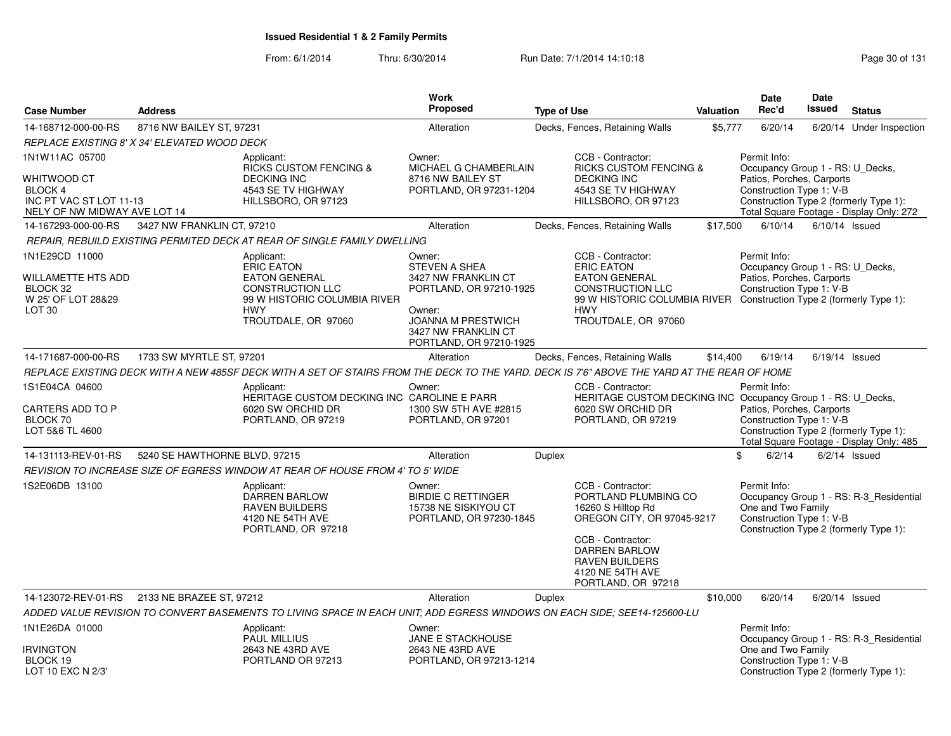| <b>Case Number</b>                                                                                         | <b>Address</b>                |                                                                                                                                                  | Work<br><b>Proposed</b>                                                                                                                                            | <b>Type of Use</b> |                                                                                                                                                                                                               | Valuation | <b>Date</b><br>Rec'd                                                                                      | <b>Date</b><br><b>Issued</b> | <b>Status</b>                                                                      |
|------------------------------------------------------------------------------------------------------------|-------------------------------|--------------------------------------------------------------------------------------------------------------------------------------------------|--------------------------------------------------------------------------------------------------------------------------------------------------------------------|--------------------|---------------------------------------------------------------------------------------------------------------------------------------------------------------------------------------------------------------|-----------|-----------------------------------------------------------------------------------------------------------|------------------------------|------------------------------------------------------------------------------------|
| 14-168712-000-00-RS                                                                                        | 8716 NW BAILEY ST, 97231      |                                                                                                                                                  | Alteration                                                                                                                                                         |                    | Decks, Fences, Retaining Walls                                                                                                                                                                                | \$5,777   | 6/20/14                                                                                                   |                              | 6/20/14 Under Inspection                                                           |
| REPLACE EXISTING 8' X 34' ELEVATED WOOD DECK                                                               |                               |                                                                                                                                                  |                                                                                                                                                                    |                    |                                                                                                                                                                                                               |           |                                                                                                           |                              |                                                                                    |
| 1N1W11AC 05700<br><b>WHITWOOD CT</b><br>BLOCK 4<br>INC PT VAC ST LOT 11-13<br>NELY OF NW MIDWAY AVE LOT 14 |                               | Applicant:<br><b>RICKS CUSTOM FENCING &amp;</b><br><b>DECKING INC</b><br>4543 SE TV HIGHWAY<br>HILLSBORO, OR 97123                               | Owner:<br>MICHAEL G CHAMBERLAIN<br>8716 NW BAILEY ST<br>PORTLAND, OR 97231-1204                                                                                    |                    | CCB - Contractor:<br><b>RICKS CUSTOM FENCING &amp;</b><br><b>DECKING INC</b><br>4543 SE TV HIGHWAY<br>HILLSBORO, OR 97123                                                                                     |           | Permit Info:<br>Occupancy Group 1 - RS: U_Decks,<br>Patios, Porches, Carports<br>Construction Type 1: V-B |                              | Construction Type 2 (formerly Type 1):<br>Total Square Footage - Display Only: 272 |
| 14-167293-000-00-RS                                                                                        | 3427 NW FRANKLIN CT, 97210    |                                                                                                                                                  | Alteration                                                                                                                                                         |                    | Decks, Fences, Retaining Walls                                                                                                                                                                                | \$17,500  | 6/10/14                                                                                                   | $6/10/14$ Issued             |                                                                                    |
|                                                                                                            |                               | REPAIR, REBUILD EXISTING PERMITED DECK AT REAR OF SINGLE FAMILY DWELLING                                                                         |                                                                                                                                                                    |                    |                                                                                                                                                                                                               |           |                                                                                                           |                              |                                                                                    |
| 1N1E29CD 11000<br><b>WILLAMETTE HTS ADD</b><br>BLOCK 32<br>W 25' OF LOT 28&29<br>LOT <sub>30</sub>         |                               | Applicant:<br>ERIC EATON<br><b>EATON GENERAL</b><br><b>CONSTRUCTION LLC</b><br>99 W HISTORIC COLUMBIA RIVER<br><b>HWY</b><br>TROUTDALE, OR 97060 | Owner:<br><b>STEVEN A SHEA</b><br>3427 NW FRANKLIN CT<br>PORTLAND, OR 97210-1925<br>Owner:<br>JOANNA M PRESTWICH<br>3427 NW FRANKLIN CT<br>PORTLAND, OR 97210-1925 |                    | CCB - Contractor:<br><b>ERIC EATON</b><br><b>EATON GENERAL</b><br><b>CONSTRUCTION LLC</b><br>99 W HISTORIC COLUMBIA RIVER Construction Type 2 (formerly Type 1):<br><b>HWY</b><br>TROUTDALE, OR 97060         |           | Permit Info:<br>Occupancy Group 1 - RS: U_Decks,<br>Patios, Porches, Carports<br>Construction Type 1: V-B |                              |                                                                                    |
| 14-171687-000-00-RS                                                                                        | 1733 SW MYRTLE ST, 97201      |                                                                                                                                                  | Alteration                                                                                                                                                         |                    | Decks, Fences, Retaining Walls                                                                                                                                                                                | \$14,400  | 6/19/14                                                                                                   |                              | $6/19/14$ Issued                                                                   |
|                                                                                                            |                               | REPLACE EXISTING DECK WITH A NEW 485SF DECK WITH A SET OF STAIRS FROM THE DECK TO THE YARD. DECK IS 7'6" ABOVE THE YARD AT THE REAR OF HOME      |                                                                                                                                                                    |                    |                                                                                                                                                                                                               |           |                                                                                                           |                              |                                                                                    |
| 1S1E04CA 04600<br>CARTERS ADD TO P<br>BLOCK 70<br>LOT 5&6 TL 4600                                          |                               | Applicant:<br>HERITAGE CUSTOM DECKING INC CAROLINE E PARR<br>6020 SW ORCHID DR<br>PORTLAND, OR 97219                                             | Owner:<br>1300 SW 5TH AVE #2815<br>PORTLAND, OR 97201                                                                                                              |                    | CCB - Contractor:<br>HERITAGE CUSTOM DECKING INC Occupancy Group 1 - RS: U_Decks,<br>6020 SW ORCHID DR<br>PORTLAND, OR 97219                                                                                  |           | Permit Info:<br>Patios, Porches, Carports<br>Construction Type 1: V-B                                     |                              | Construction Type 2 (formerly Type 1):<br>Total Square Footage - Display Only: 485 |
| 14-131113-REV-01-RS                                                                                        | 5240 SE HAWTHORNE BLVD, 97215 |                                                                                                                                                  | Alteration                                                                                                                                                         | <b>Duplex</b>      |                                                                                                                                                                                                               |           | \$<br>6/2/14                                                                                              |                              | $6/2/14$ Issued                                                                    |
|                                                                                                            |                               | REVISION TO INCREASE SIZE OF EGRESS WINDOW AT REAR OF HOUSE FROM 4' TO 5' WIDE                                                                   |                                                                                                                                                                    |                    |                                                                                                                                                                                                               |           |                                                                                                           |                              |                                                                                    |
| 1S2E06DB 13100                                                                                             |                               | Applicant:<br><b>DARREN BARLOW</b><br><b>RAVEN BUILDERS</b><br>4120 NE 54TH AVE<br>PORTLAND, OR 97218                                            | Owner:<br><b>BIRDIE C RETTINGER</b><br>15738 NE SISKIYOU CT<br>PORTLAND, OR 97230-1845                                                                             |                    | CCB - Contractor:<br>PORTLAND PLUMBING CO<br>16260 S Hilltop Rd<br>OREGON CITY, OR 97045-9217<br>CCB - Contractor:<br><b>DARREN BARLOW</b><br><b>RAVEN BUILDERS</b><br>4120 NE 54TH AVE<br>PORTLAND, OR 97218 |           | Permit Info:<br>One and Two Family<br>Construction Type 1: V-B                                            |                              | Occupancy Group 1 - RS: R-3_Residential<br>Construction Type 2 (formerly Type 1):  |
| 14-123072-REV-01-RS                                                                                        | 2133 NE BRAZEE ST, 97212      |                                                                                                                                                  | Alteration                                                                                                                                                         | <b>Duplex</b>      |                                                                                                                                                                                                               | \$10,000  | 6/20/14                                                                                                   |                              | 6/20/14 Issued                                                                     |
|                                                                                                            |                               | ADDED VALUE REVISION TO CONVERT BASEMENTS TO LIVING SPACE IN EACH UNIT; ADD EGRESS WINDOWS ON EACH SIDE; SEE14-125600-LU                         |                                                                                                                                                                    |                    |                                                                                                                                                                                                               |           |                                                                                                           |                              |                                                                                    |
| 1N1E26DA 01000                                                                                             |                               | Applicant:<br><b>PAUL MILLIUS</b>                                                                                                                | Owner:<br><b>JANE E STACKHOUSE</b>                                                                                                                                 |                    |                                                                                                                                                                                                               |           | Permit Info:                                                                                              |                              | Occupancy Group 1 - RS: R-3_Residential                                            |
| <b>IRVINGTON</b><br>BLOCK 19<br>LOT 10 EXC N 2/3'                                                          |                               | 2643 NE 43RD AVE<br>PORTLAND OR 97213                                                                                                            | 2643 NE 43RD AVE<br>PORTLAND, OR 97213-1214                                                                                                                        |                    |                                                                                                                                                                                                               |           | One and Two Family<br>Construction Type 1: V-B                                                            |                              | Construction Type 2 (formerly Type 1):                                             |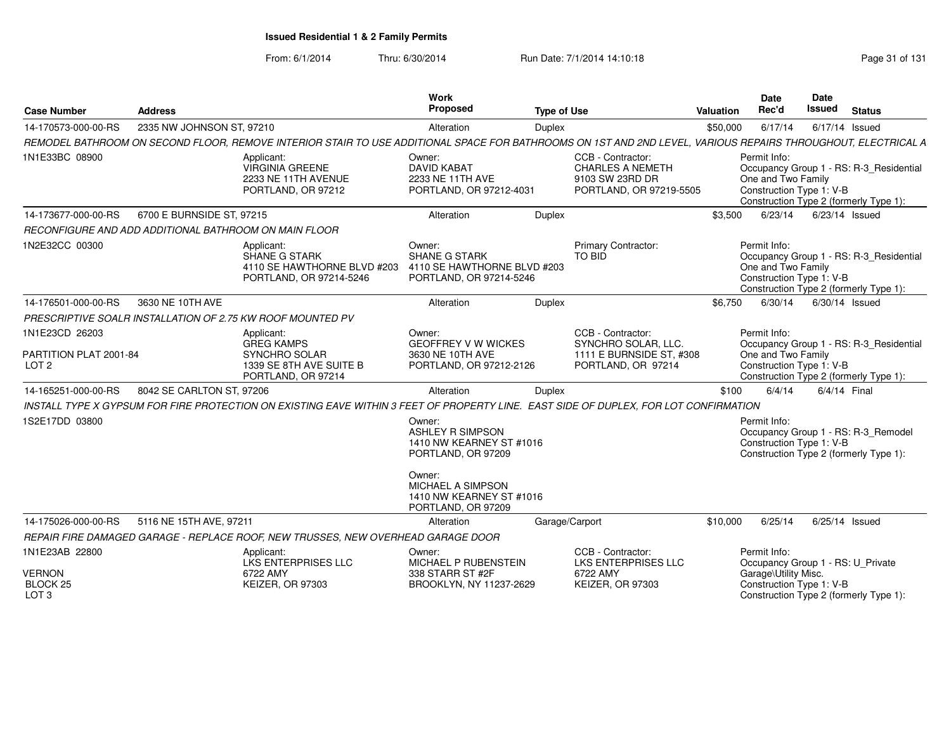| <b>Case Number</b>                                       | <b>Address</b>            |                                                                                                                                                              | Work<br>Proposed                                                                         | <b>Type of Use</b> |                                                                                            | Valuation | Date<br>Rec'd                                                  | Date<br>Issued | <b>Status</b>                                                                     |
|----------------------------------------------------------|---------------------------|--------------------------------------------------------------------------------------------------------------------------------------------------------------|------------------------------------------------------------------------------------------|--------------------|--------------------------------------------------------------------------------------------|-----------|----------------------------------------------------------------|----------------|-----------------------------------------------------------------------------------|
| 14-170573-000-00-RS                                      | 2335 NW JOHNSON ST, 97210 |                                                                                                                                                              | Alteration                                                                               | Duplex             |                                                                                            | \$50,000  | 6/17/14                                                        |                | 6/17/14 Issued                                                                    |
|                                                          |                           | REMODEL BATHROOM ON SECOND FLOOR, REMOVE INTERIOR STAIR TO USE ADDITIONAL SPACE FOR BATHROOMS ON 1ST AND 2ND LEVEL, VARIOUS REPAIRS THROUGHOUT, ELECTRICAL A |                                                                                          |                    |                                                                                            |           |                                                                |                |                                                                                   |
| 1N1E33BC 08900                                           |                           | Applicant:<br><b>VIRGINIA GREENE</b><br>2233 NE 11TH AVENUE<br>PORTLAND, OR 97212                                                                            | Owner:<br><b>DAVID KABAT</b><br>2233 NE 11TH AVE<br>PORTLAND, OR 97212-4031              |                    | CCB - Contractor:<br><b>CHARLES A NEMETH</b><br>9103 SW 23RD DR<br>PORTLAND, OR 97219-5505 |           | Permit Info:<br>One and Two Family<br>Construction Type 1: V-B |                | Occupancy Group 1 - RS: R-3 Residential<br>Construction Type 2 (formerly Type 1): |
| 14-173677-000-00-RS                                      | 6700 E BURNSIDE ST, 97215 |                                                                                                                                                              | Alteration                                                                               | Duplex             |                                                                                            | \$3,500   | 6/23/14                                                        |                | 6/23/14 Issued                                                                    |
| RECONFIGURE AND ADD ADDITIONAL BATHROOM ON MAIN FLOOR    |                           |                                                                                                                                                              |                                                                                          |                    |                                                                                            |           |                                                                |                |                                                                                   |
| 1N2E32CC 00300                                           |                           | Applicant:<br><b>SHANE G STARK</b><br>4110 SE HAWTHORNE BLVD #203<br>PORTLAND, OR 97214-5246                                                                 | Owner:<br><b>SHANE G STARK</b><br>4110 SE HAWTHORNE BLVD #203<br>PORTLAND, OR 97214-5246 |                    | <b>Primary Contractor:</b><br><b>TO BID</b>                                                |           | Permit Info:<br>One and Two Family<br>Construction Type 1: V-B |                | Occupancy Group 1 - RS: R-3 Residential<br>Construction Type 2 (formerly Type 1): |
| 14-176501-000-00-RS                                      | 3630 NE 10TH AVE          |                                                                                                                                                              | Alteration                                                                               | Duplex             |                                                                                            | \$6,750   | 6/30/14                                                        |                | 6/30/14 Issued                                                                    |
|                                                          |                           | PRESCRIPTIVE SOALR INSTALLATION OF 2.75 KW ROOF MOUNTED PV                                                                                                   |                                                                                          |                    |                                                                                            |           |                                                                |                |                                                                                   |
| 1N1E23CD 26203<br>PARTITION PLAT 2001-84                 |                           | Applicant:<br><b>GREG KAMPS</b><br>SYNCHRO SOLAR                                                                                                             | Owner:<br><b>GEOFFREY V W WICKES</b><br>3630 NE 10TH AVE                                 |                    | CCB - Contractor:<br>SYNCHRO SOLAR, LLC.<br>1111 E BURNSIDE ST, #308                       |           | Permit Info:<br>One and Two Family                             |                | Occupancy Group 1 - RS: R-3 Residential                                           |
| LOT <sub>2</sub>                                         |                           | 1339 SE 8TH AVE SUITE B<br>PORTLAND, OR 97214                                                                                                                | PORTLAND, OR 97212-2126                                                                  |                    | PORTLAND, OR 97214                                                                         |           | Construction Type 1: V-B                                       |                | Construction Type 2 (formerly Type 1):                                            |
| 14-165251-000-00-RS                                      | 8042 SE CARLTON ST, 97206 |                                                                                                                                                              | Alteration                                                                               | Duplex             |                                                                                            | \$100     | 6/4/14                                                         |                | 6/4/14 Final                                                                      |
|                                                          |                           | INSTALL TYPE X GYPSUM FOR FIRE PROTECTION ON EXISTING EAVE WITHIN 3 FEET OF PROPERTY LINE. EAST SIDE OF DUPLEX, FOR LOT CONFIRMATION                         |                                                                                          |                    |                                                                                            |           |                                                                |                |                                                                                   |
| 1S2E17DD 03800                                           |                           |                                                                                                                                                              | Owner:<br><b>ASHLEY R SIMPSON</b><br>1410 NW KEARNEY ST #1016<br>PORTLAND, OR 97209      |                    |                                                                                            |           | Permit Info:<br>Construction Type 1: V-B                       |                | Occupancy Group 1 - RS: R-3_Remodel<br>Construction Type 2 (formerly Type 1):     |
|                                                          |                           |                                                                                                                                                              | Owner:<br><b>MICHAEL A SIMPSON</b><br>1410 NW KEARNEY ST #1016<br>PORTLAND, OR 97209     |                    |                                                                                            |           |                                                                |                |                                                                                   |
| 14-175026-000-00-RS                                      | 5116 NE 15TH AVE, 97211   |                                                                                                                                                              | Alteration                                                                               |                    | Garage/Carport                                                                             | \$10,000  | 6/25/14                                                        |                | 6/25/14 Issued                                                                    |
|                                                          |                           | REPAIR FIRE DAMAGED GARAGE - REPLACE ROOF. NEW TRUSSES. NEW OVERHEAD GARAGE DOOR                                                                             |                                                                                          |                    |                                                                                            |           |                                                                |                |                                                                                   |
| 1N1E23AB 22800                                           |                           | Applicant:<br><b>LKS ENTERPRISES LLC</b>                                                                                                                     | Owner:<br>MICHAEL P RUBENSTEIN                                                           |                    | CCB - Contractor:<br><b>LKS ENTERPRISES LLC</b>                                            |           | Permit Info:                                                   |                | Occupancy Group 1 - RS: U_Private                                                 |
| <b>VERNON</b><br>BLOCK <sub>25</sub><br>LOT <sub>3</sub> |                           | 6722 AMY<br><b>KEIZER, OR 97303</b>                                                                                                                          | 338 STARR ST #2F<br>BROOKLYN, NY 11237-2629                                              |                    | 6722 AMY<br><b>KEIZER, OR 97303</b>                                                        |           | Garage\Utility Misc.<br>Construction Type 1: V-B               |                | Construction Type 2 (formerly Type 1):                                            |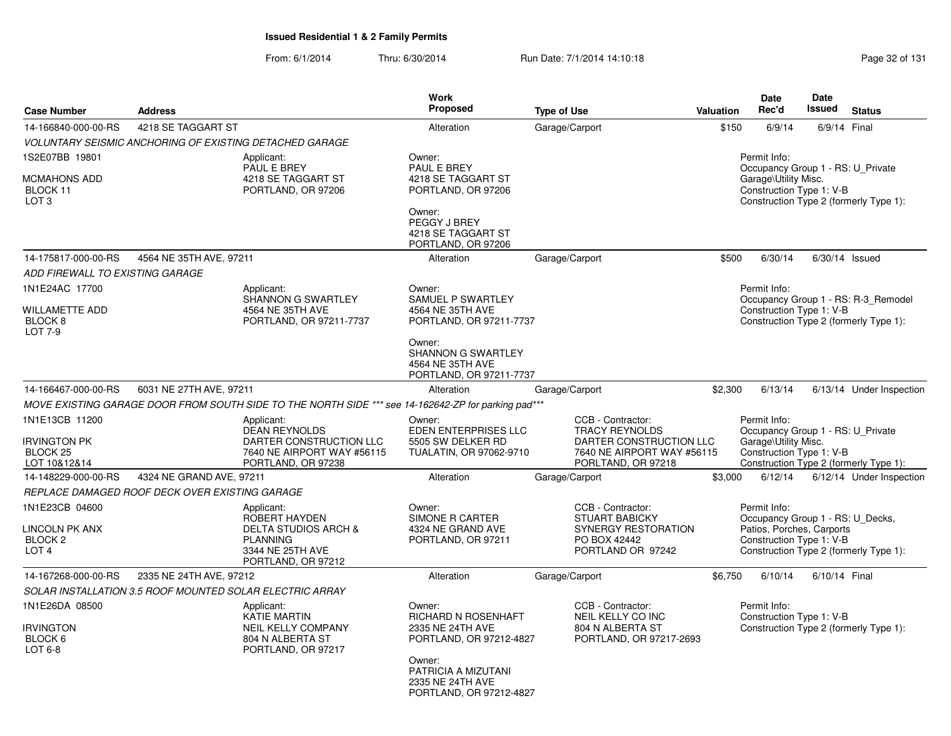| <b>Case Number</b>                                                         | <b>Address</b>                                 |                                                                                                                             | <b>Work</b><br>Proposed                                                             | <b>Type of Use</b>                                                                                     | Valuation | Date<br>Rec'd                                                                                             | <b>Date</b><br><b>Issued</b> | <b>Status</b>                                                                 |
|----------------------------------------------------------------------------|------------------------------------------------|-----------------------------------------------------------------------------------------------------------------------------|-------------------------------------------------------------------------------------|--------------------------------------------------------------------------------------------------------|-----------|-----------------------------------------------------------------------------------------------------------|------------------------------|-------------------------------------------------------------------------------|
| 14-166840-000-00-RS                                                        | 4218 SE TAGGART ST                             |                                                                                                                             | Alteration                                                                          | Garage/Carport                                                                                         | \$150     | 6/9/14                                                                                                    |                              | 6/9/14 Final                                                                  |
|                                                                            |                                                | VOLUNTARY SEISMIC ANCHORING OF EXISTING DETACHED GARAGE                                                                     |                                                                                     |                                                                                                        |           |                                                                                                           |                              |                                                                               |
| 1S2E07BB 19801                                                             |                                                | Applicant:<br>PAUL E BREY                                                                                                   | Owner:<br>PAUL E BREY                                                               |                                                                                                        |           | Permit Info:<br>Occupancy Group 1 - RS: U Private                                                         |                              |                                                                               |
| MCMAHONS ADD<br>BLOCK 11<br>LOT <sub>3</sub>                               |                                                | 4218 SE TAGGART ST<br>PORTLAND, OR 97206                                                                                    | 4218 SE TAGGART ST<br>PORTLAND, OR 97206                                            |                                                                                                        |           | Garage\Utility Misc.<br>Construction Type 1: V-B                                                          |                              | Construction Type 2 (formerly Type 1):                                        |
|                                                                            |                                                |                                                                                                                             | Owner:<br>PEGGY J BREY<br>4218 SE TAGGART ST<br>PORTLAND, OR 97206                  |                                                                                                        |           |                                                                                                           |                              |                                                                               |
| 14-175817-000-00-RS                                                        | 4564 NE 35TH AVE, 97211                        |                                                                                                                             | Alteration                                                                          | Garage/Carport                                                                                         | \$500     | 6/30/14                                                                                                   |                              | $6/30/14$ Issued                                                              |
| ADD FIREWALL TO EXISTING GARAGE                                            |                                                |                                                                                                                             |                                                                                     |                                                                                                        |           |                                                                                                           |                              |                                                                               |
| 1N1E24AC 17700                                                             |                                                | Applicant:                                                                                                                  | Owner:                                                                              |                                                                                                        |           | Permit Info:                                                                                              |                              |                                                                               |
| <b>WILLAMETTE ADD</b><br>BLOCK <sub>8</sub><br><b>LOT 7-9</b>              |                                                | <b>SHANNON G SWARTLEY</b><br>4564 NE 35TH AVE<br>PORTLAND, OR 97211-7737                                                    | <b>SAMUEL P SWARTLEY</b><br>4564 NE 35TH AVE<br>PORTLAND, OR 97211-7737             |                                                                                                        |           | Construction Type 1: V-B                                                                                  |                              | Occupancy Group 1 - RS: R-3 Remodel<br>Construction Type 2 (formerly Type 1): |
|                                                                            |                                                |                                                                                                                             | Owner:<br>SHANNON G SWARTLEY<br>4564 NE 35TH AVE<br>PORTLAND, OR 97211-7737         |                                                                                                        |           |                                                                                                           |                              |                                                                               |
| 14-166467-000-00-RS                                                        | 6031 NE 27TH AVE, 97211                        |                                                                                                                             | Alteration                                                                          | Garage/Carport                                                                                         | \$2,300   | 6/13/14                                                                                                   |                              | 6/13/14 Under Inspection                                                      |
|                                                                            |                                                | MOVE EXISTING GARAGE DOOR FROM SOUTH SIDE TO THE NORTH SIDE *** see 14-162642-ZP for parking pad***                         |                                                                                     |                                                                                                        |           |                                                                                                           |                              |                                                                               |
| 1N1E13CB 11200                                                             |                                                | Applicant:<br><b>DEAN REYNOLDS</b>                                                                                          | Owner:<br>EDEN ENTERPRISES LLC                                                      | CCB - Contractor:<br><b>TRACY REYNOLDS</b>                                                             |           | Permit Info:<br>Occupancy Group 1 - RS: U_Private                                                         |                              |                                                                               |
| <b>IRVINGTON PK</b><br>BLOCK <sub>25</sub><br>LOT 10&12&14                 |                                                | DARTER CONSTRUCTION LLC<br>7640 NE AIRPORT WAY #56115<br>PORTLAND, OR 97238                                                 | 5505 SW DELKER RD<br>TUALATIN, OR 97062-9710                                        | DARTER CONSTRUCTION LLC<br>7640 NE AIRPORT WAY #56115<br>PORLTAND, OR 97218                            |           | Garage\Utility Misc.<br>Construction Type 1: V-B                                                          |                              | Construction Type 2 (formerly Type 1):                                        |
| 14-148229-000-00-RS                                                        | 4324 NE GRAND AVE, 97211                       |                                                                                                                             | Alteration                                                                          | Garage/Carport                                                                                         | \$3,000   | 6/12/14                                                                                                   |                              | 6/12/14 Under Inspection                                                      |
|                                                                            | REPLACE DAMAGED ROOF DECK OVER EXISTING GARAGE |                                                                                                                             |                                                                                     |                                                                                                        |           |                                                                                                           |                              |                                                                               |
| 1N1E23CB 04600<br>LINCOLN PK ANX<br>BLOCK <sub>2</sub><br>LOT <sub>4</sub> |                                                | Applicant:<br>ROBERT HAYDEN<br><b>DELTA STUDIOS ARCH &amp;</b><br><b>PLANNING</b><br>3344 NE 25TH AVE<br>PORTLAND, OR 97212 | Owner:<br>SIMONE R CARTER<br>4324 NE GRAND AVE<br>PORTLAND, OR 97211                | CCB - Contractor:<br><b>STUART BABICKY</b><br>SYNERGY RESTORATION<br>PO BOX 42442<br>PORTLAND OR 97242 |           | Permit Info:<br>Occupancy Group 1 - RS: U_Decks,<br>Patios, Porches, Carports<br>Construction Type 1: V-B |                              | Construction Type 2 (formerly Type 1):                                        |
| 14-167268-000-00-RS                                                        | 2335 NE 24TH AVE, 97212                        |                                                                                                                             | Alteration                                                                          | Garage/Carport                                                                                         | \$6,750   | 6/10/14                                                                                                   | 6/10/14 Final                |                                                                               |
|                                                                            |                                                | SOLAR INSTALLATION 3.5 ROOF MOUNTED SOLAR ELECTRIC ARRAY                                                                    |                                                                                     |                                                                                                        |           |                                                                                                           |                              |                                                                               |
| 1N1E26DA 08500<br><b>IRVINGTON</b><br>BLOCK 6<br>LOT 6-8                   |                                                | Applicant:<br><b>KATIE MARTIN</b><br><b>NEIL KELLY COMPANY</b><br>804 N ALBERTA ST<br>PORTLAND, OR 97217                    | Owner:<br><b>RICHARD N ROSENHAFT</b><br>2335 NE 24TH AVE<br>PORTLAND, OR 97212-4827 | CCB - Contractor:<br>NEIL KELLY CO INC<br>804 N ALBERTA ST<br>PORTLAND, OR 97217-2693                  |           | Permit Info:<br>Construction Type 1: V-B                                                                  |                              | Construction Type 2 (formerly Type 1):                                        |
|                                                                            |                                                |                                                                                                                             | Owner:<br>PATRICIA A MIZUTANI<br>2335 NE 24TH AVE<br>PORTLAND, OR 97212-4827        |                                                                                                        |           |                                                                                                           |                              |                                                                               |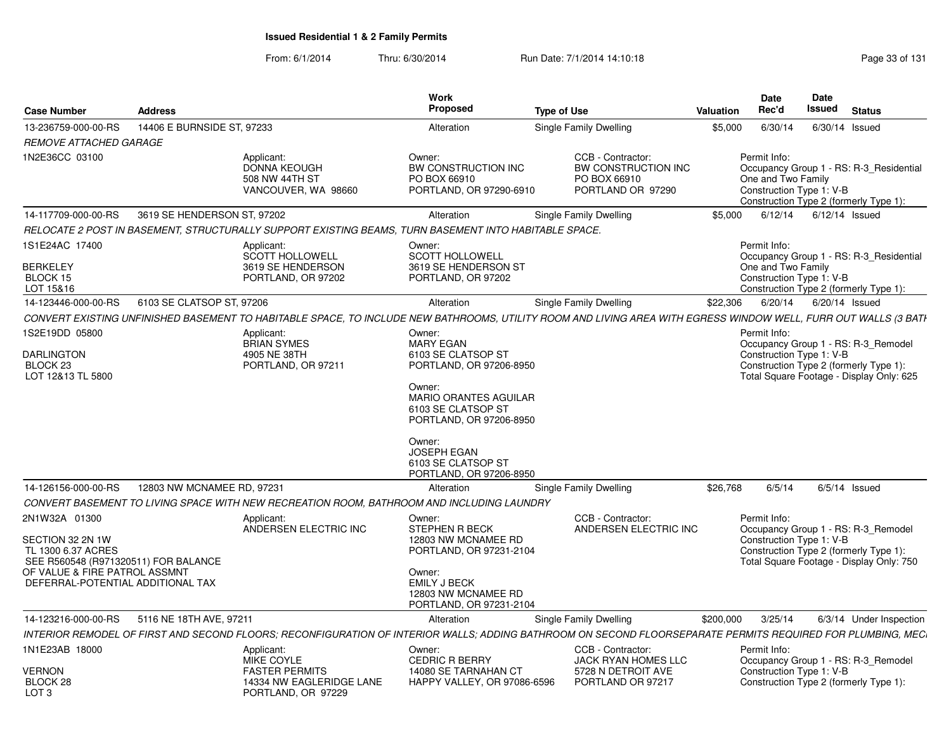| <b>Case Number</b>                                                                                                                                                    | <b>Address</b>              |                                                                                                       | <b>Work</b><br>Proposed                                                                                                                                                                                                                          | <b>Type of Use</b>                                                                                                                                              | Valuation | <b>Date</b><br>Rec'd                                           | <b>Date</b><br>Issued | <b>Status</b>                                                                                                             |
|-----------------------------------------------------------------------------------------------------------------------------------------------------------------------|-----------------------------|-------------------------------------------------------------------------------------------------------|--------------------------------------------------------------------------------------------------------------------------------------------------------------------------------------------------------------------------------------------------|-----------------------------------------------------------------------------------------------------------------------------------------------------------------|-----------|----------------------------------------------------------------|-----------------------|---------------------------------------------------------------------------------------------------------------------------|
| 13-236759-000-00-RS                                                                                                                                                   | 14406 E BURNSIDE ST, 97233  |                                                                                                       | Alteration                                                                                                                                                                                                                                       | Single Family Dwelling                                                                                                                                          | \$5,000   | 6/30/14                                                        |                       | 6/30/14 Issued                                                                                                            |
| <b>REMOVE ATTACHED GARAGE</b>                                                                                                                                         |                             |                                                                                                       |                                                                                                                                                                                                                                                  |                                                                                                                                                                 |           |                                                                |                       |                                                                                                                           |
| 1N2E36CC 03100                                                                                                                                                        |                             | Applicant:<br>DONNA KEOUGH<br>508 NW 44TH ST<br>VANCOUVER, WA 98660                                   | Owner:<br>BW CONSTRUCTION INC<br>PO BOX 66910<br>PORTLAND, OR 97290-6910                                                                                                                                                                         | CCB - Contractor:<br>BW CONSTRUCTION INC<br>PO BOX 66910<br>PORTLAND OR 97290                                                                                   |           | Permit Info:<br>One and Two Family<br>Construction Type 1: V-B |                       | Occupancy Group 1 - RS: R-3_Residential<br>Construction Type 2 (formerly Type 1):                                         |
| 14-117709-000-00-RS                                                                                                                                                   | 3619 SE HENDERSON ST, 97202 |                                                                                                       | Alteration                                                                                                                                                                                                                                       | Single Family Dwelling                                                                                                                                          | \$5,000   | 6/12/14                                                        |                       | $6/12/14$ Issued                                                                                                          |
|                                                                                                                                                                       |                             | RELOCATE 2 POST IN BASEMENT, STRUCTURALLY SUPPORT EXISTING BEAMS, TURN BASEMENT INTO HABITABLE SPACE. |                                                                                                                                                                                                                                                  |                                                                                                                                                                 |           |                                                                |                       |                                                                                                                           |
| 1S1E24AC 17400<br><b>BERKELEY</b><br>BLOCK 15<br>LOT 15&16                                                                                                            |                             | Applicant:<br><b>SCOTT HOLLOWELL</b><br>3619 SE HENDERSON<br>PORTLAND, OR 97202                       | Owner:<br><b>SCOTT HOLLOWELL</b><br>3619 SE HENDERSON ST<br>PORTLAND, OR 97202                                                                                                                                                                   |                                                                                                                                                                 |           | Permit Info:<br>One and Two Family<br>Construction Type 1: V-B |                       | Occupancy Group 1 - RS: R-3 Residential<br>Construction Type 2 (formerly Type 1):                                         |
| 14-123446-000-00-RS                                                                                                                                                   | 6103 SE CLATSOP ST, 97206   |                                                                                                       | Alteration                                                                                                                                                                                                                                       | Single Family Dwelling                                                                                                                                          | \$22,306  | 6/20/14                                                        |                       | 6/20/14 Issued                                                                                                            |
|                                                                                                                                                                       |                             |                                                                                                       |                                                                                                                                                                                                                                                  | CONVERT EXISTING UNFINISHED BASEMENT TO HABITABLE SPACE, TO INCLUDE NEW BATHROOMS, UTILITY ROOM AND LIVING AREA WITH EGRESS WINDOW WELL, FURR OUT WALLS (3 BATH |           |                                                                |                       |                                                                                                                           |
| 1S2E19DD 05800<br><b>DARLINGTON</b><br>BLOCK <sub>23</sub><br>LOT 12&13 TL 5800                                                                                       |                             | Applicant:<br><b>BRIAN SYMES</b><br>4905 NE 38TH<br>PORTLAND, OR 97211                                | Owner:<br><b>MARY EGAN</b><br>6103 SE CLATSOP ST<br>PORTLAND, OR 97206-8950<br>Owner:<br><b>MARIO ORANTES AGUILAR</b><br>6103 SE CLATSOP ST<br>PORTLAND, OR 97206-8950<br>Owner:<br>JOSEPH EGAN<br>6103 SE CLATSOP ST<br>PORTLAND, OR 97206-8950 |                                                                                                                                                                 |           | Permit Info:<br>Construction Type 1: V-B                       |                       | Occupancy Group 1 - RS: R-3_Remodel<br>Construction Type 2 (formerly Type 1):<br>Total Square Footage - Display Only: 625 |
| 14-126156-000-00-RS                                                                                                                                                   | 12803 NW MCNAMEE RD, 97231  |                                                                                                       | Alteration                                                                                                                                                                                                                                       | Single Family Dwelling                                                                                                                                          | \$26,768  | 6/5/14                                                         |                       | $6/5/14$ Issued                                                                                                           |
|                                                                                                                                                                       |                             | CONVERT BASEMENT TO LIVING SPACE WITH NEW RECREATION ROOM, BATHROOM AND INCLUDING LAUNDRY             |                                                                                                                                                                                                                                                  |                                                                                                                                                                 |           |                                                                |                       |                                                                                                                           |
| 2N1W32A 01300<br>SECTION 32 2N 1W<br>TL 1300 6.37 ACRES<br>SEE R560548 (R971320511) FOR BALANCE<br>OF VALUE & FIRE PATROL ASSMNT<br>DEFERRAL-POTENTIAL ADDITIONAL TAX |                             | Applicant:<br>ANDERSEN ELECTRIC INC                                                                   | Owner:<br><b>STEPHEN R BECK</b><br>12803 NW MCNAMEE RD<br>PORTLAND, OR 97231-2104<br>Owner:<br><b>EMILY J BECK</b><br>12803 NW MCNAMEE RD<br>PORTLAND, OR 97231-2104                                                                             | CCB - Contractor:<br>ANDERSEN ELECTRIC INC                                                                                                                      |           | Permit Info:<br>Construction Type 1: V-B                       |                       | Occupancy Group 1 - RS: R-3_Remodel<br>Construction Type 2 (formerly Type 1):<br>Total Square Footage - Display Only: 750 |
| 14-123216-000-00-RS                                                                                                                                                   | 5116 NE 18TH AVE, 97211     |                                                                                                       | Alteration                                                                                                                                                                                                                                       | Single Family Dwelling                                                                                                                                          | \$200,000 | 3/25/14                                                        |                       | 6/3/14 Under Inspection                                                                                                   |
|                                                                                                                                                                       |                             |                                                                                                       |                                                                                                                                                                                                                                                  | INTERIOR REMODEL OF FIRST AND SECOND FLOORS; RECONFIGURATION OF INTERIOR WALLS; ADDING BATHROOM ON SECOND FLOORSEPARATE PERMITS REQUIRED FOR PLUMBING, MEC      |           |                                                                |                       |                                                                                                                           |
| 1N1E23AB 18000<br>VERNON<br>BLOCK 28<br>LOT <sub>3</sub>                                                                                                              |                             | Applicant:<br>MIKE COYLE<br><b>FASTER PERMITS</b><br>14334 NW EAGLERIDGE LANE<br>PORTLAND, OR 97229   | Owner:<br><b>CEDRIC R BERRY</b><br>14080 SE TARNAHAN CT<br>HAPPY VALLEY, OR 97086-6596                                                                                                                                                           | CCB - Contractor:<br><b>JACK RYAN HOMES LLC</b><br>5728 N DETROIT AVE<br>PORTLAND OR 97217                                                                      |           | Permit Info:<br>Construction Type 1: V-B                       |                       | Occupancy Group 1 - RS: R-3 Remodel<br>Construction Type 2 (formerly Type 1):                                             |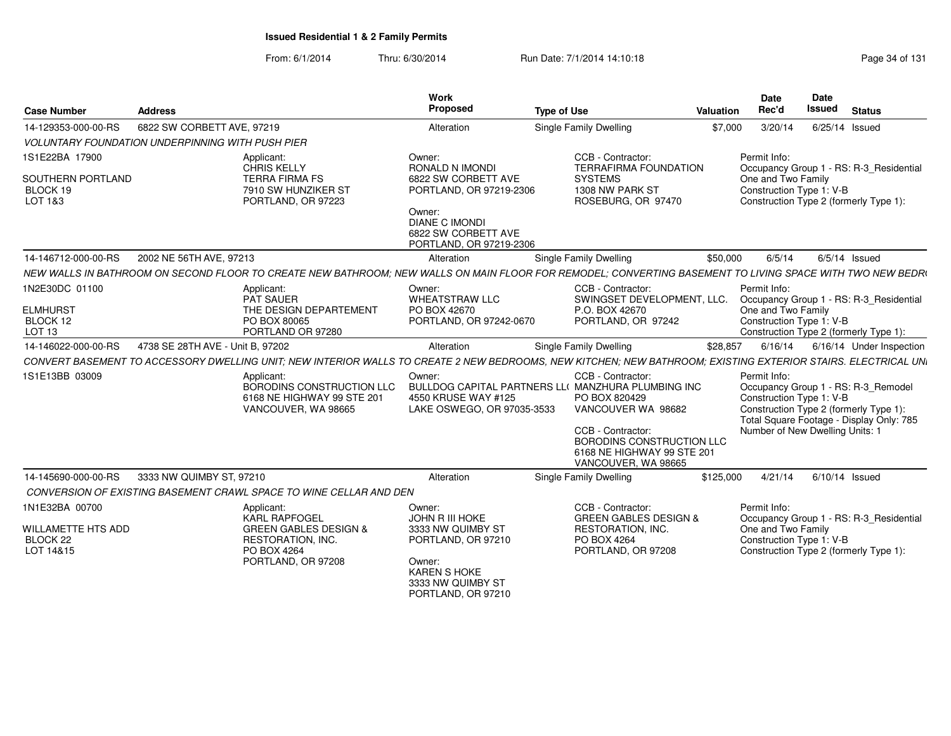| <b>Case Number</b>                                                       | <b>Address</b>                                                                                                                                                | <b>Work</b><br>Proposed                                                                                                                                          | <b>Type of Use</b>                                                                                                                                                                                                    | Valuation | <b>Date</b><br>Rec'd                                           | <b>Date</b><br><b>Issued</b><br><b>Status</b>                                                                                                                |
|--------------------------------------------------------------------------|---------------------------------------------------------------------------------------------------------------------------------------------------------------|------------------------------------------------------------------------------------------------------------------------------------------------------------------|-----------------------------------------------------------------------------------------------------------------------------------------------------------------------------------------------------------------------|-----------|----------------------------------------------------------------|--------------------------------------------------------------------------------------------------------------------------------------------------------------|
| 14-129353-000-00-RS                                                      | 6822 SW CORBETT AVE, 97219                                                                                                                                    | Alteration                                                                                                                                                       | Single Family Dwelling                                                                                                                                                                                                | \$7,000   | 3/20/14                                                        | 6/25/14 Issued                                                                                                                                               |
|                                                                          | <b>VOLUNTARY FOUNDATION UNDERPINNING WITH PUSH PIER</b>                                                                                                       |                                                                                                                                                                  |                                                                                                                                                                                                                       |           |                                                                |                                                                                                                                                              |
| 1S1E22BA 17900<br>SOUTHERN PORTLAND<br>BLOCK 19<br>LOT 1&3               | Applicant:<br><b>CHRIS KELLY</b><br><b>TERRA FIRMA FS</b><br>7910 SW HUNZIKER ST<br>PORTLAND, OR 97223                                                        | Owner:<br>RONALD N IMONDI<br>6822 SW CORBETT AVE<br>PORTLAND, OR 97219-2306<br>Owner:<br><b>DIANE C IMONDI</b><br>6822 SW CORBETT AVE<br>PORTLAND, OR 97219-2306 | CCB - Contractor:<br><b>TERRAFIRMA FOUNDATION</b><br><b>SYSTEMS</b><br>1308 NW PARK ST<br>ROSEBURG, OR 97470                                                                                                          |           | Permit Info:<br>One and Two Family<br>Construction Type 1: V-B | Occupancy Group 1 - RS: R-3_Residential<br>Construction Type 2 (formerly Type 1):                                                                            |
| 14-146712-000-00-RS                                                      | 2002 NE 56TH AVE, 97213                                                                                                                                       | Alteration                                                                                                                                                       | Single Family Dwelling                                                                                                                                                                                                | \$50,000  | 6/5/14                                                         | $6/5/14$ Issued                                                                                                                                              |
|                                                                          | NEW WALLS IN BATHROOM ON SECOND FLOOR TO CREATE NEW BATHROOM; NEW WALLS ON MAIN FLOOR FOR REMODEL; CONVERTING BASEMENT TO LIVING SPACE WITH TWO NEW BEDRI     |                                                                                                                                                                  |                                                                                                                                                                                                                       |           |                                                                |                                                                                                                                                              |
| 1N2E30DC 01100<br><b>ELMHURST</b><br>BLOCK 12                            | Applicant:<br>PAT SAUER<br>THE DESIGN DEPARTEMENT<br>PO BOX 80065                                                                                             | Owner:<br><b>WHEATSTRAW LLC</b><br>PO BOX 42670<br>PORTLAND, OR 97242-0670                                                                                       | CCB - Contractor:<br>SWINGSET DEVELOPMENT, LLC.<br>P.O. BOX 42670<br>PORTLAND, OR 97242                                                                                                                               |           | Permit Info:<br>One and Two Family<br>Construction Type 1: V-B | Occupancy Group 1 - RS: R-3 Residential                                                                                                                      |
| LOT <sub>13</sub>                                                        | PORTLAND OR 97280                                                                                                                                             |                                                                                                                                                                  |                                                                                                                                                                                                                       |           |                                                                | Construction Type 2 (formerly Type 1):                                                                                                                       |
| 14-146022-000-00-RS                                                      | 4738 SE 28TH AVE - Unit B. 97202                                                                                                                              | Alteration                                                                                                                                                       | <b>Single Family Dwelling</b>                                                                                                                                                                                         | \$28,857  | 6/16/14                                                        | 6/16/14 Under Inspection                                                                                                                                     |
|                                                                          | CONVERT BASEMENT TO ACCESSORY DWELLING UNIT: NEW INTERIOR WALLS TO CREATE 2 NEW BEDROOMS. NEW KITCHEN: NEW BATHROOM: EXISTING EXTERIOR STAIRS. ELECTRICAL UNI |                                                                                                                                                                  |                                                                                                                                                                                                                       |           |                                                                |                                                                                                                                                              |
| 1S1E13BB 03009                                                           | Applicant:<br>BORODINS CONSTRUCTION LLC<br>6168 NE HIGHWAY 99 STE 201<br>VANCOUVER, WA 98665                                                                  | Owner:<br>4550 KRUSE WAY #125<br>LAKE OSWEGO, OR 97035-3533                                                                                                      | CCB - Contractor:<br>BULLDOG CAPITAL PARTNERS LL( MANZHURA PLUMBING INC<br>PO BOX 820429<br>VANCOUVER WA 98682<br>CCB - Contractor:<br>BORODINS CONSTRUCTION LLC<br>6168 NE HIGHWAY 99 STE 201<br>VANCOUVER, WA 98665 |           | Permit Info:<br>Construction Type 1: V-B                       | Occupancy Group 1 - RS: R-3 Remodel<br>Construction Type 2 (formerly Type 1):<br>Total Square Footage - Display Only: 785<br>Number of New Dwelling Units: 1 |
| 14-145690-000-00-RS                                                      | 3333 NW QUIMBY ST, 97210                                                                                                                                      | Alteration                                                                                                                                                       | Single Family Dwelling                                                                                                                                                                                                | \$125,000 | 4/21/14                                                        | $6/10/14$ Issued                                                                                                                                             |
|                                                                          | CONVERSION OF EXISTING BASEMENT CRAWL SPACE TO WINE CELLAR AND DEN                                                                                            |                                                                                                                                                                  |                                                                                                                                                                                                                       |           |                                                                |                                                                                                                                                              |
| 1N1E32BA 00700<br>WILLAMETTE HTS ADD<br>BLOCK <sub>22</sub><br>LOT 14&15 | Applicant:<br><b>KARL RAPFOGEL</b><br><b>GREEN GABLES DESIGN &amp;</b><br><b>RESTORATION, INC.</b><br>PO BOX 4264<br>PORTLAND, OR 97208                       | Owner:<br><b>JOHN R III HOKE</b><br>3333 NW QUIMBY ST<br>PORTLAND, OR 97210<br>Owner:<br><b>KAREN S HOKE</b><br>3333 NW QUIMBY ST<br>PORTLAND, OR 97210          | CCB - Contractor:<br><b>GREEN GABLES DESIGN &amp;</b><br><b>RESTORATION, INC.</b><br>PO BOX 4264<br>PORTLAND, OR 97208                                                                                                |           | Permit Info:<br>One and Two Family<br>Construction Type 1: V-B | Occupancy Group 1 - RS: R-3 Residential<br>Construction Type 2 (formerly Type 1):                                                                            |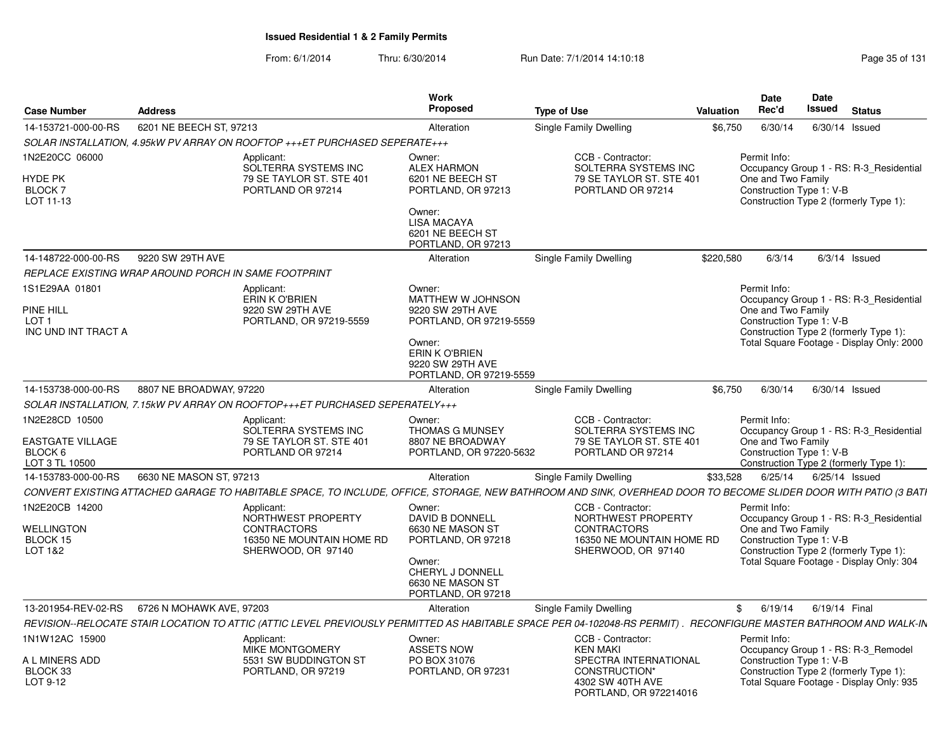| <b>Case Number</b>                                                            | <b>Address</b>           |                                                                                                           | Work<br>Proposed                                                                                                                                      | <b>Type of Use</b>                                                                                                                                                | Valuation | <b>Date</b><br>Rec'd                                           | <b>Date</b><br>Issued | <b>Status</b>                                                                                                                  |
|-------------------------------------------------------------------------------|--------------------------|-----------------------------------------------------------------------------------------------------------|-------------------------------------------------------------------------------------------------------------------------------------------------------|-------------------------------------------------------------------------------------------------------------------------------------------------------------------|-----------|----------------------------------------------------------------|-----------------------|--------------------------------------------------------------------------------------------------------------------------------|
| 14-153721-000-00-RS                                                           | 6201 NE BEECH ST. 97213  |                                                                                                           | Alteration                                                                                                                                            | Single Family Dwelling                                                                                                                                            | \$6,750   | 6/30/14                                                        |                       | 6/30/14 Issued                                                                                                                 |
|                                                                               |                          | SOLAR INSTALLATION, 4.95kW PV ARRAY ON ROOFTOP +++ET PURCHASED SEPERATE+++                                |                                                                                                                                                       |                                                                                                                                                                   |           |                                                                |                       |                                                                                                                                |
| 1N2E20CC 06000<br><b>HYDE PK</b><br>BLOCK 7<br>LOT 11-13                      |                          | Applicant:<br>SOLTERRA SYSTEMS INC<br>79 SE TAYLOR ST. STE 401<br>PORTLAND OR 97214                       | Owner:<br><b>ALEX HARMON</b><br>6201 NE BEECH ST<br>PORTLAND, OR 97213<br>Owner:<br><b>LISA MACAYA</b><br>6201 NE BEECH ST<br>PORTLAND, OR 97213      | CCB - Contractor:<br>SOLTERRA SYSTEMS INC<br>79 SE TAYLOR ST. STE 401<br>PORTLAND OR 97214                                                                        |           | Permit Info:<br>One and Two Family<br>Construction Type 1: V-B |                       | Occupancy Group 1 - RS: R-3 Residential<br>Construction Type 2 (formerly Type 1):                                              |
| 14-148722-000-00-RS                                                           | 9220 SW 29TH AVE         |                                                                                                           | Alteration                                                                                                                                            | Single Family Dwelling                                                                                                                                            | \$220,580 | 6/3/14                                                         |                       | $6/3/14$ Issued                                                                                                                |
| REPLACE EXISTING WRAP AROUND PORCH IN SAME FOOTPRINT                          |                          |                                                                                                           |                                                                                                                                                       |                                                                                                                                                                   |           |                                                                |                       |                                                                                                                                |
| 1S1E29AA 01801<br><b>PINE HILL</b><br>LOT <sub>1</sub><br>INC UND INT TRACT A |                          | Applicant:<br><b>ERIN K O'BRIEN</b><br>9220 SW 29TH AVE<br>PORTLAND, OR 97219-5559                        | Owner:<br>MATTHEW W JOHNSON<br>9220 SW 29TH AVE<br>PORTLAND, OR 97219-5559<br>Owner:<br>ERIN K O'BRIEN<br>9220 SW 29TH AVE<br>PORTLAND, OR 97219-5559 |                                                                                                                                                                   |           | Permit Info:<br>One and Two Family<br>Construction Type 1: V-B |                       | Occupancy Group 1 - RS: R-3_Residential<br>Construction Type 2 (formerly Type 1):<br>Total Square Footage - Display Only: 2000 |
| 14-153738-000-00-RS                                                           | 8807 NE BROADWAY, 97220  |                                                                                                           | Alteration                                                                                                                                            | Single Family Dwelling                                                                                                                                            | \$6.750   | 6/30/14                                                        |                       | 6/30/14 Issued                                                                                                                 |
|                                                                               |                          | SOLAR INSTALLATION, 7.15kW PV ARRAY ON ROOFTOP+++ET PURCHASED SEPERATELY+++                               |                                                                                                                                                       |                                                                                                                                                                   |           |                                                                |                       |                                                                                                                                |
| 1N2E28CD 10500<br>EASTGATE VILLAGE<br>BLOCK 6<br>LOT 3 TL 10500               |                          | Applicant:<br>SOLTERRA SYSTEMS INC<br>79 SE TAYLOR ST. STE 401<br>PORTLAND OR 97214                       | Owner:<br><b>THOMAS G MUNSEY</b><br>8807 NE BROADWAY<br>PORTLAND, OR 97220-5632                                                                       | CCB - Contractor:<br>SOLTERRA SYSTEMS INC<br>79 SE TAYLOR ST. STE 401<br>PORTLAND OR 97214                                                                        |           | Permit Info:<br>One and Two Family<br>Construction Type 1: V-B |                       | Occupancy Group 1 - RS: R-3_Residential<br>Construction Type 2 (formerly Type 1):                                              |
| 14-153783-000-00-RS                                                           | 6630 NE MASON ST, 97213  |                                                                                                           | Alteration                                                                                                                                            | <b>Single Family Dwelling</b>                                                                                                                                     | \$33,528  | 6/25/14                                                        |                       | 6/25/14 Issued                                                                                                                 |
|                                                                               |                          |                                                                                                           |                                                                                                                                                       | CONVERT EXISTING ATTACHED GARAGE TO HABITABLE SPACE, TO INCLUDE, OFFICE, STORAGE, NEW BATHROOM AND SINK, OVERHEAD DOOR TO BECOME SLIDER DOOR WITH PATIO (3 BATI   |           |                                                                |                       |                                                                                                                                |
| 1N2E20CB 14200<br><b>WELLINGTON</b><br>BLOCK 15<br>LOT 1&2                    |                          | Applicant:<br>NORTHWEST PROPERTY<br><b>CONTRACTORS</b><br>16350 NE MOUNTAIN HOME RD<br>SHERWOOD, OR 97140 | Owner:<br>DAVID B DONNELL<br>6630 NE MASON ST<br>PORTLAND, OR 97218<br>Owner:<br>CHERYL J DONNELL<br>6630 NE MASON ST<br>PORTLAND, OR 97218           | CCB - Contractor:<br>NORTHWEST PROPERTY<br><b>CONTRACTORS</b><br>16350 NE MOUNTAIN HOME RD<br>SHERWOOD, OR 97140                                                  |           | Permit Info:<br>One and Two Family<br>Construction Type 1: V-B |                       | Occupancy Group 1 - RS: R-3 Residential<br>Construction Type 2 (formerly Type 1):<br>Total Square Footage - Display Only: 304  |
| 13-201954-REV-02-RS                                                           | 6726 N MOHAWK AVE, 97203 |                                                                                                           | Alteration                                                                                                                                            | <b>Single Family Dwelling</b>                                                                                                                                     |           | 6/19/14<br>\$                                                  |                       | 6/19/14 Final                                                                                                                  |
|                                                                               |                          |                                                                                                           |                                                                                                                                                       | REVISION--RELOCATE STAIR LOCATION TO ATTIC (ATTIC LEVEL PREVIOUSLY PERMITTED AS HABITABLE SPACE PER 04-102048-RS PERMIT). RECONFIGURE MASTER BATHROOM AND WALK-IN |           |                                                                |                       |                                                                                                                                |
| 1N1W12AC 15900<br>A L MINERS ADD<br>BLOCK 33<br>LOT 9-12                      |                          | Applicant:<br><b>MIKE MONTGOMERY</b><br>5531 SW BUDDINGTON ST<br>PORTLAND, OR 97219                       | Owner:<br><b>ASSETS NOW</b><br>PO BOX 31076<br>PORTLAND, OR 97231                                                                                     | CCB - Contractor:<br><b>KEN MAKI</b><br>SPECTRA INTERNATIONAL<br>CONSTRUCTION*<br>4302 SW 40TH AVE<br>PORTLAND, OR 972214016                                      |           | Permit Info:<br>Construction Type 1: V-B                       |                       | Occupancy Group 1 - RS: R-3 Remodel<br>Construction Type 2 (formerly Type 1):<br>Total Square Footage - Display Only: 935      |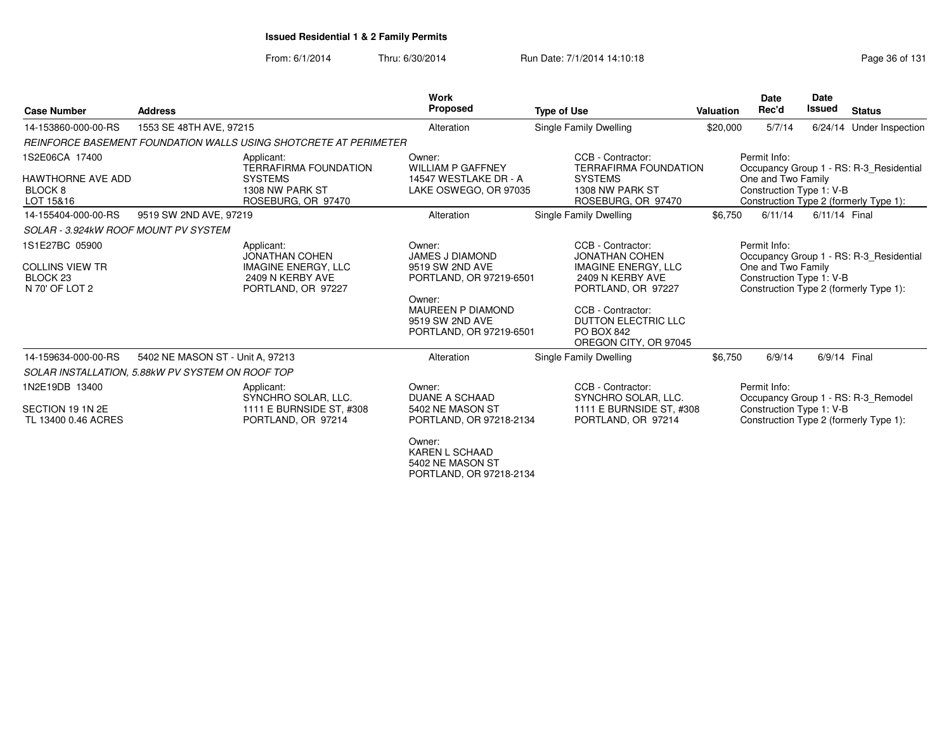| <b>Case Number</b>                                                                | <b>Address</b>                   |                                                                                                             | Work<br><b>Proposed</b>                                                                                                                                            | <b>Type of Use</b>                                                                                                                                                                                           | <b>Valuation</b> | <b>Date</b><br>Rec'd                                           | <b>Date</b><br><b>Issued</b> | <b>Status</b>                                                                     |
|-----------------------------------------------------------------------------------|----------------------------------|-------------------------------------------------------------------------------------------------------------|--------------------------------------------------------------------------------------------------------------------------------------------------------------------|--------------------------------------------------------------------------------------------------------------------------------------------------------------------------------------------------------------|------------------|----------------------------------------------------------------|------------------------------|-----------------------------------------------------------------------------------|
| 14-153860-000-00-RS                                                               | 1553 SE 48TH AVE, 97215          |                                                                                                             | Alteration                                                                                                                                                         | Single Family Dwelling                                                                                                                                                                                       | \$20,000         | 5/7/14                                                         | 6/24/14                      | Under Inspection                                                                  |
|                                                                                   |                                  | REINFORCE BASEMENT FOUNDATION WALLS USING SHOTCRETE AT PERIMETER                                            |                                                                                                                                                                    |                                                                                                                                                                                                              |                  |                                                                |                              |                                                                                   |
| 1S2E06CA 17400<br><b>HAWTHORNE AVE ADD</b><br>BLOCK <sub>8</sub><br>LOT 15&16     |                                  | Applicant:<br><b>TERRAFIRMA FOUNDATION</b><br><b>SYSTEMS</b><br>1308 NW PARK ST<br>ROSEBURG, OR 97470       | Owner:<br><b>WILLIAM P GAFFNEY</b><br>14547 WESTLAKE DR - A<br>LAKE OSWEGO, OR 97035                                                                               | CCB - Contractor:<br><b>TERRAFIRMA FOUNDATION</b><br><b>SYSTEMS</b><br>1308 NW PARK ST<br>ROSEBURG, OR 97470                                                                                                 |                  | Permit Info:<br>One and Two Family<br>Construction Type 1: V-B |                              | Occupancy Group 1 - RS: R-3 Residential<br>Construction Type 2 (formerly Type 1): |
| 14-155404-000-00-RS                                                               | 9519 SW 2ND AVE, 97219           |                                                                                                             | Alteration                                                                                                                                                         | Single Family Dwelling                                                                                                                                                                                       | \$6,750          | 6/11/14                                                        | 6/11/14 Final                |                                                                                   |
| SOLAR - 3.924kW ROOF MOUNT PV SYSTEM                                              |                                  |                                                                                                             |                                                                                                                                                                    |                                                                                                                                                                                                              |                  |                                                                |                              |                                                                                   |
| 1S1E27BC 05900<br><b>COLLINS VIEW TR</b><br>BLOCK <sub>23</sub><br>N 70' OF LOT 2 |                                  | Applicant:<br><b>JONATHAN COHEN</b><br><b>IMAGINE ENERGY, LLC</b><br>2409 N KERBY AVE<br>PORTLAND, OR 97227 | Owner:<br><b>JAMES J DIAMOND</b><br>9519 SW 2ND AVE<br>PORTLAND, OR 97219-6501<br>Owner:<br><b>MAUREEN P DIAMOND</b><br>9519 SW 2ND AVE<br>PORTLAND, OR 97219-6501 | CCB - Contractor:<br><b>JONATHAN COHEN</b><br><b>IMAGINE ENERGY, LLC</b><br>2409 N KERBY AVE<br>PORTLAND, OR 97227<br>CCB - Contractor:<br>DUTTON ELECTRIC LLC<br><b>PO BOX 842</b><br>OREGON CITY, OR 97045 |                  | Permit Info:<br>One and Two Family<br>Construction Type 1: V-B |                              | Occupancy Group 1 - RS: R-3 Residential<br>Construction Type 2 (formerly Type 1): |
| 14-159634-000-00-RS                                                               | 5402 NE MASON ST - Unit A, 97213 |                                                                                                             | Alteration                                                                                                                                                         | Single Family Dwelling                                                                                                                                                                                       | \$6,750          | 6/9/14                                                         | 6/9/14 Final                 |                                                                                   |
| SOLAR INSTALLATION, 5.88kW PV SYSTEM ON ROOF TOP                                  |                                  |                                                                                                             |                                                                                                                                                                    |                                                                                                                                                                                                              |                  |                                                                |                              |                                                                                   |
| 1N2E19DB 13400<br>SECTION 19 1N 2E<br>TL 13400 0.46 ACRES                         |                                  | Applicant:<br>SYNCHRO SOLAR, LLC.<br>1111 E BURNSIDE ST. #308<br>PORTLAND, OR 97214                         | Owner:<br><b>DUANE A SCHAAD</b><br>5402 NE MASON ST<br>PORTLAND, OR 97218-2134<br>Owner:<br><b>KAREN L SCHAAD</b><br>5402 NE MASON ST<br>PORTLAND, OR 97218-2134   | CCB - Contractor:<br>SYNCHRO SOLAR, LLC.<br>1111 E BURNSIDE ST, #308<br>PORTLAND, OR 97214                                                                                                                   |                  | Permit Info:<br>Construction Type 1: V-B                       |                              | Occupancy Group 1 - RS: R-3 Remodel<br>Construction Type 2 (formerly Type 1):     |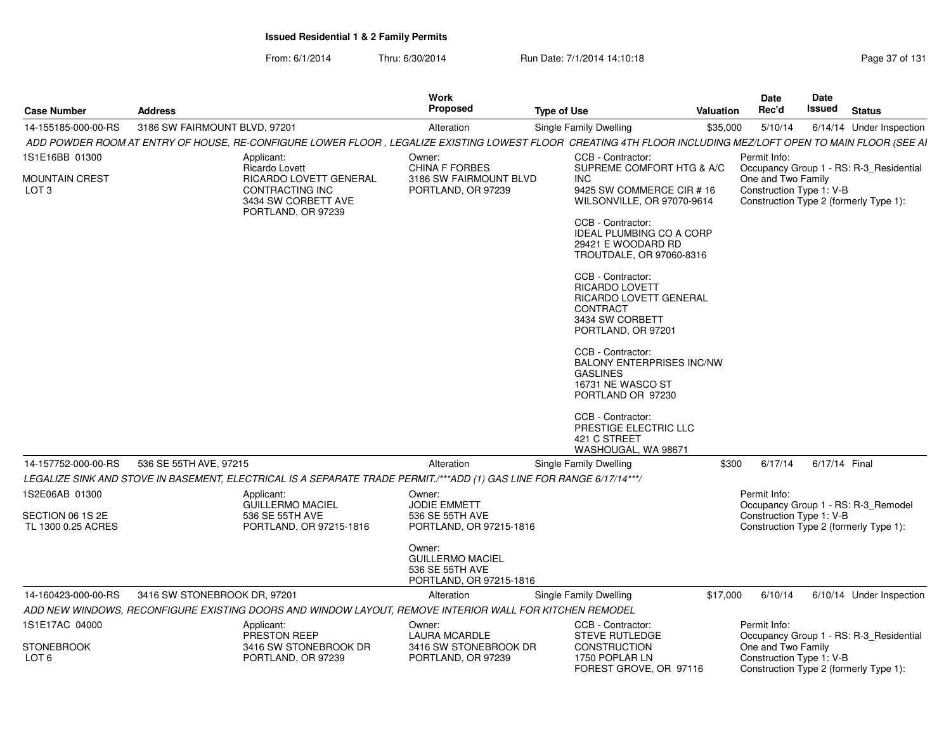| <b>Case Number</b>                     | <b>Address</b>                                                                                                                                               | <b>Work</b><br>Proposed                                                         | <b>Type of Use</b>                                                                                                               | Valuation | <b>Date</b><br>Rec'd                           | <b>Date</b><br>Issued | <b>Status</b>                                                                     |
|----------------------------------------|--------------------------------------------------------------------------------------------------------------------------------------------------------------|---------------------------------------------------------------------------------|----------------------------------------------------------------------------------------------------------------------------------|-----------|------------------------------------------------|-----------------------|-----------------------------------------------------------------------------------|
| 14-155185-000-00-RS                    | 3186 SW FAIRMOUNT BLVD, 97201                                                                                                                                | Alteration                                                                      | Single Family Dwelling                                                                                                           | \$35,000  | 5/10/14                                        |                       | 6/14/14 Under Inspection                                                          |
|                                        | ADD POWDER ROOM AT ENTRY OF HOUSE, RE-CONFIGURE LOWER FLOOR, LEGALIZE EXISTING LOWEST FLOOR CREATING 4TH FLOOR INCLUDING MEZ/LOFT OPEN TO MAIN FLOOR (SEE AI |                                                                                 |                                                                                                                                  |           |                                                |                       |                                                                                   |
| 1S1E16BB 01300                         | Applicant:<br>Ricardo Lovett                                                                                                                                 | Owner:<br><b>CHINA F FORBES</b>                                                 | CCB - Contractor:<br>SUPREME COMFORT HTG & A/C                                                                                   |           | Permit Info:                                   |                       |                                                                                   |
| <b>MOUNTAIN CREST</b><br>LOT 3         | RICARDO LOVETT GENERAL<br>CONTRACTING INC<br>3434 SW CORBETT AVE<br>PORTLAND, OR 97239                                                                       | 3186 SW FAIRMOUNT BLVD<br>PORTLAND, OR 97239                                    | <b>INC</b><br>9425 SW COMMERCE CIR # 16<br>WILSONVILLE, OR 97070-9614                                                            |           | One and Two Family<br>Construction Type 1: V-B |                       | Occupancy Group 1 - RS: R-3_Residential<br>Construction Type 2 (formerly Type 1): |
|                                        |                                                                                                                                                              |                                                                                 | CCB - Contractor:<br><b>IDEAL PLUMBING CO A CORP</b><br>29421 E WOODARD RD<br>TROUTDALE, OR 97060-8316                           |           |                                                |                       |                                                                                   |
|                                        |                                                                                                                                                              |                                                                                 | CCB - Contractor:<br><b>RICARDO LOVETT</b><br><b>RICARDO LOVETT GENERAL</b><br>CONTRACT<br>3434 SW CORBETT<br>PORTLAND, OR 97201 |           |                                                |                       |                                                                                   |
|                                        |                                                                                                                                                              |                                                                                 | CCB - Contractor:<br><b>BALONY ENTERPRISES INC/NW</b><br><b>GASLINES</b><br>16731 NE WASCO ST<br>PORTLAND OR 97230               |           |                                                |                       |                                                                                   |
|                                        |                                                                                                                                                              |                                                                                 | CCB - Contractor:<br>PRESTIGE ELECTRIC LLC<br>421 C STREET<br>WASHOUGAL, WA 98671                                                |           |                                                |                       |                                                                                   |
| 14-157752-000-00-RS                    | 536 SE 55TH AVE, 97215                                                                                                                                       | Alteration                                                                      | Single Family Dwelling                                                                                                           | \$300     | 6/17/14                                        | 6/17/14 Final         |                                                                                   |
|                                        | LEGALIZE SINK AND STOVE IN BASEMENT, ELECTRICAL IS A SEPARATE TRADE PERMIT./***ADD (1) GAS LINE FOR RANGE 6/17/14***/                                        |                                                                                 |                                                                                                                                  |           |                                                |                       |                                                                                   |
| 1S2E06AB 01300                         | Applicant:<br><b>GUILLERMO MACIEL</b>                                                                                                                        | Owner:<br><b>JODIE EMMETT</b>                                                   |                                                                                                                                  |           | Permit Info:                                   |                       | Occupancy Group 1 - RS: R-3_Remodel                                               |
| SECTION 06 1S 2E<br>TL 1300 0.25 ACRES | 536 SE 55TH AVE<br>PORTLAND, OR 97215-1816                                                                                                                   | 536 SE 55TH AVE<br>PORTLAND, OR 97215-1816                                      |                                                                                                                                  |           | Construction Type 1: V-B                       |                       | Construction Type 2 (formerly Type 1):                                            |
|                                        |                                                                                                                                                              | Owner:<br><b>GUILLERMO MACIEL</b><br>536 SE 55TH AVE<br>PORTLAND, OR 97215-1816 |                                                                                                                                  |           |                                                |                       |                                                                                   |
| 14-160423-000-00-RS                    | 3416 SW STONEBROOK DR, 97201                                                                                                                                 | Alteration                                                                      | Single Family Dwelling                                                                                                           | \$17,000  | 6/10/14                                        |                       | 6/10/14 Under Inspection                                                          |
|                                        | ADD NEW WINDOWS, RECONFIGURE EXISTING DOORS AND WINDOW LAYOUT, REMOVE INTERIOR WALL FOR KITCHEN REMODEL                                                      |                                                                                 |                                                                                                                                  |           |                                                |                       |                                                                                   |
| 1S1E17AC 04000                         | Applicant:<br><b>PRESTON REEP</b>                                                                                                                            | Owner:<br><b>LAURA MCARDLE</b>                                                  | CCB - Contractor:<br><b>STEVE RUTLEDGE</b>                                                                                       |           | Permit Info:                                   |                       | Occupancy Group 1 - RS: R-3_Residential                                           |
| <b>STONEBROOK</b><br>LOT 6             | 3416 SW STONEBROOK DR<br>PORTLAND, OR 97239                                                                                                                  | 3416 SW STONEBROOK DR<br>PORTLAND, OR 97239                                     | <b>CONSTRUCTION</b><br>1750 POPLAR LN<br>FOREST GROVE, OR 97116                                                                  |           | One and Two Family<br>Construction Type 1: V-B |                       | Construction Type 2 (formerly Type 1):                                            |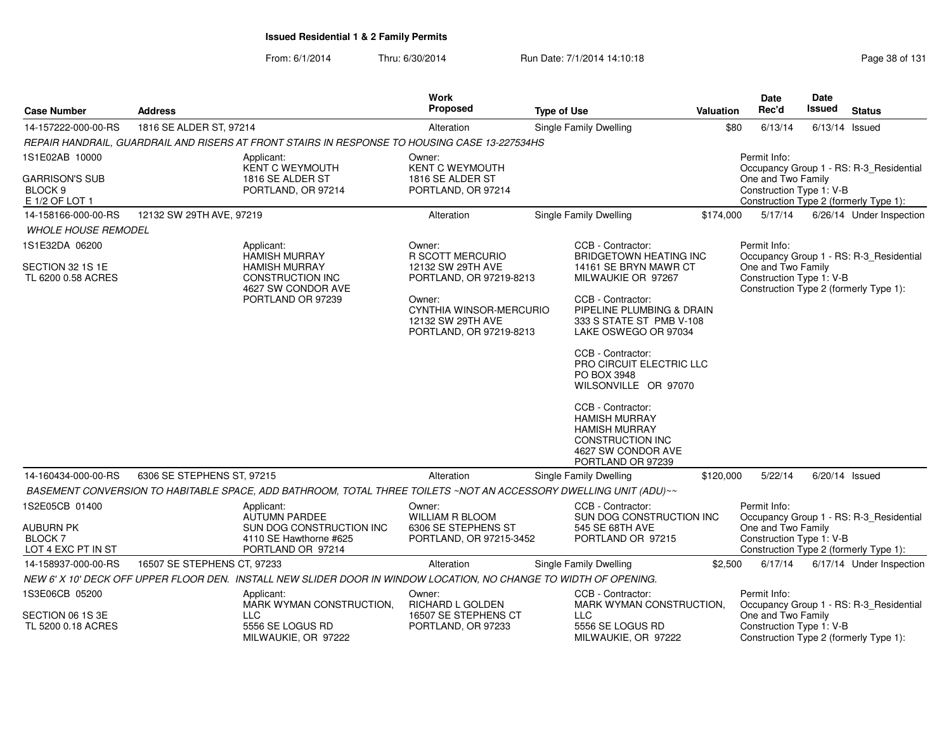| <b>Case Number</b>                                            | <b>Address</b>              |                                                                                                                    | <b>Work</b><br><b>Proposed</b>                                                    | <b>Type of Use</b>                                                                                                                      | <b>Date</b><br>Rec'd<br><b>Valuation</b>                |                                                | Date<br><b>Issued</b> | <b>Status</b>                                                                     |  |  |
|---------------------------------------------------------------|-----------------------------|--------------------------------------------------------------------------------------------------------------------|-----------------------------------------------------------------------------------|-----------------------------------------------------------------------------------------------------------------------------------------|---------------------------------------------------------|------------------------------------------------|-----------------------|-----------------------------------------------------------------------------------|--|--|
| 14-157222-000-00-RS                                           | 1816 SE ALDER ST, 97214     |                                                                                                                    | Alteration                                                                        | Single Family Dwelling                                                                                                                  | \$80                                                    | 6/13/14                                        |                       | $6/13/14$ Issued                                                                  |  |  |
|                                                               |                             | REPAIR HANDRAIL, GUARDRAIL AND RISERS AT FRONT STAIRS IN RESPONSE TO HOUSING CASE 13-227534HS                      |                                                                                   |                                                                                                                                         |                                                         |                                                |                       |                                                                                   |  |  |
| 1S1E02AB 10000                                                |                             | Applicant:<br>KENT C WEYMOUTH                                                                                      | Owner:<br><b>KENT C WEYMOUTH</b>                                                  |                                                                                                                                         | Permit Info:<br>Occupancy Group 1 - RS: R-3_Residential |                                                |                       |                                                                                   |  |  |
| <b>GARRISON'S SUB</b><br>BLOCK <sub>9</sub><br>E 1/2 OF LOT 1 |                             | 1816 SE ALDER ST<br>PORTLAND, OR 97214                                                                             | 1816 SE ALDER ST<br>PORTLAND, OR 97214                                            | One and Two Family<br>Construction Type 1: V-B<br>Construction Type 2 (formerly Type 1):                                                |                                                         |                                                |                       |                                                                                   |  |  |
| 14-158166-000-00-RS                                           | 12132 SW 29TH AVE, 97219    |                                                                                                                    | Alteration                                                                        | Single Family Dwelling                                                                                                                  | \$174,000                                               | 5/17/14                                        |                       | 6/26/14 Under Inspection                                                          |  |  |
| <b><i>WHOLE HOUSE REMODEL</i></b>                             |                             |                                                                                                                    |                                                                                   |                                                                                                                                         |                                                         |                                                |                       |                                                                                   |  |  |
| 1S1E32DA 06200                                                |                             | Applicant:                                                                                                         | Owner:                                                                            | CCB - Contractor:                                                                                                                       |                                                         | Permit Info:                                   |                       |                                                                                   |  |  |
| SECTION 32 1S 1E<br>TL 6200 0.58 ACRES                        |                             | <b>HAMISH MURRAY</b><br><b>HAMISH MURRAY</b><br><b>CONSTRUCTION INC</b><br>4627 SW CONDOR AVE<br>PORTLAND OR 97239 | <b>R SCOTT MERCURIO</b><br>12132 SW 29TH AVE<br>PORTLAND, OR 97219-8213<br>Owner: | <b>BRIDGETOWN HEATING INC</b><br>14161 SE BRYN MAWR CT<br>MILWAUKIE OR 97267<br>CCB - Contractor:                                       |                                                         | One and Two Family<br>Construction Type 1: V-B |                       | Occupancy Group 1 - RS: R-3 Residential<br>Construction Type 2 (formerly Type 1): |  |  |
|                                                               |                             |                                                                                                                    | CYNTHIA WINSOR-MERCURIO<br>12132 SW 29TH AVE<br>PORTLAND, OR 97219-8213           | PIPELINE PLUMBING & DRAIN<br>333 S STATE ST PMB V-108<br>LAKE OSWEGO OR 97034                                                           |                                                         |                                                |                       |                                                                                   |  |  |
|                                                               |                             |                                                                                                                    |                                                                                   | CCB - Contractor:<br>PRO CIRCUIT ELECTRIC LLC<br>PO BOX 3948<br>WILSONVILLE OR 97070                                                    |                                                         |                                                |                       |                                                                                   |  |  |
|                                                               |                             |                                                                                                                    |                                                                                   | CCB - Contractor:<br><b>HAMISH MURRAY</b><br><b>HAMISH MURRAY</b><br><b>CONSTRUCTION INC</b><br>4627 SW CONDOR AVE<br>PORTLAND OR 97239 |                                                         |                                                |                       |                                                                                   |  |  |
| 14-160434-000-00-RS                                           | 6306 SE STEPHENS ST, 97215  |                                                                                                                    | Alteration                                                                        | Single Family Dwelling                                                                                                                  | \$120,000                                               | 5/22/14                                        |                       | $6/20/14$ Issued                                                                  |  |  |
|                                                               |                             | BASEMENT CONVERSION TO HABITABLE SPACE, ADD BATHROOM, TOTAL THREE TOILETS ~NOT AN ACCESSORY DWELLING UNIT (ADU)~~  |                                                                                   |                                                                                                                                         |                                                         |                                                |                       |                                                                                   |  |  |
| 1S2E05CB 01400                                                |                             | Applicant:<br><b>AUTUMN PARDEE</b>                                                                                 | Owner:<br><b>WILLIAM R BLOOM</b>                                                  | CCB - Contractor:<br>SUN DOG CONSTRUCTION INC                                                                                           |                                                         | Permit Info:                                   |                       | Occupancy Group 1 - RS: R-3_Residential                                           |  |  |
| <b>AUBURN PK</b><br><b>BLOCK 7</b><br>LOT 4 EXC PT IN ST      |                             | SUN DOG CONSTRUCTION INC<br>4110 SE Hawthorne #625<br>PORTLAND OR 97214                                            | 6306 SE STEPHENS ST<br>PORTLAND, OR 97215-3452                                    | 545 SE 68TH AVE<br>PORTLAND OR 97215                                                                                                    |                                                         | One and Two Family<br>Construction Type 1: V-B |                       | Construction Type 2 (formerly Type 1):                                            |  |  |
| 14-158937-000-00-RS                                           | 16507 SE STEPHENS CT, 97233 |                                                                                                                    | Alteration                                                                        | Single Family Dwelling                                                                                                                  | \$2,500                                                 | 6/17/14                                        |                       | 6/17/14 Under Inspection                                                          |  |  |
|                                                               |                             | NEW 6' X 10' DECK OFF UPPER FLOOR DEN. INSTALL NEW SLIDER DOOR IN WINDOW LOCATION, NO CHANGE TO WIDTH OF OPENING.  |                                                                                   |                                                                                                                                         |                                                         |                                                |                       |                                                                                   |  |  |
| 1S3E06CB 05200<br>Applicant:                                  |                             | MARK WYMAN CONSTRUCTION,                                                                                           | CCB - Contractor:<br>Owner:<br>RICHARD L GOLDEN<br>MARK WYMAN CONSTRUCTION,       |                                                                                                                                         | Permit Info:<br>Occupancy Group 1 - RS: R-3_Residential |                                                |                       |                                                                                   |  |  |
| SECTION 06 1S 3E<br>TL 5200 0.18 ACRES                        |                             | LLC.<br>5556 SE LOGUS RD<br>MILWAUKIE, OR 97222                                                                    | 16507 SE STEPHENS CT<br>PORTLAND, OR 97233                                        | LLC.<br>5556 SE LOGUS RD<br>MILWAUKIE, OR 97222                                                                                         |                                                         | One and Two Family<br>Construction Type 1: V-B |                       | Construction Type 2 (formerly Type 1):                                            |  |  |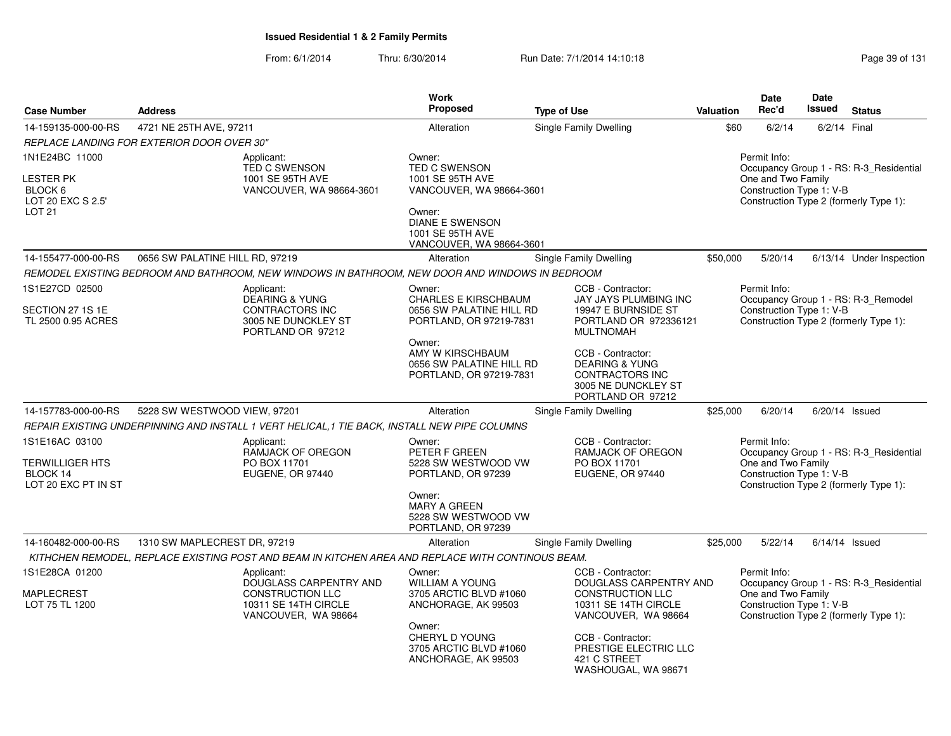| <b>Case Number</b>                                                           | <b>Address</b>                                                                                                                    | Work<br><b>Proposed</b>                                                                                                                                                           | <b>Type of Use</b>                                                                                                                                                                                                              | Valuation                                                                                                                                           | Date<br>Rec'd                                  | <b>Date</b><br><b>Issued</b> | <b>Status</b>                                                                     |  |
|------------------------------------------------------------------------------|-----------------------------------------------------------------------------------------------------------------------------------|-----------------------------------------------------------------------------------------------------------------------------------------------------------------------------------|---------------------------------------------------------------------------------------------------------------------------------------------------------------------------------------------------------------------------------|-----------------------------------------------------------------------------------------------------------------------------------------------------|------------------------------------------------|------------------------------|-----------------------------------------------------------------------------------|--|
| 14-159135-000-00-RS                                                          | 4721 NE 25TH AVE, 97211                                                                                                           | Alteration                                                                                                                                                                        | <b>Single Family Dwelling</b>                                                                                                                                                                                                   | \$60                                                                                                                                                | 6/2/14                                         | 6/2/14 Final                 |                                                                                   |  |
|                                                                              | REPLACE LANDING FOR EXTERIOR DOOR OVER 30"                                                                                        |                                                                                                                                                                                   |                                                                                                                                                                                                                                 |                                                                                                                                                     |                                                |                              |                                                                                   |  |
| 1N1E24BC 11000<br>LESTER PK<br>BLOCK 6<br>LOT 20 EXC S 2.5'<br><b>LOT 21</b> | Applicant:<br><b>TED C SWENSON</b><br>1001 SE 95TH AVE<br>VANCOUVER, WA 98664-3601                                                | Owner:<br><b>TED C SWENSON</b><br>1001 SE 95TH AVE<br>VANCOUVER, WA 98664-3601<br>Owner:<br><b>DIANE E SWENSON</b><br>1001 SE 95TH AVE<br>VANCOUVER, WA 98664-3601                |                                                                                                                                                                                                                                 | Permit Info:<br>Occupancy Group 1 - RS: R-3_Residential<br>One and Two Family<br>Construction Type 1: V-B<br>Construction Type 2 (formerly Type 1): |                                                |                              |                                                                                   |  |
| 14-155477-000-00-RS                                                          | 0656 SW PALATINE HILL RD, 97219                                                                                                   | Alteration                                                                                                                                                                        | <b>Single Family Dwelling</b>                                                                                                                                                                                                   | \$50,000                                                                                                                                            | 5/20/14                                        |                              | 6/13/14 Under Inspection                                                          |  |
|                                                                              | REMODEL EXISTING BEDROOM AND BATHROOM, NEW WINDOWS IN BATHROOM, NEW DOOR AND WINDOWS IN BEDROOM                                   |                                                                                                                                                                                   |                                                                                                                                                                                                                                 |                                                                                                                                                     |                                                |                              |                                                                                   |  |
| 1S1E27CD 02500<br>SECTION 27 1S 1E<br>TL 2500 0.95 ACRES                     | Applicant:<br><b>DEARING &amp; YUNG</b><br>CONTRACTORS INC<br>3005 NE DUNCKLEY ST<br>PORTLAND OR 97212                            | Owner:<br><b>CHARLES E KIRSCHBAUM</b><br>0656 SW PALATINE HILL RD<br>PORTLAND, OR 97219-7831<br>Owner:<br>AMY W KIRSCHBAUM<br>0656 SW PALATINE HILL RD<br>PORTLAND, OR 97219-7831 | CCB - Contractor:<br>JAY JAYS PLUMBING INC<br>19947 E BURNSIDE ST<br>PORTLAND OR 972336121<br><b>MULTNOMAH</b><br>CCB - Contractor:<br><b>DEARING &amp; YUNG</b><br>CONTRACTORS INC<br>3005 NE DUNCKLEY ST<br>PORTLAND OR 97212 |                                                                                                                                                     | Permit Info:<br>Construction Type 1: V-B       |                              | Occupancy Group 1 - RS: R-3_Remodel<br>Construction Type 2 (formerly Type 1):     |  |
| 14-157783-000-00-RS                                                          | 5228 SW WESTWOOD VIEW, 97201                                                                                                      | Alteration                                                                                                                                                                        | <b>Single Family Dwelling</b>                                                                                                                                                                                                   | \$25,000                                                                                                                                            | 6/20/14                                        |                              | $6/20/14$ Issued                                                                  |  |
|                                                                              | REPAIR EXISTING UNDERPINNING AND INSTALL 1 VERT HELICAL, 1 TIE BACK, INSTALL NEW PIPE COLUMNS                                     |                                                                                                                                                                                   |                                                                                                                                                                                                                                 |                                                                                                                                                     |                                                |                              |                                                                                   |  |
| 1S1E16AC 03100                                                               | Applicant:<br>RAMJACK OF OREGON                                                                                                   | Owner:<br>PETER F GREEN                                                                                                                                                           | CCB - Contractor:<br>RAMJACK OF OREGON                                                                                                                                                                                          |                                                                                                                                                     | Permit Info:                                   |                              | Occupancy Group 1 - RS: R-3_Residential                                           |  |
| TERWILLIGER HTS<br>BLOCK 14<br>LOT 20 EXC PT IN ST                           | PO BOX 11701<br>EUGENE, OR 97440                                                                                                  | 5228 SW WESTWOOD VW<br>PORTLAND, OR 97239                                                                                                                                         | PO BOX 11701<br>EUGENE, OR 97440                                                                                                                                                                                                |                                                                                                                                                     | One and Two Family<br>Construction Type 1: V-B |                              | Construction Type 2 (formerly Type 1):                                            |  |
|                                                                              |                                                                                                                                   | Owner:<br><b>MARY A GREEN</b><br>5228 SW WESTWOOD VW<br>PORTLAND, OR 97239                                                                                                        |                                                                                                                                                                                                                                 |                                                                                                                                                     |                                                |                              |                                                                                   |  |
| 14-160482-000-00-RS                                                          | 1310 SW MAPLECREST DR, 97219<br>KITHCHEN REMODEL, REPLACE EXISTING POST AND BEAM IN KITCHEN AREA AND REPLACE WITH CONTINOUS BEAM. | Alteration                                                                                                                                                                        | <b>Single Family Dwelling</b>                                                                                                                                                                                                   | \$25,000                                                                                                                                            | 5/22/14                                        |                              | $6/14/14$ Issued                                                                  |  |
| 1S1E28CA 01200                                                               | Applicant:                                                                                                                        | Owner:                                                                                                                                                                            | CCB - Contractor:                                                                                                                                                                                                               |                                                                                                                                                     | Permit Info:                                   |                              |                                                                                   |  |
| <b>MAPLECREST</b><br>LOT 75 TL 1200                                          | DOUGLASS CARPENTRY AND<br><b>CONSTRUCTION LLC</b><br>10311 SE 14TH CIRCLE<br>VANCOUVER, WA 98664                                  | <b>WILLIAM A YOUNG</b><br>3705 ARCTIC BLVD #1060<br>ANCHORAGE, AK 99503                                                                                                           | DOUGLASS CARPENTRY AND<br><b>CONSTRUCTION LLC</b><br>10311 SE 14TH CIRCLE<br>VANCOUVER, WA 98664                                                                                                                                |                                                                                                                                                     | One and Two Family<br>Construction Type 1: V-B |                              | Occupancy Group 1 - RS: R-3_Residential<br>Construction Type 2 (formerly Type 1): |  |
|                                                                              |                                                                                                                                   | Owner:<br>CHERYL D YOUNG<br>3705 ARCTIC BLVD #1060<br>ANCHORAGE, AK 99503                                                                                                         | CCB - Contractor:<br>PRESTIGE ELECTRIC LLC<br>421 C STREET<br>WASHOUGAL, WA 98671                                                                                                                                               |                                                                                                                                                     |                                                |                              |                                                                                   |  |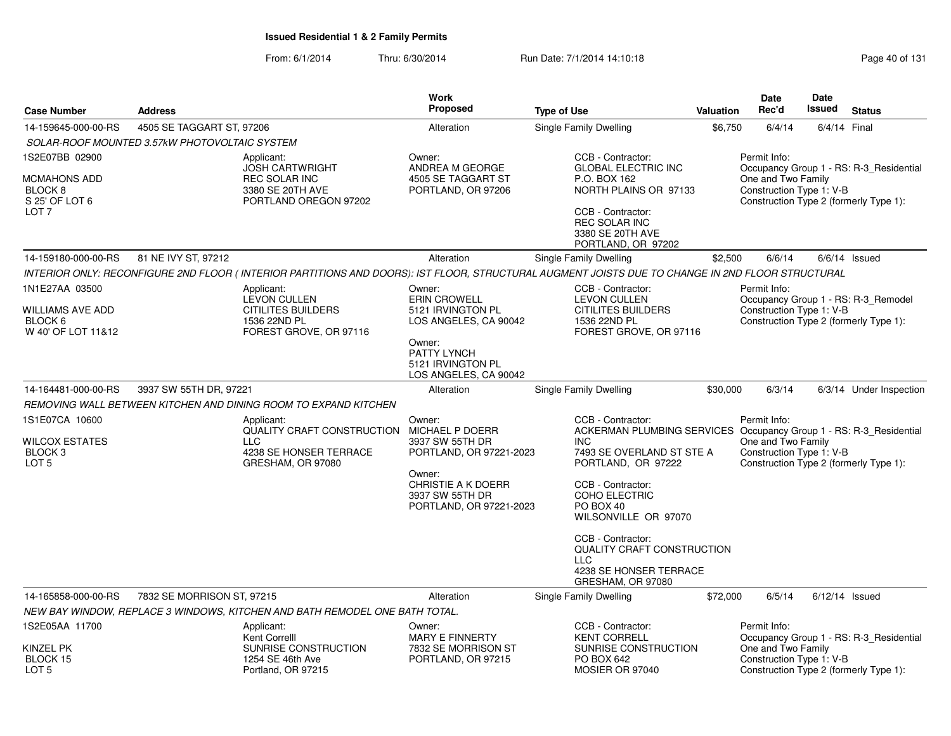| <b>Case Number</b>                                                  | <b>Address</b>                                                                                                                                   | <b>Work</b><br><b>Proposed</b>                                                                                                                               | <b>Type of Use</b>                                                                                                                                                                                                                                                                                                                                  | Valuation | <b>Date</b><br>Rec'd                                           | <b>Date</b><br>Issued | <b>Status</b>                                                                 |
|---------------------------------------------------------------------|--------------------------------------------------------------------------------------------------------------------------------------------------|--------------------------------------------------------------------------------------------------------------------------------------------------------------|-----------------------------------------------------------------------------------------------------------------------------------------------------------------------------------------------------------------------------------------------------------------------------------------------------------------------------------------------------|-----------|----------------------------------------------------------------|-----------------------|-------------------------------------------------------------------------------|
| 14-159645-000-00-RS                                                 | 4505 SE TAGGART ST, 97206                                                                                                                        | Alteration                                                                                                                                                   | Single Family Dwelling                                                                                                                                                                                                                                                                                                                              | \$6,750   | 6/4/14                                                         | 6/4/14 Final          |                                                                               |
|                                                                     | SOLAR-ROOF MOUNTED 3.57kW PHOTOVOLTAIC SYSTEM                                                                                                    |                                                                                                                                                              |                                                                                                                                                                                                                                                                                                                                                     |           |                                                                |                       |                                                                               |
| 1S2E07BB 02900                                                      | Applicant:<br><b>JOSH CARTWRIGHT</b>                                                                                                             | Owner:<br>ANDREA M GEORGE                                                                                                                                    | CCB - Contractor:<br><b>GLOBAL ELECTRIC INC</b>                                                                                                                                                                                                                                                                                                     |           | Permit Info:                                                   |                       | Occupancy Group 1 - RS: R-3_Residential                                       |
| MCMAHONS ADD<br>BLOCK 8<br>S 25' OF LOT 6<br>LOT 7                  | <b>REC SOLAR INC</b><br>3380 SE 20TH AVE<br>PORTLAND OREGON 97202                                                                                | 4505 SE TAGGART ST<br>PORTLAND, OR 97206                                                                                                                     | P.O. BOX 162<br>NORTH PLAINS OR 97133<br>CCB - Contractor:<br><b>REC SOLAR INC</b>                                                                                                                                                                                                                                                                  |           | One and Two Family<br>Construction Type 1: V-B                 |                       | Construction Type 2 (formerly Type 1):                                        |
|                                                                     |                                                                                                                                                  |                                                                                                                                                              | 3380 SE 20TH AVE<br>PORTLAND, OR 97202                                                                                                                                                                                                                                                                                                              |           |                                                                |                       |                                                                               |
| 14-159180-000-00-RS                                                 | 81 NE IVY ST, 97212                                                                                                                              | Alteration                                                                                                                                                   | Single Family Dwelling                                                                                                                                                                                                                                                                                                                              | \$2,500   | 6/6/14                                                         |                       | $6/6/14$ Issued                                                               |
|                                                                     | INTERIOR ONLY: RECONFIGURE 2ND FLOOR (INTERIOR PARTITIONS AND DOORS): IST FLOOR, STRUCTURAL AUGMENT JOISTS DUE TO CHANGE IN 2ND FLOOR STRUCTURAL |                                                                                                                                                              |                                                                                                                                                                                                                                                                                                                                                     |           |                                                                |                       |                                                                               |
| 1N1E27AA 03500<br>WILLIAMS AVE ADD<br>BLOCK 6<br>W 40' OF LOT 11&12 | Applicant:<br><b>LEVON CULLEN</b><br><b>CITILITES BUILDERS</b><br>1536 22ND PL<br>FOREST GROVE, OR 97116                                         | Owner:<br><b>ERIN CROWELL</b><br>5121 IRVINGTON PL<br>LOS ANGELES, CA 90042                                                                                  | CCB - Contractor:<br><b>LEVON CULLEN</b><br><b>CITILITES BUILDERS</b><br>1536 22ND PL<br>FOREST GROVE, OR 97116                                                                                                                                                                                                                                     |           | Permit Info:<br>Construction Type 1: V-B                       |                       | Occupancy Group 1 - RS: R-3 Remodel<br>Construction Type 2 (formerly Type 1): |
|                                                                     |                                                                                                                                                  | Owner:<br>PATTY LYNCH<br>5121 IRVINGTON PL<br>LOS ANGELES, CA 90042                                                                                          |                                                                                                                                                                                                                                                                                                                                                     |           |                                                                |                       |                                                                               |
| 14-164481-000-00-RS                                                 | 3937 SW 55TH DR, 97221                                                                                                                           | Alteration                                                                                                                                                   | Single Family Dwelling                                                                                                                                                                                                                                                                                                                              | \$30,000  | 6/3/14                                                         |                       | 6/3/14 Under Inspection                                                       |
|                                                                     | REMOVING WALL BETWEEN KITCHEN AND DINING ROOM TO EXPAND KITCHEN                                                                                  |                                                                                                                                                              |                                                                                                                                                                                                                                                                                                                                                     |           |                                                                |                       |                                                                               |
| 1S1E07CA 10600<br>WILCOX ESTATES<br>BLOCK 3<br>LOT <sub>5</sub>     | Applicant:<br>QUALITY CRAFT CONSTRUCTION<br><b>LLC</b><br>4238 SE HONSER TERRACE<br>GRESHAM, OR 97080                                            | Owner:<br>MICHAEL P DOERR<br>3937 SW 55TH DR<br>PORTLAND, OR 97221-2023<br>Owner:<br><b>CHRISTIE A K DOERR</b><br>3937 SW 55TH DR<br>PORTLAND, OR 97221-2023 | CCB - Contractor:<br>ACKERMAN PLUMBING SERVICES Occupancy Group 1 - RS: R-3 Residential<br><b>INC</b><br>7493 SE OVERLAND ST STE A<br>PORTLAND, OR 97222<br>CCB - Contractor:<br>COHO ELECTRIC<br>PO BOX 40<br>WILSONVILLE OR 97070<br>CCB - Contractor:<br><b>QUALITY CRAFT CONSTRUCTION</b><br>LLC<br>4238 SE HONSER TERRACE<br>GRESHAM, OR 97080 |           | Permit Info:<br>One and Two Family<br>Construction Type 1: V-B |                       | Construction Type 2 (formerly Type 1):                                        |
| 14-165858-000-00-RS                                                 | 7832 SE MORRISON ST, 97215                                                                                                                       | Alteration                                                                                                                                                   | Single Family Dwelling                                                                                                                                                                                                                                                                                                                              | \$72,000  | 6/5/14                                                         |                       | $6/12/14$ Issued                                                              |
|                                                                     | NEW BAY WINDOW, REPLACE 3 WINDOWS, KITCHEN AND BATH REMODEL ONE BATH TOTAL.                                                                      |                                                                                                                                                              |                                                                                                                                                                                                                                                                                                                                                     |           |                                                                |                       |                                                                               |
| 1S2E05AA 11700                                                      | Applicant:<br>Kent Correlll                                                                                                                      | Owner:                                                                                                                                                       | CCB - Contractor:<br>MARY E FINNERTY<br><b>KENT CORRELL</b>                                                                                                                                                                                                                                                                                         |           | Permit Info:                                                   |                       | Occupancy Group 1 - RS: R-3 Residential                                       |
| KINZEL PK<br>BLOCK 15<br>LOT <sub>5</sub>                           | SUNRISE CONSTRUCTION<br>1254 SE 46th Ave<br>Portland, OR 97215                                                                                   | 7832 SE MORRISON ST<br>PORTLAND, OR 97215                                                                                                                    | SUNRISE CONSTRUCTION<br>PO BOX 642<br>MOSIER OR 97040                                                                                                                                                                                                                                                                                               |           | One and Two Family<br>Construction Type 1: V-B                 |                       | Construction Type 2 (formerly Type 1):                                        |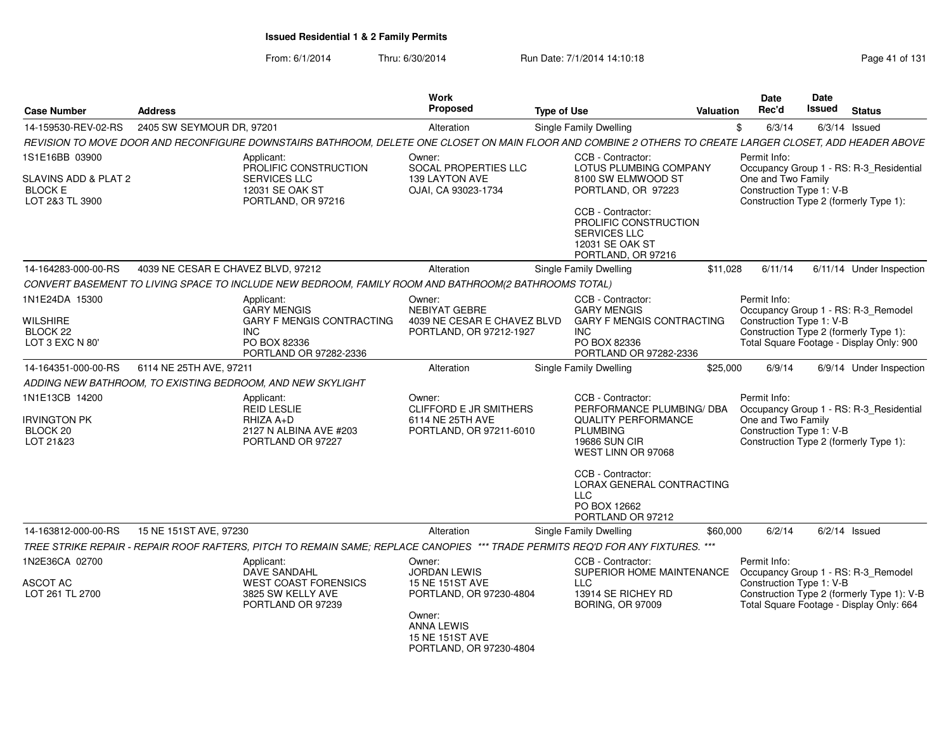|                                    |                                    |                                                                                                                                                           | <b>Work</b>                                       |                                                                                                            |                                  | <b>Date</b>                                                        | Date          |                                            |
|------------------------------------|------------------------------------|-----------------------------------------------------------------------------------------------------------------------------------------------------------|---------------------------------------------------|------------------------------------------------------------------------------------------------------------|----------------------------------|--------------------------------------------------------------------|---------------|--------------------------------------------|
| <b>Case Number</b>                 | <b>Address</b>                     |                                                                                                                                                           | <b>Proposed</b>                                   | <b>Type of Use</b>                                                                                         | Valuation                        | Rec'd                                                              | <b>Issued</b> | <b>Status</b>                              |
| 14-159530-REV-02-RS                | 2405 SW SEYMOUR DR, 97201          |                                                                                                                                                           | Alteration                                        | <b>Single Family Dwelling</b>                                                                              |                                  | \$<br>6/3/14                                                       |               | $6/3/14$ Issued                            |
|                                    |                                    | REVISION TO MOVE DOOR AND RECONFIGURE DOWNSTAIRS BATHROOM, DELETE ONE CLOSET ON MAIN FLOOR AND COMBINE 2 OTHERS TO CREATE LARGER CLOSET, ADD HEADER ABOVE |                                                   |                                                                                                            |                                  |                                                                    |               |                                            |
| 1S1E16BB 03900                     |                                    | Applicant:                                                                                                                                                | Owner:                                            | CCB - Contractor:                                                                                          |                                  | Permit Info:                                                       |               |                                            |
| SLAVINS ADD & PLAT 2               |                                    | PROLIFIC CONSTRUCTION<br><b>SERVICES LLC</b>                                                                                                              | SOCAL PROPERTIES LLC<br>139 LAYTON AVE            | LOTUS PLUMBING COMPANY<br>8100 SW ELMWOOD ST                                                               |                                  | One and Two Family                                                 |               | Occupancy Group 1 - RS: R-3_Residential    |
| <b>BLOCK E</b><br>LOT 2&3 TL 3900  |                                    | 12031 SE OAK ST<br>PORTLAND, OR 97216                                                                                                                     | OJAI, CA 93023-1734                               | PORTLAND, OR 97223                                                                                         |                                  | Construction Type 1: V-B<br>Construction Type 2 (formerly Type 1): |               |                                            |
|                                    |                                    |                                                                                                                                                           |                                                   | CCB - Contractor:<br>PROLIFIC CONSTRUCTION<br><b>SERVICES LLC</b><br>12031 SE OAK ST<br>PORTLAND, OR 97216 |                                  |                                                                    |               |                                            |
| 14-164283-000-00-RS                | 4039 NE CESAR E CHAVEZ BLVD, 97212 |                                                                                                                                                           | Alteration                                        | Single Family Dwelling                                                                                     | \$11,028                         | 6/11/14                                                            |               | 6/11/14 Under Inspection                   |
|                                    |                                    | CONVERT BASEMENT TO LIVING SPACE TO INCLUDE NEW BEDROOM, FAMILY ROOM AND BATHROOM(2 BATHROOMS TOTAL)                                                      |                                                   |                                                                                                            |                                  |                                                                    |               |                                            |
| 1N1E24DA 15300                     |                                    | Applicant:                                                                                                                                                | Owner:                                            | CCB - Contractor:                                                                                          |                                  | Permit Info:                                                       |               |                                            |
| <b>WILSHIRE</b>                    |                                    | <b>GARY MENGIS</b><br><b>GARY F MENGIS CONTRACTING</b>                                                                                                    | NEBIYAT GEBRE<br>4039 NE CESAR E CHAVEZ BLVD      | <b>GARY MENGIS</b>                                                                                         | <b>GARY F MENGIS CONTRACTING</b> | Construction Type 1: V-B                                           |               | Occupancy Group 1 - RS: R-3 Remodel        |
| BLOCK <sub>22</sub>                |                                    | <b>INC</b>                                                                                                                                                | PORTLAND, OR 97212-1927                           | <b>INC</b>                                                                                                 |                                  | Construction Type 2 (formerly Type 1):                             |               |                                            |
| LOT 3 EXC N 80'                    |                                    | PO BOX 82336<br>PORTLAND OR 97282-2336                                                                                                                    |                                                   | PO BOX 82336<br>PORTLAND OR 97282-2336                                                                     |                                  |                                                                    |               | Total Square Footage - Display Only: 900   |
| 14-164351-000-00-RS                | 6114 NE 25TH AVE, 97211            |                                                                                                                                                           | Alteration                                        | Single Family Dwelling                                                                                     | \$25,000                         | 6/9/14                                                             |               | 6/9/14 Under Inspection                    |
|                                    |                                    | ADDING NEW BATHROOM, TO EXISTING BEDROOM, AND NEW SKYLIGHT                                                                                                |                                                   |                                                                                                            |                                  |                                                                    |               |                                            |
| 1N1E13CB 14200                     |                                    | Applicant:<br><b>REID LESLIE</b>                                                                                                                          | Owner:<br><b>CLIFFORD E JR SMITHERS</b>           | CCB - Contractor:                                                                                          | PERFORMANCE PLUMBING/ DBA        | Permit Info:                                                       |               | Occupancy Group 1 - RS: R-3 Residential    |
| Irvington PK<br>BLOCK 20           |                                    | RHIZA A+D<br>2127 N ALBINA AVE #203                                                                                                                       | 6114 NE 25TH AVE<br>PORTLAND, OR 97211-6010       | <b>QUALITY PERFORMANCE</b><br><b>PLUMBING</b>                                                              |                                  | One and Two Family<br>Construction Type 1: V-B                     |               |                                            |
| LOT 21&23                          |                                    | PORTLAND OR 97227                                                                                                                                         |                                                   | <b>19686 SUN CIR</b><br>WEST LINN OR 97068                                                                 |                                  | Construction Type 2 (formerly Type 1):                             |               |                                            |
|                                    |                                    |                                                                                                                                                           |                                                   | CCB - Contractor:<br><b>LLC</b><br>PO BOX 12662<br>PORTLAND OR 97212                                       | <b>LORAX GENERAL CONTRACTING</b> |                                                                    |               |                                            |
| 14-163812-000-00-RS                | 15 NE 151ST AVE, 97230             |                                                                                                                                                           | Alteration                                        | Single Family Dwelling                                                                                     | \$60,000                         | 6/2/14                                                             |               | $6/2/14$ Issued                            |
|                                    |                                    | TREE STRIKE REPAIR - REPAIR ROOF RAFTERS, PITCH TO REMAIN SAME; REPLACE CANOPIES *** TRADE PERMITS REQ'D FOR ANY FIXTURES. ***                            |                                                   |                                                                                                            |                                  |                                                                    |               |                                            |
| 1N2E36CA 02700                     |                                    | Applicant:<br><b>DAVE SANDAHL</b>                                                                                                                         | Owner:<br><b>JORDAN LEWIS</b>                     | CCB - Contractor:                                                                                          | SUPERIOR HOME MAINTENANCE        | Permit Info:                                                       |               | Occupancy Group 1 - RS: R-3_Remodel        |
| <b>ASCOT AC</b><br>LOT 261 TL 2700 |                                    | <b>WEST COAST FORENSICS</b><br>3825 SW KELLY AVE                                                                                                          | <b>15 NE 151ST AVE</b><br>PORTLAND, OR 97230-4804 | <b>LLC</b><br>13914 SE RICHEY RD                                                                           |                                  | Construction Type 1: V-B                                           |               | Construction Type 2 (formerly Type 1): V-B |
|                                    |                                    | PORTLAND OR 97239                                                                                                                                         | Owner:<br><b>ANNA LEWIS</b>                       | <b>BORING, OR 97009</b>                                                                                    |                                  |                                                                    |               | Total Square Footage - Display Only: 664   |
|                                    |                                    |                                                                                                                                                           | <b>15 NE 151ST AVE</b><br>PORTLAND, OR 97230-4804 |                                                                                                            |                                  |                                                                    |               |                                            |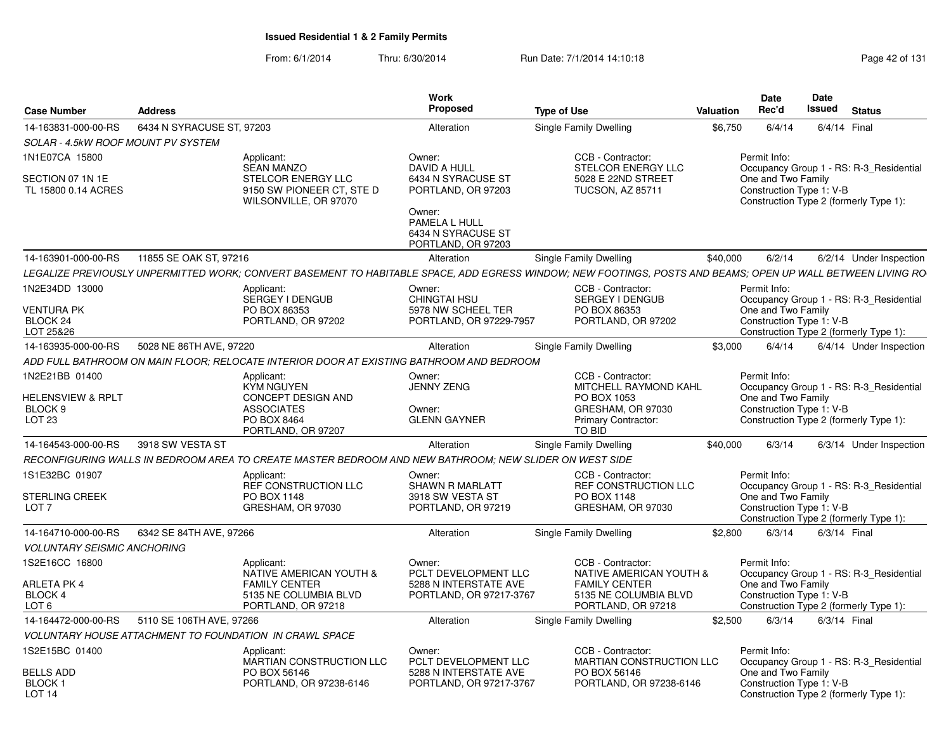| Case Number                                      | <b>Address</b> |                                                                                                        | Work<br>Proposed                              | <b>Type of Use</b>                              | Date<br>Date<br>Rec'd<br>Issued<br>Valuation<br>Status                                                                                                      |
|--------------------------------------------------|----------------|--------------------------------------------------------------------------------------------------------|-----------------------------------------------|-------------------------------------------------|-------------------------------------------------------------------------------------------------------------------------------------------------------------|
| 14-163831-000-00-RS    6434 N SYRACUSE ST, 97203 |                |                                                                                                        | Alteration                                    | Single Family Dwelling                          | \$6,750<br>6/4/14<br>6/4/14 Final                                                                                                                           |
| SOLAR - 4.5kW ROOF MOUNT PV SYSTEM               |                |                                                                                                        |                                               |                                                 |                                                                                                                                                             |
| 1N1E07CA 15800                                   |                | Applicant:                                                                                             | Owner:                                        | CCB - Contractor:                               | Permit Info:                                                                                                                                                |
|                                                  |                | <b>SEAN MANZO</b>                                                                                      | DAVID A HULL                                  | STELCOR ENERGY LL                               | Occupancy Group 1 - RS: R-3 Residential                                                                                                                     |
| SECTION 07 1N 1E<br>TL 15800 0.14 ACRES          |                | STELCOR ENERGY LLC<br>9150 SW PIONEER CT, STE D                                                        | 6434 N SYRACUSE ST<br>PORTLAND, OR 97203      | 5028 E 22ND STREET<br>TUCSON, AZ 85711          | One and Two Family<br>Construction Type 1: V-B                                                                                                              |
|                                                  |                | WILSONVILLE, OR 97070                                                                                  |                                               |                                                 | Construction Type 2 (formerly Type 1):                                                                                                                      |
|                                                  |                |                                                                                                        | Owner:                                        |                                                 |                                                                                                                                                             |
|                                                  |                |                                                                                                        | PAMELA L HULL<br>6434 N SYRACUSE ST           |                                                 |                                                                                                                                                             |
|                                                  |                |                                                                                                        | PORTLAND, OR 97203                            |                                                 |                                                                                                                                                             |
| 14-163901-000-00-RS    11855 SE OAK ST, 97216    |                |                                                                                                        | Alteration                                    | Single Family Dwelling                          | \$40,000<br>6/2/14<br>6/2/14 Under Inspection                                                                                                               |
|                                                  |                |                                                                                                        |                                               |                                                 | LEGALIZE PREVIOUSLY UNPERMITTED WORK; CONVERT BASEMENT TO HABITABLE SPACE, ADD EGRESS WINDOW; NEW FOOTINGS, POSTS AND BEAMS; OPEN UP WALL BETWEEN LIVING RO |
| 1N2E34DD 13000                                   |                | Applicant:                                                                                             | Owner:                                        | CCB - Contractor:                               | Permit Info:                                                                                                                                                |
|                                                  |                | SERGEY I DENGUB                                                                                        | CHINGTAI HSU                                  | SERGEY I DENGUB                                 | Occupancy Group 1 - RS: R-3_Residential                                                                                                                     |
| <b>VENTURA PK</b><br>BLOCK 24                    |                | PO BOX 86353<br>PORTLAND, OR 97202                                                                     | 5978 NW SCHEEL TER<br>PORTLAND, OR 97229-7957 | PO BOX 86353<br>PORTLAND, OR 97202              | One and Two Family<br>Construction Type 1: V-B                                                                                                              |
| LOT 25&26                                        |                |                                                                                                        |                                               |                                                 | Construction Type 2 (formerly Type 1):                                                                                                                      |
| 14-163935-000-00-RS 5028 NE 86TH AVE, 97220      |                |                                                                                                        | Alteration                                    | Single Family Dwelling                          | $$3,000$ 6/4/14 6/4/14 Under Inspection                                                                                                                     |
|                                                  |                | ADD FULL BATHROOM ON MAIN FLOOR; RELOCATE INTERIOR DOOR AT EXISTING BATHROOM AND BEDROOM               |                                               |                                                 |                                                                                                                                                             |
| 1N2E21BB 01400                                   |                | Applicant:                                                                                             | Owner:                                        | CCB - Contractor:                               | Permit Info:                                                                                                                                                |
| <b>HELENSVIEW &amp; RPLT</b>                     |                | KYM NGUYEN<br>CONCEPT DESIGN AND                                                                       | <b>JENNY ZENG</b>                             | MITCHELL RAYMOND KAHL<br>PO BOX 1053            | Occupancy Group 1 - RS: R-3_Residential<br>One and Two Family                                                                                               |
| BLOCK 9                                          |                | <b>ASSOCIATES</b>                                                                                      | Owner:                                        | GRESHAM, OR 97030                               | Construction Type 1: V-B                                                                                                                                    |
| <b>LOT 23</b>                                    |                | PO BOX 8464                                                                                            | <b>GLENN GAYNER</b>                           | <b>Primary Contractor:</b>                      | Construction Type 2 (formerly Type 1):                                                                                                                      |
|                                                  |                | PORTLAND, OR 97207                                                                                     |                                               | TO BID                                          |                                                                                                                                                             |
| 14-164543-000-00-RS 3918 SW VESTA ST             |                |                                                                                                        | Alteration                                    | Single Family Dwelling                          | \$40,000<br>6/3/14 6/3/14 Under Inspection                                                                                                                  |
|                                                  |                | RECONFIGURING WALLS IN BEDROOM AREA TO CREATE MASTER BEDROOM AND NEW BATHROOM; NEW SLIDER ON WEST SIDE |                                               |                                                 |                                                                                                                                                             |
| 1S1E32BC 01907                                   |                | Applicant:<br>REF CONSTRUCTION LLC                                                                     | Owner:                                        | CCB - Contractor:                               | Permit Info:                                                                                                                                                |
| STERLING CREEK                                   |                | PO BOX 1148                                                                                            | <b>SHAWN R MARLATT</b><br>3918 SW VESTA ST    | REF CONSTRUCTION LLC<br>PO BOX 1148             | Occupancy Group 1 - RS: R-3 Residential<br>One and Two Family                                                                                               |
| LOT 7                                            |                | GRESHAM, OR 97030                                                                                      | PORTLAND, OR 97219                            | GRESHAM, OR 97030                               | Construction Type 1: V-B                                                                                                                                    |
|                                                  |                |                                                                                                        |                                               |                                                 | Construction Type 2 (formerly Type 1):                                                                                                                      |
| 14-164710-000-00-RS   6342 SE 84TH AVE, 97266    |                |                                                                                                        | Alteration                                    | Single Family Dwelling                          | \$2,800 6/3/14 6/3/14 Final                                                                                                                                 |
| <b>VOLUNTARY SEISMIC ANCHORING</b>               |                |                                                                                                        |                                               |                                                 |                                                                                                                                                             |
| 1S2E16CC 16800                                   |                | Applicant:                                                                                             | Owner:                                        | CCB - Contractor:                               | Permit Info:                                                                                                                                                |
| ARLETA PK 4                                      |                | NATIVE AMERICAN YOUTH &<br><b>FAMILY CENTER</b>                                                        | PCLT DEVELOPMENT LLC<br>5288 N INTERSTATE AVE | NATIVE AMERICAN YOUTH &<br><b>FAMILY CENTER</b> | Occupancy Group 1 - RS: R-3 Residential<br>One and Two Family                                                                                               |
| BLOCK 4                                          |                | 5135 NE COLUMBIA BLVD                                                                                  | PORTLAND, OR 97217-3767                       | 5135 NE COLUMBIA BLVD                           | Construction Type 1: V-B                                                                                                                                    |
| LOT 6                                            |                | PORTLAND, OR 97218                                                                                     |                                               | PORTLAND, OR 97218                              | Construction Type 2 (formerly Type 1):                                                                                                                      |
| 14-164472-000-00-RS 5110 SE 106TH AVE, 97266     |                |                                                                                                        | Alteration                                    | Single Family Dwelling                          | \$2,500<br>6/3/14  6/3/14  Final                                                                                                                            |
|                                                  |                | VOLUNTARY HOUSE ATTACHMENT TO FOUNDATION IN CRAWL SPACE                                                |                                               |                                                 |                                                                                                                                                             |
| 1S2E15BC 01400                                   |                | Applicant:                                                                                             | Owner:<br>PCLT DEVELOPMENT LLC                | CCB - Contractor:                               | Permit Info:                                                                                                                                                |
| <b>BELLS ADD</b>                                 |                | MARTIAN CONSTRUCTION LLC<br>PO BOX 56146                                                               | 5288 N INTERSTATE AVE                         | <b>MARTIAN CONSTRUCTION LLC</b><br>PO BOX 56146 | Occupancy Group 1 - RS: R-3_Residential<br>One and Two Family                                                                                               |
| BLOCK 1                                          |                | PORTLAND, OR 97238-6146                                                                                | PORTLAND, OR 97217-3767                       | PORTLAND, OR 97238-6146                         | Construction Type 1: V-B                                                                                                                                    |
| LOT 14                                           |                |                                                                                                        |                                               |                                                 | Construction Type 2 (formerly Type 1):                                                                                                                      |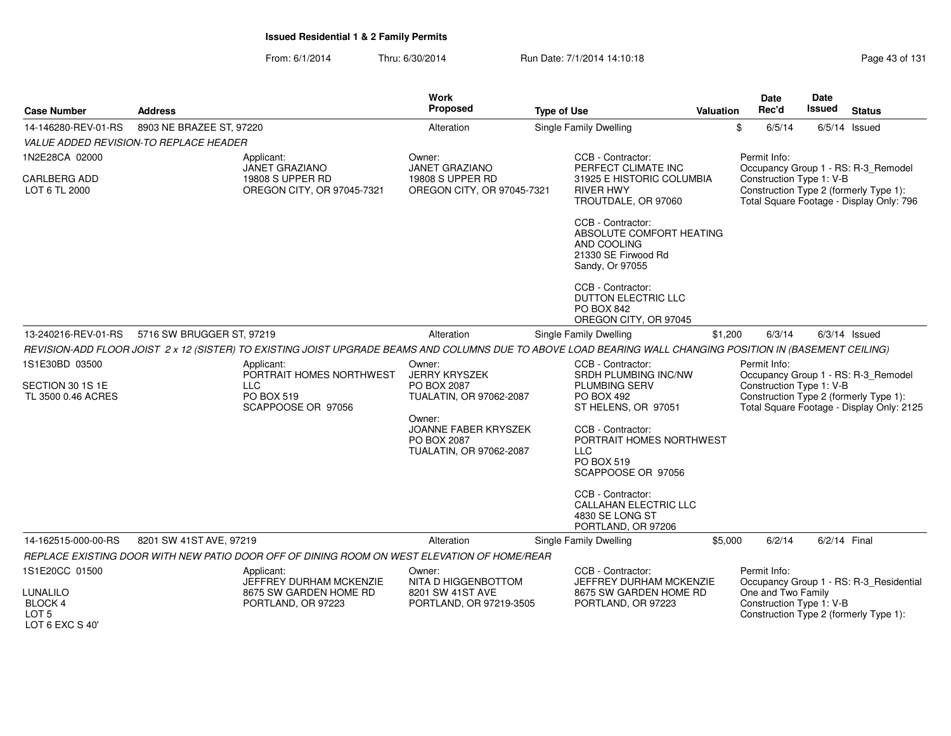| <b>Case Number</b><br><b>Address</b>                                                                       |                                                                                   |                                                                                                                                                             | <b>Work</b><br>Proposed                                                         | <b>Type of Use</b>                           |                                                                                                        | Valuation                                               | Date<br>Rec'd                            | Date<br>Issued                         | <b>Status</b>                                                                                                              |  |  |
|------------------------------------------------------------------------------------------------------------|-----------------------------------------------------------------------------------|-------------------------------------------------------------------------------------------------------------------------------------------------------------|---------------------------------------------------------------------------------|----------------------------------------------|--------------------------------------------------------------------------------------------------------|---------------------------------------------------------|------------------------------------------|----------------------------------------|----------------------------------------------------------------------------------------------------------------------------|--|--|
| 14-146280-REV-01-RS                                                                                        | 8903 NE BRAZEE ST, 97220                                                          |                                                                                                                                                             | Alteration                                                                      |                                              | Single Family Dwelling                                                                                 |                                                         | \$<br>6/5/14                             |                                        | $6/5/14$ Issued                                                                                                            |  |  |
|                                                                                                            | VALUE ADDED REVISION-TO REPLACE HEADER                                            |                                                                                                                                                             |                                                                                 |                                              |                                                                                                        |                                                         |                                          |                                        |                                                                                                                            |  |  |
| 1N2E28CA 02000                                                                                             |                                                                                   | Applicant:<br><b>JANET GRAZIANO</b>                                                                                                                         | Owner:<br><b>JANET GRAZIANO</b>                                                 |                                              | CCB - Contractor:<br>PERFECT CLIMATE INC                                                               |                                                         | Permit Info:                             |                                        | Occupancy Group 1 - RS: R-3_Remodel                                                                                        |  |  |
| <b>CARLBERG ADD</b><br>LOT 6 TL 2000                                                                       |                                                                                   | 19808 S UPPER RD<br>OREGON CITY, OR 97045-7321                                                                                                              | 19808 S UPPER RD<br>OREGON CITY, OR 97045-7321                                  |                                              | 31925 E HISTORIC COLUMBIA<br><b>RIVER HWY</b><br>TROUTDALE, OR 97060                                   |                                                         | Construction Type 1: V-B                 |                                        | Construction Type 2 (formerly Type 1):<br>Total Square Footage - Display Only: 796                                         |  |  |
|                                                                                                            |                                                                                   |                                                                                                                                                             |                                                                                 |                                              | CCB - Contractor:<br>ABSOLUTE COMFORT HEATING<br>AND COOLING<br>21330 SE Firwood Rd<br>Sandy, Or 97055 |                                                         |                                          |                                        |                                                                                                                            |  |  |
|                                                                                                            |                                                                                   |                                                                                                                                                             |                                                                                 |                                              | CCB - Contractor:<br><b>DUTTON ELECTRIC LLC</b><br><b>PO BOX 842</b><br>OREGON CITY, OR 97045          |                                                         |                                          |                                        |                                                                                                                            |  |  |
| 13-240216-REV-01-RS                                                                                        | 5716 SW BRUGGER ST, 97219                                                         |                                                                                                                                                             | Alteration                                                                      |                                              | <b>Single Family Dwelling</b>                                                                          | \$1,200                                                 | 6/3/14                                   |                                        | $6/3/14$ Issued                                                                                                            |  |  |
|                                                                                                            |                                                                                   | REVISION-ADD FLOOR JOIST 2 x 12 (SISTER) TO EXISTING JOIST UPGRADE BEAMS AND COLUMNS DUE TO ABOVE LOAD BEARING WALL CHANGING POSITION IN (BASEMENT CEILING) |                                                                                 |                                              |                                                                                                        |                                                         |                                          |                                        |                                                                                                                            |  |  |
| 1S1E30BD 03500<br>SECTION 30 1S 1E<br>TL 3500 0.46 ACRES                                                   | Applicant:<br>PORTRAIT HOMES NORTHWEST<br>LLC<br>PO BOX 519<br>SCAPPOOSE OR 97056 |                                                                                                                                                             | Owner:<br><b>JERRY KRYSZEK</b><br>PO BOX 2087<br>TUALATIN, OR 97062-2087        |                                              | CCB - Contractor:<br>SRDH PLUMBING INC/NW<br><b>PLUMBING SERV</b><br>PO BOX 492<br>ST HELENS, OR 97051 |                                                         | Permit Info:<br>Construction Type 1: V-B |                                        | Occupancy Group 1 - RS: R-3_Remodel<br>Construction Type 2 (formerly Type 1):<br>Total Square Footage - Display Only: 2125 |  |  |
|                                                                                                            |                                                                                   |                                                                                                                                                             | Owner:<br><b>JOANNE FABER KRYSZEK</b><br>PO BOX 2087<br>TUALATIN, OR 97062-2087 |                                              | CCB - Contractor:<br>PORTRAIT HOMES NORTHWEST<br><b>LLC</b><br>PO BOX 519<br>SCAPPOOSE OR 97056        |                                                         |                                          |                                        |                                                                                                                            |  |  |
|                                                                                                            |                                                                                   |                                                                                                                                                             |                                                                                 |                                              | CCB - Contractor:<br>CALLAHAN ELECTRIC LLC<br>4830 SE LONG ST<br>PORTLAND, OR 97206                    |                                                         |                                          |                                        |                                                                                                                            |  |  |
| 14-162515-000-00-RS                                                                                        | 8201 SW 41ST AVE, 97219                                                           |                                                                                                                                                             | Alteration                                                                      |                                              | Single Family Dwelling                                                                                 | \$5,000                                                 | 6/2/14                                   | 6/2/14 Final                           |                                                                                                                            |  |  |
|                                                                                                            |                                                                                   | REPLACE EXISTING DOOR WITH NEW PATIO DOOR OFF OF DINING ROOM ON WEST ELEVATION OF HOME/REAR                                                                 |                                                                                 |                                              |                                                                                                        |                                                         |                                          |                                        |                                                                                                                            |  |  |
| 1S1E20CC 01500<br>Applicant:<br>JEFFREY DURHAM MCKENZIE                                                    |                                                                                   |                                                                                                                                                             | CCB - Contractor:<br>Owner:<br>JEFFREY DURHAM MCKENZIE<br>NITA D HIGGENBOTTOM   |                                              |                                                                                                        | Permit Info:<br>Occupancy Group 1 - RS: R-3 Residential |                                          |                                        |                                                                                                                            |  |  |
| LUNALILO<br>8675 SW GARDEN HOME RD<br>BLOCK 4<br>PORTLAND, OR 97223<br>LOT <sub>5</sub><br>LOT 6 EXC S 40' |                                                                                   | 8201 SW 41ST AVE<br>PORTLAND, OR 97219-3505                                                                                                                 |                                                                                 | 8675 SW GARDEN HOME RD<br>PORTLAND, OR 97223 |                                                                                                        | One and Two Family<br>Construction Type 1: V-B          |                                          | Construction Type 2 (formerly Type 1): |                                                                                                                            |  |  |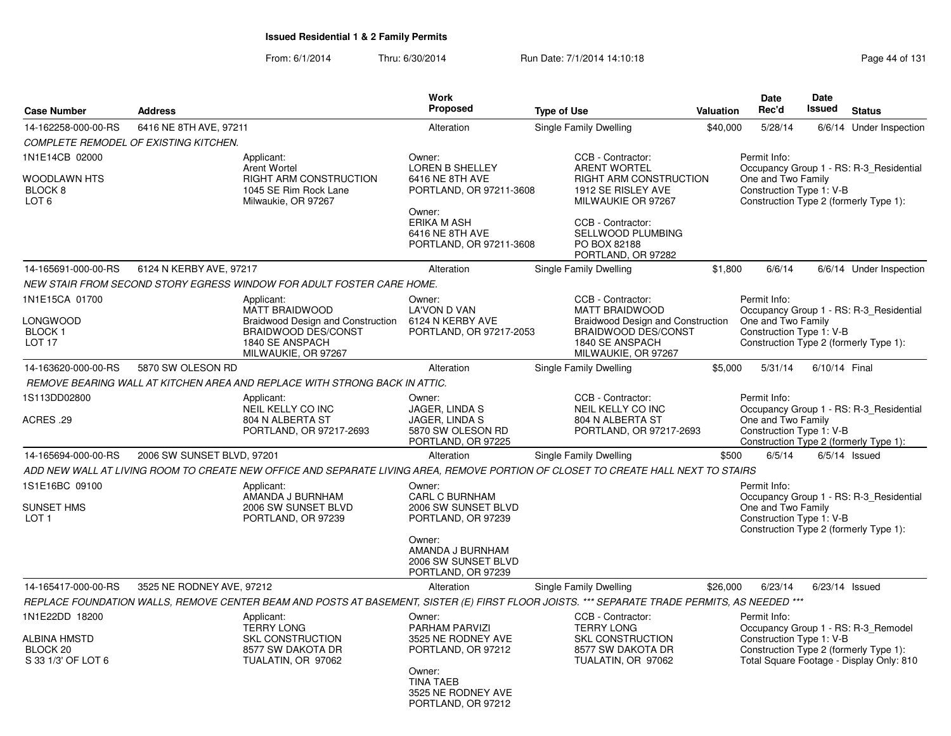|                                                                                    |                                       |                                                                                                                                                  | <b>Work</b><br><b>Proposed</b>                                                                                                                        |                                                                                                                                                                 | Date<br>Date<br>Rec'd<br>Issued<br><b>Status</b><br><b>Valuation</b> |                                                                |                  |                                                                                                                           |  |
|------------------------------------------------------------------------------------|---------------------------------------|--------------------------------------------------------------------------------------------------------------------------------------------------|-------------------------------------------------------------------------------------------------------------------------------------------------------|-----------------------------------------------------------------------------------------------------------------------------------------------------------------|----------------------------------------------------------------------|----------------------------------------------------------------|------------------|---------------------------------------------------------------------------------------------------------------------------|--|
| <b>Case Number</b>                                                                 | <b>Address</b>                        |                                                                                                                                                  |                                                                                                                                                       | <b>Type of Use</b>                                                                                                                                              |                                                                      |                                                                |                  |                                                                                                                           |  |
| 14-162258-000-00-RS                                                                | 6416 NE 8TH AVE, 97211                |                                                                                                                                                  | Alteration                                                                                                                                            | Single Family Dwelling                                                                                                                                          | \$40,000                                                             | 5/28/14                                                        |                  | 6/6/14 Under Inspection                                                                                                   |  |
|                                                                                    | COMPLETE REMODEL OF EXISTING KITCHEN. |                                                                                                                                                  |                                                                                                                                                       |                                                                                                                                                                 |                                                                      |                                                                |                  |                                                                                                                           |  |
| 1N1E14CB 02000<br>WOODLAWN HTS<br>BLOCK 8<br>LOT <sub>6</sub>                      |                                       | Applicant:<br><b>Arent Wortel</b><br><b>RIGHT ARM CONSTRUCTION</b><br>1045 SE Rim Rock Lane<br>Milwaukie, OR 97267                               | Owner:<br><b>LOREN B SHELLEY</b><br>6416 NE 8TH AVE<br>PORTLAND, OR 97211-3608<br>Owner:<br><b>ERIKA M ASH</b><br>6416 NE 8TH AVE                     | CCB - Contractor:<br><b>ARENT WORTEL</b><br><b>RIGHT ARM CONSTRUCTION</b><br>1912 SE RISLEY AVE<br>MILWAUKIE OR 97267<br>CCB - Contractor:<br>SELLWOOD PLUMBING |                                                                      | Permit Info:<br>One and Two Family<br>Construction Type 1: V-B |                  | Occupancy Group 1 - RS: R-3 Residential<br>Construction Type 2 (formerly Type 1):                                         |  |
|                                                                                    |                                       |                                                                                                                                                  | PORTLAND, OR 97211-3608                                                                                                                               | PO BOX 82188<br>PORTLAND, OR 97282                                                                                                                              |                                                                      |                                                                |                  |                                                                                                                           |  |
| 14-165691-000-00-RS                                                                | 6124 N KERBY AVE, 97217               |                                                                                                                                                  | Alteration                                                                                                                                            | Single Family Dwelling                                                                                                                                          | \$1,800                                                              | 6/6/14                                                         |                  | 6/6/14 Under Inspection                                                                                                   |  |
|                                                                                    |                                       | NEW STAIR FROM SECOND STORY EGRESS WINDOW FOR ADULT FOSTER CARE HOME.                                                                            |                                                                                                                                                       |                                                                                                                                                                 |                                                                      |                                                                |                  |                                                                                                                           |  |
| 1N1E15CA 01700<br>LONGWOOD<br>BLOCK 1<br><b>LOT 17</b>                             |                                       | Applicant:<br><b>MATT BRAIDWOOD</b><br>Braidwood Design and Construction<br><b>BRAIDWOOD DES/CONST</b><br>1840 SE ANSPACH<br>MILWAUKIE, OR 97267 | Owner:<br><b>LA'VON D VAN</b><br>6124 N KERBY AVE<br>PORTLAND, OR 97217-2053                                                                          | CCB - Contractor:<br><b>MATT BRAIDWOOD</b><br><b>Braidwood Design and Construction</b><br><b>BRAIDWOOD DES/CONST</b><br>1840 SE ANSPACH<br>MILWAUKIE, OR 97267  |                                                                      | Permit Info:<br>One and Two Family<br>Construction Type 1: V-B |                  | Occupancy Group 1 - RS: R-3 Residential<br>Construction Type 2 (formerly Type 1):                                         |  |
| 14-163620-000-00-RS                                                                | 5870 SW OLESON RD                     |                                                                                                                                                  | Alteration                                                                                                                                            | <b>Single Family Dwelling</b>                                                                                                                                   | \$5,000                                                              | 5/31/14                                                        | 6/10/14 Final    |                                                                                                                           |  |
|                                                                                    |                                       | REMOVE BEARING WALL AT KITCHEN AREA AND REPLACE WITH STRONG BACK IN ATTIC.                                                                       |                                                                                                                                                       |                                                                                                                                                                 |                                                                      |                                                                |                  |                                                                                                                           |  |
| 1S113DD02800<br>29. ACRES                                                          |                                       | Applicant:<br>NEIL KELLY CO INC<br>804 N ALBERTA ST<br>PORTLAND, OR 97217-2693                                                                   | Owner:<br>JAGER, LINDA S<br>JAGER, LINDA S<br>5870 SW OLESON RD<br>PORTLAND, OR 97225                                                                 | CCB - Contractor:<br>NEIL KELLY CO INC<br>804 N ALBERTA ST<br>PORTLAND, OR 97217-2693                                                                           |                                                                      | Permit Info:<br>One and Two Family<br>Construction Type 1: V-B |                  | Occupancy Group 1 - RS: R-3_Residential<br>Construction Type 2 (formerly Type 1):                                         |  |
| 14-165694-000-00-RS                                                                | 2006 SW SUNSET BLVD, 97201            |                                                                                                                                                  | Alteration                                                                                                                                            | Single Family Dwelling                                                                                                                                          | \$500                                                                | 6/5/14                                                         |                  | $6/5/14$ Issued                                                                                                           |  |
|                                                                                    |                                       | ADD NEW WALL AT LIVING ROOM TO CREATE NEW OFFICE AND SEPARATE LIVING AREA. REMOVE PORTION OF CLOSET TO CREATE HALL NEXT TO STAIRS                |                                                                                                                                                       |                                                                                                                                                                 |                                                                      |                                                                |                  |                                                                                                                           |  |
| 1S1E16BC 09100<br><b>SUNSET HMS</b><br>LOT <sub>1</sub>                            |                                       | Applicant:<br>AMANDA J BURNHAM<br>2006 SW SUNSET BLVD<br>PORTLAND, OR 97239                                                                      | Owner:<br><b>CARL C BURNHAM</b><br>2006 SW SUNSET BLVD<br>PORTLAND, OR 97239                                                                          |                                                                                                                                                                 |                                                                      | Permit Info:<br>One and Two Family<br>Construction Type 1: V-B |                  | Occupancy Group 1 - RS: R-3_Residential<br>Construction Type 2 (formerly Type 1):                                         |  |
|                                                                                    |                                       |                                                                                                                                                  | Owner:<br>AMANDA J BURNHAM<br>2006 SW SUNSET BLVD<br>PORTLAND, OR 97239                                                                               |                                                                                                                                                                 |                                                                      |                                                                |                  |                                                                                                                           |  |
| 14-165417-000-00-RS                                                                | 3525 NE RODNEY AVE, 97212             |                                                                                                                                                  | Alteration                                                                                                                                            | Single Family Dwelling                                                                                                                                          | \$26,000                                                             | 6/23/14                                                        | $6/23/14$ Issued |                                                                                                                           |  |
|                                                                                    |                                       | REPLACE FOUNDATION WALLS, REMOVE CENTER BEAM AND POSTS AT BASEMENT, SISTER (E) FIRST FLOOR JOISTS. *** SEPARATE TRADE PERMITS, AS NEEDED ***     |                                                                                                                                                       |                                                                                                                                                                 |                                                                      |                                                                |                  |                                                                                                                           |  |
| 1N1E22DD 18200<br><b>ALBINA HMSTD</b><br>BLOCK <sub>20</sub><br>S 33 1/3' OF LOT 6 |                                       | Applicant:<br><b>TERRY LONG</b><br><b>SKL CONSTRUCTION</b><br>8577 SW DAKOTA DR<br>TUALATIN, OR 97062                                            | Owner:<br><b>PARHAM PARVIZI</b><br>3525 NE RODNEY AVE<br>PORTLAND, OR 97212<br>Owner:<br><b>TINA TAEB</b><br>3525 NE RODNEY AVE<br>PORTLAND, OR 97212 | CCB - Contractor:<br><b>TERRY LONG</b><br>SKL CONSTRUCTION<br>8577 SW DAKOTA DR<br>TUALATIN, OR 97062                                                           |                                                                      | Permit Info:<br>Construction Type 1: V-B                       |                  | Occupancy Group 1 - RS: R-3_Remodel<br>Construction Type 2 (formerly Type 1):<br>Total Square Footage - Display Only: 810 |  |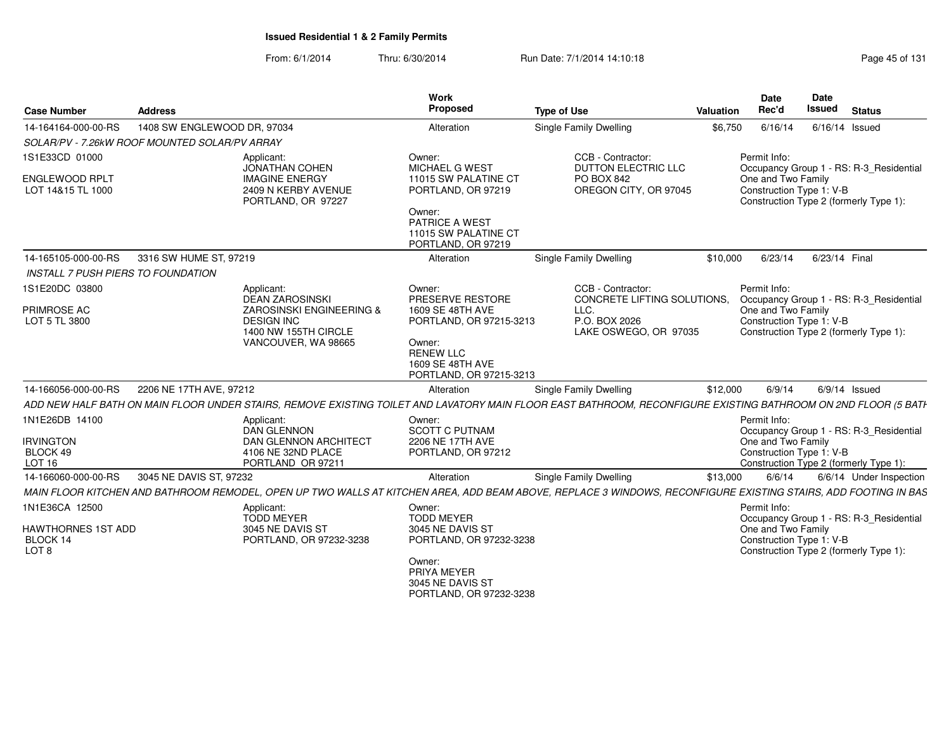| <b>Case Number</b>                                       | <b>Address</b>                                                                                                                                                 | Work<br>Proposed                                                                                                         | <b>Type of Use</b>                                                              | Valuation | <b>Date</b><br>Rec'd                                           | <b>Date</b><br><b>Issued</b> | <b>Status</b>                                                                     |
|----------------------------------------------------------|----------------------------------------------------------------------------------------------------------------------------------------------------------------|--------------------------------------------------------------------------------------------------------------------------|---------------------------------------------------------------------------------|-----------|----------------------------------------------------------------|------------------------------|-----------------------------------------------------------------------------------|
| 14-164164-000-00-RS                                      | 1408 SW ENGLEWOOD DR, 97034                                                                                                                                    | Alteration                                                                                                               | <b>Single Family Dwelling</b>                                                   | \$6,750   | 6/16/14                                                        | 6/16/14 Issued               |                                                                                   |
|                                                          | SOLAR/PV - 7.26kW ROOF MOUNTED SOLAR/PV ARRAY                                                                                                                  |                                                                                                                          |                                                                                 |           |                                                                |                              |                                                                                   |
| 1S1E33CD 01000<br>ENGLEWOOD RPLT<br>LOT 14&15 TL 1000    | Applicant:<br><b>JONATHAN COHEN</b><br><b>IMAGINE ENERGY</b><br>2409 N KERBY AVENUE<br>PORTLAND, OR 97227                                                      | Owner:<br>MICHAEL G WEST<br>11015 SW PALATINE CT<br>PORTLAND, OR 97219<br>Owner:<br>PATRICE A WEST                       | CCB - Contractor:<br>DUTTON ELECTRIC LLC<br>PO BOX 842<br>OREGON CITY, OR 97045 |           | Permit Info:<br>One and Two Family<br>Construction Type 1: V-B |                              | Occupancy Group 1 - RS: R-3 Residential<br>Construction Type 2 (formerly Type 1): |
|                                                          |                                                                                                                                                                | 11015 SW PALATINE CT<br>PORTLAND, OR 97219                                                                               |                                                                                 |           |                                                                |                              |                                                                                   |
| 14-165105-000-00-RS                                      | 3316 SW HUME ST, 97219                                                                                                                                         | Alteration                                                                                                               | <b>Single Family Dwelling</b>                                                   | \$10,000  | 6/23/14                                                        | 6/23/14 Final                |                                                                                   |
| <b>INSTALL 7 PUSH PIERS TO FOUNDATION</b>                |                                                                                                                                                                |                                                                                                                          |                                                                                 |           |                                                                |                              |                                                                                   |
| 1S1E20DC 03800                                           | Applicant:<br><b>DEAN ZAROSINSKI</b>                                                                                                                           | Owner:<br>PRESERVE RESTORE                                                                                               | CCB - Contractor:<br>CONCRETE LIFTING SOLUTIONS.                                |           | Permit Info:                                                   |                              |                                                                                   |
| PRIMROSE AC<br>LOT 5 TL 3800                             | ZAROSINSKI ENGINEERING &<br><b>DESIGN INC</b><br>1400 NW 155TH CIRCLE<br>VANCOUVER, WA 98665                                                                   | 1609 SE 48TH AVE<br>PORTLAND, OR 97215-3213<br>Owner:<br><b>RENEW LLC</b><br>1609 SE 48TH AVE<br>PORTLAND, OR 97215-3213 | LLC.<br>P.O. BOX 2026<br>LAKE OSWEGO, OR 97035                                  |           | One and Two Family<br>Construction Type 1: V-B                 |                              | Occupancy Group 1 - RS: R-3 Residential<br>Construction Type 2 (formerly Type 1): |
| 14-166056-000-00-RS                                      | 2206 NE 17TH AVE, 97212                                                                                                                                        | Alteration                                                                                                               | <b>Single Family Dwelling</b>                                                   | \$12,000  | 6/9/14                                                         |                              | $6/9/14$ Issued                                                                   |
|                                                          | ADD NEW HALF BATH ON MAIN FLOOR UNDER STAIRS. REMOVE EXISTING TOILET AND LAVATORY MAIN FLOOR EAST BATHROOM. RECONFIGURE EXISTING BATHROOM ON 2ND FLOOR (5 BATH |                                                                                                                          |                                                                                 |           |                                                                |                              |                                                                                   |
| 1N1E26DB 14100<br><b>IRVINGTON</b><br>BLOCK 49<br>LOT 16 | Applicant:<br><b>DAN GLENNON</b><br><b>DAN GLENNON ARCHITECT</b><br>4106 NE 32ND PLACE<br>PORTLAND OR 97211                                                    | Owner:<br><b>SCOTT C PUTNAM</b><br>2206 NE 17TH AVE<br>PORTLAND, OR 97212                                                |                                                                                 |           | Permit Info:<br>One and Two Family<br>Construction Type 1: V-B |                              | Occupancy Group 1 - RS: R-3 Residential<br>Construction Type 2 (formerly Type 1): |
| 14-166060-000-00-RS                                      | 3045 NE DAVIS ST, 97232                                                                                                                                        | Alteration                                                                                                               | <b>Single Family Dwelling</b>                                                   | \$13,000  | 6/6/14                                                         |                              | 6/6/14 Under Inspection                                                           |
|                                                          | MAIN FLOOR KITCHEN AND BATHROOM REMODEL, OPEN UP TWO WALLS AT KITCHEN AREA, ADD BEAM ABOVE, REPLACE 3 WINDOWS, RECONFIGURE EXISTING STAIRS, ADD FOOTING IN BAS |                                                                                                                          |                                                                                 |           |                                                                |                              |                                                                                   |
| 1N1E36CA 12500                                           | Applicant:<br><b>TODD MEYER</b>                                                                                                                                | Owner:<br><b>TODD MEYER</b>                                                                                              |                                                                                 |           | Permit Info:                                                   |                              | Occupancy Group 1 - RS: R-3 Residential                                           |
| <b>HAWTHORNES 1ST ADD</b><br>BLOCK 14<br>LOT 8           | 3045 NE DAVIS ST<br>PORTLAND, OR 97232-3238                                                                                                                    | 3045 NE DAVIS ST<br>PORTLAND, OR 97232-3238                                                                              |                                                                                 |           | One and Two Family<br>Construction Type 1: V-B                 |                              | Construction Type 2 (formerly Type 1):                                            |
|                                                          |                                                                                                                                                                | Owner:<br>PRIYA MEYER<br>3045 NE DAVIS ST<br>PORTLAND, OR 97232-3238                                                     |                                                                                 |           |                                                                |                              |                                                                                   |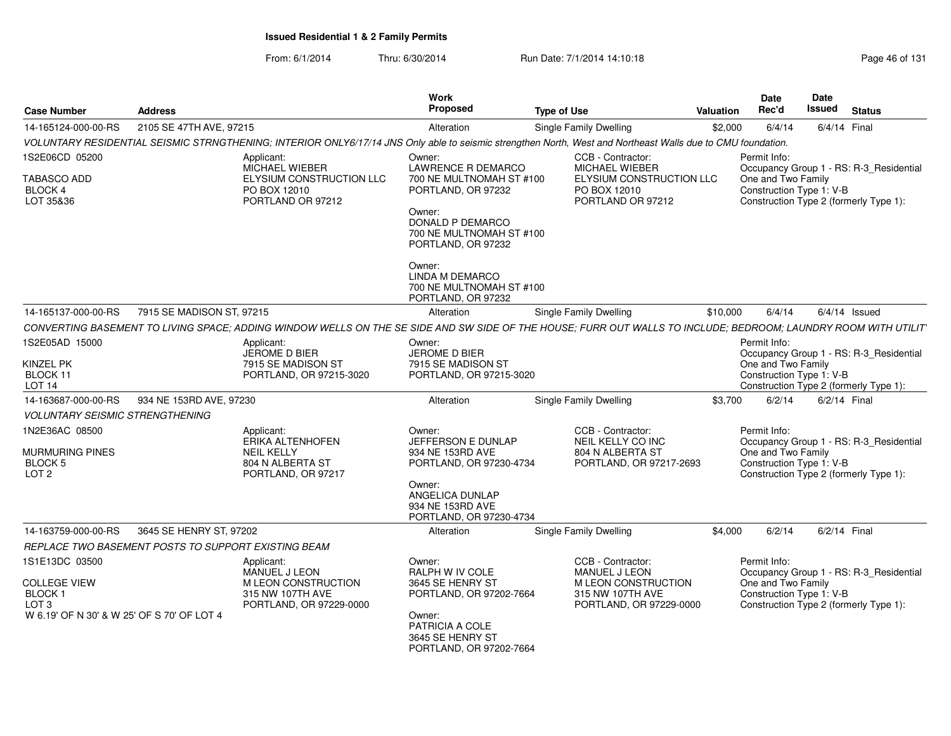| <b>Case Number</b>                                                                                                            | <b>Address</b>            |                                                                                                                                                                | Work<br>Proposed                                                                                                                                        | <b>Type of Use</b> |                                                                                                          | <b>Valuation</b> |              | <b>Date</b><br>Rec'd | <b>Date</b><br>Issued    | <b>Status</b>                                                                     |
|-------------------------------------------------------------------------------------------------------------------------------|---------------------------|----------------------------------------------------------------------------------------------------------------------------------------------------------------|---------------------------------------------------------------------------------------------------------------------------------------------------------|--------------------|----------------------------------------------------------------------------------------------------------|------------------|--------------|----------------------|--------------------------|-----------------------------------------------------------------------------------|
| 14-165124-000-00-RS                                                                                                           | 2105 SE 47TH AVE, 97215   |                                                                                                                                                                | Alteration                                                                                                                                              |                    | <b>Single Family Dwelling</b>                                                                            | \$2,000          |              | 6/4/14               | 6/4/14 Final             |                                                                                   |
|                                                                                                                               |                           | VOLUNTARY RESIDENTIAL SEISMIC STRNGTHENING; INTERIOR ONLY6/17/14 JNS Only able to seismic strengthen North, West and Northeast Walls due to CMU foundation.    |                                                                                                                                                         |                    |                                                                                                          |                  |              |                      |                          |                                                                                   |
| 1S2E06CD 05200                                                                                                                |                           | Applicant:<br>MICHAEL WIEBER                                                                                                                                   | Owner:<br>LAWRENCE R DEMARCO                                                                                                                            |                    | CCB - Contractor:<br>MICHAEL WIEBER                                                                      |                  | Permit Info: |                      |                          | Occupancy Group 1 - RS: R-3_Residential                                           |
| TABASCO ADD<br>BLOCK 4<br>LOT 35&36                                                                                           |                           | ELYSIUM CONSTRUCTION LLC<br>PO BOX 12010<br>PORTLAND OR 97212                                                                                                  | 700 NE MULTNOMAH ST #100<br>PORTLAND, OR 97232<br>Owner:<br>DONALD P DEMARCO<br>700 NE MULTNOMAH ST #100                                                |                    | ELYSIUM CONSTRUCTION LLC<br>PO BOX 12010<br>PORTLAND OR 97212                                            |                  |              | One and Two Family   | Construction Type 1: V-B | Construction Type 2 (formerly Type 1):                                            |
|                                                                                                                               |                           |                                                                                                                                                                | PORTLAND, OR 97232<br>Owner:<br><b>LINDA M DEMARCO</b><br>700 NE MULTNOMAH ST #100<br>PORTLAND, OR 97232                                                |                    |                                                                                                          |                  |              |                      |                          |                                                                                   |
| 14-165137-000-00-RS                                                                                                           | 7915 SE MADISON ST, 97215 |                                                                                                                                                                | Alteration                                                                                                                                              |                    | <b>Single Family Dwelling</b>                                                                            | \$10,000         |              | 6/4/14               |                          | $6/4/14$ Issued                                                                   |
|                                                                                                                               |                           | CONVERTING BASEMENT TO LIVING SPACE: ADDING WINDOW WELLS ON THE SE SIDE AND SW SIDE OF THE HOUSE: FURR OUT WALLS TO INCLUDE: BEDROOM: LAUNDRY ROOM WITH UTILIT |                                                                                                                                                         |                    |                                                                                                          |                  |              |                      |                          |                                                                                   |
| 1S2E05AD 15000<br>KINZEL PK<br>BLOCK 11<br>LOT <sub>14</sub>                                                                  |                           | Applicant:<br>JEROME D BIER<br>7915 SE MADISON ST<br>PORTLAND, OR 97215-3020                                                                                   | Owner:<br>JEROME D BIER<br>7915 SE MADISON ST<br>PORTLAND, OR 97215-3020                                                                                |                    |                                                                                                          |                  | Permit Info: | One and Two Family   | Construction Type 1: V-B | Occupancy Group 1 - RS: R-3_Residential<br>Construction Type 2 (formerly Type 1): |
| 14-163687-000-00-RS                                                                                                           | 934 NE 153RD AVE, 97230   |                                                                                                                                                                | Alteration                                                                                                                                              |                    | <b>Single Family Dwelling</b>                                                                            | \$3,700          |              | 6/2/14               | $6/2/14$ Final           |                                                                                   |
| <i>VOLUNTARY SEISMIC STRENGTHENING</i>                                                                                        |                           |                                                                                                                                                                |                                                                                                                                                         |                    |                                                                                                          |                  |              |                      |                          |                                                                                   |
| 1N2E36AC 08500<br><b>MURMURING PINES</b><br>BLOCK <sub>5</sub><br>LOT <sub>2</sub>                                            |                           | Applicant:<br>ERIKA ALTENHOFEN<br><b>NEIL KELLY</b><br>804 N ALBERTA ST<br>PORTLAND, OR 97217                                                                  | Owner:<br>JEFFERSON E DUNLAP<br>934 NE 153RD AVE<br>PORTLAND, OR 97230-4734<br>Owner:<br>ANGELICA DUNLAP<br>934 NE 153RD AVE<br>PORTLAND, OR 97230-4734 |                    | CCB - Contractor:<br>NEIL KELLY CO INC<br>804 N ALBERTA ST<br>PORTLAND, OR 97217-2693                    |                  | Permit Info: | One and Two Family   | Construction Type 1: V-B | Occupancy Group 1 - RS: R-3 Residential<br>Construction Type 2 (formerly Type 1): |
| 14-163759-000-00-RS                                                                                                           | 3645 SE HENRY ST, 97202   |                                                                                                                                                                | Alteration                                                                                                                                              |                    | Single Family Dwelling                                                                                   | \$4,000          |              | 6/2/14               | $6/2/14$ Final           |                                                                                   |
| REPLACE TWO BASEMENT POSTS TO SUPPORT EXISTING BEAM                                                                           |                           |                                                                                                                                                                |                                                                                                                                                         |                    |                                                                                                          |                  |              |                      |                          |                                                                                   |
| 1S1E13DC 03500<br><b>COLLEGE VIEW</b><br>BLOCK <sub>1</sub><br>LOT <sub>3</sub><br>W 6.19' OF N 30' & W 25' OF S 70' OF LOT 4 |                           | Applicant:<br>MANUEL J LEON<br>M LEON CONSTRUCTION<br>315 NW 107TH AVE<br>PORTLAND, OR 97229-0000                                                              | Owner:<br>RALPH W IV COLE<br>3645 SE HENRY ST<br>PORTLAND, OR 97202-7664<br>Owner:<br>PATRICIA A COLE<br>3645 SE HENRY ST<br>PORTLAND, OR 97202-7664    |                    | CCB - Contractor:<br>MANUEL J LEON<br>M LEON CONSTRUCTION<br>315 NW 107TH AVE<br>PORTLAND, OR 97229-0000 |                  | Permit Info: | One and Two Family   | Construction Type 1: V-B | Occupancy Group 1 - RS: R-3_Residential<br>Construction Type 2 (formerly Type 1): |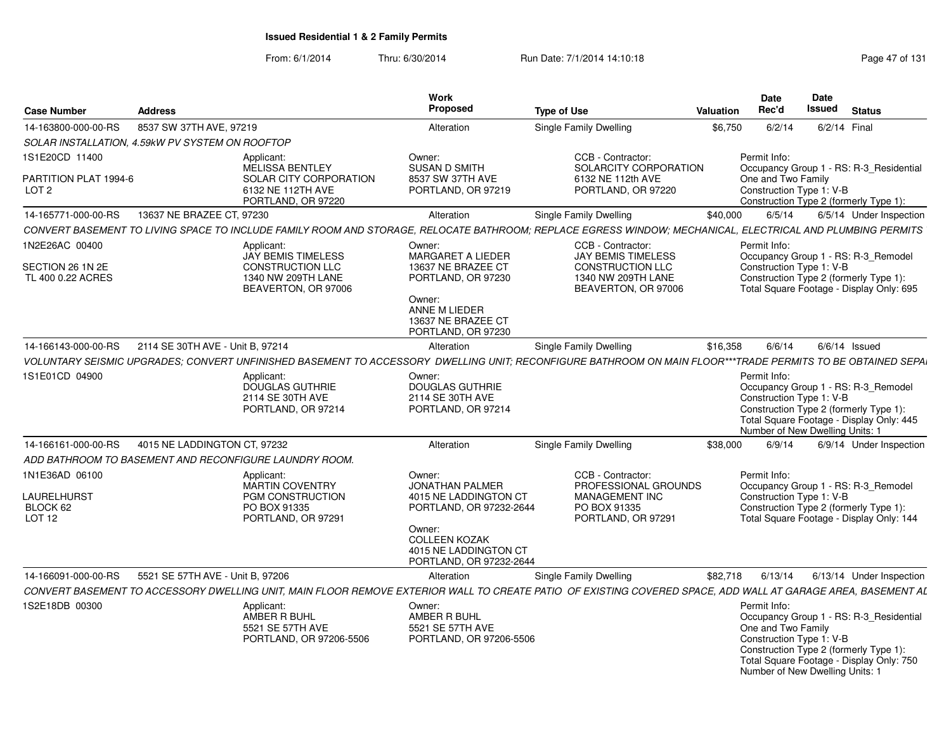| <b>Case Number</b>                                  | <b>Address</b>                                  |                                                                                | Work<br>Proposed                                                                                                                       | <b>Type of Use</b>                                                                                                                                           | <b>Valuation</b> |              | <b>Date</b><br>Rec'd | Date<br>Issued                                              | <b>Status</b>                                                                                                                 |
|-----------------------------------------------------|-------------------------------------------------|--------------------------------------------------------------------------------|----------------------------------------------------------------------------------------------------------------------------------------|--------------------------------------------------------------------------------------------------------------------------------------------------------------|------------------|--------------|----------------------|-------------------------------------------------------------|-------------------------------------------------------------------------------------------------------------------------------|
| 14-163800-000-00-RS                                 | 8537 SW 37TH AVE, 97219                         |                                                                                | Alteration                                                                                                                             | Single Family Dwelling                                                                                                                                       | \$6,750          |              | 6/2/14               | 6/2/14 Final                                                |                                                                                                                               |
|                                                     | SOLAR INSTALLATION, 4.59kW PV SYSTEM ON ROOFTOP |                                                                                |                                                                                                                                        |                                                                                                                                                              |                  |              |                      |                                                             |                                                                                                                               |
| 1S1E20CD 11400                                      |                                                 | Applicant:<br><b>MELISSA BENTLEY</b>                                           | Owner:<br><b>SUSAN D SMITH</b>                                                                                                         | CCB - Contractor:<br>SOLARCITY CORPORATION                                                                                                                   |                  | Permit Info: |                      |                                                             | Occupancy Group 1 - RS: R-3 Residential                                                                                       |
| PARTITION PLAT 1994-6<br>LOT <sub>2</sub>           |                                                 | <b>SOLAR CITY CORPORATION</b><br>6132 NE 112TH AVE<br>PORTLAND, OR 97220       | 8537 SW 37TH AVE<br>PORTLAND, OR 97219                                                                                                 | 6132 NE 112th AVE<br>PORTLAND, OR 97220                                                                                                                      |                  |              | One and Two Family   | Construction Type 1: V-B                                    | Construction Type 2 (formerly Type 1):                                                                                        |
| 14-165771-000-00-RS                                 | 13637 NE BRAZEE CT, 97230                       |                                                                                | Alteration                                                                                                                             | <b>Single Family Dwelling</b>                                                                                                                                | \$40,000         |              | 6/5/14               |                                                             | 6/5/14 Under Inspection                                                                                                       |
|                                                     |                                                 |                                                                                |                                                                                                                                        | CONVERT BASEMENT TO LIVING SPACE TO INCLUDE FAMILY ROOM AND STORAGE. RELOCATE BATHROOM: REPLACE EGRESS WINDOW: MECHANICAL. ELECTRICAL AND PLUMBING PERMITS   |                  |              |                      |                                                             |                                                                                                                               |
| 1N2E26AC 00400                                      |                                                 | Applicant:<br><b>JAY BEMIS TIMELESS</b>                                        | Owner:<br>MARGARET A LIEDER                                                                                                            | CCB - Contractor:<br><b>JAY BEMIS TIMELESS</b>                                                                                                               |                  | Permit Info: |                      |                                                             | Occupancy Group 1 - RS: R-3_Remodel                                                                                           |
| SECTION 26 1N 2E<br>TL 400 0.22 ACRES               |                                                 | CONSTRUCTION LLC<br>1340 NW 209TH LANE<br>BEAVERTON, OR 97006                  | 13637 NE BRAZEE CT<br>PORTLAND, OR 97230<br>Owner:<br>ANNE M LIEDER<br>13637 NE BRAZEE CT<br>PORTLAND, OR 97230                        | <b>CONSTRUCTION LLC</b><br>1340 NW 209TH LANE<br>BEAVERTON, OR 97006                                                                                         |                  |              |                      | Construction Type 1: V-B                                    | Construction Type 2 (formerly Type 1):<br>Total Square Footage - Display Only: 695                                            |
| 14-166143-000-00-RS                                 | 2114 SE 30TH AVE - Unit B, 97214                |                                                                                | Alteration                                                                                                                             | <b>Single Family Dwelling</b>                                                                                                                                | \$16,358         |              | 6/6/14               |                                                             | $6/6/14$ Issued                                                                                                               |
|                                                     |                                                 |                                                                                |                                                                                                                                        | VOLUNTARY SEISMIC UPGRADES: CONVERT UNFINISHED BASEMENT TO ACCESSORY DWELLING UNIT: RECONFIGURE BATHROOM ON MAIN FLOOR***TRADE PERMITS TO BE OBTAINED SEPAI  |                  |              |                      |                                                             |                                                                                                                               |
|                                                     |                                                 |                                                                                |                                                                                                                                        |                                                                                                                                                              |                  |              |                      |                                                             |                                                                                                                               |
| 1S1E01CD 04900                                      |                                                 | Applicant:<br><b>DOUGLAS GUTHRIE</b><br>2114 SE 30TH AVE<br>PORTLAND, OR 97214 | Owner:<br><b>DOUGLAS GUTHRIE</b><br>2114 SE 30TH AVE<br>PORTLAND, OR 97214                                                             |                                                                                                                                                              |                  | Permit Info: |                      | Construction Type 1: V-B<br>Number of New Dwelling Units: 1 | Occupancy Group 1 - RS: R-3_Remodel<br>Construction Type 2 (formerly Type 1):<br>Total Square Footage - Display Only: 445     |
| 14-166161-000-00-RS                                 | 4015 NE LADDINGTON CT, 97232                    |                                                                                | Alteration                                                                                                                             | <b>Single Family Dwelling</b>                                                                                                                                | \$38,000         |              | 6/9/14               |                                                             | 6/9/14 Under Inspection                                                                                                       |
|                                                     |                                                 | ADD BATHROOM TO BASEMENT AND RECONFIGURE LAUNDRY ROOM.                         |                                                                                                                                        |                                                                                                                                                              |                  |              |                      |                                                             |                                                                                                                               |
| 1N1E36AD 06100                                      |                                                 | Applicant:<br><b>MARTIN COVENTRY</b>                                           | Owner:<br><b>JONATHAN PALMER</b>                                                                                                       | CCB - Contractor:<br>PROFESSIONAL GROUNDS                                                                                                                    |                  | Permit Info: |                      |                                                             | Occupancy Group 1 - RS: R-3 Remodel                                                                                           |
| <b>LAURELHURST</b><br>BLOCK 62<br>LOT <sub>12</sub> |                                                 | <b>PGM CONSTRUCTION</b><br>PO BOX 91335<br>PORTLAND, OR 97291                  | 4015 NE LADDINGTON CT<br>PORTLAND, OR 97232-2644<br>Owner:<br><b>COLLEEN KOZAK</b><br>4015 NE LADDINGTON CT<br>PORTLAND, OR 97232-2644 | <b>MANAGEMENT INC</b><br>PO BOX 91335<br>PORTLAND, OR 97291                                                                                                  |                  |              |                      | Construction Type 1: V-B                                    | Construction Type 2 (formerly Type 1):<br>Total Square Footage - Display Only: 144                                            |
| 14-166091-000-00-RS                                 | 5521 SE 57TH AVE - Unit B. 97206                |                                                                                | Alteration                                                                                                                             | Single Family Dwelling                                                                                                                                       | \$82.718         |              | 6/13/14              |                                                             | 6/13/14 Under Inspection                                                                                                      |
|                                                     |                                                 |                                                                                |                                                                                                                                        | CONVERT BASEMENT TO ACCESSORY DWELLING UNIT, MAIN FLOOR REMOVE EXTERIOR WALL TO CREATE PATIO OF EXISTING COVERED SPACE, ADD WALL AT GARAGE AREA, BASEMENT AL |                  |              |                      |                                                             |                                                                                                                               |
| 1S2E18DB 00300                                      |                                                 | Applicant:<br>AMBER R BUHL<br>5521 SE 57TH AVE<br>PORTLAND, OR 97206-5506      | Owner:<br>AMBER R BUHL<br>5521 SE 57TH AVE<br>PORTLAND, OR 97206-5506                                                                  |                                                                                                                                                              |                  | Permit Info: | One and Two Family   | Construction Type 1: V-B<br>Number of New Dwelling Units: 1 | Occupancy Group 1 - RS: R-3_Residential<br>Construction Type 2 (formerly Type 1):<br>Total Square Footage - Display Only: 750 |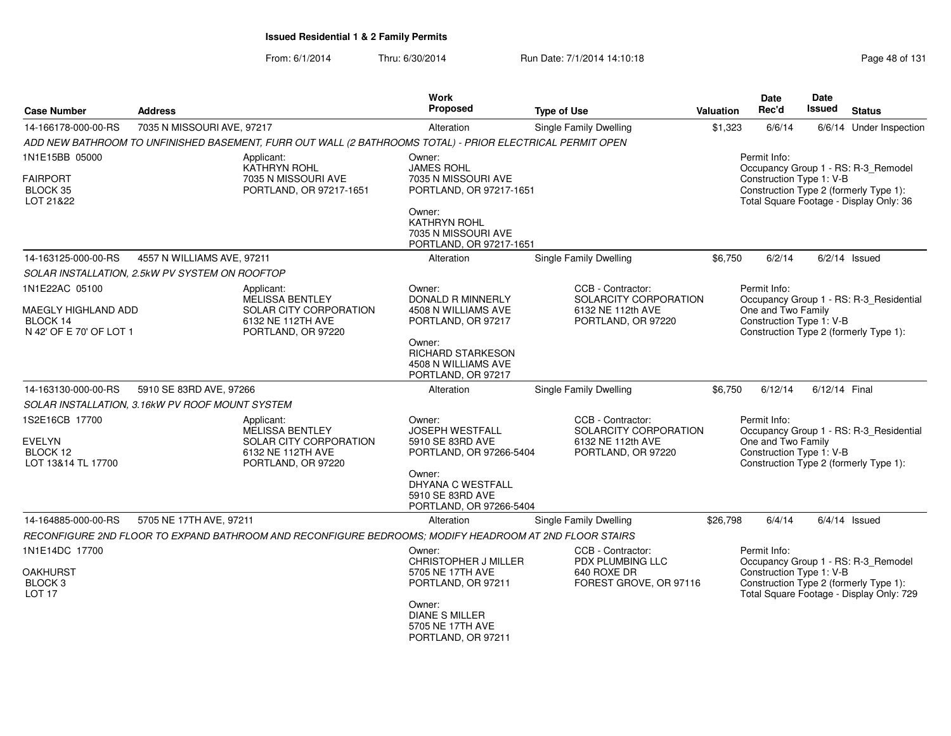| <b>Case Number</b><br><b>Address</b>                       |                                                                          |                                                                                                           | <b>Work</b><br>Proposed                                                         | <b>Type of Use</b>                                                                    | Valuation | <b>Date</b><br>Rec'd                                           | <b>Date</b><br><b>Issued</b> | <b>Status</b>                                                                                                            |
|------------------------------------------------------------|--------------------------------------------------------------------------|-----------------------------------------------------------------------------------------------------------|---------------------------------------------------------------------------------|---------------------------------------------------------------------------------------|-----------|----------------------------------------------------------------|------------------------------|--------------------------------------------------------------------------------------------------------------------------|
| 14-166178-000-00-RS                                        | 7035 N MISSOURI AVE, 97217                                               |                                                                                                           | Alteration                                                                      | Single Family Dwelling                                                                | \$1,323   | 6/6/14                                                         |                              | 6/6/14 Under Inspection                                                                                                  |
|                                                            |                                                                          | ADD NEW BATHROOM TO UNFINISHED BASEMENT, FURR OUT WALL (2 BATHROOMS TOTAL) - PRIOR ELECTRICAL PERMIT OPEN |                                                                                 |                                                                                       |           |                                                                |                              |                                                                                                                          |
| 1N1E15BB 05000                                             |                                                                          | Applicant:                                                                                                | Owner:                                                                          |                                                                                       |           | Permit Info:                                                   |                              |                                                                                                                          |
| <b>FAIRPORT</b><br>BLOCK 35<br>LOT 21&22                   |                                                                          | KATHRYN ROHL<br>7035 N MISSOURI AVE<br>PORTLAND, OR 97217-1651                                            | <b>JAMES ROHL</b><br>7035 N MISSOURI AVE<br>PORTLAND, OR 97217-1651             |                                                                                       |           | Construction Type 1: V-B                                       |                              | Occupancy Group 1 - RS: R-3_Remodel<br>Construction Type 2 (formerly Type 1):<br>Total Square Footage - Display Only: 36 |
|                                                            | Owner:<br>KATHRYN ROHL<br>7035 N MISSOURI AVE<br>PORTLAND, OR 97217-1651 |                                                                                                           |                                                                                 |                                                                                       |           |                                                                |                              |                                                                                                                          |
| 14-163125-000-00-RS                                        | 4557 N WILLIAMS AVE, 97211                                               |                                                                                                           | Alteration                                                                      | Single Family Dwelling                                                                | \$6,750   | 6/2/14                                                         |                              | $6/2/14$ Issued                                                                                                          |
| SOLAR INSTALLATION, 2.5kW PV SYSTEM ON ROOFTOP             |                                                                          |                                                                                                           |                                                                                 |                                                                                       |           |                                                                |                              |                                                                                                                          |
| 1N1E22AC 05100<br><b>MAEGLY HIGHLAND ADD</b><br>BLOCK 14   |                                                                          | Applicant:<br><b>MELISSA BENTLEY</b><br>SOLAR CITY CORPORATION<br>6132 NE 112TH AVE                       | Owner:<br><b>DONALD R MINNERLY</b><br>4508 N WILLIAMS AVE<br>PORTLAND, OR 97217 | CCB - Contractor:<br>SOLARCITY CORPORATION<br>6132 NE 112th AVE<br>PORTLAND, OR 97220 |           | Permit Info:<br>One and Two Family<br>Construction Type 1: V-B |                              | Occupancy Group 1 - RS: R-3_Residential                                                                                  |
| N 42' OF E 70' OF LOT 1                                    |                                                                          | PORTLAND, OR 97220                                                                                        | Owner:<br><b>RICHARD STARKESON</b><br>4508 N WILLIAMS AVE<br>PORTLAND, OR 97217 |                                                                                       |           |                                                                |                              | Construction Type 2 (formerly Type 1):                                                                                   |
| 14-163130-000-00-RS                                        | 5910 SE 83RD AVE, 97266                                                  |                                                                                                           | Alteration                                                                      | Single Family Dwelling                                                                | \$6.750   | 6/12/14                                                        | 6/12/14 Final                |                                                                                                                          |
| SOLAR INSTALLATION, 3.16kW PV ROOF MOUNT SYSTEM            |                                                                          |                                                                                                           |                                                                                 |                                                                                       |           |                                                                |                              |                                                                                                                          |
| 1S2E16CB 17700<br>EVELYN<br>BLOCK 12<br>LOT 13&14 TL 17700 |                                                                          | Applicant:<br><b>MELISSA BENTLEY</b><br>SOLAR CITY CORPORATION<br>6132 NE 112TH AVE<br>PORTLAND, OR 97220 | Owner:<br><b>JOSEPH WESTFALL</b><br>5910 SE 83RD AVE<br>PORTLAND, OR 97266-5404 | CCB - Contractor:<br>SOLARCITY CORPORATION<br>6132 NE 112th AVE<br>PORTLAND, OR 97220 |           | Permit Info:<br>One and Two Family<br>Construction Type 1: V-B |                              | Occupancy Group 1 - RS: R-3_Residential<br>Construction Type 2 (formerly Type 1):                                        |
|                                                            |                                                                          |                                                                                                           | Owner:<br>DHYANA C WESTFALL<br>5910 SE 83RD AVE<br>PORTLAND, OR 97266-5404      |                                                                                       |           |                                                                |                              |                                                                                                                          |
| 14-164885-000-00-RS                                        | 5705 NE 17TH AVE, 97211                                                  |                                                                                                           | Alteration                                                                      | Single Family Dwelling                                                                | \$26,798  | 6/4/14                                                         |                              | $6/4/14$ Issued                                                                                                          |
|                                                            |                                                                          | RECONFIGURE 2ND FLOOR TO EXPAND BATHROOM AND RECONFIGURE BEDROOMS; MODIFY HEADROOM AT 2ND FLOOR STAIRS    |                                                                                 |                                                                                       |           |                                                                |                              |                                                                                                                          |
| 1N1E14DC 17700                                             |                                                                          |                                                                                                           | Owner:<br><b>CHRISTOPHER J MILLER</b>                                           | CCB - Contractor:<br>PDX PLUMBING LLC                                                 |           | Permit Info:                                                   |                              | Occupancy Group 1 - RS: R-3_Remodel                                                                                      |
| OAKHURST<br>BLOCK <sub>3</sub><br>LOT <sub>17</sub>        |                                                                          |                                                                                                           | 5705 NE 17TH AVE<br>PORTLAND, OR 97211                                          | 640 ROXE DR<br>FOREST GROVE, OR 97116                                                 |           | Construction Type 1: V-B                                       |                              | Construction Type 2 (formerly Type 1):<br>Total Square Footage - Display Only: 729                                       |
|                                                            |                                                                          |                                                                                                           | Owner:<br><b>DIANE S MILLER</b><br>5705 NE 17TH AVE<br>PORTLAND, OR 97211       |                                                                                       |           |                                                                |                              |                                                                                                                          |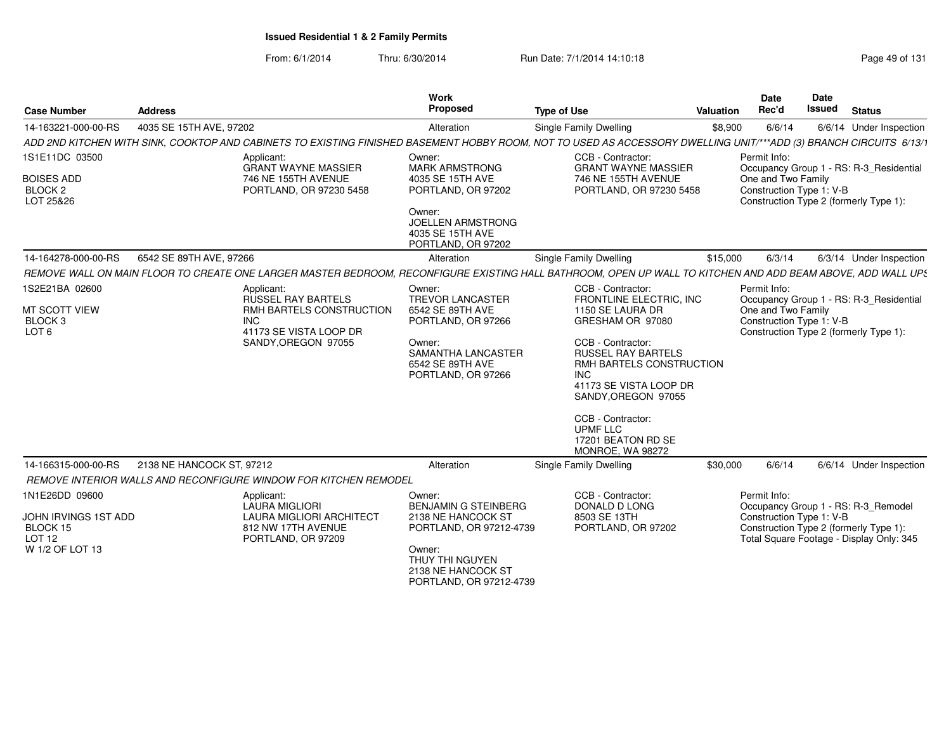| <b>Case Number</b>                                                              | Address                                                                                                                                                            | Work<br>Proposed                                                                                                                                                     | <b>Type of Use</b>                                                                                                                                                                                                                                                                                                 | Valuation | <b>Date</b><br>Rec'd                                           | Date<br><b>Issued</b> | <b>Status</b>                                                                                                             |
|---------------------------------------------------------------------------------|--------------------------------------------------------------------------------------------------------------------------------------------------------------------|----------------------------------------------------------------------------------------------------------------------------------------------------------------------|--------------------------------------------------------------------------------------------------------------------------------------------------------------------------------------------------------------------------------------------------------------------------------------------------------------------|-----------|----------------------------------------------------------------|-----------------------|---------------------------------------------------------------------------------------------------------------------------|
| 14-163221-000-00-RS                                                             | 4035 SE 15TH AVE, 97202                                                                                                                                            | Alteration                                                                                                                                                           | Single Family Dwelling                                                                                                                                                                                                                                                                                             | \$8,900   | 6/6/14                                                         |                       | 6/6/14 Under Inspection                                                                                                   |
|                                                                                 | ADD 2ND KITCHEN WITH SINK, COOKTOP AND CABINETS TO EXISTING FINISHED BASEMENT HOBBY ROOM, NOT TO USED AS ACCESSORY DWELLING UNIT/***ADD (3) BRANCH CIRCUITS 6/13/1 |                                                                                                                                                                      |                                                                                                                                                                                                                                                                                                                    |           |                                                                |                       |                                                                                                                           |
| 1S1E11DC 03500<br><b>BOISES ADD</b><br>BLOCK <sub>2</sub><br>LOT 25&26          | Applicant:<br><b>GRANT WAYNE MASSIER</b><br>746 NE 155TH AVENUE<br>PORTLAND, OR 97230 5458                                                                         | Owner:<br><b>MARK ARMSTRONG</b><br>4035 SE 15TH AVE<br>PORTLAND, OR 97202<br>Owner:<br><b>JOELLEN ARMSTRONG</b><br>4035 SE 15TH AVE<br>PORTLAND, OR 97202            | CCB - Contractor:<br><b>GRANT WAYNE MASSIER</b><br>746 NE 155TH AVENUE<br>PORTLAND, OR 97230 5458                                                                                                                                                                                                                  |           | Permit Info:<br>One and Two Family<br>Construction Type 1: V-B |                       | Occupancy Group 1 - RS: R-3_Residential<br>Construction Type 2 (formerly Type 1):                                         |
| 14-164278-000-00-RS                                                             | 6542 SE 89TH AVE, 97266                                                                                                                                            | Alteration                                                                                                                                                           | <b>Single Family Dwelling</b>                                                                                                                                                                                                                                                                                      | \$15,000  | 6/3/14                                                         |                       | 6/3/14 Under Inspection                                                                                                   |
|                                                                                 | REMOVE WALL ON MAIN FLOOR TO CREATE ONE LARGER MASTER BEDROOM. RECONFIGURE EXISTING HALL BATHROOM. OPEN UP WALL TO KITCHEN AND ADD BEAM ABOVE. ADD WALL UPS        |                                                                                                                                                                      |                                                                                                                                                                                                                                                                                                                    |           |                                                                |                       |                                                                                                                           |
| 1S2E21BA 02600<br>MT SCOTT VIEW<br>BLOCK <sub>3</sub><br>LOT <sub>6</sub>       | Applicant:<br>RUSSEL RAY BARTELS<br>RMH BARTELS CONSTRUCTION<br><b>INC</b><br>41173 SE VISTA LOOP DR<br>SANDY, OREGON 97055                                        | Owner:<br><b>TREVOR LANCASTER</b><br>6542 SE 89TH AVE<br>PORTLAND, OR 97266<br>Owner:<br>SAMANTHA LANCASTER<br>6542 SE 89TH AVE<br>PORTLAND, OR 97266                | CCB - Contractor:<br>FRONTLINE ELECTRIC, INC<br>1150 SE LAURA DR<br>GRESHAM OR 97080<br>CCB - Contractor:<br><b>RUSSEL RAY BARTELS</b><br>RMH BARTELS CONSTRUCTION<br><b>INC</b><br>41173 SE VISTA LOOP DR<br>SANDY.OREGON 97055<br>CCB - Contractor:<br><b>UPMF LLC</b><br>17201 BEATON RD SE<br>MONROE, WA 98272 |           | Permit Info:<br>One and Two Family<br>Construction Type 1: V-B |                       | Occupancy Group 1 - RS: R-3_Residential<br>Construction Type 2 (formerly Type 1):                                         |
| 14-166315-000-00-RS                                                             | 2138 NE HANCOCK ST, 97212                                                                                                                                          | Alteration                                                                                                                                                           | Single Family Dwelling                                                                                                                                                                                                                                                                                             | \$30,000  | 6/6/14                                                         |                       | 6/6/14 Under Inspection                                                                                                   |
|                                                                                 | REMOVE INTERIOR WALLS AND RECONFIGURE WINDOW FOR KITCHEN REMODEL                                                                                                   |                                                                                                                                                                      |                                                                                                                                                                                                                                                                                                                    |           |                                                                |                       |                                                                                                                           |
| 1N1E26DD 09600<br>JOHN IRVINGS 1ST ADD<br>BLOCK 15<br>LOT 12<br>W 1/2 OF LOT 13 | Applicant:<br>LAURA MIGLIORI<br>LAURA MIGLIORI ARCHITECT<br>812 NW 17TH AVENUE<br>PORTLAND, OR 97209                                                               | Owner:<br><b>BENJAMIN G STEINBERG</b><br>2138 NE HANCOCK ST<br>PORTLAND, OR 97212-4739<br>Owner:<br>THUY THI NGUYEN<br>2138 NE HANCOCK ST<br>PORTLAND, OR 97212-4739 | CCB - Contractor:<br>DONALD D LONG<br>8503 SE 13TH<br>PORTLAND, OR 97202                                                                                                                                                                                                                                           |           | Permit Info:<br>Construction Type 1: V-B                       |                       | Occupancy Group 1 - RS: R-3_Remodel<br>Construction Type 2 (formerly Type 1):<br>Total Square Footage - Display Only: 345 |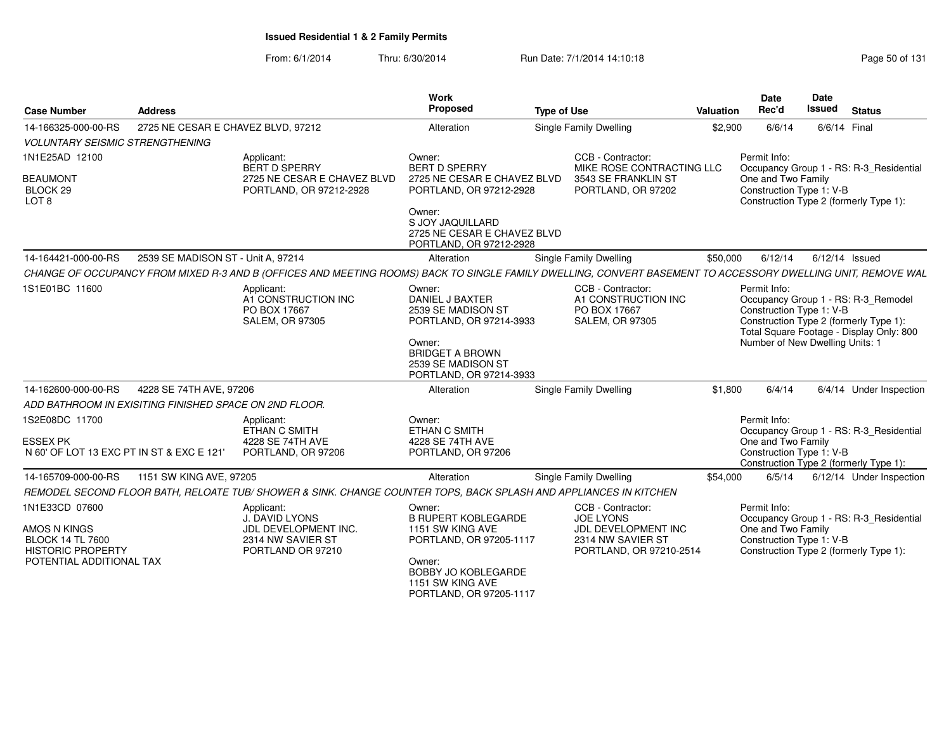| <b>Case Number</b>                                                             | <b>Address</b>                                         |                                                                                                                                                              | Work<br>Proposed                                                                     | <b>Type of Use</b>                                                                 | Valuation | <b>Date</b><br>Rec'd                                           | Date<br><b>Issued</b> | <b>Status</b>                                                                     |
|--------------------------------------------------------------------------------|--------------------------------------------------------|--------------------------------------------------------------------------------------------------------------------------------------------------------------|--------------------------------------------------------------------------------------|------------------------------------------------------------------------------------|-----------|----------------------------------------------------------------|-----------------------|-----------------------------------------------------------------------------------|
| 14-166325-000-00-RS                                                            | 2725 NE CESAR E CHAVEZ BLVD, 97212                     |                                                                                                                                                              | Alteration                                                                           | Single Family Dwelling                                                             | \$2,900   | 6/6/14                                                         |                       | 6/6/14 Final                                                                      |
| <b>VOLUNTARY SEISMIC STRENGTHENING</b>                                         |                                                        |                                                                                                                                                              |                                                                                      |                                                                                    |           |                                                                |                       |                                                                                   |
| 1N1E25AD 12100                                                                 |                                                        | Applicant:                                                                                                                                                   | Owner:                                                                               | CCB - Contractor:                                                                  |           | Permit Info:                                                   |                       |                                                                                   |
|                                                                                |                                                        | BERT D SPERRY                                                                                                                                                | <b>BERT D SPERRY</b>                                                                 | MIKE ROSE CONTRACTING LLC                                                          |           |                                                                |                       | Occupancy Group 1 - RS: R-3_Residential                                           |
| <b>BEAUMONT</b><br>BLOCK 29<br>LOT <sub>8</sub>                                |                                                        | 2725 NE CESAR E CHAVEZ BLVD<br>PORTLAND, OR 97212-2928                                                                                                       | 2725 NE CESAR E CHAVEZ BLVD<br>PORTLAND, OR 97212-2928                               | 3543 SE FRANKLIN ST<br>PORTLAND, OR 97202                                          |           | One and Two Family<br>Construction Type 1: V-B                 |                       | Construction Type 2 (formerly Type 1):                                            |
|                                                                                |                                                        |                                                                                                                                                              | Owner:<br>S JOY JAQUILLARD<br>2725 NE CESAR E CHAVEZ BLVD<br>PORTLAND, OR 97212-2928 |                                                                                    |           |                                                                |                       |                                                                                   |
| 14-164421-000-00-RS                                                            | 2539 SE MADISON ST - Unit A, 97214                     |                                                                                                                                                              | Alteration                                                                           | Single Family Dwelling                                                             | \$50,000  | 6/12/14                                                        |                       | 6/12/14 Issued                                                                    |
|                                                                                |                                                        | CHANGE OF OCCUPANCY FROM MIXED R-3 AND B (OFFICES AND MEETING ROOMS) BACK TO SINGLE FAMILY DWELLING, CONVERT BASEMENT TO ACCESSORY DWELLING UNIT, REMOVE WAL |                                                                                      |                                                                                    |           |                                                                |                       |                                                                                   |
| 1S1E01BC 11600                                                                 |                                                        | Applicant:<br>A1 CONSTRUCTION INC<br>PO BOX 17667<br><b>SALEM, OR 97305</b>                                                                                  | Owner:<br>DANIEL J BAXTER<br>2539 SE MADISON ST<br>PORTLAND, OR 97214-3933           | CCB - Contractor:<br>A1 CONSTRUCTION INC<br>PO BOX 17667<br><b>SALEM, OR 97305</b> |           | Permit Info:<br>Construction Type 1: V-B                       |                       | Occupancy Group 1 - RS: R-3_Remodel<br>Construction Type 2 (formerly Type 1):     |
|                                                                                |                                                        |                                                                                                                                                              | Owner:<br><b>BRIDGET A BROWN</b><br>2539 SE MADISON ST<br>PORTLAND, OR 97214-3933    |                                                                                    |           | Number of New Dwelling Units: 1                                |                       | Total Square Footage - Display Only: 800                                          |
| 14-162600-000-00-RS                                                            | 4228 SE 74TH AVE, 97206                                |                                                                                                                                                              | Alteration                                                                           | <b>Single Family Dwelling</b>                                                      | \$1,800   | 6/4/14                                                         |                       | 6/4/14 Under Inspection                                                           |
|                                                                                | ADD BATHROOM IN EXISITING FINISHED SPACE ON 2ND FLOOR. |                                                                                                                                                              |                                                                                      |                                                                                    |           |                                                                |                       |                                                                                   |
| 1S2E08DC 11700<br><b>ESSEX PK</b><br>N 60' OF LOT 13 EXC PT IN ST & EXC E 121' |                                                        | Applicant:<br>ETHAN C SMITH<br>4228 SE 74TH AVE<br>PORTLAND, OR 97206                                                                                        | Owner:<br>ETHAN C SMITH<br>4228 SE 74TH AVE<br>PORTLAND, OR 97206                    |                                                                                    |           | Permit Info:<br>One and Two Family<br>Construction Type 1: V-B |                       | Occupancy Group 1 - RS: R-3_Residential<br>Construction Type 2 (formerly Type 1): |
| 14-165709-000-00-RS                                                            | 1151 SW KING AVE, 97205                                |                                                                                                                                                              | Alteration                                                                           | Single Family Dwelling                                                             | \$54,000  | 6/5/14                                                         |                       | 6/12/14 Under Inspection                                                          |
|                                                                                |                                                        | REMODEL SECOND FLOOR BATH. RELOATE TUB/ SHOWER & SINK. CHANGE COUNTER TOPS. BACK SPLASH AND APPLIANCES IN KITCHEN                                            |                                                                                      |                                                                                    |           |                                                                |                       |                                                                                   |
| 1N1E33CD 07600                                                                 |                                                        | Applicant:                                                                                                                                                   | Owner:                                                                               | CCB - Contractor:                                                                  |           | Permit Info:                                                   |                       |                                                                                   |
|                                                                                |                                                        | J. DAVID LYONS                                                                                                                                               | <b>B RUPERT KOBLEGARDE</b>                                                           | <b>JOE LYONS</b>                                                                   |           |                                                                |                       | Occupancy Group 1 - RS: R-3_Residential                                           |
| AMOS N KINGS<br><b>BLOCK 14 TL 7600</b><br><b>HISTORIC PROPERTY</b>            |                                                        | JDL DEVELOPMENT INC.<br>2314 NW SAVIER ST<br>PORTLAND OR 97210                                                                                               | 1151 SW KING AVE<br>PORTLAND, OR 97205-1117                                          | JDL DEVELOPMENT INC<br>2314 NW SAVIER ST<br>PORTLAND, OR 97210-2514                |           | One and Two Family<br>Construction Type 1: V-B                 |                       | Construction Type 2 (formerly Type 1):                                            |
| POTENTIAL ADDITIONAL TAX                                                       |                                                        |                                                                                                                                                              | Owner:<br>BOBBY JO KOBLEGARDE<br>1151 SW KING AVE<br>PORTLAND, OR 97205-1117         |                                                                                    |           |                                                                |                       |                                                                                   |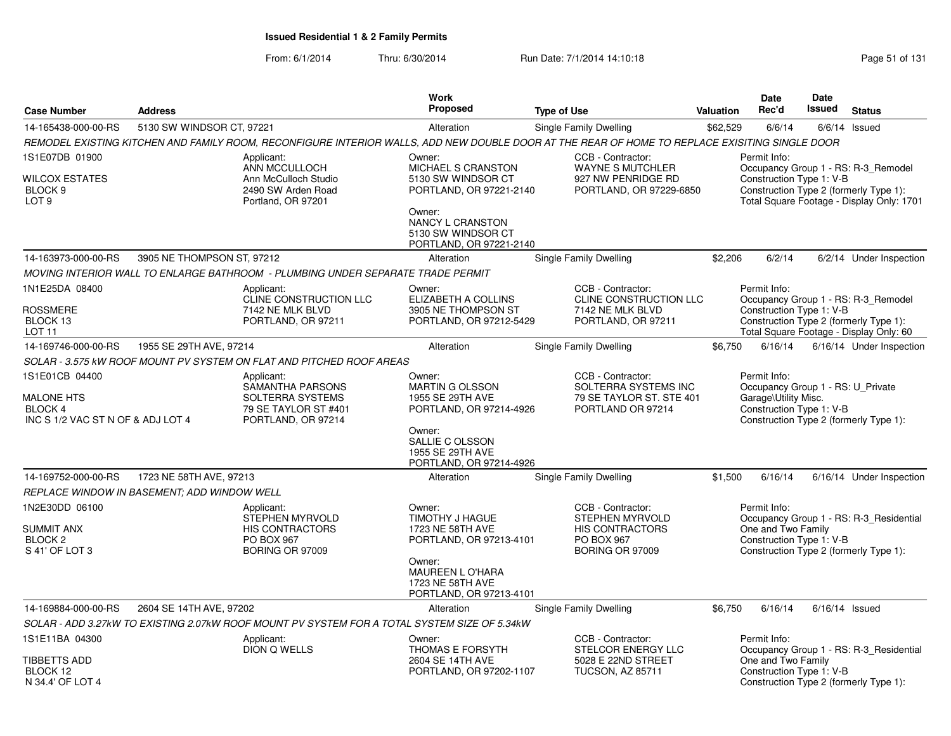|                                                                                     |                                                    |                                                                                                  | <b>Work</b>                                                                                                                                                         |                                                                                                                                                |           | <b>Date</b>                                                                                           | <b>Date</b>   |                                                                                                                            |
|-------------------------------------------------------------------------------------|----------------------------------------------------|--------------------------------------------------------------------------------------------------|---------------------------------------------------------------------------------------------------------------------------------------------------------------------|------------------------------------------------------------------------------------------------------------------------------------------------|-----------|-------------------------------------------------------------------------------------------------------|---------------|----------------------------------------------------------------------------------------------------------------------------|
| <b>Case Number</b>                                                                  | <b>Address</b>                                     |                                                                                                  | <b>Proposed</b>                                                                                                                                                     | <b>Type of Use</b>                                                                                                                             | Valuation | Rec'd                                                                                                 | <b>Issued</b> | <b>Status</b>                                                                                                              |
| 14-165438-000-00-RS                                                                 | 5130 SW WINDSOR CT, 97221                          |                                                                                                  | Alteration                                                                                                                                                          | Single Family Dwelling                                                                                                                         | \$62,529  | 6/6/14                                                                                                |               | $6/6/14$ Issued                                                                                                            |
|                                                                                     |                                                    |                                                                                                  |                                                                                                                                                                     | REMODEL EXISTING KITCHEN AND FAMILY ROOM, RECONFIGURE INTERIOR WALLS, ADD NEW DOUBLE DOOR AT THE REAR OF HOME TO REPLACE EXISITING SINGLE DOOR |           |                                                                                                       |               |                                                                                                                            |
| 1S1E07DB 01900<br><b>WILCOX ESTATES</b><br>BLOCK <sub>9</sub><br>LOT <sub>9</sub>   |                                                    | Applicant:<br>ANN MCCULLOCH<br>Ann McCulloch Studio<br>2490 SW Arden Road<br>Portland, OR 97201  | Owner:<br>MICHAEL S CRANSTON<br>5130 SW WINDSOR CT<br>PORTLAND, OR 97221-2140<br>Owner:<br><b>NANCY L CRANSTON</b><br>5130 SW WINDSOR CT                            | CCB - Contractor:<br><b>WAYNE S MUTCHLER</b><br>927 NW PENRIDGE RD<br>PORTLAND, OR 97229-6850                                                  |           | Permit Info:<br>Construction Type 1: V-B                                                              |               | Occupancy Group 1 - RS: R-3 Remodel<br>Construction Type 2 (formerly Type 1):<br>Total Square Footage - Display Only: 1701 |
| 14-163973-000-00-RS                                                                 | 3905 NE THOMPSON ST, 97212                         |                                                                                                  | PORTLAND, OR 97221-2140                                                                                                                                             | Single Family Dwelling                                                                                                                         | \$2,206   | 6/2/14                                                                                                |               | 6/2/14 Under Inspection                                                                                                    |
|                                                                                     |                                                    |                                                                                                  | Alteration                                                                                                                                                          |                                                                                                                                                |           |                                                                                                       |               |                                                                                                                            |
|                                                                                     |                                                    | MOVING INTERIOR WALL TO ENLARGE BATHROOM  - PLUMBING UNDER SEPARATE TRADE PERMIT                 |                                                                                                                                                                     |                                                                                                                                                |           |                                                                                                       |               |                                                                                                                            |
| 1N1E25DA 08400<br><b>ROSSMERE</b><br>BLOCK 13<br>LOT 11                             |                                                    | Applicant:<br>CLINE CONSTRUCTION LLC<br>7142 NE MLK BLVD<br>PORTLAND, OR 97211                   | Owner:<br>ELIZABETH A COLLINS<br>3905 NE THOMPSON ST<br>PORTLAND, OR 97212-5429                                                                                     | CCB - Contractor:<br>CLINE CONSTRUCTION LLC<br>7142 NE MLK BLVD<br>PORTLAND, OR 97211                                                          |           | Permit Info:<br>Construction Type 1: V-B                                                              |               | Occupancy Group 1 - RS: R-3_Remodel<br>Construction Type 2 (formerly Type 1):<br>Total Square Footage - Display Only: 60   |
| 14-169746-000-00-RS                                                                 | 1955 SE 29TH AVE, 97214                            |                                                                                                  | Alteration                                                                                                                                                          | Single Family Dwelling                                                                                                                         | \$6,750   | 6/16/14                                                                                               |               | 6/16/14 Under Inspection                                                                                                   |
|                                                                                     |                                                    | SOLAR - 3.575 kW ROOF MOUNT PV SYSTEM ON FLAT AND PITCHED ROOF AREAS                             |                                                                                                                                                                     |                                                                                                                                                |           |                                                                                                       |               |                                                                                                                            |
| 1S1E01CB 04400<br><b>MALONE HTS</b><br>BLOCK 4<br>INC S 1/2 VAC ST N OF & ADJ LOT 4 |                                                    | Applicant:<br>SAMANTHA PARSONS<br>SOLTERRA SYSTEMS<br>79 SE TAYLOR ST #401<br>PORTLAND, OR 97214 | Owner:<br><b>MARTIN G OLSSON</b><br>1955 SE 29TH AVE<br>PORTLAND, OR 97214-4926<br>Owner:<br>SALLIE C OLSSON<br>1955 SE 29TH AVE<br>PORTLAND, OR 97214-4926         | CCB - Contractor:<br>SOLTERRA SYSTEMS INC<br>79 SE TAYLOR ST. STE 401<br>PORTLAND OR 97214                                                     |           | Permit Info:<br>Occupancy Group 1 - RS: U_Private<br>Garage\Utility Misc.<br>Construction Type 1: V-B |               | Construction Type 2 (formerly Type 1):                                                                                     |
| 14-169752-000-00-RS                                                                 | 1723 NE 58TH AVE, 97213                            |                                                                                                  | Alteration                                                                                                                                                          | Single Family Dwelling                                                                                                                         | \$1,500   | 6/16/14                                                                                               |               | 6/16/14 Under Inspection                                                                                                   |
|                                                                                     | <b>REPLACE WINDOW IN BASEMENT: ADD WINDOW WELL</b> |                                                                                                  |                                                                                                                                                                     |                                                                                                                                                |           |                                                                                                       |               |                                                                                                                            |
| 1N2E30DD 06100<br><b>SUMMIT ANX</b><br>BLOCK <sub>2</sub><br>S 41' OF LOT 3         |                                                    | Applicant:<br>STEPHEN MYRVOLD<br><b>HIS CONTRACTORS</b><br>PO BOX 967<br><b>BORING OR 97009</b>  | Owner:<br><b>TIMOTHY J HAGUE</b><br>1723 NE 58TH AVE<br>PORTLAND, OR 97213-4101<br>Owner:<br><b>MAUREEN L O'HARA</b><br>1723 NE 58TH AVE<br>PORTLAND, OR 97213-4101 | CCB - Contractor:<br><b>STEPHEN MYRVOLD</b><br><b>HIS CONTRACTORS</b><br>PO BOX 967<br><b>BORING OR 97009</b>                                  |           | Permit Info:<br>One and Two Family<br>Construction Type 1: V-B                                        |               | Occupancy Group 1 - RS: R-3 Residential<br>Construction Type 2 (formerly Type 1):                                          |
| 14-169884-000-00-RS                                                                 | 2604 SE 14TH AVE, 97202                            |                                                                                                  | Alteration                                                                                                                                                          | <b>Single Family Dwelling</b>                                                                                                                  | \$6,750   | 6/16/14                                                                                               |               | $6/16/14$ Issued                                                                                                           |
|                                                                                     |                                                    | SOLAR - ADD 3.27kW TO EXISTING 2.07kW ROOF MOUNT PV SYSTEM FOR A TOTAL SYSTEM SIZE OF 5.34kW     |                                                                                                                                                                     |                                                                                                                                                |           |                                                                                                       |               |                                                                                                                            |
| 1S1E11BA 04300<br>TIBBETTS ADD<br>BLOCK 12                                          |                                                    | Applicant:<br>DION Q WELLS                                                                       | Owner:<br>THOMAS E FORSYTH<br>2604 SE 14TH AVE<br>PORTLAND, OR 97202-1107                                                                                           | CCB - Contractor:<br>STELCOR ENERGY LLC<br>5028 E 22ND STREET<br><b>TUCSON, AZ 85711</b>                                                       |           | Permit Info:<br>One and Two Family<br>Construction Type 1: V-B                                        |               | Occupancy Group 1 - RS: R-3_Residential                                                                                    |
| N 34.4' OF LOT 4                                                                    |                                                    |                                                                                                  |                                                                                                                                                                     |                                                                                                                                                |           |                                                                                                       |               | Construction Type 2 (formerly Type 1):                                                                                     |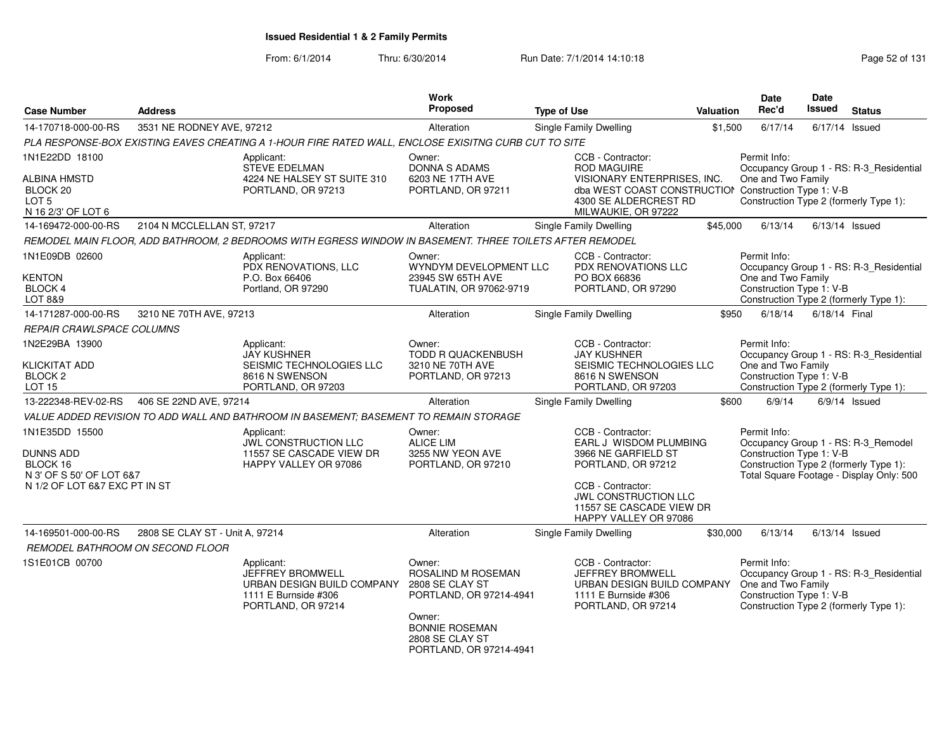| <b>Case Number</b>                                                                                   | <b>Address</b>                  |                                                                                                                   | <b>Work</b><br>Proposed                                                       | <b>Type of Use</b> |                                                                                                                                     | Valuation | Date<br>Rec'd                                                  | Date<br>Issued | <b>Status</b>                                                                                                             |
|------------------------------------------------------------------------------------------------------|---------------------------------|-------------------------------------------------------------------------------------------------------------------|-------------------------------------------------------------------------------|--------------------|-------------------------------------------------------------------------------------------------------------------------------------|-----------|----------------------------------------------------------------|----------------|---------------------------------------------------------------------------------------------------------------------------|
| 14-170718-000-00-RS                                                                                  | 3531 NE RODNEY AVE, 97212       |                                                                                                                   | Alteration                                                                    |                    | Single Family Dwelling                                                                                                              | \$1,500   | 6/17/14                                                        |                | $6/17/14$ Issued                                                                                                          |
|                                                                                                      |                                 | PLA RESPONSE-BOX EXISTING EAVES CREATING A 1-HOUR FIRE RATED WALL, ENCLOSE EXISITNG CURB CUT TO SITE              |                                                                               |                    |                                                                                                                                     |           |                                                                |                |                                                                                                                           |
| 1N1E22DD 18100                                                                                       |                                 | Applicant:<br><b>STEVE EDELMAN</b>                                                                                | Owner:<br>DONNA S ADAMS                                                       |                    | CCB - Contractor:<br><b>ROD MAGUIRE</b>                                                                                             |           | Permit Info:                                                   |                | Occupancy Group 1 - RS: R-3 Residential                                                                                   |
| ALBINA HMSTD<br>BLOCK <sub>20</sub><br>LOT <sub>5</sub><br>N 16 2/3' OF LOT 6                        |                                 | 4224 NE HALSEY ST SUITE 310<br>PORTLAND, OR 97213                                                                 | 6203 NE 17TH AVE<br>PORTLAND, OR 97211                                        |                    | VISIONARY ENTERPRISES, INC.<br>dba WEST COAST CONSTRUCTION Construction Type 1: V-B<br>4300 SE ALDERCREST RD<br>MILWAUKIE, OR 97222 |           | One and Two Family                                             |                | Construction Type 2 (formerly Type 1):                                                                                    |
| 14-169472-000-00-RS                                                                                  | 2104 N MCCLELLAN ST, 97217      |                                                                                                                   | Alteration                                                                    |                    | Single Family Dwelling                                                                                                              | \$45,000  | 6/13/14                                                        |                | $6/13/14$ Issued                                                                                                          |
|                                                                                                      |                                 | REMODEL MAIN FLOOR, ADD BATHROOM, 2 BEDROOMS WITH EGRESS WINDOW IN BASEMENT. THREE TOILETS AFTER REMODEL          |                                                                               |                    |                                                                                                                                     |           |                                                                |                |                                                                                                                           |
| 1N1E09DB 02600                                                                                       |                                 | Applicant:<br>PDX RENOVATIONS, LLC                                                                                | Owner:<br>WYNDYM DEVELOPMENT LLC                                              |                    | CCB - Contractor:<br>PDX RENOVATIONS LLC                                                                                            |           | Permit Info:                                                   |                | Occupancy Group 1 - RS: R-3_Residential                                                                                   |
| KENTON<br><b>BLOCK 4</b><br>LOT 8&9                                                                  |                                 | P.O. Box 66406<br>Portland, OR 97290                                                                              | 23945 SW 65TH AVE<br>TUALATIN, OR 97062-9719                                  |                    | PO BOX 66836<br>PORTLAND, OR 97290                                                                                                  |           | One and Two Family<br>Construction Type 1: V-B                 |                | Construction Type 2 (formerly Type 1):                                                                                    |
| 14-171287-000-00-RS                                                                                  | 3210 NE 70TH AVE, 97213         |                                                                                                                   | Alteration                                                                    |                    | <b>Single Family Dwelling</b>                                                                                                       | \$950     | 6/18/14                                                        | 6/18/14 Final  |                                                                                                                           |
| REPAIR CRAWLSPACE COLUMNS                                                                            |                                 |                                                                                                                   |                                                                               |                    |                                                                                                                                     |           |                                                                |                |                                                                                                                           |
| 1N2E29BA 13900<br><b>KLICKITAT ADD</b>                                                               |                                 | Applicant:<br><b>JAY KUSHNER</b><br>SEISMIC TECHNOLOGIES LLC                                                      | Owner:<br><b>TODD R QUACKENBUSH</b><br>3210 NE 70TH AVE                       |                    | CCB - Contractor:<br><b>JAY KUSHNER</b><br>SEISMIC TECHNOLOGIES LLC                                                                 |           | Permit Info:<br>One and Two Family                             |                | Occupancy Group 1 - RS: R-3_Residential                                                                                   |
| BLOCK <sub>2</sub><br><b>LOT 15</b>                                                                  |                                 | 8616 N SWENSON<br>PORTLAND, OR 97203                                                                              | PORTLAND, OR 97213                                                            |                    | 8616 N SWENSON<br>PORTLAND, OR 97203                                                                                                |           | Construction Type 1: V-B                                       |                | Construction Type 2 (formerly Type 1):                                                                                    |
| 13-222348-REV-02-RS                                                                                  | 406 SE 22ND AVE, 97214          |                                                                                                                   | Alteration                                                                    |                    | Single Family Dwelling                                                                                                              | \$600     | 6/9/14                                                         |                | $6/9/14$ Issued                                                                                                           |
|                                                                                                      |                                 | VALUE ADDED REVISION TO ADD WALL AND BATHROOM IN BASEMENT; BASEMENT TO REMAIN STORAGE                             |                                                                               |                    |                                                                                                                                     |           |                                                                |                |                                                                                                                           |
| 1N1E35DD 15500<br>DUNNS ADD<br>BLOCK 16<br>N 3' OF S 50' OF LOT 6&7<br>N 1/2 OF LOT 6&7 EXC PT IN ST |                                 | Applicant:<br>JWL CONSTRUCTION LLC<br>11557 SE CASCADE VIEW DR<br>HAPPY VALLEY OR 97086                           | Owner:<br><b>ALICE LIM</b><br>3255 NW YEON AVE<br>PORTLAND, OR 97210          |                    | CCB - Contractor:<br>EARL J WISDOM PLUMBING<br>3966 NE GARFIELD ST<br>PORTLAND, OR 97212<br>CCB - Contractor:                       |           | Permit Info:<br>Construction Type 1: V-B                       |                | Occupancy Group 1 - RS: R-3_Remodel<br>Construction Type 2 (formerly Type 1):<br>Total Square Footage - Display Only: 500 |
|                                                                                                      |                                 |                                                                                                                   |                                                                               |                    | <b>JWL CONSTRUCTION LLC</b><br>11557 SE CASCADE VIEW DR<br>HAPPY VALLEY OR 97086                                                    |           |                                                                |                |                                                                                                                           |
| 14-169501-000-00-RS                                                                                  | 2808 SE CLAY ST - Unit A, 97214 |                                                                                                                   | Alteration                                                                    |                    | <b>Single Family Dwelling</b>                                                                                                       | \$30,000  | 6/13/14                                                        |                | $6/13/14$ Issued                                                                                                          |
| REMODEL BATHROOM ON SECOND FLOOR                                                                     |                                 |                                                                                                                   |                                                                               |                    |                                                                                                                                     |           |                                                                |                |                                                                                                                           |
| 1S1E01CB 00700                                                                                       |                                 | Applicant:<br><b>JEFFREY BROMWELL</b><br>URBAN DESIGN BUILD COMPANY<br>1111 E Burnside #306<br>PORTLAND, OR 97214 | Owner:<br>ROSALIND M ROSEMAN<br>2808 SE CLAY ST<br>PORTLAND, OR 97214-4941    |                    | CCB - Contractor:<br><b>JEFFREY BROMWELL</b><br>URBAN DESIGN BUILD COMPANY<br>1111 E Burnside #306<br>PORTLAND, OR 97214            |           | Permit Info:<br>One and Two Family<br>Construction Type 1: V-B |                | Occupancy Group 1 - RS: R-3_Residential<br>Construction Type 2 (formerly Type 1):                                         |
|                                                                                                      |                                 |                                                                                                                   | Owner:<br><b>BONNIE ROSEMAN</b><br>2808 SE CLAY ST<br>PORTLAND, OR 97214-4941 |                    |                                                                                                                                     |           |                                                                |                |                                                                                                                           |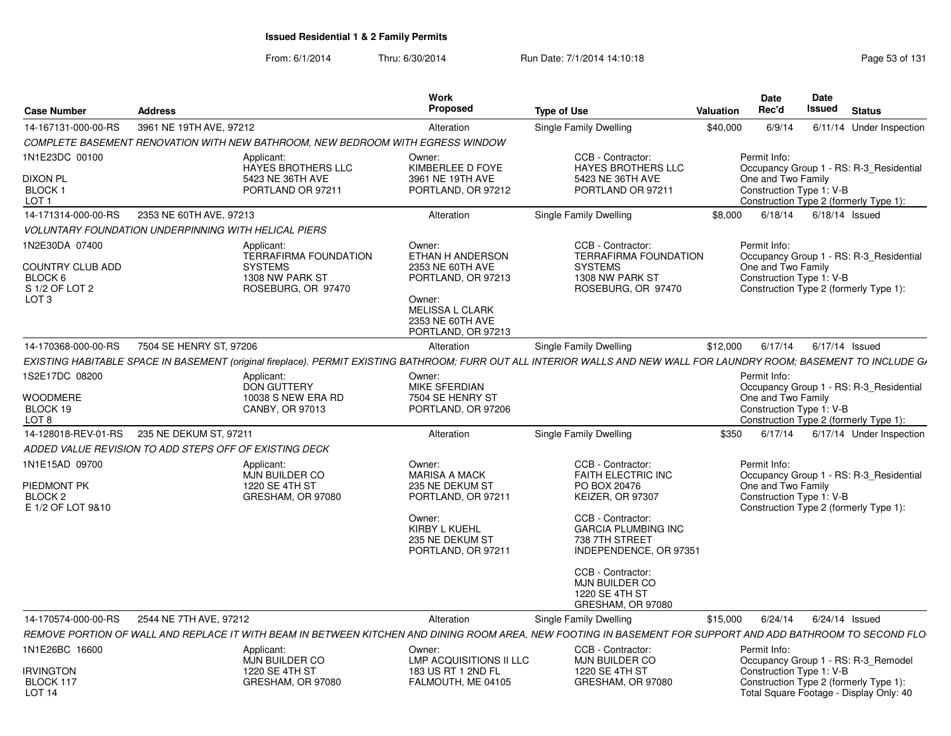| <b>Case Number</b>                                                       | <b>Address</b>                                              |                                                                                | <b>Work</b><br><b>Proposed</b>                                                                                                                     | <b>Type of Use</b>                                                                                                                                                                | <b>Valuation</b> | Date<br>Rec'd                                                  | Date<br>Issued | <b>Status</b>                                                                     |
|--------------------------------------------------------------------------|-------------------------------------------------------------|--------------------------------------------------------------------------------|----------------------------------------------------------------------------------------------------------------------------------------------------|-----------------------------------------------------------------------------------------------------------------------------------------------------------------------------------|------------------|----------------------------------------------------------------|----------------|-----------------------------------------------------------------------------------|
| 14-167131-000-00-RS                                                      | 3961 NE 19TH AVE, 97212                                     |                                                                                | Alteration                                                                                                                                         | Single Family Dwelling                                                                                                                                                            | \$40,000         | 6/9/14                                                         |                | 6/11/14 Under Inspection                                                          |
|                                                                          |                                                             | COMPLETE BASEMENT RENOVATION WITH NEW BATHROOM, NEW BEDROOM WITH EGRESS WINDOW |                                                                                                                                                    |                                                                                                                                                                                   |                  |                                                                |                |                                                                                   |
| 1N1E23DC 00100                                                           |                                                             | Applicant:<br>HAYES BROTHERS LLC                                               | Owner:<br>KIMBERLEE D FOYE                                                                                                                         | CCB - Contractor:<br>HAYES BROTHERS LLC                                                                                                                                           |                  | Permit Info:                                                   |                | Occupancy Group 1 - RS: R-3_Residential                                           |
| <b>DIXON PL</b><br>BLOCK <sub>1</sub><br>LOT <sub>1</sub>                |                                                             | 5423 NE 36TH AVE<br>PORTLAND OR 97211                                          | 3961 NE 19TH AVE<br>PORTLAND, OR 97212                                                                                                             | 5423 NE 36TH AVE<br>PORTLAND OR 97211                                                                                                                                             |                  | One and Two Family<br>Construction Type 1: V-B                 |                | Construction Type 2 (formerly Type 1):                                            |
| 14-171314-000-00-RS                                                      | 2353 NE 60TH AVE, 97213                                     |                                                                                | Alteration                                                                                                                                         | Single Family Dwelling                                                                                                                                                            | \$8,000          | 6/18/14                                                        |                | $6/18/14$ Issued                                                                  |
|                                                                          | <b>VOLUNTARY FOUNDATION UNDERPINNING WITH HELICAL PIERS</b> |                                                                                |                                                                                                                                                    |                                                                                                                                                                                   |                  |                                                                |                |                                                                                   |
| 1N2E30DA 07400                                                           |                                                             | Applicant:<br><b>TERRAFIRMA FOUNDATION</b>                                     | Owner:<br>ETHAN H ANDERSON                                                                                                                         | CCB - Contractor:<br><b>TERRAFIRMA FOUNDATION</b>                                                                                                                                 |                  | Permit Info:                                                   |                | Occupancy Group 1 - RS: R-3_Residential                                           |
| <b>COUNTRY CLUB ADD</b><br>BLOCK 6<br>S 1/2 OF LOT 2<br>LOT <sub>3</sub> |                                                             | <b>SYSTEMS</b><br>1308 NW PARK ST<br>ROSEBURG, OR 97470                        | 2353 NE 60TH AVE<br>PORTLAND, OR 97213<br>Owner:<br><b>MELISSA L CLARK</b><br>2353 NE 60TH AVE<br>PORTLAND, OR 97213                               | <b>SYSTEMS</b><br>1308 NW PARK ST<br>ROSEBURG, OR 97470                                                                                                                           |                  | One and Two Family<br>Construction Type 1: V-B                 |                | Construction Type 2 (formerly Type 1):                                            |
| 14-170368-000-00-RS                                                      | 7504 SE HENRY ST, 97206                                     |                                                                                | Alteration                                                                                                                                         | <b>Single Family Dwelling</b>                                                                                                                                                     | \$12,000         | 6/17/14                                                        |                | $6/17/14$ Issued                                                                  |
|                                                                          |                                                             |                                                                                |                                                                                                                                                    | EXISTING HABITABLE SPACE IN BASEMENT (original fireplace). PERMIT EXISTING BATHROOM; FURR OUT ALL INTERIOR WALLS AND NEW WALL FOR LAUNDRY ROOM; BASEMENT TO INCLUDE GJ            |                  |                                                                |                |                                                                                   |
| 1S2E17DC 08200                                                           |                                                             | Applicant:<br><b>DON GUTTERY</b>                                               | Owner:<br>MIKE SFERDIAN                                                                                                                            |                                                                                                                                                                                   |                  | Permit Info:                                                   |                | Occupancy Group 1 - RS: R-3 Residential                                           |
| <b>WOODMERE</b><br>BLOCK 19<br>LOT <sub>8</sub>                          |                                                             | 10038 S NEW ERA RD<br>CANBY, OR 97013                                          | 7504 SE HENRY ST<br>PORTLAND, OR 97206                                                                                                             |                                                                                                                                                                                   |                  | One and Two Family<br>Construction Type 1: V-B                 |                | Construction Type 2 (formerly Type 1):                                            |
| 14-128018-REV-01-RS                                                      | 235 NE DEKUM ST, 97211                                      |                                                                                | Alteration                                                                                                                                         | Single Family Dwelling                                                                                                                                                            | \$350            | 6/17/14                                                        |                | 6/17/14 Under Inspection                                                          |
|                                                                          | ADDED VALUE REVISION TO ADD STEPS OFF OF EXISTING DECK      |                                                                                |                                                                                                                                                    |                                                                                                                                                                                   |                  |                                                                |                |                                                                                   |
| 1N1E15AD 09700<br>PIEDMONT PK<br>BLOCK <sub>2</sub><br>E 1/2 OF LOT 9&10 |                                                             | Applicant:<br>MJN BUILDER CO<br>1220 SE 4TH ST<br>GRESHAM, OR 97080            | Owner:<br><b>MARISA A MACK</b><br>235 NE DEKUM ST<br>PORTLAND, OR 97211<br>Owner:<br><b>KIRBY L KUEHL</b><br>235 NE DEKUM ST<br>PORTLAND, OR 97211 | CCB - Contractor:<br>FAITH ELECTRIC INC<br>PO BOX 20476<br><b>KEIZER, OR 97307</b><br>CCB - Contractor:<br><b>GARCIA PLUMBING INC</b><br>738 7TH STREET<br>INDEPENDENCE, OR 97351 |                  | Permit Info:<br>One and Two Family<br>Construction Type 1: V-B |                | Occupancy Group 1 - RS: R-3 Residential<br>Construction Type 2 (formerly Type 1): |
|                                                                          |                                                             |                                                                                |                                                                                                                                                    | CCB - Contractor:<br>MJN BUILDER CO<br>1220 SE 4TH ST<br>GRESHAM, OR 97080                                                                                                        |                  |                                                                |                |                                                                                   |
| 14-170574-000-00-RS                                                      | 2544 NE 7TH AVE, 97212                                      |                                                                                | Alteration                                                                                                                                         | Single Family Dwelling                                                                                                                                                            | \$15,000         | 6/24/14                                                        |                | $6/24/14$ Issued                                                                  |
|                                                                          |                                                             |                                                                                |                                                                                                                                                    | REMOVE PORTION OF WALL AND REPLACE IT WITH BEAM IN BETWEEN KITCHEN AND DINING ROOM AREA. NEW FOOTING IN BASEMENT FOR SUPPORT AND ADD BATHROOM TO SECOND FLO                       |                  |                                                                |                |                                                                                   |
| 1N1E26BC 16600                                                           |                                                             | Applicant:<br>MJN BUILDER CO                                                   | Owner:<br>LMP ACQUISITIONS II LLC                                                                                                                  | CCB - Contractor:<br>MJN BUILDER CO                                                                                                                                               |                  | Permit Info:                                                   |                | Occupancy Group 1 - RS: R-3_Remodel                                               |
| <b>IRVINGTON</b><br>BLOCK 117<br>LOT <sub>14</sub>                       |                                                             | 1220 SE 4TH ST<br>GRESHAM, OR 97080                                            | 183 US RT 1 2ND FL<br>FALMOUTH, ME 04105                                                                                                           | 1220 SE 4TH ST<br>GRESHAM, OR 97080                                                                                                                                               |                  | Construction Type 1: V-B                                       |                | Construction Type 2 (formerly Type 1):<br>Total Square Footage - Display Only: 40 |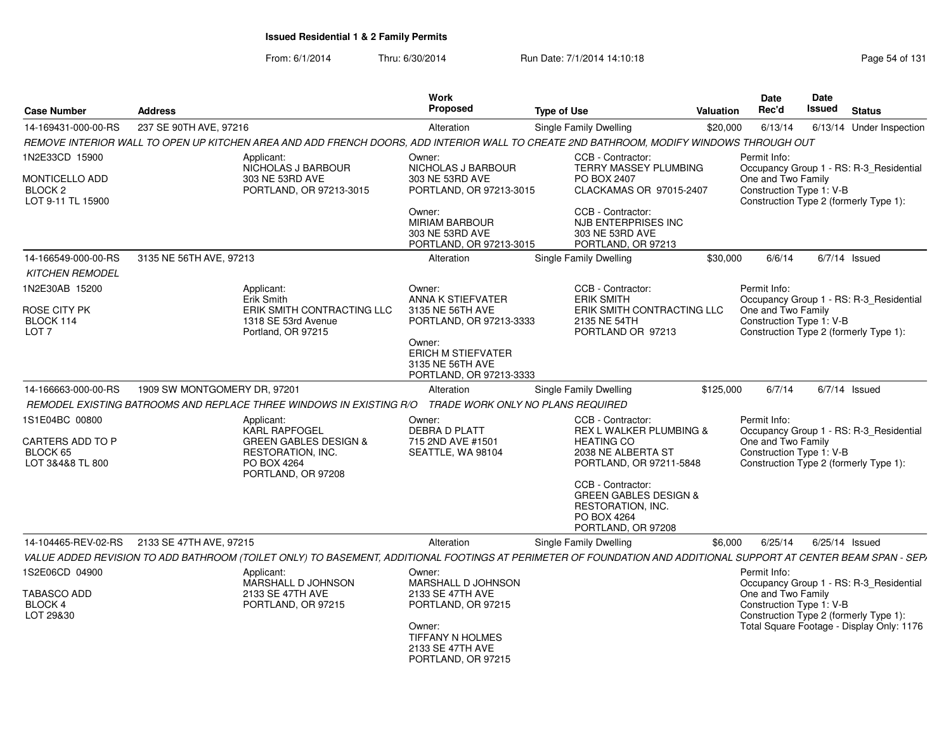| <b>Case Number</b>                                    | <b>Address</b>                                                                                                                                                   | Work<br>Proposed                                                                   | <b>Type of Use</b>                                                                                              | Valuation | Date<br>Rec'd                                  | <b>Date</b><br><b>Issued</b> | <b>Status</b>                             |
|-------------------------------------------------------|------------------------------------------------------------------------------------------------------------------------------------------------------------------|------------------------------------------------------------------------------------|-----------------------------------------------------------------------------------------------------------------|-----------|------------------------------------------------|------------------------------|-------------------------------------------|
| 14-169431-000-00-RS                                   | 237 SE 90TH AVE, 97216                                                                                                                                           | Alteration                                                                         | <b>Single Family Dwelling</b>                                                                                   | \$20,000  | 6/13/14                                        |                              | 6/13/14 Under Inspection                  |
|                                                       | REMOVE INTERIOR WALL TO OPEN UP KITCHEN AREA AND ADD FRENCH DOORS, ADD INTERIOR WALL TO CREATE 2ND BATHROOM, MODIFY WINDOWS THROUGH OUT                          |                                                                                    |                                                                                                                 |           |                                                |                              |                                           |
| 1N2E33CD 15900                                        | Applicant:<br>NICHOLAS J BARBOUR                                                                                                                                 | Owner:<br>NICHOLAS J BARBOUR                                                       | CCB - Contractor:<br>TERRY MASSEY PLUMBING                                                                      |           | Permit Info:                                   |                              | Occupancy Group 1 - RS: R-3_Residential   |
| <b>MONTICELLO ADD</b><br>BLOCK 2<br>LOT 9-11 TL 15900 | 303 NE 53RD AVE<br>PORTLAND, OR 97213-3015                                                                                                                       | 303 NE 53RD AVE<br>PORTLAND, OR 97213-3015                                         | PO BOX 2407<br>CLACKAMAS OR 97015-2407                                                                          |           | One and Two Family<br>Construction Type 1: V-B |                              | Construction Type 2 (formerly Type 1):    |
|                                                       |                                                                                                                                                                  | Owner:<br><b>MIRIAM BARBOUR</b><br>303 NE 53RD AVE<br>PORTLAND, OR 97213-3015      | CCB - Contractor:<br>NJB ENTERPRISES INC<br>303 NE 53RD AVE<br>PORTLAND, OR 97213                               |           |                                                |                              |                                           |
| 14-166549-000-00-RS                                   | 3135 NE 56TH AVE, 97213                                                                                                                                          | Alteration                                                                         | Single Family Dwelling                                                                                          | \$30,000  | 6/6/14                                         |                              | $6/7/14$ Issued                           |
| <b>KITCHEN REMODEL</b>                                |                                                                                                                                                                  |                                                                                    |                                                                                                                 |           |                                                |                              |                                           |
| 1N2E30AB 15200<br>ROSE CITY PK                        | Applicant:<br>Erik Smith<br>ERIK SMITH CONTRACTING LLC                                                                                                           | Owner:<br>ANNA K STIEFVATER<br>3135 NE 56TH AVE                                    | CCB - Contractor:<br><b>ERIK SMITH</b><br>ERIK SMITH CONTRACTING LLC                                            |           | Permit Info:<br>One and Two Family             |                              | Occupancy Group 1 - RS: R-3_Residential   |
| BLOCK 114<br>LOT <sub>7</sub>                         | 1318 SE 53rd Avenue<br>Portland, OR 97215                                                                                                                        | PORTLAND, OR 97213-3333                                                            | 2135 NE 54TH<br>PORTLAND OR 97213                                                                               |           | Construction Type 1: V-B                       |                              | Construction Type 2 (formerly Type 1):    |
|                                                       |                                                                                                                                                                  | Owner:<br><b>ERICH M STIEFVATER</b><br>3135 NE 56TH AVE<br>PORTLAND, OR 97213-3333 |                                                                                                                 |           |                                                |                              |                                           |
| 14-166663-000-00-RS                                   | 1909 SW MONTGOMERY DR, 97201                                                                                                                                     | Alteration                                                                         | <b>Single Family Dwelling</b>                                                                                   | \$125,000 | 6/7/14                                         |                              | $6/7/14$ Issued                           |
|                                                       | REMODEL EXISTING BATROOMS AND REPLACE THREE WINDOWS IN EXISTING R/O                                                                                              | TRADE WORK ONLY NO PLANS REQUIRED                                                  |                                                                                                                 |           |                                                |                              |                                           |
| 1S1E04BC 00800                                        | Applicant:<br>KARL RAPFOGEL                                                                                                                                      | Owner:                                                                             | CCB - Contractor:<br>REX L WALKER PLUMBING &                                                                    |           | Permit Info:                                   |                              |                                           |
| CARTERS ADD TO P                                      | <b>GREEN GABLES DESIGN &amp;</b>                                                                                                                                 | DEBRA D PLATT<br>715 2ND AVE #1501                                                 | <b>HEATING CO</b>                                                                                               |           | One and Two Family                             |                              | Occupancy Group 1 - RS: R-3_Residential   |
| BLOCK 65<br>LOT 3&4&8 TL 800                          | RESTORATION, INC.<br>PO BOX 4264<br>PORTLAND, OR 97208                                                                                                           | SEATTLE, WA 98104                                                                  | 2038 NE ALBERTA ST<br>PORTLAND, OR 97211-5848                                                                   |           | Construction Type 1: V-B                       |                              | Construction Type 2 (formerly Type 1):    |
|                                                       |                                                                                                                                                                  |                                                                                    | CCB - Contractor:<br><b>GREEN GABLES DESIGN &amp;</b><br>RESTORATION, INC.<br>PO BOX 4264<br>PORTLAND, OR 97208 |           |                                                |                              |                                           |
|                                                       | 14-104465-REV-02-RS 2133 SE 47TH AVE, 97215                                                                                                                      | Alteration                                                                         | <b>Single Family Dwelling</b>                                                                                   | \$6,000   | 6/25/14                                        | 6/25/14 Issued               |                                           |
|                                                       | VALUE ADDED REVISION TO ADD BATHROOM (TOILET ONLY) TO BASEMENT, ADDITIONAL FOOTINGS AT PERIMETER OF FOUNDATION AND ADDITIONAL SUPPORT AT CENTER BEAM SPAN - SEP, |                                                                                    |                                                                                                                 |           |                                                |                              |                                           |
| 1S2E06CD 04900                                        | Applicant:<br>MARSHALL D JOHNSON                                                                                                                                 | Owner:<br>MARSHALL D JOHNSON                                                       |                                                                                                                 |           | Permit Info:                                   |                              | Occupancy Group 1 - RS: R-3_Residential   |
| TABASCO ADD<br>BLOCK 4<br>LOT 29&30                   | 2133 SE 47TH AVE<br>PORTLAND, OR 97215                                                                                                                           | 2133 SE 47TH AVE<br>PORTLAND, OR 97215                                             |                                                                                                                 |           | One and Two Family<br>Construction Type 1: V-B |                              | Construction Type 2 (formerly Type 1):    |
|                                                       |                                                                                                                                                                  | Owner:<br>TIFFANY N HOLMES<br>2133 SE 47TH AVE<br>PORTLAND, OR 97215               |                                                                                                                 |           |                                                |                              | Total Square Footage - Display Only: 1176 |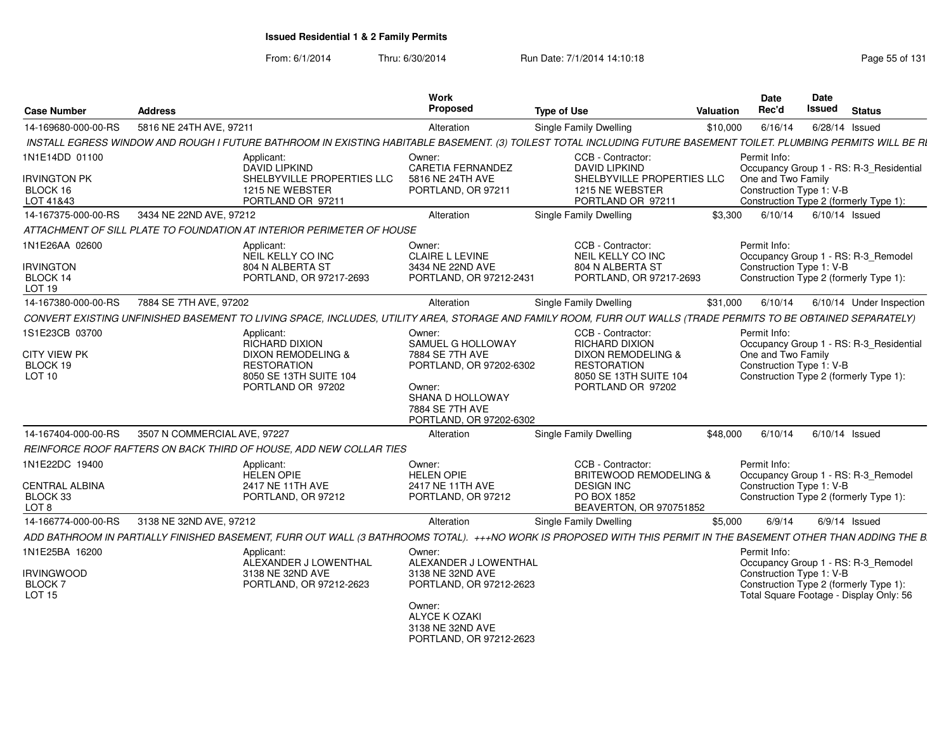| <b>Case Number</b>                                                      | <b>Address</b>                                                                                                                                                    | Work<br>Proposed                                                                                                                                      | <b>Type of Use</b>                                                                                                                    | <b>Valuation</b> | Date<br>Rec'd                                                  | Date<br>Issued | <b>Status</b>                                                                                                            |
|-------------------------------------------------------------------------|-------------------------------------------------------------------------------------------------------------------------------------------------------------------|-------------------------------------------------------------------------------------------------------------------------------------------------------|---------------------------------------------------------------------------------------------------------------------------------------|------------------|----------------------------------------------------------------|----------------|--------------------------------------------------------------------------------------------------------------------------|
| 14-169680-000-00-RS                                                     | 5816 NE 24TH AVE, 97211                                                                                                                                           | Alteration                                                                                                                                            | <b>Single Family Dwelling</b>                                                                                                         | \$10,000         | 6/16/14                                                        |                | 6/28/14 Issued                                                                                                           |
|                                                                         | INSTALL EGRESS WINDOW AND ROUGH I FUTURE BATHROOM IN EXISTING HABITABLE BASEMENT. (3) TOILEST TOTAL INCLUDING FUTURE BASEMENT TOILET. PLUMBING PERMITS WILL BE RI |                                                                                                                                                       |                                                                                                                                       |                  |                                                                |                |                                                                                                                          |
| 1N1E14DD 01100<br><b>IRVINGTON PK</b><br>BLOCK 16                       | Applicant:<br><b>DAVID LIPKIND</b><br>SHELBYVILLE PROPERTIES LLC<br>1215 NE WEBSTER                                                                               | Owner:<br><b>CARETIA FERNANDEZ</b><br>5816 NE 24TH AVE<br>PORTLAND, OR 97211                                                                          | CCB - Contractor:<br><b>DAVID LIPKIND</b><br>SHELBYVILLE PROPERTIES LLC<br>1215 NE WEBSTER                                            |                  | Permit Info:<br>One and Two Family<br>Construction Type 1: V-B |                | Occupancy Group 1 - RS: R-3 Residential                                                                                  |
| LOT 41&43                                                               | PORTLAND OR 97211                                                                                                                                                 |                                                                                                                                                       | PORTLAND OR 97211                                                                                                                     |                  |                                                                |                | Construction Type 2 (formerly Type 1):                                                                                   |
| 14-167375-000-00-RS                                                     | 3434 NE 22ND AVE, 97212                                                                                                                                           | Alteration                                                                                                                                            | Single Family Dwelling                                                                                                                | \$3.300          | 6/10/14                                                        |                | $6/10/14$ Issued                                                                                                         |
|                                                                         | ATTACHMENT OF SILL PLATE TO FOUNDATION AT INTERIOR PERIMETER OF HOUSE                                                                                             |                                                                                                                                                       |                                                                                                                                       |                  |                                                                |                |                                                                                                                          |
| 1N1E26AA 02600<br><b>IRVINGTON</b><br>BLOCK 14<br>LOT <sub>19</sub>     | Applicant:<br>NEIL KELLY CO INC<br>804 N ALBERTA ST<br>PORTLAND, OR 97217-2693                                                                                    | Owner:<br><b>CLAIRE L LEVINE</b><br>3434 NE 22ND AVE<br>PORTLAND, OR 97212-2431                                                                       | CCB - Contractor:<br>NEIL KELLY CO INC<br>804 N ALBERTA ST<br>PORTLAND, OR 97217-2693                                                 |                  | Permit Info:<br>Construction Type 1: V-B                       |                | Occupancy Group 1 - RS: R-3 Remodel<br>Construction Type 2 (formerly Type 1):                                            |
| 14-167380-000-00-RS                                                     | 7884 SE 7TH AVE, 97202                                                                                                                                            | Alteration                                                                                                                                            | <b>Single Family Dwelling</b>                                                                                                         | \$31,000         | 6/10/14                                                        |                | 6/10/14 Under Inspection                                                                                                 |
|                                                                         | CONVERT EXISTING UNFINISHED BASEMENT TO LIVING SPACE, INCLUDES, UTILITY AREA, STORAGE AND FAMILY ROOM, FURR OUT WALLS (TRADE PERMITS TO BE OBTAINED SEPARATELY)   |                                                                                                                                                       |                                                                                                                                       |                  |                                                                |                |                                                                                                                          |
| 1S1E23CB 03700<br>CITY VIEW PK<br>BLOCK 19<br>LOT 10                    | Applicant:<br><b>RICHARD DIXION</b><br>DIXON REMODELING &<br><b>RESTORATION</b><br>8050 SE 13TH SUITE 104<br>PORTLAND OR 97202                                    | Owner:<br>SAMUEL G HOLLOWAY<br>7884 SE 7TH AVE<br>PORTLAND, OR 97202-6302<br>Owner:<br>SHANA D HOLLOWAY<br>7884 SE 7TH AVE<br>PORTLAND, OR 97202-6302 | CCB - Contractor:<br><b>RICHARD DIXION</b><br>DIXON REMODELING &<br><b>RESTORATION</b><br>8050 SE 13TH SUITE 104<br>PORTLAND OR 97202 |                  | Permit Info:<br>One and Two Family<br>Construction Type 1: V-B |                | Occupancy Group 1 - RS: R-3_Residential<br>Construction Type 2 (formerly Type 1):                                        |
| 14-167404-000-00-RS                                                     | 3507 N COMMERCIAL AVE, 97227                                                                                                                                      | Alteration                                                                                                                                            | <b>Single Family Dwelling</b>                                                                                                         | \$48,000         | 6/10/14                                                        |                | 6/10/14 Issued                                                                                                           |
|                                                                         | REINFORCE ROOF RAFTERS ON BACK THIRD OF HOUSE, ADD NEW COLLAR TIES                                                                                                |                                                                                                                                                       |                                                                                                                                       |                  |                                                                |                |                                                                                                                          |
| 1N1E22DC 19400<br><b>CENTRAL ALBINA</b><br>BLOCK 33<br>LOT <sub>8</sub> | Applicant:<br><b>HELEN OPIE</b><br>2417 NE 11TH AVE<br>PORTLAND, OR 97212                                                                                         | Owner:<br><b>HELEN OPIE</b><br>2417 NE 11TH AVE<br>PORTLAND, OR 97212                                                                                 | CCB - Contractor:<br><b>BRITEWOOD REMODELING &amp;</b><br><b>DESIGN INC</b><br>PO BOX 1852<br>BEAVERTON, OR 970751852                 |                  | Permit Info:<br>Construction Type 1: V-B                       |                | Occupancy Group 1 - RS: R-3_Remodel<br>Construction Type 2 (formerly Type 1):                                            |
| 14-166774-000-00-RS                                                     | 3138 NE 32ND AVE, 97212                                                                                                                                           | Alteration                                                                                                                                            | <b>Single Family Dwelling</b>                                                                                                         | \$5.000          | 6/9/14                                                         |                | $6/9/14$ Issued                                                                                                          |
|                                                                         | ADD BATHROOM IN PARTIALLY FINISHED BASEMENT, FURR OUT WALL (3 BATHROOMS TOTAL). +++NO WORK IS PROPOSED WITH THIS PERMIT IN THE BASEMENT OTHER THAN ADDING THE B.  |                                                                                                                                                       |                                                                                                                                       |                  |                                                                |                |                                                                                                                          |
| 1N1E25BA 16200<br><b>IRVINGWOOD</b><br><b>BLOCK7</b><br><b>LOT 15</b>   | Applicant:<br>ALEXANDER J LOWENTHAL<br>3138 NE 32ND AVE<br>PORTLAND, OR 97212-2623                                                                                | Owner:<br>ALEXANDER J LOWENTHAL<br>3138 NE 32ND AVE<br>PORTLAND, OR 97212-2623<br>Owner:<br>ALYCE K OZAKI                                             |                                                                                                                                       |                  | Permit Info:<br>Construction Type 1: V-B                       |                | Occupancy Group 1 - RS: R-3_Remodel<br>Construction Type 2 (formerly Type 1):<br>Total Square Footage - Display Only: 56 |
|                                                                         |                                                                                                                                                                   | 3138 NE 32ND AVE<br>PORTLAND, OR 97212-2623                                                                                                           |                                                                                                                                       |                  |                                                                |                |                                                                                                                          |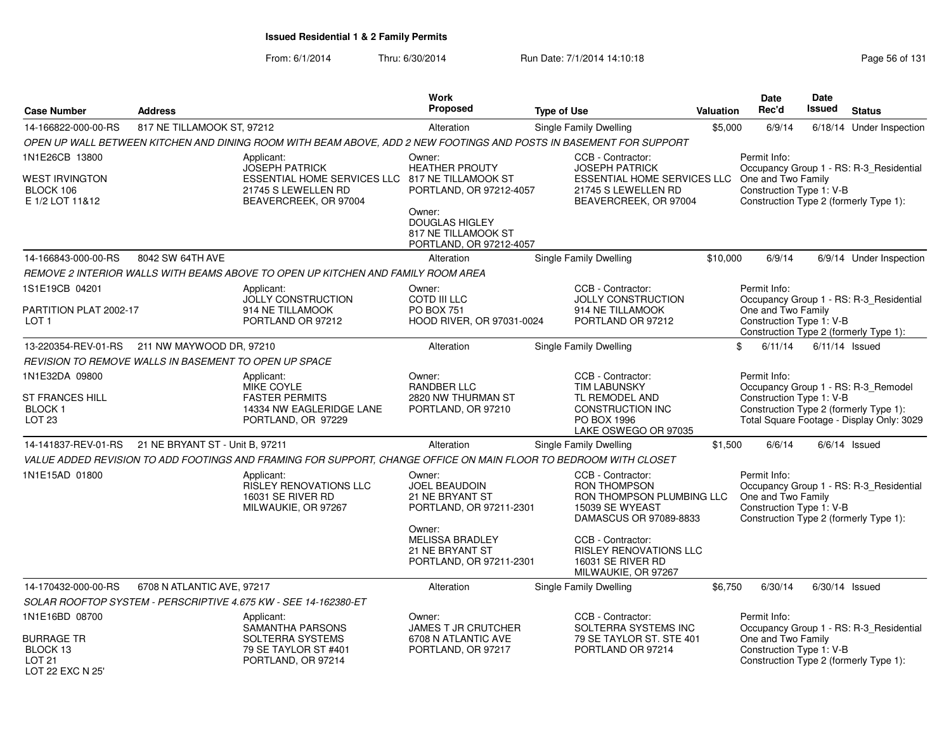|                                                                  |                                                       |                                                                                                                    | Work<br><b>Proposed</b>                                                             |                                                                                                                                              |                  | <b>Date</b><br>Rec'd                                           | <b>Date</b><br>Issued |                                                                                     |
|------------------------------------------------------------------|-------------------------------------------------------|--------------------------------------------------------------------------------------------------------------------|-------------------------------------------------------------------------------------|----------------------------------------------------------------------------------------------------------------------------------------------|------------------|----------------------------------------------------------------|-----------------------|-------------------------------------------------------------------------------------|
| <b>Case Number</b>                                               | <b>Address</b>                                        |                                                                                                                    |                                                                                     | <b>Type of Use</b>                                                                                                                           | <b>Valuation</b> |                                                                |                       | <b>Status</b>                                                                       |
| 14-166822-000-00-RS                                              | 817 NE TILLAMOOK ST, 97212                            |                                                                                                                    | Alteration                                                                          | <b>Single Family Dwelling</b>                                                                                                                | \$5,000          | 6/9/14                                                         |                       | 6/18/14 Under Inspection                                                            |
|                                                                  |                                                       | OPEN UP WALL BETWEEN KITCHEN AND DINING ROOM WITH BEAM ABOVE, ADD 2 NEW FOOTINGS AND POSTS IN BASEMENT FOR SUPPORT |                                                                                     |                                                                                                                                              |                  |                                                                |                       |                                                                                     |
| 1N1E26CB 13800<br>WEST IRVINGTON<br>BLOCK 106<br>E 1/2 LOT 11&12 |                                                       | Applicant:<br><b>JOSEPH PATRICK</b><br>ESSENTIAL HOME SERVICES LLC<br>21745 S LEWELLEN RD<br>BEAVERCREEK, OR 97004 | Owner:<br><b>HEATHER PROUTY</b><br>817 NE TILLAMOOK ST<br>PORTLAND, OR 97212-4057   | CCB - Contractor:<br><b>JOSEPH PATRICK</b><br>ESSENTIAL HOME SERVICES LLC One and Two Family<br>21745 S LEWELLEN RD<br>BEAVERCREEK, OR 97004 |                  | Permit Info:<br>Construction Type 1: V-B                       |                       | Occupancy Group 1 - RS: R-3_Residential<br>Construction Type 2 (formerly Type 1):   |
|                                                                  |                                                       |                                                                                                                    | Owner:<br><b>DOUGLAS HIGLEY</b><br>817 NE TILLAMOOK ST<br>PORTLAND, OR 97212-4057   |                                                                                                                                              |                  |                                                                |                       |                                                                                     |
| 14-166843-000-00-RS                                              | 8042 SW 64TH AVE                                      |                                                                                                                    | Alteration                                                                          | <b>Single Family Dwelling</b>                                                                                                                | \$10,000         | 6/9/14                                                         |                       | 6/9/14 Under Inspection                                                             |
|                                                                  |                                                       | REMOVE 2 INTERIOR WALLS WITH BEAMS ABOVE TO OPEN UP KITCHEN AND FAMILY ROOM AREA                                   |                                                                                     |                                                                                                                                              |                  |                                                                |                       |                                                                                     |
| 1S1E19CB 04201                                                   |                                                       | Applicant:<br><b>JOLLY CONSTRUCTION</b>                                                                            | Owner:<br><b>COTD III LLC</b>                                                       | CCB - Contractor:<br><b>JOLLY CONSTRUCTION</b>                                                                                               |                  | Permit Info:                                                   |                       | Occupancy Group 1 - RS: R-3_Residential                                             |
| PARTITION PLAT 2002-17<br>LOT <sub>1</sub>                       |                                                       | 914 NE TILLAMOOK<br>PORTLAND OR 97212                                                                              | <b>PO BOX 751</b><br>HOOD RIVER, OR 97031-0024                                      | 914 NE TILLAMOOK<br>PORTLAND OR 97212                                                                                                        |                  | One and Two Family<br>Construction Type 1: V-B                 |                       | Construction Type 2 (formerly Type 1):                                              |
| 13-220354-REV-01-RS                                              | 211 NW MAYWOOD DR, 97210                              |                                                                                                                    | Alteration                                                                          | Single Family Dwelling                                                                                                                       |                  | \$<br>6/11/14                                                  |                       | $6/11/14$ Issued                                                                    |
|                                                                  | REVISION TO REMOVE WALLS IN BASEMENT TO OPEN UP SPACE |                                                                                                                    |                                                                                     |                                                                                                                                              |                  |                                                                |                       |                                                                                     |
| 1N1E32DA 09800<br><b>ST FRANCES HILL</b>                         |                                                       | Applicant:<br><b>MIKE COYLE</b><br><b>FASTER PERMITS</b>                                                           | Owner:<br><b>RANDBER LLC</b><br>2820 NW THURMAN ST                                  | CCB - Contractor:<br><b>TIM LABUNSKY</b><br>TL REMODEL AND                                                                                   |                  | Permit Info:<br>Construction Type 1: V-B                       |                       | Occupancy Group 1 - RS: R-3_Remodel                                                 |
| <b>BLOCK1</b><br><b>LOT 23</b>                                   |                                                       | 14334 NW EAGLERIDGE LANE<br>PORTLAND, OR 97229                                                                     | PORTLAND, OR 97210                                                                  | CONSTRUCTION INC<br>PO BOX 1996<br>LAKE OSWEGO OR 97035                                                                                      |                  |                                                                |                       | Construction Type 2 (formerly Type 1):<br>Total Square Footage - Display Only: 3029 |
|                                                                  | 14-141837-REV-01-RS 21 NE BRYANT ST - Unit B, 97211   |                                                                                                                    | Alteration                                                                          | Single Family Dwelling                                                                                                                       | \$1,500          | 6/6/14                                                         |                       | $6/6/14$ Issued                                                                     |
|                                                                  |                                                       | VALUE ADDED REVISION TO ADD FOOTINGS AND FRAMING FOR SUPPORT, CHANGE OFFICE ON MAIN FLOOR TO BEDROOM WITH CLOSET   |                                                                                     |                                                                                                                                              |                  |                                                                |                       |                                                                                     |
| 1N1E15AD 01800                                                   |                                                       | Applicant:<br><b>RISLEY RENOVATIONS LLC</b><br>16031 SE RIVER RD<br>MILWAUKIE, OR 97267                            | Owner:<br><b>JOEL BEAUDOIN</b><br><b>21 NE BRYANT ST</b><br>PORTLAND, OR 97211-2301 | CCB - Contractor:<br><b>RON THOMPSON</b><br>RON THOMPSON PLUMBING LLC<br>15039 SE WYEAST<br>DAMASCUS OR 97089-8833                           |                  | Permit Info:<br>One and Two Family<br>Construction Type 1: V-B |                       | Occupancy Group 1 - RS: R-3 Residential<br>Construction Type 2 (formerly Type 1):   |
|                                                                  |                                                       |                                                                                                                    | Owner:<br><b>MELISSA BRADLEY</b><br>21 NE BRYANT ST<br>PORTLAND, OR 97211-2301      | CCB - Contractor:<br><b>RISLEY RENOVATIONS LLC</b><br>16031 SE RIVER RD<br>MILWAUKIE, OR 97267                                               |                  |                                                                |                       |                                                                                     |
| 14-170432-000-00-RS                                              | 6708 N ATLANTIC AVE, 97217                            |                                                                                                                    | Alteration                                                                          | Single Family Dwelling                                                                                                                       | \$6,750          | 6/30/14                                                        |                       | $6/30/14$ Issued                                                                    |
|                                                                  |                                                       | SOLAR ROOFTOP SYSTEM - PERSCRIPTIVE 4.675 KW - SEE 14-162380-ET                                                    |                                                                                     |                                                                                                                                              |                  |                                                                |                       |                                                                                     |
| 1N1E16BD 08700                                                   |                                                       | Applicant:<br>SAMANTHA PARSONS                                                                                     | Owner:<br><b>JAMES T JR CRUTCHER</b>                                                | CCB - Contractor:<br>SOLTERRA SYSTEMS INC                                                                                                    |                  | Permit Info:                                                   |                       | Occupancy Group 1 - RS: R-3_Residential                                             |
| BURRAGE TR<br>BLOCK 13<br><b>LOT 21</b><br>LOT 22 FXC N 25'      |                                                       | SOLTERRA SYSTEMS<br>79 SE TAYLOR ST #401<br>PORTLAND, OR 97214                                                     | 6708 N ATLANTIC AVE<br>PORTLAND, OR 97217                                           | 79 SE TAYLOR ST. STE 401<br>PORTLAND OR 97214                                                                                                |                  | One and Two Family<br>Construction Type 1: V-B                 |                       | Construction Type 2 (formerly Type 1):                                              |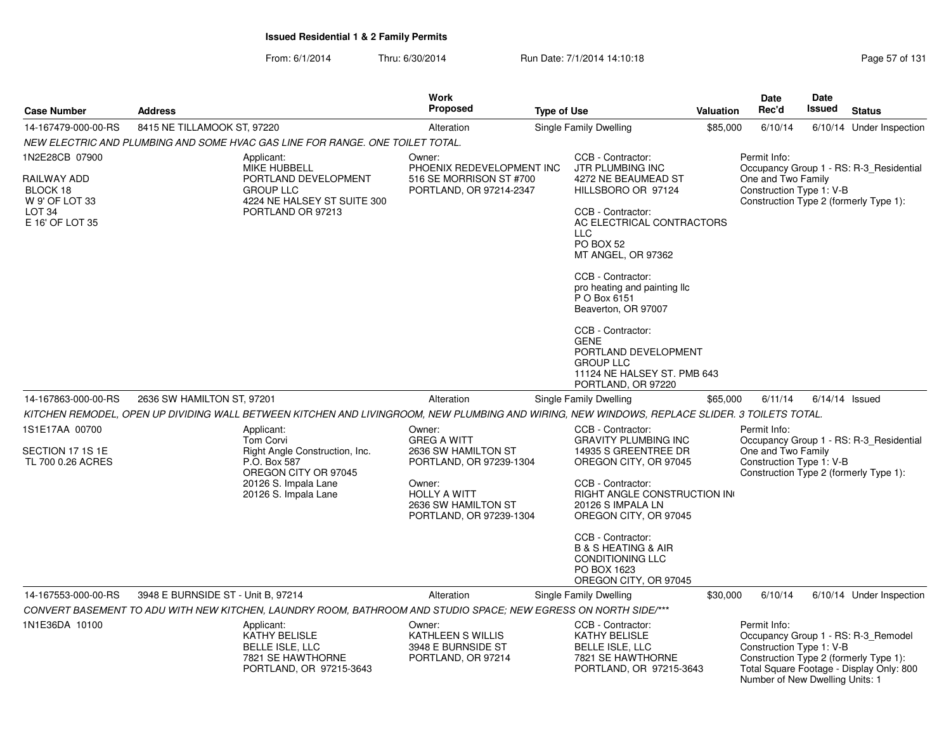| Case Number                                                                                         | <b>Address</b>                                                                                                                                           | Work<br>Proposed                                                                                                                                                  | <b>Type of Use</b>                                                                                                                                                                                                                                                                                                                                                                                      | <b>Valuation</b> | Date<br>Rec'd                                                                                                         | <b>Date</b><br>Issued | <b>Status</b>                                                                   |
|-----------------------------------------------------------------------------------------------------|----------------------------------------------------------------------------------------------------------------------------------------------------------|-------------------------------------------------------------------------------------------------------------------------------------------------------------------|---------------------------------------------------------------------------------------------------------------------------------------------------------------------------------------------------------------------------------------------------------------------------------------------------------------------------------------------------------------------------------------------------------|------------------|-----------------------------------------------------------------------------------------------------------------------|-----------------------|---------------------------------------------------------------------------------|
| 14-167479-000-00-RS                                                                                 | 8415 NE TILLAMOOK ST, 97220                                                                                                                              | Alteration                                                                                                                                                        | Single Family Dwelling                                                                                                                                                                                                                                                                                                                                                                                  | \$85,000         | 6/10/14                                                                                                               |                       | 6/10/14 Under Inspection                                                        |
|                                                                                                     | NEW ELECTRIC AND PLUMBING AND SOME HVAC GAS LINE FOR RANGE. ONE TOILET TOTAL.                                                                            |                                                                                                                                                                   |                                                                                                                                                                                                                                                                                                                                                                                                         |                  |                                                                                                                       |                       |                                                                                 |
| 1N2E28CB 07900<br>RAILWAY ADD<br>BLOCK 18<br>W 9' OF LOT 33<br>LOT <sub>34</sub><br>E 16' OF LOT 35 | Applicant:<br><b>MIKE HUBBELL</b><br>PORTLAND DEVELOPMENT<br><b>GROUP LLC</b><br>4224 NE HALSEY ST SUITE 300<br>PORTLAND OR 97213                        | Owner:<br>PHOENIX REDEVELOPMENT INC<br>516 SE MORRISON ST #700<br>PORTLAND, OR 97214-2347                                                                         | CCB - Contractor:<br><b>JTR PLUMBING INC</b><br>4272 NE BEAUMEAD ST<br>HILLSBORO OR 97124<br>CCB - Contractor:<br>AC ELECTRICAL CONTRACTORS<br><b>LLC</b><br>PO BOX 52<br>MT ANGEL, OR 97362<br>CCB - Contractor:<br>pro heating and painting IIc<br>P O Box 6151<br>Beaverton, OR 97007<br>CCB - Contractor:<br><b>GENE</b><br>PORTLAND DEVELOPMENT<br><b>GROUP LLC</b><br>11124 NE HALSEY ST. PMB 643 |                  | Permit Info:<br>One and Two Family<br>Construction Type 1: V-B<br>Construction Type 2 (formerly Type 1):              |                       | Occupancy Group 1 - RS: R-3 Residential                                         |
| 14-167863-000-00-RS                                                                                 | 2636 SW HAMILTON ST, 97201                                                                                                                               | Alteration                                                                                                                                                        | PORTLAND, OR 97220<br>Single Family Dwelling                                                                                                                                                                                                                                                                                                                                                            | \$65,000         | 6/11/14                                                                                                               | $6/14/14$ Issued      |                                                                                 |
|                                                                                                     | KITCHEN REMODEL, OPEN UP DIVIDING WALL BETWEEN KITCHEN AND LIVINGROOM, NEW PLUMBING AND WIRING, NEW WINDOWS, REPLACE SLIDER. 3 TOILETS TOTAL.            |                                                                                                                                                                   |                                                                                                                                                                                                                                                                                                                                                                                                         |                  |                                                                                                                       |                       |                                                                                 |
| 1S1E17AA 00700<br>SECTION 17 1S 1E<br>TL 700 0.26 ACRES                                             | Applicant:<br><b>Tom Corvi</b><br>Right Angle Construction, Inc.<br>P.O. Box 587<br>OREGON CITY OR 97045<br>20126 S. Impala Lane<br>20126 S. Impala Lane | Owner:<br><b>GREG A WITT</b><br>2636 SW HAMILTON ST<br>PORTLAND, OR 97239-1304<br>Owner:<br><b>HOLLY A WITT</b><br>2636 SW HAMILTON ST<br>PORTLAND, OR 97239-1304 | CCB - Contractor:<br><b>GRAVITY PLUMBING INC</b><br>14935 S GREENTREE DR<br>OREGON CITY, OR 97045<br>CCB - Contractor:<br><b>RIGHT ANGLE CONSTRUCTION IN</b><br>20126 S IMPALA LN<br>OREGON CITY, OR 97045<br>CCB - Contractor:<br><b>B &amp; S HEATING &amp; AIR</b><br><b>CONDITIONING LLC</b><br>PO BOX 1623<br>OREGON CITY, OR 97045                                                                |                  | Permit Info:<br>One and Two Family<br>Construction Type 1: V-B<br>Construction Type 2 (formerly Type 1):              |                       | Occupancy Group 1 - RS: R-3_Residential                                         |
| 14-167553-000-00-RS                                                                                 | 3948 E BURNSIDE ST - Unit B, 97214                                                                                                                       | Alteration                                                                                                                                                        | Single Family Dwelling                                                                                                                                                                                                                                                                                                                                                                                  | \$30,000         | 6/10/14                                                                                                               |                       | 6/10/14 Under Inspection                                                        |
|                                                                                                     | CONVERT BASEMENT TO ADU WITH NEW KITCHEN, LAUNDRY ROOM, BATHROOM AND STUDIO SPACE; NEW EGRESS ON NORTH SIDE/***                                          |                                                                                                                                                                   |                                                                                                                                                                                                                                                                                                                                                                                                         |                  |                                                                                                                       |                       |                                                                                 |
| 1N1E36DA 10100                                                                                      | Applicant:<br><b>KATHY BELISLE</b><br>BELLE ISLE, LLC<br>7821 SE HAWTHORNE<br>PORTLAND, OR 97215-3643                                                    | Owner:<br>KATHLEEN S WILLIS<br>3948 E BURNSIDE ST<br>PORTLAND, OR 97214                                                                                           | CCB - Contractor:<br><b>KATHY BELISLE</b><br>BELLE ISLE, LLC<br>7821 SE HAWTHORNE<br>PORTLAND, OR 97215-3643                                                                                                                                                                                                                                                                                            |                  | Permit Info:<br>Construction Type 1: V-B<br>Construction Type 2 (formerly Type 1):<br>Number of New Dwelling Units: 1 |                       | Occupancy Group 1 - RS: R-3 Remodel<br>Total Square Footage - Display Only: 800 |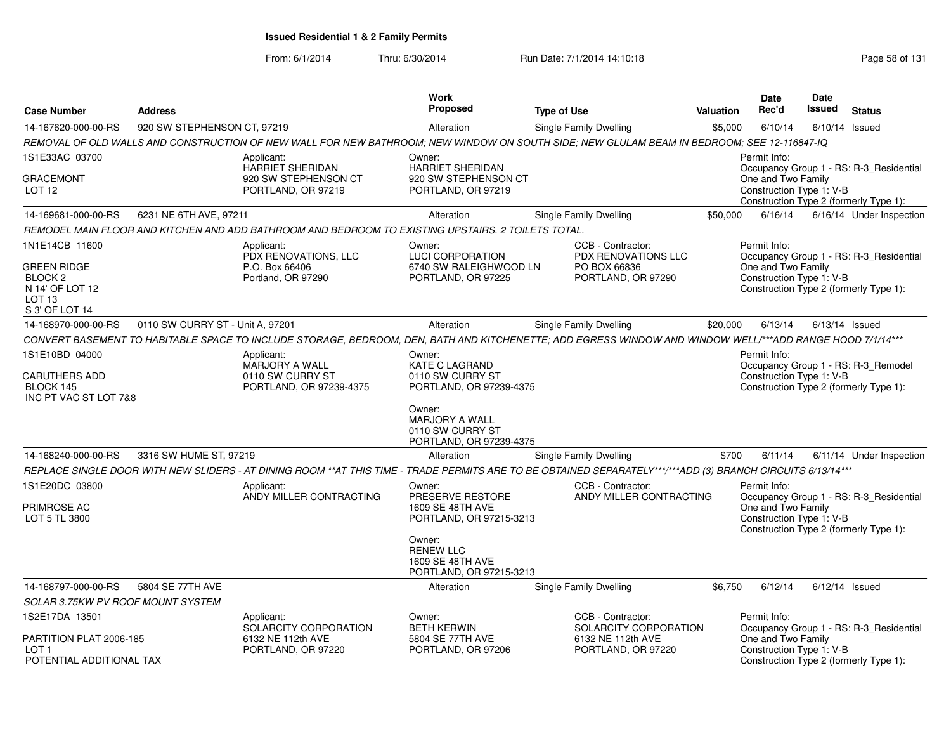From: 6/1/2014

| <b>Case Number</b>                       | <b>Address</b>                   |                                                                                                                                                             | Work<br>Proposed                                  | <b>Type of Use</b>                         | <b>Valuation</b> | Date<br>Rec'd            | Date<br><b>Issued</b> | <b>Status</b>                           |
|------------------------------------------|----------------------------------|-------------------------------------------------------------------------------------------------------------------------------------------------------------|---------------------------------------------------|--------------------------------------------|------------------|--------------------------|-----------------------|-----------------------------------------|
| 14-167620-000-00-RS                      | 920 SW STEPHENSON CT, 97219      |                                                                                                                                                             | Alteration                                        | <b>Single Family Dwelling</b>              | \$5,000          | 6/10/14                  | 6/10/14               | Issued                                  |
|                                          |                                  | REMOVAL OF OLD WALLS AND CONSTRUCTION OF NEW WALL FOR NEW BATHROOM; NEW WINDOW ON SOUTH SIDE; NEW GLULAM BEAM IN BEDROOM; SEE 12-116847-IQ                  |                                                   |                                            |                  |                          |                       |                                         |
| 1S1E33AC 03700                           |                                  | Applicant:                                                                                                                                                  | Owner:                                            |                                            |                  | Permit Info:             |                       |                                         |
| <b>GRACEMONT</b>                         |                                  | HARRIET SHERIDAN<br>920 SW STEPHENSON CT                                                                                                                    | <b>HARRIET SHERIDAN</b><br>920 SW STEPHENSON CT   |                                            |                  | One and Two Family       |                       | Occupancy Group 1 - RS: R-3_Residential |
| LOT <sub>12</sub>                        |                                  | PORTLAND, OR 97219                                                                                                                                          | PORTLAND, OR 97219                                |                                            |                  | Construction Type 1: V-B |                       |                                         |
|                                          |                                  |                                                                                                                                                             |                                                   |                                            |                  |                          |                       | Construction Type 2 (formerly Type 1):  |
| 14-169681-000-00-RS                      | 6231 NE 6TH AVE, 97211           |                                                                                                                                                             | Alteration                                        | Single Family Dwelling                     | \$50,000         | 6/16/14                  |                       | 6/16/14 Under Inspection                |
|                                          |                                  | REMODEL MAIN FLOOR AND KITCHEN AND ADD BATHROOM AND BEDROOM TO EXISTING UPSTAIRS. 2 TOILETS TOTAL.                                                          |                                                   |                                            |                  |                          |                       |                                         |
| 1N1E14CB 11600                           |                                  | Applicant:                                                                                                                                                  | Owner:                                            | CCB - Contractor:                          |                  | Permit Info:             |                       |                                         |
| <b>GREEN RIDGE</b>                       |                                  | PDX RENOVATIONS, LLC<br>P.O. Box 66406                                                                                                                      | <b>LUCI CORPORATION</b><br>6740 SW RALEIGHWOOD LN | PDX RENOVATIONS LLC<br>PO BOX 66836        |                  | One and Two Family       |                       | Occupancy Group 1 - RS: R-3_Residential |
| BLOCK <sub>2</sub>                       |                                  | Portland, OR 97290                                                                                                                                          | PORTLAND, OR 97225                                | PORTLAND, OR 97290                         |                  | Construction Type 1: V-B |                       |                                         |
| N 14' OF LOT 12                          |                                  |                                                                                                                                                             |                                                   |                                            |                  |                          |                       | Construction Type 2 (formerly Type 1):  |
| LOT 13<br>S 3' OF LOT 14                 |                                  |                                                                                                                                                             |                                                   |                                            |                  |                          |                       |                                         |
| 14-168970-000-00-RS                      | 0110 SW CURRY ST - Unit A, 97201 |                                                                                                                                                             | Alteration                                        | Single Family Dwelling                     | \$20,000         | 6/13/14                  |                       | $6/13/14$ Issued                        |
|                                          |                                  | CONVERT BASEMENT TO HABITABLE SPACE TO INCLUDE STORAGE, BEDROOM, DEN, BATH AND KITCHENETTE; ADD EGRESS WINDOW AND WINDOW WELL/***ADD RANGE HOOD 7/1/14***   |                                                   |                                            |                  |                          |                       |                                         |
| 1S1E10BD 04000                           |                                  | Applicant:                                                                                                                                                  | Owner:                                            |                                            |                  | Permit Info:             |                       |                                         |
|                                          |                                  | MARJORY A WALL                                                                                                                                              | <b>KATE C LAGRAND</b>                             |                                            |                  |                          |                       | Occupancy Group 1 - RS: R-3_Remodel     |
| <b>CARUTHERS ADD</b><br>BLOCK 145        |                                  | 0110 SW CURRY ST<br>PORTLAND, OR 97239-4375                                                                                                                 | 0110 SW CURRY ST<br>PORTLAND, OR 97239-4375       |                                            |                  | Construction Type 1: V-B |                       | Construction Type 2 (formerly Type 1):  |
| INC PT VAC ST LOT 7&8                    |                                  |                                                                                                                                                             |                                                   |                                            |                  |                          |                       |                                         |
|                                          |                                  |                                                                                                                                                             | Owner:<br><b>MARJORY A WALL</b>                   |                                            |                  |                          |                       |                                         |
|                                          |                                  |                                                                                                                                                             | 0110 SW CURRY ST                                  |                                            |                  |                          |                       |                                         |
|                                          |                                  |                                                                                                                                                             | PORTLAND, OR 97239-4375                           |                                            |                  |                          |                       |                                         |
| 14-168240-000-00-RS                      | 3316 SW HUME ST, 97219           |                                                                                                                                                             | Alteration                                        | Single Family Dwelling                     | \$700            | 6/11/14                  |                       | 6/11/14 Under Inspection                |
|                                          |                                  | REPLACE SINGLE DOOR WITH NEW SLIDERS - AT DINING ROOM **AT THIS TIME - TRADE PERMITS ARE TO BE OBTAINED SEPARATELY***/***ADD (3) BRANCH CIRCUITS 6/13/14*** |                                                   |                                            |                  |                          |                       |                                         |
| 1S1E20DC 03800                           |                                  | Applicant:<br>ANDY MILLER CONTRACTING                                                                                                                       | Owner:<br>PRESERVE RESTORE                        | CCB - Contractor:                          |                  | Permit Info:             |                       |                                         |
| PRIMROSE AC                              |                                  |                                                                                                                                                             | 1609 SE 48TH AVE                                  | ANDY MILLER CONTRACTING                    |                  | One and Two Family       |                       | Occupancy Group 1 - RS: R-3_Residential |
| LOT 5 TL 3800                            |                                  |                                                                                                                                                             | PORTLAND, OR 97215-3213                           |                                            |                  | Construction Type 1: V-B |                       |                                         |
|                                          |                                  |                                                                                                                                                             | Owner:                                            |                                            |                  |                          |                       | Construction Type 2 (formerly Type 1):  |
|                                          |                                  |                                                                                                                                                             | <b>RENEW LLC</b>                                  |                                            |                  |                          |                       |                                         |
|                                          |                                  |                                                                                                                                                             | 1609 SE 48TH AVE                                  |                                            |                  |                          |                       |                                         |
|                                          |                                  |                                                                                                                                                             | PORTLAND, OR 97215-3213                           |                                            |                  |                          |                       |                                         |
| 14-168797-000-00-RS                      | 5804 SE 77TH AVE                 |                                                                                                                                                             | Alteration                                        | Single Family Dwelling                     | \$6,750          | 6/12/14                  |                       | $6/12/14$ Issued                        |
| <b>SOLAR 3.75KW PV ROOF MOUNT SYSTEM</b> |                                  |                                                                                                                                                             |                                                   |                                            |                  |                          |                       |                                         |
| 1S2E17DA 13501                           |                                  | Applicant:<br>SOLARCITY CORPORATION                                                                                                                         | Owner:<br><b>BETH KERWIN</b>                      | CCB - Contractor:<br>SOLARCITY CORPORATION |                  | Permit Info:             |                       | Occupancy Group 1 - RS: R-3_Residential |
| PARTITION PLAT 2006-185                  |                                  | 6132 NE 112th AVE                                                                                                                                           | 5804 SE 77TH AVE                                  | 6132 NE 112th AVE                          |                  | One and Two Family       |                       |                                         |
| LOT <sub>1</sub>                         |                                  | PORTLAND, OR 97220                                                                                                                                          | PORTLAND, OR 97206                                | PORTLAND, OR 97220                         |                  | Construction Type 1: V-B |                       |                                         |
| POTENTIAL ADDITIONAL TAX                 |                                  |                                                                                                                                                             |                                                   |                                            |                  |                          |                       | Construction Type 2 (formerly Type 1):  |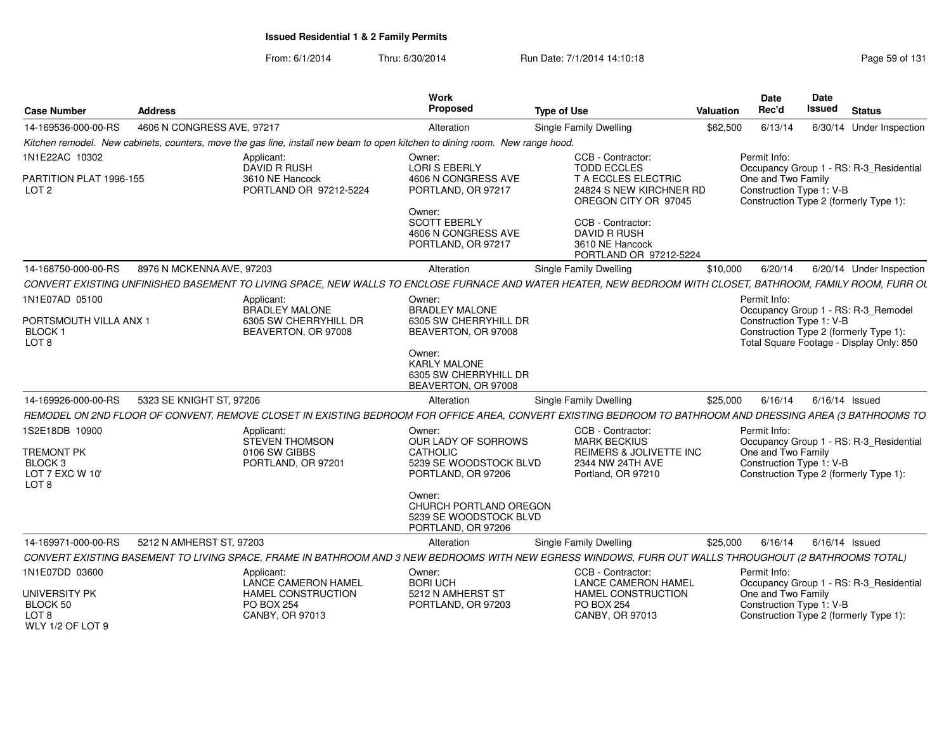| <b>Case Number</b>                                                             | <b>Address</b>             |                                                                                                                              | <b>Work</b><br><b>Proposed</b>                                                   | <b>Type of Use</b>                                                                                                                                           | <b>Valuation</b> | <b>Date</b><br>Rec'd                                                                                           | Date<br>Issued | <b>Status</b>            |  |
|--------------------------------------------------------------------------------|----------------------------|------------------------------------------------------------------------------------------------------------------------------|----------------------------------------------------------------------------------|--------------------------------------------------------------------------------------------------------------------------------------------------------------|------------------|----------------------------------------------------------------------------------------------------------------|----------------|--------------------------|--|
| 14-169536-000-00-RS                                                            | 4606 N CONGRESS AVE, 97217 |                                                                                                                              | Alteration                                                                       | Single Family Dwelling                                                                                                                                       | \$62,500         | 6/13/14                                                                                                        |                | 6/30/14 Under Inspection |  |
|                                                                                |                            | Kitchen remodel. New cabinets, counters, move the gas line, install new beam to open kitchen to dining room. New range hood. |                                                                                  |                                                                                                                                                              |                  |                                                                                                                |                |                          |  |
| 1N1E22AC 10302                                                                 |                            | Applicant:<br>DAVID R RUSH                                                                                                   | Owner:<br>LORI S EBERLY                                                          | CCB - Contractor:<br><b>TODD ECCLES</b>                                                                                                                      |                  | Permit Info:<br>Occupancy Group 1 - RS: R-3 Residential                                                        |                |                          |  |
| PARTITION PLAT 1996-155<br>LOT <sub>2</sub>                                    |                            | 3610 NE Hancock<br>PORTLAND OR 97212-5224                                                                                    | 4606 N CONGRESS AVE<br>PORTLAND, OR 97217                                        | T A ECCLES ELECTRIC<br>24824 S NEW KIRCHNER RD<br>OREGON CITY OR 97045                                                                                       |                  | One and Two Family<br>Construction Type 1: V-B<br>Construction Type 2 (formerly Type 1):                       |                |                          |  |
|                                                                                |                            |                                                                                                                              | Owner:<br><b>SCOTT EBERLY</b><br>4606 N CONGRESS AVE<br>PORTLAND, OR 97217       | CCB - Contractor:<br><b>DAVID R RUSH</b><br>3610 NE Hancock<br>PORTLAND OR 97212-5224                                                                        |                  |                                                                                                                |                |                          |  |
| 14-168750-000-00-RS                                                            | 8976 N MCKENNA AVE, 97203  |                                                                                                                              | Alteration                                                                       | Single Family Dwelling                                                                                                                                       | \$10,000         | 6/20/14                                                                                                        |                | 6/20/14 Under Inspection |  |
|                                                                                |                            |                                                                                                                              |                                                                                  | CONVERT EXISTING UNFINISHED BASEMENT TO LIVING SPACE, NEW WALLS TO ENCLOSE FURNACE AND WATER HEATER, NEW BEDROOM WITH CLOSET, BATHROOM, FAMILY ROOM, FURR OL |                  |                                                                                                                |                |                          |  |
| 1N1E07AD 05100                                                                 |                            | Applicant:<br><b>BRADLEY MALONE</b>                                                                                          | Owner:<br><b>BRADLEY MALONE</b>                                                  |                                                                                                                                                              |                  | Permit Info:<br>Occupancy Group 1 - RS: R-3_Remodel                                                            |                |                          |  |
| PORTSMOUTH VILLA ANX 1<br>BLOCK 1<br>LOT <sub>8</sub>                          |                            | 6305 SW CHERRYHILL DR<br>BEAVERTON, OR 97008                                                                                 | 6305 SW CHERRYHILL DR<br>BEAVERTON, OR 97008                                     |                                                                                                                                                              |                  | Construction Type 1: V-B<br>Construction Type 2 (formerly Type 1):<br>Total Square Footage - Display Only: 850 |                |                          |  |
|                                                                                |                            |                                                                                                                              | Owner:<br><b>KARLY MALONE</b><br>6305 SW CHERRYHILL DR<br>BEAVERTON, OR 97008    |                                                                                                                                                              |                  |                                                                                                                |                |                          |  |
| 14-169926-000-00-RS                                                            | 5323 SE KNIGHT ST, 97206   |                                                                                                                              | Alteration                                                                       | Single Family Dwelling                                                                                                                                       | \$25,000         | 6/16/14                                                                                                        |                | 6/16/14 Issued           |  |
|                                                                                |                            |                                                                                                                              |                                                                                  | REMODEL ON 2ND FLOOR OF CONVENT, REMOVE CLOSET IN EXISTING BEDROOM FOR OFFICE AREA, CONVERT EXISTING BEDROOM TO BATHROOM AND DRESSING AREA (3 BATHROOMS TO   |                  |                                                                                                                |                |                          |  |
| 1S2E18DB 10900                                                                 |                            | Applicant:<br><b>STEVEN THOMSON</b>                                                                                          | Owner:<br>OUR LADY OF SORROWS                                                    | CCB - Contractor:<br><b>MARK BECKIUS</b>                                                                                                                     |                  | Permit Info:<br>Occupancy Group 1 - RS: R-3_Residential                                                        |                |                          |  |
| <b>TREMONT PK</b><br>BLOCK <sub>3</sub><br>LOT 7 EXC W 10'<br>LOT <sub>8</sub> |                            | 0106 SW GIBBS<br>PORTLAND, OR 97201                                                                                          | CATHOLIC<br>5239 SE WOODSTOCK BLVD<br>PORTLAND, OR 97206                         | REIMERS & JOLIVETTE INC<br>2344 NW 24TH AVE<br>Portland, OR 97210                                                                                            |                  | One and Two Family<br>Construction Type 1: V-B<br>Construction Type 2 (formerly Type 1):                       |                |                          |  |
|                                                                                |                            |                                                                                                                              | Owner:<br>CHURCH PORTLAND OREGON<br>5239 SE WOODSTOCK BLVD<br>PORTLAND, OR 97206 |                                                                                                                                                              |                  |                                                                                                                |                |                          |  |
| 14-169971-000-00-RS                                                            | 5212 N AMHERST ST, 97203   |                                                                                                                              | Alteration                                                                       | Single Family Dwelling                                                                                                                                       | \$25,000         | 6/16/14                                                                                                        |                | 6/16/14 Issued           |  |
|                                                                                |                            |                                                                                                                              |                                                                                  | CONVERT EXISTING BASEMENT TO LIVING SPACE, FRAME IN BATHROOM AND 3 NEW BEDROOMS WITH NEW EGRESS WINDOWS, FURR OUT WALLS THROUGHOUT (2 BATHROOMS TOTAL)       |                  |                                                                                                                |                |                          |  |
| 1N1E07DD 03600                                                                 |                            | Applicant:<br><b>LANCE CAMERON HAMEL</b>                                                                                     | Owner:<br><b>BORI UCH</b>                                                        | CCB - Contractor:<br><b>LANCE CAMERON HAMEL</b>                                                                                                              |                  | Permit Info:<br>Occupancy Group 1 - RS: R-3_Residential                                                        |                |                          |  |
| <b>UNIVERSITY PK</b><br>BLOCK 50<br>LOT 8<br><b>WLY 1/2 OF LOT 9</b>           |                            | <b>HAMEL CONSTRUCTION</b><br><b>PO BOX 254</b><br>CANBY, OR 97013                                                            | 5212 N AMHERST ST<br>PORTLAND, OR 97203                                          | HAMEL CONSTRUCTION<br><b>PO BOX 254</b><br>CANBY, OR 97013                                                                                                   |                  | One and Two Family<br>Construction Type 1: V-B<br>Construction Type 2 (formerly Type 1):                       |                |                          |  |
|                                                                                |                            |                                                                                                                              |                                                                                  |                                                                                                                                                              |                  |                                                                                                                |                |                          |  |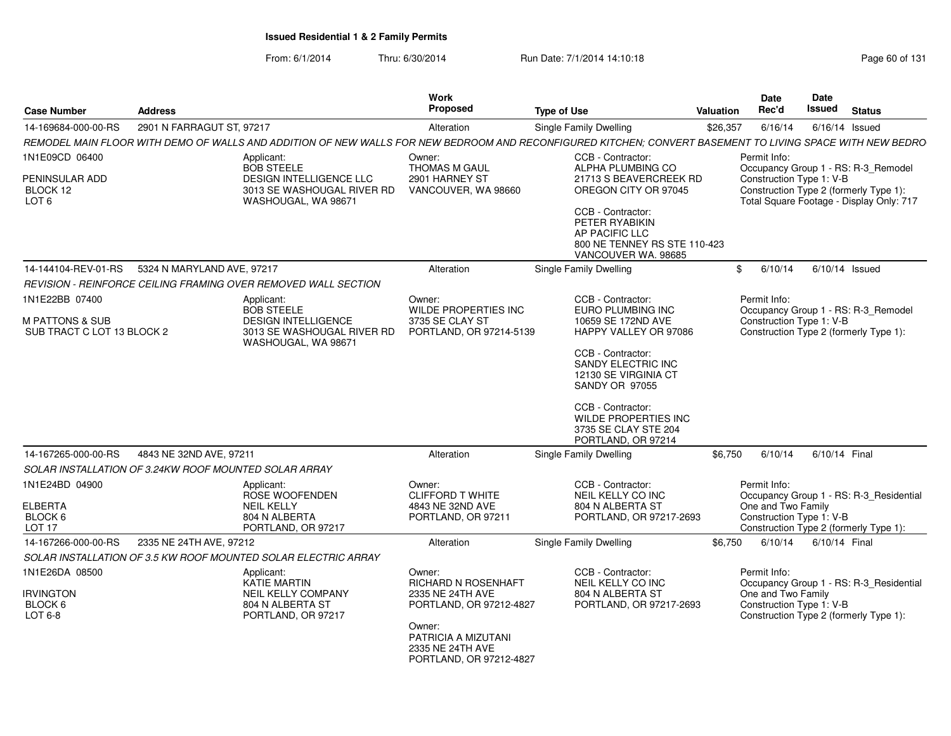| <b>Case Number</b>                                       | <b>Address</b>                                        |                                                                                                                                                           | Work<br><b>Proposed</b>                                                      | <b>Type of Use</b>                                                                                                                                             | Valuation | <b>Date</b><br>Rec'd                                           | <b>Date</b><br>Issued | <b>Status</b>                                                                      |
|----------------------------------------------------------|-------------------------------------------------------|-----------------------------------------------------------------------------------------------------------------------------------------------------------|------------------------------------------------------------------------------|----------------------------------------------------------------------------------------------------------------------------------------------------------------|-----------|----------------------------------------------------------------|-----------------------|------------------------------------------------------------------------------------|
| 14-169684-000-00-RS                                      | 2901 N FARRAGUT ST, 97217                             |                                                                                                                                                           | Alteration                                                                   | Single Family Dwelling                                                                                                                                         | \$26,357  | 6/16/14                                                        |                       | $6/16/14$ Issued                                                                   |
|                                                          |                                                       | REMODEL MAIN FLOOR WITH DEMO OF WALLS AND ADDITION OF NEW WALLS FOR NEW BEDROOM AND RECONFIGURED KITCHEN; CONVERT BASEMENT TO LIVING SPACE WITH NEW BEDRO |                                                                              |                                                                                                                                                                |           |                                                                |                       |                                                                                    |
| 1N1E09CD 06400                                           |                                                       | Applicant:<br><b>BOB STEELE</b>                                                                                                                           | Owner:<br><b>THOMAS M GAUL</b>                                               | CCB - Contractor:<br>ALPHA PLUMBING CO                                                                                                                         |           | Permit Info:                                                   |                       | Occupancy Group 1 - RS: R-3_Remodel                                                |
| PENINSULAR ADD<br>BLOCK 12<br>LOT 6                      |                                                       | DESIGN INTELLIGENCE LLC<br>3013 SE WASHOUGAL RIVER RD<br>WASHOUGAL, WA 98671                                                                              | 2901 HARNEY ST<br>VANCOUVER, WA 98660                                        | 21713 S BEAVERCREEK RD<br>OREGON CITY OR 97045<br>CCB - Contractor:<br>PETER RYABIKIN<br>AP PACIFIC LLC<br>800 NE TENNEY RS STE 110-423<br>VANCOUVER WA. 98685 |           | Construction Type 1: V-B                                       |                       | Construction Type 2 (formerly Type 1):<br>Total Square Footage - Display Only: 717 |
| 14-144104-REV-01-RS                                      | 5324 N MARYLAND AVE, 97217                            |                                                                                                                                                           | Alteration                                                                   | Single Family Dwelling                                                                                                                                         |           | 6/10/14<br>\$                                                  |                       | $6/10/14$ Issued                                                                   |
|                                                          |                                                       | REVISION - REINFORCE CEILING FRAMING OVER REMOVED WALL SECTION                                                                                            |                                                                              |                                                                                                                                                                |           |                                                                |                       |                                                                                    |
| 1N1E22BB 07400                                           |                                                       | Applicant:<br><b>BOB STEELE</b>                                                                                                                           | Owner:<br><b>WILDE PROPERTIES INC</b>                                        | CCB - Contractor:<br>EURO PLUMBING INC                                                                                                                         |           | Permit Info:                                                   |                       | Occupancy Group 1 - RS: R-3_Remodel                                                |
| <b>M PATTONS &amp; SUB</b><br>SUB TRACT C LOT 13 BLOCK 2 |                                                       | <b>DESIGN INTELLIGENCE</b><br>3013 SE WASHOUGAL RIVER RD<br>WASHOUGAL, WA 98671                                                                           | 3735 SE CLAY ST<br>PORTLAND, OR 97214-5139                                   | 10659 SE 172ND AVE<br>HAPPY VALLEY OR 97086                                                                                                                    |           | Construction Type 1: V-B                                       |                       | Construction Type 2 (formerly Type 1):                                             |
|                                                          |                                                       |                                                                                                                                                           |                                                                              | CCB - Contractor:<br>SANDY ELECTRIC INC<br>12130 SE VIRGINIA CT<br><b>SANDY OR 97055</b>                                                                       |           |                                                                |                       |                                                                                    |
|                                                          |                                                       |                                                                                                                                                           |                                                                              | CCB - Contractor:<br><b>WILDE PROPERTIES INC</b><br>3735 SE CLAY STE 204<br>PORTLAND, OR 97214                                                                 |           |                                                                |                       |                                                                                    |
| 14-167265-000-00-RS                                      | 4843 NE 32ND AVE, 97211                               |                                                                                                                                                           | Alteration                                                                   | Single Family Dwelling                                                                                                                                         | \$6,750   | 6/10/14                                                        | 6/10/14 Final         |                                                                                    |
|                                                          | SOLAR INSTALLATION OF 3.24KW ROOF MOUNTED SOLAR ARRAY |                                                                                                                                                           |                                                                              |                                                                                                                                                                |           |                                                                |                       |                                                                                    |
| 1N1E24BD 04900                                           |                                                       | Applicant:<br>ROSE WOOFENDEN                                                                                                                              | Owner:<br><b>CLIFFORD T WHITE</b>                                            | CCB - Contractor:<br>NEIL KELLY CO INC                                                                                                                         |           | Permit Info:                                                   |                       | Occupancy Group 1 - RS: R-3_Residential                                            |
| <b>ELBERTA</b>                                           |                                                       | <b>NEIL KELLY</b>                                                                                                                                         | 4843 NE 32ND AVE                                                             | 804 N ALBERTA ST                                                                                                                                               |           | One and Two Family                                             |                       |                                                                                    |
| BLOCK 6<br>LOT <sub>17</sub>                             |                                                       | 804 N ALBERTA<br>PORTLAND, OR 97217                                                                                                                       | PORTLAND, OR 97211                                                           | PORTLAND, OR 97217-2693                                                                                                                                        |           | Construction Type 1: V-B                                       |                       | Construction Type 2 (formerly Type 1):                                             |
| 14-167266-000-00-RS                                      | 2335 NE 24TH AVE, 97212                               |                                                                                                                                                           | Alteration                                                                   | Single Family Dwelling                                                                                                                                         | \$6,750   | 6/10/14                                                        | 6/10/14 Final         |                                                                                    |
|                                                          |                                                       | SOLAR INSTALLATION OF 3.5 KW ROOF MOUNTED SOLAR ELECTRIC ARRAY                                                                                            |                                                                              |                                                                                                                                                                |           |                                                                |                       |                                                                                    |
| 1N1E26DA 08500<br><b>IRVINGTON</b><br>BLOCK 6            |                                                       | Applicant:<br><b>KATIE MARTIN</b><br><b>NEIL KELLY COMPANY</b><br>804 N ALBERTA ST                                                                        | Owner:<br>RICHARD N ROSENHAFT<br>2335 NE 24TH AVE<br>PORTLAND, OR 97212-4827 | CCB - Contractor:<br>NEIL KELLY CO INC<br>804 N ALBERTA ST<br>PORTLAND, OR 97217-2693                                                                          |           | Permit Info:<br>One and Two Family<br>Construction Type 1: V-B |                       | Occupancy Group 1 - RS: R-3_Residential                                            |
| LOT 6-8                                                  |                                                       | PORTLAND, OR 97217                                                                                                                                        | Owner:<br>PATRICIA A MIZUTANI<br>2335 NE 24TH AVE<br>PORTLAND, OR 97212-4827 |                                                                                                                                                                |           |                                                                |                       | Construction Type 2 (formerly Type 1):                                             |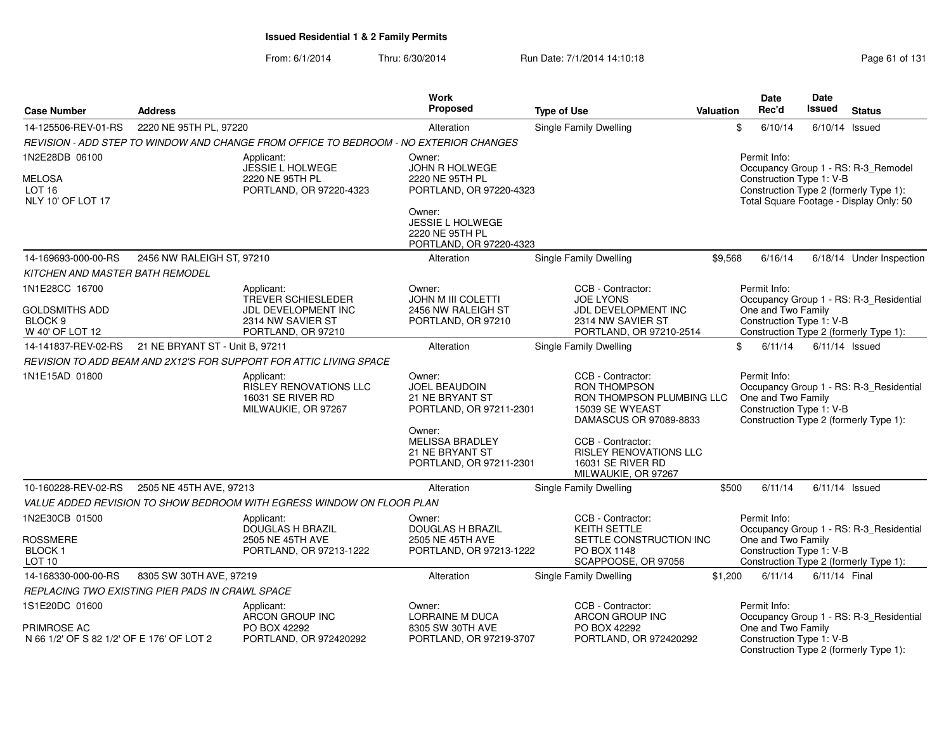|                                                                       |                                                 |                                                                                                    | Work                                                                           |                                                                                                                    |                  | <b>Date</b>                                                    | Date             |                                                                                                                          |
|-----------------------------------------------------------------------|-------------------------------------------------|----------------------------------------------------------------------------------------------------|--------------------------------------------------------------------------------|--------------------------------------------------------------------------------------------------------------------|------------------|----------------------------------------------------------------|------------------|--------------------------------------------------------------------------------------------------------------------------|
| <b>Case Number</b>                                                    | <b>Address</b>                                  |                                                                                                    | Proposed                                                                       | <b>Type of Use</b>                                                                                                 | <b>Valuation</b> | Rec'd                                                          | <b>Issued</b>    | <b>Status</b>                                                                                                            |
| 14-125506-REV-01-RS                                                   | 2220 NE 95TH PL, 97220                          |                                                                                                    | Alteration                                                                     | Single Family Dwelling                                                                                             |                  | \$<br>6/10/14                                                  | 6/10/14          | Issued                                                                                                                   |
|                                                                       |                                                 | REVISION - ADD STEP TO WINDOW AND CHANGE FROM OFFICE TO BEDROOM - NO EXTERIOR CHANGES              |                                                                                |                                                                                                                    |                  |                                                                |                  |                                                                                                                          |
| 1N2E28DB 06100<br><b>MELOSA</b><br><b>LOT 16</b><br>NLY 10' OF LOT 17 |                                                 | Applicant:<br><b>JESSIE L HOLWEGE</b><br>2220 NE 95TH PL<br>PORTLAND, OR 97220-4323                | Owner:<br>JOHN R HOLWEGE<br>2220 NE 95TH PL<br>PORTLAND, OR 97220-4323         |                                                                                                                    |                  | Permit Info:<br>Construction Type 1: V-B                       |                  | Occupancy Group 1 - RS: R-3_Remodel<br>Construction Type 2 (formerly Type 1):<br>Total Square Footage - Display Only: 50 |
|                                                                       |                                                 |                                                                                                    | Owner:<br>JESSIE L HOLWEGE<br>2220 NE 95TH PL<br>PORTLAND, OR 97220-4323       |                                                                                                                    |                  |                                                                |                  |                                                                                                                          |
| 14-169693-000-00-RS                                                   | 2456 NW RALEIGH ST, 97210                       |                                                                                                    | Alteration                                                                     | Single Family Dwelling                                                                                             | \$9,568          | 6/16/14                                                        |                  | 6/18/14 Under Inspection                                                                                                 |
| KITCHEN AND MASTER BATH REMODEL                                       |                                                 |                                                                                                    |                                                                                |                                                                                                                    |                  |                                                                |                  |                                                                                                                          |
| 1N1E28CC 16700<br><b>GOLDSMITHS ADD</b><br>BLOCK 9<br>W 40' OF LOT 12 |                                                 | Applicant:<br>TREVER SCHIESLEDER<br>JDL DEVELOPMENT INC<br>2314 NW SAVIER ST<br>PORTLAND, OR 97210 | Owner:<br>JOHN M III COLETTI<br>2456 NW RALEIGH ST<br>PORTLAND, OR 97210       | CCB - Contractor:<br><b>JOE LYONS</b><br>JDL DEVELOPMENT INC<br>2314 NW SAVIER ST<br>PORTLAND, OR 97210-2514       |                  | Permit Info:<br>One and Two Family<br>Construction Type 1: V-B |                  | Occupancy Group 1 - RS: R-3_Residential<br>Construction Type 2 (formerly Type 1):                                        |
| 14-141837-REV-02-RS                                                   | 21 NE BRYANT ST - Unit B, 97211                 |                                                                                                    | Alteration                                                                     | <b>Single Family Dwelling</b>                                                                                      |                  | \$<br>6/11/14                                                  | $6/11/14$ Issued |                                                                                                                          |
|                                                                       |                                                 | REVISION TO ADD BEAM AND 2X12'S FOR SUPPORT FOR ATTIC LIVING SPACE                                 |                                                                                |                                                                                                                    |                  |                                                                |                  |                                                                                                                          |
| 1N1E15AD 01800                                                        |                                                 | Applicant:<br><b>RISLEY RENOVATIONS LLC</b><br>16031 SE RIVER RD<br>MILWAUKIE, OR 97267            | Owner:<br>JOEL BEAUDOIN<br>21 NE BRYANT ST<br>PORTLAND, OR 97211-2301          | CCB - Contractor:<br><b>RON THOMPSON</b><br>RON THOMPSON PLUMBING LLC<br>15039 SE WYEAST<br>DAMASCUS OR 97089-8833 |                  | Permit Info:<br>One and Two Family<br>Construction Type 1: V-B |                  | Occupancy Group 1 - RS: R-3_Residential<br>Construction Type 2 (formerly Type 1):                                        |
|                                                                       |                                                 |                                                                                                    | Owner:<br><b>MELISSA BRADLEY</b><br>21 NE BRYANT ST<br>PORTLAND, OR 97211-2301 | CCB - Contractor:<br><b>RISLEY RENOVATIONS LLC</b><br>16031 SE RIVER RD<br>MILWAUKIE, OR 97267                     |                  |                                                                |                  |                                                                                                                          |
| 10-160228-REV-02-RS                                                   | 2505 NE 45TH AVE, 97213                         |                                                                                                    | Alteration                                                                     | Single Family Dwelling                                                                                             | \$500            | 6/11/14                                                        |                  | $6/11/14$ Issued                                                                                                         |
|                                                                       |                                                 | VALUE ADDED REVISION TO SHOW BEDROOM WITH EGRESS WINDOW ON FLOOR PLAN                              |                                                                                |                                                                                                                    |                  |                                                                |                  |                                                                                                                          |
| 1N2E30CB 01500                                                        |                                                 | Applicant:<br><b>DOUGLAS H BRAZIL</b>                                                              | Owner:<br><b>DOUGLAS H BRAZIL</b>                                              | CCB - Contractor:<br>KEITH SETTLE                                                                                  |                  | Permit Info:                                                   |                  | Occupancy Group 1 - RS: R-3_Residential                                                                                  |
| <b>ROSSMERE</b><br><b>BLOCK1</b><br>LOT <sub>10</sub>                 |                                                 | 2505 NE 45TH AVE<br>PORTLAND, OR 97213-1222                                                        | 2505 NE 45TH AVE<br>PORTLAND, OR 97213-1222                                    | SETTLE CONSTRUCTION INC<br>PO BOX 1148<br>SCAPPOOSE, OR 97056                                                      |                  | One and Two Family<br>Construction Type 1: V-B                 |                  | Construction Type 2 (formerly Type 1):                                                                                   |
| 14-168330-000-00-RS                                                   | 8305 SW 30TH AVE, 97219                         |                                                                                                    | Alteration                                                                     | Single Family Dwelling                                                                                             | \$1,200          | 6/11/14                                                        | 6/11/14 Final    |                                                                                                                          |
|                                                                       | REPLACING TWO EXISTING PIER PADS IN CRAWL SPACE |                                                                                                    |                                                                                |                                                                                                                    |                  |                                                                |                  |                                                                                                                          |
| 1S1E20DC 01600                                                        |                                                 | Applicant:<br>ARCON GROUP INC                                                                      | Owner:<br><b>LORRAINE M DUCA</b>                                               | CCB - Contractor:<br><b>ARCON GROUP INC</b>                                                                        |                  | Permit Info:                                                   |                  | Occupancy Group 1 - RS: R-3_Residential                                                                                  |
| PRIMROSE AC<br>N 66 1/2' OF S 82 1/2' OF E 176' OF LOT 2              |                                                 | PO BOX 42292<br>PORTLAND, OR 972420292                                                             | 8305 SW 30TH AVE<br>PORTLAND, OR 97219-3707                                    | PO BOX 42292<br>PORTLAND, OR 972420292                                                                             |                  | One and Two Family<br>Construction Type 1: V-B                 |                  | Construction Type 2 (formerly Type 1):                                                                                   |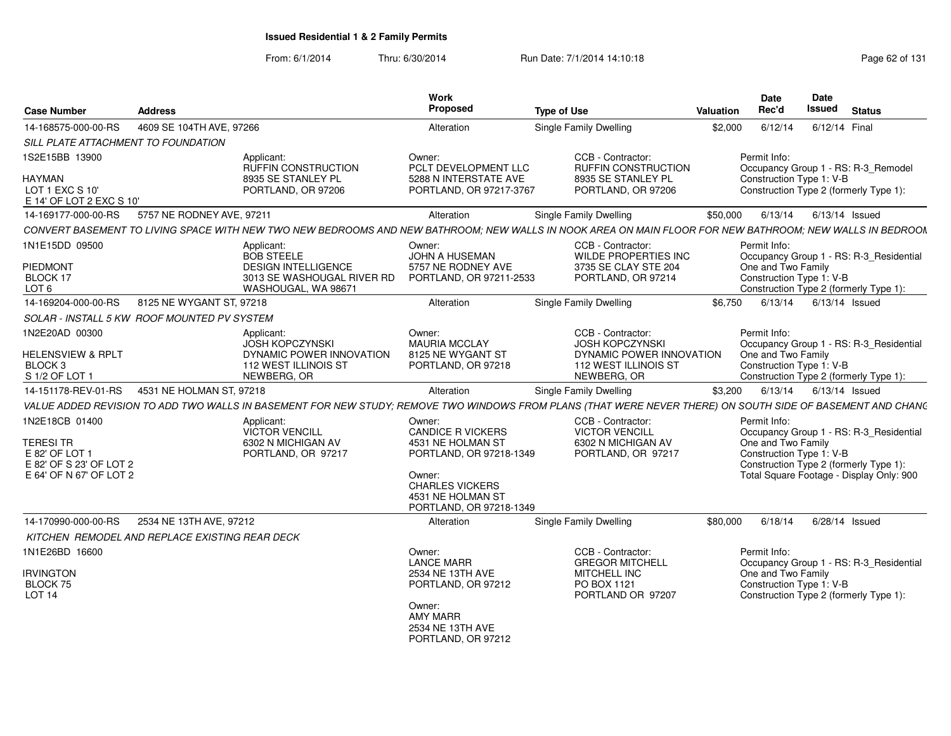| <b>Case Number</b>                                                   | <b>Address</b>                                                                                                                                             | Work<br>Proposed                                                                 | <b>Type of Use</b>                                                                        | <b>Valuation</b> | Date<br>Rec'd                                  | Date<br><b>Issued</b> | <b>Status</b>                                                                     |
|----------------------------------------------------------------------|------------------------------------------------------------------------------------------------------------------------------------------------------------|----------------------------------------------------------------------------------|-------------------------------------------------------------------------------------------|------------------|------------------------------------------------|-----------------------|-----------------------------------------------------------------------------------|
| 14-168575-000-00-RS                                                  | 4609 SE 104TH AVE, 97266                                                                                                                                   | Alteration                                                                       | Single Family Dwelling                                                                    | \$2,000          | 6/12/14                                        | 6/12/14 Final         |                                                                                   |
| SILL PLATE ATTACHMENT TO FOUNDATION                                  |                                                                                                                                                            |                                                                                  |                                                                                           |                  |                                                |                       |                                                                                   |
| 1S2E15BB 13900                                                       | Applicant:<br><b>RUFFIN CONSTRUCTION</b>                                                                                                                   | Owner:<br>PCLT DEVELOPMENT LLC                                                   | CCB - Contractor:<br><b>RUFFIN CONSTRUCTION</b>                                           |                  | Permit Info:                                   |                       | Occupancy Group 1 - RS: R-3 Remodel                                               |
| <b>HAYMAN</b><br>LOT 1 EXC S 10'<br>E 14' OF LOT 2 EXC S 10'         | 8935 SE STANLEY PL<br>PORTLAND, OR 97206                                                                                                                   | 5288 N INTERSTATE AVE<br>PORTLAND, OR 97217-3767                                 | 8935 SE STANLEY PL<br>PORTLAND, OR 97206                                                  |                  | Construction Type 1: V-B                       |                       | Construction Type 2 (formerly Type 1):                                            |
| 14-169177-000-00-RS                                                  | 5757 NE RODNEY AVE, 97211                                                                                                                                  | Alteration                                                                       | <b>Single Family Dwelling</b>                                                             | \$50,000         | 6/13/14                                        | 6/13/14 Issued        |                                                                                   |
|                                                                      | CONVERT BASEMENT TO LIVING SPACE WITH NEW TWO NEW BEDROOMS AND NEW BATHROOM: NEW WALLS IN NOOK AREA ON MAIN FLOOR FOR NEW BATHROOM: NEW WALLS IN BEDROON   |                                                                                  |                                                                                           |                  |                                                |                       |                                                                                   |
| 1N1E15DD 09500                                                       | Applicant:<br><b>BOB STEELE</b>                                                                                                                            | Owner:<br>JOHN A HUSEMAN                                                         | CCB - Contractor:<br>WILDE PROPERTIES INC                                                 |                  | Permit Info:                                   |                       | Occupancy Group 1 - RS: R-3 Residential                                           |
| PIEDMONT<br>BLOCK 17<br>LOT <sub>6</sub>                             | <b>DESIGN INTELLIGENCE</b><br>3013 SE WASHOUGAL RIVER RD<br>WASHOUGAL, WA 98671                                                                            | 5757 NE RODNEY AVE<br>PORTLAND, OR 97211-2533                                    | 3735 SE CLAY STE 204<br>PORTLAND, OR 97214                                                |                  | One and Two Family<br>Construction Type 1: V-B |                       | Construction Type 2 (formerly Type 1):                                            |
| 14-169204-000-00-RS                                                  | 8125 NE WYGANT ST, 97218                                                                                                                                   | Alteration                                                                       | Single Family Dwelling                                                                    | \$6.750          | 6/13/14                                        |                       | $6/13/14$ Issued                                                                  |
|                                                                      | SOLAR - INSTALL 5 KW ROOF MOUNTED PV SYSTEM                                                                                                                |                                                                                  |                                                                                           |                  |                                                |                       |                                                                                   |
| 1N2E20AD 00300                                                       | Applicant:                                                                                                                                                 | Owner:                                                                           | CCB - Contractor:                                                                         |                  | Permit Info:                                   |                       |                                                                                   |
| <b>HELENSVIEW &amp; RPLT</b><br>BLOCK <sub>3</sub><br>S 1/2 OF LOT 1 | <b>JOSH KOPCZYNSKI</b><br>DYNAMIC POWER INNOVATION<br>112 WEST ILLINOIS ST<br>NEWBERG, OR                                                                  | <b>MAURIA MCCLAY</b><br>8125 NE WYGANT ST<br>PORTLAND, OR 97218                  | <b>JOSH KOPCZYNSKI</b><br>DYNAMIC POWER INNOVATION<br>112 WEST ILLINOIS ST<br>NEWBERG, OR |                  | One and Two Family<br>Construction Type 1: V-B |                       | Occupancy Group 1 - RS: R-3_Residential<br>Construction Type 2 (formerly Type 1): |
| 14-151178-REV-01-RS                                                  | 4531 NE HOLMAN ST, 97218                                                                                                                                   | Alteration                                                                       | Single Family Dwelling                                                                    | \$3,200          | 6/13/14                                        | $6/13/14$ Issued      |                                                                                   |
|                                                                      | VALUE ADDED REVISION TO ADD TWO WALLS IN BASEMENT FOR NEW STUDY; REMOVE TWO WINDOWS FROM PLANS (THAT WERE NEVER THERE) ON SOUTH SIDE OF BASEMENT AND CHANG |                                                                                  |                                                                                           |                  |                                                |                       |                                                                                   |
| 1N2E18CB 01400                                                       | Applicant:<br><b>VICTOR VENCILL</b>                                                                                                                        | Owner:<br><b>CANDICE R VICKERS</b>                                               | CCB - Contractor:<br><b>VICTOR VENCILL</b>                                                |                  | Permit Info:                                   |                       | Occupancy Group 1 - RS: R-3 Residential                                           |
| <b>TERESI TR</b><br>E 82' OF LOT 1<br>E 82' OF S 23' OF LOT 2        | 6302 N MICHIGAN AV<br>PORTLAND, OR 97217                                                                                                                   | 4531 NE HOLMAN ST<br>PORTLAND, OR 97218-1349                                     | 6302 N MICHIGAN AV<br>PORTLAND, OR 97217                                                  |                  | One and Two Family<br>Construction Type 1: V-B |                       | Construction Type 2 (formerly Type 1):                                            |
| E 64' OF N 67' OF LOT 2                                              |                                                                                                                                                            | Owner:<br><b>CHARLES VICKERS</b><br>4531 NE HOLMAN ST<br>PORTLAND, OR 97218-1349 |                                                                                           |                  |                                                |                       | Total Square Footage - Display Only: 900                                          |
| 14-170990-000-00-RS                                                  | 2534 NE 13TH AVE, 97212                                                                                                                                    | Alteration                                                                       | Single Family Dwelling                                                                    | \$80,000         | 6/18/14                                        |                       | 6/28/14 Issued                                                                    |
|                                                                      | KITCHEN REMODEL AND REPLACE EXISTING REAR DECK                                                                                                             |                                                                                  |                                                                                           |                  |                                                |                       |                                                                                   |
| 1N1E26BD 16600                                                       |                                                                                                                                                            | Owner:<br><b>LANCE MARR</b>                                                      | CCB - Contractor:<br><b>GREGOR MITCHELL</b>                                               |                  | Permit Info:                                   |                       | Occupancy Group 1 - RS: R-3 Residential                                           |
| <b>IRVINGTON</b><br>BLOCK 75<br>LOT <sub>14</sub>                    |                                                                                                                                                            | 2534 NE 13TH AVE<br>PORTLAND, OR 97212                                           | MITCHELL INC<br>PO BOX 1121<br>PORTLAND OR 97207                                          |                  | One and Two Family<br>Construction Type 1: V-B |                       | Construction Type 2 (formerly Type 1):                                            |
|                                                                      |                                                                                                                                                            | Owner:<br><b>AMY MARR</b><br>2534 NE 13TH AVE<br>PORTLAND, OR 97212              |                                                                                           |                  |                                                |                       |                                                                                   |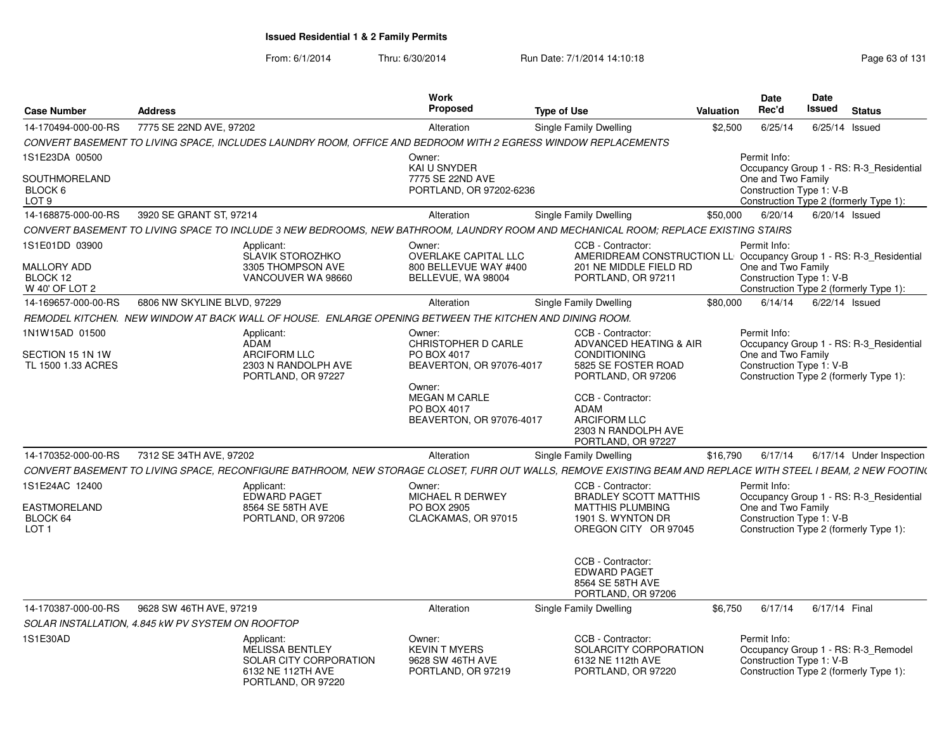| <b>Case Number</b>                                                 | <b>Address</b>                                                                                                                                                | <b>Work</b><br><b>Proposed</b>                                                  | <b>Type of Use</b>                                                                                                                      | Valuation | <b>Date</b><br>Rec'd                                           | <b>Date</b><br>Issued | <b>Status</b>                                                                     |
|--------------------------------------------------------------------|---------------------------------------------------------------------------------------------------------------------------------------------------------------|---------------------------------------------------------------------------------|-----------------------------------------------------------------------------------------------------------------------------------------|-----------|----------------------------------------------------------------|-----------------------|-----------------------------------------------------------------------------------|
| 14-170494-000-00-RS                                                | 7775 SE 22ND AVE, 97202                                                                                                                                       | Alteration                                                                      | <b>Single Family Dwelling</b>                                                                                                           | \$2,500   | 6/25/14                                                        | 6/25/14               | Issued                                                                            |
|                                                                    | CONVERT BASEMENT TO LIVING SPACE, INCLUDES LAUNDRY ROOM, OFFICE AND BEDROOM WITH 2 EGRESS WINDOW REPLACEMENTS                                                 |                                                                                 |                                                                                                                                         |           |                                                                |                       |                                                                                   |
| 1S1E23DA 00500                                                     |                                                                                                                                                               | Owner:<br>KAI U SNYDER                                                          |                                                                                                                                         |           | Permit Info:                                                   |                       | Occupancy Group 1 - RS: R-3_Residential                                           |
| SOUTHMORELAND<br>BLOCK 6<br>LOT 9                                  |                                                                                                                                                               | 7775 SE 22ND AVE<br>PORTLAND, OR 97202-6236                                     |                                                                                                                                         |           | One and Two Family<br>Construction Type 1: V-B                 |                       | Construction Type 2 (formerly Type 1):                                            |
| 14-168875-000-00-RS                                                | 3920 SE GRANT ST, 97214                                                                                                                                       | Alteration                                                                      | <b>Single Family Dwelling</b>                                                                                                           | \$50,000  | 6/20/14                                                        |                       | 6/20/14 Issued                                                                    |
|                                                                    | CONVERT BASEMENT TO LIVING SPACE TO INCLUDE 3 NEW BEDROOMS, NEW BATHROOM, LAUNDRY ROOM AND MECHANICAL ROOM; REPLACE EXISTING STAIRS                           |                                                                                 |                                                                                                                                         |           |                                                                |                       |                                                                                   |
| 1S1E01DD 03900<br><b>MALLORY ADD</b><br>BLOCK 12<br>W 40' OF LOT 2 | Applicant:<br><b>SLAVIK STOROZHKO</b><br>3305 THOMPSON AVE<br>VANCOUVER WA 98660                                                                              | Owner:<br>OVERLAKE CAPITAL LLC<br>800 BELLEVUE WAY #400<br>BELLEVUE, WA 98004   | CCB - Contractor:<br>AMERIDREAM CONSTRUCTION LL Occupancy Group 1 - RS: R-3_Residential<br>201 NE MIDDLE FIELD RD<br>PORTLAND, OR 97211 |           | Permit Info:<br>One and Two Family<br>Construction Type 1: V-B |                       | Construction Type 2 (formerly Type 1):                                            |
| 14-169657-000-00-RS                                                | 6806 NW SKYLINE BLVD, 97229                                                                                                                                   | Alteration                                                                      | <b>Single Family Dwelling</b>                                                                                                           | \$80,000  | 6/14/14                                                        |                       | $6/22/14$ Issued                                                                  |
|                                                                    | REMODEL KITCHEN. NEW WINDOW AT BACK WALL OF HOUSE. ENLARGE OPENING BETWEEN THE KITCHEN AND DINING ROOM.                                                       |                                                                                 |                                                                                                                                         |           |                                                                |                       |                                                                                   |
| 1N1W15AD 01500<br>SECTION 15 1N 1W<br>TL 1500 1.33 ACRES           | Applicant:<br>ADAM<br><b>ARCIFORM LLC</b><br>2303 N RANDOLPH AVE<br>PORTLAND, OR 97227                                                                        | Owner:<br><b>CHRISTOPHER D CARLE</b><br>PO BOX 4017<br>BEAVERTON, OR 97076-4017 | CCB - Contractor:<br>ADVANCED HEATING & AIR<br><b>CONDITIONING</b><br>5825 SE FOSTER ROAD<br>PORTLAND, OR 97206                         |           | Permit Info:<br>One and Two Family<br>Construction Type 1: V-B |                       | Occupancy Group 1 - RS: R-3 Residential<br>Construction Type 2 (formerly Type 1): |
|                                                                    |                                                                                                                                                               | Owner:<br><b>MEGAN M CARLE</b><br>PO BOX 4017<br>BEAVERTON, OR 97076-4017       | CCB - Contractor:<br>ADAM<br><b>ARCIFORM LLC</b><br>2303 N RANDOLPH AVE<br>PORTLAND, OR 97227                                           |           |                                                                |                       |                                                                                   |
| 14-170352-000-00-RS                                                | 7312 SE 34TH AVE, 97202                                                                                                                                       | Alteration                                                                      | Single Family Dwelling                                                                                                                  | \$16,790  | 6/17/14                                                        |                       | 6/17/14 Under Inspection                                                          |
|                                                                    | CONVERT BASEMENT TO LIVING SPACE, RECONFIGURE BATHROOM, NEW STORAGE CLOSET, FURR OUT WALLS, REMOVE EXISTING BEAM AND REPLACE WITH STEEL I BEAM, 2 NEW FOOTIN( |                                                                                 |                                                                                                                                         |           |                                                                |                       |                                                                                   |
| 1S1E24AC 12400                                                     | Applicant:<br><b>EDWARD PAGET</b>                                                                                                                             | Owner:<br>MICHAEL R DERWEY                                                      | CCB - Contractor:<br><b>BRADLEY SCOTT MATTHIS</b>                                                                                       |           | Permit Info:                                                   |                       | Occupancy Group 1 - RS: R-3_Residential                                           |
| <b>EASTMORELAND</b><br>BLOCK 64<br>LOT <sub>1</sub>                | 8564 SE 58TH AVE<br>PORTLAND, OR 97206                                                                                                                        | PO BOX 2905<br>CLACKAMAS, OR 97015                                              | <b>MATTHIS PLUMBING</b><br>1901 S. WYNTON DR<br>OREGON CITY OR 97045                                                                    |           | One and Two Family<br>Construction Type 1: V-B                 |                       | Construction Type 2 (formerly Type 1):                                            |
|                                                                    |                                                                                                                                                               |                                                                                 | CCB - Contractor:<br><b>EDWARD PAGET</b><br>8564 SE 58TH AVE<br>PORTLAND, OR 97206                                                      |           |                                                                |                       |                                                                                   |
| 14-170387-000-00-RS                                                | 9628 SW 46TH AVE, 97219                                                                                                                                       | Alteration                                                                      | Single Family Dwelling                                                                                                                  | \$6.750   | 6/17/14                                                        | 6/17/14 Final         |                                                                                   |
|                                                                    | SOLAR INSTALLATION, 4.845 kW PV SYSTEM ON ROOFTOP                                                                                                             |                                                                                 |                                                                                                                                         |           |                                                                |                       |                                                                                   |
| 1S1E30AD                                                           | Applicant:<br><b>MELISSA BENTLEY</b><br>SOLAR CITY CORPORATION<br>6132 NE 112TH AVE<br>PORTLAND, OR 97220                                                     | Owner:<br><b>KEVIN T MYERS</b><br>9628 SW 46TH AVE<br>PORTLAND, OR 97219        | CCB - Contractor:<br>SOLARCITY CORPORATION<br>6132 NE 112th AVE<br>PORTLAND, OR 97220                                                   |           | Permit Info:<br>Construction Type 1: V-B                       |                       | Occupancy Group 1 - RS: R-3 Remodel<br>Construction Type 2 (formerly Type 1):     |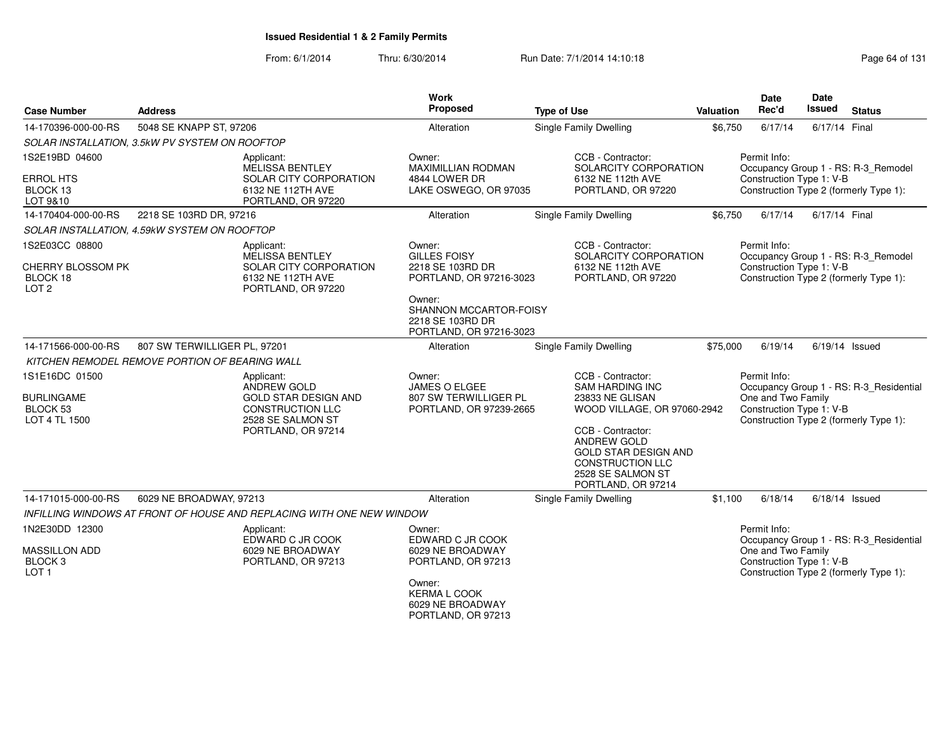| <b>Case Number</b>                                             | <b>Address</b>               |                                                                                                   | <b>Work</b><br>Proposed                                                         | <b>Type of Use</b>                                                                                                                                                                             | Valuation | <b>Date</b><br>Rec'd                           | Date<br><b>Issued</b> | <b>Status</b>                           |
|----------------------------------------------------------------|------------------------------|---------------------------------------------------------------------------------------------------|---------------------------------------------------------------------------------|------------------------------------------------------------------------------------------------------------------------------------------------------------------------------------------------|-----------|------------------------------------------------|-----------------------|-----------------------------------------|
| 14-170396-000-00-RS                                            | 5048 SE KNAPP ST, 97206      |                                                                                                   | Alteration                                                                      | Single Family Dwelling                                                                                                                                                                         | \$6,750   | 6/17/14                                        | 6/17/14 Final         |                                         |
| SOLAR INSTALLATION, 3.5kW PV SYSTEM ON ROOFTOP                 |                              |                                                                                                   |                                                                                 |                                                                                                                                                                                                |           |                                                |                       |                                         |
| 1S2E19BD 04600                                                 |                              | Applicant:<br>MELISSA BENTLEY                                                                     | Owner:<br><b>MAXIMILLIAN RODMAN</b>                                             | CCB - Contractor:<br>SOLARCITY CORPORATION                                                                                                                                                     |           | Permit Info:                                   |                       | Occupancy Group 1 - RS: R-3_Remodel     |
| <b>ERROL HTS</b><br>BLOCK 13<br>LOT 9&10                       |                              | SOLAR CITY CORPORATION<br>6132 NE 112TH AVE<br>PORTLAND, OR 97220                                 | 4844 LOWER DR<br>LAKE OSWEGO, OR 97035                                          | 6132 NE 112th AVE<br>PORTLAND, OR 97220                                                                                                                                                        |           | Construction Type 1: V-B                       |                       | Construction Type 2 (formerly Type 1):  |
| 14-170404-000-00-RS                                            | 2218 SE 103RD DR, 97216      |                                                                                                   | Alteration                                                                      | <b>Single Family Dwelling</b>                                                                                                                                                                  | \$6,750   | 6/17/14                                        | 6/17/14 Final         |                                         |
| SOLAR INSTALLATION, 4.59kW SYSTEM ON ROOFTOP                   |                              |                                                                                                   |                                                                                 |                                                                                                                                                                                                |           |                                                |                       |                                         |
| 1S2E03CC 08800                                                 |                              | Applicant:<br><b>MELISSA BENTLEY</b>                                                              | Owner:<br><b>GILLES FOISY</b>                                                   | CCB - Contractor:<br>SOLARCITY CORPORATION                                                                                                                                                     |           | Permit Info:                                   |                       | Occupancy Group 1 - RS: R-3_Remodel     |
| CHERRY BLOSSOM PK<br>BLOCK 18<br>LOT <sub>2</sub>              |                              | SOLAR CITY CORPORATION<br>6132 NE 112TH AVE<br>PORTLAND, OR 97220                                 | 2218 SE 103RD DR<br>PORTLAND, OR 97216-3023                                     | 6132 NE 112th AVE<br>PORTLAND, OR 97220                                                                                                                                                        |           | Construction Type 1: V-B                       |                       | Construction Type 2 (formerly Type 1):  |
|                                                                |                              |                                                                                                   | Owner:<br>SHANNON MCCARTOR-FOISY<br>2218 SE 103RD DR<br>PORTLAND, OR 97216-3023 |                                                                                                                                                                                                |           |                                                |                       |                                         |
| 14-171566-000-00-RS                                            | 807 SW TERWILLIGER PL, 97201 |                                                                                                   | Alteration                                                                      | <b>Single Family Dwelling</b>                                                                                                                                                                  | \$75,000  | 6/19/14                                        | $6/19/14$ Issued      |                                         |
| KITCHEN REMODEL REMOVE PORTION OF BEARING WALL                 |                              |                                                                                                   |                                                                                 |                                                                                                                                                                                                |           |                                                |                       |                                         |
| 1S1E16DC 01500                                                 |                              | Applicant:<br><b>ANDREW GOLD</b>                                                                  | Owner:<br><b>JAMES O ELGEE</b>                                                  | CCB - Contractor:<br><b>SAM HARDING INC</b>                                                                                                                                                    |           | Permit Info:                                   |                       | Occupancy Group 1 - RS: R-3_Residential |
| <b>BURLINGAME</b><br>BLOCK <sub>53</sub><br>LOT 4 TL 1500      |                              | <b>GOLD STAR DESIGN AND</b><br><b>CONSTRUCTION LLC</b><br>2528 SE SALMON ST<br>PORTLAND, OR 97214 | 807 SW TERWILLIGER PL<br>PORTLAND, OR 97239-2665                                | 23833 NE GLISAN<br>WOOD VILLAGE, OR 97060-2942<br>CCB - Contractor:<br><b>ANDREW GOLD</b><br><b>GOLD STAR DESIGN AND</b><br><b>CONSTRUCTION LLC</b><br>2528 SE SALMON ST<br>PORTLAND, OR 97214 |           | One and Two Family<br>Construction Type 1: V-B |                       | Construction Type 2 (formerly Type 1):  |
| 14-171015-000-00-RS                                            | 6029 NE BROADWAY, 97213      |                                                                                                   | Alteration                                                                      | <b>Single Family Dwelling</b>                                                                                                                                                                  | \$1,100   | 6/18/14                                        | $6/18/14$ Issued      |                                         |
|                                                                |                              | INFILLING WINDOWS AT FRONT OF HOUSE AND REPLACING WITH ONE NEW WINDOW                             |                                                                                 |                                                                                                                                                                                                |           |                                                |                       |                                         |
| 1N2E30DD 12300                                                 |                              | Applicant:<br>EDWARD C JR COOK                                                                    | Owner:<br>EDWARD C JR COOK                                                      |                                                                                                                                                                                                |           | Permit Info:                                   |                       | Occupancy Group 1 - RS: R-3 Residential |
| <b>MASSILLON ADD</b><br>BLOCK <sub>3</sub><br>LOT <sub>1</sub> |                              | 6029 NE BROADWAY<br>PORTLAND, OR 97213                                                            | 6029 NE BROADWAY<br>PORTLAND, OR 97213                                          |                                                                                                                                                                                                |           | One and Two Family<br>Construction Type 1: V-B |                       | Construction Type 2 (formerly Type 1):  |
|                                                                |                              |                                                                                                   | Owner:<br><b>KERMA L COOK</b><br>6029 NE BROADWAY<br>PORTLAND, OR 97213         |                                                                                                                                                                                                |           |                                                |                       |                                         |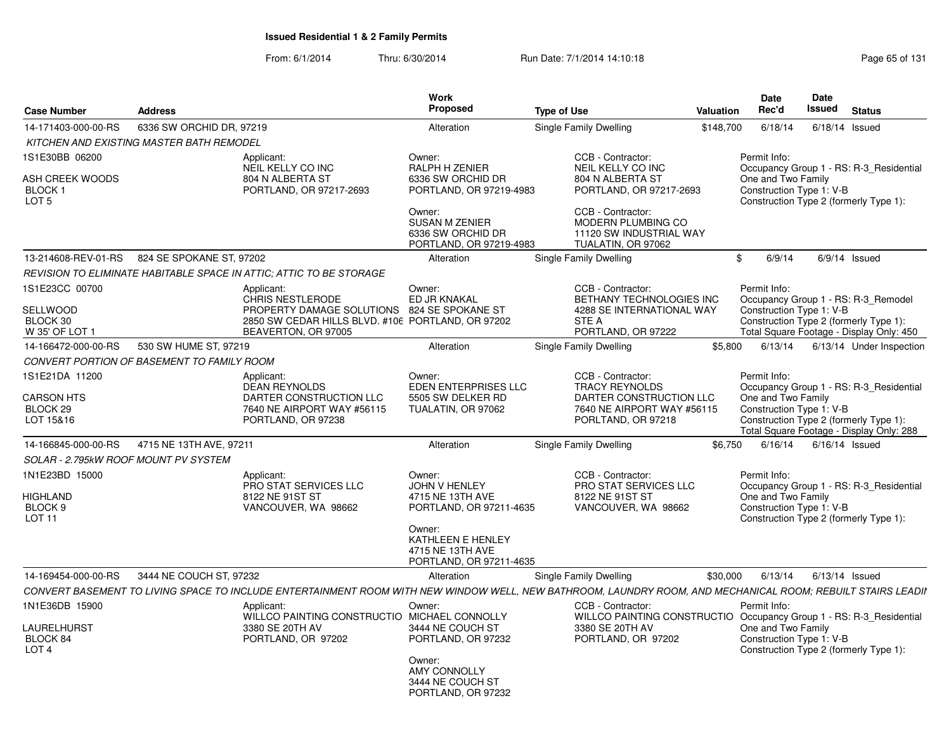|                                                                        |                                          |                                                                                                                                                                  | <b>Work</b>                                                                                                                                                 |                                                                                                                                                                                          |           | <b>Date</b>                                                                                                               | <b>Date</b> |                  |                                                                                     |
|------------------------------------------------------------------------|------------------------------------------|------------------------------------------------------------------------------------------------------------------------------------------------------------------|-------------------------------------------------------------------------------------------------------------------------------------------------------------|------------------------------------------------------------------------------------------------------------------------------------------------------------------------------------------|-----------|---------------------------------------------------------------------------------------------------------------------------|-------------|------------------|-------------------------------------------------------------------------------------|
| <b>Case Number</b>                                                     | <b>Address</b>                           |                                                                                                                                                                  | Proposed                                                                                                                                                    | <b>Type of Use</b>                                                                                                                                                                       | Valuation | Rec'd                                                                                                                     | Issued      |                  | <b>Status</b>                                                                       |
| 14-171403-000-00-RS                                                    | 6336 SW ORCHID DR, 97219                 |                                                                                                                                                                  | Alteration                                                                                                                                                  | Single Family Dwelling                                                                                                                                                                   | \$148,700 | 6/18/14                                                                                                                   |             | $6/18/14$ Issued |                                                                                     |
|                                                                        | KITCHEN AND EXISTING MASTER BATH REMODEL |                                                                                                                                                                  |                                                                                                                                                             |                                                                                                                                                                                          |           |                                                                                                                           |             |                  |                                                                                     |
| 1S1E30BB 06200<br>ASH CREEK WOODS<br><b>BLOCK1</b><br>LOT <sub>5</sub> |                                          | Applicant:<br>NEIL KELLY CO INC<br>804 N ALBERTA ST<br>PORTLAND, OR 97217-2693                                                                                   | Owner:<br>RALPH H ZENIER<br>6336 SW ORCHID DR<br>PORTLAND, OR 97219-4983<br>Owner:<br><b>SUSAN M ZENIER</b><br>6336 SW ORCHID DR<br>PORTLAND, OR 97219-4983 | CCB - Contractor:<br>NEIL KELLY CO INC<br>804 N ALBERTA ST<br>PORTLAND, OR 97217-2693<br>CCB - Contractor:<br><b>MODERN PLUMBING CO</b><br>11120 SW INDUSTRIAL WAY<br>TUALATIN, OR 97062 |           | Permit Info:<br>One and Two Family<br>Construction Type 1: V-B<br>Construction Type 2 (formerly Type 1):                  |             |                  | Occupancy Group 1 - RS: R-3 Residential                                             |
| 13-214608-REV-01-RS                                                    | 824 SE SPOKANE ST. 97202                 |                                                                                                                                                                  | Alteration                                                                                                                                                  | Single Family Dwelling                                                                                                                                                                   |           | \$<br>6/9/14                                                                                                              |             | $6/9/14$ Issued  |                                                                                     |
|                                                                        |                                          | REVISION TO ELIMINATE HABITABLE SPACE IN ATTIC: ATTIC TO BE STORAGE                                                                                              |                                                                                                                                                             |                                                                                                                                                                                          |           |                                                                                                                           |             |                  |                                                                                     |
| 1S1E23CC 00700<br>SELLWOOD<br>BLOCK 30<br>W 35' OF LOT 1               |                                          | Applicant:<br><b>CHRIS NESTLERODE</b><br>PROPERTY DAMAGE SOLUTIONS 824 SE SPOKANE ST<br>2850 SW CEDAR HILLS BLVD. #106 PORTLAND, OR 97202<br>BEAVERTON, OR 97005 | Owner:<br>ED JR KNAKAL                                                                                                                                      | CCB - Contractor:<br>BETHANY TECHNOLOGIES INC<br>4288 SE INTERNATIONAL WAY<br><b>STE A</b><br>PORTLAND, OR 97222                                                                         |           | Permit Info:<br>Occupancy Group 1 - RS: R-3_Remodel<br>Construction Type 1: V-B<br>Construction Type 2 (formerly Type 1): |             |                  | Total Square Footage - Display Only: 450                                            |
| 14-166472-000-00-RS                                                    | 530 SW HUME ST, 97219                    |                                                                                                                                                                  | Alteration                                                                                                                                                  | Single Family Dwelling                                                                                                                                                                   | \$5,800   | 6/13/14                                                                                                                   |             |                  | 6/13/14 Under Inspection                                                            |
| CONVERT PORTION OF BASEMENT TO FAMILY ROOM                             |                                          |                                                                                                                                                                  |                                                                                                                                                             |                                                                                                                                                                                          |           |                                                                                                                           |             |                  |                                                                                     |
| 1S1E21DA 11200<br>CARSON HTS<br>BLOCK 29<br>LOT 15&16                  |                                          | Applicant:<br><b>DEAN REYNOLDS</b><br>DARTER CONSTRUCTION LLC<br>7640 NE AIRPORT WAY #56115<br>PORTLAND, OR 97238                                                | Owner:<br>EDEN ENTERPRISES LLC<br>5505 SW DELKER RD<br>TUALATIN, OR 97062                                                                                   | CCB - Contractor:<br><b>TRACY REYNOLDS</b><br>DARTER CONSTRUCTION LLC<br>7640 NE AIRPORT WAY #56115<br>PORLTAND, OR 97218                                                                |           | Permit Info:<br>One and Two Family<br>Construction Type 1: V-B<br>Construction Type 2 (formerly Type 1):                  |             |                  | Occupancy Group 1 - RS: R-3 Residential<br>Total Square Footage - Display Only: 288 |
| 14-166845-000-00-RS                                                    | 4715 NE 13TH AVE, 97211                  |                                                                                                                                                                  | Alteration                                                                                                                                                  | Single Family Dwelling                                                                                                                                                                   | \$6.750   | 6/16/14                                                                                                                   |             | $6/16/14$ Issued |                                                                                     |
| SOLAR - 2.795kW ROOF MOUNT PV SYSTEM                                   |                                          |                                                                                                                                                                  |                                                                                                                                                             |                                                                                                                                                                                          |           |                                                                                                                           |             |                  |                                                                                     |
| 1N1E23BD 15000<br>HIGHLAND<br>BLOCK <sub>9</sub><br>LOT <sub>11</sub>  |                                          | Applicant:<br>PRO STAT SERVICES LLC<br>8122 NE 91ST ST<br>VANCOUVER, WA 98662                                                                                    | Owner:<br><b>JOHN V HENLEY</b><br>4715 NE 13TH AVE<br>PORTLAND, OR 97211-4635<br>Owner:<br>KATHLEEN E HENLEY<br>4715 NE 13TH AVE<br>PORTLAND, OR 97211-4635 | CCB - Contractor:<br>PRO STAT SERVICES LLC<br>8122 NE 91ST ST<br>VANCOUVER, WA 98662                                                                                                     |           | Permit Info:<br>One and Two Family<br>Construction Type 1: V-B<br>Construction Type 2 (formerly Type 1):                  |             |                  | Occupancy Group 1 - RS: R-3_Residential                                             |
| 14-169454-000-00-RS                                                    | 3444 NE COUCH ST, 97232                  |                                                                                                                                                                  | Alteration                                                                                                                                                  | Single Family Dwelling                                                                                                                                                                   | \$30,000  | 6/13/14                                                                                                                   |             | $6/13/14$ Issued |                                                                                     |
|                                                                        |                                          | CONVERT BASEMENT TO LIVING SPACE TO INCLUDE ENTERTAINMENT ROOM WITH NEW WINDOW WELL, NEW BATHROOM, LAUNDRY ROOM, AND MECHANICAL ROOM; REBUILT STAIRS LEADII      |                                                                                                                                                             |                                                                                                                                                                                          |           |                                                                                                                           |             |                  |                                                                                     |
| 1N1E36DB 15900<br>LAURELHURST<br>BLOCK 84<br>LOT <sub>4</sub>          |                                          | Applicant:<br>WILLCO PAINTING CONSTRUCTIO MICHAEL CONNOLLY<br>3380 SE 20TH AV<br>PORTLAND, OR 97202                                                              | Owner:<br>3444 NE COUCH ST<br>PORTLAND, OR 97232<br>Owner:<br><b>AMY CONNOLLY</b><br>3444 NE COUCH ST<br>PORTLAND, OR 97232                                 | CCB - Contractor:<br>WILLCO PAINTING CONSTRUCTIO Occupancy Group 1 - RS: R-3_Residential<br>3380 SE 20TH AV<br>PORTLAND, OR 97202                                                        |           | Permit Info:<br>One and Two Family<br>Construction Type 1: V-B<br>Construction Type 2 (formerly Type 1):                  |             |                  |                                                                                     |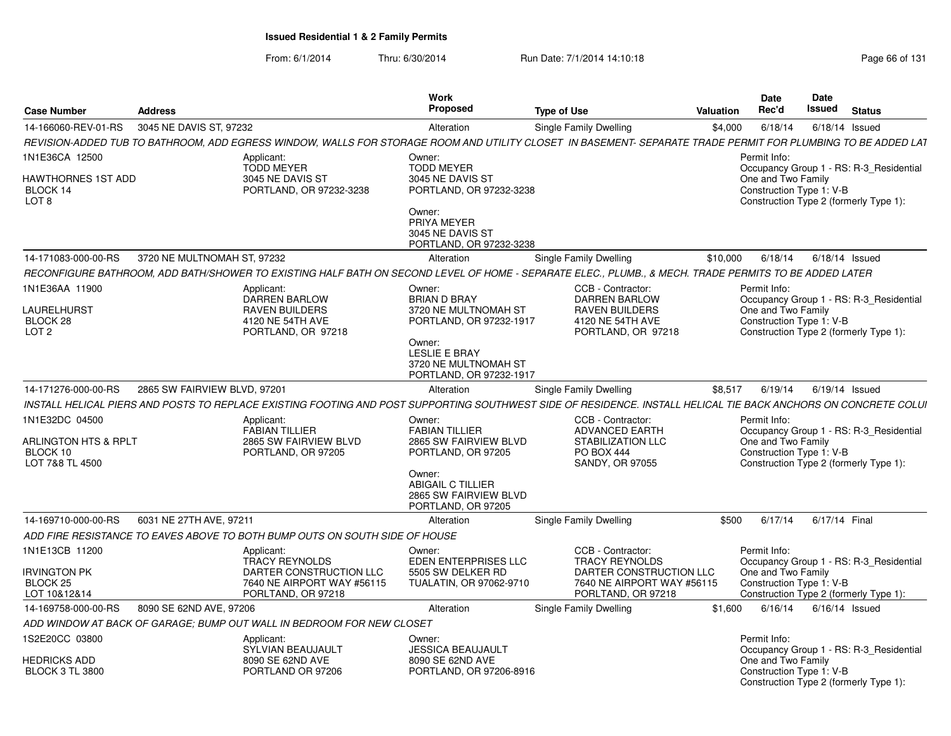|                                                                                  |                              |                                                                                    | Work                                                                                               |                                                                                                                                                                 |           | <b>Date</b>                                                    | Date          |                                                                                   |
|----------------------------------------------------------------------------------|------------------------------|------------------------------------------------------------------------------------|----------------------------------------------------------------------------------------------------|-----------------------------------------------------------------------------------------------------------------------------------------------------------------|-----------|----------------------------------------------------------------|---------------|-----------------------------------------------------------------------------------|
| <b>Case Number</b>                                                               | <b>Address</b>               |                                                                                    | Proposed                                                                                           | <b>Type of Use</b>                                                                                                                                              | Valuation | Rec'd                                                          | Issued        | <b>Status</b>                                                                     |
| 14-166060-REV-01-RS                                                              | 3045 NE DAVIS ST, 97232      |                                                                                    | Alteration                                                                                         | Single Family Dwelling                                                                                                                                          | \$4,000   | 6/18/14                                                        |               | $6/18/14$ Issued                                                                  |
|                                                                                  |                              |                                                                                    |                                                                                                    | REVISION-ADDED TUB TO BATHROOM, ADD EGRESS WINDOW, WALLS FOR STORAGE ROOM AND UTILITY CLOSET IN BASEMENT- SEPARATE TRADE PERMIT FOR PLUMBING TO BE ADDED LAT    |           |                                                                |               |                                                                                   |
| 1N1E36CA 12500<br>HAWTHORNES 1ST ADD<br>BLOCK 14<br>LOT <sub>8</sub>             |                              | Applicant:<br><b>TODD MEYER</b><br>3045 NE DAVIS ST<br>PORTLAND, OR 97232-3238     | Owner:<br><b>TODD MEYER</b><br>3045 NE DAVIS ST<br>PORTLAND, OR 97232-3238                         |                                                                                                                                                                 |           | Permit Info:<br>One and Two Family<br>Construction Type 1: V-B |               | Occupancy Group 1 - RS: R-3 Residential<br>Construction Type 2 (formerly Type 1): |
|                                                                                  |                              |                                                                                    | Owner:<br>PRIYA MEYER<br>3045 NE DAVIS ST<br>PORTLAND, OR 97232-3238                               |                                                                                                                                                                 |           |                                                                |               |                                                                                   |
| 14-171083-000-00-RS                                                              | 3720 NE MULTNOMAH ST, 97232  |                                                                                    | Alteration                                                                                         | Single Family Dwelling                                                                                                                                          | \$10,000  | 6/18/14                                                        |               | $6/18/14$ Issued                                                                  |
|                                                                                  |                              |                                                                                    |                                                                                                    | RECONFIGURE BATHROOM, ADD BATH/SHOWER TO EXISTING HALF BATH ON SECOND LEVEL OF HOME - SEPARATE ELEC., PLUMB., & MECH. TRADE PERMITS TO BE ADDED LATER           |           |                                                                |               |                                                                                   |
| 1N1E36AA 11900                                                                   |                              | Applicant:<br><b>DARREN BARLOW</b>                                                 | Owner:<br><b>BRIAN D BRAY</b>                                                                      | CCB - Contractor:<br><b>DARREN BARLOW</b>                                                                                                                       |           | Permit Info:                                                   |               | Occupancy Group 1 - RS: R-3_Residential                                           |
| LAURELHURST<br>BLOCK 28<br>LOT <sub>2</sub>                                      |                              | <b>RAVEN BUILDERS</b><br>4120 NE 54TH AVE<br>PORTLAND, OR 97218                    | 3720 NE MULTNOMAH ST<br>PORTLAND, OR 97232-1917<br>Owner:<br>LESLIE E BRAY<br>3720 NE MULTNOMAH ST | <b>RAVEN BUILDERS</b><br>4120 NE 54TH AVE<br>PORTLAND, OR 97218                                                                                                 |           | One and Two Family<br>Construction Type 1: V-B                 |               | Construction Type 2 (formerly Type 1):                                            |
| 14-171276-000-00-RS                                                              | 2865 SW FAIRVIEW BLVD, 97201 |                                                                                    | PORTLAND, OR 97232-1917<br>Alteration                                                              | Single Family Dwelling                                                                                                                                          | \$8,517   | 6/19/14                                                        |               | $6/19/14$ Issued                                                                  |
|                                                                                  |                              |                                                                                    |                                                                                                    |                                                                                                                                                                 |           |                                                                |               |                                                                                   |
|                                                                                  |                              |                                                                                    |                                                                                                    | INSTALL HELICAL PIERS AND POSTS TO REPLACE EXISTING FOOTING AND POST SUPPORTING SOUTHWEST SIDE OF RESIDENCE. INSTALL HELICAL TIE BACK ANCHORS ON CONCRETE COLUI |           |                                                                |               |                                                                                   |
| 1N1E32DC 04500<br><b>ARLINGTON HTS &amp; RPLT</b><br>BLOCK 10<br>LOT 7&8 TL 4500 |                              | Applicant:<br><b>FABIAN TILLIER</b><br>2865 SW FAIRVIEW BLVD<br>PORTLAND, OR 97205 | Owner:<br><b>FABIAN TILLIER</b><br>2865 SW FAIRVIEW BLVD<br>PORTLAND, OR 97205                     | CCB - Contractor:<br><b>ADVANCED EARTH</b><br><b>STABILIZATION LLC</b><br><b>PO BOX 444</b><br><b>SANDY, OR 97055</b>                                           |           | Permit Info:<br>One and Two Family<br>Construction Type 1: V-B |               | Occupancy Group 1 - RS: R-3_Residential<br>Construction Type 2 (formerly Type 1): |
|                                                                                  |                              |                                                                                    | Owner:<br><b>ABIGAIL C TILLIER</b><br>2865 SW FAIRVIEW BLVD<br>PORTLAND, OR 97205                  |                                                                                                                                                                 |           |                                                                |               |                                                                                   |
| 14-169710-000-00-RS                                                              | 6031 NE 27TH AVE, 97211      |                                                                                    | Alteration                                                                                         | Single Family Dwelling                                                                                                                                          | \$500     | 6/17/14                                                        | 6/17/14 Final |                                                                                   |
|                                                                                  |                              | ADD FIRE RESISTANCE TO EAVES ABOVE TO BOTH BUMP OUTS ON SOUTH SIDE OF HOUSE        |                                                                                                    |                                                                                                                                                                 |           |                                                                |               |                                                                                   |
| 1N1E13CB 11200                                                                   |                              | Applicant:<br><b>TRACY REYNOLDS</b>                                                | Owner:<br>EDEN ENTERPRISES LLC                                                                     | CCB - Contractor:<br><b>TRACY REYNOLDS</b>                                                                                                                      |           | Permit Info:                                                   |               | Occupancy Group 1 - RS: R-3_Residential                                           |
| <b>IRVINGTON PK</b><br><b>BLOCK 25</b><br>LOT 10&12&14                           |                              | DARTER CONSTRUCTION LLC<br>7640 NE AIRPORT WAY #56115<br>PORLTAND, OR 97218        | 5505 SW DELKER RD<br>TUALATIN, OR 97062-9710                                                       | DARTER CONSTRUCTION LLC<br>7640 NE AIRPORT WAY #56115<br>PORLTAND, OR 97218                                                                                     |           | One and Two Family<br>Construction Type 1: V-B                 |               | Construction Type 2 (formerly Type 1):                                            |
| 14-169758-000-00-RS                                                              | 8090 SE 62ND AVE, 97206      |                                                                                    | Alteration                                                                                         | Single Family Dwelling                                                                                                                                          | \$1.600   | 6/16/14                                                        |               | $6/16/14$ Issued                                                                  |
|                                                                                  |                              | ADD WINDOW AT BACK OF GARAGE; BUMP OUT WALL IN BEDROOM FOR NEW CLOSET              |                                                                                                    |                                                                                                                                                                 |           |                                                                |               |                                                                                   |
| 1S2E20CC 03800                                                                   |                              | Applicant:<br>SYLVIAN BEAUJAULT                                                    | Owner:<br><b>JESSICA BEAUJAULT</b>                                                                 |                                                                                                                                                                 |           | Permit Info:                                                   |               | Occupancy Group 1 - RS: R-3 Residential                                           |
| HEDRICKS ADD<br><b>BLOCK 3 TL 3800</b>                                           |                              | 8090 SE 62ND AVE<br>PORTLAND OR 97206                                              | 8090 SE 62ND AVE<br>PORTLAND, OR 97206-8916                                                        |                                                                                                                                                                 |           | One and Two Family<br>Construction Type 1: V-B                 |               | Construction Type 2 (formerly Type 1):                                            |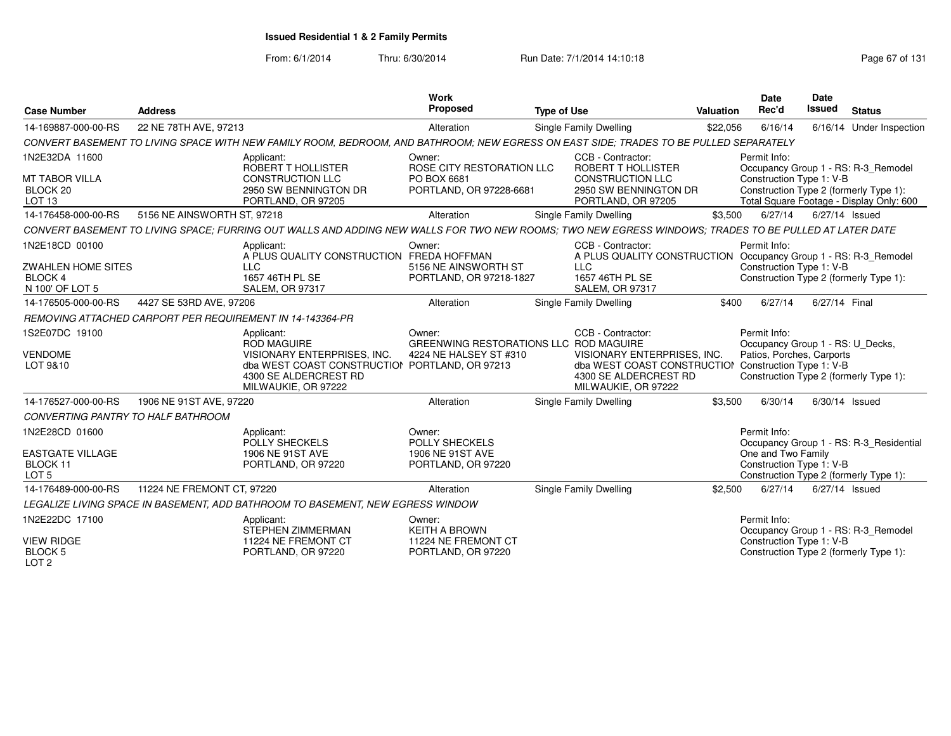| <b>Case Number</b>                                                               | <b>Address</b>              |                                                                                                                                                                   | Work<br>Proposed                                                              | <b>Type of Use</b>                                                                                                                                       | Valuation | <b>Date</b><br>Rec'd                                                          | Date<br><b>Issued</b> | <b>Status</b>                                                                                                             |
|----------------------------------------------------------------------------------|-----------------------------|-------------------------------------------------------------------------------------------------------------------------------------------------------------------|-------------------------------------------------------------------------------|----------------------------------------------------------------------------------------------------------------------------------------------------------|-----------|-------------------------------------------------------------------------------|-----------------------|---------------------------------------------------------------------------------------------------------------------------|
| 14-169887-000-00-RS                                                              | 22 NE 78TH AVE, 97213       |                                                                                                                                                                   | Alteration                                                                    | <b>Single Family Dwelling</b>                                                                                                                            | \$22,056  | 6/16/14                                                                       |                       | 6/16/14 Under Inspection                                                                                                  |
|                                                                                  |                             | CONVERT BASEMENT TO LIVING SPACE WITH NEW FAMILY ROOM, BEDROOM, AND BATHROOM; NEW EGRESS ON EAST SIDE; TRADES TO BE PULLED SEPARATELY                             |                                                                               |                                                                                                                                                          |           |                                                                               |                       |                                                                                                                           |
| 1N2E32DA 11600<br><b>MT TABOR VILLA</b><br>BLOCK 20<br>LOT <sub>13</sub>         |                             | Applicant:<br>ROBERT T HOLLISTER<br><b>CONSTRUCTION LLC</b><br>2950 SW BENNINGTON DR<br>PORTLAND, OR 97205                                                        | Owner:<br>ROSE CITY RESTORATION LLC<br>PO BOX 6681<br>PORTLAND, OR 97228-6681 | CCB - Contractor:<br>ROBERT T HOLLISTER<br><b>CONSTRUCTION LLC</b><br>2950 SW BENNINGTON DR<br>PORTLAND, OR 97205                                        |           | Permit Info:<br>Construction Type 1: V-B                                      |                       | Occupancy Group 1 - RS: R-3_Remodel<br>Construction Type 2 (formerly Type 1):<br>Total Square Footage - Display Only: 600 |
| 14-176458-000-00-RS                                                              | 5156 NE AINSWORTH ST, 97218 |                                                                                                                                                                   | Alteration                                                                    | <b>Single Family Dwelling</b>                                                                                                                            | \$3,500   | 6/27/14                                                                       | 6/27/14 Issued        |                                                                                                                           |
|                                                                                  |                             | CONVERT BASEMENT TO LIVING SPACE; FURRING OUT WALLS AND ADDING NEW WALLS FOR TWO NEW ROOMS; TWO NEW EGRESS WINDOWS; TRADES TO BE PULLED AT LATER DATE             |                                                                               |                                                                                                                                                          |           |                                                                               |                       |                                                                                                                           |
| 1N2E18CD 00100<br><b>ZWAHLEN HOME SITES</b><br><b>BLOCK 4</b><br>N 100' OF LOT 5 |                             | Applicant:<br>A PLUS QUALITY CONSTRUCTION FREDA HOFFMAN<br>LLC<br>1657 46TH PL SE<br>SALEM, OR 97317                                                              | Owner:<br>5156 NE AINSWORTH ST<br>PORTLAND, OR 97218-1827                     | CCB - Contractor:<br>A PLUS QUALITY CONSTRUCTION Occupancy Group 1 - RS: R-3_Remodel<br><b>LLC</b><br>1657 46TH PL SE<br><b>SALEM, OR 97317</b>          |           | Permit Info:<br>Construction Type 1: V-B                                      |                       | Construction Type 2 (formerly Type 1):                                                                                    |
| 14-176505-000-00-RS                                                              | 4427 SE 53RD AVE, 97206     |                                                                                                                                                                   | Alteration                                                                    | Single Family Dwelling                                                                                                                                   | \$400     | 6/27/14                                                                       | 6/27/14 Final         |                                                                                                                           |
|                                                                                  |                             | REMOVING ATTACHED CARPORT PER REQUIREMENT IN 14-143364-PR                                                                                                         |                                                                               |                                                                                                                                                          |           |                                                                               |                       |                                                                                                                           |
| 1S2E07DC 19100<br><b>VENDOME</b><br>LOT 9&10                                     |                             | Applicant:<br><b>ROD MAGUIRE</b><br>VISIONARY ENTERPRISES, INC.<br>dba WEST COAST CONSTRUCTION PORTLAND, OR 97213<br>4300 SE ALDERCREST RD<br>MILWAUKIE, OR 97222 | Owner:<br>GREENWING RESTORATIONS LLC ROD MAGUIRE<br>4224 NE HALSEY ST #310    | CCB - Contractor:<br>VISIONARY ENTERPRISES, INC.<br>dba WEST COAST CONSTRUCTION Construction Type 1: V-B<br>4300 SE ALDERCREST RD<br>MILWAUKIE, OR 97222 |           | Permit Info:<br>Occupancy Group 1 - RS: U Decks,<br>Patios, Porches, Carports |                       | Construction Type 2 (formerly Type 1):                                                                                    |
| 14-176527-000-00-RS                                                              | 1906 NE 91ST AVE, 97220     |                                                                                                                                                                   | Alteration                                                                    | <b>Single Family Dwelling</b>                                                                                                                            | \$3,500   | 6/30/14                                                                       | 6/30/14 Issued        |                                                                                                                           |
| CONVERTING PANTRY TO HALF BATHROOM                                               |                             |                                                                                                                                                                   |                                                                               |                                                                                                                                                          |           |                                                                               |                       |                                                                                                                           |
| 1N2E28CD 01600<br><b>EASTGATE VILLAGE</b><br>BLOCK 11<br>LOT <sub>5</sub>        |                             | Applicant:<br>POLLY SHECKELS<br>1906 NE 91ST AVE<br>PORTLAND, OR 97220                                                                                            | Owner:<br>POLLY SHECKELS<br>1906 NE 91ST AVE<br>PORTLAND, OR 97220            |                                                                                                                                                          |           | Permit Info:<br>One and Two Family<br>Construction Type 1: V-B                |                       | Occupancy Group 1 - RS: R-3 Residential<br>Construction Type 2 (formerly Type 1):                                         |
| 14-176489-000-00-RS                                                              | 11224 NE FREMONT CT, 97220  |                                                                                                                                                                   | Alteration                                                                    | Single Family Dwelling                                                                                                                                   | \$2,500   | 6/27/14                                                                       | 6/27/14 Issued        |                                                                                                                           |
|                                                                                  |                             | LEGALIZE LIVING SPACE IN BASEMENT, ADD BATHROOM TO BASEMENT, NEW EGRESS WINDOW                                                                                    |                                                                               |                                                                                                                                                          |           |                                                                               |                       |                                                                                                                           |
| 1N2E22DC 17100                                                                   |                             | Applicant:<br><b>STEPHEN ZIMMERMAN</b>                                                                                                                            | Owner:<br><b>KEITH A BROWN</b>                                                |                                                                                                                                                          |           | Permit Info:                                                                  |                       | Occupancy Group 1 - RS: R-3_Remodel                                                                                       |
| <b>VIEW RIDGE</b><br><b>BLOCK 5</b><br>LOT <sub>2</sub>                          |                             | 11224 NE FREMONT CT<br>PORTLAND, OR 97220                                                                                                                         | 11224 NE FREMONT CT<br>PORTLAND, OR 97220                                     |                                                                                                                                                          |           | Construction Type 1: V-B                                                      |                       | Construction Type 2 (formerly Type 1):                                                                                    |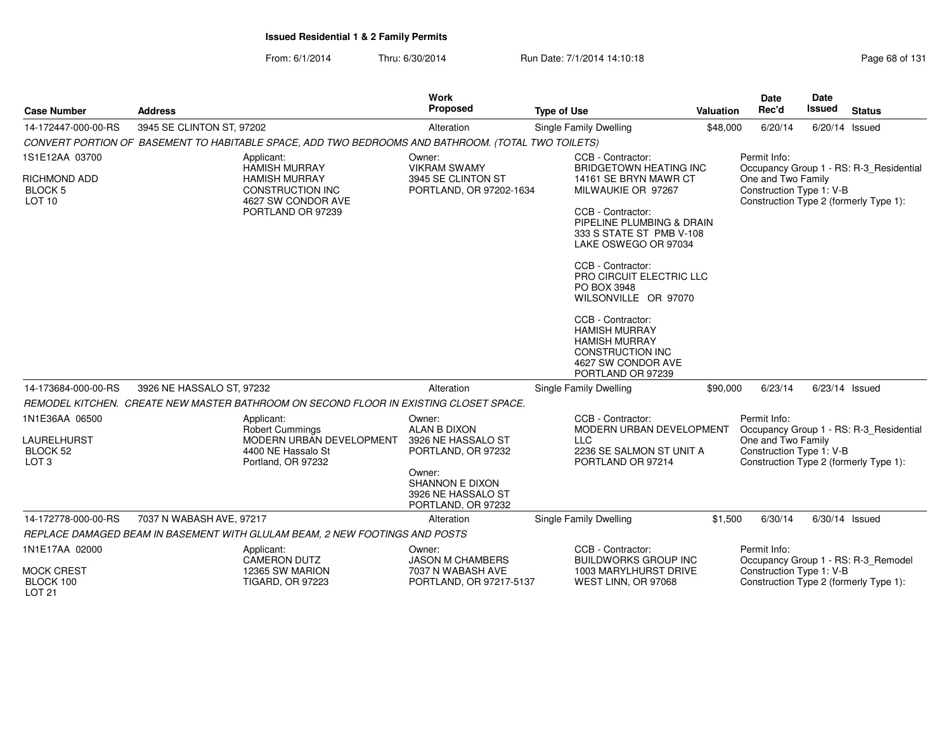|                                                                      |                                                                                                    |                          | Work                                                                         |                                                                                                                                         |           | <b>Date</b>                                                    | <b>Date</b>   |                                                                                   |
|----------------------------------------------------------------------|----------------------------------------------------------------------------------------------------|--------------------------|------------------------------------------------------------------------------|-----------------------------------------------------------------------------------------------------------------------------------------|-----------|----------------------------------------------------------------|---------------|-----------------------------------------------------------------------------------|
| <b>Case Number</b>                                                   | <b>Address</b>                                                                                     |                          | Proposed                                                                     | <b>Type of Use</b>                                                                                                                      | Valuation | Rec'd                                                          | <b>Issued</b> | <b>Status</b>                                                                     |
| 14-172447-000-00-RS                                                  | 3945 SE CLINTON ST, 97202                                                                          |                          | Alteration                                                                   | Single Family Dwelling                                                                                                                  | \$48,000  | 6/20/14                                                        |               | $6/20/14$ Issued                                                                  |
|                                                                      | CONVERT PORTION OF BASEMENT TO HABITABLE SPACE, ADD TWO BEDROOMS AND BATHROOM. (TOTAL TWO TOILETS) |                          |                                                                              |                                                                                                                                         |           |                                                                |               |                                                                                   |
| 1S1E12AA 03700                                                       | Applicant:<br>HAMISH MURRAY                                                                        |                          | Owner:<br><b>VIKRAM SWAMY</b>                                                | CCB - Contractor:<br><b>BRIDGETOWN HEATING INC</b>                                                                                      |           | Permit Info:                                                   |               | Occupancy Group 1 - RS: R-3_Residential                                           |
| <b>RICHMOND ADD</b><br><b>BLOCK 5</b><br>LOT <sub>10</sub>           | <b>HAMISH MURRAY</b><br><b>CONSTRUCTION INC</b><br>4627 SW CONDOR AVE                              |                          | 3945 SE CLINTON ST<br>PORTLAND, OR 97202-1634                                | 14161 SE BRYN MAWR CT<br>MILWAUKIE OR 97267                                                                                             |           | One and Two Family<br>Construction Type 1: V-B                 |               | Construction Type 2 (formerly Type 1):                                            |
|                                                                      | PORTLAND OR 97239                                                                                  |                          |                                                                              | CCB - Contractor:<br>PIPELINE PLUMBING & DRAIN<br>333 S STATE ST PMB V-108<br>LAKE OSWEGO OR 97034                                      |           |                                                                |               |                                                                                   |
|                                                                      |                                                                                                    |                          |                                                                              | CCB - Contractor:<br>PRO CIRCUIT ELECTRIC LLC<br>PO BOX 3948<br>WILSONVILLE OR 97070                                                    |           |                                                                |               |                                                                                   |
|                                                                      |                                                                                                    |                          |                                                                              | CCB - Contractor:<br><b>HAMISH MURRAY</b><br><b>HAMISH MURRAY</b><br><b>CONSTRUCTION INC</b><br>4627 SW CONDOR AVE<br>PORTLAND OR 97239 |           |                                                                |               |                                                                                   |
| 14-173684-000-00-RS                                                  | 3926 NE HASSALO ST, 97232                                                                          |                          | Alteration                                                                   | Single Family Dwelling                                                                                                                  | \$90,000  | 6/23/14                                                        |               | 6/23/14 Issued                                                                    |
|                                                                      | REMODEL KITCHEN. CREATE NEW MASTER BATHROOM ON SECOND FLOOR IN EXISTING CLOSET SPACE.              |                          |                                                                              |                                                                                                                                         |           |                                                                |               |                                                                                   |
| 1N1E36AA 06500<br>LAURELHURST<br><b>BLOCK 52</b><br>LOT <sub>3</sub> | Applicant:<br><b>Robert Cummings</b><br>4400 NE Hassalo St<br>Portland, OR 97232                   | MODERN URBAN DEVELOPMENT | Owner:<br><b>ALAN B DIXON</b><br>3926 NE HASSALO ST<br>PORTLAND, OR 97232    | CCB - Contractor:<br>MODERN URBAN DEVELOPMENT<br><b>LLC</b><br>2236 SE SALMON ST UNIT A<br>PORTLAND OR 97214                            |           | Permit Info:<br>One and Two Family<br>Construction Type 1: V-B |               | Occupancy Group 1 - RS: R-3_Residential<br>Construction Type 2 (formerly Type 1): |
|                                                                      |                                                                                                    |                          | Owner:<br><b>SHANNON E DIXON</b><br>3926 NE HASSALO ST<br>PORTLAND, OR 97232 |                                                                                                                                         |           |                                                                |               |                                                                                   |
| 14-172778-000-00-RS                                                  | 7037 N WABASH AVE, 97217                                                                           |                          | Alteration                                                                   | <b>Single Family Dwelling</b>                                                                                                           | \$1,500   | 6/30/14                                                        |               | $6/30/14$ Issued                                                                  |
|                                                                      | REPLACE DAMAGED BEAM IN BASEMENT WITH GLULAM BEAM, 2 NEW FOOTINGS AND POSTS                        |                          |                                                                              |                                                                                                                                         |           |                                                                |               |                                                                                   |
| 1N1E17AA 02000                                                       | Applicant:<br><b>CAMERON DUTZ</b>                                                                  |                          | Owner:<br><b>JASON M CHAMBERS</b>                                            | CCB - Contractor:<br><b>BUILDWORKS GROUP INC</b>                                                                                        |           | Permit Info:                                                   |               | Occupancy Group 1 - RS: R-3_Remodel                                               |
| <b>MOCK CREST</b><br>BLOCK 100<br><b>LOT 21</b>                      | 12365 SW MARION<br><b>TIGARD, OR 97223</b>                                                         |                          | 7037 N WABASH AVE<br>PORTLAND, OR 97217-5137                                 | 1003 MARYLHURST DRIVE<br>WEST LINN, OR 97068                                                                                            |           | Construction Type 1: V-B                                       |               | Construction Type 2 (formerly Type 1):                                            |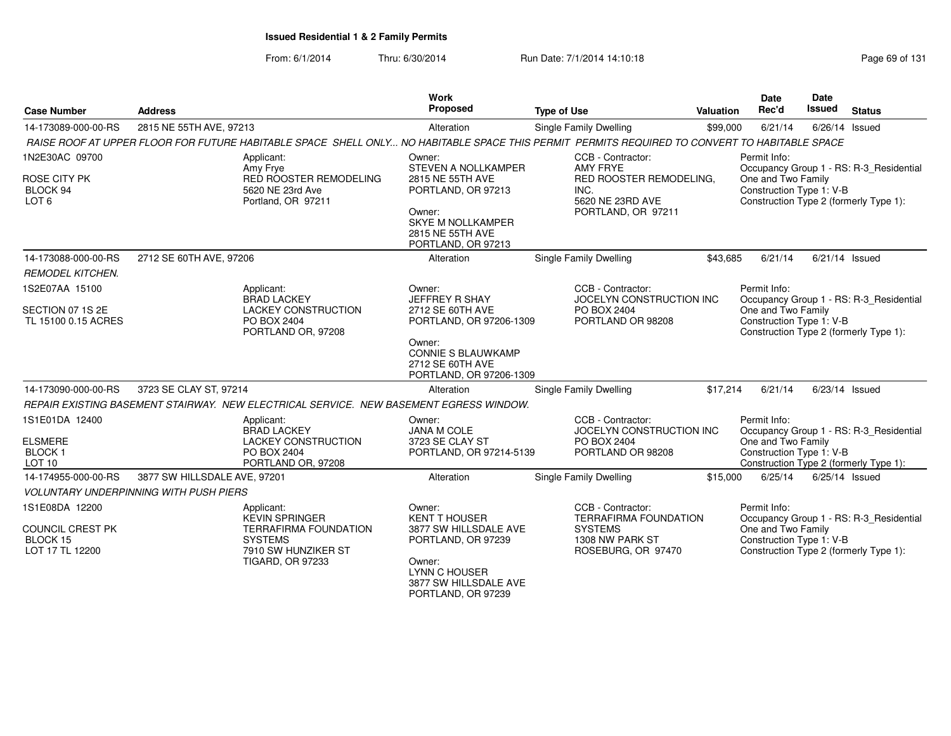| <b>Case Number</b>                                     | <b>Address</b>                                                        |                                                                                                                                               | <b>Work</b><br>Proposed                                                            | <b>Type of Use</b>                                      |                                                                 | <b>Valuation</b> | <b>Date</b><br>Rec'd                                                                     | <b>Date</b><br>Issued | <b>Status</b>                           |
|--------------------------------------------------------|-----------------------------------------------------------------------|-----------------------------------------------------------------------------------------------------------------------------------------------|------------------------------------------------------------------------------------|---------------------------------------------------------|-----------------------------------------------------------------|------------------|------------------------------------------------------------------------------------------|-----------------------|-----------------------------------------|
| 14-173089-000-00-RS                                    | 2815 NE 55TH AVE, 97213                                               |                                                                                                                                               | Alteration                                                                         |                                                         | <b>Single Family Dwelling</b>                                   | \$99,000         | 6/21/14                                                                                  | 6/26/14 Issued        |                                         |
|                                                        |                                                                       | RAISE ROOF AT UPPER FLOOR FOR FUTURE HABITABLE SPACE SHELL ONLY NO HABITABLE SPACE THIS PERMIT PERMITS REQUIRED TO CONVERT TO HABITABLE SPACE |                                                                                    |                                                         |                                                                 |                  |                                                                                          |                       |                                         |
| 1N2E30AC 09700<br><b>ROSE CITY PK</b>                  |                                                                       | Applicant:<br>Amy Frye<br><b>RED ROOSTER REMODELING</b>                                                                                       | Owner:<br>STEVEN A NOLLKAMPER<br>2815 NE 55TH AVE                                  |                                                         | CCB - Contractor:<br><b>AMY FRYE</b><br>RED ROOSTER REMODELING, |                  | Permit Info:<br>One and Two Family                                                       |                       | Occupancy Group 1 - RS: R-3 Residential |
| BLOCK 94<br>LOT <sub>6</sub>                           |                                                                       | 5620 NE 23rd Ave<br>Portland, OR 97211                                                                                                        | PORTLAND, OR 97213                                                                 |                                                         | INC.<br>5620 NE 23RD AVE                                        |                  | Construction Type 1: V-B                                                                 |                       | Construction Type 2 (formerly Type 1):  |
|                                                        |                                                                       |                                                                                                                                               | Owner:<br><b>SKYE M NOLLKAMPER</b><br>2815 NE 55TH AVE<br>PORTLAND, OR 97213       |                                                         | PORTLAND, OR 97211                                              |                  |                                                                                          |                       |                                         |
| 14-173088-000-00-RS                                    | 2712 SE 60TH AVE, 97206                                               |                                                                                                                                               | Alteration                                                                         |                                                         | <b>Single Family Dwelling</b>                                   | \$43,685         | 6/21/14                                                                                  |                       | 6/21/14 Issued                          |
| <b>REMODEL KITCHEN.</b>                                |                                                                       |                                                                                                                                               |                                                                                    |                                                         |                                                                 |                  |                                                                                          |                       |                                         |
| 1S2E07AA 15100                                         |                                                                       | Applicant:<br><b>BRAD LACKEY</b>                                                                                                              | Owner:<br>JEFFREY R SHAY                                                           |                                                         | CCB - Contractor:<br>JOCELYN CONSTRUCTION INC                   |                  | Permit Info:                                                                             |                       | Occupancy Group 1 - RS: R-3 Residential |
| SECTION 07 1S 2E<br>TL 15100 0.15 ACRES                |                                                                       | <b>LACKEY CONSTRUCTION</b><br>PO BOX 2404<br>PORTLAND OR, 97208                                                                               | 2712 SE 60TH AVE<br>PORTLAND, OR 97206-1309                                        |                                                         | PO BOX 2404<br>PORTLAND OR 98208                                |                  | One and Two Family<br>Construction Type 1: V-B<br>Construction Type 2 (formerly Type 1): |                       |                                         |
|                                                        |                                                                       |                                                                                                                                               | Owner:<br><b>CONNIE S BLAUWKAMP</b><br>2712 SE 60TH AVE<br>PORTLAND, OR 97206-1309 |                                                         |                                                                 |                  |                                                                                          |                       |                                         |
| 14-173090-000-00-RS                                    | 3723 SE CLAY ST, 97214                                                |                                                                                                                                               | Alteration                                                                         |                                                         | Single Family Dwelling                                          | \$17,214         | 6/21/14                                                                                  |                       | 6/23/14 Issued                          |
|                                                        |                                                                       | REPAIR EXISTING BASEMENT STAIRWAY. NEW ELECTRICAL SERVICE. NEW BASEMENT EGRESS WINDOW.                                                        |                                                                                    |                                                         |                                                                 |                  |                                                                                          |                       |                                         |
| 1S1E01DA 12400                                         |                                                                       | Applicant:<br><b>BRAD LACKEY</b>                                                                                                              | Owner:<br><b>JANA M COLE</b>                                                       |                                                         | CCB - Contractor:<br>JOCELYN CONSTRUCTION INC                   |                  | Permit Info:                                                                             |                       | Occupancy Group 1 - RS: R-3_Residential |
| <b>ELSMERE</b><br><b>BLOCK1</b><br>LOT <sub>10</sub>   |                                                                       | <b>LACKEY CONSTRUCTION</b><br>PO BOX 2404<br>PORTLAND OR, 97208                                                                               | 3723 SE CLAY ST<br>PORTLAND, OR 97214-5139                                         |                                                         | PO BOX 2404<br>PORTLAND OR 98208                                |                  | One and Two Family<br>Construction Type 1: V-B                                           |                       | Construction Type 2 (formerly Type 1):  |
| 14-174955-000-00-RS                                    | 3877 SW HILLSDALE AVE, 97201                                          |                                                                                                                                               | Alteration                                                                         |                                                         | Single Family Dwelling                                          | \$15,000         | 6/25/14                                                                                  | 6/25/14 Issued        |                                         |
|                                                        | <b>VOLUNTARY UNDERPINNING WITH PUSH PIERS</b>                         |                                                                                                                                               |                                                                                    |                                                         |                                                                 |                  |                                                                                          |                       |                                         |
| 1S1E08DA 12200                                         |                                                                       | Applicant:<br><b>KEVIN SPRINGER</b>                                                                                                           | Owner:<br><b>KENT T HOUSER</b>                                                     |                                                         | CCB - Contractor:<br><b>TERRAFIRMA FOUNDATION</b>               |                  | Permit Info:                                                                             |                       | Occupancy Group 1 - RS: R-3_Residential |
| <b>COUNCIL CREST PK</b><br>BLOCK 15<br>LOT 17 TL 12200 | <b>TERRAFIRMA FOUNDATION</b><br><b>SYSTEMS</b><br>7910 SW HUNZIKER ST |                                                                                                                                               | 3877 SW HILLSDALE AVE<br>PORTLAND, OR 97239                                        | <b>SYSTEMS</b><br>1308 NW PARK ST<br>ROSEBURG, OR 97470 |                                                                 |                  | One and Two Family<br>Construction Type 1: V-B<br>Construction Type 2 (formerly Type 1): |                       |                                         |
|                                                        |                                                                       | <b>TIGARD, OR 97233</b>                                                                                                                       | Owner:<br><b>LYNN C HOUSER</b><br>3877 SW HILLSDALE AVE<br>PORTLAND, OR 97239      |                                                         |                                                                 |                  |                                                                                          |                       |                                         |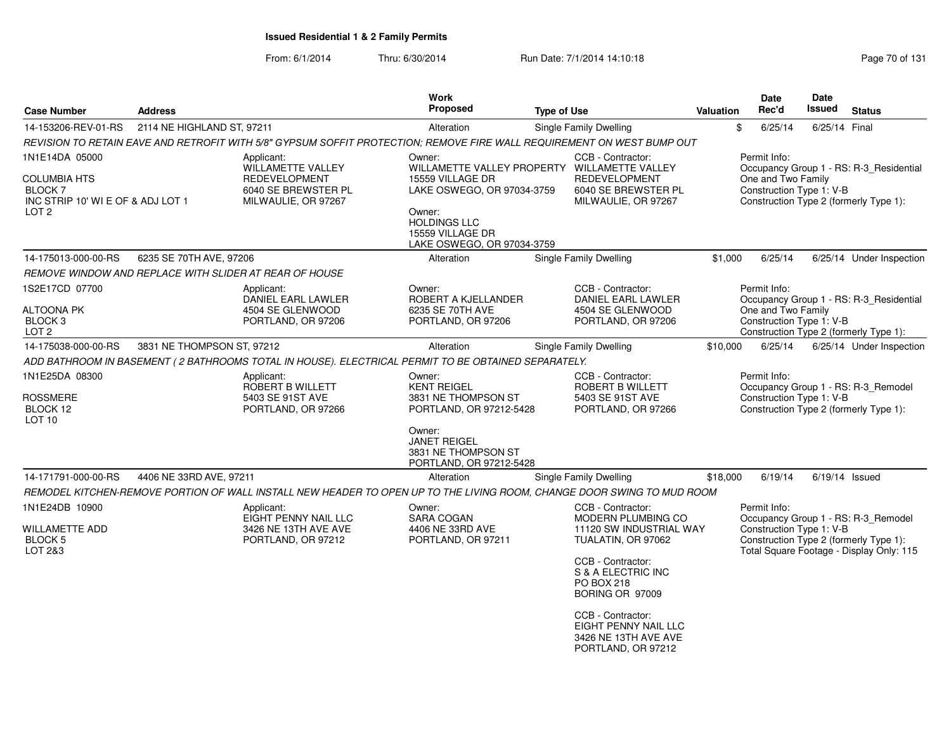|                                                                                                                      |                            |                                                                                                                        | Work                                                                                                                                                                                        |                    |                                                                                                                                                                                                                                                                        |                  | <b>Date</b>                                                    | Date          |                                                                                                                           |
|----------------------------------------------------------------------------------------------------------------------|----------------------------|------------------------------------------------------------------------------------------------------------------------|---------------------------------------------------------------------------------------------------------------------------------------------------------------------------------------------|--------------------|------------------------------------------------------------------------------------------------------------------------------------------------------------------------------------------------------------------------------------------------------------------------|------------------|----------------------------------------------------------------|---------------|---------------------------------------------------------------------------------------------------------------------------|
| <b>Case Number</b>                                                                                                   | <b>Address</b>             |                                                                                                                        | <b>Proposed</b>                                                                                                                                                                             | <b>Type of Use</b> |                                                                                                                                                                                                                                                                        | <b>Valuation</b> | Rec'd                                                          | <b>Issued</b> | <b>Status</b>                                                                                                             |
| 14-153206-REV-01-RS                                                                                                  | 2114 NE HIGHLAND ST, 97211 |                                                                                                                        | Alteration                                                                                                                                                                                  |                    | Single Family Dwelling                                                                                                                                                                                                                                                 |                  | \$<br>6/25/14                                                  | 6/25/14 Final |                                                                                                                           |
|                                                                                                                      |                            | REVISION TO RETAIN EAVE AND RETROFIT WITH 5/8" GYPSUM SOFFIT PROTECTION; REMOVE FIRE WALL REQUIREMENT ON WEST BUMP OUT |                                                                                                                                                                                             |                    |                                                                                                                                                                                                                                                                        |                  |                                                                |               |                                                                                                                           |
| 1N1E14DA 05000<br><b>COLUMBIA HTS</b><br>BLOCK <sub>7</sub><br>INC STRIP 10' WI E OF & ADJ LOT 1<br>LOT <sub>2</sub> |                            | Applicant:<br><b>WILLAMETTE VALLEY</b><br><b>REDEVELOPMENT</b><br>6040 SE BREWSTER PL<br>MILWAULIE, OR 97267           | Owner:<br>WILLAMETTE VALLEY PROPERTY WILLAMETTE VALLEY<br>15559 VILLAGE DR<br>LAKE OSWEGO, OR 97034-3759<br>Owner:<br><b>HOLDINGS LLC</b><br>15559 VILLAGE DR<br>LAKE OSWEGO, OR 97034-3759 |                    | CCB - Contractor:<br><b>REDEVELOPMENT</b><br>6040 SE BREWSTER PL<br>MILWAULIE, OR 97267                                                                                                                                                                                |                  | Permit Info:<br>One and Two Family<br>Construction Type 1: V-B |               | Occupancy Group 1 - RS: R-3 Residential<br>Construction Type 2 (formerly Type 1):                                         |
| 14-175013-000-00-RS                                                                                                  | 6235 SE 70TH AVE, 97206    |                                                                                                                        | Alteration                                                                                                                                                                                  |                    | <b>Single Family Dwelling</b>                                                                                                                                                                                                                                          | \$1,000          | 6/25/14                                                        |               | 6/25/14 Under Inspection                                                                                                  |
| <i>REMOVE WINDOW AND REPLACE WITH SLIDER AT REAR OF HOUSE</i>                                                        |                            |                                                                                                                        |                                                                                                                                                                                             |                    |                                                                                                                                                                                                                                                                        |                  |                                                                |               |                                                                                                                           |
| 1S2E17CD 07700<br>ALTOONA PK<br>BLOCK <sub>3</sub><br>LOT <sub>2</sub>                                               |                            | Applicant:<br>DANIEL EARL LAWLER<br>4504 SE GLENWOOD<br>PORTLAND, OR 97206                                             | Owner:<br>ROBERT A KJELLANDER<br>6235 SE 70TH AVE<br>PORTLAND, OR 97206                                                                                                                     |                    | CCB - Contractor:<br>DANIEL EARL LAWLER<br>4504 SE GLENWOOD<br>PORTLAND, OR 97206                                                                                                                                                                                      |                  | Permit Info:<br>One and Two Family<br>Construction Type 1: V-B |               | Occupancy Group 1 - RS: R-3_Residential<br>Construction Type 2 (formerly Type 1):                                         |
| 14-175038-000-00-RS                                                                                                  | 3831 NE THOMPSON ST, 97212 |                                                                                                                        | Alteration                                                                                                                                                                                  |                    | Single Family Dwelling                                                                                                                                                                                                                                                 | \$10,000         | 6/25/14                                                        |               | 6/25/14 Under Inspection                                                                                                  |
|                                                                                                                      |                            | ADD BATHROOM IN BASEMENT ( 2 BATHROOMS TOTAL IN HOUSE). ELECTRICAL PERMIT TO BE OBTAINED SEPARATELY.                   |                                                                                                                                                                                             |                    |                                                                                                                                                                                                                                                                        |                  |                                                                |               |                                                                                                                           |
| 1N1E25DA 08300<br><b>ROSSMERE</b><br>BLOCK 12<br>LOT <sub>10</sub>                                                   |                            | Applicant:<br>ROBERT B WILLETT<br>5403 SE 91ST AVE<br>PORTLAND, OR 97266                                               | Owner:<br><b>KENT REIGEL</b><br>3831 NE THOMPSON ST<br>PORTLAND, OR 97212-5428<br>Owner:<br><b>JANET REIGEL</b><br>3831 NE THOMPSON ST<br>PORTLAND, OR 97212-5428                           |                    | CCB - Contractor:<br>ROBERT B WILLETT<br>5403 SE 91ST AVE<br>PORTLAND, OR 97266                                                                                                                                                                                        |                  | Permit Info:<br>Construction Type 1: V-B                       |               | Occupancy Group 1 - RS: R-3 Remodel<br>Construction Type 2 (formerly Type 1):                                             |
| 14-171791-000-00-RS                                                                                                  | 4406 NE 33RD AVE, 97211    |                                                                                                                        | Alteration                                                                                                                                                                                  |                    | Single Family Dwelling                                                                                                                                                                                                                                                 | \$18,000         | 6/19/14                                                        |               | $6/19/14$ Issued                                                                                                          |
|                                                                                                                      |                            | REMODEL KITCHEN-REMOVE PORTION OF WALL INSTALL NEW HEADER TO OPEN UP TO THE LIVING ROOM, CHANGE DOOR SWING TO MUD ROOM |                                                                                                                                                                                             |                    |                                                                                                                                                                                                                                                                        |                  |                                                                |               |                                                                                                                           |
| 1N1E24DB 10900<br><b>WILLAMETTE ADD</b><br><b>BLOCK 5</b><br>LOT 2&3                                                 |                            | Applicant:<br>EIGHT PENNY NAIL LLC<br>3426 NE 13TH AVE AVE<br>PORTLAND, OR 97212                                       | Owner:<br><b>SARA COGAN</b><br>4406 NE 33RD AVE<br>PORTLAND, OR 97211                                                                                                                       |                    | CCB - Contractor:<br><b>MODERN PLUMBING CO</b><br>11120 SW INDUSTRIAL WAY<br>TUALATIN, OR 97062<br>CCB - Contractor:<br>S & A ELECTRIC INC<br>PO BOX 218<br>BORING OR 97009<br>CCB - Contractor:<br>EIGHT PENNY NAIL LLC<br>3426 NE 13TH AVE AVE<br>PORTLAND, OR 97212 |                  | Permit Info:<br>Construction Type 1: V-B                       |               | Occupancy Group 1 - RS: R-3_Remodel<br>Construction Type 2 (formerly Type 1):<br>Total Square Footage - Display Only: 115 |
|                                                                                                                      |                            |                                                                                                                        |                                                                                                                                                                                             |                    |                                                                                                                                                                                                                                                                        |                  |                                                                |               |                                                                                                                           |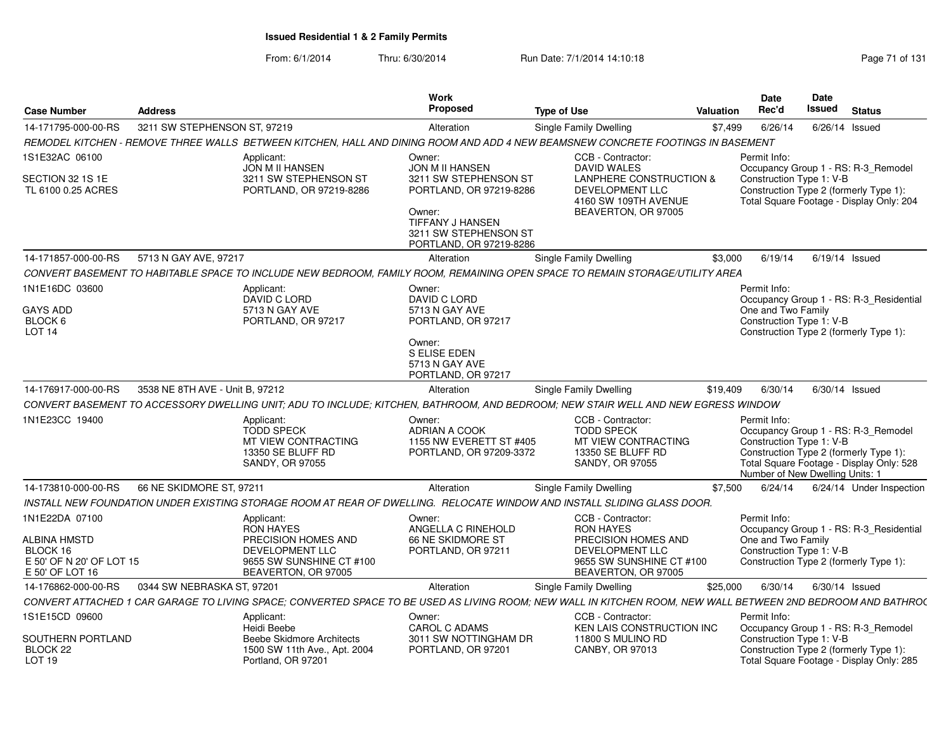| <b>Case Number</b>                                                             | <b>Address</b>                  |                                                                                                                                                              | <b>Work</b><br><b>Proposed</b>                                                                                                            | <b>Type of Use</b> |                                                                                                       | <b>Valuation</b>                                                                                               | Date<br>Rec'd                                                                                                         | Date<br>Issued   | <b>Status</b>                                                                   |
|--------------------------------------------------------------------------------|---------------------------------|--------------------------------------------------------------------------------------------------------------------------------------------------------------|-------------------------------------------------------------------------------------------------------------------------------------------|--------------------|-------------------------------------------------------------------------------------------------------|----------------------------------------------------------------------------------------------------------------|-----------------------------------------------------------------------------------------------------------------------|------------------|---------------------------------------------------------------------------------|
| 14-171795-000-00-RS                                                            | 3211 SW STEPHENSON ST, 97219    |                                                                                                                                                              | Alteration                                                                                                                                |                    | Single Family Dwelling                                                                                | \$7,499                                                                                                        | 6/26/14                                                                                                               | 6/26/14          | Issued                                                                          |
|                                                                                |                                 | REMODEL KITCHEN - REMOVE THREE WALLS BETWEEN KITCHEN, HALL AND DINING ROOM AND ADD 4 NEW BEAMSNEW CONCRETE FOOTINGS IN BASEMENT                              |                                                                                                                                           |                    |                                                                                                       |                                                                                                                |                                                                                                                       |                  |                                                                                 |
| 1S1E32AC 06100                                                                 |                                 | Applicant:<br>JON M II HANSEN                                                                                                                                | Owner:<br><b>JON M II HANSEN</b>                                                                                                          |                    | CCB - Contractor:<br><b>DAVID WALES</b>                                                               |                                                                                                                | Permit Info:                                                                                                          |                  | Occupancy Group 1 - RS: R-3_Remodel                                             |
| SECTION 32 1S 1E<br>TL 6100 0.25 ACRES                                         |                                 | 3211 SW STEPHENSON ST<br>PORTLAND, OR 97219-8286                                                                                                             | 3211 SW STEPHENSON ST<br>PORTLAND, OR 97219-8286<br>Owner:<br><b>TIFFANY J HANSEN</b><br>3211 SW STEPHENSON ST<br>PORTLAND, OR 97219-8286 |                    | LANPHERE CONSTRUCTION &<br>DEVELOPMENT LLC<br>4160 SW 109TH AVENUE<br>BEAVERTON, OR 97005             | Construction Type 1: V-B<br>Construction Type 2 (formerly Type 1):<br>Total Square Footage - Display Only: 204 |                                                                                                                       |                  |                                                                                 |
| 14-171857-000-00-RS                                                            | 5713 N GAY AVE, 97217           |                                                                                                                                                              | Alteration                                                                                                                                |                    | Single Family Dwelling                                                                                | \$3,000                                                                                                        | 6/19/14                                                                                                               | $6/19/14$ Issued |                                                                                 |
|                                                                                |                                 | CONVERT BASEMENT TO HABITABLE SPACE TO INCLUDE NEW BEDROOM, FAMILY ROOM, REMAINING OPEN SPACE TO REMAIN STORAGE/UTILITY AREA                                 |                                                                                                                                           |                    |                                                                                                       |                                                                                                                |                                                                                                                       |                  |                                                                                 |
| 1N1E16DC 03600<br><b>GAYS ADD</b><br>BLOCK 6<br>LOT <sub>14</sub>              |                                 | Applicant:<br>DAVID C LORD<br>5713 N GAY AVE<br>PORTLAND, OR 97217                                                                                           | Owner:<br>DAVID C LORD<br>5713 N GAY AVE<br>PORTLAND, OR 97217                                                                            |                    |                                                                                                       |                                                                                                                | Permit Info:<br>One and Two Family<br>Construction Type 1: V-B<br>Construction Type 2 (formerly Type 1):              |                  | Occupancy Group 1 - RS: R-3_Residential                                         |
|                                                                                |                                 |                                                                                                                                                              | Owner:<br>S ELISE EDEN<br>5713 N GAY AVE<br>PORTLAND, OR 97217                                                                            |                    |                                                                                                       |                                                                                                                |                                                                                                                       |                  |                                                                                 |
| 14-176917-000-00-RS                                                            | 3538 NE 8TH AVE - Unit B, 97212 |                                                                                                                                                              | Alteration                                                                                                                                |                    | <b>Single Family Dwelling</b>                                                                         | \$19.409                                                                                                       | 6/30/14                                                                                                               | $6/30/14$ Issued |                                                                                 |
|                                                                                |                                 | CONVERT BASEMENT TO ACCESSORY DWELLING UNIT; ADU TO INCLUDE; KITCHEN, BATHROOM, AND BEDROOM; NEW STAIR WELL AND NEW EGRESS WINDOW                            |                                                                                                                                           |                    |                                                                                                       |                                                                                                                |                                                                                                                       |                  |                                                                                 |
| 1N1E23CC 19400                                                                 |                                 | Applicant:<br><b>TODD SPECK</b><br>MT VIEW CONTRACTING<br>13350 SE BLUFF RD<br>SANDY, OR 97055                                                               | Owner:<br>ADRIAN A COOK<br>1155 NW EVERETT ST #405<br>PORTLAND, OR 97209-3372                                                             |                    | CCB - Contractor:<br><b>TODD SPECK</b><br>MT VIEW CONTRACTING<br>13350 SE BLUFF RD<br>SANDY, OR 97055 |                                                                                                                | Permit Info:<br>Construction Type 1: V-B<br>Construction Type 2 (formerly Type 1):<br>Number of New Dwelling Units: 1 |                  | Occupancy Group 1 - RS: R-3_Remodel<br>Total Square Footage - Display Only: 528 |
| 14-173810-000-00-RS                                                            | 66 NE SKIDMORE ST, 97211        |                                                                                                                                                              | Alteration                                                                                                                                |                    | <b>Single Family Dwelling</b>                                                                         | \$7.500                                                                                                        | 6/24/14                                                                                                               |                  | 6/24/14 Under Inspection                                                        |
|                                                                                |                                 | INSTALL NEW FOUNDATION UNDER EXISTING STORAGE ROOM AT REAR OF DWELLING. RELOCATE WINDOW AND INSTALL SLIDING GLASS DOOR.                                      |                                                                                                                                           |                    |                                                                                                       |                                                                                                                |                                                                                                                       |                  |                                                                                 |
| 1N1E22DA 07100                                                                 |                                 | Applicant:<br><b>RON HAYES</b>                                                                                                                               | Owner:<br>ANGELLA C RINEHOLD                                                                                                              |                    | CCB - Contractor:<br><b>RON HAYES</b>                                                                 |                                                                                                                | Permit Info:                                                                                                          |                  | Occupancy Group 1 - RS: R-3 Residential                                         |
| <b>ALBINA HMSTD</b><br>BLOCK 16<br>E 50' OF N 20' OF LOT 15<br>E 50' OF LOT 16 |                                 | PRECISION HOMES AND<br>DEVELOPMENT LLC<br>9655 SW SUNSHINE CT #100<br>BEAVERTON, OR 97005                                                                    | 66 NE SKIDMORE ST<br>PORTLAND, OR 97211                                                                                                   |                    | PRECISION HOMES AND<br>DEVELOPMENT LLC<br>9655 SW SUNSHINE CT #100<br>BEAVERTON, OR 97005             |                                                                                                                | One and Two Family<br>Construction Type 1: V-B<br>Construction Type 2 (formerly Type 1):                              |                  |                                                                                 |
| 14-176862-000-00-RS                                                            | 0344 SW NEBRASKA ST. 97201      |                                                                                                                                                              | Alteration                                                                                                                                |                    | Single Family Dwelling                                                                                | \$25,000                                                                                                       | 6/30/14                                                                                                               | $6/30/14$ Issued |                                                                                 |
|                                                                                |                                 | CONVERT ATTACHED 1 CAR GARAGE TO LIVING SPACE; CONVERTED SPACE TO BE USED AS LIVING ROOM; NEW WALL IN KITCHEN ROOM, NEW WALL BETWEEN 2ND BEDROOM AND BATHRO( |                                                                                                                                           |                    |                                                                                                       |                                                                                                                |                                                                                                                       |                  |                                                                                 |
| 1S1E15CD 09600                                                                 |                                 | Applicant:<br>Heidi Beebe                                                                                                                                    | Owner:<br><b>CAROL C ADAMS</b>                                                                                                            |                    | CCB - Contractor:<br>KEN LAIS CONSTRUCTION INC                                                        |                                                                                                                | Permit Info:                                                                                                          |                  | Occupancy Group 1 - RS: R-3_Remodel                                             |
| SOUTHERN PORTLAND<br>BLOCK 22<br>LOT <sub>19</sub>                             |                                 | <b>Beebe Skidmore Architects</b><br>1500 SW 11th Ave., Apt. 2004<br>Portland, OR 97201                                                                       | 3011 SW NOTTINGHAM DR<br>PORTLAND, OR 97201                                                                                               |                    | 11800 S MULINO RD<br>CANBY, OR 97013                                                                  |                                                                                                                | Construction Type 1: V-B<br>Construction Type 2 (formerly Type 1):                                                    |                  | Total Square Footage - Display Only: 285                                        |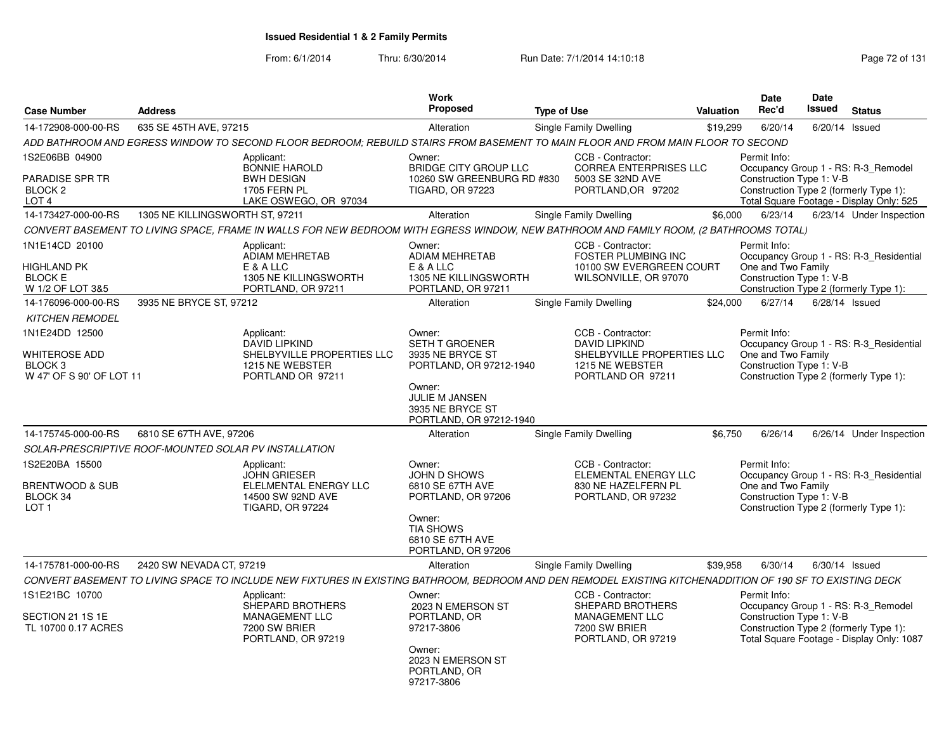From: 6/1/2014

|                                                                              |                                 |                                                                                                                                                            | Work                                                                                                         |                                                                                                      |           | <b>Date</b>                                                                                              | <b>Date</b>      |                                                                                   |
|------------------------------------------------------------------------------|---------------------------------|------------------------------------------------------------------------------------------------------------------------------------------------------------|--------------------------------------------------------------------------------------------------------------|------------------------------------------------------------------------------------------------------|-----------|----------------------------------------------------------------------------------------------------------|------------------|-----------------------------------------------------------------------------------|
| <b>Case Number</b>                                                           | <b>Address</b>                  |                                                                                                                                                            | Proposed                                                                                                     | <b>Type of Use</b>                                                                                   | Valuation | Rec'd                                                                                                    | <b>Issued</b>    | <b>Status</b>                                                                     |
| 14-172908-000-00-RS                                                          | 635 SE 45TH AVE, 97215          |                                                                                                                                                            | Alteration                                                                                                   | Single Family Dwelling                                                                               | \$19,299  | 6/20/14                                                                                                  | 6/20/14          | Issued                                                                            |
|                                                                              |                                 | ADD BATHROOM AND EGRESS WINDOW TO SECOND FLOOR BEDROOM: REBUILD STAIRS FROM BASEMENT TO MAIN FLOOR AND FROM MAIN FLOOR TO SECOND                           |                                                                                                              |                                                                                                      |           |                                                                                                          |                  |                                                                                   |
| 1S2E06BB 04900<br><b>PARADISE SPR TR</b><br>BLOCK 2<br>LOT <sub>4</sub>      |                                 | Applicant:<br><b>BONNIE HAROLD</b><br><b>BWH DESIGN</b><br><b>1705 FERN PL</b><br>LAKE OSWEGO, OR 97034                                                    | Owner:<br><b>BRIDGE CITY GROUP LLC</b><br>10260 SW GREENBURG RD #830<br><b>TIGARD, OR 97223</b>              | CCB - Contractor:<br><b>CORREA ENTERPRISES LLC</b><br>5003 SE 32ND AVE<br>PORTLAND, OR 97202         |           | Permit Info:<br>Construction Type 1: V-B<br>Construction Type 2 (formerly Type 1):                       |                  | Occupancy Group 1 - RS: R-3_Remodel<br>Total Square Footage - Display Only: 525   |
| 14-173427-000-00-RS                                                          | 1305 NE KILLINGSWORTH ST, 97211 |                                                                                                                                                            | Alteration                                                                                                   | <b>Single Family Dwelling</b>                                                                        | \$6,000   | 6/23/14                                                                                                  |                  | 6/23/14 Under Inspection                                                          |
|                                                                              |                                 | CONVERT BASEMENT TO LIVING SPACE, FRAME IN WALLS FOR NEW BEDROOM WITH EGRESS WINDOW, NEW BATHROOM AND FAMILY ROOM, (2 BATHROOMS TOTAL)                     |                                                                                                              |                                                                                                      |           |                                                                                                          |                  |                                                                                   |
| 1N1E14CD 20100<br>HIGHLAND PK<br><b>BLOCK E</b><br>W 1/2 OF LOT 3&5          |                                 | Applicant:<br><b>ADIAM MEHRETAB</b><br>E & A LLC<br>1305 NE KILLINGSWORTH<br>PORTLAND, OR 97211                                                            | Owner:<br><b>ADIAM MEHRETAB</b><br>E & A LLC<br>1305 NE KILLINGSWORTH<br>PORTLAND, OR 97211                  | CCB - Contractor:<br><b>FOSTER PLUMBING INC</b><br>10100 SW EVERGREEN COURT<br>WILSONVILLE, OR 97070 |           | Permit Info:<br>One and Two Family<br>Construction Type 1: V-B                                           |                  | Occupancy Group 1 - RS: R-3_Residential<br>Construction Type 2 (formerly Type 1): |
| 14-176096-000-00-RS                                                          | 3935 NE BRYCE ST, 97212         |                                                                                                                                                            | Alteration                                                                                                   | Single Family Dwelling                                                                               | \$24,000  | 6/27/14                                                                                                  | $6/28/14$ Issued |                                                                                   |
| <b>KITCHEN REMODEL</b>                                                       |                                 |                                                                                                                                                            |                                                                                                              |                                                                                                      |           |                                                                                                          |                  |                                                                                   |
| 1N1E24DD 12500                                                               |                                 | Applicant:                                                                                                                                                 | Owner:                                                                                                       | CCB - Contractor:                                                                                    |           | Permit Info:                                                                                             |                  |                                                                                   |
| WHITEROSE ADD<br>BLOCK <sub>3</sub><br>W 47' OF S 90' OF LOT 11              |                                 | <b>DAVID LIPKIND</b><br>SHELBYVILLE PROPERTIES LLC<br>1215 NE WEBSTER<br>PORTLAND OR 97211                                                                 | <b>SETH T GROENER</b><br>3935 NE BRYCE ST<br>PORTLAND, OR 97212-1940<br>Owner:<br>JULIE M JANSEN             | <b>DAVID LIPKIND</b><br>SHELBYVILLE PROPERTIES LLC<br>1215 NE WEBSTER<br>PORTLAND OR 97211           |           | One and Two Family<br>Construction Type 1: V-B<br>Construction Type 2 (formerly Type 1):                 |                  | Occupancy Group 1 - RS: R-3 Residential                                           |
|                                                                              |                                 |                                                                                                                                                            | 3935 NE BRYCE ST<br>PORTLAND, OR 97212-1940                                                                  |                                                                                                      |           |                                                                                                          |                  |                                                                                   |
| 14-175745-000-00-RS                                                          | 6810 SE 67TH AVE, 97206         |                                                                                                                                                            | Alteration                                                                                                   | <b>Single Family Dwelling</b>                                                                        | \$6,750   | 6/26/14                                                                                                  |                  | 6/26/14 Under Inspection                                                          |
| SOLAR-PRESCRIPTIVE ROOF-MOUNTED SOLAR PV INSTALLATION                        |                                 |                                                                                                                                                            |                                                                                                              |                                                                                                      |           |                                                                                                          |                  |                                                                                   |
| 1S2E20BA 15500<br><b>BRENTWOOD &amp; SUB</b><br>BLOCK 34<br>LOT <sub>1</sub> |                                 | Applicant:<br><b>JOHN GRIESER</b><br>ELELMENTAL ENERGY LLC<br>14500 SW 92ND AVE<br><b>TIGARD, OR 97224</b>                                                 | Owner:<br>JOHN D SHOWS<br>6810 SE 67TH AVE<br>PORTLAND, OR 97206<br>Owner:<br><b>TIA SHOWS</b>               | CCB - Contractor:<br>ELEMENTAL ENERGY LLC<br>830 NE HAZELFERN PL<br>PORTLAND, OR 97232               |           | Permit Info:<br>One and Two Family<br>Construction Type 1: V-B<br>Construction Type 2 (formerly Type 1): |                  | Occupancy Group 1 - RS: R-3_Residential                                           |
|                                                                              |                                 |                                                                                                                                                            | 6810 SE 67TH AVE<br>PORTLAND, OR 97206                                                                       |                                                                                                      |           |                                                                                                          |                  |                                                                                   |
| 14-175781-000-00-RS                                                          | 2420 SW NEVADA CT, 97219        |                                                                                                                                                            | Alteration                                                                                                   | Single Family Dwelling                                                                               | \$39,958  | 6/30/14                                                                                                  | 6/30/14 Issued   |                                                                                   |
|                                                                              |                                 | CONVERT BASEMENT TO LIVING SPACE TO INCLUDE NEW FIXTURES IN EXISTING BATHROOM, BEDROOM AND DEN REMODEL EXISTING KITCHENADDITION OF 190 SF TO EXISTING DECK |                                                                                                              |                                                                                                      |           |                                                                                                          |                  |                                                                                   |
| 1S1E21BC 10700                                                               |                                 | Applicant:                                                                                                                                                 | Owner:                                                                                                       | CCB - Contractor:                                                                                    |           | Permit Info:                                                                                             |                  |                                                                                   |
| SECTION 21 1S 1E<br>TL 10700 0.17 ACRES                                      |                                 | SHEPARD BROTHERS<br>MANAGEMENT LLC<br>7200 SW BRIER<br>PORTLAND, OR 97219                                                                                  | 2023 N EMERSON ST<br>PORTLAND, OR<br>97217-3806<br>Owner:<br>2023 N EMERSON ST<br>PORTLAND, OR<br>97217-3806 | <b>SHEPARD BROTHERS</b><br>MANAGEMENT LLC<br>7200 SW BRIER<br>PORTLAND, OR 97219                     |           | Construction Type 1: V-B<br>Construction Type 2 (formerly Type 1):                                       |                  | Occupancy Group 1 - RS: R-3_Remodel<br>Total Square Footage - Display Only: 1087  |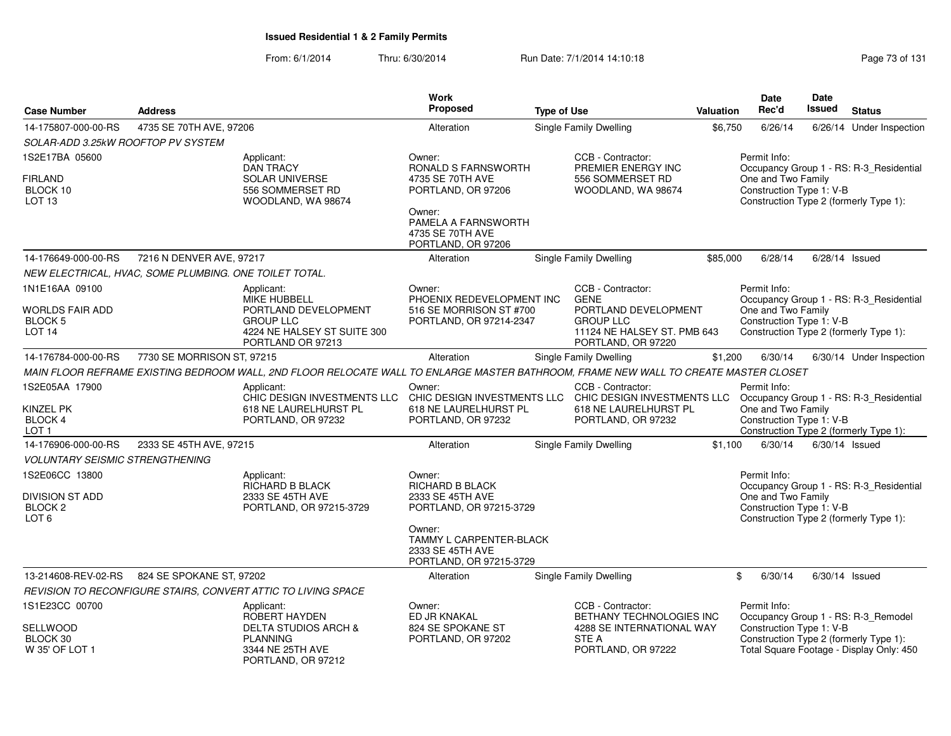|                                        |                                                        |                                                                                                                                      | <b>Work</b>                                                       |                    |                                          |           | <b>Date</b>                                    | Date          |                                                                                    |
|----------------------------------------|--------------------------------------------------------|--------------------------------------------------------------------------------------------------------------------------------------|-------------------------------------------------------------------|--------------------|------------------------------------------|-----------|------------------------------------------------|---------------|------------------------------------------------------------------------------------|
| <b>Case Number</b>                     | <b>Address</b>                                         |                                                                                                                                      | Proposed                                                          | <b>Type of Use</b> |                                          | Valuation | Rec'd                                          | <b>Issued</b> | <b>Status</b>                                                                      |
| 14-175807-000-00-RS                    | 4735 SE 70TH AVE, 97206                                |                                                                                                                                      | Alteration                                                        |                    | Single Family Dwelling                   | \$6,750   | 6/26/14                                        |               | 6/26/14 Under Inspection                                                           |
| SOLAR-ADD 3.25kW ROOFTOP PV SYSTEM     |                                                        |                                                                                                                                      |                                                                   |                    |                                          |           |                                                |               |                                                                                    |
| 1S2E17BA 05600                         |                                                        | Applicant:                                                                                                                           | Owner:                                                            |                    | CCB - Contractor:                        |           | Permit Info:                                   |               |                                                                                    |
| <b>FIRLAND</b>                         |                                                        | <b>DAN TRACY</b><br><b>SOLAR UNIVERSE</b>                                                                                            | RONALD S FARNSWORTH<br>4735 SE 70TH AVE                           |                    | PREMIER ENERGY INC<br>556 SOMMERSET RD   |           | One and Two Family                             |               | Occupancy Group 1 - RS: R-3_Residential                                            |
| BLOCK 10                               |                                                        | 556 SOMMERSET RD                                                                                                                     | PORTLAND, OR 97206                                                |                    | WOODLAND, WA 98674                       |           | Construction Type 1: V-B                       |               |                                                                                    |
| LOT 13                                 |                                                        | WOODLAND, WA 98674                                                                                                                   | Owner:                                                            |                    |                                          |           |                                                |               | Construction Type 2 (formerly Type 1):                                             |
|                                        |                                                        |                                                                                                                                      | PAMELA A FARNSWORTH                                               |                    |                                          |           |                                                |               |                                                                                    |
|                                        |                                                        |                                                                                                                                      | 4735 SE 70TH AVE<br>PORTLAND, OR 97206                            |                    |                                          |           |                                                |               |                                                                                    |
| 14-176649-000-00-RS                    | 7216 N DENVER AVE, 97217                               |                                                                                                                                      | Alteration                                                        |                    | Single Family Dwelling                   | \$85,000  | 6/28/14                                        |               | $6/28/14$ Issued                                                                   |
|                                        | NEW ELECTRICAL, HVAC, SOME PLUMBING. ONE TOILET TOTAL. |                                                                                                                                      |                                                                   |                    |                                          |           |                                                |               |                                                                                    |
| 1N1E16AA 09100                         |                                                        | Applicant:                                                                                                                           | Owner:                                                            |                    | CCB - Contractor:                        |           | Permit Info:                                   |               |                                                                                    |
|                                        |                                                        | <b>MIKE HUBBELL</b>                                                                                                                  | PHOENIX REDEVELOPMENT INC                                         |                    | <b>GENE</b>                              |           |                                                |               | Occupancy Group 1 - RS: R-3_Residential                                            |
| WORLDS FAIR ADD<br><b>BLOCK 5</b>      |                                                        | PORTLAND DEVELOPMENT<br><b>GROUP LLC</b>                                                                                             | 516 SE MORRISON ST #700<br>PORTLAND, OR 97214-2347                |                    | PORTLAND DEVELOPMENT<br><b>GROUP LLC</b> |           | One and Two Family<br>Construction Type 1: V-B |               |                                                                                    |
| LOT <sub>14</sub>                      |                                                        | 4224 NE HALSEY ST SUITE 300                                                                                                          |                                                                   |                    | 11124 NE HALSEY ST. PMB 643              |           |                                                |               | Construction Type 2 (formerly Type 1):                                             |
|                                        |                                                        | PORTLAND OR 97213                                                                                                                    |                                                                   |                    | PORTLAND, OR 97220                       |           |                                                |               |                                                                                    |
| 14-176784-000-00-RS                    | 7730 SE MORRISON ST, 97215                             |                                                                                                                                      | Alteration                                                        |                    | Single Family Dwelling                   | \$1,200   | 6/30/14                                        |               | 6/30/14 Under Inspection                                                           |
|                                        |                                                        | MAIN FLOOR REFRAME EXISTING BEDROOM WALL, 2ND FLOOR RELOCATE WALL TO ENLARGE MASTER BATHROOM, FRAME NEW WALL TO CREATE MASTER CLOSET |                                                                   |                    |                                          |           |                                                |               |                                                                                    |
| 1S2E05AA 17900                         |                                                        | Applicant:<br>CHIC DESIGN INVESTMENTS LLC                                                                                            | Owner:<br>CHIC DESIGN INVESTMENTS LLC CHIC DESIGN INVESTMENTS LLC |                    | CCB - Contractor:                        |           | Permit Info:                                   |               | Occupancy Group 1 - RS: R-3_Residential                                            |
| KINZEL PK                              |                                                        | 618 NE LAURELHURST PL                                                                                                                | 618 NE LAURELHURST PL                                             |                    | 618 NE LAURELHURST PL                    |           | One and Two Family                             |               |                                                                                    |
| BLOCK 4<br>LOT <sub>1</sub>            |                                                        | PORTLAND, OR 97232                                                                                                                   | PORTLAND, OR 97232                                                |                    | PORTLAND, OR 97232                       |           | Construction Type 1: V-B                       |               | Construction Type 2 (formerly Type 1):                                             |
| 14-176906-000-00-RS                    | 2333 SE 45TH AVE, 97215                                |                                                                                                                                      | Alteration                                                        |                    | Single Family Dwelling                   | \$1,100   | 6/30/14                                        |               | $6/30/14$ Issued                                                                   |
| <b>VOLUNTARY SEISMIC STRENGTHENING</b> |                                                        |                                                                                                                                      |                                                                   |                    |                                          |           |                                                |               |                                                                                    |
| 1S2E06CC 13800                         |                                                        | Applicant:                                                                                                                           | Owner:                                                            |                    |                                          |           | Permit Info:                                   |               |                                                                                    |
| <b>DIVISION ST ADD</b>                 |                                                        | RICHARD B BLACK<br>2333 SE 45TH AVE                                                                                                  | RICHARD B BLACK<br>2333 SE 45TH AVE                               |                    |                                          |           | One and Two Family                             |               | Occupancy Group 1 - RS: R-3_Residential                                            |
| BLOCK <sub>2</sub>                     |                                                        | PORTLAND, OR 97215-3729                                                                                                              | PORTLAND, OR 97215-3729                                           |                    |                                          |           | Construction Type 1: V-B                       |               |                                                                                    |
| LOT <sub>6</sub>                       |                                                        |                                                                                                                                      | Owner:                                                            |                    |                                          |           |                                                |               | Construction Type 2 (formerly Type 1):                                             |
|                                        |                                                        |                                                                                                                                      | <b>TAMMY L CARPENTER-BLACK</b>                                    |                    |                                          |           |                                                |               |                                                                                    |
|                                        |                                                        |                                                                                                                                      | 2333 SE 45TH AVE                                                  |                    |                                          |           |                                                |               |                                                                                    |
| 13-214608-REV-02-RS                    | 824 SE SPOKANE ST, 97202                               |                                                                                                                                      | PORTLAND, OR 97215-3729<br>Alteration                             |                    | <b>Single Family Dwelling</b>            |           | 6/30/14<br>\$                                  |               | $6/30/14$ Issued                                                                   |
|                                        |                                                        | REVISION TO RECONFIGURE STAIRS, CONVERT ATTIC TO LIVING SPACE                                                                        |                                                                   |                    |                                          |           |                                                |               |                                                                                    |
| 1S1E23CC 00700                         |                                                        | Applicant:                                                                                                                           | Owner:                                                            |                    | CCB - Contractor:                        |           | Permit Info:                                   |               |                                                                                    |
|                                        |                                                        | ROBERT HAYDEN                                                                                                                        | ED JR KNAKAL                                                      |                    | BETHANY TECHNOLOGIES INC                 |           |                                                |               | Occupancy Group 1 - RS: R-3_Remodel                                                |
| SELLWOOD                               |                                                        | <b>DELTA STUDIOS ARCH &amp;</b>                                                                                                      | 824 SE SPOKANE ST                                                 |                    | 4288 SE INTERNATIONAL WAY                |           | Construction Type 1: V-B                       |               |                                                                                    |
| BLOCK 30<br>W 35' OF LOT 1             |                                                        | <b>PLANNING</b><br>3344 NE 25TH AVE                                                                                                  | PORTLAND, OR 97202                                                |                    | STE A<br>PORTLAND, OR 97222              |           |                                                |               | Construction Type 2 (formerly Type 1):<br>Total Square Footage - Display Only: 450 |
|                                        |                                                        | PORTLAND, OR 97212                                                                                                                   |                                                                   |                    |                                          |           |                                                |               |                                                                                    |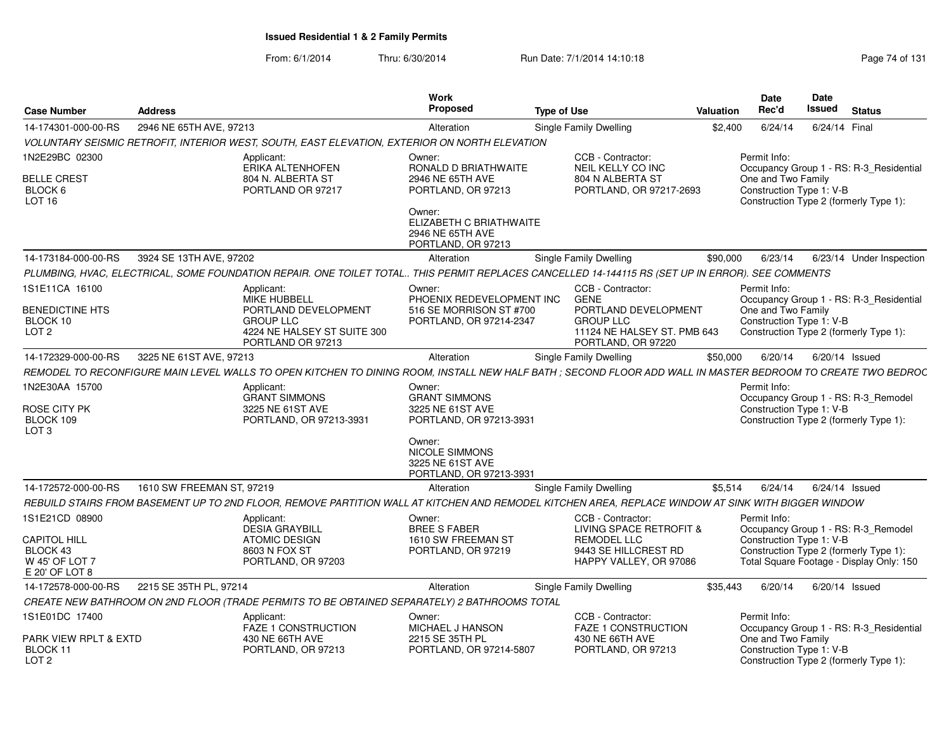| <b>Case Number</b>                                                  | <b>Address</b>            |                                                                                                                                                             | Work<br><b>Proposed</b>                                                        | <b>Type of Use</b> |                                                                                              | <b>Valuation</b> | Date<br>Rec'd                                                                            | <b>Date</b><br>Issued | <b>Status</b>                            |
|---------------------------------------------------------------------|---------------------------|-------------------------------------------------------------------------------------------------------------------------------------------------------------|--------------------------------------------------------------------------------|--------------------|----------------------------------------------------------------------------------------------|------------------|------------------------------------------------------------------------------------------|-----------------------|------------------------------------------|
| 14-174301-000-00-RS                                                 | 2946 NE 65TH AVE, 97213   |                                                                                                                                                             | Alteration                                                                     |                    | Single Family Dwelling                                                                       | \$2,400          | 6/24/14                                                                                  | 6/24/14 Final         |                                          |
|                                                                     |                           | VOLUNTARY SEISMIC RETROFIT, INTERIOR WEST, SOUTH, EAST ELEVATION, EXTERIOR ON NORTH ELEVATION                                                               |                                                                                |                    |                                                                                              |                  |                                                                                          |                       |                                          |
| 1N2E29BC 02300<br><b>BELLE CREST</b><br>BLOCK 6                     |                           | Applicant:<br>ERIKA ALTENHOFEN<br>804 N. ALBERTA ST<br>PORTLAND OR 97217                                                                                    | Owner:<br>RONALD D BRIATHWAITE<br>2946 NE 65TH AVE<br>PORTLAND, OR 97213       |                    | CCB - Contractor:<br><b>NEIL KELLY CO INC</b><br>804 N ALBERTA ST<br>PORTLAND, OR 97217-2693 |                  | Permit Info:<br>One and Two Family<br>Construction Type 1: V-B                           |                       | Occupancy Group 1 - RS: R-3 Residential  |
| LOT <sub>16</sub>                                                   |                           |                                                                                                                                                             | Owner:<br>ELIZABETH C BRIATHWAITE<br>2946 NE 65TH AVE<br>PORTLAND, OR 97213    |                    |                                                                                              |                  | Construction Type 2 (formerly Type 1):                                                   |                       |                                          |
| 14-173184-000-00-RS                                                 | 3924 SE 13TH AVE, 97202   |                                                                                                                                                             | Alteration                                                                     |                    | Single Family Dwelling                                                                       | \$90,000         | 6/23/14                                                                                  |                       | 6/23/14 Under Inspection                 |
|                                                                     |                           | PLUMBING, HVAC, ELECTRICAL, SOME FOUNDATION REPAIR. ONE TOILET TOTAL THIS PERMIT REPLACES CANCELLED 14-144115 RS (SET UP IN ERROR). SEE COMMENTS            |                                                                                |                    |                                                                                              |                  |                                                                                          |                       |                                          |
| 1S1E11CA 16100                                                      |                           | Applicant:<br><b>MIKE HUBBELL</b>                                                                                                                           | Owner:<br>PHOENIX REDEVELOPMENT INC                                            |                    | CCB - Contractor:<br><b>GENE</b>                                                             |                  | Permit Info:                                                                             |                       | Occupancy Group 1 - RS: R-3 Residential  |
| <b>BENEDICTINE HTS</b>                                              |                           | PORTLAND DEVELOPMENT                                                                                                                                        | 516 SE MORRISON ST #700                                                        |                    | PORTLAND DEVELOPMENT                                                                         |                  | One and Two Family                                                                       |                       |                                          |
| BLOCK 10<br>LOT <sub>2</sub>                                        |                           | <b>GROUP LLC</b><br>4224 NE HALSEY ST SUITE 300                                                                                                             | PORTLAND, OR 97214-2347                                                        |                    | <b>GROUP LLC</b><br>11124 NE HALSEY ST. PMB 643                                              |                  | Construction Type 1: V-B<br>Construction Type 2 (formerly Type 1):                       |                       |                                          |
|                                                                     |                           | PORTLAND OR 97213                                                                                                                                           |                                                                                |                    | PORTLAND, OR 97220                                                                           |                  |                                                                                          |                       |                                          |
| 14-172329-000-00-RS                                                 | 3225 NE 61ST AVE, 97213   |                                                                                                                                                             | Alteration                                                                     |                    | Single Family Dwelling                                                                       | \$50,000         | 6/20/14                                                                                  | 6/20/14 Issued        |                                          |
|                                                                     |                           | REMODEL TO RECONFIGURE MAIN LEVEL WALLS TO OPEN KITCHEN TO DINING ROOM, INSTALL NEW HALF BATH; SECOND FLOOR ADD WALL IN MASTER BEDROOM TO CREATE TWO BEDROC |                                                                                |                    |                                                                                              |                  |                                                                                          |                       |                                          |
| 1N2E30AA 15700                                                      |                           | Applicant:<br><b>GRANT SIMMONS</b>                                                                                                                          | Owner:<br><b>GRANT SIMMONS</b>                                                 |                    |                                                                                              |                  | Permit Info:                                                                             |                       | Occupancy Group 1 - RS: R-3_Remodel      |
| ROSE CITY PK<br>BLOCK 109<br>LOT <sub>3</sub>                       |                           | 3225 NE 61ST AVE<br>PORTLAND, OR 97213-3931                                                                                                                 | 3225 NE 61ST AVE<br>PORTLAND, OR 97213-3931                                    |                    |                                                                                              |                  | Construction Type 1: V-B<br>Construction Type 2 (formerly Type 1):                       |                       |                                          |
|                                                                     |                           |                                                                                                                                                             | Owner:<br><b>NICOLE SIMMONS</b><br>3225 NE 61ST AVE<br>PORTLAND, OR 97213-3931 |                    |                                                                                              |                  |                                                                                          |                       |                                          |
| 14-172572-000-00-RS                                                 | 1610 SW FREEMAN ST, 97219 |                                                                                                                                                             | Alteration                                                                     |                    | Single Family Dwelling                                                                       | \$5,514          | 6/24/14                                                                                  | $6/24/14$ Issued      |                                          |
|                                                                     |                           | REBUILD STAIRS FROM BASEMENT UP TO 2ND FLOOR. REMOVE PARTITION WALL AT KITCHEN AND REMODEL KITCHEN AREA. REPLACE WINDOW AT SINK WITH BIGGER WINDOW          |                                                                                |                    |                                                                                              |                  |                                                                                          |                       |                                          |
| 1S1E21CD 08900                                                      |                           | Applicant:<br><b>DESIA GRAYBILL</b>                                                                                                                         | Owner:<br><b>BREE S FABER</b>                                                  |                    | CCB - Contractor:<br>LIVING SPACE RETROFIT &                                                 |                  | Permit Info:                                                                             |                       | Occupancy Group 1 - RS: R-3 Remodel      |
| <b>CAPITOL HILL</b><br>BLOCK 43<br>W 45' OF LOT 7<br>E 20' OF LOT 8 |                           | <b>ATOMIC DESIGN</b><br>8603 N FOX ST<br>PORTLAND, OR 97203                                                                                                 | 1610 SW FREEMAN ST<br>PORTLAND, OR 97219                                       |                    | <b>REMODEL LLC</b><br>9443 SE HILLCREST RD<br>HAPPY VALLEY, OR 97086                         |                  | Construction Type 1: V-B<br>Construction Type 2 (formerly Type 1):                       |                       | Total Square Footage - Display Only: 150 |
| 14-172578-000-00-RS                                                 | 2215 SE 35TH PL, 97214    |                                                                                                                                                             | Alteration                                                                     |                    | Single Family Dwelling                                                                       | \$35,443         | 6/20/14                                                                                  | 6/20/14 Issued        |                                          |
|                                                                     |                           | CREATE NEW BATHROOM ON 2ND FLOOR (TRADE PERMITS TO BE OBTAINED SEPARATELY) 2 BATHROOMS TOTAL                                                                |                                                                                |                    |                                                                                              |                  |                                                                                          |                       |                                          |
| 1S1E01DC 17400                                                      |                           | Applicant:<br>FAZE 1 CONSTRUCTION                                                                                                                           | Owner:<br><b>MICHAEL J HANSON</b>                                              |                    | CCB - Contractor:<br><b>FAZE 1 CONSTRUCTION</b>                                              |                  | Permit Info:                                                                             |                       | Occupancy Group 1 - RS: R-3_Residential  |
| PARK VIEW RPLT & EXTD<br>BLOCK 11<br>LOT <sub>2</sub>               |                           | 430 NE 66TH AVE<br>PORTLAND, OR 97213                                                                                                                       | 2215 SE 35TH PL<br>PORTLAND, OR 97214-5807                                     |                    | 430 NE 66TH AVE<br>PORTLAND, OR 97213                                                        |                  | One and Two Family<br>Construction Type 1: V-B<br>Construction Type 2 (formerly Type 1): |                       |                                          |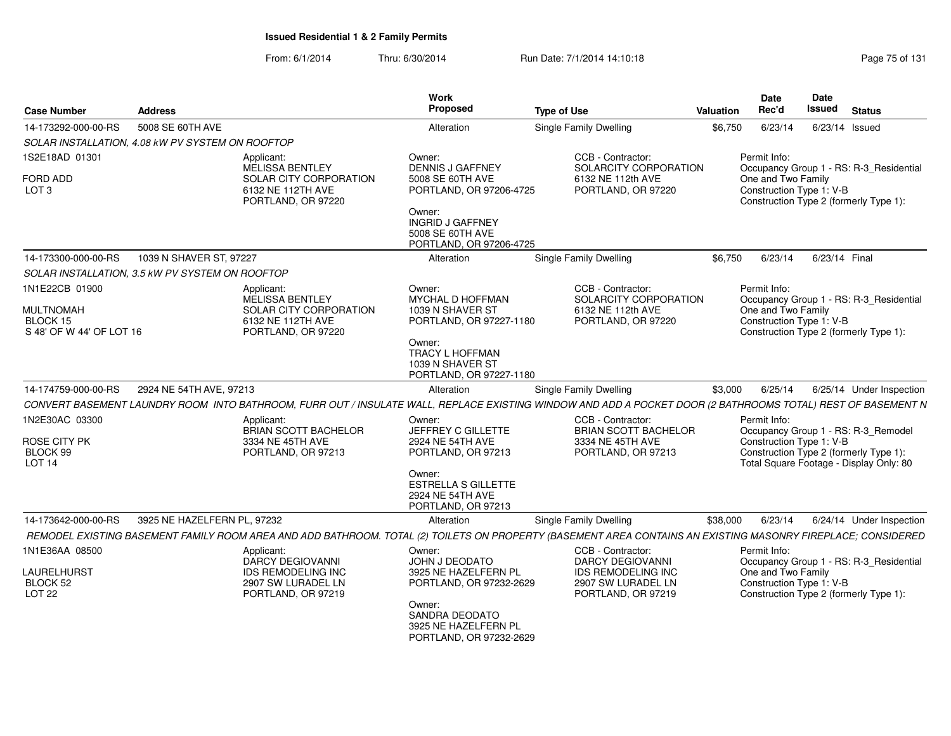| <b>Case Number</b><br><b>Address</b>                                       |                             |                                                                                                                                                              | Work<br>Proposed                                                                                                                                             | <b>Type of Use</b>                                                                         | <b>Valuation</b> | Date<br>Rec'd                                                  | Date<br><b>Issued</b> | <b>Status</b>                                                                                                            |
|----------------------------------------------------------------------------|-----------------------------|--------------------------------------------------------------------------------------------------------------------------------------------------------------|--------------------------------------------------------------------------------------------------------------------------------------------------------------|--------------------------------------------------------------------------------------------|------------------|----------------------------------------------------------------|-----------------------|--------------------------------------------------------------------------------------------------------------------------|
| 14-173292-000-00-RS                                                        | 5008 SE 60TH AVE            |                                                                                                                                                              | Alteration                                                                                                                                                   | <b>Single Family Dwelling</b>                                                              | \$6,750          | 6/23/14                                                        | $6/23/14$ Issued      |                                                                                                                          |
| SOLAR INSTALLATION, 4.08 kW PV SYSTEM ON ROOFTOP                           |                             |                                                                                                                                                              |                                                                                                                                                              |                                                                                            |                  |                                                                |                       |                                                                                                                          |
| 1S2E18AD 01301                                                             |                             | Applicant:<br>MELISSA BENTLEY                                                                                                                                | Owner:<br><b>DENNIS J GAFFNEY</b>                                                                                                                            | CCB - Contractor:<br>SOLARCITY CORPORATION                                                 |                  | Permit Info:                                                   |                       | Occupancy Group 1 - RS: R-3_Residential                                                                                  |
| <b>FORD ADD</b><br>LOT <sub>3</sub>                                        |                             | SOLAR CITY CORPORATION<br>6132 NE 112TH AVE<br>PORTLAND, OR 97220                                                                                            | 5008 SE 60TH AVE<br>PORTLAND, OR 97206-4725<br>Owner:<br><b>INGRID J GAFFNEY</b><br>5008 SE 60TH AVE<br>PORTLAND, OR 97206-4725                              | 6132 NE 112th AVE<br>PORTLAND, OR 97220                                                    |                  | One and Two Family<br>Construction Type 1: V-B                 |                       | Construction Type 2 (formerly Type 1):                                                                                   |
| 14-173300-000-00-RS                                                        | 1039 N SHAVER ST, 97227     |                                                                                                                                                              | Alteration                                                                                                                                                   | Single Family Dwelling                                                                     | \$6,750          | 6/23/14                                                        | 6/23/14 Final         |                                                                                                                          |
| SOLAR INSTALLATION, 3.5 KW PV SYSTEM ON ROOFTOP                            |                             |                                                                                                                                                              |                                                                                                                                                              |                                                                                            |                  |                                                                |                       |                                                                                                                          |
| 1N1E22CB 01900<br><b>MULTNOMAH</b><br>BLOCK 15<br>S 48' OF W 44' OF LOT 16 |                             | Applicant:<br>MELISSA BENTLEY<br><b>SOLAR CITY CORPORATION</b><br>6132 NE 112TH AVE<br>PORTLAND, OR 97220                                                    | Owner:<br><b>MYCHAL D HOFFMAN</b><br>1039 N SHAVER ST<br>PORTLAND, OR 97227-1180<br>Owner:<br>TRACY L HOFFMAN<br>1039 N SHAVER ST<br>PORTLAND, OR 97227-1180 | CCB - Contractor:<br>SOLARCITY CORPORATION<br>6132 NE 112th AVE<br>PORTLAND, OR 97220      |                  | Permit Info:<br>One and Two Family<br>Construction Type 1: V-B |                       | Occupancy Group 1 - RS: R-3_Residential<br>Construction Type 2 (formerly Type 1):                                        |
| 14-174759-000-00-RS                                                        | 2924 NE 54TH AVE, 97213     |                                                                                                                                                              | Alteration                                                                                                                                                   | Single Family Dwelling                                                                     | \$3,000          | 6/25/14                                                        |                       | 6/25/14 Under Inspection                                                                                                 |
|                                                                            |                             | CONVERT BASEMENT LAUNDRY ROOM INTO BATHROOM, FURR OUT / INSULATE WALL, REPLACE EXISTING WINDOW AND ADD A POCKET DOOR (2 BATHROOMS TOTAL) REST OF BASEMENT N  |                                                                                                                                                              |                                                                                            |                  |                                                                |                       |                                                                                                                          |
| 1N2E30AC 03300<br>ROSE CITY PK<br>BLOCK 99<br>LOT <sub>14</sub>            |                             | Applicant:<br><b>BRIAN SCOTT BACHELOR</b><br>3334 NE 45TH AVE<br>PORTLAND, OR 97213                                                                          | Owner:<br>JEFFREY C GILLETTE<br>2924 NE 54TH AVE<br>PORTLAND, OR 97213                                                                                       | CCB - Contractor:<br><b>BRIAN SCOTT BACHELOR</b><br>3334 NE 45TH AVE<br>PORTLAND, OR 97213 |                  | Permit Info:<br>Construction Type 1: V-B                       |                       | Occupancy Group 1 - RS: R-3_Remodel<br>Construction Type 2 (formerly Type 1):<br>Total Square Footage - Display Only: 80 |
|                                                                            |                             |                                                                                                                                                              | Owner:<br><b>ESTRELLA S GILLETTE</b><br>2924 NE 54TH AVE<br>PORTLAND, OR 97213                                                                               |                                                                                            |                  |                                                                |                       |                                                                                                                          |
| 14-173642-000-00-RS                                                        | 3925 NE HAZELFERN PL, 97232 |                                                                                                                                                              | Alteration                                                                                                                                                   | <b>Single Family Dwelling</b>                                                              | \$38,000         | 6/23/14                                                        |                       | 6/24/14 Under Inspection                                                                                                 |
|                                                                            |                             | REMODEL EXISTING BASEMENT FAMILY ROOM AREA AND ADD BATHROOM. TOTAL (2) TOILETS ON PROPERTY (BASEMENT AREA CONTAINS AN EXISTING MASONRY FIREPLACE; CONSIDERED |                                                                                                                                                              |                                                                                            |                  |                                                                |                       |                                                                                                                          |
| 1N1E36AA 08500                                                             |                             | Applicant:<br><b>DARCY DEGIOVANNI</b>                                                                                                                        | Owner:<br>JOHN J DEODATO                                                                                                                                     | CCB - Contractor:<br><b>DARCY DEGIOVANNI</b>                                               |                  | Permit Info:                                                   |                       | Occupancy Group 1 - RS: R-3_Residential                                                                                  |
| LAURELHURST<br>BLOCK 52<br><b>LOT 22</b>                                   |                             | IDS REMODELING INC<br>2907 SW LURADEL LN<br>PORTLAND, OR 97219                                                                                               | 3925 NE HAZELFERN PL<br>PORTLAND, OR 97232-2629<br>Owner:<br>SANDRA DEODATO<br>3925 NE HAZELFERN PL                                                          | <b>IDS REMODELING INC</b><br>2907 SW LURADEL LN<br>PORTLAND, OR 97219                      |                  | One and Two Family<br>Construction Type 1: V-B                 |                       | Construction Type 2 (formerly Type 1):                                                                                   |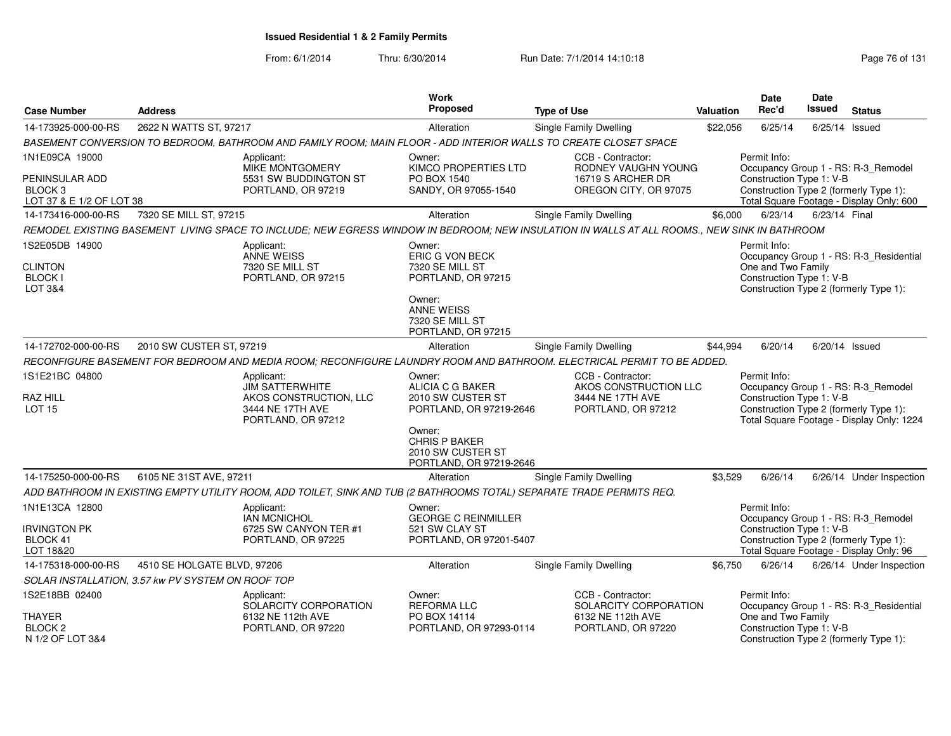| <b>Case Number</b>                                                                 | <b>Address</b>                                    |                                                                                                                       | Work<br>Proposed                                                                                                                           | <b>Type of Use</b>                                                                                                                           | Valuation | Date<br>Rec'd                                                  | Date<br><b>Issued</b> | <b>Status</b>                                                                                                              |
|------------------------------------------------------------------------------------|---------------------------------------------------|-----------------------------------------------------------------------------------------------------------------------|--------------------------------------------------------------------------------------------------------------------------------------------|----------------------------------------------------------------------------------------------------------------------------------------------|-----------|----------------------------------------------------------------|-----------------------|----------------------------------------------------------------------------------------------------------------------------|
| 14-173925-000-00-RS                                                                | 2622 N WATTS ST, 97217                            |                                                                                                                       | Alteration                                                                                                                                 | Single Family Dwelling                                                                                                                       | \$22,056  | 6/25/14                                                        |                       | $6/25/14$ Issued                                                                                                           |
|                                                                                    |                                                   | BASEMENT CONVERSION TO BEDROOM, BATHROOM AND FAMILY ROOM; MAIN FLOOR - ADD INTERIOR WALLS TO CREATE CLOSET SPACE      |                                                                                                                                            |                                                                                                                                              |           |                                                                |                       |                                                                                                                            |
| 1N1E09CA 19000<br>PENINSULAR ADD<br>BLOCK <sub>3</sub><br>LOT 37 & E 1/2 OF LOT 38 |                                                   | Applicant:<br><b>MIKE MONTGOMERY</b><br>5531 SW BUDDINGTON ST<br>PORTLAND, OR 97219                                   | Owner:<br><b>KIMCO PROPERTIES LTD</b><br>PO BOX 1540<br>SANDY, OR 97055-1540                                                               | CCB - Contractor:<br>RODNEY VAUGHN YOUNG<br>16719 S ARCHER DR<br>OREGON CITY, OR 97075                                                       |           | Permit Info:<br>Construction Type 1: V-B                       |                       | Occupancy Group 1 - RS: R-3_Remodel<br>Construction Type 2 (formerly Type 1):<br>Total Square Footage - Display Only: 600  |
| 14-173416-000-00-RS                                                                | 7320 SE MILL ST, 97215                            |                                                                                                                       | Alteration                                                                                                                                 | Single Family Dwelling                                                                                                                       | \$6,000   | 6/23/14                                                        | 6/23/14 Final         |                                                                                                                            |
|                                                                                    |                                                   |                                                                                                                       |                                                                                                                                            | REMODEL EXISTING BASEMENT LIVING SPACE TO INCLUDE; NEW EGRESS WINDOW IN BEDROOM; NEW INSULATION IN WALLS AT ALL ROOMS., NEW SINK IN BATHROOM |           |                                                                |                       |                                                                                                                            |
| 1S2E05DB 14900<br><b>CLINTON</b><br><b>BLOCK I</b><br>LOT 3&4                      |                                                   | Applicant:<br>ANNE WEISS<br>7320 SE MILL ST<br>PORTLAND, OR 97215                                                     | Owner:<br>ERIC G VON BECK<br>7320 SE MILL ST<br>PORTLAND, OR 97215<br>Owner:<br><b>ANNE WEISS</b><br>7320 SE MILL ST<br>PORTLAND, OR 97215 |                                                                                                                                              |           | Permit Info:<br>One and Two Family<br>Construction Type 1: V-B |                       | Occupancy Group 1 - RS: R-3_Residential<br>Construction Type 2 (formerly Type 1):                                          |
| 14-172702-000-00-RS                                                                | 2010 SW CUSTER ST, 97219                          |                                                                                                                       | Alteration                                                                                                                                 | Single Family Dwelling                                                                                                                       | \$44,994  | 6/20/14                                                        |                       | 6/20/14 Issued                                                                                                             |
|                                                                                    |                                                   |                                                                                                                       |                                                                                                                                            | RECONFIGURE BASEMENT FOR BEDROOM AND MEDIA ROOM; RECONFIGURE LAUNDRY ROOM AND BATHROOM. ELECTRICAL PERMIT TO BE ADDED.                       |           |                                                                |                       |                                                                                                                            |
| 1S1E21BC 04800<br><b>RAZ HILL</b><br><b>LOT 15</b>                                 |                                                   | Applicant:<br><b>JIM SATTERWHITE</b><br>AKOS CONSTRUCTION, LLC<br>3444 NE 17TH AVE<br>PORTLAND, OR 97212              | Owner:<br>ALICIA C G BAKER<br>2010 SW CUSTER ST<br>PORTLAND, OR 97219-2646                                                                 | CCB - Contractor:<br>AKOS CONSTRUCTION LLC<br>3444 NE 17TH AVE<br>PORTLAND, OR 97212                                                         |           | Permit Info:<br>Construction Type 1: V-B                       |                       | Occupancy Group 1 - RS: R-3_Remodel<br>Construction Type 2 (formerly Type 1):<br>Total Square Footage - Display Only: 1224 |
|                                                                                    |                                                   |                                                                                                                       | Owner:<br><b>CHRIS P BAKER</b><br>2010 SW CUSTER ST<br>PORTLAND, OR 97219-2646                                                             |                                                                                                                                              |           |                                                                |                       |                                                                                                                            |
| 14-175250-000-00-RS                                                                | 6105 NE 31ST AVE, 97211                           |                                                                                                                       | Alteration                                                                                                                                 | Single Family Dwelling                                                                                                                       | \$3,529   | 6/26/14                                                        |                       | 6/26/14 Under Inspection                                                                                                   |
|                                                                                    |                                                   | ADD BATHROOM IN EXISTING EMPTY UTILITY ROOM, ADD TOILET, SINK AND TUB (2 BATHROOMS TOTAL) SEPARATE TRADE PERMITS REQ. |                                                                                                                                            |                                                                                                                                              |           |                                                                |                       |                                                                                                                            |
| 1N1E13CA 12800<br><b>IRVINGTON PK</b>                                              |                                                   | Applicant:<br><b>IAN MCNICHOL</b><br>6725 SW CANYON TER #1                                                            | Owner:<br><b>GEORGE C REINMILLER</b><br>521 SW CLAY ST                                                                                     |                                                                                                                                              |           | Permit Info:<br>Construction Type 1: V-B                       |                       | Occupancy Group 1 - RS: R-3_Remodel                                                                                        |
| BLOCK 41<br>LOT 18&20                                                              |                                                   | PORTLAND, OR 97225                                                                                                    | PORTLAND, OR 97201-5407                                                                                                                    |                                                                                                                                              |           |                                                                |                       | Construction Type 2 (formerly Type 1):<br>Total Square Footage - Display Only: 96                                          |
| 14-175318-000-00-RS                                                                | 4510 SE HOLGATE BLVD, 97206                       |                                                                                                                       | Alteration                                                                                                                                 | Single Family Dwelling                                                                                                                       | \$6,750   | 6/26/14                                                        |                       | 6/26/14 Under Inspection                                                                                                   |
|                                                                                    | SOLAR INSTALLATION, 3.57 kw PV SYSTEM ON ROOF TOP |                                                                                                                       |                                                                                                                                            |                                                                                                                                              |           |                                                                |                       |                                                                                                                            |
| 1S2E18BB 02400                                                                     |                                                   | Applicant:<br>SOLARCITY CORPORATION                                                                                   | Owner:<br><b>REFORMA LLC</b>                                                                                                               | CCB - Contractor:<br>SOLARCITY CORPORATION                                                                                                   |           | Permit Info:                                                   |                       | Occupancy Group 1 - RS: R-3_Residential                                                                                    |
| <b>THAYER</b><br>BLOCK <sub>2</sub><br>N 1/2 OF LOT 3&4                            |                                                   | 6132 NE 112th AVE<br>PORTLAND, OR 97220                                                                               | PO BOX 14114<br>PORTLAND, OR 97293-0114                                                                                                    | 6132 NE 112th AVE<br>PORTLAND, OR 97220                                                                                                      |           | One and Two Family<br>Construction Type 1: V-B                 |                       | Construction Type 2 (formerly Type 1):                                                                                     |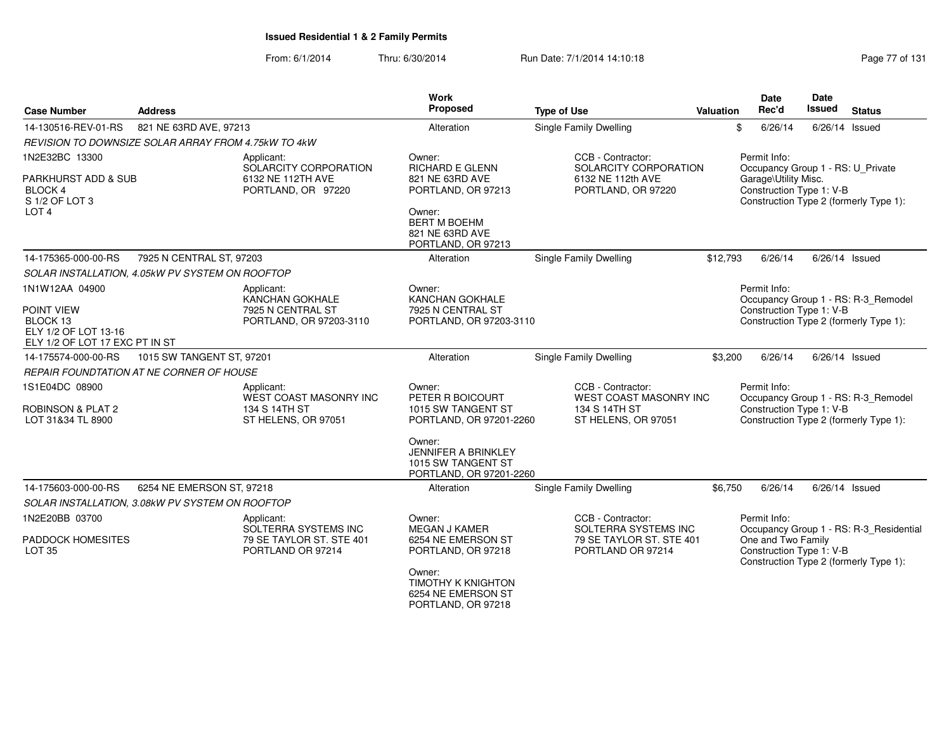| <b>Case Number</b>                                                                                 | <b>Address</b>                                      |                                                                                      | <b>Work</b><br>Proposed                                                                                                                                              | <b>Type of Use</b>                                                                    | Valuation | Date<br>Rec'd                                                                                         | <b>Date</b><br><b>Issued</b> | <b>Status</b>                                                                     |
|----------------------------------------------------------------------------------------------------|-----------------------------------------------------|--------------------------------------------------------------------------------------|----------------------------------------------------------------------------------------------------------------------------------------------------------------------|---------------------------------------------------------------------------------------|-----------|-------------------------------------------------------------------------------------------------------|------------------------------|-----------------------------------------------------------------------------------|
| 14-130516-REV-01-RS                                                                                | 821 NE 63RD AVE, 97213                              |                                                                                      | Alteration                                                                                                                                                           | <b>Single Family Dwelling</b>                                                         |           | \$<br>6/26/14                                                                                         |                              | 6/26/14 Issued                                                                    |
|                                                                                                    | REVISION TO DOWNSIZE SOLAR ARRAY FROM 4.75kW TO 4kW |                                                                                      |                                                                                                                                                                      |                                                                                       |           |                                                                                                       |                              |                                                                                   |
| 1N2E32BC 13300<br>PARKHURST ADD & SUB<br><b>BLOCK4</b><br>S 1/2 OF LOT 3<br>LOT <sub>4</sub>       |                                                     | Applicant:<br>SOLARCITY CORPORATION<br>6132 NE 112TH AVE<br>PORTLAND, OR 97220       | Owner:<br>RICHARD E GLENN<br>821 NE 63RD AVE<br>PORTLAND, OR 97213<br>Owner:<br><b>BERT M BOEHM</b><br>821 NE 63RD AVE<br>PORTLAND, OR 97213                         | CCB - Contractor:<br>SOLARCITY CORPORATION<br>6132 NE 112th AVE<br>PORTLAND, OR 97220 |           | Permit Info:<br>Occupancy Group 1 - RS: U_Private<br>Garage\Utility Misc.<br>Construction Type 1: V-B |                              | Construction Type 2 (formerly Type 1):                                            |
| 14-175365-000-00-RS                                                                                | 7925 N CENTRAL ST, 97203                            |                                                                                      | Alteration                                                                                                                                                           | <b>Single Family Dwelling</b>                                                         | \$12,793  | 6/26/14                                                                                               | 6/26/14 Issued               |                                                                                   |
|                                                                                                    | SOLAR INSTALLATION, 4.05kW PV SYSTEM ON ROOFTOP     |                                                                                      |                                                                                                                                                                      |                                                                                       |           |                                                                                                       |                              |                                                                                   |
| 1N1W12AA 04900<br>POINT VIEW<br>BLOCK 13<br>ELY 1/2 OF LOT 13-16<br>ELY 1/2 OF LOT 17 EXC PT IN ST |                                                     | Applicant:<br><b>KANCHAN GOKHALE</b><br>7925 N CENTRAL ST<br>PORTLAND, OR 97203-3110 | Owner:<br><b>KANCHAN GOKHALE</b><br>7925 N CENTRAL ST<br>PORTLAND, OR 97203-3110                                                                                     |                                                                                       |           | Permit Info:<br>Construction Type 1: V-B                                                              |                              | Occupancy Group 1 - RS: R-3_Remodel<br>Construction Type 2 (formerly Type 1):     |
| 14-175574-000-00-RS                                                                                | 1015 SW TANGENT ST, 97201                           |                                                                                      | Alteration                                                                                                                                                           | Single Family Dwelling                                                                | \$3,200   | 6/26/14                                                                                               |                              | $6/26/14$ Issued                                                                  |
|                                                                                                    | <b>REPAIR FOUNDTATION AT NE CORNER OF HOUSE</b>     |                                                                                      |                                                                                                                                                                      |                                                                                       |           |                                                                                                       |                              |                                                                                   |
| 1S1E04DC 08900<br><b>ROBINSON &amp; PLAT 2</b><br>LOT 31&34 TL 8900                                |                                                     | Applicant:<br>WEST COAST MASONRY INC<br>134 S 14TH ST<br>ST HELENS, OR 97051         | Owner:<br>PETER R BOICOURT<br>1015 SW TANGENT ST<br>PORTLAND, OR 97201-2260<br>Owner:<br><b>JENNIFER A BRINKLEY</b><br>1015 SW TANGENT ST<br>PORTLAND, OR 97201-2260 | CCB - Contractor:<br>WEST COAST MASONRY INC<br>134 S 14TH ST<br>ST HELENS, OR 97051   |           | Permit Info:<br>Construction Type 1: V-B                                                              |                              | Occupancy Group 1 - RS: R-3_Remodel<br>Construction Type 2 (formerly Type 1):     |
| 14-175603-000-00-RS                                                                                | 6254 NE EMERSON ST, 97218                           |                                                                                      | Alteration                                                                                                                                                           | Single Family Dwelling                                                                | \$6,750   | 6/26/14                                                                                               |                              | $6/26/14$ Issued                                                                  |
|                                                                                                    | SOLAR INSTALLATION, 3.08kW PV SYSTEM ON ROOFTOP     |                                                                                      |                                                                                                                                                                      |                                                                                       |           |                                                                                                       |                              |                                                                                   |
| 1N2E20BB 03700                                                                                     |                                                     | Applicant:                                                                           | Owner:                                                                                                                                                               | CCB - Contractor:                                                                     |           | Permit Info:                                                                                          |                              |                                                                                   |
| PADDOCK HOMESITES<br><b>LOT 35</b>                                                                 |                                                     | SOLTERRA SYSTEMS INC<br>79 SE TAYLOR ST. STE 401<br>PORTLAND OR 97214                | <b>MEGAN J KAMER</b><br>6254 NE EMERSON ST<br>PORTLAND, OR 97218<br>Owner:<br><b>TIMOTHY K KNIGHTON</b><br>6254 NE EMERSON ST<br>PORTLAND, OR 97218                  | SOLTERRA SYSTEMS INC<br>79 SE TAYLOR ST. STE 401<br>PORTLAND OR 97214                 |           | One and Two Family<br>Construction Type 1: V-B                                                        |                              | Occupancy Group 1 - RS: R-3_Residential<br>Construction Type 2 (formerly Type 1): |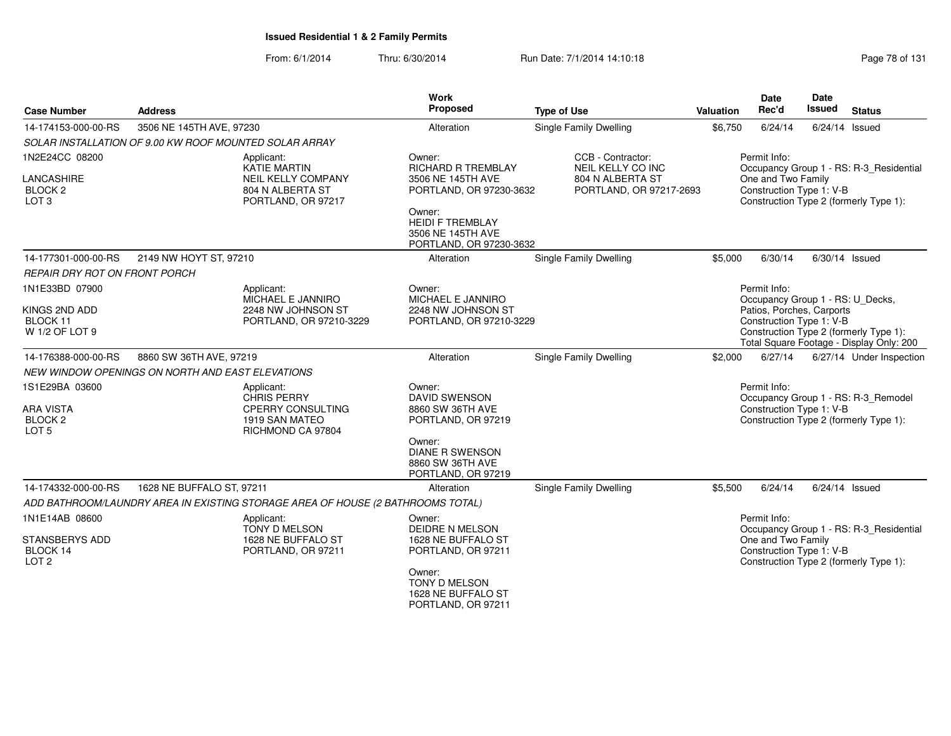| <b>Case Number</b>                                    | <b>Address</b>                                                                  |                                                                     | Work<br>Proposed                                                                  | <b>Type of Use</b>                            | Valuation | Date<br>Rec'd                                                                                   | Date<br><b>Issued</b> | <b>Status</b>                            |
|-------------------------------------------------------|---------------------------------------------------------------------------------|---------------------------------------------------------------------|-----------------------------------------------------------------------------------|-----------------------------------------------|-----------|-------------------------------------------------------------------------------------------------|-----------------------|------------------------------------------|
| 14-174153-000-00-RS                                   | 3506 NE 145TH AVE, 97230                                                        |                                                                     | Alteration                                                                        | <b>Single Family Dwelling</b>                 | \$6,750   | 6/24/14                                                                                         | $6/24/14$ Issued      |                                          |
|                                                       | SOLAR INSTALLATION OF 9.00 KW ROOF MOUNTED SOLAR ARRAY                          |                                                                     |                                                                                   |                                               |           |                                                                                                 |                       |                                          |
| 1N2E24CC 08200                                        | Applicant:                                                                      | KATIE MARTIN                                                        | Owner:<br><b>RICHARD R TREMBLAY</b>                                               | CCB - Contractor:<br><b>NEIL KELLY CO INC</b> |           | Permit Info:                                                                                    |                       | Occupancy Group 1 - RS: R-3_Residential  |
| LANCASHIRE<br>BLOCK <sub>2</sub><br>LOT <sub>3</sub>  |                                                                                 | <b>NEIL KELLY COMPANY</b><br>804 N ALBERTA ST<br>PORTLAND, OR 97217 | 3506 NE 145TH AVE<br>PORTLAND, OR 97230-3632                                      | 804 N ALBERTA ST<br>PORTLAND, OR 97217-2693   |           | One and Two Family<br>Construction Type 1: V-B<br>Construction Type 2 (formerly Type 1):        |                       |                                          |
|                                                       |                                                                                 |                                                                     | Owner:<br><b>HEIDI F TREMBLAY</b><br>3506 NE 145TH AVE<br>PORTLAND, OR 97230-3632 |                                               |           |                                                                                                 |                       |                                          |
| 14-177301-000-00-RS                                   | 2149 NW HOYT ST, 97210                                                          |                                                                     | Alteration                                                                        | <b>Single Family Dwelling</b>                 | \$5,000   | 6/30/14                                                                                         | 6/30/14 Issued        |                                          |
| REPAIR DRY ROT ON FRONT PORCH                         |                                                                                 |                                                                     |                                                                                   |                                               |           |                                                                                                 |                       |                                          |
| 1N1E33BD 07900                                        | Applicant:                                                                      | MICHAEL E JANNIRO                                                   | Owner:<br>MICHAEL E JANNIRO                                                       |                                               |           | Permit Info:<br>Occupancy Group 1 - RS: U_Decks,                                                |                       |                                          |
| KINGS 2ND ADD<br>BLOCK 11<br>W 1/2 OF LOT 9           |                                                                                 | 2248 NW JOHNSON ST<br>PORTLAND, OR 97210-3229                       | 2248 NW JOHNSON ST<br>PORTLAND, OR 97210-3229                                     |                                               |           | Patios, Porches, Carports<br>Construction Type 1: V-B<br>Construction Type 2 (formerly Type 1): |                       | Total Square Footage - Display Only: 200 |
| 14-176388-000-00-RS                                   | 8860 SW 36TH AVE, 97219                                                         |                                                                     | Alteration                                                                        | <b>Single Family Dwelling</b>                 | \$2,000   | 6/27/14                                                                                         |                       | 6/27/14 Under Inspection                 |
|                                                       | NEW WINDOW OPENINGS ON NORTH AND EAST ELEVATIONS                                |                                                                     |                                                                                   |                                               |           |                                                                                                 |                       |                                          |
| 1S1E29BA 03600                                        | Applicant:                                                                      | <b>CHRIS PERRY</b>                                                  | Owner:<br><b>DAVID SWENSON</b>                                                    |                                               |           | Permit Info:                                                                                    |                       | Occupancy Group 1 - RS: R-3 Remodel      |
| <b>ARA VISTA</b>                                      |                                                                                 | <b>CPERRY CONSULTING</b>                                            | 8860 SW 36TH AVE                                                                  |                                               |           | Construction Type 1: V-B                                                                        |                       |                                          |
| <b>BLOCK 2</b><br>LOT <sub>5</sub>                    |                                                                                 | 1919 SAN MATEO<br>RICHMOND CA 97804                                 | PORTLAND, OR 97219                                                                |                                               |           | Construction Type 2 (formerly Type 1):                                                          |                       |                                          |
|                                                       |                                                                                 |                                                                     | Owner:<br><b>DIANE R SWENSON</b><br>8860 SW 36TH AVE<br>PORTLAND, OR 97219        |                                               |           |                                                                                                 |                       |                                          |
| 14-174332-000-00-RS                                   | 1628 NE BUFFALO ST, 97211                                                       |                                                                     | Alteration                                                                        | <b>Single Family Dwelling</b>                 | \$5,500   | 6/24/14                                                                                         | $6/24/14$ Issued      |                                          |
|                                                       | ADD BATHROOM/LAUNDRY AREA IN EXISTING STORAGE AREA OF HOUSE (2 BATHROOMS TOTAL) |                                                                     |                                                                                   |                                               |           |                                                                                                 |                       |                                          |
| 1N1E14AB 08600                                        | Applicant:                                                                      |                                                                     | Owner:                                                                            |                                               |           | Permit Info:                                                                                    |                       |                                          |
| <b>STANSBERYS ADD</b><br>BLOCK 14<br>LOT <sub>2</sub> |                                                                                 | TONY D MELSON<br>1628 NE BUFFALO ST<br>PORTLAND, OR 97211           | <b>DEIDRE N MELSON</b><br>1628 NE BUFFALO ST<br>PORTLAND, OR 97211                |                                               |           | One and Two Family<br>Construction Type 1: V-B<br>Construction Type 2 (formerly Type 1):        |                       | Occupancy Group 1 - RS: R-3_Residential  |
|                                                       |                                                                                 |                                                                     | Owner:<br><b>TONY D MELSON</b><br>1628 NE BUFFALO ST<br>PORTLAND, OR 97211        |                                               |           |                                                                                                 |                       |                                          |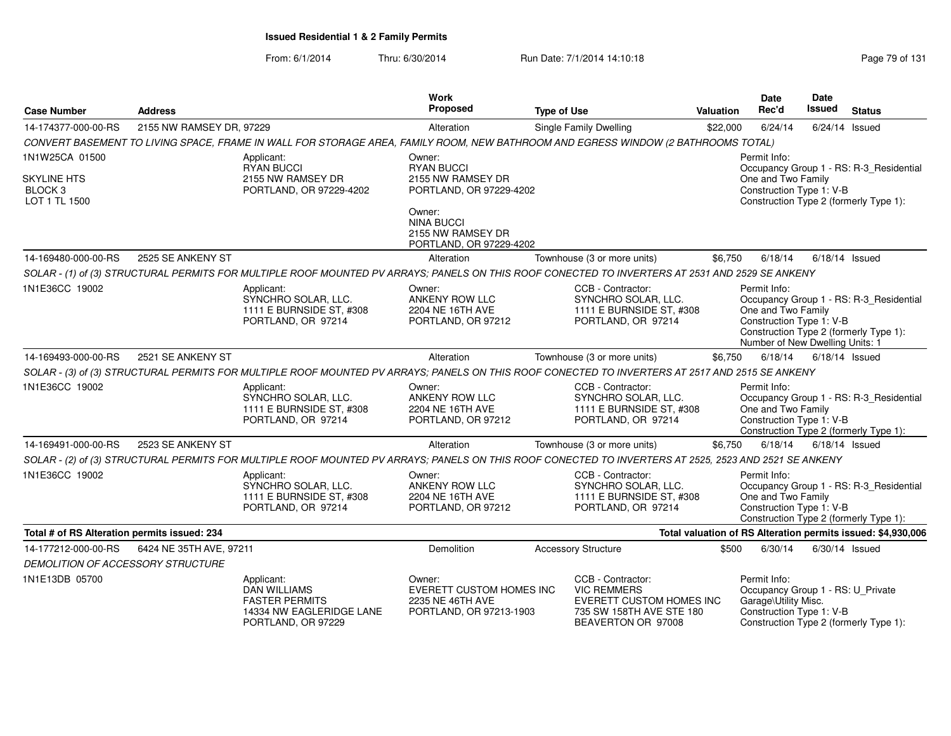| <b>Case Number</b>                                        | <b>Address</b>           |                                                                                                              | <b>Work</b><br>Proposed                                                                  | <b>Type of Use</b>                                                                                                                                    | <b>Valuation</b> | <b>Date</b><br>Rec'd                                                                                  | Date<br>Issued   | <b>Status</b>                                                                     |
|-----------------------------------------------------------|--------------------------|--------------------------------------------------------------------------------------------------------------|------------------------------------------------------------------------------------------|-------------------------------------------------------------------------------------------------------------------------------------------------------|------------------|-------------------------------------------------------------------------------------------------------|------------------|-----------------------------------------------------------------------------------|
| 14-174377-000-00-RS                                       | 2155 NW RAMSEY DR, 97229 |                                                                                                              | Alteration                                                                               | Single Family Dwelling                                                                                                                                | \$22,000         | 6/24/14                                                                                               |                  | $6/24/14$ Issued                                                                  |
|                                                           |                          |                                                                                                              |                                                                                          | CONVERT BASEMENT TO LIVING SPACE, FRAME IN WALL FOR STORAGE AREA, FAMILY ROOM, NEW BATHROOM AND EGRESS WINDOW (2 BATHROOMS TOTAL)                     |                  |                                                                                                       |                  |                                                                                   |
| 1N1W25CA 01500                                            |                          | Applicant:<br><b>RYAN BUCCI</b>                                                                              | Owner:<br><b>RYAN BUCCI</b>                                                              |                                                                                                                                                       |                  | Permit Info:                                                                                          |                  | Occupancy Group 1 - RS: R-3_Residential                                           |
| <b>SKYLINE HTS</b><br>BLOCK <sub>3</sub><br>LOT 1 TL 1500 |                          | 2155 NW RAMSEY DR<br>PORTLAND, OR 97229-4202                                                                 | 2155 NW RAMSEY DR<br>PORTLAND, OR 97229-4202                                             |                                                                                                                                                       |                  | One and Two Family<br>Construction Type 1: V-B                                                        |                  | Construction Type 2 (formerly Type 1):                                            |
|                                                           |                          |                                                                                                              | Owner:<br><b>NINA BUCCI</b><br>2155 NW RAMSEY DR<br>PORTLAND, OR 97229-4202              |                                                                                                                                                       |                  |                                                                                                       |                  |                                                                                   |
| 14-169480-000-00-RS                                       | 2525 SE ANKENY ST        |                                                                                                              | Alteration                                                                               | Townhouse (3 or more units)                                                                                                                           | \$6,750          | 6/18/14                                                                                               |                  | $6/18/14$ Issued                                                                  |
|                                                           |                          |                                                                                                              |                                                                                          | SOLAR - (1) of (3) STRUCTURAL PERMITS FOR MULTIPLE ROOF MOUNTED PV ARRAYS; PANELS ON THIS ROOF CONECTED TO INVERTERS AT 2531 AND 2529 SE ANKENY       |                  |                                                                                                       |                  |                                                                                   |
| 1N1E36CC 19002                                            |                          | Applicant:<br>SYNCHRO SOLAR, LLC.<br>1111 E BURNSIDE ST, #308<br>PORTLAND, OR 97214                          | Owner:<br>ANKENY ROW LLC<br>2204 NE 16TH AVE<br>PORTLAND, OR 97212                       | CCB - Contractor:<br>SYNCHRO SOLAR, LLC.<br>1111 E BURNSIDE ST, #308<br>PORTLAND, OR 97214                                                            |                  | Permit Info:<br>One and Two Family<br>Construction Type 1: V-B<br>Number of New Dwelling Units: 1     |                  | Occupancy Group 1 - RS: R-3_Residential<br>Construction Type 2 (formerly Type 1): |
| 14-169493-000-00-RS                                       | 2521 SE ANKENY ST        |                                                                                                              | Alteration                                                                               | Townhouse (3 or more units)                                                                                                                           | \$6.750          | 6/18/14                                                                                               | $6/18/14$ Issued |                                                                                   |
|                                                           |                          |                                                                                                              |                                                                                          | SOLAR - (3) of (3) STRUCTURAL PERMITS FOR MULTIPLE ROOF MOUNTED PV ARRAYS; PANELS ON THIS ROOF CONECTED TO INVERTERS AT 2517 AND 2515 SE ANKENY       |                  |                                                                                                       |                  |                                                                                   |
| 1N1E36CC 19002                                            |                          | Applicant:<br>SYNCHRO SOLAR, LLC.<br>1111 E BURNSIDE ST. #308<br>PORTLAND, OR 97214                          | Owner:<br><b>ANKENY ROW LLC</b><br>2204 NE 16TH AVE<br>PORTLAND, OR 97212                | CCB - Contractor:<br>SYNCHRO SOLAR, LLC.<br>1111 E BURNSIDE ST. #308<br>PORTLAND, OR 97214                                                            |                  | Permit Info:<br>One and Two Family<br>Construction Type 1: V-B                                        |                  | Occupancy Group 1 - RS: R-3_Residential<br>Construction Type 2 (formerly Type 1): |
| 14-169491-000-00-RS                                       | 2523 SE ANKENY ST        |                                                                                                              | Alteration                                                                               | Townhouse (3 or more units)                                                                                                                           | \$6,750          | 6/18/14                                                                                               |                  | $6/18/14$ Issued                                                                  |
|                                                           |                          |                                                                                                              |                                                                                          | SOLAR - (2) of (3) STRUCTURAL PERMITS FOR MULTIPLE ROOF MOUNTED PV ARRAYS; PANELS ON THIS ROOF CONECTED TO INVERTERS AT 2525, 2523 AND 2521 SE ANKENY |                  |                                                                                                       |                  |                                                                                   |
| 1N1E36CC 19002                                            |                          | Applicant:<br>SYNCHRO SOLAR, LLC.<br>1111 E BURNSIDE ST, #308<br>PORTLAND, OR 97214                          | Owner:<br>ANKENY ROW LLC<br>2204 NE 16TH AVE<br>PORTLAND, OR 97212                       | CCB - Contractor:<br>SYNCHRO SOLAR, LLC.<br>1111 E BURNSIDE ST, #308<br>PORTLAND, OR 97214                                                            |                  | Permit Info:<br>One and Two Family<br>Construction Type 1: V-B                                        |                  | Occupancy Group 1 - RS: R-3 Residential<br>Construction Type 2 (formerly Type 1): |
| Total # of RS Alteration permits issued: 234              |                          |                                                                                                              |                                                                                          |                                                                                                                                                       |                  |                                                                                                       |                  | Total valuation of RS Alteration permits issued: \$4,930,006                      |
| 14-177212-000-00-RS                                       | 6424 NE 35TH AVE, 97211  |                                                                                                              | Demolition                                                                               | <b>Accessory Structure</b>                                                                                                                            | \$500            | 6/30/14                                                                                               |                  | $6/30/14$ Issued                                                                  |
| DEMOLITION OF ACCESSORY STRUCTURE                         |                          |                                                                                                              |                                                                                          |                                                                                                                                                       |                  |                                                                                                       |                  |                                                                                   |
| 1N1E13DB 05700                                            |                          | Applicant:<br><b>DAN WILLIAMS</b><br><b>FASTER PERMITS</b><br>14334 NW EAGLERIDGE LANE<br>PORTLAND, OR 97229 | Owner:<br><b>EVERETT CUSTOM HOMES INC</b><br>2235 NE 46TH AVE<br>PORTLAND, OR 97213-1903 | CCB - Contractor:<br><b>VIC REMMERS</b><br>EVERETT CUSTOM HOMES INC<br>735 SW 158TH AVE STE 180<br>BEAVERTON OR 97008                                 |                  | Permit Info:<br>Occupancy Group 1 - RS: U_Private<br>Garage\Utility Misc.<br>Construction Type 1: V-B |                  | Construction Type 2 (formerly Type 1):                                            |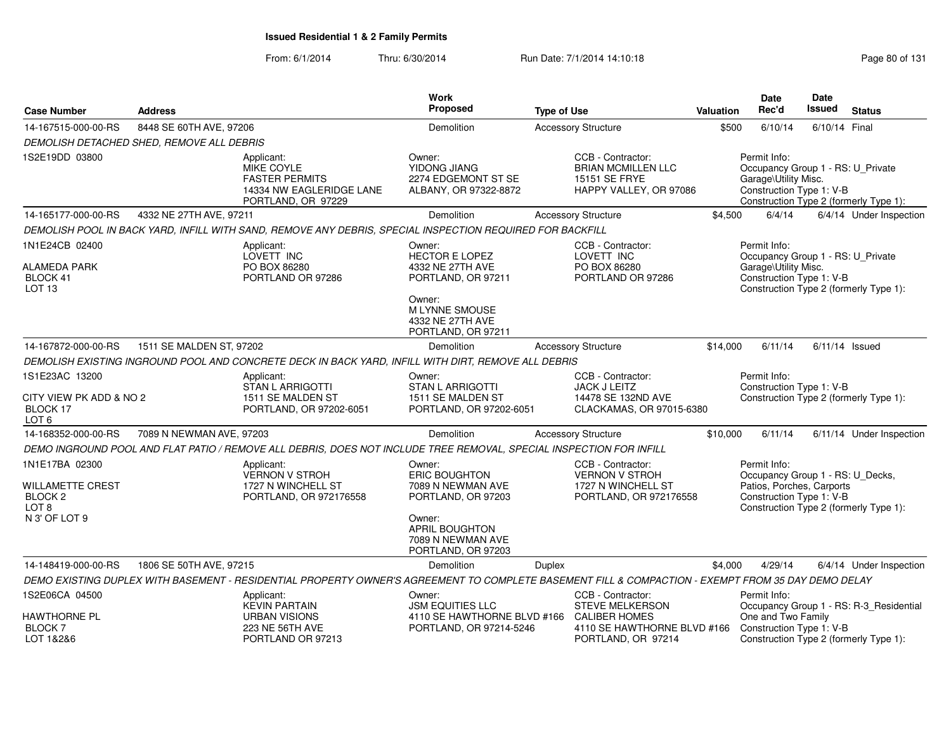| <b>Case Number</b>                                                       | <b>Address</b>                            |                                                                                                                     | Work<br>Proposed                                                                  | <b>Type of Use</b>                                                                                                                                 | <b>Valuation</b> | Date<br>Rec'd                                                                                             | Date<br>Issued | <b>Status</b>                           |
|--------------------------------------------------------------------------|-------------------------------------------|---------------------------------------------------------------------------------------------------------------------|-----------------------------------------------------------------------------------|----------------------------------------------------------------------------------------------------------------------------------------------------|------------------|-----------------------------------------------------------------------------------------------------------|----------------|-----------------------------------------|
| 14-167515-000-00-RS                                                      | 8448 SE 60TH AVE, 97206                   |                                                                                                                     | Demolition                                                                        | <b>Accessory Structure</b>                                                                                                                         | \$500            | 6/10/14                                                                                                   | 6/10/14 Final  |                                         |
|                                                                          | DEMOLISH DETACHED SHED, REMOVE ALL DEBRIS |                                                                                                                     |                                                                                   |                                                                                                                                                    |                  |                                                                                                           |                |                                         |
| 1S2E19DD 03800                                                           |                                           | Applicant:<br>MIKE COYLE<br><b>FASTER PERMITS</b><br>14334 NW EAGLERIDGE LANE<br>PORTLAND, OR 97229                 | Owner:<br>YIDONG JIANG<br>2274 EDGEMONT ST SE<br>ALBANY, OR 97322-8872            | CCB - Contractor:<br><b>BRIAN MCMILLEN LLC</b><br>15151 SE FRYE<br>HAPPY VALLEY, OR 97086                                                          |                  | Permit Info:<br>Occupancy Group 1 - RS: U_Private<br>Garage\Utility Misc.<br>Construction Type 1: V-B     |                | Construction Type 2 (formerly Type 1):  |
| 14-165177-000-00-RS                                                      | 4332 NE 27TH AVE, 97211                   |                                                                                                                     | Demolition                                                                        | <b>Accessory Structure</b>                                                                                                                         | \$4,500          | 6/4/14                                                                                                    |                | 6/4/14 Under Inspection                 |
|                                                                          |                                           | DEMOLISH POOL IN BACK YARD, INFILL WITH SAND, REMOVE ANY DEBRIS, SPECIAL INSPECTION REQUIRED FOR BACKFILL           |                                                                                   |                                                                                                                                                    |                  |                                                                                                           |                |                                         |
| 1N1E24CB 02400<br><b>ALAMEDA PARK</b>                                    |                                           | Applicant:<br>LOVETT INC<br>PO BOX 86280                                                                            | Owner:<br><b>HECTOR E LOPEZ</b><br>4332 NE 27TH AVE                               | CCB - Contractor:<br>LOVETT INC<br>PO BOX 86280                                                                                                    |                  | Permit Info:<br>Occupancy Group 1 - RS: U_Private<br>Garage\Utility Misc.                                 |                |                                         |
| BLOCK 41<br>LOT <sub>13</sub>                                            |                                           | PORTLAND OR 97286                                                                                                   | PORTLAND, OR 97211                                                                | PORTLAND OR 97286                                                                                                                                  |                  | Construction Type 1: V-B                                                                                  |                | Construction Type 2 (formerly Type 1):  |
|                                                                          |                                           |                                                                                                                     | Owner:<br><b>MLYNNE SMOUSE</b><br>4332 NE 27TH AVE<br>PORTLAND, OR 97211          |                                                                                                                                                    |                  |                                                                                                           |                |                                         |
| 14-167872-000-00-RS                                                      | 1511 SE MALDEN ST, 97202                  |                                                                                                                     | Demolition                                                                        | <b>Accessory Structure</b>                                                                                                                         | \$14,000         | 6/11/14                                                                                                   |                | $6/11/14$ Issued                        |
|                                                                          |                                           | DEMOLISH EXISTING INGROUND POOL AND CONCRETE DECK IN BACK YARD, INFILL WITH DIRT, REMOVE ALL DEBRIS                 |                                                                                   |                                                                                                                                                    |                  |                                                                                                           |                |                                         |
| 1S1E23AC 13200<br>CITY VIEW PK ADD & NO 2<br>BLOCK 17                    |                                           | Applicant:<br>STAN L ARRIGOTTI<br>1511 SE MALDEN ST<br>PORTLAND, OR 97202-6051                                      | Owner:<br><b>STAN L ARRIGOTTI</b><br>1511 SE MALDEN ST<br>PORTLAND, OR 97202-6051 | CCB - Contractor:<br><b>JACK J LEITZ</b><br>14478 SE 132ND AVE<br>CLACKAMAS, OR 97015-6380                                                         |                  | Permit Info:<br>Construction Type 1: V-B                                                                  |                | Construction Type 2 (formerly Type 1):  |
| LOT <sub>6</sub>                                                         |                                           |                                                                                                                     |                                                                                   |                                                                                                                                                    |                  |                                                                                                           |                |                                         |
| 14-168352-000-00-RS                                                      | 7089 N NEWMAN AVE, 97203                  |                                                                                                                     | Demolition                                                                        | <b>Accessory Structure</b>                                                                                                                         | \$10,000         | 6/11/14                                                                                                   |                | 6/11/14 Under Inspection                |
|                                                                          |                                           | DEMO INGROUND POOL AND FLAT PATIO / REMOVE ALL DEBRIS, DOES NOT INCLUDE TREE REMOVAL, SPECIAL INSPECTION FOR INFILL |                                                                                   |                                                                                                                                                    |                  |                                                                                                           |                |                                         |
| 1N1E17BA 02300<br><b>WILLAMETTE CREST</b><br>BLOCK 2<br>LOT <sub>8</sub> |                                           | Applicant:<br><b>VERNON V STROH</b><br>1727 N WINCHELL ST<br>PORTLAND, OR 972176558                                 | Owner:<br><b>ERIC BOUGHTON</b><br>7089 N NEWMAN AVE<br>PORTLAND, OR 97203         | CCB - Contractor:<br><b>VERNON V STROH</b><br>1727 N WINCHELL ST<br>PORTLAND, OR 972176558                                                         |                  | Permit Info:<br>Occupancy Group 1 - RS: U_Decks,<br>Patios, Porches, Carports<br>Construction Type 1: V-B |                | Construction Type 2 (formerly Type 1):  |
| N 3' OF LOT 9                                                            |                                           |                                                                                                                     | Owner:<br>APRIL BOUGHTON<br>7089 N NEWMAN AVE<br>PORTLAND, OR 97203               |                                                                                                                                                    |                  |                                                                                                           |                |                                         |
| 14-148419-000-00-RS                                                      | 1806 SE 50TH AVE, 97215                   |                                                                                                                     | Demolition                                                                        | Duplex                                                                                                                                             | \$4,000          | 4/29/14                                                                                                   |                | 6/4/14 Under Inspection                 |
|                                                                          |                                           |                                                                                                                     |                                                                                   | DEMO EXISTING DUPLEX WITH BASEMENT - RESIDENTIAL PROPERTY OWNER'S AGREEMENT TO COMPLETE BASEMENT FILL & COMPACTION - EXEMPT FROM 35 DAY DEMO DELAY |                  |                                                                                                           |                |                                         |
| 1S2E06CA 04500                                                           |                                           | Applicant:<br><b>KEVIN PARTAIN</b>                                                                                  | Owner:<br><b>JSM EQUITIES LLC</b>                                                 | CCB - Contractor:<br><b>STEVE MELKERSON</b>                                                                                                        |                  | Permit Info:                                                                                              |                | Occupancy Group 1 - RS: R-3_Residential |
| <b>HAWTHORNE PL</b><br><b>BLOCK7</b><br>LOT 1&2&6                        |                                           | <b>URBAN VISIONS</b><br>223 NE 56TH AVE<br>PORTLAND OR 97213                                                        | 4110 SE HAWTHORNE BLVD #166<br>PORTLAND, OR 97214-5246                            | <b>CALIBER HOMES</b><br>4110 SE HAWTHORNE BLVD #166<br>PORTLAND, OR 97214                                                                          |                  | One and Two Family<br>Construction Type 1: V-B                                                            |                | Construction Type 2 (formerly Type 1):  |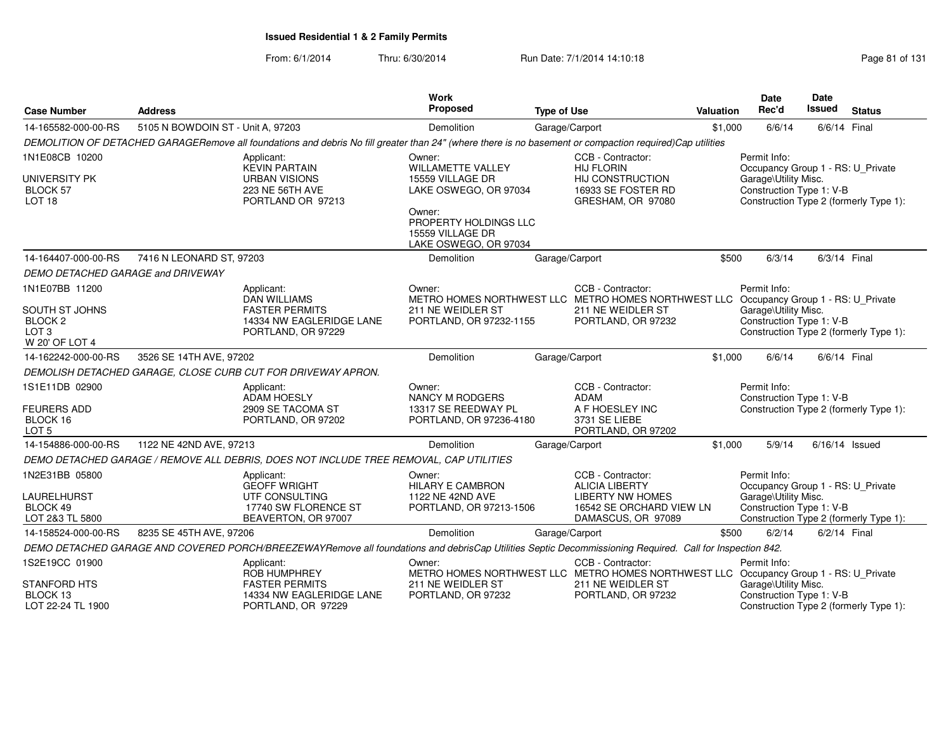| <b>Case Number</b>                                                         | <b>Address</b>                    |                                                                                                                                                          | Work<br>Proposed                                                                                | <b>Type of Use</b>                                          | <b>Valuation</b> | Date<br>Rec'd                                     | <b>Date</b><br><b>Issued</b> | <b>Status</b>                          |
|----------------------------------------------------------------------------|-----------------------------------|----------------------------------------------------------------------------------------------------------------------------------------------------------|-------------------------------------------------------------------------------------------------|-------------------------------------------------------------|------------------|---------------------------------------------------|------------------------------|----------------------------------------|
| 14-165582-000-00-RS                                                        | 5105 N BOWDOIN ST - Unit A, 97203 |                                                                                                                                                          | Demolition                                                                                      | Garage/Carport                                              | \$1,000          | 6/6/14                                            | 6/6/14 Final                 |                                        |
|                                                                            |                                   | DEMOLITION OF DETACHED GARAGERemove all foundations and debris No fill greater than 24" (where there is no basement or compaction required)Cap utilities |                                                                                                 |                                                             |                  |                                                   |                              |                                        |
| 1N1E08CB 10200                                                             |                                   | Applicant:<br><b>KEVIN PARTAIN</b>                                                                                                                       | Owner:<br><b>WILLAMETTE VALLEY</b>                                                              | CCB - Contractor:<br><b>HIJ FLORIN</b>                      |                  | Permit Info:<br>Occupancy Group 1 - RS: U_Private |                              |                                        |
| <b>UNIVERSITY PK</b><br>BLOCK 57<br>LOT <sub>18</sub>                      |                                   | <b>URBAN VISIONS</b><br>223 NE 56TH AVE<br>PORTLAND OR 97213                                                                                             | 15559 VILLAGE DR<br>LAKE OSWEGO, OR 97034                                                       | HIJ CONSTRUCTION<br>16933 SE FOSTER RD<br>GRESHAM, OR 97080 |                  | Garage\Utility Misc.<br>Construction Type 1: V-B  |                              | Construction Type 2 (formerly Type 1): |
|                                                                            |                                   |                                                                                                                                                          | Owner:<br>PROPERTY HOLDINGS LLC<br>15559 VILLAGE DR<br>LAKE OSWEGO, OR 97034                    |                                                             |                  |                                                   |                              |                                        |
| 14-164407-000-00-RS                                                        | 7416 N LEONARD ST, 97203          |                                                                                                                                                          | Demolition                                                                                      | Garage/Carport                                              | \$500            | 6/3/14                                            | 6/3/14 Final                 |                                        |
| DEMO DETACHED GARAGE and DRIVEWAY                                          |                                   |                                                                                                                                                          |                                                                                                 |                                                             |                  |                                                   |                              |                                        |
| 1N1E07BB 11200                                                             |                                   | Applicant:<br><b>DAN WILLIAMS</b>                                                                                                                        | Owner:<br>METRO HOMES NORTHWEST LLC METRO HOMES NORTHWEST LLC Occupancy Group 1 - RS: U_Private | CCB - Contractor:                                           |                  | Permit Info:                                      |                              |                                        |
| SOUTH ST JOHNS<br>BLOCK <sub>2</sub><br>LOT <sub>3</sub><br>W 20' OF LOT 4 |                                   | <b>FASTER PERMITS</b><br>14334 NW EAGLERIDGE LANE<br>PORTLAND, OR 97229                                                                                  | 211 NE WEIDLER ST<br>PORTLAND, OR 97232-1155                                                    | 211 NE WEIDLER ST<br>PORTLAND, OR 97232                     |                  | Garage\Utility Misc.<br>Construction Type 1: V-B  |                              | Construction Type 2 (formerly Type 1): |
| 14-162242-000-00-RS                                                        | 3526 SE 14TH AVE, 97202           |                                                                                                                                                          | Demolition                                                                                      | Garage/Carport                                              | \$1,000          | 6/6/14                                            | 6/6/14 Final                 |                                        |
|                                                                            |                                   | DEMOLISH DETACHED GARAGE, CLOSE CURB CUT FOR DRIVEWAY APRON.                                                                                             |                                                                                                 |                                                             |                  |                                                   |                              |                                        |
| 1S1E11DB 02900<br><b>FEURERS ADD</b>                                       |                                   | Applicant:<br><b>ADAM HOESLY</b><br>2909 SE TACOMA ST                                                                                                    | Owner:<br><b>NANCY M RODGERS</b><br>13317 SE REEDWAY PL                                         | CCB - Contractor:<br>ADAM<br>A F HOESLEY INC                |                  | Permit Info:<br>Construction Type 1: V-B          |                              | Construction Type 2 (formerly Type 1): |
| BLOCK 16<br>LOT <sub>5</sub>                                               |                                   | PORTLAND, OR 97202                                                                                                                                       | PORTLAND, OR 97236-4180                                                                         | 3731 SE LIEBE<br>PORTLAND, OR 97202                         |                  |                                                   |                              |                                        |
| 14-154886-000-00-RS                                                        | 1122 NE 42ND AVE, 97213           |                                                                                                                                                          | Demolition                                                                                      | Garage/Carport                                              | \$1,000          | 5/9/14                                            | $6/16/14$ Issued             |                                        |
|                                                                            |                                   | DEMO DETACHED GARAGE / REMOVE ALL DEBRIS, DOES NOT INCLUDE TREE REMOVAL, CAP UTILITIES                                                                   |                                                                                                 |                                                             |                  |                                                   |                              |                                        |
| 1N2E31BB 05800                                                             |                                   | Applicant:<br><b>GEOFF WRIGHT</b>                                                                                                                        | Owner:<br><b>HILARY E CAMBRON</b>                                                               | CCB - Contractor:<br><b>ALICIA LIBERTY</b>                  |                  | Permit Info:<br>Occupancy Group 1 - RS: U_Private |                              |                                        |
| LAURELHURST                                                                |                                   | UTF CONSULTING                                                                                                                                           | 1122 NE 42ND AVE                                                                                | <b>LIBERTY NW HOMES</b>                                     |                  | Garage\Utility Misc.                              |                              |                                        |
| BLOCK 49<br>LOT 2&3 TL 5800                                                |                                   | 17740 SW FLORENCE ST<br>BEAVERTON, OR 97007                                                                                                              | PORTLAND, OR 97213-1506                                                                         | 16542 SE ORCHARD VIEW LN<br>DAMASCUS, OR 97089              |                  | Construction Type 1: V-B                          |                              | Construction Type 2 (formerly Type 1): |
| 14-158524-000-00-RS                                                        | 8235 SE 45TH AVE, 97206           |                                                                                                                                                          | Demolition                                                                                      | Garage/Carport                                              | \$500            | 6/2/14                                            | 6/2/14 Final                 |                                        |
|                                                                            |                                   | DEMO DETACHED GARAGE AND COVERED PORCH/BREEZEWAYRemove all foundations and debrisCap Utilities Septic Decommissioning Required. Call for Inspection 842. |                                                                                                 |                                                             |                  |                                                   |                              |                                        |
| 1S2E19CC 01900                                                             |                                   | Applicant:                                                                                                                                               | Owner:                                                                                          | CCB - Contractor:                                           |                  | Permit Info:                                      |                              |                                        |
|                                                                            |                                   | ROB HUMPHREY                                                                                                                                             | METRO HOMES NORTHWEST LLC METRO HOMES NORTHWEST LLC Occupancy Group 1 - RS: U_Private           |                                                             |                  |                                                   |                              |                                        |
| STANFORD HTS                                                               |                                   | <b>FASTER PERMITS</b>                                                                                                                                    | 211 NE WEIDLER ST                                                                               | 211 NE WEIDLER ST                                           |                  | Garage\Utility Misc.                              |                              |                                        |
| BLOCK 13<br>LOT 22-24 TL 1900                                              |                                   | 14334 NW EAGLERIDGE LANE<br>PORTLAND, OR 97229                                                                                                           | PORTLAND, OR 97232                                                                              | PORTLAND, OR 97232                                          |                  | Construction Type 1: V-B                          |                              | Construction Type 2 (formerly Type 1): |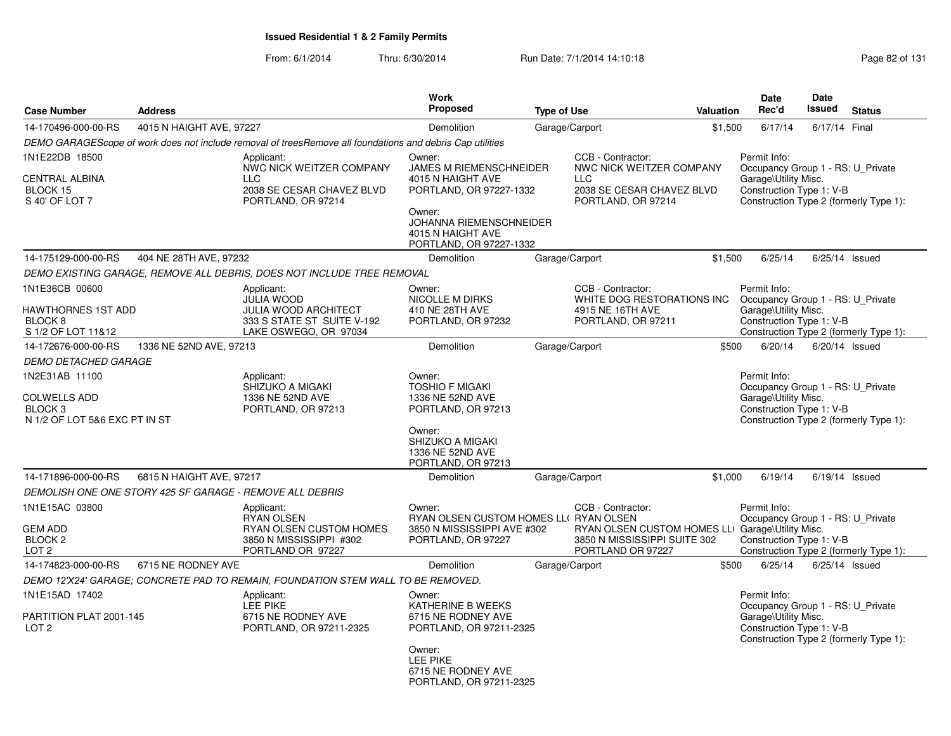| <b>Case Number</b>                                                                           | <b>Address</b>           |                                                                                                                       | <b>Work</b><br>Proposed                                                                                                                                                       | <b>Type of Use</b> |                                                                                                                            | <b>Valuation</b> | <b>Date</b><br>Rec'd                                                                                                                            | Date<br><b>Issued</b> | <b>Status</b>                          |
|----------------------------------------------------------------------------------------------|--------------------------|-----------------------------------------------------------------------------------------------------------------------|-------------------------------------------------------------------------------------------------------------------------------------------------------------------------------|--------------------|----------------------------------------------------------------------------------------------------------------------------|------------------|-------------------------------------------------------------------------------------------------------------------------------------------------|-----------------------|----------------------------------------|
| 14-170496-000-00-RS                                                                          | 4015 N HAIGHT AVE, 97227 |                                                                                                                       | Demolition                                                                                                                                                                    |                    | Garage/Carport                                                                                                             | \$1,500          | 6/17/14                                                                                                                                         | 6/17/14 Final         |                                        |
|                                                                                              |                          | DEMO GARAGEScope of work does not include removal of treesRemove all foundations and debris Cap utilities             |                                                                                                                                                                               |                    |                                                                                                                            |                  |                                                                                                                                                 |                       |                                        |
| 1N1E22DB 18500<br><b>CENTRAL ALBINA</b><br>BLOCK 15<br>S 40' OF LOT 7                        |                          | Applicant:<br>NWC NICK WEITZER COMPANY<br><b>LLC</b><br>2038 SE CESAR CHAVEZ BLVD<br>PORTLAND, OR 97214               | Owner:<br><b>JAMES M RIEMENSCHNEIDER</b><br>4015 N HAIGHT AVE<br>PORTLAND, OR 97227-1332<br>Owner:<br>JOHANNA RIEMENSCHNEIDER<br>4015 N HAIGHT AVE<br>PORTLAND, OR 97227-1332 |                    | CCB - Contractor:<br>NWC NICK WEITZER COMPANY<br>LLC<br>2038 SE CESAR CHAVEZ BLVD<br>PORTLAND, OR 97214                    |                  | Permit Info:<br>Occupancy Group 1 - RS: U Private<br>Garage\Utility Misc.<br>Construction Type 1: V-B                                           |                       | Construction Type 2 (formerly Type 1): |
| 14-175129-000-00-RS                                                                          | 404 NE 28TH AVE, 97232   |                                                                                                                       | Demolition                                                                                                                                                                    |                    | Garage/Carport                                                                                                             | \$1,500          | 6/25/14                                                                                                                                         |                       | $6/25/14$ Issued                       |
|                                                                                              |                          | DEMO EXISTING GARAGE, REMOVE ALL DEBRIS, DOES NOT INCLUDE TREE REMOVAL                                                |                                                                                                                                                                               |                    |                                                                                                                            |                  |                                                                                                                                                 |                       |                                        |
| 1N1E36CB 00600<br>HAWTHORNES 1ST ADD<br>BLOCK 8<br>S 1/2 OF LOT 11&12                        |                          | Applicant:<br><b>JULIA WOOD</b><br><b>JULIA WOOD ARCHITECT</b><br>333 S STATE ST SUITE V-192<br>LAKE OSWEGO, OR 97034 | Owner:<br><b>NICOLLE M DIRKS</b><br>410 NE 28TH AVE<br>PORTLAND, OR 97232                                                                                                     |                    | CCB - Contractor:<br>WHITE DOG RESTORATIONS INC<br>4915 NE 16TH AVE<br>PORTLAND, OR 97211                                  |                  | Permit Info:<br>Occupancy Group 1 - RS: U_Private<br>Garage\Utility Misc.<br>Construction Type 1: V-B<br>Construction Type 2 (formerly Type 1): |                       |                                        |
| 14-172676-000-00-RS                                                                          | 1336 NE 52ND AVE, 97213  |                                                                                                                       | Demolition                                                                                                                                                                    |                    | Garage/Carport                                                                                                             | \$500            | 6/20/14                                                                                                                                         |                       | 6/20/14 Issued                         |
| <b>DEMO DETACHED GARAGE</b>                                                                  |                          |                                                                                                                       |                                                                                                                                                                               |                    |                                                                                                                            |                  |                                                                                                                                                 |                       |                                        |
| 1N2E31AB 11100<br><b>COLWELLS ADD</b><br>BLOCK <sub>3</sub><br>N 1/2 OF LOT 5&6 EXC PT IN ST |                          | Applicant:<br>SHIZUKO A MIGAKI<br>1336 NE 52ND AVE<br>PORTLAND, OR 97213                                              | Owner:<br><b>TOSHIO F MIGAKI</b><br>1336 NE 52ND AVE<br>PORTLAND, OR 97213<br>Owner:<br>SHIZUKO A MIGAKI<br>1336 NE 52ND AVE<br>PORTLAND, OR 97213                            |                    |                                                                                                                            |                  | Permit Info:<br>Occupancy Group 1 - RS: U_Private<br>Garage\Utility Misc.<br>Construction Type 1: V-B                                           |                       | Construction Type 2 (formerly Type 1): |
| 14-171896-000-00-RS                                                                          | 6815 N HAIGHT AVE, 97217 |                                                                                                                       | Demolition                                                                                                                                                                    |                    | Garage/Carport                                                                                                             | \$1,000          | 6/19/14                                                                                                                                         |                       | $6/19/14$ Issued                       |
|                                                                                              |                          | DEMOLISH ONE ONE STORY 425 SF GARAGE - REMOVE ALL DEBRIS                                                              |                                                                                                                                                                               |                    |                                                                                                                            |                  |                                                                                                                                                 |                       |                                        |
| 1N1E15AC 03800<br><b>GEM ADD</b><br>BLOCK <sub>2</sub><br>LOT <sub>2</sub>                   |                          | Applicant:<br>RYAN OLSEN<br>RYAN OLSEN CUSTOM HOMES<br>3850 N MISSISSIPPI #302<br>PORTLAND OR 97227                   | Owner:<br>RYAN OLSEN CUSTOM HOMES LLI RYAN OLSEN<br>3850 N MISSISSIPPI AVE #302<br>PORTLAND, OR 97227                                                                         |                    | CCB - Contractor:<br>RYAN OLSEN CUSTOM HOMES LLI Garage\Utility Misc.<br>3850 N MISSISSIPPI SUITE 302<br>PORTLAND OR 97227 |                  | Permit Info:<br>Occupancy Group 1 - RS: U_Private<br>Construction Type 1: V-B                                                                   |                       | Construction Type 2 (formerly Type 1): |
| 14-174823-000-00-RS                                                                          | 6715 NE RODNEY AVE       |                                                                                                                       | Demolition                                                                                                                                                                    |                    | Garage/Carport                                                                                                             | \$500            | 6/25/14                                                                                                                                         |                       | $6/25/14$ Issued                       |
|                                                                                              |                          | DEMO 12'X24' GARAGE; CONCRETE PAD TO REMAIN, FOUNDATION STEM WALL TO BE REMOVED.                                      |                                                                                                                                                                               |                    |                                                                                                                            |                  |                                                                                                                                                 |                       |                                        |
| 1N1E15AD 17402<br>PARTITION PLAT 2001-145<br>LOT <sub>2</sub>                                |                          | Applicant:<br>LEE PIKE<br>6715 NE RODNEY AVE<br>PORTLAND, OR 97211-2325                                               | Owner:<br>KATHERINE B WEEKS<br>6715 NE RODNEY AVE<br>PORTLAND, OR 97211-2325<br>Owner:                                                                                        |                    |                                                                                                                            |                  | Permit Info:<br>Occupancy Group 1 - RS: U Private<br>Garage\Utility Misc.<br>Construction Type 1: V-B                                           |                       | Construction Type 2 (formerly Type 1): |
|                                                                                              |                          |                                                                                                                       | LEE PIKE<br>6715 NE RODNEY AVE<br>PORTLAND, OR 97211-2325                                                                                                                     |                    |                                                                                                                            |                  |                                                                                                                                                 |                       |                                        |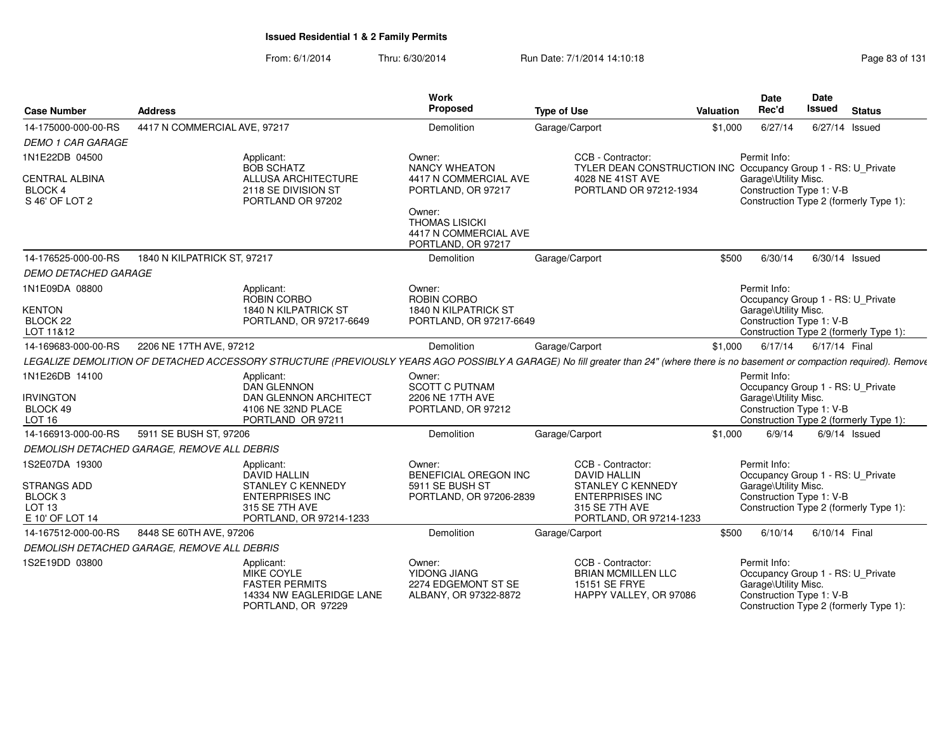| <b>Case Number</b>                                 | <b>Address</b>                                                                                                                                                                    | Work<br>Proposed                                                               | <b>Type of Use</b>                                                                 | Valuation | Date<br>Rec'd                                     | Date<br><b>Issued</b> | <b>Status</b>                          |
|----------------------------------------------------|-----------------------------------------------------------------------------------------------------------------------------------------------------------------------------------|--------------------------------------------------------------------------------|------------------------------------------------------------------------------------|-----------|---------------------------------------------------|-----------------------|----------------------------------------|
| 14-175000-000-00-RS                                | 4417 N COMMERCIAL AVE, 97217                                                                                                                                                      | Demolition                                                                     | Garage/Carport                                                                     | \$1,000   | 6/27/14                                           |                       | 6/27/14 Issued                         |
| <b>DEMO 1 CAR GARAGE</b>                           |                                                                                                                                                                                   |                                                                                |                                                                                    |           |                                                   |                       |                                        |
| 1N1E22DB 04500                                     | Applicant:<br><b>BOB SCHATZ</b>                                                                                                                                                   | Owner:<br><b>NANCY WHEATON</b>                                                 | CCB - Contractor:<br>TYLER DEAN CONSTRUCTION INC Occupancy Group 1 - RS: U_Private |           | Permit Info:                                      |                       |                                        |
| <b>CENTRAL ALBINA</b><br>BLOCK 4<br>S 46' OF LOT 2 | ALLUSA ARCHITECTURE<br>2118 SE DIVISION ST<br>PORTLAND OR 97202                                                                                                                   | 4417 N COMMERCIAL AVE<br>PORTLAND, OR 97217                                    | 4028 NE 41ST AVE<br>PORTLAND OR 97212-1934                                         |           | Garage\Utility Misc.<br>Construction Type 1: V-B  |                       | Construction Type 2 (formerly Type 1): |
|                                                    |                                                                                                                                                                                   | Owner:<br><b>THOMAS LISICKI</b><br>4417 N COMMERCIAL AVE<br>PORTLAND, OR 97217 |                                                                                    |           |                                                   |                       |                                        |
| 14-176525-000-00-RS                                | 1840 N KILPATRICK ST. 97217                                                                                                                                                       | Demolition                                                                     | Garage/Carport                                                                     | \$500     | 6/30/14                                           |                       | 6/30/14 Issued                         |
| <b>DEMO DETACHED GARAGE</b>                        |                                                                                                                                                                                   |                                                                                |                                                                                    |           |                                                   |                       |                                        |
| 1N1E09DA 08800                                     | Applicant:<br>ROBIN CORBO                                                                                                                                                         | Owner:<br><b>ROBIN CORBO</b>                                                   |                                                                                    |           | Permit Info:<br>Occupancy Group 1 - RS: U_Private |                       |                                        |
| <b>KENTON</b>                                      | 1840 N KILPATRICK ST                                                                                                                                                              | 1840 N KILPATRICK ST                                                           |                                                                                    |           | Garage\Utility Misc.                              |                       |                                        |
| BLOCK 22<br>LOT 11&12                              | PORTLAND, OR 97217-6649                                                                                                                                                           | PORTLAND, OR 97217-6649                                                        |                                                                                    |           | Construction Type 1: V-B                          |                       | Construction Type 2 (formerly Type 1): |
| 14-169683-000-00-RS                                | 2206 NE 17TH AVE, 97212                                                                                                                                                           | Demolition                                                                     | Garage/Carport                                                                     | \$1,000   | 6/17/14                                           | 6/17/14 Final         |                                        |
|                                                    | LEGALIZE DEMOLITION OF DETACHED ACCESSORY STRUCTURE (PREVIOUSLY YEARS AGO POSSIBLY A GARAGE) No fill greater than 24" (where there is no basement or compaction required). Remove |                                                                                |                                                                                    |           |                                                   |                       |                                        |
| 1N1E26DB 14100                                     | Applicant:                                                                                                                                                                        | Owner:                                                                         |                                                                                    |           | Permit Info:                                      |                       |                                        |
|                                                    | <b>DAN GLENNON</b>                                                                                                                                                                | <b>SCOTT C PUTNAM</b>                                                          |                                                                                    |           | Occupancy Group 1 - RS: U_Private                 |                       |                                        |
| <b>IRVINGTON</b>                                   | DAN GLENNON ARCHITECT                                                                                                                                                             | 2206 NE 17TH AVE                                                               |                                                                                    |           | Garage\Utility Misc.                              |                       |                                        |
| BLOCK 49<br>LOT <sub>16</sub>                      | 4106 NE 32ND PLACE<br>PORTLAND OR 97211                                                                                                                                           | PORTLAND, OR 97212                                                             |                                                                                    |           | Construction Type 1: V-B                          |                       | Construction Type 2 (formerly Type 1): |
| 14-166913-000-00-RS                                | 5911 SE BUSH ST, 97206                                                                                                                                                            | Demolition                                                                     | Garage/Carport                                                                     | \$1,000   | 6/9/14                                            |                       | $6/9/14$ Issued                        |
|                                                    | DEMOLISH DETACHED GARAGE. REMOVE ALL DEBRIS                                                                                                                                       |                                                                                |                                                                                    |           |                                                   |                       |                                        |
| 1S2E07DA 19300                                     | Applicant:                                                                                                                                                                        | Owner:                                                                         | CCB - Contractor:                                                                  |           | Permit Info:                                      |                       |                                        |
|                                                    | <b>DAVID HALLIN</b>                                                                                                                                                               | <b>BENEFICIAL OREGON INC</b>                                                   | <b>DAVID HALLIN</b>                                                                |           | Occupancy Group 1 - RS: U_Private                 |                       |                                        |
| <b>STRANGS ADD</b>                                 | <b>STANLEY C KENNEDY</b>                                                                                                                                                          | 5911 SE BUSH ST                                                                | <b>STANLEY C KENNEDY</b>                                                           |           | Garage\Utility Misc.                              |                       |                                        |
| BLOCK <sub>3</sub>                                 | <b>ENTERPRISES INC</b>                                                                                                                                                            | PORTLAND, OR 97206-2839                                                        | <b>ENTERPRISES INC</b>                                                             |           | Construction Type 1: V-B                          |                       |                                        |
| LOT <sub>13</sub><br>E 10' OF LOT 14               | 315 SE 7TH AVE<br>PORTLAND, OR 97214-1233                                                                                                                                         |                                                                                | 315 SE 7TH AVE<br>PORTLAND, OR 97214-1233                                          |           |                                                   |                       | Construction Type 2 (formerly Type 1): |
| 14-167512-000-00-RS                                | 8448 SE 60TH AVE, 97206                                                                                                                                                           | Demolition                                                                     | Garage/Carport                                                                     | \$500     | 6/10/14                                           | 6/10/14 Final         |                                        |
|                                                    | DEMOLISH DETACHED GARAGE, REMOVE ALL DEBRIS                                                                                                                                       |                                                                                |                                                                                    |           |                                                   |                       |                                        |
| 1S2E19DD 03800                                     | Applicant:                                                                                                                                                                        | Owner:                                                                         | CCB - Contractor:                                                                  |           | Permit Info:                                      |                       |                                        |
|                                                    | MIKE COYLE                                                                                                                                                                        | YIDONG JIANG                                                                   | <b>BRIAN MCMILLEN LLC</b>                                                          |           | Occupancy Group 1 - RS: U_Private                 |                       |                                        |
|                                                    | <b>FASTER PERMITS</b>                                                                                                                                                             | 2274 EDGEMONT ST SE                                                            | 15151 SE FRYE                                                                      |           | Garage\Utility Misc.                              |                       |                                        |
|                                                    | 14334 NW EAGLERIDGE LANE<br>PORTLAND, OR 97229                                                                                                                                    | ALBANY, OR 97322-8872                                                          | HAPPY VALLEY, OR 97086                                                             |           | Construction Type 1: V-B                          |                       | Construction Type 2 (formerly Type 1): |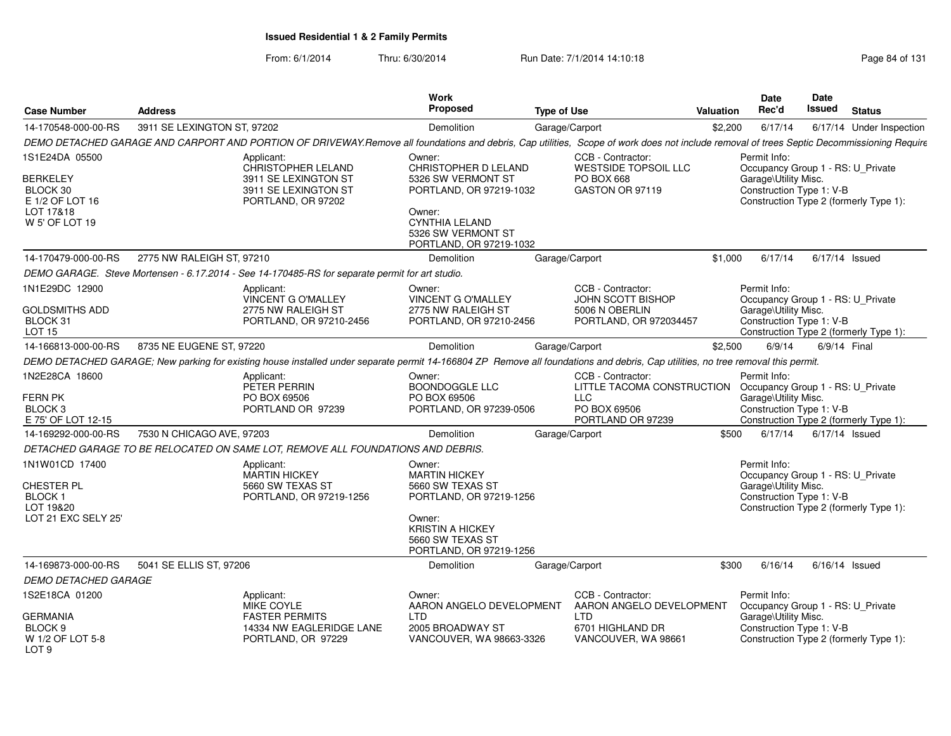| <b>Case Number</b>                                                            | <b>Address</b>              |                                                                                                                                                                                           | Work<br><b>Proposed</b>                                                                                                           | <b>Type of Use</b> |                                                                                                    | <b>Valuation</b> | Date<br>Rec'd                                                                                         | Date<br><b>Issued</b> | <b>Status</b>                          |
|-------------------------------------------------------------------------------|-----------------------------|-------------------------------------------------------------------------------------------------------------------------------------------------------------------------------------------|-----------------------------------------------------------------------------------------------------------------------------------|--------------------|----------------------------------------------------------------------------------------------------|------------------|-------------------------------------------------------------------------------------------------------|-----------------------|----------------------------------------|
| 14-170548-000-00-RS                                                           | 3911 SE LEXINGTON ST, 97202 |                                                                                                                                                                                           | Demolition                                                                                                                        | Garage/Carport     |                                                                                                    | \$2,200          | 6/17/14                                                                                               |                       | 6/17/14 Under Inspection               |
|                                                                               |                             | DEMO DETACHED GARAGE AND CARPORT AND PORTION OF DRIVEWAY.Remove all foundations and debris, Cap utilities, Scope of work does not include removal of trees Septic Decommissioning Require |                                                                                                                                   |                    |                                                                                                    |                  |                                                                                                       |                       |                                        |
| 1S1E24DA 05500                                                                |                             | Applicant:<br><b>CHRISTOPHER LELAND</b>                                                                                                                                                   | Owner:<br>CHRISTOPHER D LELAND                                                                                                    |                    | CCB - Contractor:<br>WESTSIDE TOPSOIL LLC                                                          |                  | Permit Info:<br>Occupancy Group 1 - RS: U_Private                                                     |                       |                                        |
| <b>BERKELEY</b><br>BLOCK 30<br>E 1/2 OF LOT 16<br>LOT 17&18<br>W 5' OF LOT 19 |                             | 3911 SE LEXINGTON ST<br>3911 SE LEXINGTON ST<br>PORTLAND, OR 97202                                                                                                                        | 5326 SW VERMONT ST<br>PORTLAND, OR 97219-1032<br>Owner:<br><b>CYNTHIA LELAND</b><br>5326 SW VERMONT ST<br>PORTLAND, OR 97219-1032 |                    | PO BOX 668<br>GASTON OR 97119                                                                      |                  | Garage\Utility Misc.<br>Construction Type 1: V-B                                                      |                       | Construction Type 2 (formerly Type 1): |
| 14-170479-000-00-RS                                                           | 2775 NW RALEIGH ST, 97210   |                                                                                                                                                                                           | <b>Demolition</b>                                                                                                                 | Garage/Carport     |                                                                                                    | \$1,000          | 6/17/14                                                                                               | $6/17/14$ Issued      |                                        |
|                                                                               |                             | DEMO GARAGE. Steve Mortensen - 6.17.2014 - See 14-170485-RS for separate permit for art studio.                                                                                           |                                                                                                                                   |                    |                                                                                                    |                  |                                                                                                       |                       |                                        |
| 1N1E29DC 12900<br><b>GOLDSMITHS ADD</b><br>BLOCK 31<br>LOT 15                 |                             | Applicant:<br>VINCENT G O'MALLEY<br>2775 NW RALEIGH ST<br>PORTLAND, OR 97210-2456                                                                                                         | Owner:<br>VINCENT G O'MALLEY<br>2775 NW RALEIGH ST<br>PORTLAND, OR 97210-2456                                                     |                    | CCB - Contractor:<br>JOHN SCOTT BISHOP<br>5006 N OBERLIN<br>PORTLAND, OR 972034457                 |                  | Permit Info:<br>Occupancy Group 1 - RS: U_Private<br>Garage\Utility Misc.<br>Construction Type 1: V-B |                       | Construction Type 2 (formerly Type 1): |
| 14-166813-000-00-RS                                                           | 8735 NE EUGENE ST, 97220    |                                                                                                                                                                                           | Demolition                                                                                                                        | Garage/Carport     |                                                                                                    | \$2,500          | 6/9/14                                                                                                | 6/9/14 Final          |                                        |
|                                                                               |                             | DEMO DETACHED GARAGE; New parking for existing house installed under separate permit 14-166804 ZP Remove all foundations and debris, Cap utilities, no tree removal this permit.          |                                                                                                                                   |                    |                                                                                                    |                  |                                                                                                       |                       |                                        |
| 1N2E28CA 18600<br>FERN PK<br>BLOCK <sub>3</sub><br>E 75' OF LOT 12-15         |                             | Applicant:<br>PETER PERRIN<br>PO BOX 69506<br>PORTLAND OR 97239                                                                                                                           | Owner:<br><b>BOONDOGGLE LLC</b><br>PO BOX 69506<br>PORTLAND, OR 97239-0506                                                        |                    | CCB - Contractor:<br>LITTLE TACOMA CONSTRUCTION<br><b>LLC</b><br>PO BOX 69506<br>PORTLAND OR 97239 |                  | Permit Info:<br>Occupancy Group 1 - RS: U_Private<br>Garage\Utility Misc.<br>Construction Type 1: V-B |                       | Construction Type 2 (formerly Type 1): |
| 14-169292-000-00-RS                                                           | 7530 N CHICAGO AVE, 97203   |                                                                                                                                                                                           | Demolition                                                                                                                        | Garage/Carport     |                                                                                                    | \$500            | 6/17/14                                                                                               | 6/17/14 Issued        |                                        |
|                                                                               |                             | DETACHED GARAGE TO BE RELOCATED ON SAME LOT, REMOVE ALL FOUNDATIONS AND DEBRIS.                                                                                                           |                                                                                                                                   |                    |                                                                                                    |                  |                                                                                                       |                       |                                        |
| 1N1W01CD 17400<br>CHESTER PL<br><b>BLOCK1</b>                                 |                             | Applicant:<br><b>MARTIN HICKEY</b><br>5660 SW TEXAS ST<br>PORTLAND, OR 97219-1256                                                                                                         | Owner:<br><b>MARTIN HICKEY</b><br>5660 SW TEXAS ST<br>PORTLAND, OR 97219-1256                                                     |                    |                                                                                                    |                  | Permit Info:<br>Occupancy Group 1 - RS: U_Private<br>Garage\Utility Misc.<br>Construction Type 1: V-B |                       |                                        |
| LOT 19&20<br>LOT 21 EXC SELY 25'                                              |                             |                                                                                                                                                                                           | Owner:<br><b>KRISTIN A HICKEY</b><br>5660 SW TEXAS ST<br>PORTLAND, OR 97219-1256                                                  |                    |                                                                                                    |                  |                                                                                                       |                       | Construction Type 2 (formerly Type 1): |
| 14-169873-000-00-RS                                                           | 5041 SE ELLIS ST, 97206     |                                                                                                                                                                                           | Demolition                                                                                                                        | Garage/Carport     |                                                                                                    | \$300            | 6/16/14                                                                                               | $6/16/14$ Issued      |                                        |
| DEMO DETACHED GARAGE                                                          |                             |                                                                                                                                                                                           |                                                                                                                                   |                    |                                                                                                    |                  |                                                                                                       |                       |                                        |
| 1S2E18CA 01200<br>GERMANIA                                                    |                             | Applicant:<br><b>MIKE COYLE</b><br><b>FASTER PERMITS</b>                                                                                                                                  | Owner:<br>AARON ANGELO DEVELOPMENT<br><b>LTD</b>                                                                                  |                    | CCB - Contractor:<br>AARON ANGELO DEVELOPMENT<br>LTD.                                              |                  | Permit Info:<br>Occupancy Group 1 - RS: U_Private<br>Garage\Utility Misc.                             |                       |                                        |
| BLOCK <sub>9</sub><br>W 1/2 OF LOT 5-8<br>LOT <sub>9</sub>                    |                             | 14334 NW EAGLERIDGE LANE<br>PORTLAND, OR 97229                                                                                                                                            | 2005 BROADWAY ST<br>VANCOUVER, WA 98663-3326                                                                                      |                    | 6701 HIGHLAND DR<br>VANCOUVER, WA 98661                                                            |                  | Construction Type 1: V-B                                                                              |                       | Construction Type 2 (formerly Type 1): |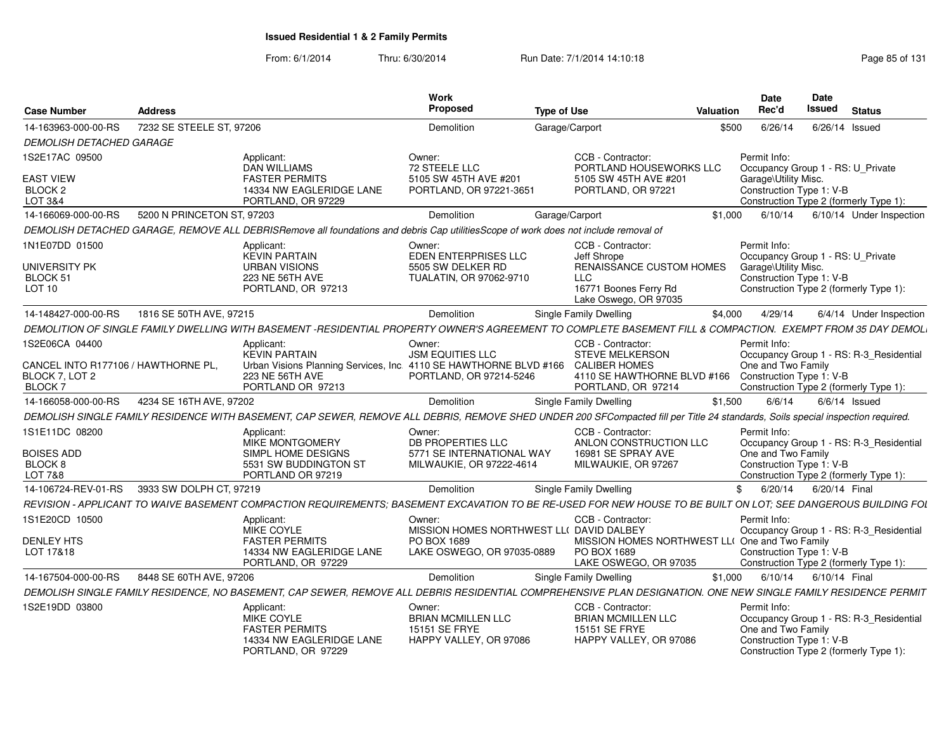| <b>Case Number</b>                                               | <b>Address</b>             |                                                                                                                                                                                 | Work<br>Proposed                                                                      | <b>Type of Use</b>                                                                        | Valuation                                      | Date<br>Rec'd                                                                         | Date<br>Issued | <b>Status</b>                                                                     |
|------------------------------------------------------------------|----------------------------|---------------------------------------------------------------------------------------------------------------------------------------------------------------------------------|---------------------------------------------------------------------------------------|-------------------------------------------------------------------------------------------|------------------------------------------------|---------------------------------------------------------------------------------------|----------------|-----------------------------------------------------------------------------------|
| 14-163963-000-00-RS                                              | 7232 SE STEELE ST, 97206   |                                                                                                                                                                                 | Demolition                                                                            | Garage/Carport                                                                            | \$500                                          | 6/26/14                                                                               |                | 6/26/14 Issued                                                                    |
| <b>DEMOLISH DETACHED GARAGE</b>                                  |                            |                                                                                                                                                                                 |                                                                                       |                                                                                           |                                                |                                                                                       |                |                                                                                   |
| 1S2E17AC 09500                                                   |                            | Applicant:<br><b>DAN WILLIAMS</b>                                                                                                                                               | Owner:<br>72 STEELE LLC                                                               | CCB - Contractor:                                                                         | PORTLAND HOUSEWORKS LLC                        | Permit Info:<br>Occupancy Group 1 - RS: U Private                                     |                |                                                                                   |
| <b>EAST VIEW</b><br>BLOCK <sub>2</sub><br>LOT 3&4                |                            | <b>FASTER PERMITS</b><br>14334 NW EAGLERIDGE LANE<br>PORTLAND, OR 97229                                                                                                         | 5105 SW 45TH AVE #201<br>PORTLAND, OR 97221-3651                                      | 5105 SW 45TH AVE #201<br>PORTLAND, OR 97221                                               |                                                | Garage\Utility Misc.<br>Construction Type 1: V-B                                      |                | Construction Type 2 (formerly Type 1):                                            |
| 14-166069-000-00-RS                                              | 5200 N PRINCETON ST, 97203 |                                                                                                                                                                                 | Demolition                                                                            | Garage/Carport                                                                            | \$1.000                                        | 6/10/14                                                                               |                | 6/10/14 Under Inspection                                                          |
|                                                                  |                            | DEMOLISH DETACHED GARAGE, REMOVE ALL DEBRISRemove all foundations and debris Cap utilitiesScope of work does not include removal of                                             |                                                                                       |                                                                                           |                                                |                                                                                       |                |                                                                                   |
| 1N1E07DD 01500                                                   |                            | Applicant:<br><b>KEVIN PARTAIN</b>                                                                                                                                              | Owner:                                                                                | CCB - Contractor:                                                                         |                                                | Permit Info:                                                                          |                |                                                                                   |
| UNIVERSITY PK<br>BLOCK 51<br><b>LOT 10</b>                       |                            | <b>URBAN VISIONS</b><br>223 NE 56TH AVE<br>PORTLAND, OR 97213                                                                                                                   | EDEN ENTERPRISES LLC<br>5505 SW DELKER RD<br>TUALATIN, OR 97062-9710                  | Jeff Shrope<br><b>LLC</b><br>16771 Boones Ferry Rd                                        | <b>RENAISSANCE CUSTOM HOMES</b>                | Occupancy Group 1 - RS: U_Private<br>Garage\Utility Misc.<br>Construction Type 1: V-B |                | Construction Type 2 (formerly Type 1):                                            |
|                                                                  |                            |                                                                                                                                                                                 |                                                                                       | Lake Oswego, OR 97035                                                                     |                                                |                                                                                       |                |                                                                                   |
| 14-148427-000-00-RS                                              | 1816 SE 50TH AVE, 97215    |                                                                                                                                                                                 | Demolition                                                                            | Single Family Dwelling                                                                    | \$4,000                                        | 4/29/14                                                                               |                | 6/4/14 Under Inspection                                                           |
|                                                                  |                            | DEMOLITION OF SINGLE FAMILY DWELLING WITH BASEMENT -RESIDENTIAL PROPERTY OWNER'S AGREEMENT TO COMPLETE BASEMENT FILL & COMPACTION. EXEMPT FROM 35 DAY DEMOL                     |                                                                                       |                                                                                           |                                                |                                                                                       |                |                                                                                   |
| 1S2E06CA 04400                                                   |                            | Applicant:<br><b>KEVIN PARTAIN</b>                                                                                                                                              | Owner:<br><b>JSM EQUITIES LLC</b>                                                     | CCB - Contractor:<br><b>STEVE MELKERSON</b>                                               |                                                | Permit Info:                                                                          |                | Occupancy Group 1 - RS: R-3 Residential                                           |
| CANCEL INTO R177106 / HAWTHORNE PL,<br>BLOCK 7, LOT 2<br>BLOCK 7 |                            | Urban Visions Planning Services, Inc. 4110 SE HAWTHORNE BLVD #166<br>223 NE 56TH AVE<br>PORTLAND OR 97213                                                                       | PORTLAND, OR 97214-5246                                                               | <b>CALIBER HOMES</b><br>PORTLAND, OR 97214                                                | 4110 SE HAWTHORNE BLVD #166                    | One and Two Family<br>Construction Type 1: V-B                                        |                | Construction Type 2 (formerly Type 1):                                            |
| 14-166058-000-00-RS                                              | 4234 SE 16TH AVE, 97202    |                                                                                                                                                                                 | Demolition                                                                            | <b>Single Family Dwelling</b>                                                             | \$1.500                                        | 6/6/14                                                                                |                | $6/6/14$ Issued                                                                   |
|                                                                  |                            | DEMOLISH SINGLE FAMILY RESIDENCE WITH BASEMENT, CAP SEWER, REMOVE ALL DEBRIS, REMOVE SHED UNDER 200 SFCompacted fill per Title 24 standards, Soils special inspection required. |                                                                                       |                                                                                           |                                                |                                                                                       |                |                                                                                   |
| 1S1E11DC 08200                                                   |                            | Applicant:<br>MIKE MONTGOMERY                                                                                                                                                   | Owner:<br>DB PROPERTIES LLC                                                           | CCB - Contractor:<br>ANLON CONSTRUCTION LLC                                               |                                                | Permit Info:                                                                          |                | Occupancy Group 1 - RS: R-3_Residential                                           |
| <b>BOISES ADD</b><br>BLOCK 8<br>LOT 7&8                          |                            | SIMPL HOME DESIGNS<br>5531 SW BUDDINGTON ST<br>PORTLAND OR 97219                                                                                                                | 5771 SE INTERNATIONAL WAY<br>MILWAUKIE, OR 97222-4614                                 | 16981 SE SPRAY AVE<br>MILWAUKIE, OR 97267                                                 |                                                | One and Two Family<br>Construction Type 1: V-B                                        |                | Construction Type 2 (formerly Type 1):                                            |
| 14-106724-REV-01-RS                                              | 3933 SW DOLPH CT, 97219    |                                                                                                                                                                                 | Demolition                                                                            | Single Family Dwelling                                                                    | $\mathbb{S}$                                   | 6/20/14                                                                               | 6/20/14 Final  |                                                                                   |
|                                                                  |                            | REVISION - APPLICANT TO WAIVE BASEMENT COMPACTION REQUIREMENTS: BASEMENT EXCAVATION TO BE RE-USED FOR NEW HOUSE TO BE BUILT ON LOT: SEE DANGEROUS BUILDING FOL                  |                                                                                       |                                                                                           |                                                |                                                                                       |                |                                                                                   |
| 1S1E20CD 10500                                                   |                            | Applicant:<br>MIKE COYLE                                                                                                                                                        | Owner:<br>MISSION HOMES NORTHWEST LL( DAVID DALBEY                                    | CCB - Contractor:                                                                         |                                                | Permit Info:                                                                          |                | Occupancy Group 1 - RS: R-3_Residential                                           |
| <b>DENLEY HTS</b>                                                |                            | <b>FASTER PERMITS</b>                                                                                                                                                           | <b>PO BOX 1689</b>                                                                    |                                                                                           | MISSION HOMES NORTHWEST LL( One and Two Family |                                                                                       |                |                                                                                   |
| LOT 17&18                                                        |                            | 14334 NW EAGLERIDGE LANE<br>PORTLAND, OR 97229                                                                                                                                  | LAKE OSWEGO, OR 97035-0889                                                            | PO BOX 1689<br>LAKE OSWEGO, OR 97035                                                      |                                                | Construction Type 1: V-B                                                              |                | Construction Type 2 (formerly Type 1):                                            |
| 14-167504-000-00-RS                                              | 8448 SE 60TH AVE, 97206    |                                                                                                                                                                                 | Demolition                                                                            | Single Family Dwelling                                                                    | \$1.000                                        | 6/10/14                                                                               | 6/10/14 Final  |                                                                                   |
|                                                                  |                            | DEMOLISH SINGLE FAMILY RESIDENCE, NO BASEMENT, CAP SEWER, REMOVE ALL DEBRIS RESIDENTIAL COMPREHENSIVE PLAN DESIGNATION. ONE NEW SINGLE FAMILY RESIDENCE PERMIT                  |                                                                                       |                                                                                           |                                                |                                                                                       |                |                                                                                   |
| 1S2E19DD 03800                                                   |                            | Applicant:<br><b>MIKE COYLE</b><br><b>FASTER PERMITS</b><br>14334 NW EAGLERIDGE LANE<br>PORTLAND, OR 97229                                                                      | Owner:<br><b>BRIAN MCMILLEN LLC</b><br><b>15151 SE FRYE</b><br>HAPPY VALLEY, OR 97086 | CCB - Contractor:<br><b>BRIAN MCMILLEN LLC</b><br>15151 SE FRYE<br>HAPPY VALLEY, OR 97086 |                                                | Permit Info:<br>One and Two Family<br>Construction Type 1: V-B                        |                | Occupancy Group 1 - RS: R-3_Residential<br>Construction Type 2 (formerly Type 1): |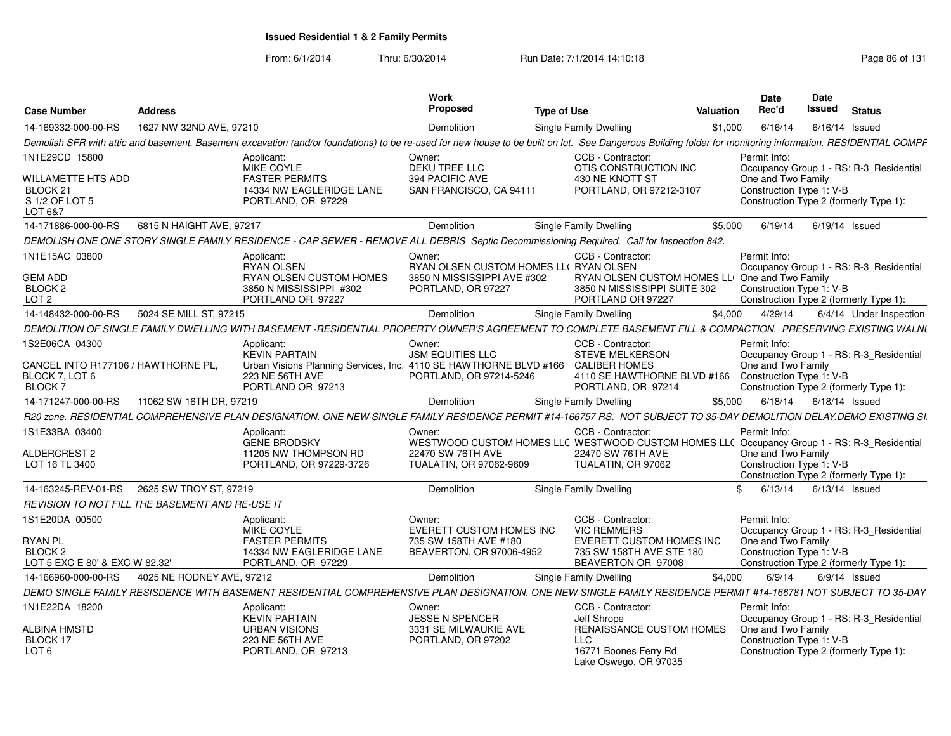| <b>Case Number</b>                                                     | <b>Address</b>                                         |                                                                                                                                                                                                            | Work<br>Proposed                                  | <b>Type of Use</b> |                                                                                                                  | Valuation     | <b>Date</b><br>Rec'd | <b>Date</b><br>Issued                          | <b>Status</b>                           |
|------------------------------------------------------------------------|--------------------------------------------------------|------------------------------------------------------------------------------------------------------------------------------------------------------------------------------------------------------------|---------------------------------------------------|--------------------|------------------------------------------------------------------------------------------------------------------|---------------|----------------------|------------------------------------------------|-----------------------------------------|
| 14-169332-000-00-RS                                                    | 1627 NW 32ND AVE, 97210                                |                                                                                                                                                                                                            | Demolition                                        |                    | Single Family Dwelling                                                                                           | \$1,000       | 6/16/14              |                                                | 6/16/14 Issued                          |
|                                                                        |                                                        | Demolish SFR with attic and basement. Basement excavation (and/or foundations) to be re-used for new house to be built on lot. See Dangerous Building folder for monitoring information. RESIDENTIAL COMPF |                                                   |                    |                                                                                                                  |               |                      |                                                |                                         |
| 1N1E29CD 15800                                                         |                                                        | Applicant:<br>MIKE COYLE                                                                                                                                                                                   | Owner:<br>DEKU TREE LLC                           |                    | CCB - Contractor:<br>OTIS CONSTRUCTION INC                                                                       |               | Permit Info:         |                                                | Occupancy Group 1 - RS: R-3 Residential |
| WILLAMETTE HTS ADD<br>BLOCK <sub>21</sub><br>S 1/2 OF LOT 5<br>LOT 6&7 |                                                        | <b>FASTER PERMITS</b><br>14334 NW EAGLERIDGE LANE<br>PORTLAND, OR 97229                                                                                                                                    | 394 PACIFIC AVE<br>SAN FRANCISCO, CA 94111        |                    | 430 NE KNOTT ST<br>PORTLAND, OR 97212-3107                                                                       |               |                      | One and Two Family<br>Construction Type 1: V-B | Construction Type 2 (formerly Type 1):  |
| 14-171886-000-00-RS                                                    | 6815 N HAIGHT AVE, 97217                               |                                                                                                                                                                                                            | Demolition                                        |                    | Single Family Dwelling                                                                                           | \$5,000       | 6/19/14              |                                                | 6/19/14 Issued                          |
|                                                                        |                                                        | DEMOLISH ONE ONE STORY SINGLE FAMILY RESIDENCE - CAP SEWER - REMOVE ALL DEBRIS Septic Decommissioning Required. Call for Inspection 842.                                                                   |                                                   |                    |                                                                                                                  |               |                      |                                                |                                         |
| 1N1E15AC 03800                                                         |                                                        | Applicant:<br><b>RYAN OLSEN</b>                                                                                                                                                                            | Owner:<br>RYAN OLSEN CUSTOM HOMES LLI RYAN OLSEN  |                    | CCB - Contractor:                                                                                                |               | Permit Info:         |                                                | Occupancy Group 1 - RS: R-3 Residential |
| <b>GEM ADD</b><br>BLOCK <sub>2</sub><br>LOT <sub>2</sub>               |                                                        | RYAN OLSEN CUSTOM HOMES<br>3850 N MISSISSIPPI #302<br>PORTLAND OR 97227                                                                                                                                    | 3850 N MISSISSIPPI AVE #302<br>PORTLAND, OR 97227 |                    | RYAN OLSEN CUSTOM HOMES LLI One and Two Family<br>3850 N MISSISSIPPI SUITE 302<br>PORTLAND OR 97227              |               |                      | Construction Type 1: V-B                       | Construction Type 2 (formerly Type 1):  |
| 14-148432-000-00-RS                                                    | 5024 SE MILL ST, 97215                                 |                                                                                                                                                                                                            | Demolition                                        |                    | Single Family Dwelling                                                                                           | \$4.000       | 4/29/14              |                                                | 6/4/14 Under Inspection                 |
|                                                                        |                                                        | DEMOLITION OF SINGLE FAMILY DWELLING WITH BASEMENT -RESIDENTIAL PROPERTY OWNER'S AGREEMENT TO COMPLETE BASEMENT FILL & COMPACTION. PRESERVING EXISTING WALNI                                               |                                                   |                    |                                                                                                                  |               |                      |                                                |                                         |
| 1S2E06CA 04300                                                         |                                                        |                                                                                                                                                                                                            |                                                   |                    | CCB - Contractor:                                                                                                |               | Permit Info:         |                                                |                                         |
|                                                                        |                                                        | Applicant:<br><b>KEVIN PARTAIN</b>                                                                                                                                                                         | Owner:<br><b>JSM EQUITIES LLC</b>                 |                    | <b>STEVE MELKERSON</b>                                                                                           |               |                      |                                                | Occupancy Group 1 - RS: R-3 Residential |
| CANCEL INTO R177106 / HAWTHORNE PL                                     |                                                        | Urban Visions Planning Services, Inc. 4110 SE HAWTHORNE BLVD #166                                                                                                                                          |                                                   |                    | <b>CALIBER HOMES</b>                                                                                             |               |                      | One and Two Family                             |                                         |
| BLOCK 7, LOT 6<br>BLOCK <sub>7</sub>                                   |                                                        | 223 NE 56TH AVE<br>PORTLAND OR 97213                                                                                                                                                                       | PORTLAND, OR 97214-5246                           |                    | 4110 SE HAWTHORNE BLVD #166<br>PORTLAND, OR 97214                                                                |               |                      | Construction Type 1: V-B                       | Construction Type 2 (formerly Type 1):  |
| 14-171247-000-00-RS                                                    | 11062 SW 16TH DR, 97219                                |                                                                                                                                                                                                            | Demolition                                        |                    | Single Family Dwelling                                                                                           | \$5,000       | 6/18/14              | 6/18/14 Issued                                 |                                         |
|                                                                        |                                                        |                                                                                                                                                                                                            |                                                   |                    |                                                                                                                  |               |                      |                                                |                                         |
|                                                                        |                                                        | R20 zone. RESIDENTIAL COMPREHENSIVE PLAN DESIGNATION. ONE NEW SINGLE FAMILY RESIDENCE PERMIT #14-166757 RS. NOT SUBJECT TO 35-DAY DEMOLITION DELAY.DEMO EXISTING SI.                                       |                                                   |                    |                                                                                                                  |               |                      |                                                |                                         |
| 1S1E33BA 03400                                                         |                                                        | Applicant:<br><b>GENE BRODSKY</b>                                                                                                                                                                          | Owner:                                            |                    | CCB - Contractor:<br>WESTWOOD CUSTOM HOMES LL( WESTWOOD CUSTOM HOMES LL( Occupancy Group 1 - RS: R-3 Residential |               | Permit Info:         |                                                |                                         |
| <b>ALDERCREST 2</b>                                                    |                                                        | 11205 NW THOMPSON RD                                                                                                                                                                                       | 22470 SW 76TH AVE                                 |                    | 22470 SW 76TH AVE                                                                                                |               |                      | One and Two Family                             |                                         |
| LOT 16 TL 3400                                                         |                                                        | PORTLAND, OR 97229-3726                                                                                                                                                                                    | TUALATIN, OR 97062-9609                           |                    | TUALATIN, OR 97062                                                                                               |               |                      | Construction Type 1: V-B                       |                                         |
|                                                                        |                                                        |                                                                                                                                                                                                            |                                                   |                    |                                                                                                                  |               |                      |                                                | Construction Type 2 (formerly Type 1):  |
| 14-163245-REV-01-RS                                                    | 2625 SW TROY ST, 97219                                 |                                                                                                                                                                                                            | Demolition                                        |                    | <b>Single Family Dwelling</b>                                                                                    | $\mathcal{L}$ | 6/13/14              |                                                | 6/13/14 Issued                          |
|                                                                        | <b>REVISION TO NOT FILL THE BASEMENT AND RE-USE IT</b> |                                                                                                                                                                                                            |                                                   |                    |                                                                                                                  |               |                      |                                                |                                         |
| 1S1E20DA 00500                                                         |                                                        | Applicant:<br>MIKE COYLE                                                                                                                                                                                   | Owner:<br>EVERETT CUSTOM HOMES INC                |                    | CCB - Contractor:<br><b>VIC REMMERS</b>                                                                          |               | Permit Info:         |                                                | Occupancy Group 1 - RS: R-3 Residential |
| <b>RYAN PL</b>                                                         |                                                        | <b>FASTER PERMITS</b>                                                                                                                                                                                      | 735 SW 158TH AVE #180                             |                    | <b>EVERETT CUSTOM HOMES INC</b>                                                                                  |               |                      | One and Two Family                             |                                         |
| <b>BLOCK 2</b>                                                         |                                                        | 14334 NW EAGLERIDGE LANE                                                                                                                                                                                   | BEAVERTON, OR 97006-4952                          |                    | 735 SW 158TH AVE STE 180                                                                                         |               |                      | Construction Type 1: V-B                       |                                         |
| LOT 5 EXC E 80' & EXC W 82.32'                                         |                                                        | PORTLAND, OR 97229                                                                                                                                                                                         |                                                   |                    | BEAVERTON OR 97008                                                                                               |               |                      |                                                | Construction Type 2 (formerly Type 1):  |
| 14-166960-000-00-RS                                                    | 4025 NE RODNEY AVE, 97212                              |                                                                                                                                                                                                            | Demolition                                        |                    | Single Family Dwelling                                                                                           | \$4.000       | 6/9/14               |                                                | $6/9/14$ Issued                         |
|                                                                        |                                                        | DEMO SINGLE FAMILY RESISDENCE WITH BASEMENT RESIDENTIAL COMPREHENSIVE PLAN DESIGNATION. ONE NEW SINGLE FAMILY RESIDENCE PERMIT #14-166781 NOT SUBJECT TO 35-DAY                                            |                                                   |                    |                                                                                                                  |               |                      |                                                |                                         |
| 1N1E22DA 18200                                                         |                                                        | Applicant:                                                                                                                                                                                                 | Owner:                                            |                    | CCB - Contractor:                                                                                                |               | Permit Info:         |                                                |                                         |
| ALBINA HMSTD                                                           |                                                        | <b>KEVIN PARTAIN</b><br><b>URBAN VISIONS</b>                                                                                                                                                               | <b>JESSE N SPENCER</b><br>3331 SE MILWAUKIE AVE   |                    | Jeff Shrope<br>RENAISSANCE CUSTOM HOMES                                                                          |               |                      | One and Two Family                             | Occupancy Group 1 - RS: R-3_Residential |
| BLOCK 17                                                               |                                                        | 223 NE 56TH AVE                                                                                                                                                                                            | PORTLAND, OR 97202                                |                    | <b>LLC</b>                                                                                                       |               |                      | Construction Type 1: V-B                       |                                         |
| LOT 6                                                                  |                                                        | PORTLAND, OR 97213                                                                                                                                                                                         |                                                   |                    | 16771 Boones Ferry Rd<br>Lake Oswego, OR 97035                                                                   |               |                      |                                                | Construction Type 2 (formerly Type 1):  |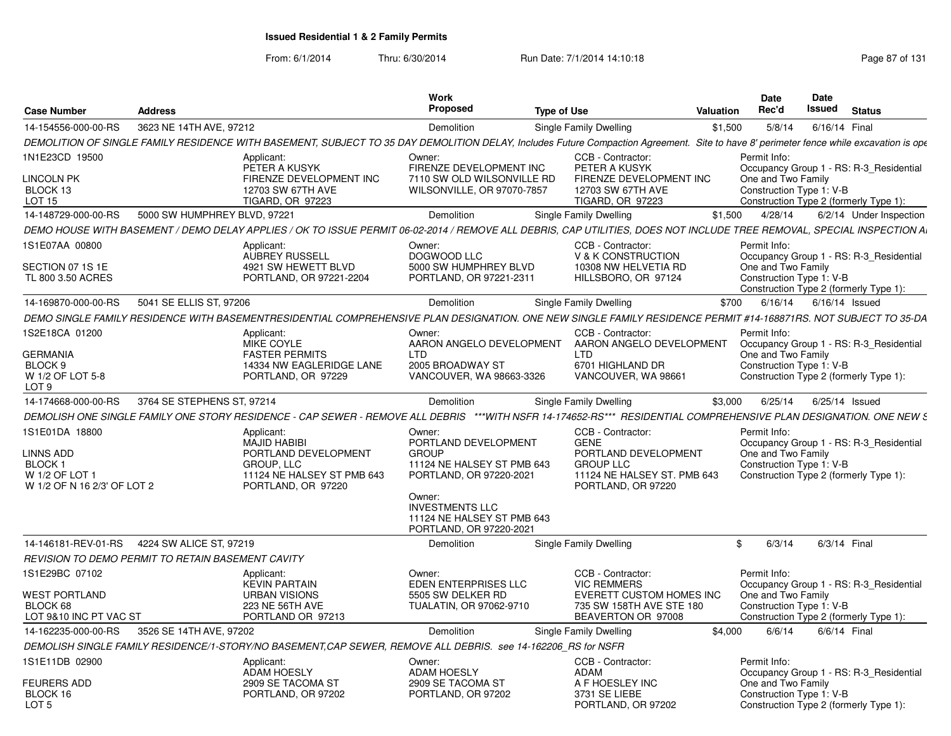| <b>Case Number</b>                                                                            | <b>Address</b>                                           |                                                                                                                                                                                        | <b>Work</b><br><b>Proposed</b>                                                                                                                                                                       | <b>Type of Use</b>                                                                                                                | Valuation | <b>Date</b><br>Rec'd                                           | <b>Date</b><br>Issued | <b>Status</b>                                                                     |
|-----------------------------------------------------------------------------------------------|----------------------------------------------------------|----------------------------------------------------------------------------------------------------------------------------------------------------------------------------------------|------------------------------------------------------------------------------------------------------------------------------------------------------------------------------------------------------|-----------------------------------------------------------------------------------------------------------------------------------|-----------|----------------------------------------------------------------|-----------------------|-----------------------------------------------------------------------------------|
| 14-154556-000-00-RS                                                                           | 3623 NE 14TH AVE, 97212                                  |                                                                                                                                                                                        | Demolition                                                                                                                                                                                           | Single Family Dwelling                                                                                                            | \$1,500   | 5/8/14                                                         | 6/16/14 Final         |                                                                                   |
|                                                                                               |                                                          | DEMOLITION OF SINGLE FAMILY RESIDENCE WITH BASEMENT, SUBJECT TO 35 DAY DEMOLITION DELAY, Includes Future Compaction Agreement. Site to have 8' perimeter fence while excavation is ope |                                                                                                                                                                                                      |                                                                                                                                   |           |                                                                |                       |                                                                                   |
| 1N1E23CD 19500                                                                                |                                                          | Applicant:                                                                                                                                                                             | Owner:                                                                                                                                                                                               | CCB - Contractor:                                                                                                                 |           | Permit Info:                                                   |                       |                                                                                   |
| <b>LINCOLN PK</b><br>BLOCK 13<br><b>LOT 15</b>                                                |                                                          | PETER A KUSYK<br>FIRENZE DEVELOPMENT INC<br>12703 SW 67TH AVE<br>TIGARD, OR 97223                                                                                                      | FIRENZE DEVELOPMENT INC<br>7110 SW OLD WILSONVILLE RD<br>WILSONVILLE, OR 97070-7857                                                                                                                  | PETER A KUSYK<br>FIRENZE DEVELOPMENT INC<br>12703 SW 67TH AVE<br><b>TIGARD, OR 97223</b>                                          |           | One and Two Family<br>Construction Type 1: V-B                 |                       | Occupancy Group 1 - RS: R-3 Residential<br>Construction Type 2 (formerly Type 1): |
| 14-148729-000-00-RS                                                                           | 5000 SW HUMPHREY BLVD, 97221                             |                                                                                                                                                                                        | Demolition                                                                                                                                                                                           | Single Family Dwelling                                                                                                            | \$1,500   | 4/28/14                                                        |                       | 6/2/14 Under Inspection                                                           |
|                                                                                               |                                                          | DEMO HOUSE WITH BASEMENT / DEMO DELAY APPLIES / OK TO ISSUE PERMIT 06-02-2014 / REMOVE ALL DEBRIS, CAP UTILITIES, DOES NOT INCLUDE TREE REMOVAL, SPECIAL INSPECTION AI                 |                                                                                                                                                                                                      |                                                                                                                                   |           |                                                                |                       |                                                                                   |
| 1S1E07AA 00800                                                                                |                                                          | Applicant:                                                                                                                                                                             | Owner:                                                                                                                                                                                               | CCB - Contractor:                                                                                                                 |           | Permit Info:                                                   |                       |                                                                                   |
| SECTION 07 1S 1E<br>TL 800 3.50 ACRES                                                         |                                                          | AUBREY RUSSELL<br>4921 SW HEWETT BLVD<br>PORTLAND, OR 97221-2204                                                                                                                       | DOGWOOD LLC<br>5000 SW HUMPHREY BLVD<br>PORTLAND, OR 97221-2311                                                                                                                                      | V & K CONSTRUCTION<br>10308 NW HELVETIA RD<br>HILLSBORO, OR 97124                                                                 |           | One and Two Family<br>Construction Type 1: V-B                 |                       | Occupancy Group 1 - RS: R-3 Residential<br>Construction Type 2 (formerly Type 1): |
| 14-169870-000-00-RS                                                                           | 5041 SE ELLIS ST, 97206                                  |                                                                                                                                                                                        | Demolition                                                                                                                                                                                           | Single Family Dwelling                                                                                                            | \$700     | 6/16/14                                                        | 6/16/14 Issued        |                                                                                   |
|                                                                                               |                                                          | DEMO SINGLE FAMILY RESIDENCE WITH BASEMENTRESIDENTIAL COMPREHENSIVE PLAN DESIGNATION. ONE NEW SINGLE FAMILY RESIDENCE PERMIT #14-168871RS. NOT SUBJECT TO 35-DA                        |                                                                                                                                                                                                      |                                                                                                                                   |           |                                                                |                       |                                                                                   |
| 1S2E18CA 01200                                                                                |                                                          | Applicant:<br>MIKE COYLE                                                                                                                                                               | Owner<br>AARON ANGELO DEVELOPMENT                                                                                                                                                                    | CCB - Contractor:<br>AARON ANGELO DEVELOPMENT                                                                                     |           | Permit Info:                                                   |                       | Occupancy Group 1 - RS: R-3 Residential                                           |
| <b>GERMANIA</b><br>BLOCK 9<br>W 1/2 OF LOT 5-8<br>LOT <sub>9</sub>                            |                                                          | <b>FASTER PERMITS</b><br>14334 NW EAGLERIDGE LANE<br>PORTLAND, OR 97229                                                                                                                | <b>LTD</b><br>2005 BROADWAY ST<br>VANCOUVER, WA 98663-3326                                                                                                                                           | <b>LTD</b><br>6701 HIGHLAND DR<br>VANCOUVER, WA 98661                                                                             |           | One and Two Family<br>Construction Type 1: V-B                 |                       | Construction Type 2 (formerly Type 1):                                            |
| 14-174668-000-00-RS                                                                           | 3764 SE STEPHENS ST. 97214                               |                                                                                                                                                                                        | Demolition                                                                                                                                                                                           | <b>Single Family Dwelling</b>                                                                                                     | \$3.000   | 6/25/14                                                        | 6/25/14 Issued        |                                                                                   |
|                                                                                               |                                                          | DEMOLISH ONE SINGLE FAMILY ONE STORY RESIDENCE - CAP SEWER - REMOVE ALL DEBRIS ***WITH NSFR 14-174652-RS*** RESIDENTIAL COMPREHENSIVE PLAN DESIGNATION. ONE NEW S                      |                                                                                                                                                                                                      |                                                                                                                                   |           |                                                                |                       |                                                                                   |
| 1S1E01DA 18800<br>LINNS ADD<br><b>BLOCK1</b><br>W 1/2 OF LOT 1<br>W 1/2 OF N 16 2/3' OF LOT 2 |                                                          | Applicant:<br><b>MAJID HABIBI</b><br>PORTLAND DEVELOPMENT<br><b>GROUP, LLC</b><br>11124 NE HALSEY ST PMB 643<br>PORTLAND, OR 97220                                                     | Owner:<br>PORTLAND DEVELOPMENT<br><b>GROUP</b><br>11124 NE HALSEY ST PMB 643<br>PORTLAND, OR 97220-2021<br>Owner:<br><b>INVESTMENTS LLC</b><br>11124 NE HALSEY ST PMB 643<br>PORTLAND, OR 97220-2021 | CCB - Contractor:<br><b>GENE</b><br>PORTLAND DEVELOPMENT<br><b>GROUP LLC</b><br>11124 NE HALSEY ST. PMB 643<br>PORTLAND, OR 97220 |           | Permit Info:<br>One and Two Family<br>Construction Type 1: V-B |                       | Occupancy Group 1 - RS: R-3 Residential<br>Construction Type 2 (formerly Type 1): |
| 14-146181-REV-01-RS                                                                           | 4224 SW ALICE ST, 97219                                  |                                                                                                                                                                                        | Demolition                                                                                                                                                                                           | Single Family Dwelling                                                                                                            |           | $\mathbb{S}$<br>6/3/14                                         | 6/3/14 Final          |                                                                                   |
|                                                                                               | <b>REVISION TO DEMO PERMIT TO RETAIN BASEMENT CAVITY</b> |                                                                                                                                                                                        |                                                                                                                                                                                                      |                                                                                                                                   |           |                                                                |                       |                                                                                   |
| 1S1E29BC 07102                                                                                |                                                          | Applicant:<br><b>KEVIN PARTAIN</b>                                                                                                                                                     | Owner:<br><b>EDEN ENTERPRISES LLC</b>                                                                                                                                                                | CCB - Contractor:<br><b>VIC REMMERS</b>                                                                                           |           | Permit Info:                                                   |                       | Occupancy Group 1 - RS: R-3 Residential                                           |
| <b>WEST PORTLAND</b><br>BLOCK 68<br>LOT 9&10 INC PT VAC ST                                    |                                                          | <b>URBAN VISIONS</b><br>223 NE 56TH AVE<br>PORTLAND OR 97213                                                                                                                           | 5505 SW DELKER RD<br>TUALATIN, OR 97062-9710                                                                                                                                                         | <b>EVERETT CUSTOM HOMES INC</b><br>735 SW 158TH AVE STE 180<br>BEAVERTON OR 97008                                                 |           | One and Two Family<br>Construction Type 1: V-B                 |                       | Construction Type 2 (formerly Type 1):                                            |
| 14-162235-000-00-RS                                                                           | 3526 SE 14TH AVE, 97202                                  |                                                                                                                                                                                        | Demolition                                                                                                                                                                                           | <b>Single Family Dwelling</b>                                                                                                     | \$4,000   | 6/6/14                                                         | 6/6/14 Final          |                                                                                   |
|                                                                                               |                                                          | DEMOLISH SINGLE FAMILY RESIDENCE/1-STORY/NO BASEMENT.CAP SEWER, REMOVE ALL DEBRIS. see 14-162206 RS for NSFR                                                                           |                                                                                                                                                                                                      |                                                                                                                                   |           |                                                                |                       |                                                                                   |
| 1S1E11DB 02900                                                                                |                                                          | Applicant:<br><b>ADAM HOESLY</b>                                                                                                                                                       | Owner:<br><b>ADAM HOESLY</b>                                                                                                                                                                         | CCB - Contractor:<br>ADAM                                                                                                         |           | Permit Info:                                                   |                       | Occupancy Group 1 - RS: R-3 Residential                                           |
| <b>FEURERS ADD</b><br>BLOCK 16<br>LOT <sub>5</sub>                                            |                                                          | 2909 SE TACOMA ST<br>PORTLAND, OR 97202                                                                                                                                                | 2909 SE TACOMA ST<br>PORTLAND, OR 97202                                                                                                                                                              | A F HOESLEY INC<br>3731 SE LIEBE<br>PORTLAND, OR 97202                                                                            |           | One and Two Family<br>Construction Type 1: V-B                 |                       | Construction Type 2 (formerly Type 1):                                            |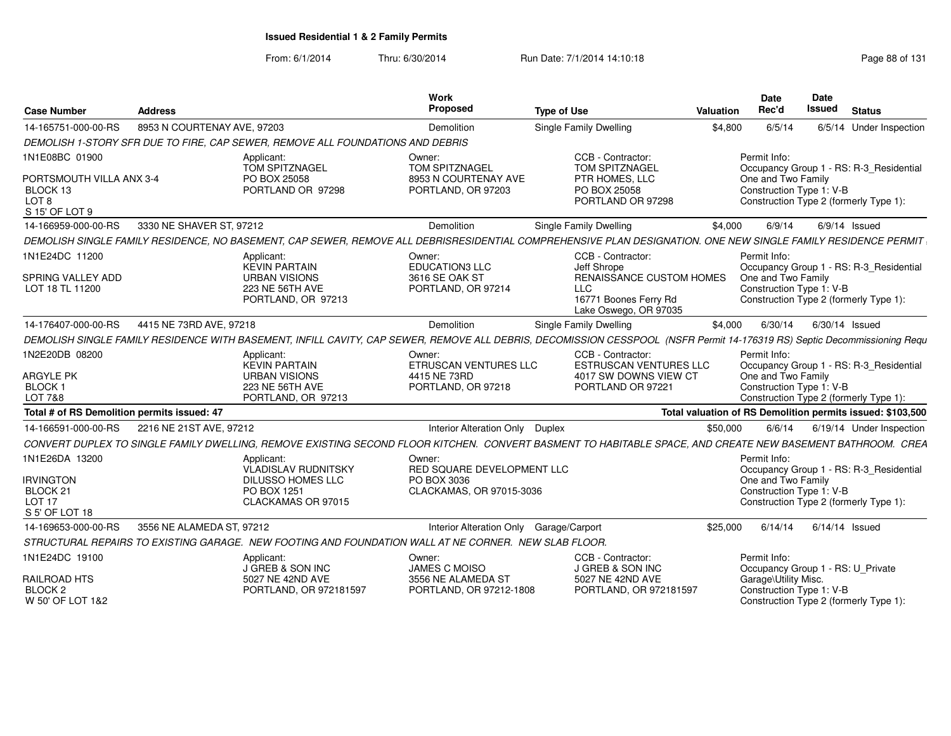| <b>Case Number</b>                                              | <b>Address</b>              |                                                                                                                                                                          | Work<br><b>Proposed</b>                       | <b>Type of Use</b>                                                                       | <b>Valuation</b> | <b>Date</b><br>Rec'd                              | Date<br><b>Issued</b> | <b>Status</b>                                              |
|-----------------------------------------------------------------|-----------------------------|--------------------------------------------------------------------------------------------------------------------------------------------------------------------------|-----------------------------------------------|------------------------------------------------------------------------------------------|------------------|---------------------------------------------------|-----------------------|------------------------------------------------------------|
| 14-165751-000-00-RS                                             | 8953 N COURTENAY AVE, 97203 |                                                                                                                                                                          | Demolition                                    | <b>Single Family Dwelling</b>                                                            | \$4,800          | 6/5/14                                            |                       | 6/5/14 Under Inspection                                    |
|                                                                 |                             | DEMOLISH 1-STORY SFR DUE TO FIRE, CAP SEWER, REMOVE ALL FOUNDATIONS AND DEBRIS                                                                                           |                                               |                                                                                          |                  |                                                   |                       |                                                            |
| 1N1E08BC 01900                                                  |                             | Applicant:<br><b>TOM SPITZNAGEL</b>                                                                                                                                      | Owner:<br>TOM SPITZNAGEL                      | CCB - Contractor:<br><b>TOM SPITZNAGEL</b>                                               |                  | Permit Info:                                      |                       | Occupancy Group 1 - RS: R-3_Residential                    |
| PORTSMOUTH VILLA ANX 3-4<br>BLOCK 13<br>LOT 8<br>S 15' OF LOT 9 |                             | PO BOX 25058<br>PORTLAND OR 97298                                                                                                                                        | 8953 N COURTENAY AVE<br>PORTLAND, OR 97203    | PTR HOMES, LLC<br>PO BOX 25058<br>PORTLAND OR 97298                                      |                  | One and Two Family<br>Construction Type 1: V-B    |                       | Construction Type 2 (formerly Type 1):                     |
| 14-166959-000-00-RS                                             | 3330 NE SHAVER ST, 97212    |                                                                                                                                                                          | Demolition                                    | <b>Single Family Dwelling</b>                                                            | \$4.000          | 6/9/14                                            |                       | $6/9/14$ Issued                                            |
|                                                                 |                             | DEMOLISH SINGLE FAMILY RESIDENCE. NO BASEMENT, CAP SEWER, REMOVE ALL DEBRISRESIDENTIAL COMPREHENSIVE PLAN DESIGNATION, ONE NEW SINGLE FAMILY RESIDENCE PERMIT            |                                               |                                                                                          |                  |                                                   |                       |                                                            |
| 1N1E24DC 11200                                                  |                             | Applicant:<br><b>KEVIN PARTAIN</b>                                                                                                                                       | Owner:<br><b>EDUCATION3 LLC</b>               | CCB - Contractor:<br>Jeff Shrope                                                         |                  | Permit Info:                                      |                       | Occupancy Group 1 - RS: R-3_Residential                    |
| SPRING VALLEY ADD<br>LOT 18 TL 11200                            |                             | <b>URBAN VISIONS</b><br>223 NE 56TH AVE<br>PORTLAND, OR 97213                                                                                                            | 3616 SE OAK ST<br>PORTLAND, OR 97214          | RENAISSANCE CUSTOM HOMES<br><b>LLC</b><br>16771 Boones Ferry Rd<br>Lake Oswego, OR 97035 |                  | One and Two Family<br>Construction Type 1: V-B    |                       | Construction Type 2 (formerly Type 1):                     |
| 14-176407-000-00-RS                                             | 4415 NE 73RD AVE, 97218     |                                                                                                                                                                          | Demolition                                    | Single Family Dwelling                                                                   | \$4,000          | 6/30/14                                           |                       | 6/30/14 Issued                                             |
|                                                                 |                             | DEMOLISH SINGLE FAMILY RESIDENCE WITH BASEMENT, INFILL CAVITY, CAP SEWER, REMOVE ALL DEBRIS, DECOMISSION CESSPOOL (NSFR Permit 14-176319 RS) Septic Decommissioning Requ |                                               |                                                                                          |                  |                                                   |                       |                                                            |
| 1N2E20DB 08200                                                  |                             | Applicant:<br><b>KEVIN PARTAIN</b>                                                                                                                                       | Owner:<br>ETRUSCAN VENTURES LLC               | CCB - Contractor:<br><b>ESTRUSCAN VENTURES LLC</b>                                       |                  | Permit Info:                                      |                       | Occupancy Group 1 - RS: R-3 Residential                    |
| <b>ARGYLE PK</b><br>BLOCK 1                                     |                             | <b>URBAN VISIONS</b><br>223 NE 56TH AVE                                                                                                                                  | 4415 NE 73RD<br>PORTLAND, OR 97218            | 4017 SW DOWNS VIEW CT<br>PORTLAND OR 97221                                               |                  | One and Two Family<br>Construction Type 1: V-B    |                       |                                                            |
| LOT 7&8                                                         |                             | PORTLAND, OR 97213                                                                                                                                                       |                                               |                                                                                          |                  |                                                   |                       | Construction Type 2 (formerly Type 1):                     |
| Total # of RS Demolition permits issued: 47                     |                             |                                                                                                                                                                          |                                               |                                                                                          |                  |                                                   |                       | Total valuation of RS Demolition permits issued: \$103,500 |
| 14-166591-000-00-RS                                             | 2216 NE 21ST AVE, 97212     |                                                                                                                                                                          | Interior Alteration Only Duplex               |                                                                                          | \$50,000         | 6/6/14                                            |                       | 6/19/14 Under Inspection                                   |
|                                                                 |                             | CONVERT DUPLEX TO SINGLE FAMILY DWELLING. REMOVE EXISTING SECOND FLOOR KITCHEN. CONVERT BASMENT TO HABITABLE SPACE. AND CREATE NEW BASEMENT BATHROOM. CREA               |                                               |                                                                                          |                  |                                                   |                       |                                                            |
| 1N1E26DA 13200                                                  |                             | Applicant:<br><b>VLADISLAV RUDNITSKY</b>                                                                                                                                 | Owner:<br>RED SQUARE DEVELOPMENT LLC          |                                                                                          |                  | Permit Info:                                      |                       | Occupancy Group 1 - RS: R-3 Residential                    |
| <b>IRVINGTON</b><br>BLOCK 21                                    |                             | <b>DILUSSO HOMES LLC</b><br>PO BOX 1251                                                                                                                                  | PO BOX 3036<br>CLACKAMAS, OR 97015-3036       |                                                                                          |                  | One and Two Family<br>Construction Type 1: V-B    |                       |                                                            |
| LOT <sub>17</sub><br>S 5' OF LOT 18                             |                             | CLACKAMAS OR 97015                                                                                                                                                       |                                               |                                                                                          |                  |                                                   |                       | Construction Type 2 (formerly Type 1):                     |
| 14-169653-000-00-RS                                             | 3556 NE ALAMEDA ST. 97212   |                                                                                                                                                                          | Interior Alteration Only Garage/Carport       |                                                                                          | \$25,000         | 6/14/14                                           |                       | $6/14/14$ Issued                                           |
|                                                                 |                             | STRUCTURAL REPAIRS TO EXISTING GARAGE. NEW FOOTING AND FOUNDATION WALL AT NE CORNER. NEW SLAB FLOOR.                                                                     |                                               |                                                                                          |                  |                                                   |                       |                                                            |
| 1N1E24DC 19100                                                  |                             | Applicant:<br>J GREB & SON INC                                                                                                                                           | Owner:<br><b>JAMES C MOISO</b>                | CCB - Contractor:<br>J GREB & SON INC                                                    |                  | Permit Info:<br>Occupancy Group 1 - RS: U Private |                       |                                                            |
| <b>RAILROAD HTS</b><br>BLOCK <sub>2</sub><br>W 50' OF LOT 1&2   |                             | 5027 NE 42ND AVE<br>PORTLAND, OR 972181597                                                                                                                               | 3556 NE ALAMEDA ST<br>PORTLAND, OR 97212-1808 | 5027 NE 42ND AVE<br>PORTLAND, OR 972181597                                               |                  | Garage\Utility Misc.<br>Construction Type 1: V-B  |                       | Construction Type 2 (formerly Type 1):                     |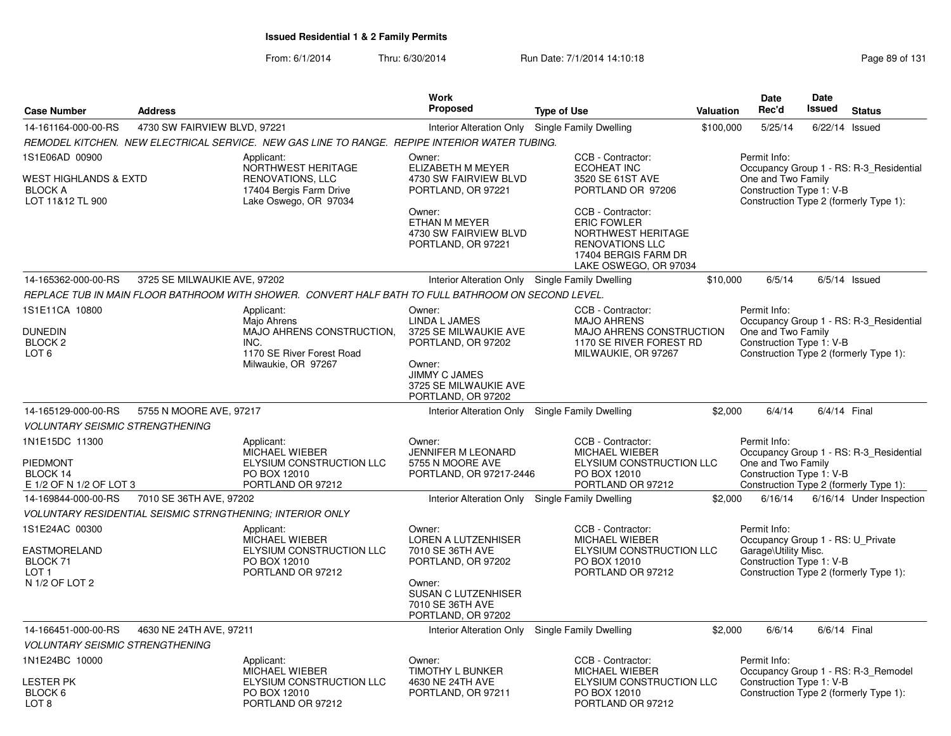|                                                                               |                              |                                                                                                                 | <b>Work</b>                                                                                                            |                                                                                                                                          |           | Date                                                                                                  | Date    |                                                                                   |
|-------------------------------------------------------------------------------|------------------------------|-----------------------------------------------------------------------------------------------------------------|------------------------------------------------------------------------------------------------------------------------|------------------------------------------------------------------------------------------------------------------------------------------|-----------|-------------------------------------------------------------------------------------------------------|---------|-----------------------------------------------------------------------------------|
| <b>Case Number</b>                                                            | <b>Address</b>               |                                                                                                                 | <b>Proposed</b>                                                                                                        | <b>Type of Use</b>                                                                                                                       | Valuation | Rec'd                                                                                                 | Issued  | <b>Status</b>                                                                     |
| 14-161164-000-00-RS                                                           | 4730 SW FAIRVIEW BLVD, 97221 |                                                                                                                 | <b>Interior Alteration Only</b>                                                                                        | Single Family Dwelling                                                                                                                   | \$100,000 | 5/25/14                                                                                               | 6/22/14 | Issued                                                                            |
|                                                                               |                              | REMODEL KITCHEN. NEW ELECTRICAL SERVICE. NEW GAS LINE TO RANGE. REPIPE INTERIOR WATER TUBING.                   |                                                                                                                        |                                                                                                                                          |           |                                                                                                       |         |                                                                                   |
| 1S1E06AD 00900<br>WEST HIGHLANDS & EXTD<br><b>BLOCK A</b><br>LOT 11&12 TL 900 |                              | Applicant:<br>NORTHWEST HERITAGE<br><b>RENOVATIONS, LLC</b><br>17404 Bergis Farm Drive<br>Lake Oswego, OR 97034 | Owner:<br>ELIZABETH M MEYER<br>4730 SW FAIRVIEW BLVD<br>PORTLAND, OR 97221                                             | CCB - Contractor:<br><b>ECOHEAT INC</b><br>3520 SE 61ST AVE<br>PORTLAND OR 97206                                                         |           | Permit Info:<br>One and Two Family<br>Construction Type 1: V-B                                        |         | Occupancy Group 1 - RS: R-3_Residential<br>Construction Type 2 (formerly Type 1): |
|                                                                               |                              |                                                                                                                 | Owner:<br>ETHAN M MEYER<br>4730 SW FAIRVIEW BLVD<br>PORTLAND, OR 97221                                                 | CCB - Contractor:<br><b>ERIC FOWLER</b><br>NORTHWEST HERITAGE<br><b>RENOVATIONS LLC</b><br>17404 BERGIS FARM DR<br>LAKE OSWEGO, OR 97034 |           |                                                                                                       |         |                                                                                   |
| 14-165362-000-00-RS                                                           | 3725 SE MILWAUKIE AVE, 97202 |                                                                                                                 | Interior Alteration Only Single Family Dwelling                                                                        |                                                                                                                                          | \$10,000  | 6/5/14                                                                                                |         | $6/5/14$ Issued                                                                   |
|                                                                               |                              | REPLACE TUB IN MAIN FLOOR BATHROOM WITH SHOWER. CONVERT HALF BATH TO FULL BATHROOM ON SECOND LEVEL.             |                                                                                                                        |                                                                                                                                          |           |                                                                                                       |         |                                                                                   |
| 1S1E11CA 10800<br>DUNEDIN<br>BLOCK <sub>2</sub>                               |                              | Applicant:<br>Majo Ahrens<br>MAJO AHRENS CONSTRUCTION,<br>INC.                                                  | Owner:<br>LINDA L JAMES<br>3725 SE MILWAUKIE AVE<br>PORTLAND, OR 97202                                                 | CCB - Contractor:<br><b>MAJO AHRENS</b><br>MAJO AHRENS CONSTRUCTION<br>1170 SE RIVER FOREST RD                                           |           | Permit Info:<br>One and Two Family<br>Construction Type 1: V-B                                        |         | Occupancy Group 1 - RS: R-3 Residential                                           |
| LOT <sub>6</sub>                                                              |                              | 1170 SE River Forest Road<br>Milwaukie, OR 97267                                                                | Owner:<br>JIMMY C JAMES<br>3725 SE MILWAUKIE AVE<br>PORTLAND, OR 97202                                                 | MILWAUKIE, OR 97267                                                                                                                      |           |                                                                                                       |         | Construction Type 2 (formerly Type 1):                                            |
| 14-165129-000-00-RS                                                           | 5755 N MOORE AVE, 97217      |                                                                                                                 |                                                                                                                        | Interior Alteration Only Single Family Dwelling                                                                                          | \$2,000   | 6/4/14                                                                                                |         | 6/4/14 Final                                                                      |
| <b>VOLUNTARY SEISMIC STRENGTHENING</b>                                        |                              |                                                                                                                 |                                                                                                                        |                                                                                                                                          |           |                                                                                                       |         |                                                                                   |
| 1N1E15DC 11300<br>PIEDMONT<br>BLOCK 14<br>E 1/2 OF N 1/2 OF LOT 3             |                              | Applicant:<br><b>MICHAEL WIEBER</b><br>ELYSIUM CONSTRUCTION LLC<br>PO BOX 12010<br>PORTLAND OR 97212            | Owner:<br><b>JENNIFER M LEONARD</b><br>5755 N MOORE AVE<br>PORTLAND, OR 97217-2446                                     | CCB - Contractor:<br><b>MICHAEL WIEBER</b><br>ELYSIUM CONSTRUCTION LLC<br>PO BOX 12010<br>PORTLAND OR 97212                              |           | Permit Info:<br>One and Two Family<br>Construction Type 1: V-B                                        |         | Occupancy Group 1 - RS: R-3_Residential<br>Construction Type 2 (formerly Type 1): |
| 14-169844-000-00-RS                                                           | 7010 SE 36TH AVE, 97202      |                                                                                                                 |                                                                                                                        | Interior Alteration Only Single Family Dwelling                                                                                          | \$2,000   | 6/16/14                                                                                               |         | 6/16/14 Under Inspection                                                          |
|                                                                               |                              | <b>VOLUNTARY RESIDENTIAL SEISMIC STRNGTHENING; INTERIOR ONLY</b>                                                |                                                                                                                        |                                                                                                                                          |           |                                                                                                       |         |                                                                                   |
| 1S1E24AC 00300<br>EASTMORELAND<br>BLOCK 71<br>LOT 1<br>N 1/2 OF LOT 2         |                              | Applicant:<br>MICHAEL WIEBER<br>ELYSIUM CONSTRUCTION LLC<br>PO BOX 12010<br>PORTLAND OR 97212                   | Owner:<br><b>LOREN A LUTZENHISER</b><br>7010 SE 36TH AVE<br>PORTLAND, OR 97202<br>Owner:<br><b>SUSAN C LUTZENHISER</b> | CCB - Contractor:<br>MICHAEL WIEBER<br>ELYSIUM CONSTRUCTION LLC<br>PO BOX 12010<br>PORTLAND OR 97212                                     |           | Permit Info:<br>Occupancy Group 1 - RS: U_Private<br>Garage\Utility Misc.<br>Construction Type 1: V-B |         | Construction Type 2 (formerly Type 1):                                            |
|                                                                               |                              |                                                                                                                 | 7010 SE 36TH AVE<br>PORTLAND, OR 97202                                                                                 |                                                                                                                                          |           |                                                                                                       |         |                                                                                   |
| 14-166451-000-00-RS                                                           | 4630 NE 24TH AVE, 97211      |                                                                                                                 |                                                                                                                        | Interior Alteration Only Single Family Dwelling                                                                                          | \$2,000   | 6/6/14                                                                                                |         | 6/6/14 Final                                                                      |
| <b>VOLUNTARY SEISMIC STRENGTHENING</b>                                        |                              |                                                                                                                 |                                                                                                                        |                                                                                                                                          |           |                                                                                                       |         |                                                                                   |
| 1N1E24BC 10000                                                                |                              | Applicant:<br>MICHAEL WIEBER                                                                                    | Owner:<br>TIMOTHY L BUNKER                                                                                             | CCB - Contractor:<br>MICHAEL WIEBER                                                                                                      |           | Permit Info:                                                                                          |         | Occupancy Group 1 - RS: R-3 Remodel                                               |
| LESTER PK<br>BLOCK 6<br>LOT <sub>8</sub>                                      |                              | ELYSIUM CONSTRUCTION LLC<br>PO BOX 12010<br>PORTLAND OR 97212                                                   | 4630 NE 24TH AVE<br>PORTLAND, OR 97211                                                                                 | ELYSIUM CONSTRUCTION LLC<br>PO BOX 12010<br>PORTLAND OR 97212                                                                            |           | Construction Type 1: V-B                                                                              |         | Construction Type 2 (formerly Type 1):                                            |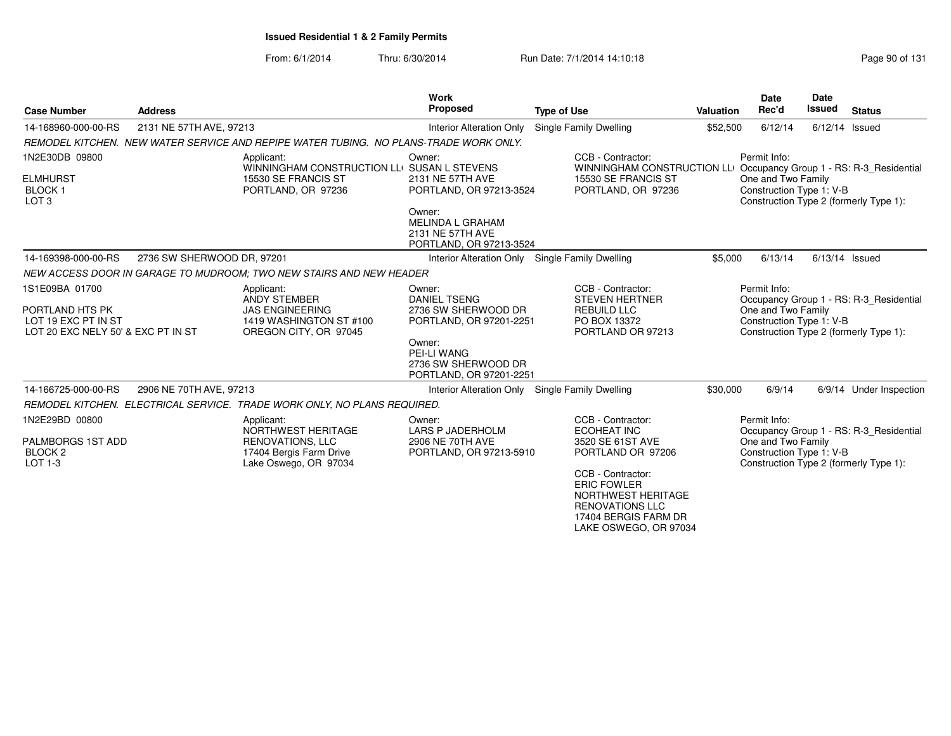| <b>Case Number</b>                                                                             | <b>Address</b>             |                                                                                                                 | Work<br>Proposed                                                                                                                                                  | <b>Type of Use</b>                                                                                                                                                                                                    | <b>Valuation</b> | <b>Date</b><br>Rec'd                                           | <b>Date</b><br><b>Issued</b> | <b>Status</b>                                                                     |
|------------------------------------------------------------------------------------------------|----------------------------|-----------------------------------------------------------------------------------------------------------------|-------------------------------------------------------------------------------------------------------------------------------------------------------------------|-----------------------------------------------------------------------------------------------------------------------------------------------------------------------------------------------------------------------|------------------|----------------------------------------------------------------|------------------------------|-----------------------------------------------------------------------------------|
| 14-168960-000-00-RS                                                                            | 2131 NE 57TH AVE, 97213    |                                                                                                                 | <b>Interior Alteration Only</b>                                                                                                                                   | Single Family Dwelling                                                                                                                                                                                                | \$52,500         | 6/12/14                                                        |                              | $6/12/14$ Issued                                                                  |
|                                                                                                |                            | REMODEL KITCHEN. NEW WATER SERVICE AND REPIPE WATER TUBING. NO PLANS-TRADE WORK ONLY.                           |                                                                                                                                                                   |                                                                                                                                                                                                                       |                  |                                                                |                              |                                                                                   |
| 1N2E30DB 09800<br><b>ELMHURST</b><br><b>BLOCK1</b><br>LOT <sub>3</sub>                         |                            | Applicant:<br>WINNINGHAM CONSTRUCTION LLO<br>15530 SE FRANCIS ST<br>PORTLAND, OR 97236                          | Owner:<br><b>SUSAN L STEVENS</b><br>2131 NE 57TH AVE<br>PORTLAND, OR 97213-3524                                                                                   | CCB - Contractor:<br>WINNINGHAM CONSTRUCTION LLI Occupancy Group 1 - RS: R-3_Residential<br>15530 SE FRANCIS ST<br>PORTLAND, OR 97236                                                                                 |                  | Permit Info:<br>One and Two Family<br>Construction Type 1: V-B |                              | Construction Type 2 (formerly Type 1):                                            |
|                                                                                                |                            |                                                                                                                 | Owner:<br><b>MELINDA L GRAHAM</b><br>2131 NE 57TH AVE<br>PORTLAND, OR 97213-3524                                                                                  |                                                                                                                                                                                                                       |                  |                                                                |                              |                                                                                   |
| 14-169398-000-00-RS                                                                            | 2736 SW SHERWOOD DR. 97201 |                                                                                                                 | Interior Alteration Only                                                                                                                                          | Single Family Dwelling                                                                                                                                                                                                | \$5,000          | 6/13/14                                                        |                              | $6/13/14$ Issued                                                                  |
|                                                                                                |                            | NEW ACCESS DOOR IN GARAGE TO MUDROOM: TWO NEW STAIRS AND NEW HEADER                                             |                                                                                                                                                                   |                                                                                                                                                                                                                       |                  |                                                                |                              |                                                                                   |
| 1S1E09BA 01700<br>PORTLAND HTS PK<br>LOT 19 EXC PT IN ST<br>LOT 20 EXC NELY 50' & EXC PT IN ST |                            | Applicant:<br><b>ANDY STEMBER</b><br><b>JAS ENGINEERING</b><br>1419 WASHINGTON ST #100<br>OREGON CITY, OR 97045 | Owner:<br><b>DANIEL TSENG</b><br>2736 SW SHERWOOD DR<br>PORTLAND, OR 97201-2251<br>Owner:<br><b>PEI-LI WANG</b><br>2736 SW SHERWOOD DR<br>PORTLAND, OR 97201-2251 | CCB - Contractor:<br><b>STEVEN HERTNER</b><br><b>REBUILD LLC</b><br>PO BOX 13372<br>PORTLAND OR 97213                                                                                                                 |                  | Permit Info:<br>One and Two Family<br>Construction Type 1: V-B |                              | Occupancy Group 1 - RS: R-3_Residential<br>Construction Type 2 (formerly Type 1): |
| 14-166725-000-00-RS                                                                            | 2906 NE 70TH AVE, 97213    |                                                                                                                 | <b>Interior Alteration Only</b>                                                                                                                                   | Single Family Dwelling                                                                                                                                                                                                | \$30,000         | 6/9/14                                                         |                              | 6/9/14 Under Inspection                                                           |
|                                                                                                |                            | REMODEL KITCHEN. ELECTRICAL SERVICE. TRADE WORK ONLY, NO PLANS REQUIRED.                                        |                                                                                                                                                                   |                                                                                                                                                                                                                       |                  |                                                                |                              |                                                                                   |
| 1N2E29BD 00800<br>PALMBORGS 1ST ADD<br>BLOCK <sub>2</sub><br>LOT 1-3                           |                            | Applicant:<br>NORTHWEST HERITAGE<br>RENOVATIONS, LLC<br>17404 Bergis Farm Drive<br>Lake Oswego, OR 97034        | Owner:<br><b>LARS P JADERHOLM</b><br>2906 NE 70TH AVE<br>PORTLAND, OR 97213-5910                                                                                  | CCB - Contractor:<br>ECOHEAT INC<br>3520 SE 61ST AVE<br>PORTLAND OR 97206<br>CCB - Contractor:<br><b>ERIC FOWLER</b><br>NORTHWEST HERITAGE<br><b>RENOVATIONS LLC</b><br>17404 BERGIS FARM DR<br>LAKE OSWEGO, OR 97034 |                  | Permit Info:<br>One and Two Family<br>Construction Type 1: V-B |                              | Occupancy Group 1 - RS: R-3_Residential<br>Construction Type 2 (formerly Type 1): |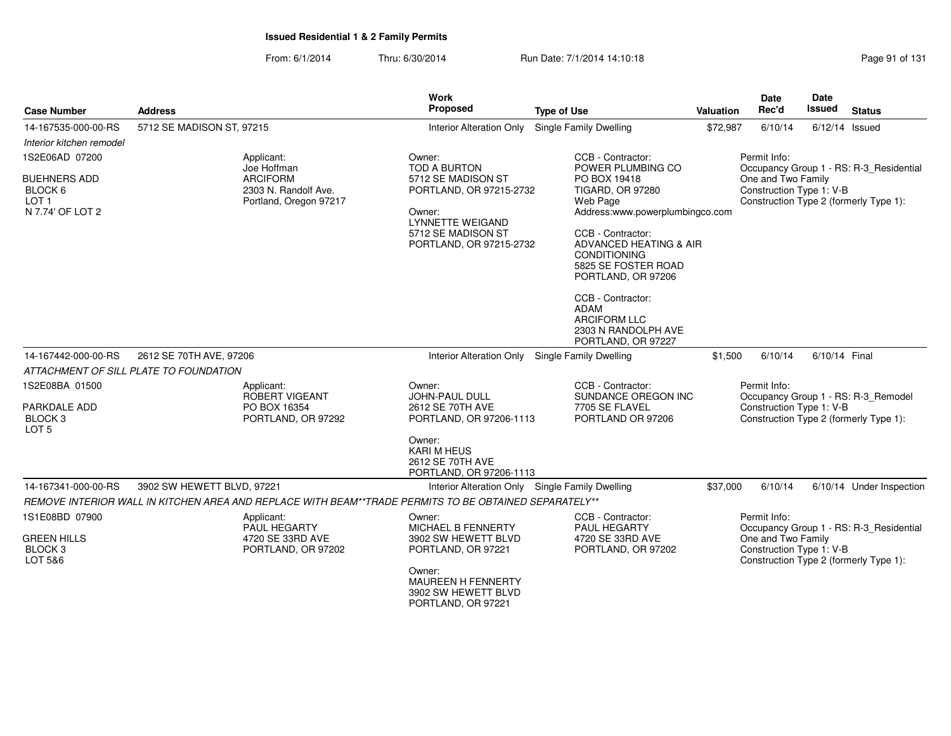| <b>Case Number</b>                                   | <b>Address</b>                                                                                        | <b>Work</b><br>Proposed                                                        | <b>Type of Use</b>                                                                                              | Valuation | Date<br>Rec'd                                  | Date<br><b>Issued</b><br><b>Status</b>                                            |
|------------------------------------------------------|-------------------------------------------------------------------------------------------------------|--------------------------------------------------------------------------------|-----------------------------------------------------------------------------------------------------------------|-----------|------------------------------------------------|-----------------------------------------------------------------------------------|
| 14-167535-000-00-RS                                  | 5712 SE MADISON ST, 97215                                                                             | <b>Interior Alteration Only</b>                                                | Single Family Dwelling                                                                                          | \$72,987  | 6/10/14                                        | $6/12/14$ Issued                                                                  |
| Interior kitchen remodel                             |                                                                                                       |                                                                                |                                                                                                                 |           |                                                |                                                                                   |
| 1S2E06AD 07200                                       | Applicant:                                                                                            | Owner:                                                                         | CCB - Contractor:                                                                                               |           | Permit Info:                                   |                                                                                   |
| <b>BUEHNERS ADD</b><br>BLOCK 6<br>LOT 1              | Joe Hoffman<br><b>ARCIFORM</b><br>2303 N. Randolf Ave.<br>Portland, Oregon 97217                      | <b>TOD A BURTON</b><br>5712 SE MADISON ST<br>PORTLAND, OR 97215-2732           | POWER PLUMBING CO<br>PO BOX 19418<br><b>TIGARD, OR 97280</b><br>Web Page                                        |           | One and Two Family<br>Construction Type 1: V-B | Occupancy Group 1 - RS: R-3_Residential<br>Construction Type 2 (formerly Type 1): |
| N 7.74' OF LOT 2                                     |                                                                                                       | Owner:<br><b>LYNNETTE WEIGAND</b>                                              | Address:www.powerplumbingco.com                                                                                 |           |                                                |                                                                                   |
|                                                      |                                                                                                       | 5712 SE MADISON ST<br>PORTLAND, OR 97215-2732                                  | CCB - Contractor:<br>ADVANCED HEATING & AIR<br><b>CONDITIONING</b><br>5825 SE FOSTER ROAD<br>PORTLAND, OR 97206 |           |                                                |                                                                                   |
|                                                      |                                                                                                       |                                                                                | CCB - Contractor:<br><b>ADAM</b><br><b>ARCIFORM LLC</b><br>2303 N RANDOLPH AVE<br>PORTLAND, OR 97227            |           |                                                |                                                                                   |
| 14-167442-000-00-RS                                  | 2612 SE 70TH AVE, 97206                                                                               | <b>Interior Alteration Only</b>                                                | Single Family Dwelling                                                                                          | \$1,500   | 6/10/14                                        | 6/10/14 Final                                                                     |
|                                                      | ATTACHMENT OF SILL PLATE TO FOUNDATION                                                                |                                                                                |                                                                                                                 |           |                                                |                                                                                   |
| 1S2E08BA 01500<br>PARKDALE ADD<br>BLOCK <sub>3</sub> | Applicant:<br>ROBERT VIGEANT<br>PO BOX 16354<br>PORTLAND, OR 97292                                    | Owner:<br><b>JOHN-PAUL DULL</b><br>2612 SE 70TH AVE<br>PORTLAND, OR 97206-1113 | CCB - Contractor:<br>SUNDANCE OREGON INC<br>7705 SE FLAVEL<br>PORTLAND OR 97206                                 |           | Permit Info:<br>Construction Type 1: V-B       | Occupancy Group 1 - RS: R-3_Remodel<br>Construction Type 2 (formerly Type 1):     |
| LOT 5                                                |                                                                                                       | Owner:<br><b>KARI M HEUS</b><br>2612 SE 70TH AVE<br>PORTLAND, OR 97206-1113    |                                                                                                                 |           |                                                |                                                                                   |
| 14-167341-000-00-RS                                  | 3902 SW HEWETT BLVD, 97221                                                                            | Interior Alteration Only Single Family Dwelling                                |                                                                                                                 | \$37,000  | 6/10/14                                        | 6/10/14 Under Inspection                                                          |
|                                                      | REMOVE INTERIOR WALL IN KITCHEN AREA AND REPLACE WITH BEAM**TRADE PERMITS TO BE OBTAINED SEPARATELY** |                                                                                |                                                                                                                 |           |                                                |                                                                                   |
| 1S1E08BD 07900                                       | Applicant:<br><b>PAUL HEGARTY</b>                                                                     | Owner:<br>MICHAEL B FENNERTY                                                   | CCB - Contractor:<br>PAUL HEGARTY                                                                               |           | Permit Info:                                   | Occupancy Group 1 - RS: R-3_Residential                                           |
| <b>GREEN HILLS</b><br><b>BLOCK3</b><br>LOT 5&6       | 4720 SE 33RD AVE<br>PORTLAND, OR 97202                                                                | 3902 SW HEWETT BLVD<br>PORTLAND, OR 97221                                      | 4720 SE 33RD AVE<br>PORTLAND, OR 97202                                                                          |           | One and Two Family<br>Construction Type 1: V-B | Construction Type 2 (formerly Type 1):                                            |
|                                                      |                                                                                                       | Owner:<br>MAUREEN H FENNERTY<br>3902 SW HEWETT BLVD<br>PORTLAND, OR 97221      |                                                                                                                 |           |                                                |                                                                                   |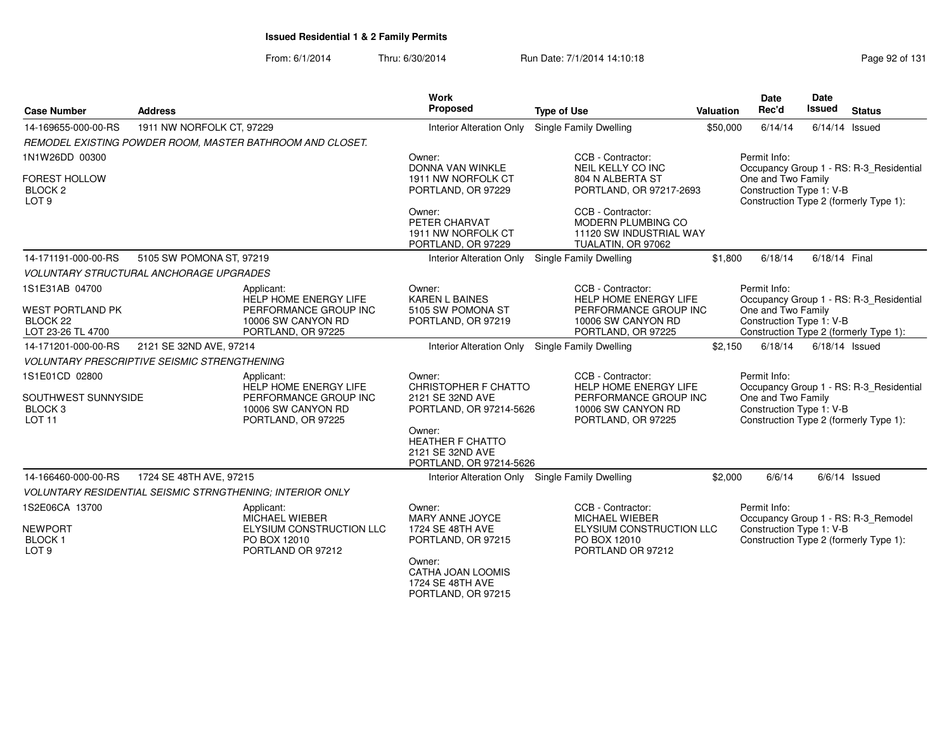| <b>Case Number</b>                                                               | <b>Address</b>                                      |                                                                                                                 | <b>Work</b><br>Proposed                                                              | <b>Type of Use</b>                                                                                              | Valuation | <b>Date</b><br>Rec'd                                           | <b>Date</b><br><b>Issued</b> | <b>Status</b>                                                                     |
|----------------------------------------------------------------------------------|-----------------------------------------------------|-----------------------------------------------------------------------------------------------------------------|--------------------------------------------------------------------------------------|-----------------------------------------------------------------------------------------------------------------|-----------|----------------------------------------------------------------|------------------------------|-----------------------------------------------------------------------------------|
| 14-169655-000-00-RS                                                              | 1911 NW NORFOLK CT, 97229                           |                                                                                                                 | Interior Alteration Only                                                             | Single Family Dwelling                                                                                          | \$50,000  | 6/14/14                                                        |                              | $6/14/14$ Issued                                                                  |
|                                                                                  |                                                     | REMODEL EXISTING POWDER ROOM, MASTER BATHROOM AND CLOSET.                                                       |                                                                                      |                                                                                                                 |           |                                                                |                              |                                                                                   |
| 1N1W26DD 00300                                                                   |                                                     |                                                                                                                 | Owner:<br>DONNA VAN WINKLE                                                           | CCB - Contractor:<br>NEIL KELLY CO INC                                                                          |           | Permit Info:                                                   |                              | Occupancy Group 1 - RS: R-3 Residential                                           |
| FOREST HOLLOW<br>BLOCK <sub>2</sub><br>LOT <sub>9</sub>                          |                                                     |                                                                                                                 | 1911 NW NORFOLK CT<br>PORTLAND, OR 97229                                             | 804 N ALBERTA ST<br>PORTLAND, OR 97217-2693                                                                     |           | One and Two Family<br>Construction Type 1: V-B                 |                              | Construction Type 2 (formerly Type 1):                                            |
|                                                                                  |                                                     |                                                                                                                 | Owner:<br>PETER CHARVAT<br>1911 NW NORFOLK CT<br>PORTLAND, OR 97229                  | CCB - Contractor:<br><b>MODERN PLUMBING CO</b><br>11120 SW INDUSTRIAL WAY<br>TUALATIN, OR 97062                 |           |                                                                |                              |                                                                                   |
| 14-171191-000-00-RS                                                              | 5105 SW POMONA ST, 97219                            |                                                                                                                 | <b>Interior Alteration Only</b>                                                      | Single Family Dwelling                                                                                          | \$1,800   | 6/18/14                                                        | 6/18/14 Final                |                                                                                   |
|                                                                                  | <b>VOLUNTARY STRUCTURAL ANCHORAGE UPGRADES</b>      |                                                                                                                 |                                                                                      |                                                                                                                 |           |                                                                |                              |                                                                                   |
| 1S1E31AB 04700                                                                   |                                                     | Applicant:<br>HELP HOME ENERGY LIFE                                                                             | Owner:<br><b>KAREN L BAINES</b>                                                      | CCB - Contractor:<br><b>HELP HOME ENERGY LIFE</b>                                                               |           | Permit Info:                                                   |                              | Occupancy Group 1 - RS: R-3_Residential                                           |
| <b>WEST PORTLAND PK</b><br>BLOCK 22<br>LOT 23-26 TL 4700                         |                                                     | PERFORMANCE GROUP INC<br>10006 SW CANYON RD<br>PORTLAND, OR 97225                                               | 5105 SW POMONA ST<br>PORTLAND, OR 97219                                              | PERFORMANCE GROUP INC<br>10006 SW CANYON RD<br>PORTLAND, OR 97225                                               |           | One and Two Family<br>Construction Type 1: V-B                 |                              | Construction Type 2 (formerly Type 1):                                            |
| 14-171201-000-00-RS                                                              | 2121 SE 32ND AVE, 97214                             |                                                                                                                 | Interior Alteration Only Single Family Dwelling                                      |                                                                                                                 | \$2,150   | 6/18/14                                                        |                              | $6/18/14$ Issued                                                                  |
|                                                                                  | <b>VOLUNTARY PRESCRIPTIVE SEISMIC STRENGTHENING</b> |                                                                                                                 |                                                                                      |                                                                                                                 |           |                                                                |                              |                                                                                   |
| 1S1E01CD 02800<br>SOUTHWEST SUNNYSIDE<br>BLOCK <sub>3</sub><br>LOT <sub>11</sub> |                                                     | Applicant:<br><b>HELP HOME ENERGY LIFE</b><br>PERFORMANCE GROUP INC<br>10006 SW CANYON RD<br>PORTLAND, OR 97225 | Owner:<br><b>CHRISTOPHER F CHATTO</b><br>2121 SE 32ND AVE<br>PORTLAND, OR 97214-5626 | CCB - Contractor:<br>HELP HOME ENERGY LIFE<br>PERFORMANCE GROUP INC<br>10006 SW CANYON RD<br>PORTLAND, OR 97225 |           | Permit Info:<br>One and Two Family<br>Construction Type 1: V-B |                              | Occupancy Group 1 - RS: R-3_Residential<br>Construction Type 2 (formerly Type 1): |
|                                                                                  |                                                     |                                                                                                                 | Owner:<br><b>HEATHER F CHATTO</b><br>2121 SE 32ND AVE<br>PORTLAND, OR 97214-5626     |                                                                                                                 |           |                                                                |                              |                                                                                   |
| 14-166460-000-00-RS                                                              | 1724 SE 48TH AVE, 97215                             |                                                                                                                 | Interior Alteration Only Single Family Dwelling                                      |                                                                                                                 | \$2,000   | 6/6/14                                                         |                              | $6/6/14$ Issued                                                                   |
|                                                                                  |                                                     | <b>VOLUNTARY RESIDENTIAL SEISMIC STRNGTHENING: INTERIOR ONLY</b>                                                |                                                                                      |                                                                                                                 |           |                                                                |                              |                                                                                   |
| 1S2E06CA 13700                                                                   |                                                     | Applicant:<br><b>MICHAEL WIEBER</b>                                                                             | Owner:<br>MARY ANNE JOYCE                                                            | CCB - Contractor:<br><b>MICHAEL WIEBER</b>                                                                      |           | Permit Info:                                                   |                              | Occupancy Group 1 - RS: R-3_Remodel                                               |
| <b>NEWPORT</b><br><b>BLOCK1</b><br>LOT <sub>9</sub>                              |                                                     | ELYSIUM CONSTRUCTION LLC<br>PO BOX 12010<br>PORTLAND OR 97212                                                   | 1724 SE 48TH AVE<br>PORTLAND, OR 97215<br>Owner:                                     | <b>ELYSIUM CONSTRUCTION LLC</b><br>PO BOX 12010<br>PORTLAND OR 97212                                            |           | Construction Type 1: V-B                                       |                              | Construction Type 2 (formerly Type 1):                                            |
|                                                                                  |                                                     |                                                                                                                 | CATHA JOAN LOOMIS<br>1724 SE 48TH AVE<br>PORTLAND, OR 97215                          |                                                                                                                 |           |                                                                |                              |                                                                                   |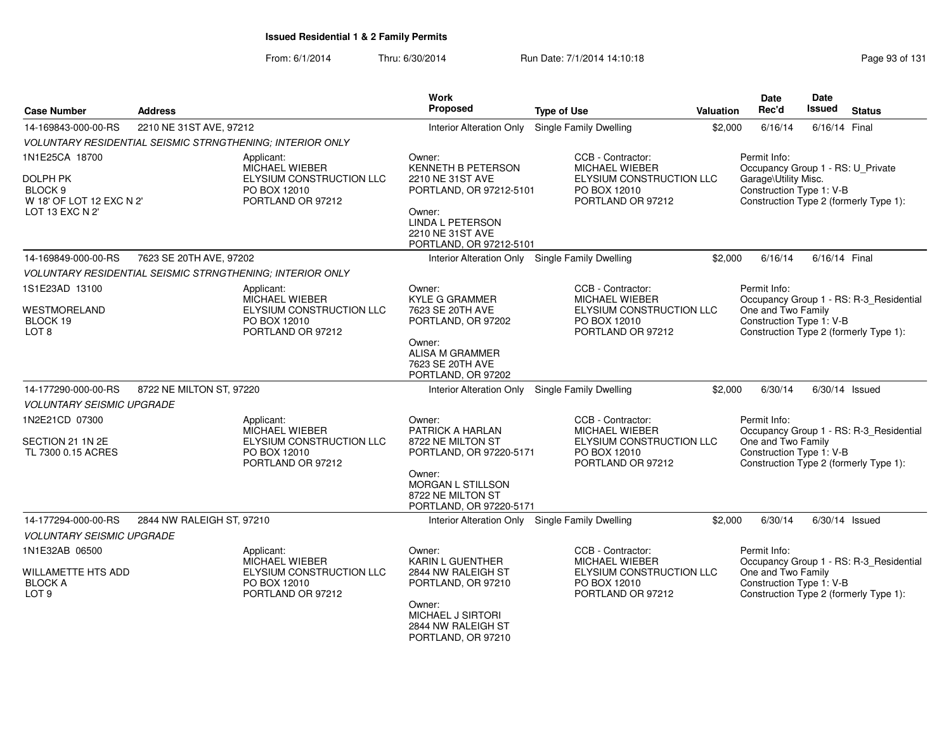| <b>Case Number</b>                                                                              | <b>Address</b>            |                                                                                               | <b>Work</b><br><b>Proposed</b>                                                                                                                                         | <b>Type of Use</b>                                                                                   | Valuation | Date<br>Rec'd                                                                                         | <b>Date</b><br>Issued | <b>Status</b>                                                                     |
|-------------------------------------------------------------------------------------------------|---------------------------|-----------------------------------------------------------------------------------------------|------------------------------------------------------------------------------------------------------------------------------------------------------------------------|------------------------------------------------------------------------------------------------------|-----------|-------------------------------------------------------------------------------------------------------|-----------------------|-----------------------------------------------------------------------------------|
| 14-169843-000-00-RS                                                                             | 2210 NE 31ST AVE, 97212   |                                                                                               | <b>Interior Alteration Only</b>                                                                                                                                        | Single Family Dwelling                                                                               | \$2,000   | 6/16/14                                                                                               | 6/16/14 Final         |                                                                                   |
|                                                                                                 |                           | VOLUNTARY RESIDENTIAL SEISMIC STRNGTHENING; INTERIOR ONLY                                     |                                                                                                                                                                        |                                                                                                      |           |                                                                                                       |                       |                                                                                   |
| 1N1E25CA 18700<br>DOLPH PK<br>BLOCK <sub>9</sub><br>W 18' OF LOT 12 EXC N 2'<br>LOT 13 EXC N 2' |                           | Applicant:<br>MICHAEL WIEBER<br>ELYSIUM CONSTRUCTION LLC<br>PO BOX 12010<br>PORTLAND OR 97212 | Owner:<br><b>KENNETH B PETERSON</b><br>2210 NE 31ST AVE<br>PORTLAND, OR 97212-5101<br>Owner:<br><b>LINDA L PETERSON</b><br>2210 NE 31ST AVE<br>PORTLAND, OR 97212-5101 | CCB - Contractor:<br>MICHAEL WIEBER<br>ELYSIUM CONSTRUCTION LLC<br>PO BOX 12010<br>PORTLAND OR 97212 |           | Permit Info:<br>Occupancy Group 1 - RS: U_Private<br>Garage\Utility Misc.<br>Construction Type 1: V-B |                       | Construction Type 2 (formerly Type 1):                                            |
| 14-169849-000-00-RS                                                                             | 7623 SE 20TH AVE, 97202   |                                                                                               | Interior Alteration Only Single Family Dwelling                                                                                                                        |                                                                                                      | \$2,000   | 6/16/14                                                                                               | 6/16/14 Final         |                                                                                   |
|                                                                                                 |                           | VOLUNTARY RESIDENTIAL SEISMIC STRNGTHENING; INTERIOR ONLY                                     |                                                                                                                                                                        |                                                                                                      |           |                                                                                                       |                       |                                                                                   |
| 1S1E23AD 13100<br>WESTMORELAND<br>BLOCK 19<br>LOT <sub>8</sub>                                  |                           | Applicant:<br>MICHAEL WIEBER<br>ELYSIUM CONSTRUCTION LLC<br>PO BOX 12010<br>PORTLAND OR 97212 | Owner:<br><b>KYLE G GRAMMER</b><br>7623 SE 20TH AVE<br>PORTLAND, OR 97202<br>Owner:<br>ALISA M GRAMMER<br>7623 SE 20TH AVE<br>PORTLAND, OR 97202                       | CCB - Contractor:<br>MICHAEL WIEBER<br>ELYSIUM CONSTRUCTION LLC<br>PO BOX 12010<br>PORTLAND OR 97212 |           | Permit Info:<br>One and Two Family<br>Construction Type 1: V-B                                        |                       | Occupancy Group 1 - RS: R-3_Residential<br>Construction Type 2 (formerly Type 1): |
| 14-177290-000-00-RS                                                                             | 8722 NE MILTON ST, 97220  |                                                                                               | <b>Interior Alteration Only</b>                                                                                                                                        | <b>Single Family Dwelling</b>                                                                        | \$2,000   | 6/30/14                                                                                               |                       | $6/30/14$ Issued                                                                  |
| <b>VOLUNTARY SEISMIC UPGRADE</b>                                                                |                           |                                                                                               |                                                                                                                                                                        |                                                                                                      |           |                                                                                                       |                       |                                                                                   |
| 1N2E21CD 07300                                                                                  |                           | Applicant:<br><b>MICHAEL WIEBER</b>                                                           | Owner:<br><b>PATRICK A HARLAN</b>                                                                                                                                      | CCB - Contractor:<br><b>MICHAEL WIEBER</b>                                                           |           | Permit Info:                                                                                          |                       | Occupancy Group 1 - RS: R-3_Residential                                           |
| SECTION 21 1N 2E<br>TL 7300 0.15 ACRES                                                          |                           | ELYSIUM CONSTRUCTION LLC<br>PO BOX 12010<br>PORTLAND OR 97212                                 | 8722 NE MILTON ST<br>PORTLAND, OR 97220-5171<br>Owner:<br>MORGAN L STILLSON<br>8722 NE MILTON ST<br>PORTLAND, OR 97220-5171                                            | ELYSIUM CONSTRUCTION LLC<br>PO BOX 12010<br>PORTLAND OR 97212                                        |           | One and Two Family<br>Construction Type 1: V-B                                                        |                       | Construction Type 2 (formerly Type 1):                                            |
| 14-177294-000-00-RS                                                                             | 2844 NW RALEIGH ST, 97210 |                                                                                               | Interior Alteration Only Single Family Dwelling                                                                                                                        |                                                                                                      | \$2,000   | 6/30/14                                                                                               |                       | $6/30/14$ Issued                                                                  |
| <b>VOLUNTARY SEISMIC UPGRADE</b>                                                                |                           |                                                                                               |                                                                                                                                                                        |                                                                                                      |           |                                                                                                       |                       |                                                                                   |
| 1N1E32AB 06500<br>WILLAMETTE HTS ADD<br><b>BLOCK A</b><br>LOT <sub>9</sub>                      |                           | Applicant:<br>MICHAEL WIEBER<br>ELYSIUM CONSTRUCTION LLC<br>PO BOX 12010<br>PORTLAND OR 97212 | Owner:<br>KARIN L GUENTHER<br>2844 NW RALEIGH ST<br>PORTLAND, OR 97210<br>Owner:<br>MICHAEL J SIRTORI<br>2844 NW RALEIGH ST<br>PORTLAND, OR 97210                      | CCB - Contractor:<br>MICHAEL WIEBER<br>ELYSIUM CONSTRUCTION LLC<br>PO BOX 12010<br>PORTLAND OR 97212 |           | Permit Info:<br>One and Two Family<br>Construction Type 1: V-B                                        |                       | Occupancy Group 1 - RS: R-3_Residential<br>Construction Type 2 (formerly Type 1): |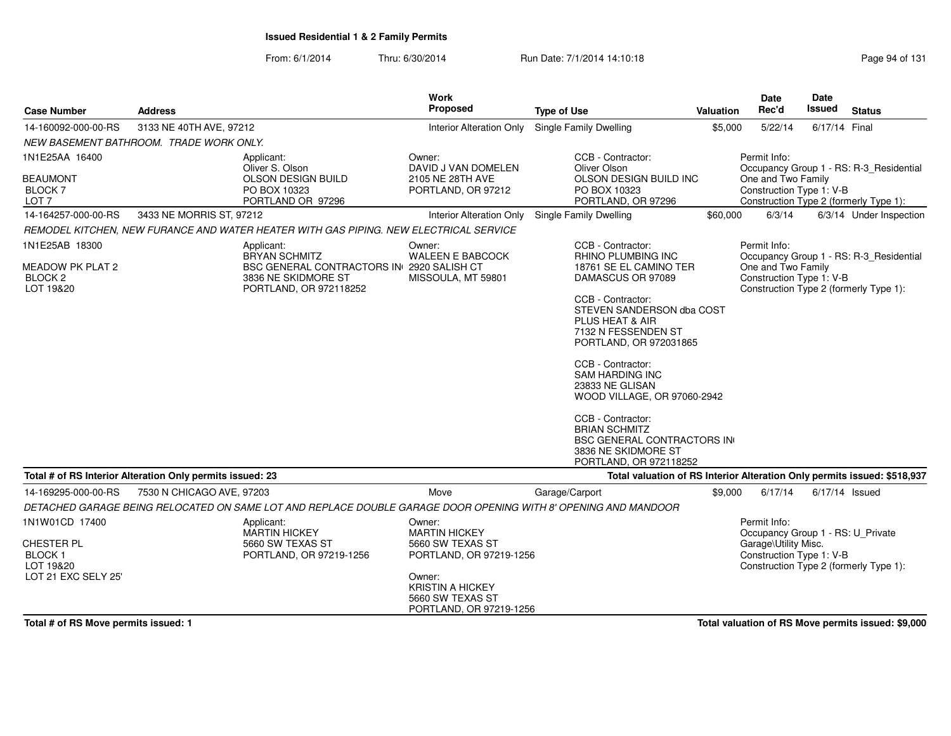From: 6/1/2014Thru: 6/30/2014 Run Date: 7/1/2014 14:10:18 Run Date: 7/1/2014 14:10:18

| <b>Case Number</b>                                         | <b>Address</b>            |                                                                                                                | <b>Work</b><br>Proposed                                                          | <b>Type of Use</b>                                                                                                              | Valuation | <b>Date</b><br>Rec'd                                                                                  | Date<br>Issued | <b>Status</b>                           |
|------------------------------------------------------------|---------------------------|----------------------------------------------------------------------------------------------------------------|----------------------------------------------------------------------------------|---------------------------------------------------------------------------------------------------------------------------------|-----------|-------------------------------------------------------------------------------------------------------|----------------|-----------------------------------------|
| 14-160092-000-00-RS                                        | 3133 NE 40TH AVE, 97212   |                                                                                                                | <b>Interior Alteration Only</b>                                                  | Single Family Dwelling                                                                                                          | \$5,000   | 5/22/14                                                                                               | 6/17/14 Final  |                                         |
| NEW BASEMENT BATHROOM. TRADE WORK ONLY.                    |                           |                                                                                                                |                                                                                  |                                                                                                                                 |           |                                                                                                       |                |                                         |
| 1N1E25AA 16400                                             |                           | Applicant:<br>Oliver S. Olson                                                                                  | Owner:<br>DAVID J VAN DOMELEN                                                    | CCB - Contractor:<br>Oliver Olson                                                                                               |           | Permit Info:                                                                                          |                | Occupancy Group 1 - RS: R-3_Residential |
| <b>BEAUMONT</b><br><b>BLOCK7</b><br>LOT <sub>7</sub>       |                           | OLSON DESIGN BUILD<br>PO BOX 10323<br>PORTLAND OR 97296                                                        | 2105 NE 28TH AVE<br>PORTLAND, OR 97212                                           | OLSON DESIGN BUILD INC<br>PO BOX 10323<br>PORTLAND, OR 97296                                                                    |           | One and Two Family<br>Construction Type 1: V-B                                                        |                | Construction Type 2 (formerly Type 1):  |
| 14-164257-000-00-RS                                        | 3433 NE MORRIS ST, 97212  |                                                                                                                | Interior Alteration Only                                                         | Single Family Dwelling                                                                                                          | \$60,000  | 6/3/14                                                                                                |                | 6/3/14 Under Inspection                 |
|                                                            |                           | REMODEL KITCHEN, NEW FURANCE AND WATER HEATER WITH GAS PIPING. NEW ELECTRICAL SERVICE                          |                                                                                  |                                                                                                                                 |           |                                                                                                       |                |                                         |
| 1N1E25AB 18300                                             |                           | Applicant:<br><b>BRYAN SCHMITZ</b>                                                                             | Owner:<br><b>WALEEN E BABCOCK</b>                                                | CCB - Contractor:<br><b>RHINO PLUMBING INC</b>                                                                                  |           | Permit Info:                                                                                          |                | Occupancy Group 1 - RS: R-3_Residential |
| MEADOW PK PLAT 2<br>BLOCK <sub>2</sub><br>LOT 19&20        |                           | BSC GENERAL CONTRACTORS IN 2920 SALISH CT<br>3836 NE SKIDMORE ST<br>PORTLAND, OR 972118252                     | MISSOULA, MT 59801                                                               | 18761 SE EL CAMINO TER<br>DAMASCUS OR 97089                                                                                     |           | One and Two Family<br>Construction Type 1: V-B                                                        |                | Construction Type 2 (formerly Type 1):  |
|                                                            |                           |                                                                                                                |                                                                                  | CCB - Contractor:<br>STEVEN SANDERSON dba COST<br><b>PLUS HEAT &amp; AIR</b><br>7132 N FESSENDEN ST<br>PORTLAND, OR 972031865   |           |                                                                                                       |                |                                         |
|                                                            |                           |                                                                                                                |                                                                                  | CCB - Contractor:<br><b>SAM HARDING INC</b><br>23833 NE GLISAN<br>WOOD VILLAGE, OR 97060-2942                                   |           |                                                                                                       |                |                                         |
|                                                            |                           |                                                                                                                |                                                                                  | CCB - Contractor:<br><b>BRIAN SCHMITZ</b><br><b>BSC GENERAL CONTRACTORS IN</b><br>3836 NE SKIDMORE ST<br>PORTLAND, OR 972118252 |           |                                                                                                       |                |                                         |
| Total # of RS Interior Alteration Only permits issued: 23  |                           |                                                                                                                |                                                                                  | Total valuation of RS Interior Alteration Only permits issued: \$518,937                                                        |           |                                                                                                       |                |                                         |
| 14-169295-000-00-RS                                        | 7530 N CHICAGO AVE, 97203 |                                                                                                                | Move                                                                             | Garage/Carport                                                                                                                  | \$9,000   | 6/17/14                                                                                               | 6/17/14 Issued |                                         |
|                                                            |                           | DETACHED GARAGE BEING RELOCATED ON SAME LOT AND REPLACE DOUBLE GARAGE DOOR OPENING WITH 8' OPENING AND MANDOOR |                                                                                  |                                                                                                                                 |           |                                                                                                       |                |                                         |
| 1N1W01CD 17400<br>CHESTER PL<br><b>BLOCK1</b><br>LOT 19&20 |                           | Applicant:<br><b>MARTIN HICKEY</b><br>5660 SW TEXAS ST<br>PORTLAND, OR 97219-1256                              | Owner:<br><b>MARTIN HICKEY</b><br>5660 SW TEXAS ST<br>PORTLAND, OR 97219-1256    |                                                                                                                                 |           | Permit Info:<br>Occupancy Group 1 - RS: U_Private<br>Garage\Utility Misc.<br>Construction Type 1: V-B |                | Construction Type 2 (formerly Type 1):  |
| LOT 21 EXC SELY 25'                                        |                           |                                                                                                                | Owner:<br><b>KRISTIN A HICKEY</b><br>5660 SW TEXAS ST<br>PORTLAND, OR 97219-1256 |                                                                                                                                 |           |                                                                                                       |                |                                         |

**Total # of RS Move permits issued: 1**

**Total valuation of RS Move permits issued: \$9,000**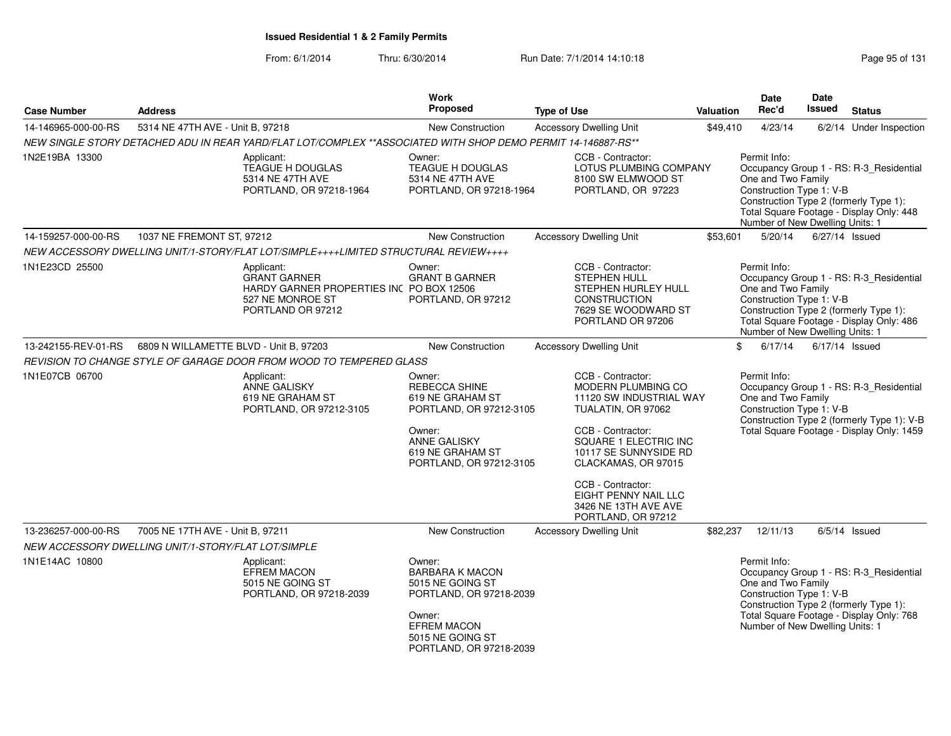| <b>Address</b> |                                                                                  |                                                                                                                                                                                                    | <b>Type of Use</b>                                                                                                                                                                                                                   |                                                                                                                                                                                                                                                                     | Rec'd                                                                                                                                                                                                                                                                                                                                                                                                                                                                                              |                                                            | <b>Status</b>                                                                                                                                                                                                                                                                                                                                                                                                                                                                                                                                                                                                                                                                                                                                                                                                                                                                                         |
|----------------|----------------------------------------------------------------------------------|----------------------------------------------------------------------------------------------------------------------------------------------------------------------------------------------------|--------------------------------------------------------------------------------------------------------------------------------------------------------------------------------------------------------------------------------------|---------------------------------------------------------------------------------------------------------------------------------------------------------------------------------------------------------------------------------------------------------------------|----------------------------------------------------------------------------------------------------------------------------------------------------------------------------------------------------------------------------------------------------------------------------------------------------------------------------------------------------------------------------------------------------------------------------------------------------------------------------------------------------|------------------------------------------------------------|-------------------------------------------------------------------------------------------------------------------------------------------------------------------------------------------------------------------------------------------------------------------------------------------------------------------------------------------------------------------------------------------------------------------------------------------------------------------------------------------------------------------------------------------------------------------------------------------------------------------------------------------------------------------------------------------------------------------------------------------------------------------------------------------------------------------------------------------------------------------------------------------------------|
|                |                                                                                  | <b>New Construction</b>                                                                                                                                                                            | <b>Accessory Dwelling Unit</b>                                                                                                                                                                                                       |                                                                                                                                                                                                                                                                     | 4/23/14                                                                                                                                                                                                                                                                                                                                                                                                                                                                                            |                                                            | 6/2/14 Under Inspection                                                                                                                                                                                                                                                                                                                                                                                                                                                                                                                                                                                                                                                                                                                                                                                                                                                                               |
|                |                                                                                  |                                                                                                                                                                                                    |                                                                                                                                                                                                                                      |                                                                                                                                                                                                                                                                     |                                                                                                                                                                                                                                                                                                                                                                                                                                                                                                    |                                                            |                                                                                                                                                                                                                                                                                                                                                                                                                                                                                                                                                                                                                                                                                                                                                                                                                                                                                                       |
|                | Applicant:<br>TEAGUE H DOUGLAS<br>5314 NE 47TH AVE<br>PORTLAND, OR 97218-1964    | Owner:<br>TEAGUE H DOUGLAS<br>5314 NE 47TH AVE                                                                                                                                                     |                                                                                                                                                                                                                                      |                                                                                                                                                                                                                                                                     | Permit Info:                                                                                                                                                                                                                                                                                                                                                                                                                                                                                       |                                                            |                                                                                                                                                                                                                                                                                                                                                                                                                                                                                                                                                                                                                                                                                                                                                                                                                                                                                                       |
|                |                                                                                  | <b>New Construction</b>                                                                                                                                                                            | <b>Accessory Dwelling Unit</b>                                                                                                                                                                                                       |                                                                                                                                                                                                                                                                     | 5/20/14                                                                                                                                                                                                                                                                                                                                                                                                                                                                                            |                                                            | 6/27/14 Issued                                                                                                                                                                                                                                                                                                                                                                                                                                                                                                                                                                                                                                                                                                                                                                                                                                                                                        |
|                |                                                                                  |                                                                                                                                                                                                    |                                                                                                                                                                                                                                      |                                                                                                                                                                                                                                                                     |                                                                                                                                                                                                                                                                                                                                                                                                                                                                                                    |                                                            |                                                                                                                                                                                                                                                                                                                                                                                                                                                                                                                                                                                                                                                                                                                                                                                                                                                                                                       |
|                | Applicant:<br><b>GRANT GARNER</b><br>527 NE MONROE ST<br>PORTLAND OR 97212       | Owner:<br><b>GRANT B GARNER</b><br>PORTLAND, OR 97212                                                                                                                                              | STEPHEN HULL                                                                                                                                                                                                                         |                                                                                                                                                                                                                                                                     | Permit Info:                                                                                                                                                                                                                                                                                                                                                                                                                                                                                       |                                                            |                                                                                                                                                                                                                                                                                                                                                                                                                                                                                                                                                                                                                                                                                                                                                                                                                                                                                                       |
|                |                                                                                  | <b>New Construction</b>                                                                                                                                                                            | <b>Accessory Dwelling Unit</b>                                                                                                                                                                                                       |                                                                                                                                                                                                                                                                     | 6/17/14                                                                                                                                                                                                                                                                                                                                                                                                                                                                                            |                                                            | $6/17/14$ Issued                                                                                                                                                                                                                                                                                                                                                                                                                                                                                                                                                                                                                                                                                                                                                                                                                                                                                      |
|                |                                                                                  |                                                                                                                                                                                                    |                                                                                                                                                                                                                                      |                                                                                                                                                                                                                                                                     |                                                                                                                                                                                                                                                                                                                                                                                                                                                                                                    |                                                            |                                                                                                                                                                                                                                                                                                                                                                                                                                                                                                                                                                                                                                                                                                                                                                                                                                                                                                       |
|                | Applicant:<br><b>ANNE GALISKY</b><br>619 NE GRAHAM ST<br>PORTLAND, OR 97212-3105 | Owner:<br><b>REBECCA SHINE</b><br>619 NE GRAHAM ST                                                                                                                                                 |                                                                                                                                                                                                                                      |                                                                                                                                                                                                                                                                     | Permit Info:                                                                                                                                                                                                                                                                                                                                                                                                                                                                                       |                                                            |                                                                                                                                                                                                                                                                                                                                                                                                                                                                                                                                                                                                                                                                                                                                                                                                                                                                                                       |
|                |                                                                                  | <b>ANNE GALISKY</b><br>619 NE GRAHAM ST                                                                                                                                                            |                                                                                                                                                                                                                                      |                                                                                                                                                                                                                                                                     |                                                                                                                                                                                                                                                                                                                                                                                                                                                                                                    |                                                            |                                                                                                                                                                                                                                                                                                                                                                                                                                                                                                                                                                                                                                                                                                                                                                                                                                                                                                       |
|                |                                                                                  |                                                                                                                                                                                                    |                                                                                                                                                                                                                                      |                                                                                                                                                                                                                                                                     |                                                                                                                                                                                                                                                                                                                                                                                                                                                                                                    |                                                            |                                                                                                                                                                                                                                                                                                                                                                                                                                                                                                                                                                                                                                                                                                                                                                                                                                                                                                       |
|                |                                                                                  | <b>New Construction</b>                                                                                                                                                                            | <b>Accessory Dwelling Unit</b>                                                                                                                                                                                                       |                                                                                                                                                                                                                                                                     | 12/11/13                                                                                                                                                                                                                                                                                                                                                                                                                                                                                           |                                                            | $6/5/14$ Issued                                                                                                                                                                                                                                                                                                                                                                                                                                                                                                                                                                                                                                                                                                                                                                                                                                                                                       |
|                |                                                                                  |                                                                                                                                                                                                    |                                                                                                                                                                                                                                      |                                                                                                                                                                                                                                                                     |                                                                                                                                                                                                                                                                                                                                                                                                                                                                                                    |                                                            |                                                                                                                                                                                                                                                                                                                                                                                                                                                                                                                                                                                                                                                                                                                                                                                                                                                                                                       |
|                | Applicant:<br><b>EFREM MACON</b><br>5015 NE GOING ST<br>PORTLAND, OR 97218-2039  | Owner:<br><b>BARBARA K MACON</b><br>5015 NE GOING ST<br>Owner:<br><b>EFREM MACON</b><br>5015 NE GOING ST                                                                                           |                                                                                                                                                                                                                                      |                                                                                                                                                                                                                                                                     | Permit Info:                                                                                                                                                                                                                                                                                                                                                                                                                                                                                       |                                                            |                                                                                                                                                                                                                                                                                                                                                                                                                                                                                                                                                                                                                                                                                                                                                                                                                                                                                                       |
|                |                                                                                  | 5314 NE 47TH AVE - Unit B, 97218<br>1037 NE FREMONT ST, 97212<br>6809 N WILLAMETTE BLVD - Unit B, 97203<br>7005 NE 17TH AVE - Unit B, 97211<br>NEW ACCESSORY DWELLING UNIT/1-STORY/FLAT LOT/SIMPLE | <b>Proposed</b><br>NEW ACCESSORY DWELLING UNIT/1-STORY/FLAT LOT/SIMPLE++++LIMITED STRUCTURAL REVIEW++++<br>HARDY GARNER PROPERTIES INC PO BOX 12506<br>REVISION TO CHANGE STYLE OF GARAGE DOOR FROM WOOD TO TEMPERED GLASS<br>Owner: | <b>Work</b><br>NEW SINGLE STORY DETACHED ADU IN REAR YARD/FLAT LOT/COMPLEX **ASSOCIATED WITH SHOP DEMO PERMIT 14-146887-RS**<br>PORTLAND, OR 97218-1964<br>PORTLAND, OR 97212-3105<br>PORTLAND, OR 97212-3105<br>PORTLAND, OR 97218-2039<br>PORTLAND, OR 97218-2039 | CCB - Contractor:<br>LOTUS PLUMBING COMPANY<br>8100 SW ELMWOOD ST<br>PORTLAND, OR 97223<br>CCB - Contractor:<br>STEPHEN HURLEY HULL<br><b>CONSTRUCTION</b><br>7629 SE WOODWARD ST<br>PORTLAND OR 97206<br>CCB - Contractor:<br><b>MODERN PLUMBING CO</b><br>11120 SW INDUSTRIAL WAY<br>TUALATIN, OR 97062<br>CCB - Contractor:<br>SQUARE 1 ELECTRIC INC<br>10117 SE SUNNYSIDE RD<br>CLACKAMAS, OR 97015<br>CCB - Contractor:<br>EIGHT PENNY NAIL LLC<br>3426 NE 13TH AVE AVE<br>PORTLAND, OR 97212 | <b>Valuation</b><br>\$49,410<br>\$53,601<br>\$<br>\$82,237 | <b>Date</b><br><b>Date</b><br><b>Issued</b><br>Occupancy Group 1 - RS: R-3 Residential<br>One and Two Family<br>Construction Type 1: V-B<br>Construction Type 2 (formerly Type 1):<br>Total Square Footage - Display Only: 448<br>Number of New Dwelling Units: 1<br>Occupancy Group 1 - RS: R-3 Residential<br>One and Two Family<br>Construction Type 1: V-B<br>Construction Type 2 (formerly Type 1):<br>Total Square Footage - Display Only: 486<br>Number of New Dwelling Units: 1<br>Occupancy Group 1 - RS: R-3 Residential<br>One and Two Family<br>Construction Type 1: V-B<br>Construction Type 2 (formerly Type 1): V-B<br>Total Square Footage - Display Only: 1459<br>Occupancy Group 1 - RS: R-3_Residential<br>One and Two Family<br>Construction Type 1: V-B<br>Construction Type 2 (formerly Type 1):<br>Total Square Footage - Display Only: 768<br>Number of New Dwelling Units: 1 |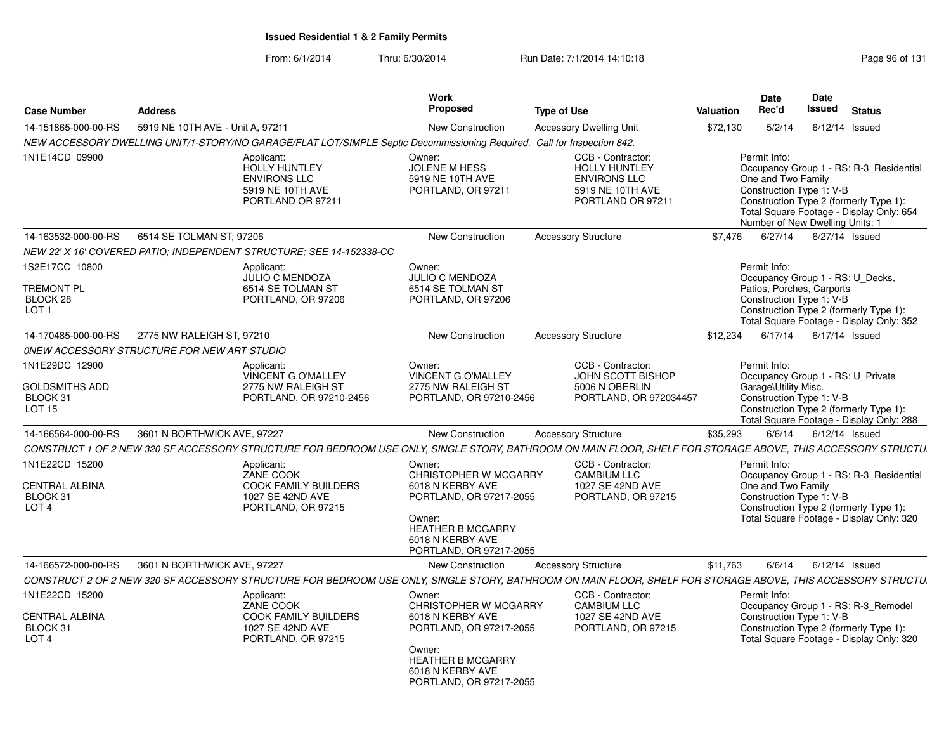|                                                                                    |                                             |                                                                                                                         | Work                                                                                                                                                                |                                                                                                                                                              |                  | <b>Date</b>                                                                                       | Date          |                                                                                                                               |
|------------------------------------------------------------------------------------|---------------------------------------------|-------------------------------------------------------------------------------------------------------------------------|---------------------------------------------------------------------------------------------------------------------------------------------------------------------|--------------------------------------------------------------------------------------------------------------------------------------------------------------|------------------|---------------------------------------------------------------------------------------------------|---------------|-------------------------------------------------------------------------------------------------------------------------------|
| <b>Case Number</b>                                                                 | <b>Address</b>                              |                                                                                                                         | Proposed                                                                                                                                                            | <b>Type of Use</b>                                                                                                                                           | <b>Valuation</b> | Rec'd                                                                                             | <b>Issued</b> | <b>Status</b>                                                                                                                 |
| 14-151865-000-00-RS                                                                | 5919 NE 10TH AVE - Unit A, 97211            |                                                                                                                         | <b>New Construction</b>                                                                                                                                             | <b>Accessory Dwelling Unit</b>                                                                                                                               | \$72,130         | 5/2/14                                                                                            |               | $6/12/14$ Issued                                                                                                              |
|                                                                                    |                                             | NEW ACCESSORY DWELLING UNIT/1-STORY/NO GARAGE/FLAT LOT/SIMPLE Septic Decommissioning Required. Call for Inspection 842. |                                                                                                                                                                     |                                                                                                                                                              |                  |                                                                                                   |               |                                                                                                                               |
| 1N1E14CD 09900                                                                     |                                             | Applicant:<br>HOLLY HUNTLEY<br><b>ENVIRONS LLC</b><br>5919 NE 10TH AVE<br>PORTLAND OR 97211                             | Owner:<br><b>JOLENE M HESS</b><br>5919 NE 10TH AVE<br>PORTLAND, OR 97211                                                                                            | CCB - Contractor:<br><b>HOLLY HUNTLEY</b><br><b>ENVIRONS LLC</b><br>5919 NE 10TH AVE<br>PORTLAND OR 97211                                                    |                  | Permit Info:<br>One and Two Family<br>Construction Type 1: V-B<br>Number of New Dwelling Units: 1 |               | Occupancy Group 1 - RS: R-3 Residential<br>Construction Type 2 (formerly Type 1):<br>Total Square Footage - Display Only: 654 |
| 14-163532-000-00-RS                                                                | 6514 SE TOLMAN ST, 97206                    |                                                                                                                         | New Construction                                                                                                                                                    | <b>Accessory Structure</b>                                                                                                                                   | \$7.476          | 6/27/14                                                                                           |               | 6/27/14 Issued                                                                                                                |
|                                                                                    |                                             | NEW 22' X 16' COVERED PATIO: INDEPENDENT STRUCTURE: SEE 14-152338-CC                                                    |                                                                                                                                                                     |                                                                                                                                                              |                  |                                                                                                   |               |                                                                                                                               |
| 1S2E17CC 10800<br>TREMONT PL<br>BLOCK 28<br>LOT <sub>1</sub>                       |                                             | Applicant:<br><b>JULIO C MENDOZA</b><br>6514 SE TOLMAN ST<br>PORTLAND, OR 97206                                         | Owner:<br><b>JULIO C MENDOZA</b><br>6514 SE TOLMAN ST<br>PORTLAND, OR 97206                                                                                         |                                                                                                                                                              |                  | Permit Info:<br>Patios, Porches, Carports<br>Construction Type 1: V-B                             |               | Occupancy Group 1 - RS: U Decks,<br>Construction Type 2 (formerly Type 1):<br>Total Square Footage - Display Only: 352        |
| 14-170485-000-00-RS                                                                | 2775 NW RALEIGH ST, 97210                   |                                                                                                                         | <b>New Construction</b>                                                                                                                                             | <b>Accessory Structure</b>                                                                                                                                   | \$12,234         | 6/17/14                                                                                           |               | 6/17/14 Issued                                                                                                                |
|                                                                                    | ONEW ACCESSORY STRUCTURE FOR NEW ART STUDIO |                                                                                                                         |                                                                                                                                                                     |                                                                                                                                                              |                  |                                                                                                   |               |                                                                                                                               |
| 1N1E29DC 12900<br><b>GOLDSMITHS ADD</b><br>BLOCK 31<br>LOT <sub>15</sub>           |                                             | Applicant:<br><b>VINCENT G O'MALLEY</b><br>2775 NW RALEIGH ST<br>PORTLAND, OR 97210-2456                                | Owner:<br><b>VINCENT G O'MALLEY</b><br>2775 NW RALEIGH ST<br>PORTLAND, OR 97210-2456                                                                                | CCB - Contractor:<br><b>JOHN SCOTT BISHOP</b><br>5006 N OBERLIN<br>PORTLAND, OR 972034457                                                                    |                  | Permit Info:<br>Garage\Utility Misc.<br>Construction Type 1: V-B                                  |               | Occupancy Group 1 - RS: U Private<br>Construction Type 2 (formerly Type 1):<br>Total Square Footage - Display Only: 288       |
| 14-166564-000-00-RS                                                                | 3601 N BORTHWICK AVE, 97227                 |                                                                                                                         | <b>New Construction</b>                                                                                                                                             | <b>Accessory Structure</b>                                                                                                                                   | \$35,293         | 6/6/14                                                                                            |               | 6/12/14 Issued                                                                                                                |
|                                                                                    |                                             |                                                                                                                         |                                                                                                                                                                     | CONSTRUCT 1 OF 2 NEW 320 SF ACCESSORY STRUCTURE FOR BEDROOM USE ONLY, SINGLE STORY, BATHROOM ON MAIN FLOOR, SHELF FOR STORAGE ABOVE, THIS ACCESSORY STRUCTU. |                  |                                                                                                   |               |                                                                                                                               |
| 1N1E22CD 15200<br>CENTRAL ALBINA<br>BLOCK 31<br>LOT <sub>4</sub>                   |                                             | Applicant:<br>ZANE COOK<br>COOK FAMILY BUILDERS<br>1027 SE 42ND AVE<br>PORTLAND, OR 97215                               | Owner:<br>CHRISTOPHER W MCGARRY<br>6018 N KERBY AVE<br>PORTLAND, OR 97217-2055<br>Owner:<br><b>HEATHER B MCGARRY</b><br>6018 N KERBY AVE<br>PORTLAND, OR 97217-2055 | CCB - Contractor:<br><b>CAMBIUM LLC</b><br>1027 SE 42ND AVE<br>PORTLAND, OR 97215                                                                            |                  | Permit Info:<br>One and Two Family<br>Construction Type 1: V-B                                    |               | Occupancy Group 1 - RS: R-3_Residential<br>Construction Type 2 (formerly Type 1):<br>Total Square Footage - Display Only: 320 |
| 14-166572-000-00-RS                                                                | 3601 N BORTHWICK AVE, 97227                 |                                                                                                                         | <b>New Construction</b>                                                                                                                                             | <b>Accessory Structure</b>                                                                                                                                   | \$11,763         | 6/6/14                                                                                            |               | $6/12/14$ Issued                                                                                                              |
|                                                                                    |                                             |                                                                                                                         |                                                                                                                                                                     | CONSTRUCT 2 OF 2 NEW 320 SF ACCESSORY STRUCTURE FOR BEDROOM USE ONLY, SINGLE STORY, BATHROOM ON MAIN FLOOR, SHELF FOR STORAGE ABOVE, THIS ACCESSORY STRUCTU. |                  |                                                                                                   |               |                                                                                                                               |
| 1N1E22CD 15200<br><b>CENTRAL ALBINA</b><br>BLOCK <sub>31</sub><br>LOT <sub>4</sub> |                                             | Applicant:<br>ZANE COOK<br>COOK FAMILY BUILDERS<br>1027 SE 42ND AVE<br>PORTLAND, OR 97215                               | Owner:<br>CHRISTOPHER W MCGARRY<br>6018 N KERBY AVE<br>PORTLAND, OR 97217-2055<br>Owner:<br><b>HEATHER B MCGARRY</b><br>6018 N KERBY AVE<br>PORTLAND, OR 97217-2055 | CCB - Contractor:<br><b>CAMBIUM LLC</b><br>1027 SE 42ND AVE<br>PORTLAND, OR 97215                                                                            |                  | Permit Info:<br>Construction Type 1: V-B                                                          |               | Occupancy Group 1 - RS: R-3 Remodel<br>Construction Type 2 (formerly Type 1):<br>Total Square Footage - Display Only: 320     |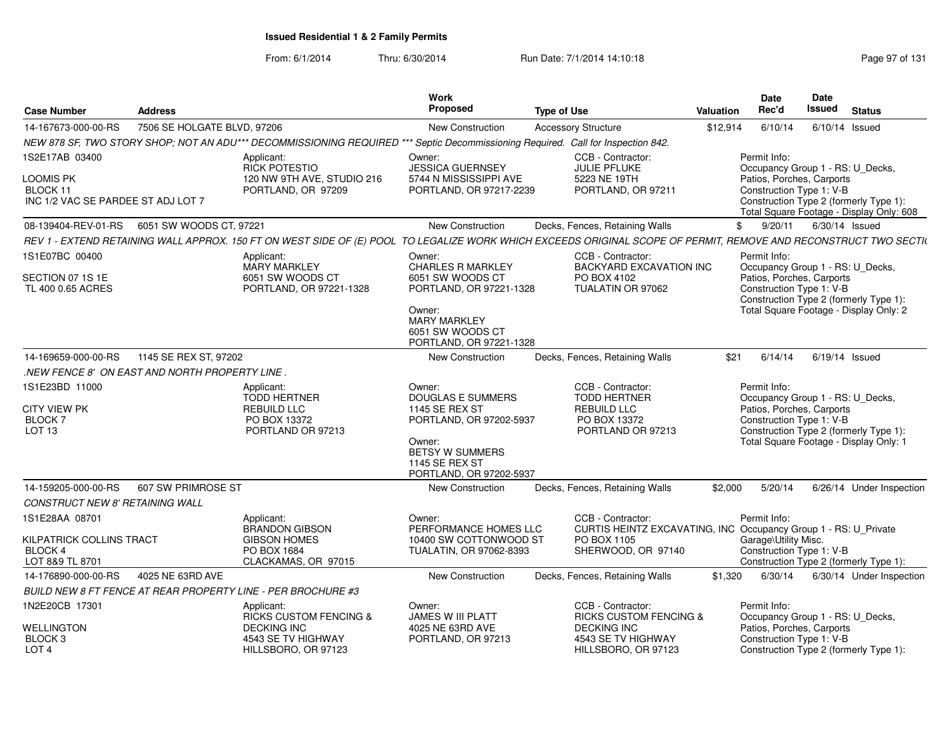From: 6/1/2014

| <b>Case Number</b>                                                          | <b>Address</b>                                |                                                                                                                                  | <b>Work</b><br>Proposed                                                                                                                                                 | <b>Type of Use</b>                                                                                                                                               | Valuation | <b>Date</b><br>Rec'd                                                                                      | <b>Date</b><br><b>Issued</b> | <b>Status</b>                                                                      |
|-----------------------------------------------------------------------------|-----------------------------------------------|----------------------------------------------------------------------------------------------------------------------------------|-------------------------------------------------------------------------------------------------------------------------------------------------------------------------|------------------------------------------------------------------------------------------------------------------------------------------------------------------|-----------|-----------------------------------------------------------------------------------------------------------|------------------------------|------------------------------------------------------------------------------------|
| 14-167673-000-00-RS                                                         | 7506 SE HOLGATE BLVD, 97206                   |                                                                                                                                  | New Construction                                                                                                                                                        | <b>Accessory Structure</b>                                                                                                                                       | \$12.914  | 6/10/14                                                                                                   |                              | 6/10/14 Issued                                                                     |
|                                                                             |                                               | NEW 878 SF, TWO STORY SHOP; NOT AN ADU*** DECOMMISSIONING REQUIRED *** Septic Decommissioning Required. Call for Inspection 842. |                                                                                                                                                                         |                                                                                                                                                                  |           |                                                                                                           |                              |                                                                                    |
| 1S2E17AB 03400                                                              |                                               | Applicant:                                                                                                                       | Owner:                                                                                                                                                                  | CCB - Contractor:                                                                                                                                                |           | Permit Info:                                                                                              |                              |                                                                                    |
| LOOMIS PK<br>BLOCK 11<br>INC 1/2 VAC SE PARDEE ST ADJ LOT 7                 |                                               | <b>RICK POTESTIO</b><br>120 NW 9TH AVE, STUDIO 216<br>PORTLAND, OR 97209                                                         | <b>JESSICA GUERNSEY</b><br>5744 N MISSISSIPPI AVE<br>PORTLAND, OR 97217-2239                                                                                            | <b>JULIE PFLUKE</b><br>5223 NE 19TH<br>PORTLAND, OR 97211                                                                                                        |           | Occupancy Group 1 - RS: U_Decks,<br>Patios, Porches, Carports<br>Construction Type 1: V-B                 |                              | Construction Type 2 (formerly Type 1):<br>Total Square Footage - Display Only: 608 |
| 08-139404-REV-01-RS                                                         | 6051 SW WOODS CT. 97221                       |                                                                                                                                  | New Construction                                                                                                                                                        | Decks, Fences, Retaining Walls                                                                                                                                   |           | \$<br>9/20/11                                                                                             |                              | 6/30/14 Issued                                                                     |
|                                                                             |                                               |                                                                                                                                  |                                                                                                                                                                         | REV 1 - EXTEND RETAINING WALL APPROX. 150 FT ON WEST SIDE OF (E) POOL TO LEGALIZE WORK WHICH EXCEEDS ORIGINAL SCOPE OF PERMIT, REMOVE AND RECONSTRUCT TWO SECTI( |           |                                                                                                           |                              |                                                                                    |
| 1S1E07BC 00400                                                              |                                               | Applicant:                                                                                                                       | Owner:                                                                                                                                                                  | CCB - Contractor:                                                                                                                                                |           | Permit Info:                                                                                              |                              |                                                                                    |
| SECTION 07 1S 1E<br>TL 400 0.65 ACRES                                       |                                               | <b>MARY MARKLEY</b><br>6051 SW WOODS CT<br>PORTLAND, OR 97221-1328                                                               | <b>CHARLES R MARKLEY</b><br>6051 SW WOODS CT<br>PORTLAND, OR 97221-1328<br>Owner:<br><b>MARY MARKLEY</b><br>6051 SW WOODS CT<br>PORTLAND, OR 97221-1328                 | <b>BACKYARD EXCAVATION INC</b><br>PO BOX 4102<br>TUALATIN OR 97062                                                                                               |           | Occupancy Group 1 - RS: U_Decks,<br>Patios, Porches, Carports<br>Construction Type 1: V-B                 |                              | Construction Type 2 (formerly Type 1):<br>Total Square Footage - Display Only: 2   |
| 14-169659-000-00-RS                                                         | 1145 SE REX ST, 97202                         |                                                                                                                                  | New Construction                                                                                                                                                        | Decks, Fences, Retaining Walls                                                                                                                                   | \$21      | 6/14/14                                                                                                   |                              | 6/19/14 Issued                                                                     |
|                                                                             | NEW FENCE 8' ON EAST AND NORTH PROPERTY LINE. |                                                                                                                                  |                                                                                                                                                                         |                                                                                                                                                                  |           |                                                                                                           |                              |                                                                                    |
| 1S1E23BD 11000<br><b>CITY VIEW PK</b><br><b>BLOCK7</b><br>LOT <sub>13</sub> |                                               | Applicant:<br><b>TODD HERTNER</b><br>REBUILD LLC<br>PO BOX 13372<br>PORTLAND OR 97213                                            | Owner:<br><b>DOUGLAS E SUMMERS</b><br>1145 SE REX ST<br>PORTLAND, OR 97202-5937<br>Owner:<br><b>BETSY W SUMMERS</b><br><b>1145 SE REX ST</b><br>PORTLAND, OR 97202-5937 | CCB - Contractor:<br><b>TODD HERTNER</b><br>REBUILD LLC<br>PO BOX 13372<br>PORTLAND OR 97213                                                                     |           | Permit Info:<br>Occupancy Group 1 - RS: U_Decks,<br>Patios, Porches, Carports<br>Construction Type 1: V-B |                              | Construction Type 2 (formerly Type 1):<br>Total Square Footage - Display Only: 1   |
| 14-159205-000-00-RS                                                         | 607 SW PRIMROSE ST                            |                                                                                                                                  | <b>New Construction</b>                                                                                                                                                 | Decks, Fences, Retaining Walls                                                                                                                                   | \$2,000   | 5/20/14                                                                                                   |                              | 6/26/14 Under Inspection                                                           |
| <b>CONSTRUCT NEW 8' RETAINING WALL</b>                                      |                                               |                                                                                                                                  |                                                                                                                                                                         |                                                                                                                                                                  |           |                                                                                                           |                              |                                                                                    |
| 1S1E28AA 08701                                                              |                                               | Applicant:<br><b>BRANDON GIBSON</b>                                                                                              | Owner:<br>PERFORMANCE HOMES LLC                                                                                                                                         | CCB - Contractor:<br>CURTIS HEINTZ EXCAVATING, INC Occupancy Group 1 - RS: U_Private                                                                             |           | Permit Info:                                                                                              |                              |                                                                                    |
| KILPATRICK COLLINS TRACT<br><b>BLOCK 4</b><br>LOT 8&9 TL 8701               |                                               | <b>GIBSON HOMES</b><br>PO BOX 1684<br>CLACKAMAS, OR 97015                                                                        | 10400 SW COTTONWOOD ST<br>TUALATIN, OR 97062-8393                                                                                                                       | PO BOX 1105<br>SHERWOOD, OR 97140                                                                                                                                |           | Garage\Utility Misc.<br>Construction Type 1: V-B                                                          |                              | Construction Type 2 (formerly Type 1):                                             |
| 14-176890-000-00-RS                                                         | 4025 NE 63RD AVE                              |                                                                                                                                  | New Construction                                                                                                                                                        | Decks, Fences, Retaining Walls                                                                                                                                   | \$1,320   | 6/30/14                                                                                                   |                              | 6/30/14 Under Inspection                                                           |
|                                                                             |                                               | BUILD NEW 8 FT FENCE AT REAR PROPERTY LINE - PER BROCHURE #3                                                                     |                                                                                                                                                                         |                                                                                                                                                                  |           |                                                                                                           |                              |                                                                                    |
| 1N2E20CB 17301                                                              |                                               | Applicant:                                                                                                                       | Owner:                                                                                                                                                                  | CCB - Contractor:                                                                                                                                                |           | Permit Info:                                                                                              |                              |                                                                                    |
| <b>WELLINGTON</b>                                                           |                                               | <b>RICKS CUSTOM FENCING &amp;</b><br><b>DECKING INC</b>                                                                          | <b>JAMES W III PLATT</b><br>4025 NE 63RD AVE                                                                                                                            | <b>RICKS CUSTOM FENCING &amp;</b><br><b>DECKING INC</b>                                                                                                          |           | Occupancy Group 1 - RS: U_Decks,<br>Patios, Porches, Carports                                             |                              |                                                                                    |
| BLOCK 3<br>LOT <sub>4</sub>                                                 |                                               | 4543 SE TV HIGHWAY<br>HILLSBORO, OR 97123                                                                                        | PORTLAND, OR 97213                                                                                                                                                      | 4543 SE TV HIGHWAY<br>HILLSBORO, OR 97123                                                                                                                        |           | Construction Type 1: V-B                                                                                  |                              | Construction Type 2 (formerly Type 1):                                             |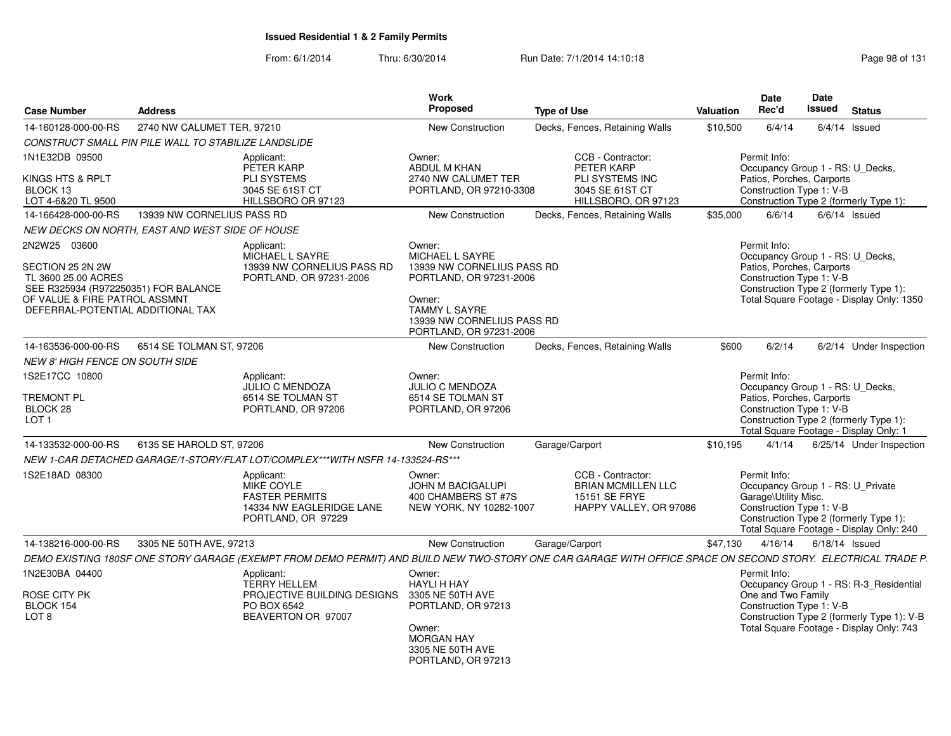| <b>Case Number</b>                                                                                                                                                    | <b>Address</b>                                       |                                                                                                                                                              | Work<br><b>Proposed</b>                                                                                                                                                       | <b>Type of Use</b>                                                                        | Valuation | <b>Date</b><br>Rec'd                                                                                      | <b>Date</b><br>Issued | <b>Status</b>                                                                          |
|-----------------------------------------------------------------------------------------------------------------------------------------------------------------------|------------------------------------------------------|--------------------------------------------------------------------------------------------------------------------------------------------------------------|-------------------------------------------------------------------------------------------------------------------------------------------------------------------------------|-------------------------------------------------------------------------------------------|-----------|-----------------------------------------------------------------------------------------------------------|-----------------------|----------------------------------------------------------------------------------------|
| 14-160128-000-00-RS                                                                                                                                                   | 2740 NW CALUMET TER, 97210                           |                                                                                                                                                              | <b>New Construction</b>                                                                                                                                                       | Decks, Fences, Retaining Walls                                                            | \$10,500  | 6/4/14                                                                                                    |                       | $6/4/14$ Issued                                                                        |
|                                                                                                                                                                       | CONSTRUCT SMALL PIN PILE WALL TO STABILIZE LANDSLIDE |                                                                                                                                                              |                                                                                                                                                                               |                                                                                           |           |                                                                                                           |                       |                                                                                        |
| 1N1E32DB 09500                                                                                                                                                        |                                                      | Applicant:<br>PETER KARP                                                                                                                                     | Owner:<br>ABDUL M KHAN                                                                                                                                                        | CCB - Contractor:<br>PETER KARP                                                           |           | Permit Info:<br>Occupancy Group 1 - RS: U_Decks,                                                          |                       |                                                                                        |
| KINGS HTS & RPLT<br>BLOCK 13<br>LOT 4-6&20 TL 9500                                                                                                                    |                                                      | <b>PLI SYSTEMS</b><br>3045 SE 61ST CT<br>HILLSBORO OR 97123                                                                                                  | 2740 NW CALUMET TER<br>PORTLAND, OR 97210-3308                                                                                                                                | PLI SYSTEMS INC<br>3045 SE 61ST CT<br>HILLSBORO, OR 97123                                 |           | Patios, Porches, Carports<br>Construction Type 1: V-B                                                     |                       | Construction Type 2 (formerly Type 1):                                                 |
| 14-166428-000-00-RS                                                                                                                                                   | 13939 NW CORNELIUS PASS RD                           |                                                                                                                                                              | New Construction                                                                                                                                                              | Decks, Fences, Retaining Walls                                                            | \$35,000  | 6/6/14                                                                                                    |                       | $6/6/14$ Issued                                                                        |
|                                                                                                                                                                       | NEW DECKS ON NORTH, EAST AND WEST SIDE OF HOUSE      |                                                                                                                                                              |                                                                                                                                                                               |                                                                                           |           |                                                                                                           |                       |                                                                                        |
| 2N2W25 03600<br>SECTION 25 2N 2W<br>TL 3600 25.00 ACRES<br>SEE R325934 (R972250351) FOR BALANCE<br>OF VALUE & FIRE PATROL ASSMNT<br>DEFERRAL-POTENTIAL ADDITIONAL TAX |                                                      | Applicant:<br>MICHAEL L SAYRE<br>13939 NW CORNELIUS PASS RD<br>PORTLAND, OR 97231-2006                                                                       | Owner:<br>MICHAEL L SAYRE<br>13939 NW CORNELIUS PASS RD<br>PORTLAND, OR 97231-2006<br>Owner:<br><b>TAMMY L SAYRE</b><br>13939 NW CORNELIUS PASS RD<br>PORTLAND, OR 97231-2006 |                                                                                           |           | Permit Info:<br>Occupancy Group 1 - RS: U_Decks,<br>Patios, Porches, Carports<br>Construction Type 1: V-B |                       | Construction Type 2 (formerly Type 1):<br>Total Square Footage - Display Only: 1350    |
| 14-163536-000-00-RS                                                                                                                                                   | 6514 SE TOLMAN ST. 97206                             |                                                                                                                                                              | New Construction                                                                                                                                                              | Decks, Fences, Retaining Walls                                                            | \$600     | 6/2/14                                                                                                    |                       | 6/2/14 Under Inspection                                                                |
| <b>NEW 8' HIGH FENCE ON SOUTH SIDE</b>                                                                                                                                |                                                      |                                                                                                                                                              |                                                                                                                                                                               |                                                                                           |           |                                                                                                           |                       |                                                                                        |
| 1S2E17CC 10800<br><b>TREMONT PL</b><br>BLOCK 28<br>LOT <sub>1</sub>                                                                                                   |                                                      | Applicant:<br>JULIO C MENDOZA<br>6514 SE TOLMAN ST<br>PORTLAND, OR 97206                                                                                     | Owner:<br>JULIO C MENDOZA<br>6514 SE TOLMAN ST<br>PORTLAND, OR 97206                                                                                                          |                                                                                           |           | Permit Info:<br>Occupancy Group 1 - RS: U_Decks,<br>Patios, Porches, Carports<br>Construction Type 1: V-B |                       | Construction Type 2 (formerly Type 1):<br>Total Square Footage - Display Only: 1       |
| 14-133532-000-00-RS                                                                                                                                                   | 6135 SE HAROLD ST, 97206                             |                                                                                                                                                              | New Construction                                                                                                                                                              | Garage/Carport                                                                            | \$10,195  | 4/1/14                                                                                                    |                       | 6/25/14 Under Inspection                                                               |
|                                                                                                                                                                       |                                                      | NEW 1-CAR DETACHED GARAGE/1-STORY/FLAT LOT/COMPLEX***WITH NSFR 14-133524-RS***                                                                               |                                                                                                                                                                               |                                                                                           |           |                                                                                                           |                       |                                                                                        |
| 1S2E18AD 08300                                                                                                                                                        |                                                      | Applicant:<br>MIKE COYLE<br><b>FASTER PERMITS</b><br>14334 NW EAGLERIDGE LANE<br>PORTLAND, OR 97229                                                          | Owner:<br><b>JOHN M BACIGALUPI</b><br>400 CHAMBERS ST #7S<br>NEW YORK, NY 10282-1007                                                                                          | CCB - Contractor:<br><b>BRIAN MCMILLEN LLC</b><br>15151 SE FRYE<br>HAPPY VALLEY, OR 97086 |           | Permit Info:<br>Occupancy Group 1 - RS: U Private<br>Garage\Utility Misc.<br>Construction Type 1: V-B     |                       | Construction Type 2 (formerly Type 1):<br>Total Square Footage - Display Only: 240     |
| 14-138216-000-00-RS                                                                                                                                                   | 3305 NE 50TH AVE, 97213                              |                                                                                                                                                              | New Construction                                                                                                                                                              | Garage/Carport                                                                            | \$47,130  | 4/16/14                                                                                                   |                       | $6/18/14$ Issued                                                                       |
|                                                                                                                                                                       |                                                      | DEMO EXISTING 180SF ONE STORY GARAGE (EXEMPT FROM DEMO PERMIT) AND BUILD NEW TWO-STORY ONE CAR GARAGE WITH OFFICE SPACE ON SECOND STORY. ELECTRICAL TRADE P. |                                                                                                                                                                               |                                                                                           |           |                                                                                                           |                       |                                                                                        |
| 1N2E30BA 04400                                                                                                                                                        |                                                      | Applicant:<br><b>TERRY HELLEM</b>                                                                                                                            | Owner:<br><b>HAYLI H HAY</b>                                                                                                                                                  |                                                                                           |           | Permit Info:                                                                                              |                       | Occupancy Group 1 - RS: R-3_Residential                                                |
| ROSE CITY PK<br>BLOCK 154<br>LOT 8                                                                                                                                    |                                                      | PROJECTIVE BUILDING DESIGNS 3305 NE 50TH AVE<br>PO BOX 6542<br>BEAVERTON OR 97007                                                                            | PORTLAND, OR 97213<br>Owner:<br><b>MORGAN HAY</b><br>3305 NE 50TH AVE<br>PORTLAND, OR 97213                                                                                   |                                                                                           |           | One and Two Family<br>Construction Type 1: V-B                                                            |                       | Construction Type 2 (formerly Type 1): V-B<br>Total Square Footage - Display Only: 743 |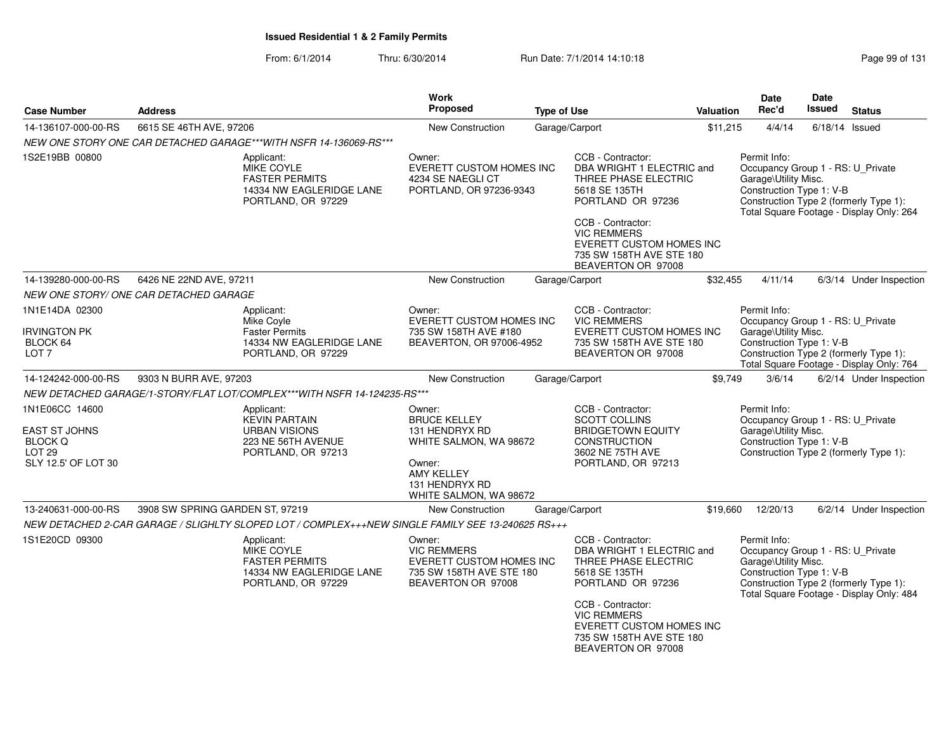| <b>Case Number</b>                                                                        | <b>Address</b>                                                                                         | <b>Work</b><br>Proposed                                                                                                                              | <b>Type of Use</b>                                                                                                                                                                                                                           | Valuation | <b>Date</b><br>Rec'd                                                                                  | Date<br><b>Issued</b> | <b>Status</b>                                                                      |
|-------------------------------------------------------------------------------------------|--------------------------------------------------------------------------------------------------------|------------------------------------------------------------------------------------------------------------------------------------------------------|----------------------------------------------------------------------------------------------------------------------------------------------------------------------------------------------------------------------------------------------|-----------|-------------------------------------------------------------------------------------------------------|-----------------------|------------------------------------------------------------------------------------|
| 14-136107-000-00-RS                                                                       | 6615 SE 46TH AVE, 97206                                                                                | New Construction                                                                                                                                     | Garage/Carport                                                                                                                                                                                                                               | \$11,215  | 4/4/14                                                                                                | $6/18/14$ Issued      |                                                                                    |
|                                                                                           | NEW ONE STORY ONE CAR DETACHED GARAGE***WITH NSFR 14-136069-RS***                                      |                                                                                                                                                      |                                                                                                                                                                                                                                              |           |                                                                                                       |                       |                                                                                    |
| 1S2E19BB 00800                                                                            | Applicant:<br>MIKE COYLE<br><b>FASTER PERMITS</b><br>14334 NW EAGLERIDGE LANE<br>PORTLAND, OR 97229    | Owner:<br><b>EVERETT CUSTOM HOMES INC</b><br>4234 SE NAEGLI CT<br>PORTLAND, OR 97236-9343                                                            | CCB - Contractor:<br>DBA WRIGHT 1 ELECTRIC and<br>THREE PHASE ELECTRIC<br>5618 SE 135TH<br>PORTLAND OR 97236<br>CCB - Contractor:<br><b>VIC REMMERS</b>                                                                                      |           | Permit Info:<br>Occupancy Group 1 - RS: U_Private<br>Garage\Utility Misc.<br>Construction Type 1: V-B |                       | Construction Type 2 (formerly Type 1):<br>Total Square Footage - Display Only: 264 |
|                                                                                           |                                                                                                        |                                                                                                                                                      | EVERETT CUSTOM HOMES INC<br>735 SW 158TH AVE STE 180<br>BEAVERTON OR 97008                                                                                                                                                                   |           |                                                                                                       |                       |                                                                                    |
| 14-139280-000-00-RS                                                                       | 6426 NE 22ND AVE, 97211                                                                                | <b>New Construction</b>                                                                                                                              | Garage/Carport                                                                                                                                                                                                                               | \$32,455  | 4/11/14                                                                                               |                       | 6/3/14 Under Inspection                                                            |
|                                                                                           | NEW ONE STORY/ ONE CAR DETACHED GARAGE                                                                 |                                                                                                                                                      |                                                                                                                                                                                                                                              |           |                                                                                                       |                       |                                                                                    |
| 1N1E14DA 02300<br>Irvington PK<br>BLOCK 64<br>LOT <sub>7</sub>                            | Applicant:<br>Mike Coyle<br><b>Faster Permits</b><br>14334 NW EAGLERIDGE LANE<br>PORTLAND, OR 97229    | Owner:<br><b>EVERETT CUSTOM HOMES INC</b><br>735 SW 158TH AVE #180<br>BEAVERTON, OR 97006-4952                                                       | CCB - Contractor:<br><b>VIC REMMERS</b><br><b>EVERETT CUSTOM HOMES INC</b><br>735 SW 158TH AVE STE 180<br>BEAVERTON OR 97008                                                                                                                 |           | Permit Info:<br>Occupancy Group 1 - RS: U Private<br>Garage\Utility Misc.<br>Construction Type 1: V-B |                       | Construction Type 2 (formerly Type 1):<br>Total Square Footage - Display Only: 764 |
| 14-124242-000-00-RS                                                                       | 9303 N BURR AVE, 97203                                                                                 | New Construction                                                                                                                                     | Garage/Carport                                                                                                                                                                                                                               | \$9,749   | 3/6/14                                                                                                |                       | 6/2/14 Under Inspection                                                            |
|                                                                                           | NEW DETACHED GARAGE/1-STORY/FLAT LOT/COMPLEX***WITH NSFR 14-124235-RS***                               |                                                                                                                                                      |                                                                                                                                                                                                                                              |           |                                                                                                       |                       |                                                                                    |
| 1N1E06CC 14600<br><b>EAST ST JOHNS</b><br>BLOCK Q<br><b>LOT 29</b><br>SLY 12.5' OF LOT 30 | Applicant:<br><b>KEVIN PARTAIN</b><br><b>URBAN VISIONS</b><br>223 NE 56TH AVENUE<br>PORTLAND, OR 97213 | Owner:<br><b>BRUCE KELLEY</b><br>131 HENDRYX RD<br>WHITE SALMON, WA 98672<br>Owner:<br><b>AMY KELLEY</b><br>131 HENDRYX RD<br>WHITE SALMON, WA 98672 | CCB - Contractor:<br><b>SCOTT COLLINS</b><br><b>BRIDGETOWN EQUITY</b><br><b>CONSTRUCTION</b><br>3602 NE 75TH AVE<br>PORTLAND, OR 97213                                                                                                       |           | Permit Info:<br>Occupancy Group 1 - RS: U_Private<br>Garage\Utility Misc.<br>Construction Type 1: V-B |                       | Construction Type 2 (formerly Type 1):                                             |
| 13-240631-000-00-RS                                                                       | 3908 SW SPRING GARDEN ST, 97219                                                                        | New Construction                                                                                                                                     | Garage/Carport                                                                                                                                                                                                                               | \$19,660  | 12/20/13                                                                                              |                       | 6/2/14 Under Inspection                                                            |
|                                                                                           | NEW DETACHED 2-CAR GARAGE / SLIGHLTY SLOPED LOT / COMPLEX+++NEW SINGLE FAMILY SEE 13-240625 RS+++      |                                                                                                                                                      |                                                                                                                                                                                                                                              |           |                                                                                                       |                       |                                                                                    |
| 1S1E20CD 09300                                                                            | Applicant:<br>MIKE COYLE<br><b>FASTER PERMITS</b><br>14334 NW EAGLERIDGE LANE<br>PORTLAND, OR 97229    | Owner:<br><b>VIC REMMERS</b><br><b>EVERETT CUSTOM HOMES INC</b><br>735 SW 158TH AVE STE 180<br>BEAVERTON OR 97008                                    | CCB - Contractor:<br>DBA WRIGHT 1 ELECTRIC and<br>THREE PHASE ELECTRIC<br>5618 SE 135TH<br>PORTLAND OR 97236<br>CCB - Contractor:<br><b>VIC REMMERS</b><br><b>EVERETT CUSTOM HOMES INC</b><br>735 SW 158TH AVE STE 180<br>BEAVERTON OR 97008 |           | Permit Info:<br>Occupancy Group 1 - RS: U_Private<br>Garage\Utility Misc.<br>Construction Type 1: V-B |                       | Construction Type 2 (formerly Type 1):<br>Total Square Footage - Display Only: 484 |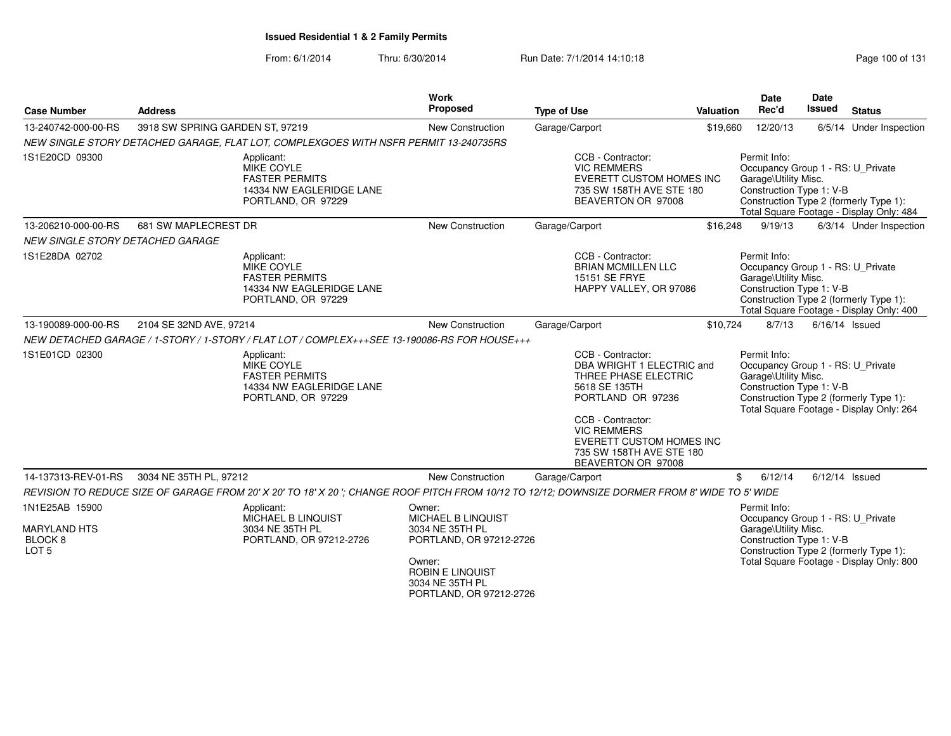| <b>Case Number</b>                                                              | <b>Address</b>                  |                                                                                                                                               | Work<br>Proposed                                                                | <b>Type of Use</b> |                                                                                                                                                                                     | Valuation                                                        | Date<br>Rec'd                                                                                         | <b>Date</b><br>Issued | <b>Status</b>                                                                      |
|---------------------------------------------------------------------------------|---------------------------------|-----------------------------------------------------------------------------------------------------------------------------------------------|---------------------------------------------------------------------------------|--------------------|-------------------------------------------------------------------------------------------------------------------------------------------------------------------------------------|------------------------------------------------------------------|-------------------------------------------------------------------------------------------------------|-----------------------|------------------------------------------------------------------------------------|
| 13-240742-000-00-RS                                                             | 3918 SW SPRING GARDEN ST, 97219 |                                                                                                                                               | New Construction                                                                |                    | Garage/Carport                                                                                                                                                                      | \$19,660                                                         | 12/20/13                                                                                              |                       | 6/5/14 Under Inspection                                                            |
|                                                                                 |                                 | NEW SINGLE STORY DETACHED GARAGE, FLAT LOT, COMPLEXGOES WITH NSFR PERMIT 13-240735RS                                                          |                                                                                 |                    |                                                                                                                                                                                     |                                                                  |                                                                                                       |                       |                                                                                    |
| 1S1E20CD 09300                                                                  |                                 | Applicant:<br>MIKE COYLE<br><b>FASTER PERMITS</b><br>14334 NW EAGLERIDGE LANE<br>PORTLAND, OR 97229                                           |                                                                                 |                    | CCB - Contractor:<br><b>VIC REMMERS</b><br>EVERETT CUSTOM HOMES INC<br>735 SW 158TH AVE STE 180<br>BEAVERTON OR 97008                                                               |                                                                  | Permit Info:<br>Occupancy Group 1 - RS: U Private<br>Garage\Utility Misc.<br>Construction Type 1: V-B |                       | Construction Type 2 (formerly Type 1):<br>Total Square Footage - Display Only: 484 |
| 13-206210-000-00-RS                                                             | 681 SW MAPLECREST DR            |                                                                                                                                               | <b>New Construction</b>                                                         |                    | Garage/Carport                                                                                                                                                                      | \$16,248                                                         | 9/19/13                                                                                               |                       | 6/3/14 Under Inspection                                                            |
| NEW SINGLE STORY DETACHED GARAGE                                                |                                 |                                                                                                                                               |                                                                                 |                    |                                                                                                                                                                                     |                                                                  |                                                                                                       |                       |                                                                                    |
| 1S1E28DA 02702                                                                  |                                 | Applicant:<br><b>MIKE COYLE</b><br><b>FASTER PERMITS</b><br>14334 NW EAGLERIDGE LANE<br>PORTLAND, OR 97229                                    |                                                                                 |                    | CCB - Contractor:<br><b>BRIAN MCMILLEN LLC</b><br>15151 SE FRYE<br>HAPPY VALLEY, OR 97086                                                                                           |                                                                  | Permit Info:<br>Occupancy Group 1 - RS: U Private<br>Garage\Utility Misc.<br>Construction Type 1: V-B |                       | Construction Type 2 (formerly Type 1):<br>Total Square Footage - Display Only: 400 |
| 13-190089-000-00-RS                                                             | 2104 SE 32ND AVE, 97214         |                                                                                                                                               | New Construction                                                                |                    | Garage/Carport                                                                                                                                                                      | \$10.724                                                         | 8/7/13                                                                                                |                       | 6/16/14 Issued                                                                     |
|                                                                                 |                                 | NEW DETACHED GARAGE / 1-STORY / 1-STORY / FLAT LOT / COMPLEX+++SEE 13-190086-RS FOR HOUSE+++                                                  |                                                                                 |                    |                                                                                                                                                                                     |                                                                  |                                                                                                       |                       |                                                                                    |
| 1S1E01CD 02300                                                                  |                                 | Applicant:<br>MIKE COYLE<br><b>FASTER PERMITS</b><br>14334 NW EAGLERIDGE LANE<br>PORTLAND, OR 97229                                           |                                                                                 |                    | CCB - Contractor:<br>DBA WRIGHT 1 ELECTRIC and<br>THREE PHASE ELECTRIC<br>5618 SE 135TH<br>PORTLAND OR 97236<br>CCB - Contractor:<br><b>VIC REMMERS</b><br>EVERETT CUSTOM HOMES INC |                                                                  | Permit Info:<br>Occupancy Group 1 - RS: U_Private<br>Garage\Utility Misc.<br>Construction Type 1: V-B |                       | Construction Type 2 (formerly Type 1):<br>Total Square Footage - Display Only: 264 |
|                                                                                 |                                 |                                                                                                                                               |                                                                                 |                    | 735 SW 158TH AVE STE 180<br>BEAVERTON OR 97008                                                                                                                                      |                                                                  |                                                                                                       |                       |                                                                                    |
| 14-137313-REV-01-RS                                                             | 3034 NE 35TH PL, 97212          |                                                                                                                                               | New Construction                                                                |                    | Garage/Carport                                                                                                                                                                      |                                                                  | \$<br>6/12/14                                                                                         |                       | $6/12/14$ Issued                                                                   |
|                                                                                 |                                 | REVISION TO REDUCE SIZE OF GARAGE FROM 20' X 20' TO 18' X 20"; CHANGE ROOF PITCH FROM 10/12 TO 12/12; DOWNSIZE DORMER FROM 8' WIDE TO 5' WIDE |                                                                                 |                    |                                                                                                                                                                                     |                                                                  |                                                                                                       |                       |                                                                                    |
| 1N1E25AB 15900<br><b>MARYLAND HTS</b><br>BLOCK <sub>8</sub><br>LOT <sub>5</sub> |                                 | Applicant:<br><b>MICHAEL B LINQUIST</b><br>3034 NE 35TH PL<br>PORTLAND, OR 97212-2726                                                         | Owner:<br>MICHAEL B LINQUIST<br>3034 NE 35TH PL<br>PORTLAND, OR 97212-2726      |                    |                                                                                                                                                                                     | Permit Info:<br>Garage\Utility Misc.<br>Construction Type 1: V-B |                                                                                                       |                       | Occupancy Group 1 - RS: U Private<br>Construction Type 2 (formerly Type 1):        |
|                                                                                 |                                 |                                                                                                                                               | Owner:<br><b>ROBIN E LINQUIST</b><br>3034 NE 35TH PL<br>PORTLAND, OR 97212-2726 |                    |                                                                                                                                                                                     |                                                                  | Total Square Footage - Display Only: 800                                                              |                       |                                                                                    |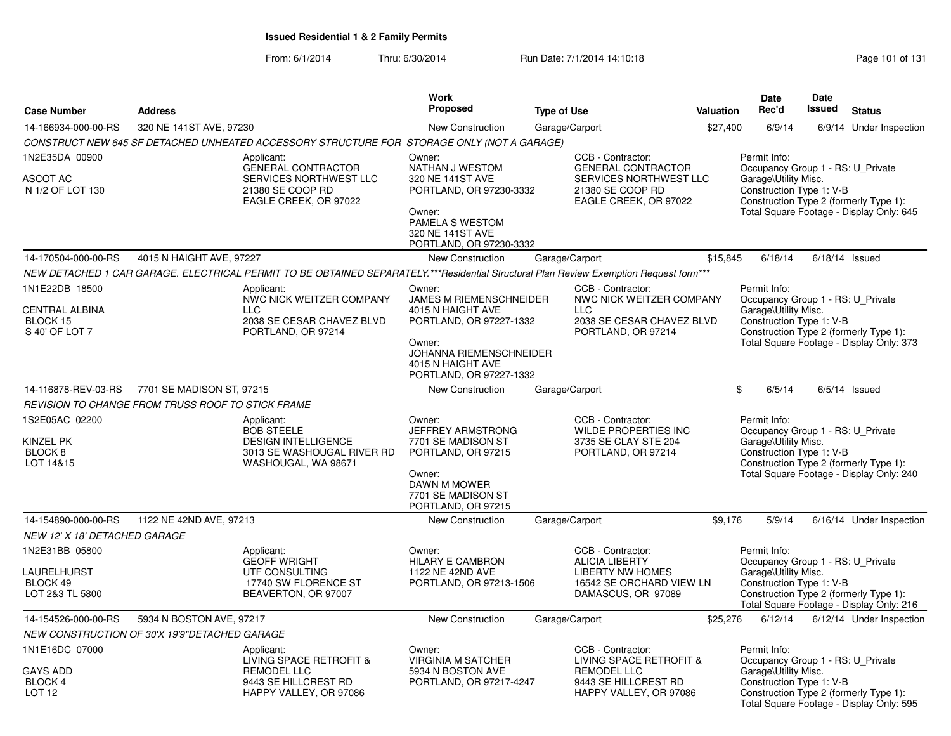From: 6/1/2014Thru: 6/30/2014 Run Date: 7/1/2014 14:10:18 Research 2010 131

|                                                                          |                                                   |                                                                                                                                        | <b>Work</b><br>Proposed                                                                                                                                                       |                    |                                                                                                                         |           | Date<br>Rec'd                                                                                         | <b>Date</b><br>Issued |                                                                                    |
|--------------------------------------------------------------------------|---------------------------------------------------|----------------------------------------------------------------------------------------------------------------------------------------|-------------------------------------------------------------------------------------------------------------------------------------------------------------------------------|--------------------|-------------------------------------------------------------------------------------------------------------------------|-----------|-------------------------------------------------------------------------------------------------------|-----------------------|------------------------------------------------------------------------------------|
| <b>Case Number</b>                                                       | <b>Address</b>                                    |                                                                                                                                        |                                                                                                                                                                               | <b>Type of Use</b> |                                                                                                                         | Valuation |                                                                                                       |                       | <b>Status</b>                                                                      |
| 14-166934-000-00-RS                                                      | 320 NE 141ST AVE, 97230                           |                                                                                                                                        | <b>New Construction</b>                                                                                                                                                       | Garage/Carport     |                                                                                                                         | \$27,400  | 6/9/14                                                                                                |                       | 6/9/14 Under Inspection                                                            |
|                                                                          |                                                   | CONSTRUCT NEW 645 SF DETACHED UNHEATED ACCESSORY STRUCTURE FOR STORAGE ONLY (NOT A GARAGE)                                             |                                                                                                                                                                               |                    |                                                                                                                         |           |                                                                                                       |                       |                                                                                    |
| 1N2E35DA 00900<br><b>ASCOT AC</b><br>N 1/2 OF LOT 130                    |                                                   | Applicant:<br><b>GENERAL CONTRACTOR</b><br>SERVICES NORTHWEST LLC<br>21380 SE COOP RD<br>EAGLE CREEK, OR 97022                         | Owner:<br>NATHAN J WESTOM<br>320 NE 141ST AVE<br>PORTLAND, OR 97230-3332<br>Owner:<br>PAMELA S WESTOM<br>320 NE 141ST AVE<br>PORTLAND, OR 97230-3332                          |                    | CCB - Contractor:<br><b>GENERAL CONTRACTOR</b><br>SERVICES NORTHWEST LLC<br>21380 SE COOP RD<br>EAGLE CREEK, OR 97022   |           | Permit Info:<br>Occupancy Group 1 - RS: U Private<br>Garage\Utility Misc.<br>Construction Type 1: V-B |                       | Construction Type 2 (formerly Type 1):<br>Total Square Footage - Display Only: 645 |
| 14-170504-000-00-RS                                                      | 4015 N HAIGHT AVE, 97227                          |                                                                                                                                        | New Construction                                                                                                                                                              | Garage/Carport     |                                                                                                                         | \$15,845  | 6/18/14                                                                                               |                       | $6/18/14$ Issued                                                                   |
|                                                                          |                                                   | NEW DETACHED 1 CAR GARAGE. ELECTRICAL PERMIT TO BE OBTAINED SEPARATELY.***Residential Structural Plan Review Exemption Request form*** |                                                                                                                                                                               |                    |                                                                                                                         |           |                                                                                                       |                       |                                                                                    |
| 1N1E22DB 18500<br><b>CENTRAL ALBINA</b><br>BLOCK 15<br>S 40' OF LOT 7    |                                                   | Applicant:<br>NWC NICK WEITZER COMPANY<br><b>LLC</b><br>2038 SE CESAR CHAVEZ BLVD<br>PORTLAND, OR 97214                                | Owner:<br><b>JAMES M RIEMENSCHNEIDER</b><br>4015 N HAIGHT AVE<br>PORTLAND, OR 97227-1332<br>Owner:<br>JOHANNA RIEMENSCHNEIDER<br>4015 N HAIGHT AVE<br>PORTLAND, OR 97227-1332 |                    | CCB - Contractor:<br>NWC NICK WEITZER COMPANY<br><b>LLC</b><br>2038 SE CESAR CHAVEZ BLVD<br>PORTLAND, OR 97214          |           | Permit Info:<br>Occupancy Group 1 - RS: U Private<br>Garage\Utility Misc.<br>Construction Type 1: V-B |                       | Construction Type 2 (formerly Type 1):<br>Total Square Footage - Display Only: 373 |
| 14-116878-REV-03-RS                                                      | 7701 SE MADISON ST, 97215                         |                                                                                                                                        | <b>New Construction</b>                                                                                                                                                       | Garage/Carport     |                                                                                                                         |           | \$<br>6/5/14                                                                                          |                       | $6/5/14$ Issued                                                                    |
|                                                                          | REVISION TO CHANGE FROM TRUSS ROOF TO STICK FRAME |                                                                                                                                        |                                                                                                                                                                               |                    |                                                                                                                         |           |                                                                                                       |                       |                                                                                    |
| 1S2E05AC 02200<br>KINZEL PK<br>BLOCK 8<br>LOT 14&15                      |                                                   | Applicant:<br><b>BOB STEELE</b><br><b>DESIGN INTELLIGENCE</b><br>3013 SE WASHOUGAL RIVER RD<br>WASHOUGAL, WA 98671                     | Owner:<br>JEFFREY ARMSTRONG<br>7701 SE MADISON ST<br>PORTLAND, OR 97215<br>Owner:<br>DAWN M MOWER<br>7701 SE MADISON ST<br>PORTLAND, OR 97215                                 |                    | CCB - Contractor:<br>WILDE PROPERTIES INC<br>3735 SE CLAY STE 204<br>PORTLAND, OR 97214                                 |           | Permit Info:<br>Occupancy Group 1 - RS: U_Private<br>Garage\Utility Misc.<br>Construction Type 1: V-B |                       | Construction Type 2 (formerly Type 1):<br>Total Square Footage - Display Only: 240 |
| 14-154890-000-00-RS                                                      | 1122 NE 42ND AVE, 97213                           |                                                                                                                                        | New Construction                                                                                                                                                              | Garage/Carport     |                                                                                                                         | \$9.176   | 5/9/14                                                                                                |                       | 6/16/14 Under Inspection                                                           |
| NEW 12' X 18' DETACHED GARAGE                                            |                                                   |                                                                                                                                        |                                                                                                                                                                               |                    |                                                                                                                         |           |                                                                                                       |                       |                                                                                    |
| 1N2E31BB 05800<br><b>LAURELHURST</b><br>BLOCK 49<br>LOT 2&3 TL 5800      |                                                   | Applicant:<br><b>GEOFF WRIGHT</b><br>UTF CONSULTING<br>17740 SW FLORENCE ST<br>BEAVERTON, OR 97007                                     | Owner:<br><b>HILARY E CAMBRON</b><br>1122 NE 42ND AVE<br>PORTLAND, OR 97213-1506                                                                                              |                    | CCB - Contractor:<br><b>ALICIA LIBERTY</b><br><b>LIBERTY NW HOMES</b><br>16542 SE ORCHARD VIEW LN<br>DAMASCUS, OR 97089 |           | Permit Info:<br>Occupancy Group 1 - RS: U Private<br>Garage\Utility Misc.<br>Construction Type 1: V-B |                       | Construction Type 2 (formerly Type 1):<br>Total Square Footage - Display Only: 216 |
| 14-154526-000-00-RS                                                      | 5934 N BOSTON AVE, 97217                          |                                                                                                                                        | <b>New Construction</b>                                                                                                                                                       | Garage/Carport     |                                                                                                                         | \$25,276  | 6/12/14                                                                                               |                       | 6/12/14 Under Inspection                                                           |
|                                                                          | NEW CONSTRUCTION OF 30'X 19'9"DETACHED GARAGE     |                                                                                                                                        |                                                                                                                                                                               |                    |                                                                                                                         |           |                                                                                                       |                       |                                                                                    |
| 1N1E16DC 07000<br><b>GAYS ADD</b><br><b>BLOCK 4</b><br>LOT <sub>12</sub> |                                                   | Applicant:<br>LIVING SPACE RETROFIT &<br>REMODEL LLC<br>9443 SE HILLCREST RD<br>HAPPY VALLEY, OR 97086                                 | Owner:<br><b>VIRGINIA M SATCHER</b><br>5934 N BOSTON AVE<br>PORTLAND, OR 97217-4247                                                                                           |                    | CCB - Contractor:<br>LIVING SPACE RETROFIT &<br><b>REMODEL LLC</b><br>9443 SE HILLCREST RD<br>HAPPY VALLEY, OR 97086    |           | Permit Info:<br>Occupancy Group 1 - RS: U_Private<br>Garage\Utility Misc.<br>Construction Type 1: V-B |                       | Construction Type 2 (formerly Type 1):<br>Total Square Footage - Display Only: 595 |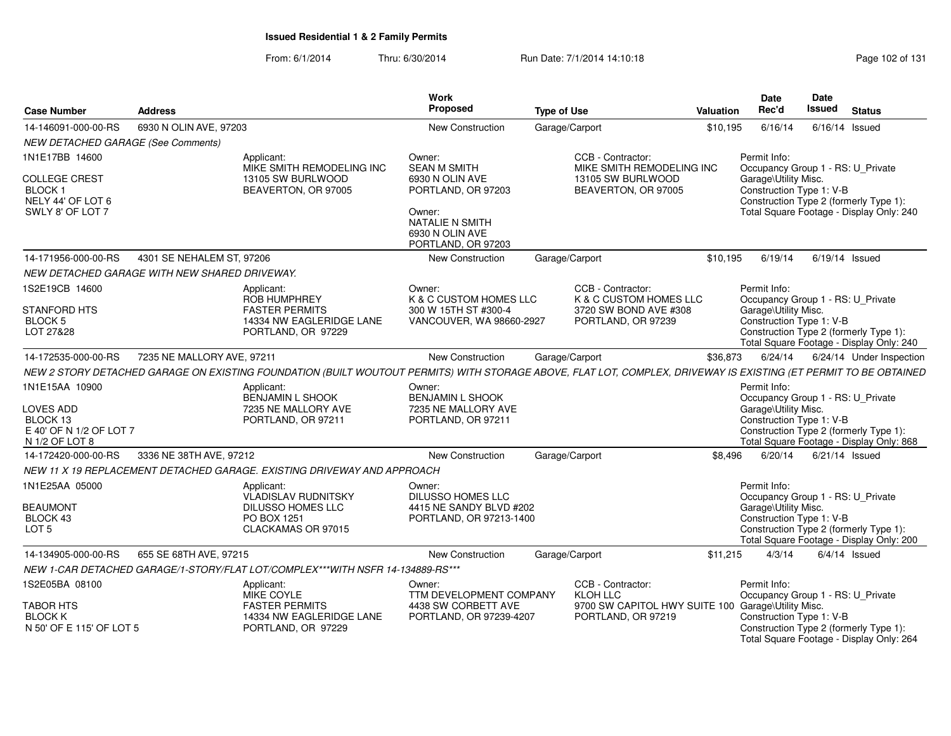| <b>Case Number</b>                                                                   | <b>Address</b>             |                                                                                                    | <b>Work</b><br>Proposed                                                                  | <b>Type of Use</b>                                                                                                                                               | <b>Valuation</b> | Date<br>Rec'd                                                                                         | <b>Date</b><br><b>Issued</b> | <b>Status</b>                                                                      |
|--------------------------------------------------------------------------------------|----------------------------|----------------------------------------------------------------------------------------------------|------------------------------------------------------------------------------------------|------------------------------------------------------------------------------------------------------------------------------------------------------------------|------------------|-------------------------------------------------------------------------------------------------------|------------------------------|------------------------------------------------------------------------------------|
| 14-146091-000-00-RS                                                                  | 6930 N OLIN AVE, 97203     |                                                                                                    | New Construction                                                                         | Garage/Carport                                                                                                                                                   | \$10,195         | 6/16/14                                                                                               | $6/16/14$ Issued             |                                                                                    |
| <b>NEW DETACHED GARAGE (See Comments)</b>                                            |                            |                                                                                                    |                                                                                          |                                                                                                                                                                  |                  |                                                                                                       |                              |                                                                                    |
| 1N1E17BB 14600                                                                       |                            | Applicant:<br>MIKE SMITH REMODELING INC                                                            | Owner:<br><b>SEAN M SMITH</b>                                                            | CCB - Contractor:<br>MIKE SMITH REMODELING INC                                                                                                                   |                  | Permit Info:<br>Occupancy Group 1 - RS: U_Private                                                     |                              |                                                                                    |
| <b>COLLEGE CREST</b><br>BLOCK 1<br>NELY 44' OF LOT 6<br>SWLY 8' OF LOT 7             |                            | 13105 SW BURLWOOD<br>BEAVERTON, OR 97005                                                           | 6930 N OLIN AVE<br>PORTLAND, OR 97203<br>Owner:                                          | 13105 SW BURLWOOD<br>BEAVERTON, OR 97005                                                                                                                         |                  | Garage\Utility Misc.<br>Construction Type 1: V-B                                                      |                              | Construction Type 2 (formerly Type 1):<br>Total Square Footage - Display Only: 240 |
|                                                                                      |                            |                                                                                                    | <b>NATALIE N SMITH</b><br>6930 N OLIN AVE<br>PORTLAND, OR 97203                          |                                                                                                                                                                  |                  |                                                                                                       |                              |                                                                                    |
| 14-171956-000-00-RS                                                                  | 4301 SE NEHALEM ST, 97206  |                                                                                                    | New Construction                                                                         | Garage/Carport                                                                                                                                                   | \$10.195         | 6/19/14                                                                                               | $6/19/14$ Issued             |                                                                                    |
| NEW DETACHED GARAGE WITH NEW SHARED DRIVEWAY.                                        |                            |                                                                                                    |                                                                                          |                                                                                                                                                                  |                  |                                                                                                       |                              |                                                                                    |
| 1S2E19CB 14600<br><b>STANFORD HTS</b><br><b>BLOCK 5</b>                              |                            | Applicant:<br><b>ROB HUMPHREY</b><br><b>FASTER PERMITS</b><br>14334 NW EAGLERIDGE LANE             | Owner:<br>K & C CUSTOM HOMES LLC<br>300 W 15TH ST #300-4<br>VANCOUVER, WA 98660-2927     | CCB - Contractor:<br>K & C CUSTOM HOMES LLC<br>3720 SW BOND AVE #308<br>PORTLAND, OR 97239                                                                       |                  | Permit Info:<br>Occupancy Group 1 - RS: U_Private<br>Garage\Utility Misc.<br>Construction Type 1: V-B |                              |                                                                                    |
| LOT 27&28                                                                            |                            | PORTLAND, OR 97229                                                                                 |                                                                                          |                                                                                                                                                                  |                  |                                                                                                       |                              | Construction Type 2 (formerly Type 1):<br>Total Square Footage - Display Only: 240 |
| 14-172535-000-00-RS                                                                  | 7235 NE MALLORY AVE, 97211 |                                                                                                    | New Construction                                                                         | Garage/Carport                                                                                                                                                   | \$36,873         | 6/24/14                                                                                               |                              | 6/24/14 Under Inspection                                                           |
|                                                                                      |                            |                                                                                                    |                                                                                          | NEW 2 STORY DETACHED GARAGE ON EXISTING FOUNDATION (BUILT WOUTOUT PERMITS) WITH STORAGE ABOVE, FLAT LOT, COMPLEX, DRIVEWAY IS EXISTING (ET PERMIT TO BE OBTAINED |                  |                                                                                                       |                              |                                                                                    |
| 1N1E15AA 10900<br>LOVES ADD<br>BLOCK 13<br>E 40' OF N 1/2 OF LOT 7<br>N 1/2 OF LOT 8 |                            | Applicant:<br><b>BENJAMIN L SHOOK</b><br>7235 NE MALLORY AVE<br>PORTLAND, OR 97211                 | Owner:<br><b>BENJAMIN L SHOOK</b><br>7235 NE MALLORY AVE<br>PORTLAND, OR 97211           |                                                                                                                                                                  |                  | Permit Info:<br>Occupancy Group 1 - RS: U Private<br>Garage\Utility Misc.<br>Construction Type 1: V-B |                              | Construction Type 2 (formerly Type 1):<br>Total Square Footage - Display Only: 868 |
| 14-172420-000-00-RS                                                                  | 3336 NE 38TH AVE, 97212    |                                                                                                    | New Construction                                                                         | Garage/Carport                                                                                                                                                   | \$8,496          | 6/20/14                                                                                               | $6/21/14$ Issued             |                                                                                    |
|                                                                                      |                            | NEW 11 X 19 REPLACEMENT DETACHED GARAGE. EXISTING DRIVEWAY AND APPROACH                            |                                                                                          |                                                                                                                                                                  |                  |                                                                                                       |                              |                                                                                    |
| 1N1E25AA 05000<br><b>BEAUMONT</b><br>BLOCK 43<br>LOT <sub>5</sub>                    |                            | Applicant:<br><b>VLADISLAV RUDNITSKY</b><br>DILUSSO HOMES LLC<br>PO BOX 1251<br>CLACKAMAS OR 97015 | Owner:<br><b>DILUSSO HOMES LLC</b><br>4415 NE SANDY BLVD #202<br>PORTLAND, OR 97213-1400 |                                                                                                                                                                  |                  | Permit Info:<br>Occupancy Group 1 - RS: U_Private<br>Garage\Utility Misc.<br>Construction Type 1: V-B |                              | Construction Type 2 (formerly Type 1):<br>Total Square Footage - Display Only: 200 |
| 14-134905-000-00-RS                                                                  | 655 SE 68TH AVE, 97215     |                                                                                                    | New Construction                                                                         | Garage/Carport                                                                                                                                                   | \$11,215         | 4/3/14                                                                                                |                              | $6/4/14$ Issued                                                                    |
|                                                                                      |                            | NEW 1-CAR DETACHED GARAGE/1-STORY/FLAT LOT/COMPLEX***WITH NSFR 14-134889-RS***                     |                                                                                          |                                                                                                                                                                  |                  |                                                                                                       |                              |                                                                                    |
| 1S2E05BA 08100<br><b>TABOR HTS</b>                                                   |                            | Applicant:<br>MIKE COYLE<br><b>FASTER PERMITS</b>                                                  | Owner:<br>TTM DEVELOPMENT COMPANY<br>4438 SW CORBETT AVE                                 | CCB - Contractor:<br>KLOH LLC<br>9700 SW CAPITOL HWY SUITE 100 Garage\Utility Misc.                                                                              |                  | Permit Info:<br>Occupancy Group 1 - RS: U Private                                                     |                              |                                                                                    |
| <b>BLOCK K</b><br>N 50' OF E 115' OF LOT 5                                           |                            | 14334 NW EAGLERIDGE LANE<br>PORTLAND, OR 97229                                                     | PORTLAND, OR 97239-4207                                                                  | PORTLAND, OR 97219                                                                                                                                               |                  | Construction Type 1: V-B                                                                              |                              | Construction Type 2 (formerly Type 1):<br>Total Square Footage - Display Only: 264 |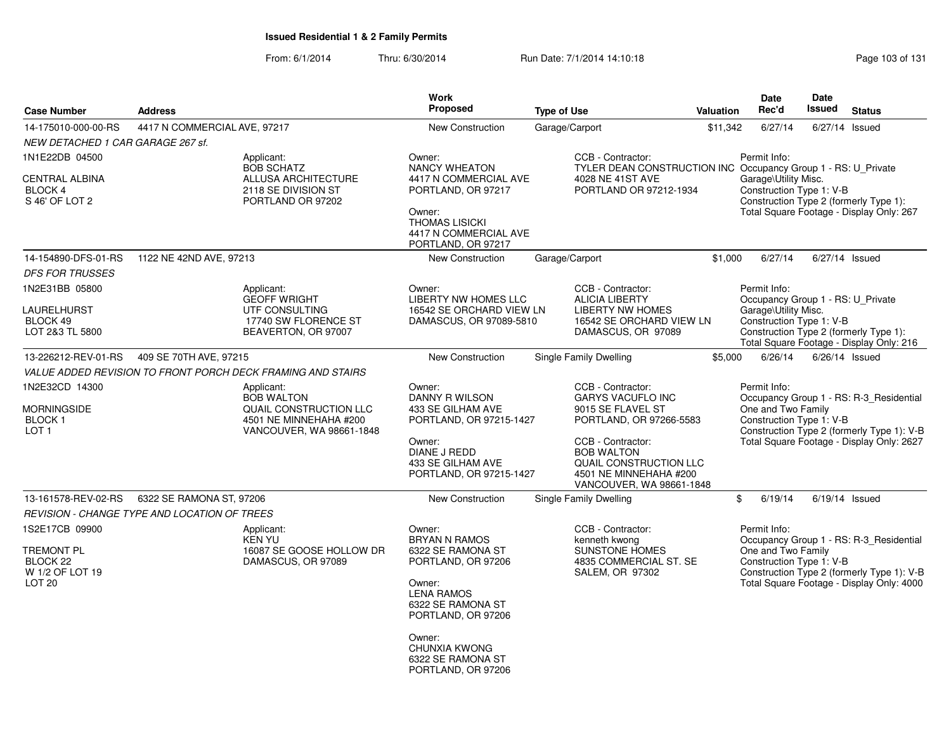From: 6/1/2014Thru: 6/30/2014 Run Date: 7/1/2014 14:10:18 Research 2010 Rage 103 of 131

| <b>Case Number</b>                                                               | <b>Address</b>                                      |                                                                                                                 | <b>Work</b><br><b>Proposed</b>                                                                                                                                                                                            | <b>Type of Use</b>                                                                                                                     | <b>Valuation</b>                                                              | <b>Date</b><br>Rec'd                                                                                  | Date<br><b>Issued</b>                                                                                                                                          | <b>Status</b>                                                                                                                      |  |
|----------------------------------------------------------------------------------|-----------------------------------------------------|-----------------------------------------------------------------------------------------------------------------|---------------------------------------------------------------------------------------------------------------------------------------------------------------------------------------------------------------------------|----------------------------------------------------------------------------------------------------------------------------------------|-------------------------------------------------------------------------------|-------------------------------------------------------------------------------------------------------|----------------------------------------------------------------------------------------------------------------------------------------------------------------|------------------------------------------------------------------------------------------------------------------------------------|--|
| 14-175010-000-00-RS                                                              | 4417 N COMMERCIAL AVE, 97217                        |                                                                                                                 | <b>New Construction</b>                                                                                                                                                                                                   | Garage/Carport                                                                                                                         | \$11.342                                                                      | 6/27/14                                                                                               | 6/27/14 Issued                                                                                                                                                 |                                                                                                                                    |  |
| NEW DETACHED 1 CAR GARAGE 267 sf.                                                |                                                     |                                                                                                                 |                                                                                                                                                                                                                           |                                                                                                                                        |                                                                               |                                                                                                       |                                                                                                                                                                |                                                                                                                                    |  |
| 1N1E22DB 04500<br><b>CENTRAL ALBINA</b><br>BLOCK 4<br>S 46' OF LOT 2             |                                                     | Applicant:<br><b>BOB SCHATZ</b><br><b>ALLUSA ARCHITECTURE</b><br>2118 SE DIVISION ST<br>PORTLAND OR 97202       | Owner:<br><b>NANCY WHEATON</b><br>4417 N COMMERCIAL AVE<br>PORTLAND, OR 97217<br>Owner:<br><b>THOMAS LISICKI</b><br>4417 N COMMERCIAL AVE<br>PORTLAND, OR 97217                                                           | CCB - Contractor:<br>4028 NE 41ST AVE<br>PORTLAND OR 97212-1934                                                                        | <b>TYLER DEAN CONSTRUCTION INC Occupancy Group 1 - RS: U Private</b>          | Permit Info:<br>Garage\Utility Misc.<br>Construction Type 1: V-B                                      |                                                                                                                                                                | Construction Type 2 (formerly Type 1):<br>Total Square Footage - Display Only: 267                                                 |  |
| 14-154890-DFS-01-RS                                                              | 1122 NE 42ND AVE, 97213                             |                                                                                                                 | New Construction                                                                                                                                                                                                          | Garage/Carport                                                                                                                         | \$1,000                                                                       | 6/27/14                                                                                               | 6/27/14 Issued                                                                                                                                                 |                                                                                                                                    |  |
| <b>DFS FOR TRUSSES</b>                                                           |                                                     |                                                                                                                 |                                                                                                                                                                                                                           |                                                                                                                                        |                                                                               |                                                                                                       |                                                                                                                                                                |                                                                                                                                    |  |
| 1N2E31BB 05800<br>LAURELHURST<br>BLOCK 49<br>LOT 2&3 TL 5800                     |                                                     | Applicant:<br><b>GEOFF WRIGHT</b><br>UTF CONSULTING<br>17740 SW FLORENCE ST<br>BEAVERTON, OR 97007              | Owner:<br><b>LIBERTY NW HOMES LLC</b><br>16542 SE ORCHARD VIEW LN<br>DAMASCUS, OR 97089-5810                                                                                                                              | CCB - Contractor:<br><b>ALICIA LIBERTY</b><br><b>LIBERTY NW HOMES</b><br>DAMASCUS, OR 97089                                            | 16542 SE ORCHARD VIEW LN                                                      | Permit Info:<br>Occupancy Group 1 - RS: U_Private<br>Garage\Utility Misc.<br>Construction Type 1: V-B |                                                                                                                                                                | Construction Type 2 (formerly Type 1):<br>Total Square Footage - Display Only: 216                                                 |  |
| 13-226212-REV-01-RS                                                              | 409 SE 70TH AVE, 97215                              |                                                                                                                 | New Construction                                                                                                                                                                                                          | Single Family Dwelling                                                                                                                 | \$5,000                                                                       | 6/26/14                                                                                               | $6/26/14$ Issued                                                                                                                                               |                                                                                                                                    |  |
|                                                                                  |                                                     | VALUE ADDED REVISION TO FRONT PORCH DECK FRAMING AND STAIRS                                                     |                                                                                                                                                                                                                           |                                                                                                                                        |                                                                               |                                                                                                       |                                                                                                                                                                |                                                                                                                                    |  |
| 1N2E32CD 14300<br><b>MORNINGSIDE</b><br><b>BLOCK1</b><br>LOT <sub>1</sub>        |                                                     | Applicant:<br><b>BOB WALTON</b><br>QUAIL CONSTRUCTION LLC<br>4501 NE MINNEHAHA #200<br>VANCOUVER, WA 98661-1848 | Owner:<br>DANNY R WILSON<br>433 SE GILHAM AVE<br>PORTLAND, OR 97215-1427<br>Owner:<br>DIANE J REDD<br>433 SE GILHAM AVE<br>PORTLAND, OR 97215-1427                                                                        | CCB - Contractor:<br><b>GARYS VACUFLO INC</b><br>9015 SE FLAVEL ST<br>CCB - Contractor:<br><b>BOB WALTON</b><br>4501 NE MINNEHAHA #200 | PORTLAND, OR 97266-5583<br>QUAIL CONSTRUCTION LLC<br>VANCOUVER, WA 98661-1848 | Permit Info:<br>One and Two Family                                                                    | Occupancy Group 1 - RS: R-3 Residential<br>Construction Type 1: V-B<br>Construction Type 2 (formerly Type 1): V-B<br>Total Square Footage - Display Only: 2627 |                                                                                                                                    |  |
| 13-161578-REV-02-RS                                                              | 6322 SE RAMONA ST, 97206                            |                                                                                                                 | New Construction                                                                                                                                                                                                          | Single Family Dwelling                                                                                                                 |                                                                               | \$<br>6/19/14                                                                                         | $6/19/14$ Issued                                                                                                                                               |                                                                                                                                    |  |
|                                                                                  | <b>REVISION - CHANGE TYPE AND LOCATION OF TREES</b> |                                                                                                                 |                                                                                                                                                                                                                           |                                                                                                                                        |                                                                               |                                                                                                       |                                                                                                                                                                |                                                                                                                                    |  |
| 1S2E17CB 09900<br>TREMONT PL<br>BLOCK 22<br>W 1/2 OF LOT 19<br>LOT <sub>20</sub> |                                                     | Applicant:<br><b>KEN YU</b><br>16087 SE GOOSE HOLLOW DR<br>DAMASCUS, OR 97089                                   | Owner:<br><b>BRYAN N RAMOS</b><br>6322 SE RAMONA ST<br>PORTLAND, OR 97206<br>Owner:<br><b>LENA RAMOS</b><br>6322 SE RAMONA ST<br>PORTLAND, OR 97206<br>Owner:<br>CHUNXIA KWONG<br>6322 SE RAMONA ST<br>PORTLAND, OR 97206 | CCB - Contractor:<br>kenneth kwong<br><b>SUNSTONE HOMES</b><br>4835 COMMERCIAL ST. SE<br>SALEM, OR 97302                               |                                                                               | Permit Info:<br>One and Two Family<br>Construction Type 1: V-B                                        |                                                                                                                                                                | Occupancy Group 1 - RS: R-3_Residential<br>Construction Type 2 (formerly Type 1): V-B<br>Total Square Footage - Display Only: 4000 |  |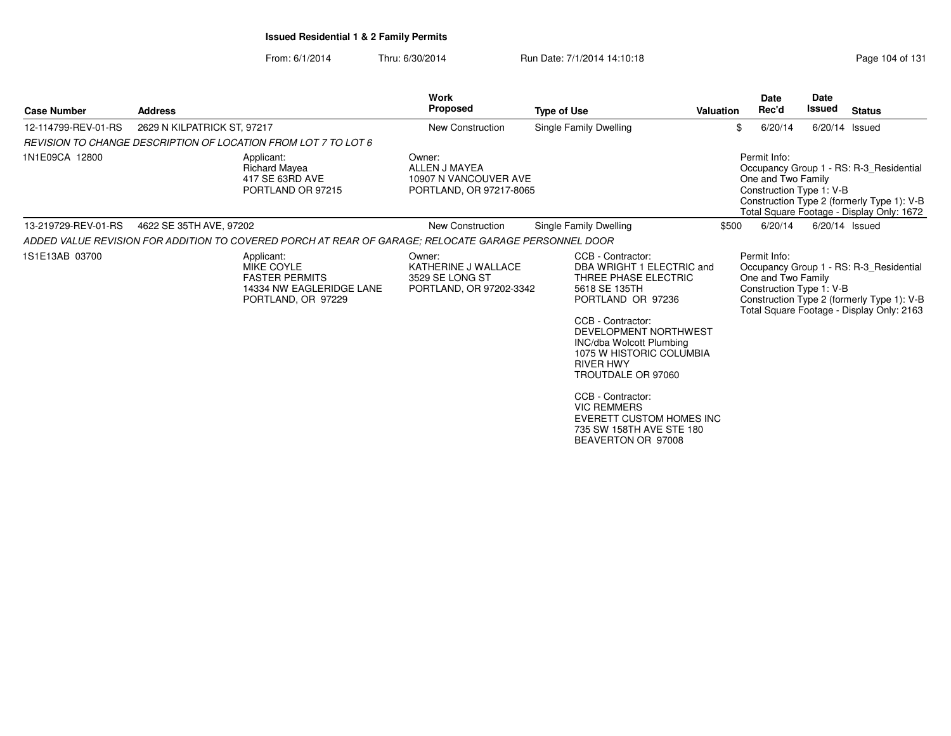From: 6/1/2014

Thru: 6/30/2014 Run Date: 7/1/2014 14:10:18 Research 2010 Rage 104 of 131

| <b>Case Number</b>  | <b>Address</b>              |                                                                                                            | Work<br><b>Proposed</b>                                                     | <b>Type of Use</b>                                                                                                                                                                                                                                                                                                                                                                           | <b>Valuation</b> | Date<br>Rec'd                                                  | <b>Date</b><br>Issued | <b>Status</b>                                                                                                                      |
|---------------------|-----------------------------|------------------------------------------------------------------------------------------------------------|-----------------------------------------------------------------------------|----------------------------------------------------------------------------------------------------------------------------------------------------------------------------------------------------------------------------------------------------------------------------------------------------------------------------------------------------------------------------------------------|------------------|----------------------------------------------------------------|-----------------------|------------------------------------------------------------------------------------------------------------------------------------|
| 12-114799-REV-01-RS | 2629 N KILPATRICK ST, 97217 |                                                                                                            | <b>New Construction</b>                                                     | Single Family Dwelling                                                                                                                                                                                                                                                                                                                                                                       |                  | \$<br>6/20/14                                                  |                       | $6/20/14$ Issued                                                                                                                   |
|                     |                             | REVISION TO CHANGE DESCRIPTION OF LOCATION FROM LOT 7 TO LOT 6                                             |                                                                             |                                                                                                                                                                                                                                                                                                                                                                                              |                  |                                                                |                       |                                                                                                                                    |
| 1N1E09CA 12800      |                             | Applicant:<br><b>Richard Mayea</b><br>417 SE 63RD AVE<br>PORTLAND OR 97215                                 | Owner:<br>ALLEN J MAYEA<br>10907 N VANCOUVER AVE<br>PORTLAND, OR 97217-8065 |                                                                                                                                                                                                                                                                                                                                                                                              |                  | Permit Info:<br>One and Two Family<br>Construction Type 1: V-B |                       | Occupancy Group 1 - RS: R-3 Residential<br>Construction Type 2 (formerly Type 1): V-B<br>Total Square Footage - Display Only: 1672 |
| 13-219729-REV-01-RS | 4622 SE 35TH AVE, 97202     |                                                                                                            | New Construction                                                            | Single Family Dwelling                                                                                                                                                                                                                                                                                                                                                                       | \$500            | 6/20/14                                                        |                       | $6/20/14$ Issued                                                                                                                   |
|                     |                             | ADDED VALUE REVISION FOR ADDITION TO COVERED PORCH AT REAR OF GARAGE; RELOCATE GARAGE PERSONNEL DOOR       |                                                                             |                                                                                                                                                                                                                                                                                                                                                                                              |                  |                                                                |                       |                                                                                                                                    |
| 1S1E13AB 03700      |                             | Applicant:<br><b>MIKE COYLE</b><br><b>FASTER PERMITS</b><br>14334 NW EAGLERIDGE LANE<br>PORTLAND, OR 97229 | Owner:<br>KATHERINE J WALLACE<br>3529 SE LONG ST<br>PORTLAND, OR 97202-3342 | CCB - Contractor:<br>DBA WRIGHT 1 ELECTRIC and<br>THREE PHASE ELECTRIC<br>5618 SE 135TH<br>PORTLAND OR 97236<br>CCB - Contractor:<br>DEVELOPMENT NORTHWEST<br><b>INC/dba Wolcott Plumbing</b><br>1075 W HISTORIC COLUMBIA<br><b>RIVER HWY</b><br>TROUTDALE OR 97060<br>CCB - Contractor:<br><b>VIC REMMERS</b><br>EVERETT CUSTOM HOMES INC<br>735 SW 158TH AVE STE 180<br>BEAVERTON OR 97008 |                  | Permit Info:<br>One and Two Family<br>Construction Type 1: V-B |                       | Occupancy Group 1 - RS: R-3_Residential<br>Construction Type 2 (formerly Type 1): V-B<br>Total Square Footage - Display Only: 2163 |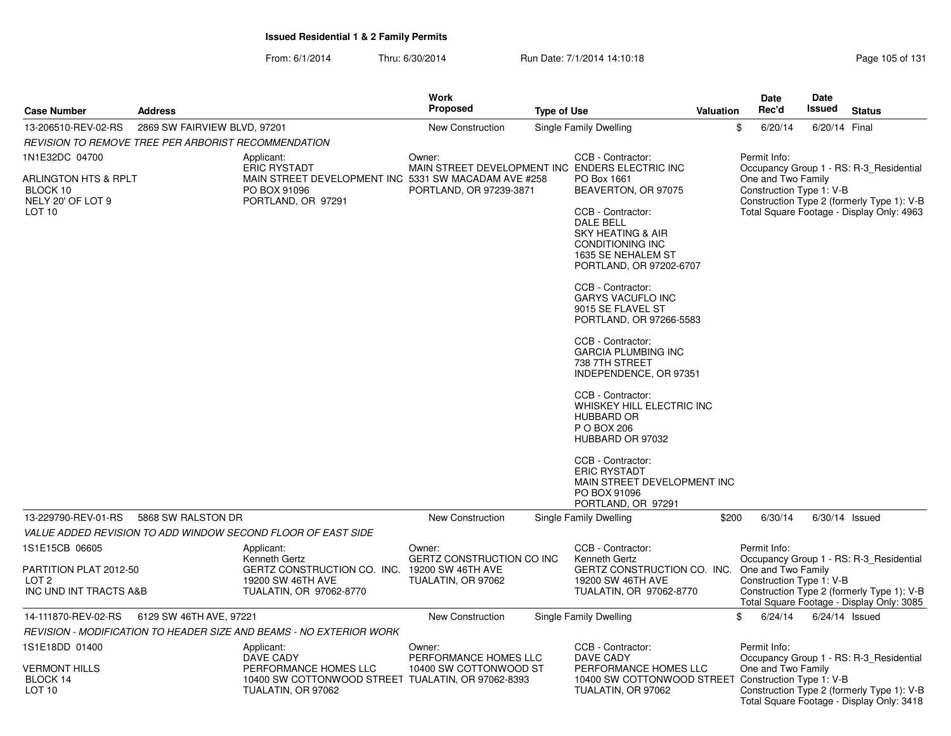From: 6/1/2014Thru: 6/30/2014 Run Date: 7/1/2014 14:10:18 Research 2010 Rage 105 of 131

|                                                                      |                              |                                                                                                   | <b>Work</b>                         |                    |                                                                                                                                     |                  | Date               |         | Date                     |                                                                                         |
|----------------------------------------------------------------------|------------------------------|---------------------------------------------------------------------------------------------------|-------------------------------------|--------------------|-------------------------------------------------------------------------------------------------------------------------------------|------------------|--------------------|---------|--------------------------|-----------------------------------------------------------------------------------------|
| <b>Case Number</b>                                                   | <b>Address</b>               |                                                                                                   | <b>Proposed</b>                     | <b>Type of Use</b> |                                                                                                                                     | <b>Valuation</b> | Rec'd              |         | Issued                   | <b>Status</b>                                                                           |
| 13-206510-REV-02-RS                                                  | 2869 SW FAIRVIEW BLVD, 97201 |                                                                                                   | <b>New Construction</b>             |                    | <b>Single Family Dwelling</b>                                                                                                       |                  | \$                 | 6/20/14 | 6/20/14 Final            |                                                                                         |
| REVISION TO REMOVE TREE PER ARBORIST RECOMMENDATION                  |                              |                                                                                                   |                                     |                    |                                                                                                                                     |                  |                    |         |                          |                                                                                         |
| 1N1E32DC 04700                                                       |                              | Applicant:<br><b>ERIC RYSTADT</b>                                                                 | Owner:                              |                    | CCB - Contractor:<br>MAIN STREET DEVELOPMENT INC ENDERS ELECTRIC INC                                                                |                  | Permit Info:       |         |                          | Occupancy Group 1 - RS: R-3 Residential                                                 |
| ARLINGTON HTS & RPLT<br>BLOCK 10<br>NELY 20' OF LOT 9                |                              | MAIN STREET DEVELOPMENT INC 5331 SW MACADAM AVE #258<br>PO BOX 91096<br>PORTLAND, OR 97291        | PORTLAND, OR 97239-3871             |                    | PO Box 1661<br>BEAVERTON, OR 97075                                                                                                  |                  | One and Two Family |         | Construction Type 1: V-B | Construction Type 2 (formerly Type 1): V-B                                              |
| LOT 10                                                               |                              |                                                                                                   |                                     |                    | CCB - Contractor:<br>DALE BELL<br><b>SKY HEATING &amp; AIR</b><br>CONDITIONING INC<br>1635 SE NEHALEM ST<br>PORTLAND, OR 97202-6707 |                  |                    |         |                          | Total Square Footage - Display Only: 4963                                               |
|                                                                      |                              |                                                                                                   |                                     |                    | CCB - Contractor:<br><b>GARYS VACUFLO INC</b><br>9015 SE FLAVEL ST<br>PORTLAND, OR 97266-5583                                       |                  |                    |         |                          |                                                                                         |
|                                                                      |                              |                                                                                                   |                                     |                    | CCB - Contractor:<br><b>GARCIA PLUMBING INC</b><br>738 7TH STREET<br>INDEPENDENCE, OR 97351                                         |                  |                    |         |                          |                                                                                         |
|                                                                      |                              |                                                                                                   |                                     |                    | CCB - Contractor:<br>WHISKEY HILL ELECTRIC INC<br><b>HUBBARD OR</b><br>P O BOX 206<br>HUBBARD OR 97032                              |                  |                    |         |                          |                                                                                         |
|                                                                      |                              |                                                                                                   |                                     |                    | CCB - Contractor:<br><b>ERIC RYSTADT</b><br>MAIN STREET DEVELOPMENT INC<br>PO BOX 91096<br>PORTLAND, OR 97291                       |                  |                    |         |                          |                                                                                         |
| 13-229790-REV-01-RS                                                  | 5868 SW RALSTON DR           |                                                                                                   | <b>New Construction</b>             |                    | Single Family Dwelling                                                                                                              | \$200            |                    | 6/30/14 |                          | $6/30/14$ Issued                                                                        |
|                                                                      |                              | VALUE ADDED REVISION TO ADD WINDOW SECOND FLOOR OF EAST SIDE                                      |                                     |                    |                                                                                                                                     |                  |                    |         |                          |                                                                                         |
| 1S1E15CB 06605                                                       |                              | Applicant:<br>Kenneth Gertz                                                                       | Owner:<br>GERTZ CONSTRUCTION CO INC |                    | CCB - Contractor:<br>Kenneth Gertz                                                                                                  |                  | Permit Info:       |         |                          | Occupancy Group 1 - RS: R-3_Residential                                                 |
| PARTITION PLAT 2012-50<br>LOT <sub>2</sub><br>INC UND INT TRACTS A&B |                              | GERTZ CONSTRUCTION CO. INC. 19200 SW 46TH AVE<br>19200 SW 46TH AVE<br>TUALATIN, OR 97062-8770     | TUALATIN, OR 97062                  |                    | GERTZ CONSTRUCTION CO. INC. One and Two Family<br>19200 SW 46TH AVE<br>TUALATIN, OR 97062-8770                                      |                  |                    |         | Construction Type 1: V-B | Construction Type 2 (formerly Type 1): V-B<br>Total Square Footage - Display Only: 3085 |
| 14-111870-REV-02-RS                                                  | 6129 SW 46TH AVE, 97221      |                                                                                                   | <b>New Construction</b>             |                    | Single Family Dwelling                                                                                                              |                  | \$                 | 6/24/14 |                          | $6/24/14$ Issued                                                                        |
|                                                                      |                              | REVISION - MODIFICATION TO HEADER SIZE AND BEAMS - NO EXTERIOR WORK                               |                                     |                    |                                                                                                                                     |                  |                    |         |                          |                                                                                         |
| 1S1E18DD 01400                                                       |                              | Applicant:<br><b>DAVE CADY</b>                                                                    | Owner:<br>PERFORMANCE HOMES LLC     |                    | CCB - Contractor:<br>DAVE CADY                                                                                                      |                  | Permit Info:       |         |                          | Occupancy Group 1 - RS: R-3 Residential                                                 |
| <b>VERMONT HILLS</b><br>BLOCK 14<br>LOT 10                           |                              | PERFORMANCE HOMES LLC<br>10400 SW COTTONWOOD STREET TUALATIN, OR 97062-8393<br>TUALATIN, OR 97062 | 10400 SW COTTONWOOD ST              |                    | PERFORMANCE HOMES LLC<br>10400 SW COTTONWOOD STREET Construction Type 1: V-B<br>TUALATIN, OR 97062                                  |                  | One and Two Family |         |                          | Construction Type 2 (formerly Type 1): V-B<br>Total Square Footage - Display Only: 3418 |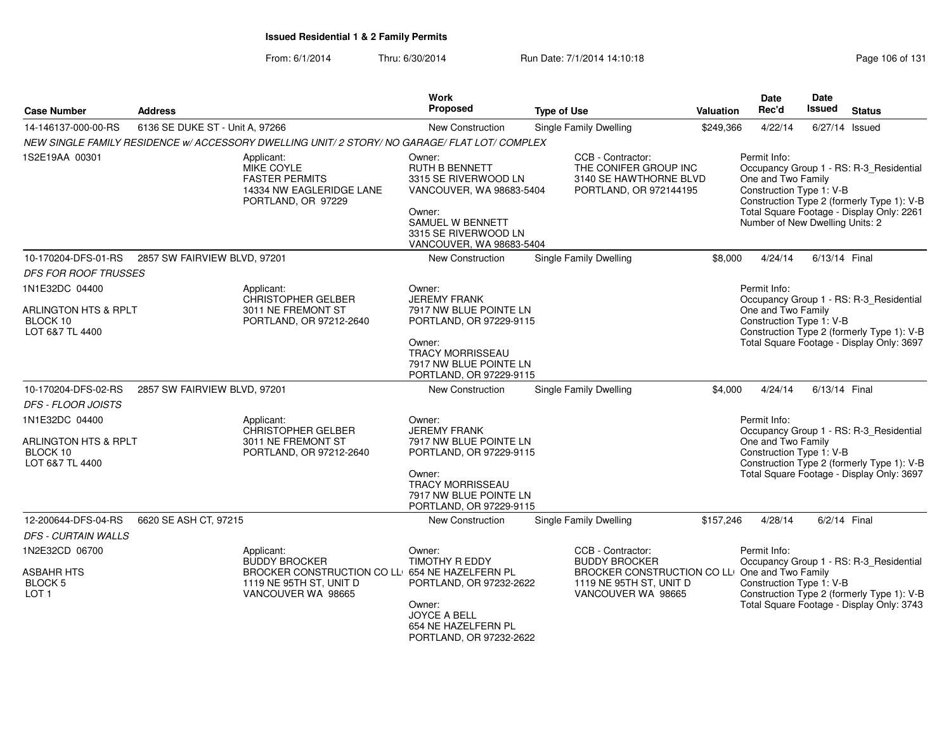| <b>Case Number</b>                                                 | <b>Address</b>                  |                                                                                                                                        | <b>Work</b><br>Proposed                                                                                                                                        | <b>Type of Use</b>                                                                                                                           | Valuation | <b>Date</b><br>Rec'd                                                                              | <b>Date</b><br>Issued | <b>Status</b>                                                                                                                      |
|--------------------------------------------------------------------|---------------------------------|----------------------------------------------------------------------------------------------------------------------------------------|----------------------------------------------------------------------------------------------------------------------------------------------------------------|----------------------------------------------------------------------------------------------------------------------------------------------|-----------|---------------------------------------------------------------------------------------------------|-----------------------|------------------------------------------------------------------------------------------------------------------------------------|
| 14-146137-000-00-RS                                                | 6136 SE DUKE ST - Unit A, 97266 |                                                                                                                                        | New Construction                                                                                                                                               | <b>Single Family Dwelling</b>                                                                                                                | \$249,366 | 4/22/14                                                                                           | 6/27/14 Issued        |                                                                                                                                    |
|                                                                    |                                 | NEW SINGLE FAMILY RESIDENCE w/ ACCESSORY DWELLING UNIT/2 STORY/ NO GARAGE/ FLAT LOT/ COMPLEX                                           |                                                                                                                                                                |                                                                                                                                              |           |                                                                                                   |                       |                                                                                                                                    |
| 1S2E19AA 00301                                                     |                                 | Applicant:<br>MIKE COYLE<br><b>FASTER PERMITS</b><br>14334 NW EAGLERIDGE LANE<br>PORTLAND, OR 97229                                    | Owner:<br>RUTH B BENNETT<br>3315 SE RIVERWOOD LN<br>VANCOUVER, WA 98683-5404<br>Owner:<br>SAMUEL W BENNETT<br>3315 SE RIVERWOOD LN<br>VANCOUVER, WA 98683-5404 | CCB - Contractor:<br>THE CONIFER GROUP INC<br>3140 SE HAWTHORNE BLVD<br>PORTLAND, OR 972144195                                               |           | Permit Info:<br>One and Two Family<br>Construction Type 1: V-B<br>Number of New Dwelling Units: 2 |                       | Occupancy Group 1 - RS: R-3_Residential<br>Construction Type 2 (formerly Type 1): V-B<br>Total Square Footage - Display Only: 2261 |
| 10-170204-DFS-01-RS                                                | 2857 SW FAIRVIEW BLVD, 97201    |                                                                                                                                        | New Construction                                                                                                                                               | Single Family Dwelling                                                                                                                       | \$8,000   | 4/24/14                                                                                           | 6/13/14 Final         |                                                                                                                                    |
| <b>DFS FOR ROOF TRUSSES</b>                                        |                                 |                                                                                                                                        |                                                                                                                                                                |                                                                                                                                              |           |                                                                                                   |                       |                                                                                                                                    |
| 1N1E32DC 04400                                                     |                                 | Applicant:                                                                                                                             | Owner:<br><b>JEREMY FRANK</b>                                                                                                                                  |                                                                                                                                              |           | Permit Info:                                                                                      |                       |                                                                                                                                    |
| ARLINGTON HTS & RPLT<br>BLOCK 10<br>LOT 6&7 TL 4400                |                                 | <b>CHRISTOPHER GELBER</b><br>3011 NE FREMONT ST<br>PORTLAND, OR 97212-2640                                                             | 7917 NW BLUE POINTE LN<br>PORTLAND, OR 97229-9115<br>Owner:<br><b>TRACY MORRISSEAU</b><br>7917 NW BLUE POINTE LN<br>PORTLAND, OR 97229-9115                    |                                                                                                                                              |           | One and Two Family<br>Construction Type 1: V-B                                                    |                       | Occupancy Group 1 - RS: R-3_Residential<br>Construction Type 2 (formerly Type 1): V-B<br>Total Square Footage - Display Only: 3697 |
| 10-170204-DFS-02-RS                                                | 2857 SW FAIRVIEW BLVD, 97201    |                                                                                                                                        | New Construction                                                                                                                                               | <b>Single Family Dwelling</b>                                                                                                                | \$4,000   | 4/24/14                                                                                           | 6/13/14 Final         |                                                                                                                                    |
| <b>DFS - FLOOR JOISTS</b><br>1N1E32DC 04400                        |                                 | Applicant:                                                                                                                             | Owner:                                                                                                                                                         |                                                                                                                                              |           | Permit Info:                                                                                      |                       |                                                                                                                                    |
| <b>ARLINGTON HTS &amp; RPLT</b><br>BLOCK 10<br>LOT 6&7 TL 4400     |                                 | CHRISTOPHER GELBER<br>3011 NE FREMONT ST<br>PORTLAND, OR 97212-2640                                                                    | <b>JEREMY FRANK</b><br>7917 NW BLUE POINTE LN<br>PORTLAND, OR 97229-9115<br>Owner:<br>TRACY MORRISSEAU<br>7917 NW BLUE POINTE LN<br>PORTLAND, OR 97229-9115    |                                                                                                                                              |           | One and Two Family<br>Construction Type 1: V-B                                                    |                       | Occupancy Group 1 - RS: R-3_Residential<br>Construction Type 2 (formerly Type 1): V-B<br>Total Square Footage - Display Only: 3697 |
| 12-200644-DFS-04-RS                                                | 6620 SE ASH CT, 97215           |                                                                                                                                        | New Construction                                                                                                                                               | Single Family Dwelling                                                                                                                       | \$157,246 | 4/28/14                                                                                           | 6/2/14 Final          |                                                                                                                                    |
| <b>DFS - CURTAIN WALLS</b>                                         |                                 |                                                                                                                                        |                                                                                                                                                                |                                                                                                                                              |           |                                                                                                   |                       |                                                                                                                                    |
| 1N2E32CD 06700<br>ASBAHR HTS<br><b>BLOCK 5</b><br>LOT <sub>1</sub> |                                 | Applicant:<br><b>BUDDY BROCKER</b><br>BROCKER CONSTRUCTION CO LLI 654 NE HAZELFERN PL<br>1119 NE 95TH ST, UNIT D<br>VANCOUVER WA 98665 | Owner:<br><b>TIMOTHY R EDDY</b><br>PORTLAND, OR 97232-2622<br>Owner:<br><b>JOYCE A BELL</b><br>654 NE HAZELFERN PL<br>PORTLAND, OR 97232-2622                  | CCB - Contractor:<br><b>BUDDY BROCKER</b><br>BROCKER CONSTRUCTION CO LLI One and Two Family<br>1119 NE 95TH ST, UNIT D<br>VANCOUVER WA 98665 |           | Permit Info:<br>Construction Type 1: V-B                                                          |                       | Occupancy Group 1 - RS: R-3_Residential<br>Construction Type 2 (formerly Type 1): V-B<br>Total Square Footage - Display Only: 3743 |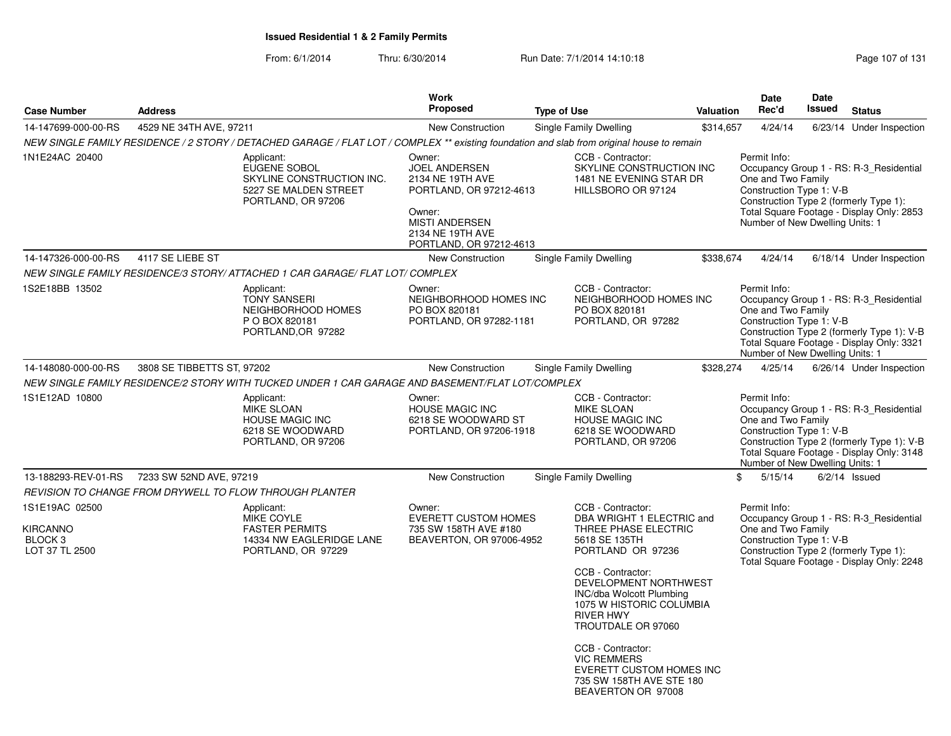From: 6/1/2014Thru: 6/30/2014 Run Date: 7/1/2014 14:10:18 Research 2010 Page 107 of 131

|                                                                           |                            |                                                                                                                                            | Work                                                                                                                                                            |                                                                                                                                                                                                                                                                                                                                                                                       |                  | Date                                                                                              | <b>Date</b> |                                                                                                                                    |
|---------------------------------------------------------------------------|----------------------------|--------------------------------------------------------------------------------------------------------------------------------------------|-----------------------------------------------------------------------------------------------------------------------------------------------------------------|---------------------------------------------------------------------------------------------------------------------------------------------------------------------------------------------------------------------------------------------------------------------------------------------------------------------------------------------------------------------------------------|------------------|---------------------------------------------------------------------------------------------------|-------------|------------------------------------------------------------------------------------------------------------------------------------|
| <b>Case Number</b>                                                        | <b>Address</b>             |                                                                                                                                            | <b>Proposed</b>                                                                                                                                                 | <b>Type of Use</b>                                                                                                                                                                                                                                                                                                                                                                    | <b>Valuation</b> | Rec'd                                                                                             | Issued      | <b>Status</b>                                                                                                                      |
| 14-147699-000-00-RS                                                       | 4529 NE 34TH AVE, 97211    |                                                                                                                                            | <b>New Construction</b>                                                                                                                                         | Single Family Dwelling                                                                                                                                                                                                                                                                                                                                                                | \$314,657        | 4/24/14                                                                                           |             | 6/23/14 Under Inspection                                                                                                           |
|                                                                           |                            | NEW SINGLE FAMILY RESIDENCE / 2 STORY / DETACHED GARAGE / FLAT LOT / COMPLEX ** existing foundation and slab from original house to remain |                                                                                                                                                                 |                                                                                                                                                                                                                                                                                                                                                                                       |                  |                                                                                                   |             |                                                                                                                                    |
| 1N1E24AC 20400                                                            |                            | Applicant:<br>EUGENE SOBOL<br>SKYLINE CONSTRUCTION INC.<br>5227 SE MALDEN STREET<br>PORTLAND, OR 97206                                     | Owner:<br><b>JOEL ANDERSEN</b><br>2134 NE 19TH AVE<br>PORTLAND, OR 97212-4613<br>Owner:<br><b>MISTI ANDERSEN</b><br>2134 NE 19TH AVE<br>PORTLAND, OR 97212-4613 | CCB - Contractor:<br>SKYLINE CONSTRUCTION INC<br>1481 NE EVENING STAR DR<br>HILLSBORO OR 97124                                                                                                                                                                                                                                                                                        |                  | Permit Info:<br>One and Two Family<br>Construction Type 1: V-B<br>Number of New Dwelling Units: 1 |             | Occupancy Group 1 - RS: R-3_Residential<br>Construction Type 2 (formerly Type 1):<br>Total Square Footage - Display Only: 2853     |
| 14-147326-000-00-RS                                                       | 4117 SE LIEBE ST           |                                                                                                                                            | New Construction                                                                                                                                                | Single Family Dwelling                                                                                                                                                                                                                                                                                                                                                                | \$338,674        | 4/24/14                                                                                           |             | 6/18/14 Under Inspection                                                                                                           |
|                                                                           |                            | NEW SINGLE FAMILY RESIDENCE/3 STORY/ ATTACHED 1 CAR GARAGE/ FLAT LOT/ COMPLEX                                                              |                                                                                                                                                                 |                                                                                                                                                                                                                                                                                                                                                                                       |                  |                                                                                                   |             |                                                                                                                                    |
| 1S2E18BB 13502                                                            |                            | Applicant:<br><b>TONY SANSERI</b><br>NEIGHBORHOOD HOMES<br>P O BOX 820181<br>PORTLAND, OR 97282                                            | Owner:<br>NEIGHBORHOOD HOMES INC<br>PO BOX 820181<br>PORTLAND, OR 97282-1181                                                                                    | CCB - Contractor:<br>NEIGHBORHOOD HOMES INC<br>PO BOX 820181<br>PORTLAND, OR 97282                                                                                                                                                                                                                                                                                                    |                  | Permit Info:<br>One and Two Family<br>Construction Type 1: V-B<br>Number of New Dwelling Units: 1 |             | Occupancy Group 1 - RS: R-3 Residential<br>Construction Type 2 (formerly Type 1): V-B<br>Total Square Footage - Display Only: 3321 |
| 14-148080-000-00-RS                                                       | 3808 SE TIBBETTS ST, 97202 |                                                                                                                                            | New Construction                                                                                                                                                | <b>Single Family Dwelling</b>                                                                                                                                                                                                                                                                                                                                                         | \$328,274        | 4/25/14                                                                                           |             | 6/26/14 Under Inspection                                                                                                           |
|                                                                           |                            | NEW SINGLE FAMILY RESIDENCE/2 STORY WITH TUCKED UNDER 1 CAR GARAGE AND BASEMENT/FLAT LOT/COMPLEX                                           |                                                                                                                                                                 |                                                                                                                                                                                                                                                                                                                                                                                       |                  |                                                                                                   |             |                                                                                                                                    |
| 1S1E12AD 10800                                                            |                            | Applicant:<br><b>MIKE SLOAN</b><br><b>HOUSE MAGIC INC</b><br>6218 SE WOODWARD<br>PORTLAND, OR 97206                                        | Owner:<br><b>HOUSE MAGIC INC</b><br>6218 SE WOODWARD ST<br>PORTLAND, OR 97206-1918                                                                              | CCB - Contractor:<br><b>MIKE SLOAN</b><br><b>HOUSE MAGIC INC</b><br>6218 SE WOODWARD<br>PORTLAND, OR 97206                                                                                                                                                                                                                                                                            |                  | Permit Info:<br>One and Two Family<br>Construction Type 1: V-B<br>Number of New Dwelling Units: 1 |             | Occupancy Group 1 - RS: R-3 Residential<br>Construction Type 2 (formerly Type 1): V-B<br>Total Square Footage - Display Only: 3148 |
| 13-188293-REV-01-RS                                                       | 7233 SW 52ND AVE, 97219    |                                                                                                                                            | New Construction                                                                                                                                                | Single Family Dwelling                                                                                                                                                                                                                                                                                                                                                                | \$               | 5/15/14                                                                                           |             | $6/2/14$ Issued                                                                                                                    |
|                                                                           |                            | REVISION TO CHANGE FROM DRYWELL TO FLOW THROUGH PLANTER                                                                                    |                                                                                                                                                                 |                                                                                                                                                                                                                                                                                                                                                                                       |                  |                                                                                                   |             |                                                                                                                                    |
| 1S1E19AC 02500<br><b>KIRCANNO</b><br>BLOCK <sub>3</sub><br>LOT 37 TL 2500 |                            | Applicant:<br>MIKE COYLE<br><b>FASTER PERMITS</b><br>14334 NW EAGLERIDGE LANE<br>PORTLAND, OR 97229                                        | Owner:<br><b>EVERETT CUSTOM HOMES</b><br>735 SW 158TH AVE #180<br>BEAVERTON, OR 97006-4952                                                                      | CCB - Contractor:<br>DBA WRIGHT 1 ELECTRIC and<br>THREE PHASE ELECTRIC<br>5618 SE 135TH<br>PORTLAND OR 97236<br>CCB - Contractor:<br>DEVELOPMENT NORTHWEST<br>INC/dba Wolcott Plumbing<br>1075 W HISTORIC COLUMBIA<br><b>RIVER HWY</b><br>TROUTDALE OR 97060<br>CCB - Contractor:<br><b>VIC REMMERS</b><br>EVERETT CUSTOM HOMES INC<br>735 SW 158TH AVE STE 180<br>BEAVERTON OR 97008 |                  | Permit Info:<br>One and Two Family<br>Construction Type 1: V-B                                    |             | Occupancy Group 1 - RS: R-3_Residential<br>Construction Type 2 (formerly Type 1):<br>Total Square Footage - Display Only: 2248     |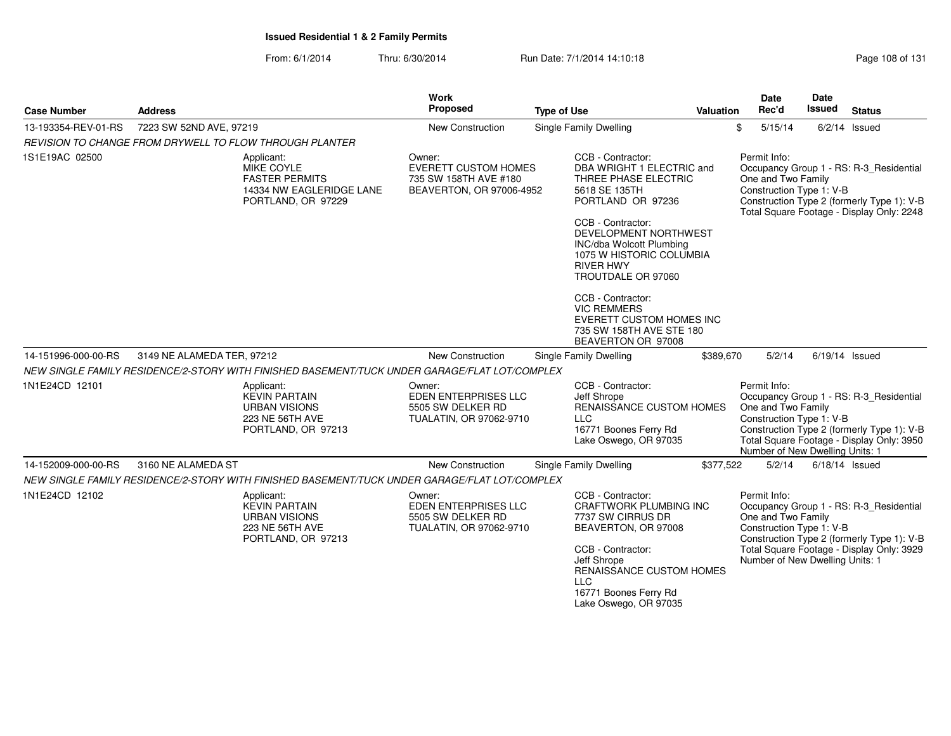| <b>Case Number</b>  | <b>Address</b>                                                                                      | <b>Work</b><br><b>Proposed</b>                                                             | <b>Type of Use</b>                                                                                                                                                                                                             | <b>Valuation</b> | <b>Date</b><br>Rec'd                                                                              | Date<br>Issued   | <b>Status</b>                                                                                                                      |
|---------------------|-----------------------------------------------------------------------------------------------------|--------------------------------------------------------------------------------------------|--------------------------------------------------------------------------------------------------------------------------------------------------------------------------------------------------------------------------------|------------------|---------------------------------------------------------------------------------------------------|------------------|------------------------------------------------------------------------------------------------------------------------------------|
| 13-193354-REV-01-RS | 7223 SW 52ND AVE, 97219                                                                             | New Construction                                                                           | Single Family Dwelling                                                                                                                                                                                                         | \$               | 5/15/14                                                                                           |                  | $6/2/14$ Issued                                                                                                                    |
|                     | REVISION TO CHANGE FROM DRYWELL TO FLOW THROUGH PLANTER                                             |                                                                                            |                                                                                                                                                                                                                                |                  |                                                                                                   |                  |                                                                                                                                    |
| 1S1E19AC 02500      | Applicant:<br>MIKE COYLE<br><b>FASTER PERMITS</b><br>14334 NW EAGLERIDGE LANE<br>PORTLAND, OR 97229 | Owner:<br><b>EVERETT CUSTOM HOMES</b><br>735 SW 158TH AVE #180<br>BEAVERTON, OR 97006-4952 | CCB - Contractor:<br>DBA WRIGHT 1 ELECTRIC and<br>THREE PHASE ELECTRIC<br>5618 SE 135TH<br>PORTLAND OR 97236<br>CCB - Contractor:                                                                                              |                  | Permit Info:<br>One and Two Family<br>Construction Type 1: V-B                                    |                  | Occupancy Group 1 - RS: R-3 Residential<br>Construction Type 2 (formerly Type 1): V-B<br>Total Square Footage - Display Only: 2248 |
|                     |                                                                                                     |                                                                                            | DEVELOPMENT NORTHWEST<br>INC/dba Wolcott Plumbing<br>1075 W HISTORIC COLUMBIA<br><b>RIVER HWY</b><br>TROUTDALE OR 97060                                                                                                        |                  |                                                                                                   |                  |                                                                                                                                    |
|                     |                                                                                                     |                                                                                            | CCB - Contractor:<br><b>VIC REMMERS</b><br>EVERETT CUSTOM HOMES INC<br>735 SW 158TH AVE STE 180<br>BEAVERTON OR 97008                                                                                                          |                  |                                                                                                   |                  |                                                                                                                                    |
| 14-151996-000-00-RS | 3149 NE ALAMEDA TER, 97212                                                                          | New Construction                                                                           | Single Family Dwelling                                                                                                                                                                                                         | \$389,670        | 5/2/14                                                                                            | $6/19/14$ Issued |                                                                                                                                    |
|                     | NEW SINGLE FAMILY RESIDENCE/2-STORY WITH FINISHED BASEMENT/TUCK UNDER GARAGE/FLAT LOT/COMPLEX       |                                                                                            |                                                                                                                                                                                                                                |                  |                                                                                                   |                  |                                                                                                                                    |
| 1N1E24CD 12101      | Applicant:<br><b>KEVIN PARTAIN</b><br>URBAN VISIONS<br>223 NE 56TH AVE<br>PORTLAND, OR 97213        | Owner:<br><b>EDEN ENTERPRISES LLC</b><br>5505 SW DELKER RD<br>TUALATIN, OR 97062-9710      | CCB - Contractor:<br>Jeff Shrope<br><b>RENAISSANCE CUSTOM HOMES</b><br><b>LLC</b><br>16771 Boones Ferry Rd<br>Lake Oswego, OR 97035                                                                                            |                  | Permit Info:<br>One and Two Family<br>Construction Type 1: V-B<br>Number of New Dwelling Units: 1 |                  | Occupancy Group 1 - RS: R-3_Residential<br>Construction Type 2 (formerly Type 1): V-B<br>Total Square Footage - Display Only: 3950 |
| 14-152009-000-00-RS | 3160 NE ALAMEDA ST                                                                                  | New Construction                                                                           | Single Family Dwelling                                                                                                                                                                                                         | \$377,522        | 5/2/14                                                                                            | $6/18/14$ Issued |                                                                                                                                    |
|                     | NEW SINGLE FAMILY RESIDENCE/2-STORY WITH FINISHED BASEMENT/TUCK UNDER GARAGE/FLAT LOT/COMPLEX       |                                                                                            |                                                                                                                                                                                                                                |                  |                                                                                                   |                  |                                                                                                                                    |
| 1N1E24CD 12102      | Applicant:<br><b>KEVIN PARTAIN</b><br><b>URBAN VISIONS</b><br>223 NE 56TH AVE<br>PORTLAND, OR 97213 | Owner:<br>EDEN ENTERPRISES LLC<br>5505 SW DELKER RD<br>TUALATIN, OR 97062-9710             | CCB - Contractor:<br><b>CRAFTWORK PLUMBING INC</b><br>7737 SW CIRRUS DR<br>BEAVERTON, OR 97008<br>CCB - Contractor:<br>Jeff Shrope<br>RENAISSANCE CUSTOM HOMES<br><b>LLC</b><br>16771 Boones Ferry Rd<br>Lake Oswego, OR 97035 |                  | Permit Info:<br>One and Two Family<br>Construction Type 1: V-B<br>Number of New Dwelling Units: 1 |                  | Occupancy Group 1 - RS: R-3_Residential<br>Construction Type 2 (formerly Type 1): V-B<br>Total Square Footage - Display Only: 3929 |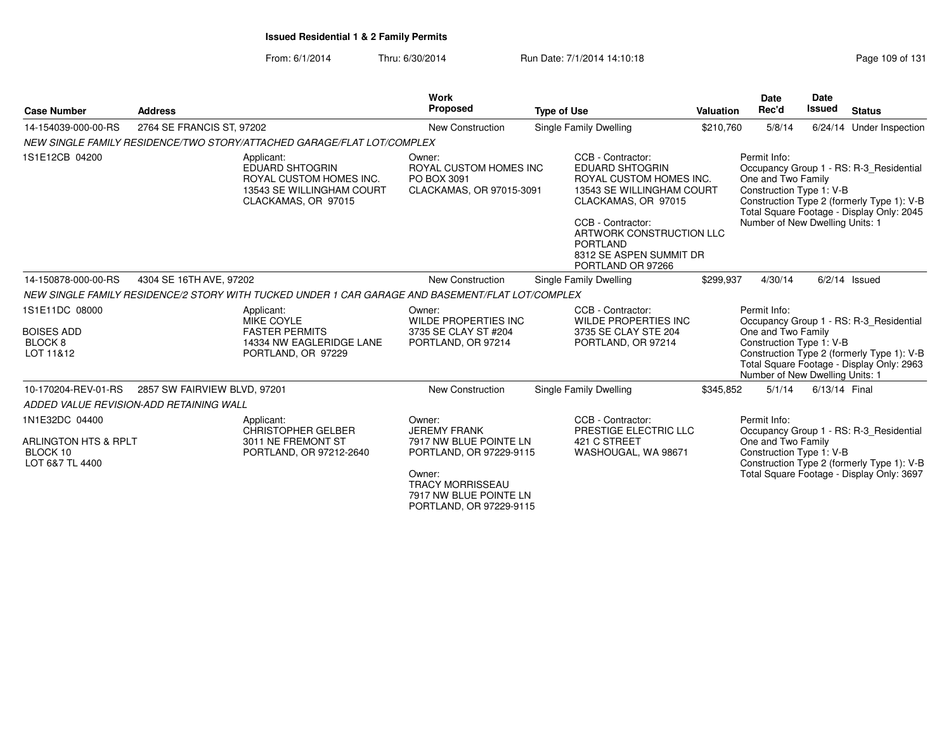| <b>Case Number</b>                                                               | <b>Address</b>                          |                                                                                                                     | <b>Work</b><br><b>Proposed</b>                                                                                                                                               | <b>Type of Use</b>                                                                                                                                                                                                                             | <b>Valuation</b> | <b>Date</b><br>Rec'd                                                                              | <b>Date</b><br><b>Issued</b> | <b>Status</b>                                                                                                                      |
|----------------------------------------------------------------------------------|-----------------------------------------|---------------------------------------------------------------------------------------------------------------------|------------------------------------------------------------------------------------------------------------------------------------------------------------------------------|------------------------------------------------------------------------------------------------------------------------------------------------------------------------------------------------------------------------------------------------|------------------|---------------------------------------------------------------------------------------------------|------------------------------|------------------------------------------------------------------------------------------------------------------------------------|
| 14-154039-000-00-RS                                                              | 2764 SE FRANCIS ST, 97202               |                                                                                                                     | <b>New Construction</b>                                                                                                                                                      | Single Family Dwelling                                                                                                                                                                                                                         | \$210,760        | 5/8/14                                                                                            |                              | 6/24/14 Under Inspection                                                                                                           |
|                                                                                  |                                         | NEW SINGLE FAMILY RESIDENCE/TWO STORY/ATTACHED GARAGE/FLAT LOT/COMPLEX                                              |                                                                                                                                                                              |                                                                                                                                                                                                                                                |                  |                                                                                                   |                              |                                                                                                                                    |
| 1S1E12CB 04200                                                                   |                                         | Applicant:<br><b>EDUARD SHTOGRIN</b><br>ROYAL CUSTOM HOMES INC.<br>13543 SE WILLINGHAM COURT<br>CLACKAMAS, OR 97015 | Owner:<br>ROYAL CUSTOM HOMES INC<br>PO BOX 3091<br>CLACKAMAS, OR 97015-3091                                                                                                  | CCB - Contractor:<br><b>EDUARD SHTOGRIN</b><br>ROYAL CUSTOM HOMES INC.<br>13543 SE WILLINGHAM COURT<br>CLACKAMAS, OR 97015<br>CCB - Contractor:<br>ARTWORK CONSTRUCTION LLC<br><b>PORTLAND</b><br>8312 SE ASPEN SUMMIT DR<br>PORTLAND OR 97266 |                  | Permit Info:<br>One and Two Family<br>Construction Type 1: V-B<br>Number of New Dwelling Units: 1 |                              | Occupancy Group 1 - RS: R-3 Residential<br>Construction Type 2 (formerly Type 1): V-B<br>Total Square Footage - Display Only: 2045 |
| 14-150878-000-00-RS                                                              | 4304 SE 16TH AVE, 97202                 |                                                                                                                     | New Construction                                                                                                                                                             | Single Family Dwelling                                                                                                                                                                                                                         | \$299.937        | 4/30/14                                                                                           |                              | $6/2/14$ Issued                                                                                                                    |
|                                                                                  |                                         | NEW SINGLE FAMILY RESIDENCE/2 STORY WITH TUCKED UNDER 1 CAR GARAGE AND BASEMENT/FLAT LOT/COMPLEX                    |                                                                                                                                                                              |                                                                                                                                                                                                                                                |                  |                                                                                                   |                              |                                                                                                                                    |
| 1S1E11DC 08000<br><b>BOISES ADD</b><br>BLOCK <sub>8</sub><br>LOT 11&12           |                                         | Applicant:<br><b>MIKE COYLE</b><br><b>FASTER PERMITS</b><br>14334 NW EAGLERIDGE LANE<br>PORTLAND, OR 97229          | Owner:<br><b>WILDE PROPERTIES INC</b><br>3735 SE CLAY ST #204<br>PORTLAND, OR 97214                                                                                          | CCB - Contractor:<br><b>WILDE PROPERTIES INC</b><br>3735 SE CLAY STE 204<br>PORTLAND, OR 97214                                                                                                                                                 |                  | Permit Info:<br>One and Two Family<br>Construction Type 1: V-B<br>Number of New Dwelling Units: 1 |                              | Occupancy Group 1 - RS: R-3_Residential<br>Construction Type 2 (formerly Type 1): V-B<br>Total Square Footage - Display Only: 2963 |
| 10-170204-REV-01-RS                                                              | 2857 SW FAIRVIEW BLVD, 97201            |                                                                                                                     | New Construction                                                                                                                                                             | Single Family Dwelling                                                                                                                                                                                                                         | \$345,852        | 5/1/14                                                                                            | 6/13/14 Final                |                                                                                                                                    |
|                                                                                  | ADDED VALUE REVISION-ADD RETAINING WALL |                                                                                                                     |                                                                                                                                                                              |                                                                                                                                                                                                                                                |                  |                                                                                                   |                              |                                                                                                                                    |
| 1N1E32DC 04400<br><b>ARLINGTON HTS &amp; RPLT</b><br>BLOCK 10<br>LOT 6&7 TL 4400 |                                         | Applicant:<br><b>CHRISTOPHER GELBER</b><br>3011 NE FREMONT ST<br>PORTLAND, OR 97212-2640                            | Owner:<br><b>JEREMY FRANK</b><br>7917 NW BLUE POINTE LN<br>PORTLAND, OR 97229-9115<br>Owner:<br><b>TRACY MORRISSEAU</b><br>7917 NW BLUE POINTE LN<br>PORTLAND, OR 97229-9115 | CCB - Contractor:<br>PRESTIGE ELECTRIC LLC<br>421 C STREET<br>WASHOUGAL, WA 98671                                                                                                                                                              |                  | Permit Info:<br>One and Two Family<br>Construction Type 1: V-B                                    |                              | Occupancy Group 1 - RS: R-3 Residential<br>Construction Type 2 (formerly Type 1): V-B<br>Total Square Footage - Display Only: 3697 |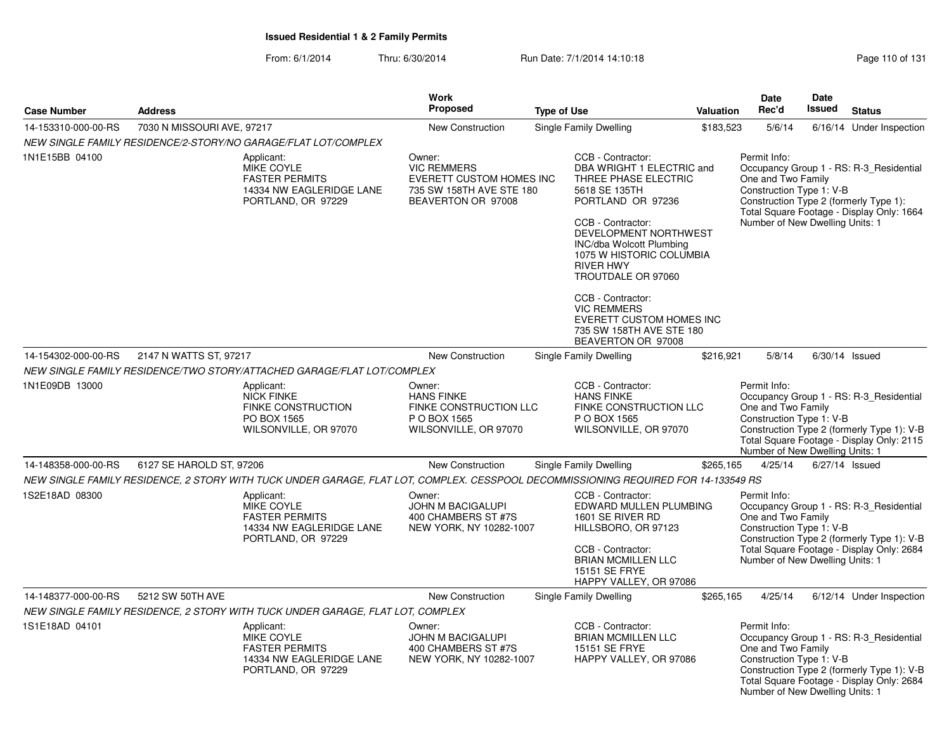|                     |                            |                                                                                                                                    | Work                                                                                                       |                               |                                                                                                                                                                                                                                          | Date      | <b>Date</b>                                                                                       |                |                                                                                                                                    |
|---------------------|----------------------------|------------------------------------------------------------------------------------------------------------------------------------|------------------------------------------------------------------------------------------------------------|-------------------------------|------------------------------------------------------------------------------------------------------------------------------------------------------------------------------------------------------------------------------------------|-----------|---------------------------------------------------------------------------------------------------|----------------|------------------------------------------------------------------------------------------------------------------------------------|
| <b>Case Number</b>  | <b>Address</b>             |                                                                                                                                    | Proposed                                                                                                   | <b>Type of Use</b>            |                                                                                                                                                                                                                                          | Valuation | Rec'd                                                                                             | <b>Issued</b>  | <b>Status</b>                                                                                                                      |
| 14-153310-000-00-RS | 7030 N MISSOURI AVE, 97217 |                                                                                                                                    | <b>New Construction</b>                                                                                    | Single Family Dwelling        |                                                                                                                                                                                                                                          | \$183,523 | 5/6/14                                                                                            |                | 6/16/14 Under Inspection                                                                                                           |
|                     |                            | NEW SINGLE FAMILY RESIDENCE/2-STORY/NO GARAGE/FLAT LOT/COMPLEX                                                                     |                                                                                                            |                               |                                                                                                                                                                                                                                          |           |                                                                                                   |                |                                                                                                                                    |
| 1N1E15BB 04100      |                            | Applicant:<br>MIKE COYLE<br><b>FASTER PERMITS</b><br>14334 NW EAGLERIDGE LANE<br>PORTLAND, OR 97229                                | Owner:<br><b>VIC REMMERS</b><br>EVERETT CUSTOM HOMES INC<br>735 SW 158TH AVE STE 180<br>BEAVERTON OR 97008 | <b>RIVER HWY</b>              | CCB - Contractor:<br>DBA WRIGHT 1 ELECTRIC and<br>THREE PHASE ELECTRIC<br>5618 SE 135TH<br>PORTLAND OR 97236<br>CCB - Contractor:<br>DEVELOPMENT NORTHWEST<br>INC/dba Wolcott Plumbing<br>1075 W HISTORIC COLUMBIA<br>TROUTDALE OR 97060 |           | Permit Info:<br>One and Two Family<br>Construction Type 1: V-B<br>Number of New Dwelling Units: 1 |                | Occupancy Group 1 - RS: R-3 Residential<br>Construction Type 2 (formerly Type 1):<br>Total Square Footage - Display Only: 1664     |
|                     |                            |                                                                                                                                    |                                                                                                            |                               | CCB - Contractor:<br><b>VIC REMMERS</b><br><b>EVERETT CUSTOM HOMES INC</b><br>735 SW 158TH AVE STE 180<br>BEAVERTON OR 97008                                                                                                             |           |                                                                                                   |                |                                                                                                                                    |
| 14-154302-000-00-RS | 2147 N WATTS ST, 97217     |                                                                                                                                    | New Construction                                                                                           | <b>Single Family Dwelling</b> |                                                                                                                                                                                                                                          | \$216,921 | 5/8/14                                                                                            |                | $6/30/14$ Issued                                                                                                                   |
|                     |                            | NEW SINGLE FAMILY RESIDENCE/TWO STORY/ATTACHED GARAGE/FLAT LOT/COMPLEX                                                             |                                                                                                            |                               |                                                                                                                                                                                                                                          |           |                                                                                                   |                |                                                                                                                                    |
| 1N1E09DB 13000      |                            | Applicant:<br><b>NICK FINKE</b><br><b>FINKE CONSTRUCTION</b><br>PO BOX 1565<br>WILSONVILLE, OR 97070                               | Owner:<br><b>HANS FINKE</b><br>FINKE CONSTRUCTION LLC<br>P O BOX 1565<br>WILSONVILLE, OR 97070             |                               | CCB - Contractor:<br><b>HANS FINKE</b><br>FINKE CONSTRUCTION LLC<br>P O BOX 1565<br>WILSONVILLE, OR 97070                                                                                                                                |           | Permit Info:<br>One and Two Family<br>Construction Type 1: V-B<br>Number of New Dwelling Units: 1 |                | Occupancy Group 1 - RS: R-3_Residential<br>Construction Type 2 (formerly Type 1): V-B<br>Total Square Footage - Display Only: 2115 |
| 14-148358-000-00-RS | 6127 SE HAROLD ST, 97206   |                                                                                                                                    | New Construction                                                                                           | Single Family Dwelling        |                                                                                                                                                                                                                                          | \$265,165 | 4/25/14                                                                                           | 6/27/14 Issued |                                                                                                                                    |
|                     |                            | NEW SINGLE FAMILY RESIDENCE, 2 STORY WITH TUCK UNDER GARAGE, FLAT LOT, COMPLEX. CESSPOOL DECOMMISSIONING REQUIRED FOR 14-133549 RS |                                                                                                            |                               |                                                                                                                                                                                                                                          |           |                                                                                                   |                |                                                                                                                                    |
| 1S2E18AD 08300      |                            | Applicant:<br><b>MIKE COYLE</b><br><b>FASTER PERMITS</b><br>14334 NW EAGLERIDGE LANE<br>PORTLAND, OR 97229                         | Owner:<br><b>JOHN M BACIGALUPI</b><br>400 CHAMBERS ST #7S<br>NEW YORK, NY 10282-1007                       |                               | CCB - Contractor:<br>EDWARD MULLEN PLUMBING<br>1601 SE RIVER RD<br>HILLSBORO, OR 97123<br>CCB - Contractor:<br><b>BRIAN MCMILLEN LLC</b><br>15151 SE FRYE<br>HAPPY VALLEY, OR 97086                                                      |           | Permit Info:<br>One and Two Family<br>Construction Type 1: V-B<br>Number of New Dwelling Units: 1 |                | Occupancy Group 1 - RS: R-3_Residential<br>Construction Type 2 (formerly Type 1): V-B<br>Total Square Footage - Display Only: 2684 |
| 14-148377-000-00-RS | 5212 SW 50TH AVE           |                                                                                                                                    | <b>New Construction</b>                                                                                    | Single Family Dwelling        |                                                                                                                                                                                                                                          | \$265,165 | 4/25/14                                                                                           |                | 6/12/14 Under Inspection                                                                                                           |
|                     |                            | NEW SINGLE FAMILY RESIDENCE, 2 STORY WITH TUCK UNDER GARAGE, FLAT LOT, COMPLEX                                                     |                                                                                                            |                               |                                                                                                                                                                                                                                          |           |                                                                                                   |                |                                                                                                                                    |
| 1S1E18AD 04101      |                            | Applicant:<br>MIKE COYLE<br><b>FASTER PERMITS</b><br>14334 NW EAGLERIDGE LANE<br>PORTLAND, OR 97229                                | Owner:<br><b>JOHN M BACIGALUPI</b><br>400 CHAMBERS ST #7S<br>NEW YORK, NY 10282-1007                       |                               | CCB - Contractor:<br><b>BRIAN MCMILLEN LLC</b><br>15151 SE FRYE<br>HAPPY VALLEY, OR 97086                                                                                                                                                |           | Permit Info:<br>One and Two Family<br>Construction Type 1: V-B<br>Number of New Dwelling Units: 1 |                | Occupancy Group 1 - RS: R-3 Residential<br>Construction Type 2 (formerly Type 1): V-B<br>Total Square Footage - Display Only: 2684 |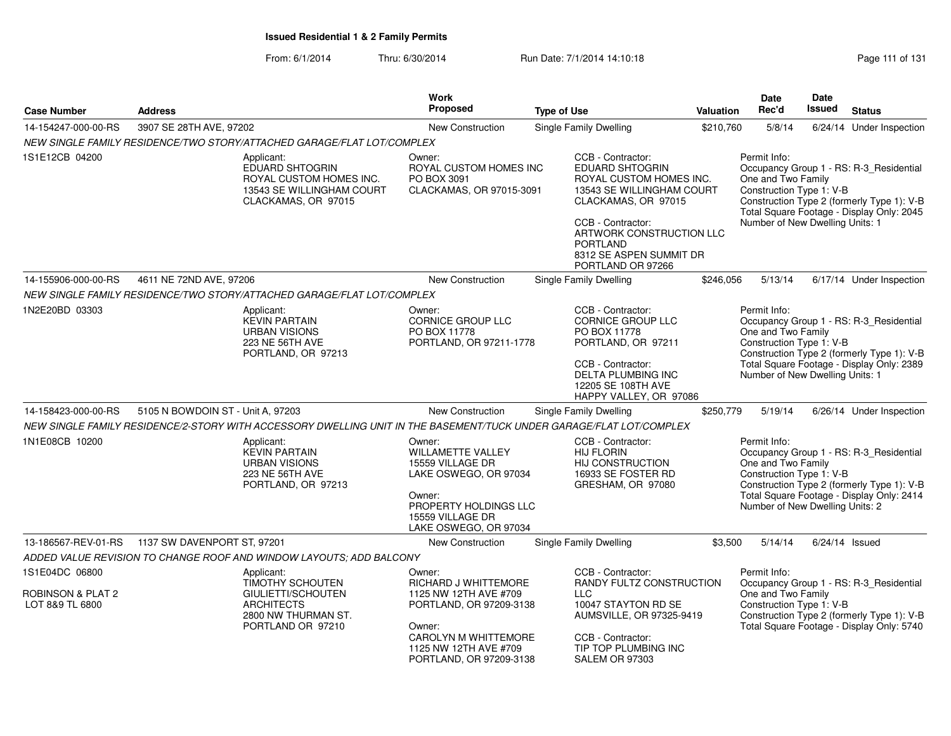| <b>Case Number</b>                                     | <b>Address</b>                                                                                                               | Work<br>Proposed                                                                                                                                                         | <b>Type of Use</b>                                                                                                                                                                                                                             | Valuation | <b>Date</b><br>Rec'd                                                                              | Date<br><b>Issued</b>                                                                                                              | <b>Status</b>                                                                                                                      |
|--------------------------------------------------------|------------------------------------------------------------------------------------------------------------------------------|--------------------------------------------------------------------------------------------------------------------------------------------------------------------------|------------------------------------------------------------------------------------------------------------------------------------------------------------------------------------------------------------------------------------------------|-----------|---------------------------------------------------------------------------------------------------|------------------------------------------------------------------------------------------------------------------------------------|------------------------------------------------------------------------------------------------------------------------------------|
| 14-154247-000-00-RS                                    | 3907 SE 28TH AVE, 97202                                                                                                      | New Construction                                                                                                                                                         | Single Family Dwelling                                                                                                                                                                                                                         | \$210,760 | 5/8/14                                                                                            |                                                                                                                                    | 6/24/14 Under Inspection                                                                                                           |
|                                                        | NEW SINGLE FAMILY RESIDENCE/TWO STORY/ATTACHED GARAGE/FLAT LOT/COMPLEX                                                       |                                                                                                                                                                          |                                                                                                                                                                                                                                                |           |                                                                                                   |                                                                                                                                    |                                                                                                                                    |
| 1S1E12CB 04200                                         | Applicant:<br>EDUARD SHTOGRIN<br>ROYAL CUSTOM HOMES INC.<br>13543 SE WILLINGHAM COURT<br>CLACKAMAS, OR 97015                 | Owner:<br>ROYAL CUSTOM HOMES INC<br>PO BOX 3091<br>CLACKAMAS, OR 97015-3091                                                                                              | CCB - Contractor:<br><b>EDUARD SHTOGRIN</b><br>ROYAL CUSTOM HOMES INC.<br>13543 SE WILLINGHAM COURT<br>CLACKAMAS, OR 97015<br>CCB - Contractor:<br>ARTWORK CONSTRUCTION LLC<br><b>PORTLAND</b><br>8312 SE ASPEN SUMMIT DR<br>PORTLAND OR 97266 |           | Permit Info:<br>One and Two Family<br>Construction Type 1: V-B<br>Number of New Dwelling Units: 1 | Occupancy Group 1 - RS: R-3_Residential<br>Construction Type 2 (formerly Type 1): V-B<br>Total Square Footage - Display Only: 2045 |                                                                                                                                    |
| 14-155906-000-00-RS                                    | 4611 NE 72ND AVE, 97206                                                                                                      | New Construction                                                                                                                                                         | Single Family Dwelling                                                                                                                                                                                                                         | \$246,056 | 5/13/14                                                                                           |                                                                                                                                    | 6/17/14 Under Inspection                                                                                                           |
|                                                        | NEW SINGLE FAMILY RESIDENCE/TWO STORY/ATTACHED GARAGE/FLAT LOT/COMPLEX                                                       |                                                                                                                                                                          |                                                                                                                                                                                                                                                |           |                                                                                                   |                                                                                                                                    |                                                                                                                                    |
| 1N2E20BD 03303                                         | Applicant:<br><b>KEVIN PARTAIN</b><br><b>URBAN VISIONS</b><br>223 NE 56TH AVE<br>PORTLAND, OR 97213                          | Owner:<br><b>CORNICE GROUP LLC</b><br>PO BOX 11778<br>PORTLAND, OR 97211-1778                                                                                            | CCB - Contractor:<br>CORNICE GROUP LLC<br>PO BOX 11778<br>PORTLAND, OR 97211<br>CCB - Contractor:<br><b>DELTA PLUMBING INC</b><br>12205 SE 108TH AVE<br>HAPPY VALLEY, OR 97086                                                                 |           | Permit Info:<br>One and Two Family<br>Construction Type 1: V-B<br>Number of New Dwelling Units: 1 |                                                                                                                                    | Occupancy Group 1 - RS: R-3_Residential<br>Construction Type 2 (formerly Type 1): V-B<br>Total Square Footage - Display Only: 2389 |
| 14-158423-000-00-RS                                    | 5105 N BOWDOIN ST - Unit A, 97203                                                                                            | <b>New Construction</b>                                                                                                                                                  | Single Family Dwelling                                                                                                                                                                                                                         | \$250,779 | 5/19/14                                                                                           |                                                                                                                                    | 6/26/14 Under Inspection                                                                                                           |
|                                                        | NEW SINGLE FAMILY RESIDENCE/2-STORY WITH ACCESSORY DWELLING UNIT IN THE BASEMENT/TUCK UNDER GARAGE/FLAT LOT/COMPLEX          |                                                                                                                                                                          |                                                                                                                                                                                                                                                |           |                                                                                                   |                                                                                                                                    |                                                                                                                                    |
| 1N1E08CB 10200                                         | Applicant:<br><b>KEVIN PARTAIN</b><br><b>URBAN VISIONS</b><br><b>223 NE 56TH AVE</b><br>PORTLAND, OR 97213                   | Owner:<br><b>WILLAMETTE VALLEY</b><br>15559 VILLAGE DR<br>LAKE OSWEGO, OR 97034<br>Owner:<br>PROPERTY HOLDINGS LLC<br>15559 VILLAGE DR<br>LAKE OSWEGO, OR 97034          | CCB - Contractor:<br><b>HIJ FLORIN</b><br>HIJ CONSTRUCTION<br>16933 SE FOSTER RD<br>GRESHAM, OR 97080                                                                                                                                          |           | Permit Info:<br>One and Two Family<br>Construction Type 1: V-B<br>Number of New Dwelling Units: 2 |                                                                                                                                    | Occupancy Group 1 - RS: R-3_Residential<br>Construction Type 2 (formerly Type 1): V-B<br>Total Square Footage - Display Only: 2414 |
| 13-186567-REV-01-RS                                    | 1137 SW DAVENPORT ST, 97201                                                                                                  | New Construction                                                                                                                                                         | Single Family Dwelling                                                                                                                                                                                                                         | \$3,500   | 5/14/14                                                                                           | 6/24/14 Issued                                                                                                                     |                                                                                                                                    |
|                                                        | ADDED VALUE REVISION TO CHANGE ROOF AND WINDOW LAYOUTS; ADD BALCONY                                                          |                                                                                                                                                                          |                                                                                                                                                                                                                                                |           |                                                                                                   |                                                                                                                                    |                                                                                                                                    |
| 1S1E04DC 06800<br>ROBINSON & PLAT 2<br>LOT 8&9 TL 6800 | Applicant:<br><b>TIMOTHY SCHOUTEN</b><br>GIULIETTI/SCHOUTEN<br><b>ARCHITECTS</b><br>2800 NW THURMAN ST.<br>PORTLAND OR 97210 | Owner:<br>RICHARD J WHITTEMORE<br>1125 NW 12TH AVE #709<br>PORTLAND, OR 97209-3138<br>Owner:<br>CAROLYN M WHITTEMORE<br>1125 NW 12TH AVE #709<br>PORTLAND, OR 97209-3138 | CCB - Contractor:<br>RANDY FULTZ CONSTRUCTION<br>LLC<br>10047 STAYTON RD SE<br>AUMSVILLE, OR 97325-9419<br>CCB - Contractor:<br>TIP TOP PLUMBING INC<br>SALEM OR 97303                                                                         |           | Permit Info:<br>One and Two Family<br>Construction Type 1: V-B                                    |                                                                                                                                    | Occupancy Group 1 - RS: R-3_Residential<br>Construction Type 2 (formerly Type 1): V-B<br>Total Square Footage - Display Only: 5740 |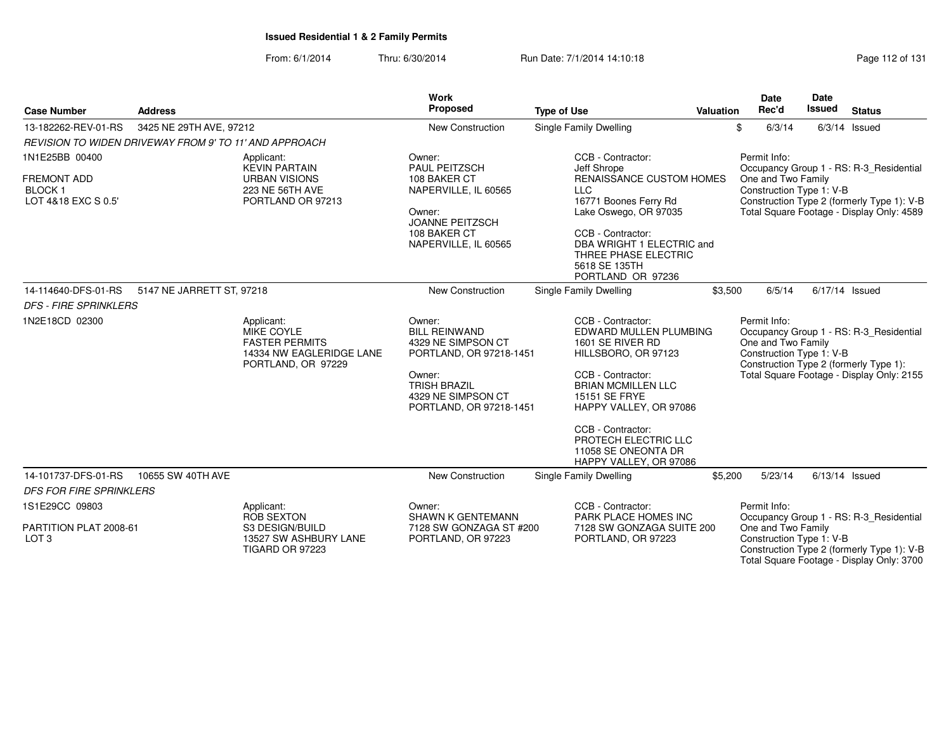| <b>Case Number</b>                                                           | <b>Address</b>            |                                                                                                            | <b>Work</b><br>Proposed                                                                                                                                           | <b>Type of Use</b>                                                                                                                                                                                                                                                                | <b>Valuation</b> | <b>Date</b><br>Rec'd                                           | Date<br><b>Issued</b> | <b>Status</b>                                                                                                                      |
|------------------------------------------------------------------------------|---------------------------|------------------------------------------------------------------------------------------------------------|-------------------------------------------------------------------------------------------------------------------------------------------------------------------|-----------------------------------------------------------------------------------------------------------------------------------------------------------------------------------------------------------------------------------------------------------------------------------|------------------|----------------------------------------------------------------|-----------------------|------------------------------------------------------------------------------------------------------------------------------------|
| 13-182262-REV-01-RS                                                          | 3425 NE 29TH AVE, 97212   |                                                                                                            | New Construction                                                                                                                                                  | Single Family Dwelling                                                                                                                                                                                                                                                            |                  | \$<br>6/3/14                                                   |                       | $6/3/14$ Issued                                                                                                                    |
| REVISION TO WIDEN DRIVEWAY FROM 9' TO 11' AND APPROACH                       |                           |                                                                                                            |                                                                                                                                                                   |                                                                                                                                                                                                                                                                                   |                  |                                                                |                       |                                                                                                                                    |
| 1N1E25BB 00400<br><b>FREMONT ADD</b><br><b>BLOCK1</b><br>LOT 4&18 EXC S 0.5' |                           | Applicant:<br><b>KEVIN PARTAIN</b><br><b>URBAN VISIONS</b><br>223 NE 56TH AVE<br>PORTLAND OR 97213         | Owner:<br>PAUL PEITZSCH<br>108 BAKER CT<br>NAPERVILLE, IL 60565<br>Owner:<br><b>JOANNE PEITZSCH</b><br>108 BAKER CT<br>NAPERVILLE, IL 60565                       | CCB - Contractor:<br>Jeff Shrope<br><b>RENAISSANCE CUSTOM HOMES</b><br><b>LLC</b><br>16771 Boones Ferry Rd<br>Lake Oswego, OR 97035<br>CCB - Contractor:<br>DBA WRIGHT 1 ELECTRIC and<br>THREE PHASE ELECTRIC<br>5618 SE 135TH<br>PORTLAND OR 97236                               |                  | Permit Info:<br>One and Two Family<br>Construction Type 1: V-B |                       | Occupancy Group 1 - RS: R-3 Residential<br>Construction Type 2 (formerly Type 1): V-B<br>Total Square Footage - Display Only: 4589 |
| 14-114640-DFS-01-RS                                                          | 5147 NE JARRETT ST, 97218 |                                                                                                            | New Construction                                                                                                                                                  | Single Family Dwelling                                                                                                                                                                                                                                                            | \$3,500          | 6/5/14                                                         |                       | $6/17/14$ Issued                                                                                                                   |
| <b>DFS - FIRE SPRINKLERS</b>                                                 |                           |                                                                                                            |                                                                                                                                                                   |                                                                                                                                                                                                                                                                                   |                  |                                                                |                       |                                                                                                                                    |
| 1N2E18CD 02300                                                               |                           | Applicant:<br><b>MIKE COYLE</b><br><b>FASTER PERMITS</b><br>14334 NW EAGLERIDGE LANE<br>PORTLAND, OR 97229 | Owner:<br><b>BILL REINWAND</b><br>4329 NE SIMPSON CT<br>PORTLAND, OR 97218-1451<br>Owner:<br><b>TRISH BRAZIL</b><br>4329 NE SIMPSON CT<br>PORTLAND, OR 97218-1451 | CCB - Contractor:<br>EDWARD MULLEN PLUMBING<br>1601 SE RIVER RD<br>HILLSBORO, OR 97123<br>CCB - Contractor:<br><b>BRIAN MCMILLEN LLC</b><br>15151 SE FRYE<br>HAPPY VALLEY, OR 97086<br>CCB - Contractor:<br>PROTECH ELECTRIC LLC<br>11058 SE ONEONTA DR<br>HAPPY VALLEY, OR 97086 |                  | Permit Info:<br>One and Two Family<br>Construction Type 1: V-B |                       | Occupancy Group 1 - RS: R-3_Residential<br>Construction Type 2 (formerly Type 1):<br>Total Square Footage - Display Only: 2155     |
| 14-101737-DFS-01-RS                                                          | 10655 SW 40TH AVE         |                                                                                                            | <b>New Construction</b>                                                                                                                                           | Single Family Dwelling                                                                                                                                                                                                                                                            | \$5,200          | 5/23/14                                                        |                       | $6/13/14$ Issued                                                                                                                   |
| <b>DFS FOR FIRE SPRINKLERS</b>                                               |                           |                                                                                                            |                                                                                                                                                                   |                                                                                                                                                                                                                                                                                   |                  |                                                                |                       |                                                                                                                                    |
| 1S1E29CC 09803                                                               |                           | Applicant:<br>ROB SEXTON                                                                                   | Owner:<br>SHAWN K GENTEMANN                                                                                                                                       | CCB - Contractor:<br>PARK PLACE HOMES INC                                                                                                                                                                                                                                         |                  | Permit Info:                                                   |                       | Occupancy Group 1 - RS: R-3_Residential                                                                                            |
| PARTITION PLAT 2008-61<br>LOT <sub>3</sub>                                   |                           | S3 DESIGN/BUILD<br>13527 SW ASHBURY LANE<br><b>TIGARD OR 97223</b>                                         | 7128 SW GONZAGA ST #200<br>PORTLAND, OR 97223                                                                                                                     | 7128 SW GONZAGA SUITE 200<br>PORTLAND, OR 97223                                                                                                                                                                                                                                   |                  | One and Two Family<br>Construction Type 1: V-B                 |                       | Construction Type 2 (formerly Type 1): V-B<br>Total Square Footage - Display Only: 3700                                            |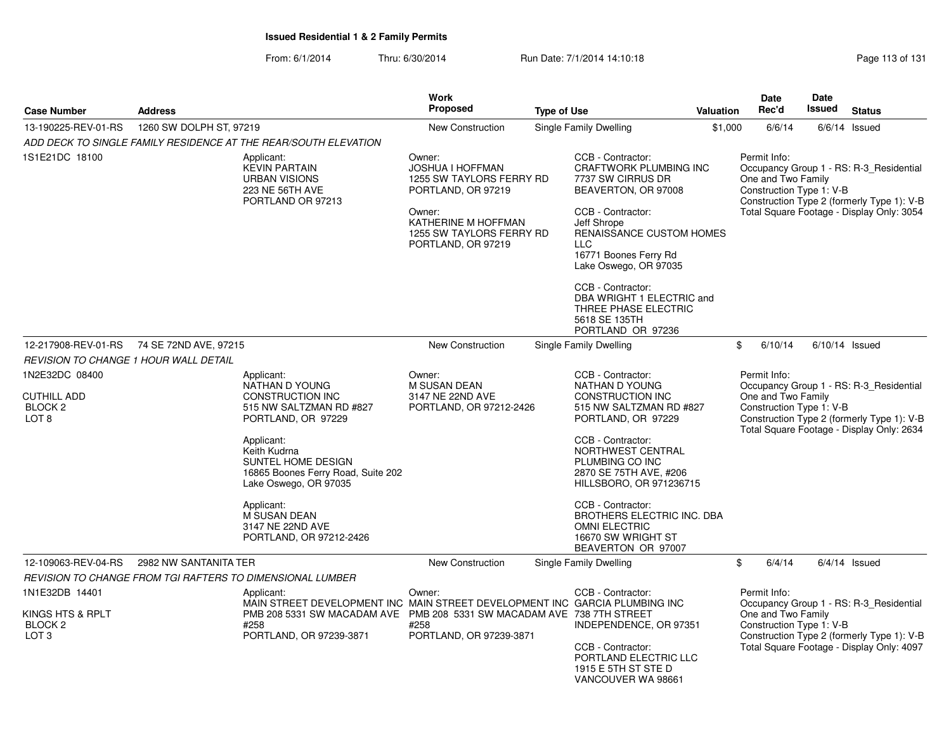From: 6/1/2014Thru: 6/30/2014 Run Date: 7/1/2014 14:10:18 Research 2010 Rage 113 of 131

| <b>Case Number</b>                                                                                 | <b>Address</b>          |                                                                                                                                                                                                                                                                                                   | Work<br><b>Proposed</b>                                                                                                                                                | <b>Type of Use</b> |                                                                                                                                                                                                                                                                                                                                                   | Valuation | <b>Date</b><br>Rec'd                                           | <b>Date</b><br><b>Issued</b> | <b>Status</b>                                                                                                                      |
|----------------------------------------------------------------------------------------------------|-------------------------|---------------------------------------------------------------------------------------------------------------------------------------------------------------------------------------------------------------------------------------------------------------------------------------------------|------------------------------------------------------------------------------------------------------------------------------------------------------------------------|--------------------|---------------------------------------------------------------------------------------------------------------------------------------------------------------------------------------------------------------------------------------------------------------------------------------------------------------------------------------------------|-----------|----------------------------------------------------------------|------------------------------|------------------------------------------------------------------------------------------------------------------------------------|
|                                                                                                    | 1260 SW DOLPH ST, 97219 |                                                                                                                                                                                                                                                                                                   |                                                                                                                                                                        |                    |                                                                                                                                                                                                                                                                                                                                                   |           |                                                                |                              |                                                                                                                                    |
| 13-190225-REV-01-RS                                                                                |                         | ADD DECK TO SINGLE FAMILY RESIDENCE AT THE REAR/SOUTH ELEVATION                                                                                                                                                                                                                                   | New Construction                                                                                                                                                       |                    | Single Family Dwelling                                                                                                                                                                                                                                                                                                                            | \$1,000   | 6/6/14                                                         |                              | $6/6/14$ Issued                                                                                                                    |
| 1S1E21DC 18100                                                                                     |                         | Applicant:<br><b>KEVIN PARTAIN</b><br><b>URBAN VISIONS</b><br>223 NE 56TH AVE<br>PORTLAND OR 97213                                                                                                                                                                                                | Owner:<br><b>JOSHUA I HOFFMAN</b><br>1255 SW TAYLORS FERRY RD<br>PORTLAND, OR 97219<br>Owner:<br>KATHERINE M HOFFMAN<br>1255 SW TAYLORS FERRY RD<br>PORTLAND, OR 97219 |                    | CCB - Contractor:<br>CRAFTWORK PLUMBING INC<br>7737 SW CIRRUS DR<br>BEAVERTON, OR 97008<br>CCB - Contractor:<br>Jeff Shrope<br>RENAISSANCE CUSTOM HOMES<br><b>LLC</b><br>16771 Boones Ferry Rd<br>Lake Oswego, OR 97035<br>CCB - Contractor:<br>DBA WRIGHT 1 ELECTRIC and<br>THREE PHASE ELECTRIC<br>5618 SE 135TH<br>PORTLAND OR 97236           |           | Permit Info:<br>One and Two Family<br>Construction Type 1: V-B |                              | Occupancy Group 1 - RS: R-3_Residential<br>Construction Type 2 (formerly Type 1): V-B<br>Total Square Footage - Display Only: 3054 |
| 12-217908-REV-01-RS                                                                                | 74 SE 72ND AVE, 97215   |                                                                                                                                                                                                                                                                                                   | <b>New Construction</b>                                                                                                                                                |                    | Single Family Dwelling                                                                                                                                                                                                                                                                                                                            |           | 6/10/14<br>\$                                                  | $6/10/14$ Issued             |                                                                                                                                    |
| <b>REVISION TO CHANGE 1 HOUR WALL DETAIL</b>                                                       |                         |                                                                                                                                                                                                                                                                                                   |                                                                                                                                                                        |                    |                                                                                                                                                                                                                                                                                                                                                   |           |                                                                |                              |                                                                                                                                    |
| 1N2E32DC 08400<br><b>CUTHILL ADD</b><br>BLOCK <sub>2</sub><br>LOT <sub>8</sub>                     |                         | Applicant:<br>NATHAN D YOUNG<br>CONSTRUCTION INC<br>515 NW SALTZMAN RD #827<br>PORTLAND, OR 97229<br>Applicant:<br>Keith Kudrna<br>SUNTEL HOME DESIGN<br>16865 Boones Ferry Road, Suite 202<br>Lake Oswego, OR 97035<br>Applicant:<br>M SUSAN DEAN<br>3147 NE 22ND AVE<br>PORTLAND, OR 97212-2426 | Owner:<br><b>M SUSAN DEAN</b><br>3147 NE 22ND AVE<br>PORTLAND, OR 97212-2426                                                                                           |                    | CCB - Contractor:<br>NATHAN D YOUNG<br>CONSTRUCTION INC<br>515 NW SALTZMAN RD #827<br>PORTLAND, OR 97229<br>CCB - Contractor:<br>NORTHWEST CENTRAL<br>PLUMBING CO INC<br>2870 SE 75TH AVE, #206<br>HILLSBORO, OR 971236715<br>CCB - Contractor:<br>BROTHERS ELECTRIC INC. DBA<br><b>OMNI ELECTRIC</b><br>16670 SW WRIGHT ST<br>BEAVERTON OR 97007 |           | Permit Info:<br>One and Two Family<br>Construction Type 1: V-B |                              | Occupancy Group 1 - RS: R-3_Residential<br>Construction Type 2 (formerly Type 1): V-B<br>Total Square Footage - Display Only: 2634 |
| 12-109063-REV-04-RS                                                                                | 2982 NW SANTANITA TER   |                                                                                                                                                                                                                                                                                                   | New Construction                                                                                                                                                       |                    | Single Family Dwelling                                                                                                                                                                                                                                                                                                                            |           | \$<br>6/4/14                                                   |                              | $6/4/14$ Issued                                                                                                                    |
|                                                                                                    |                         | REVISION TO CHANGE FROM TGI RAFTERS TO DIMENSIONAL LUMBER                                                                                                                                                                                                                                         |                                                                                                                                                                        |                    |                                                                                                                                                                                                                                                                                                                                                   |           |                                                                |                              |                                                                                                                                    |
| 1N1E32DB 14401<br>Applicant:<br>KINGS HTS & RPLT<br>BLOCK <sub>2</sub><br>#258<br>LOT <sub>3</sub> |                         | MAIN STREET DEVELOPMENT INC MAIN STREET DEVELOPMENT INC GARCIA PLUMBING INC<br>PMB 208 5331 SW MACADAM AVE<br>PORTLAND, OR 97239-3871                                                                                                                                                             | Owner:<br>PMB 208 5331 SW MACADAM AVE 738 7TH STREET<br>#258<br>PORTLAND, OR 97239-3871                                                                                |                    | CCB - Contractor:<br>INDEPENDENCE, OR 97351<br>CCB - Contractor:<br>PORTLAND ELECTRIC LLC<br>1915 E 5TH ST STE D<br>VANCOUVER WA 98661                                                                                                                                                                                                            |           | Permit Info:<br>One and Two Family<br>Construction Type 1: V-B |                              | Occupancy Group 1 - RS: R-3_Residential<br>Construction Type 2 (formerly Type 1): V-B<br>Total Square Footage - Display Only: 4097 |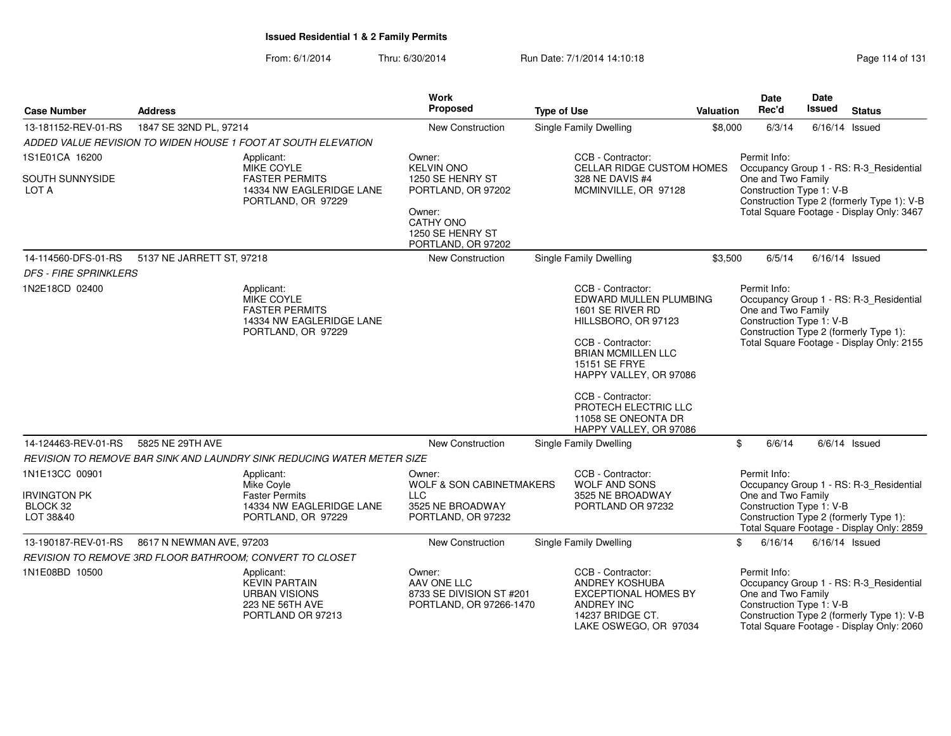From: 6/1/2014Thru: 6/30/2014 Run Date: 7/1/2014 14:10:18 Research 2010 Rage 114 of 131

| <b>Case Number</b>                                  | <b>Address</b>            |                                                                                                     | <b>Work</b><br>Proposed                                                      | <b>Type of Use</b>                                                                                                                                                                                                                                                                       | <b>Valuation</b> | <b>Date</b><br>Rec'd                                           | Date<br>Issued   | <b>Status</b>                                                                                                                      |
|-----------------------------------------------------|---------------------------|-----------------------------------------------------------------------------------------------------|------------------------------------------------------------------------------|------------------------------------------------------------------------------------------------------------------------------------------------------------------------------------------------------------------------------------------------------------------------------------------|------------------|----------------------------------------------------------------|------------------|------------------------------------------------------------------------------------------------------------------------------------|
| 13-181152-REV-01-RS                                 | 1847 SE 32ND PL, 97214    |                                                                                                     | New Construction                                                             | Single Family Dwelling                                                                                                                                                                                                                                                                   | \$8,000          | 6/3/14                                                         |                  | $6/16/14$ Issued                                                                                                                   |
|                                                     |                           | ADDED VALUE REVISION TO WIDEN HOUSE 1 FOOT AT SOUTH ELEVATION                                       |                                                                              |                                                                                                                                                                                                                                                                                          |                  |                                                                |                  |                                                                                                                                    |
| 1S1E01CA 16200                                      |                           | Applicant:<br>MIKE COYLE                                                                            | Owner:<br><b>KELVIN ONO</b>                                                  | CCB - Contractor:<br><b>CELLAR RIDGE CUSTOM HOMES</b>                                                                                                                                                                                                                                    |                  | Permit Info:                                                   |                  | Occupancy Group 1 - RS: R-3_Residential                                                                                            |
| SOUTH SUNNYSIDE<br>LOT A                            |                           | <b>FASTER PERMITS</b><br>14334 NW EAGLERIDGE LANE<br>PORTLAND, OR 97229                             | 1250 SE HENRY ST<br>PORTLAND, OR 97202                                       | 328 NE DAVIS #4<br>MCMINVILLE, OR 97128                                                                                                                                                                                                                                                  |                  | One and Two Family<br>Construction Type 1: V-B                 |                  | Construction Type 2 (formerly Type 1): V-B                                                                                         |
|                                                     |                           |                                                                                                     | Owner:<br>CATHY ONO<br>1250 SE HENRY ST<br>PORTLAND, OR 97202                |                                                                                                                                                                                                                                                                                          |                  |                                                                |                  | Total Square Footage - Display Only: 3467                                                                                          |
| 14-114560-DFS-01-RS<br><b>DFS - FIRE SPRINKLERS</b> | 5137 NE JARRETT ST, 97218 |                                                                                                     | New Construction                                                             | Single Family Dwelling                                                                                                                                                                                                                                                                   | \$3,500          | 6/5/14                                                         | $6/16/14$ Issued |                                                                                                                                    |
| 1N2E18CD 02400                                      |                           | Applicant:<br>MIKE COYLE<br><b>FASTER PERMITS</b><br>14334 NW EAGLERIDGE LANE<br>PORTLAND, OR 97229 |                                                                              | CCB - Contractor:<br>EDWARD MULLEN PLUMBING<br>1601 SE RIVER RD<br>HILLSBORO, OR 97123<br>CCB - Contractor:<br><b>BRIAN MCMILLEN LLC</b><br><b>15151 SE FRYE</b><br>HAPPY VALLEY, OR 97086<br>CCB - Contractor:<br>PROTECH ELECTRIC LLC<br>11058 SE ONEONTA DR<br>HAPPY VALLEY, OR 97086 |                  | Permit Info:<br>One and Two Family<br>Construction Type 1: V-B |                  | Occupancy Group 1 - RS: R-3_Residential<br>Construction Type 2 (formerly Type 1):<br>Total Square Footage - Display Only: 2155     |
| 14-124463-REV-01-RS                                 | 5825 NE 29TH AVE          |                                                                                                     | New Construction                                                             | Single Family Dwelling                                                                                                                                                                                                                                                                   |                  | \$<br>6/6/14                                                   |                  | $6/6/14$ Issued                                                                                                                    |
|                                                     |                           | REVISION TO REMOVE BAR SINK AND LAUNDRY SINK REDUCING WATER METER SIZE                              |                                                                              |                                                                                                                                                                                                                                                                                          |                  |                                                                |                  |                                                                                                                                    |
| 1N1E13CC 00901                                      |                           | Applicant:<br>Mike Covle                                                                            | Owner:<br><b>WOLF &amp; SON CABINETMAKERS</b>                                | CCB - Contractor:<br><b>WOLF AND SONS</b>                                                                                                                                                                                                                                                |                  | Permit Info:                                                   |                  | Occupancy Group 1 - RS: R-3_Residential                                                                                            |
| <b>IRVINGTON PK</b>                                 |                           | <b>Faster Permits</b>                                                                               | <b>LLC</b>                                                                   | 3525 NE BROADWAY                                                                                                                                                                                                                                                                         |                  | One and Two Family                                             |                  |                                                                                                                                    |
| BLOCK 32<br>LOT 38&40                               |                           | 14334 NW EAGLERIDGE LANE<br>PORTLAND, OR 97229                                                      | 3525 NE BROADWAY<br>PORTLAND, OR 97232                                       | PORTLAND OR 97232                                                                                                                                                                                                                                                                        |                  | Construction Type 1: V-B                                       |                  | Construction Type 2 (formerly Type 1):<br>Total Square Footage - Display Only: 2859                                                |
| 13-190187-REV-01-RS                                 | 8617 N NEWMAN AVE, 97203  |                                                                                                     | New Construction                                                             | Single Family Dwelling                                                                                                                                                                                                                                                                   | \$               | 6/16/14                                                        | $6/16/14$ Issued |                                                                                                                                    |
|                                                     |                           | REVISION TO REMOVE 3RD FLOOR BATHROOM; CONVERT TO CLOSET                                            |                                                                              |                                                                                                                                                                                                                                                                                          |                  |                                                                |                  |                                                                                                                                    |
| 1N1E08BD 10500                                      |                           | Applicant:<br><b>KEVIN PARTAIN</b><br><b>URBAN VISIONS</b><br>223 NE 56TH AVE<br>PORTLAND OR 97213  | Owner:<br>AAV ONE LLC<br>8733 SE DIVISION ST #201<br>PORTLAND, OR 97266-1470 | CCB - Contractor:<br><b>ANDREY KOSHUBA</b><br><b>EXCEPTIONAL HOMES BY</b><br><b>ANDREY INC</b><br>14237 BRIDGE CT.<br>LAKE OSWEGO, OR 97034                                                                                                                                              |                  | Permit Info:<br>One and Two Family<br>Construction Type 1: V-B |                  | Occupancy Group 1 - RS: R-3_Residential<br>Construction Type 2 (formerly Type 1): V-B<br>Total Square Footage - Display Only: 2060 |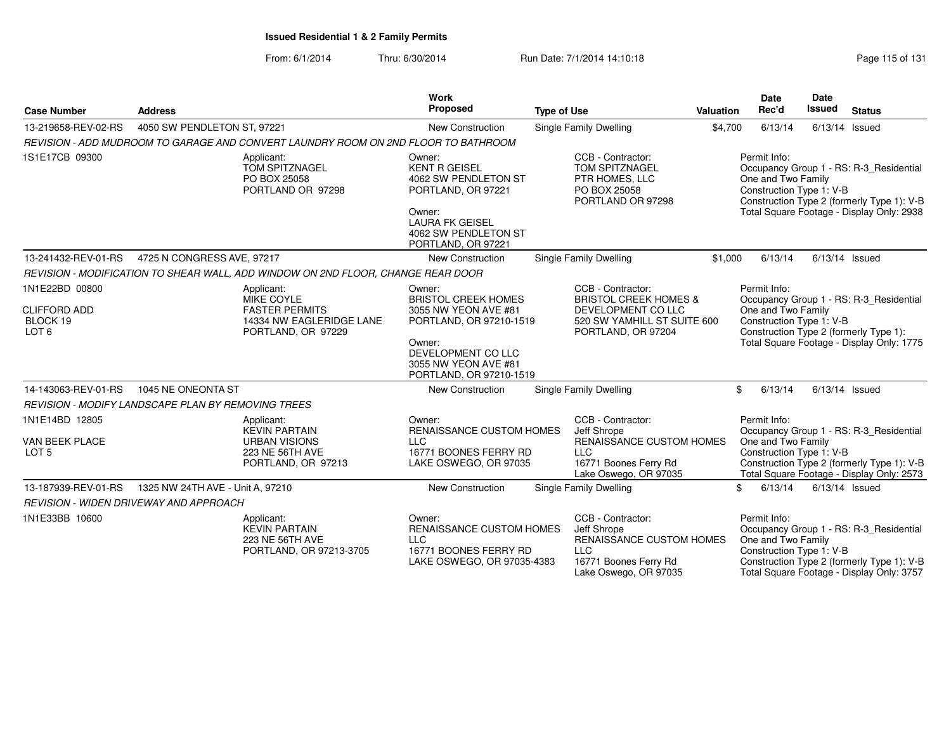|                                                                       |                                                                                                            | <b>Work</b>                                                                                                                                                                                                                                                                                                    |                                                                                                                              |                  | Date                                                           | Date                                                                                                                           |                                                                                                                                    |
|-----------------------------------------------------------------------|------------------------------------------------------------------------------------------------------------|----------------------------------------------------------------------------------------------------------------------------------------------------------------------------------------------------------------------------------------------------------------------------------------------------------------|------------------------------------------------------------------------------------------------------------------------------|------------------|----------------------------------------------------------------|--------------------------------------------------------------------------------------------------------------------------------|------------------------------------------------------------------------------------------------------------------------------------|
| <b>Case Number</b>                                                    | <b>Address</b>                                                                                             | Proposed                                                                                                                                                                                                                                                                                                       | <b>Type of Use</b>                                                                                                           | <b>Valuation</b> | Rec'd                                                          | <b>Issued</b>                                                                                                                  | <b>Status</b>                                                                                                                      |
| 13-219658-REV-02-RS                                                   | 4050 SW PENDLETON ST, 97221                                                                                | <b>New Construction</b>                                                                                                                                                                                                                                                                                        | <b>Single Family Dwelling</b>                                                                                                | \$4,700          | 6/13/14                                                        |                                                                                                                                | $6/13/14$ Issued                                                                                                                   |
|                                                                       | REVISION - ADD MUDROOM TO GARAGE AND CONVERT LAUNDRY ROOM ON 2ND FLOOR TO BATHROOM                         |                                                                                                                                                                                                                                                                                                                |                                                                                                                              |                  |                                                                |                                                                                                                                |                                                                                                                                    |
| 1S1E17CB 09300                                                        | Applicant:<br>TOM SPITZNAGEL<br>PO BOX 25058<br>PORTLAND OR 97298                                          | Owner:<br><b>KENT R GEISEL</b><br>4062 SW PENDLETON ST<br>PORTLAND, OR 97221<br>Owner:<br><b>LAURA FK GEISEL</b><br>4062 SW PENDLETON ST<br>PORTLAND, OR 97221                                                                                                                                                 | CCB - Contractor:<br><b>TOM SPITZNAGEL</b><br>PTR HOMES, LLC<br>PO BOX 25058<br>PORTLAND OR 97298                            |                  | Permit Info:<br>One and Two Family<br>Construction Type 1: V-B |                                                                                                                                | Occupancy Group 1 - RS: R-3_Residential<br>Construction Type 2 (formerly Type 1): V-B<br>Total Square Footage - Display Only: 2938 |
| 13-241432-REV-01-RS                                                   | 4725 N CONGRESS AVE, 97217                                                                                 | <b>New Construction</b>                                                                                                                                                                                                                                                                                        | Single Family Dwelling                                                                                                       | \$1,000          | 6/13/14                                                        |                                                                                                                                | $6/13/14$ Issued                                                                                                                   |
|                                                                       | REVISION - MODIFICATION TO SHEAR WALL, ADD WINDOW ON 2ND FLOOR, CHANGE REAR DOOR                           |                                                                                                                                                                                                                                                                                                                |                                                                                                                              |                  |                                                                |                                                                                                                                |                                                                                                                                    |
| 1N1E22BD 00800<br><b>CLIFFORD ADD</b><br>BLOCK 19<br>LOT <sub>6</sub> | Applicant:<br><b>MIKE COYLE</b><br><b>FASTER PERMITS</b><br>14334 NW EAGLERIDGE LANE<br>PORTLAND, OR 97229 | CCB - Contractor:<br>Owner:<br><b>BRISTOL CREEK HOMES</b><br><b>BRISTOL CREEK HOMES &amp;</b><br>3055 NW YEON AVE #81<br>DEVELOPMENT CO LLC<br>PORTLAND, OR 97210-1519<br>520 SW YAMHILL ST SUITE 600<br>PORTLAND, OR 97204<br>Owner:<br>DEVELOPMENT CO LLC<br>3055 NW YEON AVE #81<br>PORTLAND, OR 97210-1519 |                                                                                                                              |                  | Permit Info:<br>One and Two Family<br>Construction Type 1: V-B | Occupancy Group 1 - RS: R-3_Residential<br>Construction Type 2 (formerly Type 1):<br>Total Square Footage - Display Only: 1775 |                                                                                                                                    |
| 14-143063-REV-01-RS                                                   | 1045 NE ONEONTA ST                                                                                         | <b>New Construction</b>                                                                                                                                                                                                                                                                                        | Single Family Dwelling                                                                                                       |                  | \$<br>6/13/14                                                  |                                                                                                                                | $6/13/14$ Issued                                                                                                                   |
|                                                                       | <b>REVISION - MODIFY LANDSCAPE PLAN BY REMOVING TREES</b>                                                  |                                                                                                                                                                                                                                                                                                                |                                                                                                                              |                  |                                                                |                                                                                                                                |                                                                                                                                    |
| 1N1E14BD 12805<br>VAN BEEK PLACE<br>LOT <sub>5</sub>                  | Applicant:<br><b>KEVIN PARTAIN</b><br><b>URBAN VISIONS</b><br>223 NE 56TH AVE<br>PORTLAND, OR 97213        | Owner:<br>RENAISSANCE CUSTOM HOMES<br><b>LLC</b><br>16771 BOONES FERRY RD<br>LAKE OSWEGO, OR 97035                                                                                                                                                                                                             | CCB - Contractor:<br>Jeff Shrope<br>RENAISSANCE CUSTOM HOMES<br>LLC<br>16771 Boones Ferry Rd<br>Lake Oswego, OR 97035        |                  | Permit Info:<br>One and Two Family<br>Construction Type 1: V-B |                                                                                                                                | Occupancy Group 1 - RS: R-3 Residential<br>Construction Type 2 (formerly Type 1): V-B<br>Total Square Footage - Display Only: 2573 |
| 13-187939-REV-01-RS                                                   | 1325 NW 24TH AVE - Unit A, 97210                                                                           | <b>New Construction</b>                                                                                                                                                                                                                                                                                        | Single Family Dwelling                                                                                                       |                  | \$<br>6/13/14                                                  |                                                                                                                                | $6/13/14$ Issued                                                                                                                   |
|                                                                       | <b>REVISION - WIDEN DRIVEWAY AND APPROACH</b>                                                              |                                                                                                                                                                                                                                                                                                                |                                                                                                                              |                  |                                                                |                                                                                                                                |                                                                                                                                    |
| 1N1E33BB 10600                                                        | Applicant:<br><b>KEVIN PARTAIN</b><br>223 NE 56TH AVE<br>PORTLAND, OR 97213-3705                           | Owner:<br>RENAISSANCE CUSTOM HOMES<br><b>LLC</b><br>16771 BOONES FERRY RD<br>LAKE OSWEGO, OR 97035-4383                                                                                                                                                                                                        | CCB - Contractor:<br>Jeff Shrope<br>RENAISSANCE CUSTOM HOMES<br><b>LLC</b><br>16771 Boones Ferry Rd<br>Lake Oswego, OR 97035 |                  | Permit Info:<br>One and Two Family<br>Construction Type 1: V-B |                                                                                                                                | Occupancy Group 1 - RS: R-3 Residential<br>Construction Type 2 (formerly Type 1): V-B<br>Total Square Footage - Display Only: 3757 |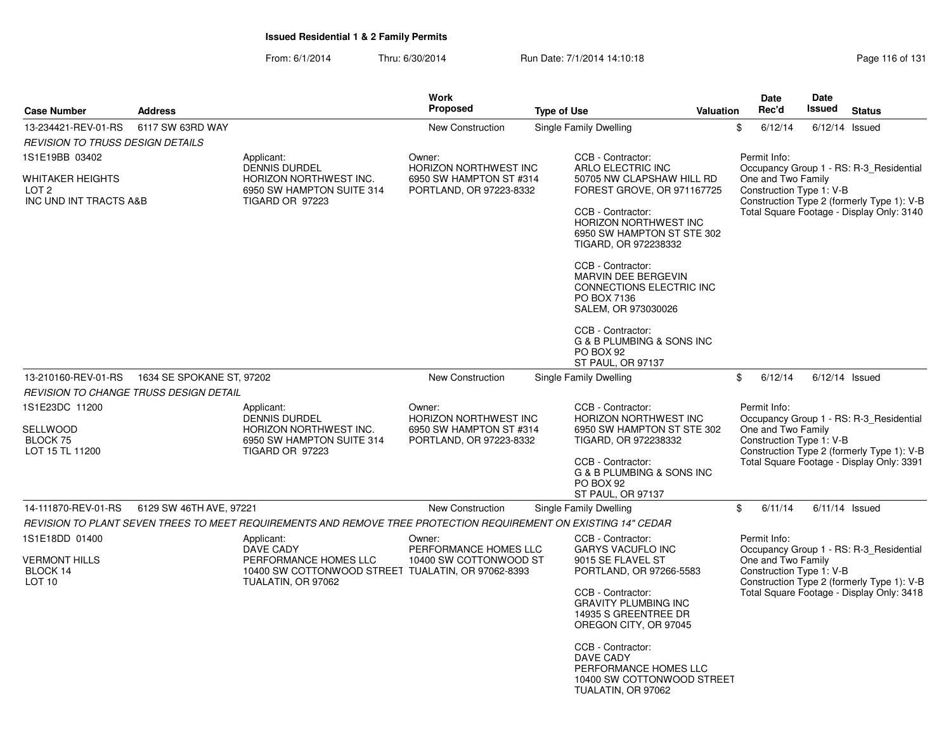From: 6/1/2014Thru: 6/30/2014 Run Date: 7/1/2014 14:10:18 Research 2010 Rage 116 of 131

| <b>Proposed</b><br>Rec'd<br>Issued<br>Valuation<br><b>Case Number</b><br><b>Address</b><br><b>Type of Use</b><br>6117 SW 63RD WAY<br>6/12/14<br>13-234421-REV-01-RS<br>Single Family Dwelling<br>\$<br>New Construction<br>REVISION TO TRUSS DESIGN DETAILS<br>1S1E19BB 03402<br>CCB - Contractor:<br>Permit Info:<br>Owner:<br>Applicant:<br><b>DENNIS DURDEL</b><br>ARLO ELECTRIC INC<br>Occupancy Group 1 - RS: R-3_Residential<br><b>HORIZON NORTHWEST INC</b><br>HORIZON NORTHWEST INC.<br>One and Two Family<br>WHITAKER HEIGHTS<br>6950 SW HAMPTON ST #314<br>50705 NW CLAPSHAW HILL RD<br>FOREST GROVE, OR 971167725<br>Construction Type 1: V-B<br>LOT <sub>2</sub><br>6950 SW HAMPTON SUITE 314<br>PORTLAND, OR 97223-8332<br>Construction Type 2 (formerly Type 1): V-B<br>INC UND INT TRACTS A&B<br><b>TIGARD OR 97223</b><br>Total Square Footage - Display Only: 3140<br>CCB - Contractor:<br><b>HORIZON NORTHWEST INC</b><br>6950 SW HAMPTON ST STE 302<br>TIGARD, OR 972238332<br>CCB - Contractor:<br><b>MARVIN DEE BERGEVIN</b><br>CONNECTIONS ELECTRIC INC<br>PO BOX 7136 | <b>Status</b><br>$6/12/14$ Issued |
|----------------------------------------------------------------------------------------------------------------------------------------------------------------------------------------------------------------------------------------------------------------------------------------------------------------------------------------------------------------------------------------------------------------------------------------------------------------------------------------------------------------------------------------------------------------------------------------------------------------------------------------------------------------------------------------------------------------------------------------------------------------------------------------------------------------------------------------------------------------------------------------------------------------------------------------------------------------------------------------------------------------------------------------------------------------------------------------------|-----------------------------------|
|                                                                                                                                                                                                                                                                                                                                                                                                                                                                                                                                                                                                                                                                                                                                                                                                                                                                                                                                                                                                                                                                                              |                                   |
|                                                                                                                                                                                                                                                                                                                                                                                                                                                                                                                                                                                                                                                                                                                                                                                                                                                                                                                                                                                                                                                                                              |                                   |
|                                                                                                                                                                                                                                                                                                                                                                                                                                                                                                                                                                                                                                                                                                                                                                                                                                                                                                                                                                                                                                                                                              |                                   |
|                                                                                                                                                                                                                                                                                                                                                                                                                                                                                                                                                                                                                                                                                                                                                                                                                                                                                                                                                                                                                                                                                              |                                   |
|                                                                                                                                                                                                                                                                                                                                                                                                                                                                                                                                                                                                                                                                                                                                                                                                                                                                                                                                                                                                                                                                                              |                                   |
|                                                                                                                                                                                                                                                                                                                                                                                                                                                                                                                                                                                                                                                                                                                                                                                                                                                                                                                                                                                                                                                                                              |                                   |
| SALEM, OR 973030026                                                                                                                                                                                                                                                                                                                                                                                                                                                                                                                                                                                                                                                                                                                                                                                                                                                                                                                                                                                                                                                                          |                                   |
| CCB - Contractor:<br>G & B PLUMBING & SONS INC<br>PO BOX 92<br>ST PAUL, OR 97137                                                                                                                                                                                                                                                                                                                                                                                                                                                                                                                                                                                                                                                                                                                                                                                                                                                                                                                                                                                                             |                                   |
| 13-210160-REV-01-RS<br>1634 SE SPOKANE ST, 97202<br><b>New Construction</b><br>6/12/14<br>Single Family Dwelling<br>\$                                                                                                                                                                                                                                                                                                                                                                                                                                                                                                                                                                                                                                                                                                                                                                                                                                                                                                                                                                       | $6/12/14$ Issued                  |
| REVISION TO CHANGE TRUSS DESIGN DETAIL                                                                                                                                                                                                                                                                                                                                                                                                                                                                                                                                                                                                                                                                                                                                                                                                                                                                                                                                                                                                                                                       |                                   |
| 1S1E23DC 11200<br>CCB - Contractor:<br>Permit Info:<br>Applicant:<br>Owner:<br><b>DENNIS DURDEL</b><br>HORIZON NORTHWEST INC<br>HORIZON NORTHWEST INC<br>Occupancy Group 1 - RS: R-3_Residential<br>One and Two Family<br>SELLWOOD<br>HORIZON NORTHWEST INC.<br>6950 SW HAMPTON ST STE 302<br>6950 SW HAMPTON ST #314<br>Construction Type 1: V-B<br>BLOCK 75<br>6950 SW HAMPTON SUITE 314<br>PORTLAND, OR 97223-8332<br>TIGARD, OR 972238332<br>Construction Type 2 (formerly Type 1): V-B<br>LOT 15 TL 11200<br><b>TIGARD OR 97223</b>                                                                                                                                                                                                                                                                                                                                                                                                                                                                                                                                                     |                                   |
| Total Square Footage - Display Only: 3391<br>CCB - Contractor:<br>G & B PLUMBING & SONS INC<br>PO BOX 92<br><b>ST PAUL, OR 97137</b>                                                                                                                                                                                                                                                                                                                                                                                                                                                                                                                                                                                                                                                                                                                                                                                                                                                                                                                                                         |                                   |
| 6/11/14<br>14-111870-REV-01-RS<br>6129 SW 46TH AVE, 97221<br><b>New Construction</b><br>Single Family Dwelling<br>\$                                                                                                                                                                                                                                                                                                                                                                                                                                                                                                                                                                                                                                                                                                                                                                                                                                                                                                                                                                         | $6/11/14$ Issued                  |
| REVISION TO PLANT SEVEN TREES TO MEET REQUIREMENTS AND REMOVE TREE PROTECTION REQUIREMENT ON EXISTING 14" CEDAR                                                                                                                                                                                                                                                                                                                                                                                                                                                                                                                                                                                                                                                                                                                                                                                                                                                                                                                                                                              |                                   |
| 1S1E18DD 01400<br>Applicant:<br>Owner:<br>CCB - Contractor:<br>Permit Info:<br><b>DAVE CADY</b><br>PERFORMANCE HOMES LLC<br><b>GARYS VACUFLO INC</b><br>Occupancy Group 1 - RS: R-3_Residential<br>One and Two Family<br><b>VERMONT HILLS</b><br>PERFORMANCE HOMES LLC<br>10400 SW COTTONWOOD ST<br>9015 SE FLAVEL ST                                                                                                                                                                                                                                                                                                                                                                                                                                                                                                                                                                                                                                                                                                                                                                        |                                   |
| Construction Type 1: V-B<br>BLOCK 14<br>10400 SW COTTONWOOD STREET TUALATIN, OR 97062-8393<br>PORTLAND, OR 97266-5583<br>Construction Type 2 (formerly Type 1): V-B<br>LOT <sub>10</sub><br>TUALATIN, OR 97062                                                                                                                                                                                                                                                                                                                                                                                                                                                                                                                                                                                                                                                                                                                                                                                                                                                                               |                                   |
| Total Square Footage - Display Only: 3418<br>CCB - Contractor:<br><b>GRAVITY PLUMBING INC</b><br>14935 S GREENTREE DR<br>OREGON CITY, OR 97045                                                                                                                                                                                                                                                                                                                                                                                                                                                                                                                                                                                                                                                                                                                                                                                                                                                                                                                                               |                                   |
| CCB - Contractor:<br>DAVE CADY<br>PERFORMANCE HOMES LLC<br>10400 SW COTTONWOOD STREET<br>TUALATIN, OR 97062                                                                                                                                                                                                                                                                                                                                                                                                                                                                                                                                                                                                                                                                                                                                                                                                                                                                                                                                                                                  |                                   |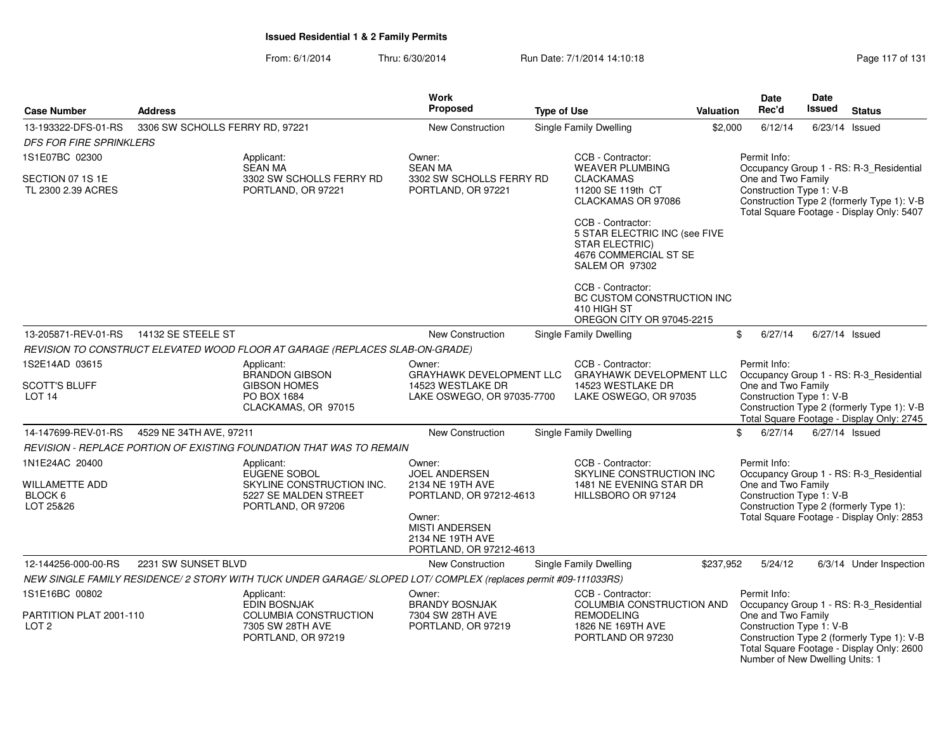| <b>Case Number</b>                                       | <b>Address</b>                  |                                                                                                                | <b>Work</b><br><b>Proposed</b>                                                          | <b>Type of Use</b> |                                                                                                | <b>Valuation</b> | Date<br>Rec'd                                                                     | Date<br>Issued | <b>Status</b>                                                                                                                  |
|----------------------------------------------------------|---------------------------------|----------------------------------------------------------------------------------------------------------------|-----------------------------------------------------------------------------------------|--------------------|------------------------------------------------------------------------------------------------|------------------|-----------------------------------------------------------------------------------|----------------|--------------------------------------------------------------------------------------------------------------------------------|
| 13-193322-DFS-01-RS<br><b>DFS FOR FIRE SPRINKLERS</b>    | 3306 SW SCHOLLS FERRY RD, 97221 |                                                                                                                | <b>New Construction</b>                                                                 |                    | <b>Single Family Dwelling</b>                                                                  | \$2,000          | 6/12/14                                                                           | 6/23/14 Issued |                                                                                                                                |
| 1S1E07BC 02300                                           |                                 | Applicant:<br><b>SEAN MA</b>                                                                                   | Owner:<br><b>SEAN MA</b>                                                                |                    | CCB - Contractor:<br><b>WEAVER PLUMBING</b>                                                    |                  | Permit Info:                                                                      |                | Occupancy Group 1 - RS: R-3_Residential                                                                                        |
| SECTION 07 1S 1E<br>TL 2300 2.39 ACRES                   |                                 | 3302 SW SCHOLLS FERRY RD<br>PORTLAND, OR 97221                                                                 | 3302 SW SCHOLLS FERRY RD<br>PORTLAND, OR 97221                                          |                    | <b>CLACKAMAS</b><br>11200 SE 119th CT<br>CLACKAMAS OR 97086<br>CCB - Contractor:               |                  | One and Two Family<br>Construction Type 1: V-B                                    |                | Construction Type 2 (formerly Type 1): V-B<br>Total Square Footage - Display Only: 5407                                        |
|                                                          |                                 |                                                                                                                |                                                                                         |                    | 5 STAR ELECTRIC INC (see FIVE<br>STAR ELECTRIC)<br>4676 COMMERCIAL ST SE<br>SALEM OR 97302     |                  |                                                                                   |                |                                                                                                                                |
|                                                          |                                 |                                                                                                                |                                                                                         |                    | CCB - Contractor:<br>BC CUSTOM CONSTRUCTION INC<br>410 HIGH ST<br>OREGON CITY OR 97045-2215    |                  |                                                                                   |                |                                                                                                                                |
| 13-205871-REV-01-RS                                      | 14132 SE STEELE ST              |                                                                                                                | New Construction                                                                        |                    | Single Family Dwelling                                                                         |                  | \$<br>6/27/14                                                                     | 6/27/14 Issued |                                                                                                                                |
|                                                          |                                 | REVISION TO CONSTRUCT ELEVATED WOOD FLOOR AT GARAGE (REPLACES SLAB-ON-GRADE)                                   |                                                                                         |                    |                                                                                                |                  |                                                                                   |                |                                                                                                                                |
| 1S2E14AD 03615                                           |                                 | Applicant:<br><b>BRANDON GIBSON</b>                                                                            | Owner:<br><b>GRAYHAWK DEVELOPMENT LLC</b>                                               |                    | CCB - Contractor:<br><b>GRAYHAWK DEVELOPMENT LLC</b>                                           |                  | Permit Info:                                                                      |                | Occupancy Group 1 - RS: R-3_Residential                                                                                        |
| <b>SCOTT'S BLUFF</b><br>LOT <sub>14</sub>                |                                 | <b>GIBSON HOMES</b><br>PO BOX 1684<br>CLACKAMAS, OR 97015                                                      | 14523 WESTLAKE DR<br>LAKE OSWEGO, OR 97035-7700                                         |                    | 14523 WESTLAKE DR<br>LAKE OSWEGO, OR 97035                                                     |                  | One and Two Family<br>Construction Type 1: V-B                                    |                | Construction Type 2 (formerly Type 1): V-B<br>Total Square Footage - Display Only: 2745                                        |
| 14-147699-REV-01-RS                                      | 4529 NE 34TH AVE, 97211         |                                                                                                                | <b>New Construction</b>                                                                 |                    | Single Family Dwelling                                                                         |                  | \$<br>6/27/14                                                                     | 6/27/14 Issued |                                                                                                                                |
|                                                          |                                 | REVISION - REPLACE PORTION OF EXISTING FOUNDATION THAT WAS TO REMAIN                                           |                                                                                         |                    |                                                                                                |                  |                                                                                   |                |                                                                                                                                |
| 1N1E24AC 20400<br>WILLAMETTE ADD<br>BLOCK 6<br>LOT 25&26 |                                 | Applicant:<br>EUGENE SOBOL<br>SKYLINE CONSTRUCTION INC.<br>5227 SE MALDEN STREET<br>PORTLAND, OR 97206         | Owner:<br><b>JOEL ANDERSEN</b><br>2134 NE 19TH AVE<br>PORTLAND, OR 97212-4613<br>Owner: |                    | CCB - Contractor:<br>SKYLINE CONSTRUCTION INC<br>1481 NE EVENING STAR DR<br>HILLSBORO OR 97124 |                  | Permit Info:<br>One and Two Family<br>Construction Type 1: V-B                    |                | Occupancy Group 1 - RS: R-3_Residential<br>Construction Type 2 (formerly Type 1):<br>Total Square Footage - Display Only: 2853 |
|                                                          |                                 |                                                                                                                | <b>MISTI ANDERSEN</b><br>2134 NE 19TH AVE<br>PORTLAND, OR 97212-4613                    |                    |                                                                                                |                  |                                                                                   |                |                                                                                                                                |
| 12-144256-000-00-RS                                      | 2231 SW SUNSET BLVD             |                                                                                                                | <b>New Construction</b>                                                                 |                    | Single Family Dwelling                                                                         | \$237,952        | 5/24/12                                                                           |                | 6/3/14 Under Inspection                                                                                                        |
|                                                          |                                 | NEW SINGLE FAMILY RESIDENCE/2 STORY WITH TUCK UNDER GARAGE/ SLOPED LOT/ COMPLEX (replaces permit #09-111033RS) |                                                                                         |                    |                                                                                                |                  |                                                                                   |                |                                                                                                                                |
| 1S1E16BC 00802                                           |                                 | Applicant:<br><b>EDIN BOSNJAK</b>                                                                              | Owner:<br><b>BRANDY BOSNJAK</b>                                                         |                    | CCB - Contractor:<br>COLUMBIA CONSTRUCTION AND                                                 |                  | Permit Info:                                                                      |                | Occupancy Group 1 - RS: R-3_Residential                                                                                        |
| PARTITION PLAT 2001-110<br>LOT <sub>2</sub>              |                                 | COLUMBIA CONSTRUCTION<br>7305 SW 28TH AVE<br>PORTLAND, OR 97219                                                | 7304 SW 28TH AVE<br>PORTLAND, OR 97219                                                  |                    | <b>REMODELING</b><br>1826 NE 169TH AVE<br>PORTLAND OR 97230                                    |                  | One and Two Family<br>Construction Type 1: V-B<br>Number of New Dwelling Units: 1 |                | Construction Type 2 (formerly Type 1): V-B<br>Total Square Footage - Display Only: 2600                                        |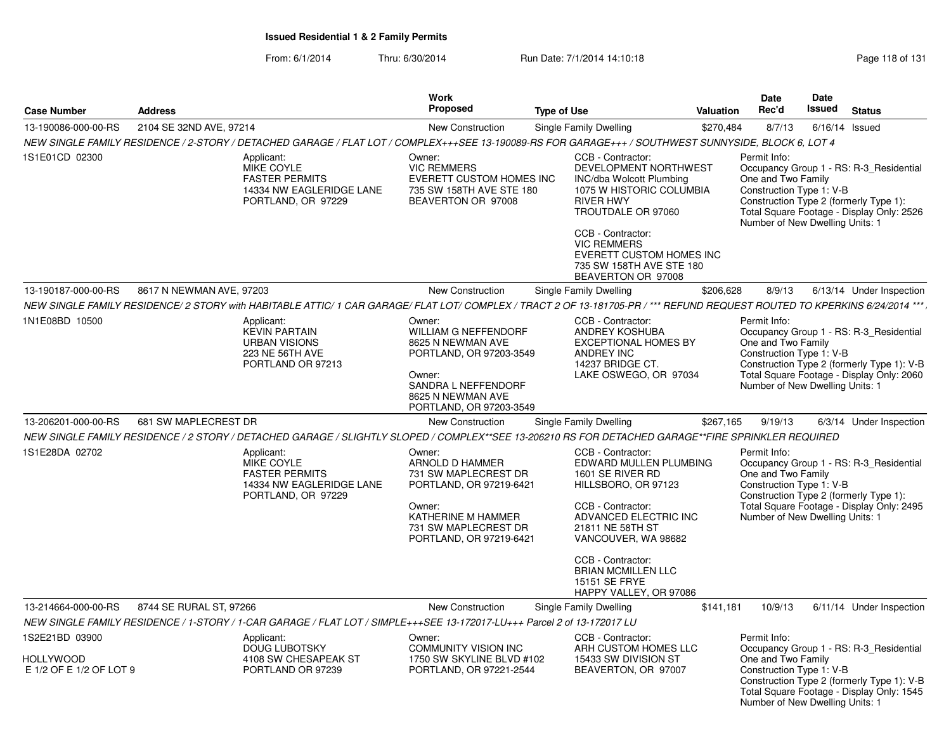| <b>Case Number</b>                                            | <b>Address</b>                                                                                                                                                           | Work<br><b>Proposed</b>                                                                                                                                                | <b>Type of Use</b>                                                                                                                                                                                                                                                    | Valuation | Date<br>Rec'd                                                                                     | Date<br><b>Issued</b> | <b>Status</b>                                                                                                                      |
|---------------------------------------------------------------|--------------------------------------------------------------------------------------------------------------------------------------------------------------------------|------------------------------------------------------------------------------------------------------------------------------------------------------------------------|-----------------------------------------------------------------------------------------------------------------------------------------------------------------------------------------------------------------------------------------------------------------------|-----------|---------------------------------------------------------------------------------------------------|-----------------------|------------------------------------------------------------------------------------------------------------------------------------|
| 13-190086-000-00-RS                                           | 2104 SE 32ND AVE, 97214                                                                                                                                                  | New Construction                                                                                                                                                       | Single Family Dwelling                                                                                                                                                                                                                                                | \$270,484 | 8/7/13                                                                                            | 6/16/14               | Issued                                                                                                                             |
|                                                               | NEW SINGLE FAMILY RESIDENCE / 2-STORY / DETACHED GARAGE / FLAT LOT / COMPLEX+++SEE 13-190089-RS FOR GARAGE+++ / SOUTHWEST SUNNYSIDE, BLOCK 6, LOT 4                      |                                                                                                                                                                        |                                                                                                                                                                                                                                                                       |           |                                                                                                   |                       |                                                                                                                                    |
| 1S1E01CD 02300                                                | Applicant:<br><b>MIKE COYLE</b><br><b>FASTER PERMITS</b><br>14334 NW EAGLERIDGE LANE<br>PORTLAND, OR 97229                                                               | Owner:<br><b>VIC REMMERS</b><br>EVERETT CUSTOM HOMES INC<br>735 SW 158TH AVE STE 180<br>BEAVERTON OR 97008                                                             | CCB - Contractor:<br>DEVELOPMENT NORTHWEST<br>INC/dba Wolcott Plumbing<br>1075 W HISTORIC COLUMBIA<br><b>RIVER HWY</b><br>TROUTDALE OR 97060<br>CCB - Contractor:<br><b>VIC REMMERS</b><br>EVERETT CUSTOM HOMES INC<br>735 SW 158TH AVE STE 180<br>BEAVERTON OR 97008 |           | Permit Info:<br>One and Two Family<br>Construction Type 1: V-B<br>Number of New Dwelling Units: 1 |                       | Occupancy Group 1 - RS: R-3_Residential<br>Construction Type 2 (formerly Type 1):<br>Total Square Footage - Display Only: 2526     |
| 13-190187-000-00-RS                                           | 8617 N NEWMAN AVE, 97203                                                                                                                                                 | New Construction                                                                                                                                                       | Single Family Dwelling                                                                                                                                                                                                                                                | \$206,628 | 8/9/13                                                                                            |                       | 6/13/14 Under Inspection                                                                                                           |
|                                                               | NEW SINGLE FAMILY RESIDENCE/2 STORY with HABITABLE ATTIC/1 CAR GARAGE/ FLAT LOT/COMPLEX / TRACT 2 OF 13-181705-PR / *** REFUND REQUEST ROUTED TO KPERKINS 6/24/2014 ***, |                                                                                                                                                                        |                                                                                                                                                                                                                                                                       |           |                                                                                                   |                       |                                                                                                                                    |
| 1N1E08BD 10500                                                | Applicant:<br><b>KEVIN PARTAIN</b><br><b>URBAN VISIONS</b><br>223 NE 56TH AVE<br>PORTLAND OR 97213                                                                       | Owner:<br><b>WILLIAM G NEFFENDORF</b><br>8625 N NEWMAN AVE<br>PORTLAND, OR 97203-3549<br>Owner:<br>SANDRA L NEFFENDORF<br>8625 N NEWMAN AVE<br>PORTLAND, OR 97203-3549 | CCB - Contractor:<br>ANDREY KOSHUBA<br><b>EXCEPTIONAL HOMES BY</b><br><b>ANDREY INC</b><br>14237 BRIDGE CT.<br>LAKE OSWEGO, OR 97034                                                                                                                                  |           | Permit Info:<br>One and Two Family<br>Construction Type 1: V-B<br>Number of New Dwelling Units: 1 |                       | Occupancy Group 1 - RS: R-3 Residential<br>Construction Type 2 (formerly Type 1): V-B<br>Total Square Footage - Display Only: 2060 |
| 13-206201-000-00-RS                                           | 681 SW MAPLECREST DR                                                                                                                                                     | <b>New Construction</b>                                                                                                                                                | Single Family Dwelling                                                                                                                                                                                                                                                | \$267,165 | 9/19/13                                                                                           |                       | 6/3/14 Under Inspection                                                                                                            |
|                                                               | NEW SINGLE FAMILY RESIDENCE / 2 STORY / DETACHED GARAGE / SLIGHTLY SLOPED / COMPLEX**SEE 13-206210 RS FOR DETACHED GARAGE**FIRE SPRINKLER REQUIRED                       |                                                                                                                                                                        |                                                                                                                                                                                                                                                                       |           |                                                                                                   |                       |                                                                                                                                    |
| 1S1E28DA 02702                                                | Applicant:<br><b>MIKE COYLE</b><br><b>FASTER PERMITS</b><br>14334 NW EAGLERIDGE LANE<br>PORTLAND, OR 97229                                                               | Owner:<br>ARNOLD D HAMMER<br>731 SW MAPLECREST DR<br>PORTLAND, OR 97219-6421<br>Owner:<br>KATHERINE M HAMMER<br>731 SW MAPLECREST DR<br>PORTLAND, OR 97219-6421        | CCB - Contractor:<br>EDWARD MULLEN PLUMBING<br>1601 SE RIVER RD<br>HILLSBORO, OR 97123<br>CCB - Contractor:<br>ADVANCED ELECTRIC INC<br>21811 NE 58TH ST<br>VANCOUVER, WA 98682<br>CCB - Contractor:                                                                  |           | Permit Info:<br>One and Two Family<br>Construction Type 1: V-B<br>Number of New Dwelling Units: 1 |                       | Occupancy Group 1 - RS: R-3 Residential<br>Construction Type 2 (formerly Type 1):<br>Total Square Footage - Display Only: 2495     |
|                                                               |                                                                                                                                                                          |                                                                                                                                                                        | <b>BRIAN MCMILLEN LLC</b><br><b>15151 SE FRYE</b><br>HAPPY VALLEY, OR 97086                                                                                                                                                                                           |           |                                                                                                   |                       |                                                                                                                                    |
| 13-214664-000-00-RS                                           | 8744 SE RURAL ST, 97266                                                                                                                                                  | New Construction                                                                                                                                                       | Single Family Dwelling                                                                                                                                                                                                                                                | \$141,181 | 10/9/13                                                                                           |                       | 6/11/14 Under Inspection                                                                                                           |
|                                                               | NEW SINGLE FAMILY RESIDENCE / 1-STORY / 1-CAR GARAGE / FLAT LOT / SIMPLE+++SEE 13-172017-LU+++ Parcel 2 of 13-172017 LU                                                  |                                                                                                                                                                        |                                                                                                                                                                                                                                                                       |           |                                                                                                   |                       |                                                                                                                                    |
| 1S2E21BD 03900<br><b>HOLLYWOOD</b><br>E 1/2 OF E 1/2 OF LOT 9 | Applicant:<br><b>DOUG LUBOTSKY</b><br>4108 SW CHESAPEAK ST<br>PORTLAND OR 97239                                                                                          | Owner:<br><b>COMMUNITY VISION INC</b><br>1750 SW SKYLINE BLVD #102<br>PORTLAND, OR 97221-2544                                                                          | CCB - Contractor:<br>ARH CUSTOM HOMES LLC<br>15433 SW DIVISION ST<br>BEAVERTON, OR 97007                                                                                                                                                                              |           | Permit Info:<br>One and Two Family<br>Construction Type 1: V-B<br>Number of New Dwelling Units: 1 |                       | Occupancy Group 1 - RS: R-3_Residential<br>Construction Type 2 (formerly Type 1): V-B<br>Total Square Footage - Display Only: 1545 |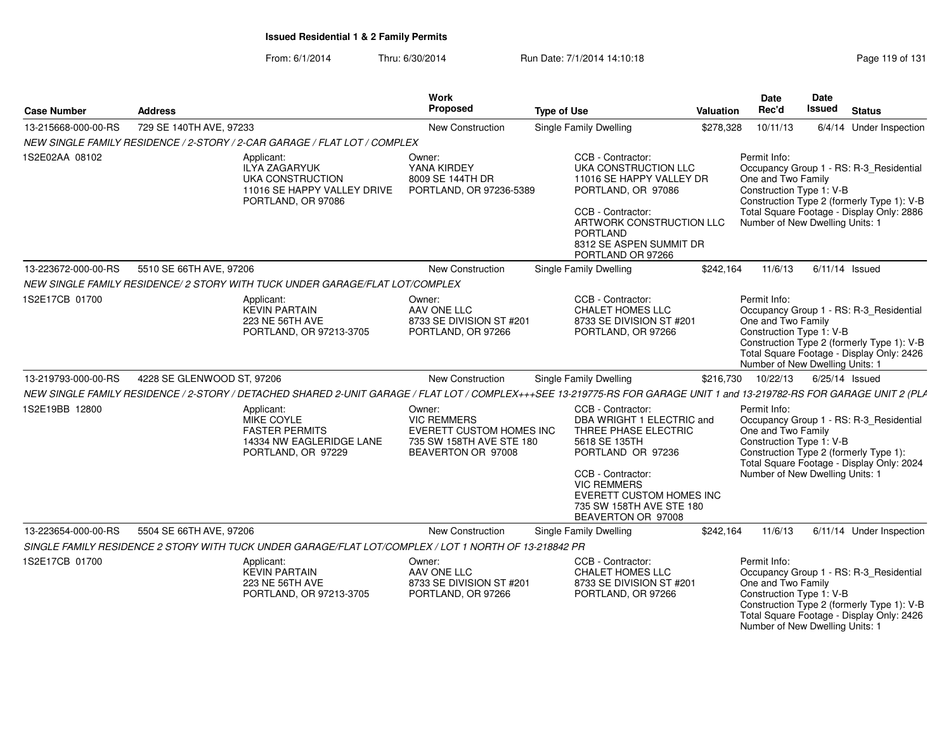From: 6/1/2014Thru: 6/30/2014 Run Date: 7/1/2014 14:10:18 Research 2010 Rage 119 of 131

| <b>Case Number</b>  | <b>Address</b>                                                                                                                                                          |                                                                                               | Work<br>Proposed                                                                                           | <b>Type of Use</b> |                                                                                                                                                                                                                                              | Valuation | <b>Date</b><br>Rec'd                                                                                                                        | <b>Date</b><br>Issued | <b>Status</b>                                                                                                                      |
|---------------------|-------------------------------------------------------------------------------------------------------------------------------------------------------------------------|-----------------------------------------------------------------------------------------------|------------------------------------------------------------------------------------------------------------|--------------------|----------------------------------------------------------------------------------------------------------------------------------------------------------------------------------------------------------------------------------------------|-----------|---------------------------------------------------------------------------------------------------------------------------------------------|-----------------------|------------------------------------------------------------------------------------------------------------------------------------|
| 13-215668-000-00-RS | 729 SE 140TH AVE, 97233                                                                                                                                                 |                                                                                               | <b>New Construction</b>                                                                                    |                    | <b>Single Family Dwelling</b>                                                                                                                                                                                                                | \$278,328 | 10/11/13                                                                                                                                    |                       | 6/4/14 Under Inspection                                                                                                            |
|                     | NEW SINGLE FAMILY RESIDENCE / 2-STORY / 2-CAR GARAGE / FLAT LOT / COMPLEX                                                                                               |                                                                                               |                                                                                                            |                    |                                                                                                                                                                                                                                              |           |                                                                                                                                             |                       |                                                                                                                                    |
| 1S2E02AA 08102      | Applicant:                                                                                                                                                              | <b>ILYA ZAGARYUK</b><br>UKA CONSTRUCTION<br>11016 SE HAPPY VALLEY DRIVE<br>PORTLAND, OR 97086 | Owner:<br>YANA KIRDEY<br>8009 SE 144TH DR<br>PORTLAND, OR 97236-5389                                       |                    | CCB - Contractor:<br>UKA CONSTRUCTION LLC<br>11016 SE HAPPY VALLEY DR<br>PORTLAND, OR 97086<br>CCB - Contractor:<br>ARTWORK CONSTRUCTION LLC<br><b>PORTLAND</b><br>8312 SE ASPEN SUMMIT DR<br>PORTLAND OR 97266                              |           | Permit Info:<br>One and Two Family<br>Construction Type 1: V-B<br>Number of New Dwelling Units: 1                                           |                       | Occupancy Group 1 - RS: R-3_Residential<br>Construction Type 2 (formerly Type 1): V-B<br>Total Square Footage - Display Only: 2886 |
| 13-223672-000-00-RS | 5510 SE 66TH AVE, 97206                                                                                                                                                 |                                                                                               | New Construction                                                                                           |                    | Single Family Dwelling                                                                                                                                                                                                                       | \$242,164 | 11/6/13                                                                                                                                     | $6/11/14$ Issued      |                                                                                                                                    |
|                     | NEW SINGLE FAMILY RESIDENCE/ 2 STORY WITH TUCK UNDER GARAGE/FLAT LOT/COMPLEX                                                                                            |                                                                                               |                                                                                                            |                    |                                                                                                                                                                                                                                              |           |                                                                                                                                             |                       |                                                                                                                                    |
| 1S2E17CB 01700      | Applicant:                                                                                                                                                              | <b>KEVIN PARTAIN</b><br>223 NE 56TH AVE<br>PORTLAND, OR 97213-3705                            | Owner:<br>AAV ONE LLC<br>8733 SE DIVISION ST #201<br>PORTLAND, OR 97266                                    |                    | CCB - Contractor:<br><b>CHALET HOMES LLC</b><br>8733 SE DIVISION ST #201<br>PORTLAND, OR 97266                                                                                                                                               |           | Permit Info:<br>One and Two Family<br>Construction Type 1: V-B<br>Number of New Dwelling Units: 1                                           |                       | Occupancy Group 1 - RS: R-3_Residential<br>Construction Type 2 (formerly Type 1): V-B<br>Total Square Footage - Display Only: 2426 |
| 13-219793-000-00-RS | 4228 SE GLENWOOD ST, 97206                                                                                                                                              |                                                                                               | <b>New Construction</b>                                                                                    |                    | <b>Single Family Dwelling</b>                                                                                                                                                                                                                | \$216,730 | 10/22/13                                                                                                                                    | 6/25/14 Issued        |                                                                                                                                    |
|                     | NEW SINGLE FAMILY RESIDENCE / 2-STORY / DETACHED SHARED 2-UNIT GARAGE / FLAT LOT / COMPLEX+++SEE 13-219775-RS FOR GARAGE UNIT 1 and 13-219782-RS FOR GARAGE UNIT 2 (PLA |                                                                                               |                                                                                                            |                    |                                                                                                                                                                                                                                              |           |                                                                                                                                             |                       |                                                                                                                                    |
| 1S2E19BB 12800      | Applicant:                                                                                                                                                              | MIKE COYLE<br><b>FASTER PERMITS</b><br>14334 NW EAGLERIDGE LANE<br>PORTLAND, OR 97229         | Owner:<br><b>VIC REMMERS</b><br>EVERETT CUSTOM HOMES INC<br>735 SW 158TH AVE STE 180<br>BEAVERTON OR 97008 |                    | CCB - Contractor:<br>DBA WRIGHT 1 ELECTRIC and<br>THREE PHASE ELECTRIC<br>5618 SE 135TH<br>PORTLAND OR 97236<br>CCB - Contractor:<br><b>VIC REMMERS</b><br><b>EVERETT CUSTOM HOMES INC</b><br>735 SW 158TH AVE STE 180<br>BEAVERTON OR 97008 |           | Permit Info:<br>One and Two Family<br>Construction Type 1: V-B<br>Construction Type 2 (formerly Type 1):<br>Number of New Dwelling Units: 1 |                       | Occupancy Group 1 - RS: R-3_Residential<br>Total Square Footage - Display Only: 2024                                               |
| 13-223654-000-00-RS | 5504 SE 66TH AVE, 97206                                                                                                                                                 |                                                                                               | New Construction                                                                                           |                    | Single Family Dwelling                                                                                                                                                                                                                       | \$242,164 | 11/6/13                                                                                                                                     |                       | 6/11/14 Under Inspection                                                                                                           |
|                     | SINGLE FAMILY RESIDENCE 2 STORY WITH TUCK UNDER GARAGE/FLAT LOT/COMPLEX / LOT 1 NORTH OF 13-218842 PR                                                                   |                                                                                               |                                                                                                            |                    |                                                                                                                                                                                                                                              |           |                                                                                                                                             |                       |                                                                                                                                    |
| 1S2E17CB 01700      | Applicant:                                                                                                                                                              | <b>KEVIN PARTAIN</b><br>223 NE 56TH AVE<br>PORTLAND, OR 97213-3705                            | Owner:<br>AAV ONE LLC<br>8733 SE DIVISION ST #201<br>PORTLAND, OR 97266                                    |                    | CCB - Contractor:<br>CHALET HOMES LLC<br>8733 SE DIVISION ST #201<br>PORTLAND, OR 97266                                                                                                                                                      |           | Permit Info:<br>One and Two Family<br>Construction Type 1: V-B<br>Number of New Dwelling Units: 1                                           |                       | Occupancy Group 1 - RS: R-3_Residential<br>Construction Type 2 (formerly Type 1): V-B<br>Total Square Footage - Display Only: 2426 |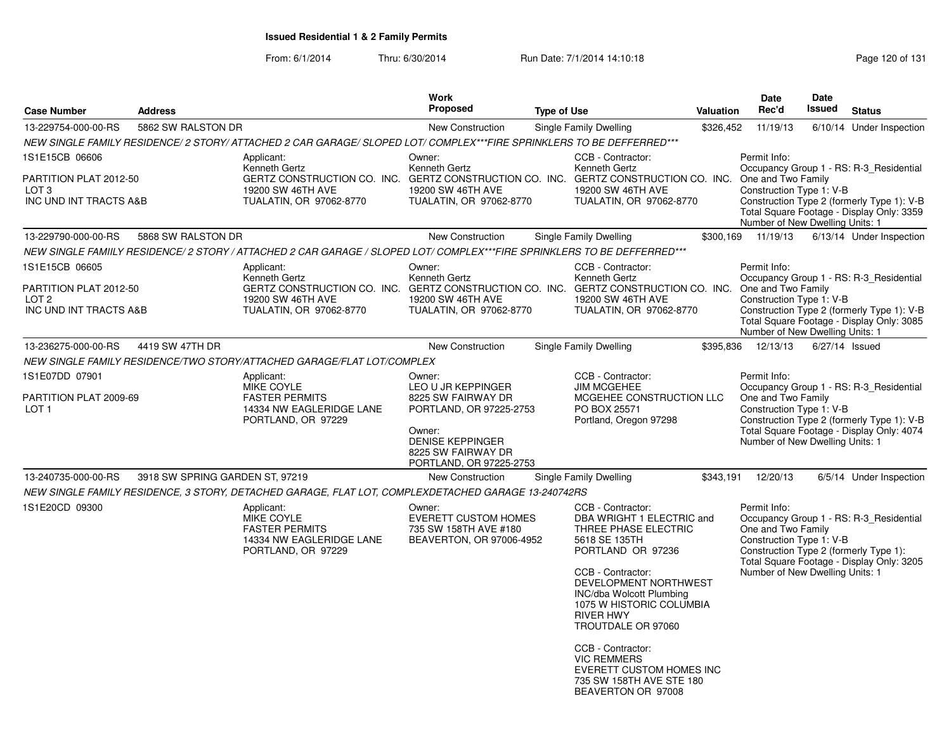From: 6/1/2014Thru: 6/30/2014 Run Date: 7/1/2014 14:10:18 Research 20 of 131

| <b>Proposed</b>                                                                                                                                                                                                                               | <b>Type of Use</b>                                                                                                     | <b>Valuation</b>                                                                                                                                                                                                                                                    | Date<br>Rec'd                                                                                                                                                                                                                                                             | Date<br><b>Issued</b> | <b>Status</b>                                                                                                                                                                                                       |
|-----------------------------------------------------------------------------------------------------------------------------------------------------------------------------------------------------------------------------------------------|------------------------------------------------------------------------------------------------------------------------|---------------------------------------------------------------------------------------------------------------------------------------------------------------------------------------------------------------------------------------------------------------------|---------------------------------------------------------------------------------------------------------------------------------------------------------------------------------------------------------------------------------------------------------------------------|-----------------------|---------------------------------------------------------------------------------------------------------------------------------------------------------------------------------------------------------------------|
| New Construction                                                                                                                                                                                                                              | Single Family Dwelling                                                                                                 | \$326,452                                                                                                                                                                                                                                                           | 11/19/13                                                                                                                                                                                                                                                                  |                       | 6/10/14 Under Inspection                                                                                                                                                                                            |
| NEW SINGLE FAMILY RESIDENCE/2 STORY/ ATTACHED 2 CAR GARAGE/ SLOPED LOT/ COMPLEX***FIRE SPRINKLERS TO BE DEFFERRED***                                                                                                                          |                                                                                                                        |                                                                                                                                                                                                                                                                     |                                                                                                                                                                                                                                                                           |                       |                                                                                                                                                                                                                     |
| Applicant:<br>Owner:<br>Kenneth Gertz<br>Kenneth Gertz<br>GERTZ CONSTRUCTION CO. INC. GERTZ CONSTRUCTION CO. INC. GERTZ CONSTRUCTION CO. INC.<br>19200 SW 46TH AVE<br>19200 SW 46TH AVE<br>TUALATIN, OR 97062-8770<br>TUALATIN, OR 97062-8770 | CCB - Contractor:<br>Kenneth Gertz<br>19200 SW 46TH AVE<br>TUALATIN, OR 97062-8770                                     |                                                                                                                                                                                                                                                                     | Permit Info:<br>One and Two Family<br>Construction Type 1: V-B<br>Number of New Dwelling Units: 1                                                                                                                                                                         |                       | Occupancy Group 1 - RS: R-3_Residential<br>Construction Type 2 (formerly Type 1): V-B<br>Total Square Footage - Display Only: 3359                                                                                  |
| New Construction                                                                                                                                                                                                                              | Single Family Dwelling                                                                                                 | \$300,169                                                                                                                                                                                                                                                           | 11/19/13                                                                                                                                                                                                                                                                  |                       | 6/13/14 Under Inspection                                                                                                                                                                                            |
| NEW SINGLE FAMIILY RESIDENCE/ 2 STORY / ATTACHED 2 CAR GARAGE / SLOPED LOT/ COMPLEX***FIRE SPRINKLERS TO BE DEFFERRED***                                                                                                                      |                                                                                                                        |                                                                                                                                                                                                                                                                     |                                                                                                                                                                                                                                                                           |                       |                                                                                                                                                                                                                     |
| Applicant:<br>Owner:<br>Kenneth Gertz<br>Kenneth Gertz<br>GERTZ CONSTRUCTION CO. INC. GERTZ CONSTRUCTION CO. INC. GERTZ CONSTRUCTION CO. INC.<br>19200 SW 46TH AVE<br>19200 SW 46TH AVE<br>TUALATIN, OR 97062-8770<br>TUALATIN, OR 97062-8770 | CCB - Contractor:<br>Kenneth Gertz<br>19200 SW 46TH AVE<br>TUALATIN, OR 97062-8770                                     |                                                                                                                                                                                                                                                                     | Permit Info:<br>One and Two Family<br>Construction Type 1: V-B<br>Number of New Dwelling Units: 1                                                                                                                                                                         |                       | Occupancy Group 1 - RS: R-3 Residential<br>Construction Type 2 (formerly Type 1): V-B<br>Total Square Footage - Display Only: 3085                                                                                  |
| New Construction                                                                                                                                                                                                                              | Single Family Dwelling                                                                                                 | \$395,836                                                                                                                                                                                                                                                           | 12/13/13                                                                                                                                                                                                                                                                  | 6/27/14 Issued        |                                                                                                                                                                                                                     |
| NEW SINGLE FAMILY RESIDENCE/TWO STORY/ATTACHED GARAGE/FLAT LOT/COMPLEX                                                                                                                                                                        |                                                                                                                        |                                                                                                                                                                                                                                                                     |                                                                                                                                                                                                                                                                           |                       |                                                                                                                                                                                                                     |
| Applicant:<br>Owner:<br>MIKE COYLE<br>LEO U JR KEPPINGER<br><b>FASTER PERMITS</b><br>8225 SW FAIRWAY DR<br>14334 NW EAGLERIDGE LANE<br>PORTLAND, OR 97225-2753<br>PORTLAND, OR 97229<br>Owner:<br><b>DENISE KEPPINGER</b>                     | CCB - Contractor:<br><b>JIM MCGEHEE</b><br>MCGEHEE CONSTRUCTION LLC<br>PO BOX 25571<br>Portland, Oregon 97298          |                                                                                                                                                                                                                                                                     | Permit Info:<br>One and Two Family<br>Construction Type 1: V-B<br>Number of New Dwelling Units: 1                                                                                                                                                                         |                       | Occupancy Group 1 - RS: R-3 Residential<br>Construction Type 2 (formerly Type 1): V-B<br>Total Square Footage - Display Only: 4074                                                                                  |
| 3918 SW SPRING GARDEN ST, 97219                                                                                                                                                                                                               | Single Family Dwelling                                                                                                 |                                                                                                                                                                                                                                                                     | 12/20/13                                                                                                                                                                                                                                                                  |                       | 6/5/14 Under Inspection                                                                                                                                                                                             |
| Applicant:<br>Owner:<br>MIKE COYLE<br><b>FASTER PERMITS</b><br>14334 NW EAGLERIDGE LANE<br>PORTLAND, OR 97229                                                                                                                                 | CCB - Contractor:<br>5618 SE 135TH<br>CCB - Contractor:<br><b>RIVER HWY</b><br>CCB - Contractor:<br><b>VIC REMMERS</b> |                                                                                                                                                                                                                                                                     | Permit Info:                                                                                                                                                                                                                                                              |                       |                                                                                                                                                                                                                     |
|                                                                                                                                                                                                                                               |                                                                                                                        | 8225 SW FAIRWAY DR<br>PORTLAND, OR 97225-2753<br><b>New Construction</b><br>NEW SINGLE FAMILY RESIDENCE, 3 STORY, DETACHED GARAGE, FLAT LOT, COMPLEXDETACHED GARAGE 13-240742RS<br><b>EVERETT CUSTOM HOMES</b><br>735 SW 158TH AVE #180<br>BEAVERTON, OR 97006-4952 | DBA WRIGHT 1 ELECTRIC and<br>THREE PHASE ELECTRIC<br>PORTLAND OR 97236<br>DEVELOPMENT NORTHWEST<br><b>INC/dba Wolcott Plumbing</b><br>1075 W HISTORIC COLUMBIA<br>TROUTDALE OR 97060<br><b>EVERETT CUSTOM HOMES INC</b><br>735 SW 158TH AVE STE 180<br>BEAVERTON OR 97008 | \$343,191             | Occupancy Group 1 - RS: R-3_Residential<br>One and Two Family<br>Construction Type 1: V-B<br>Construction Type 2 (formerly Type 1):<br>Total Square Footage - Display Only: 3205<br>Number of New Dwelling Units: 1 |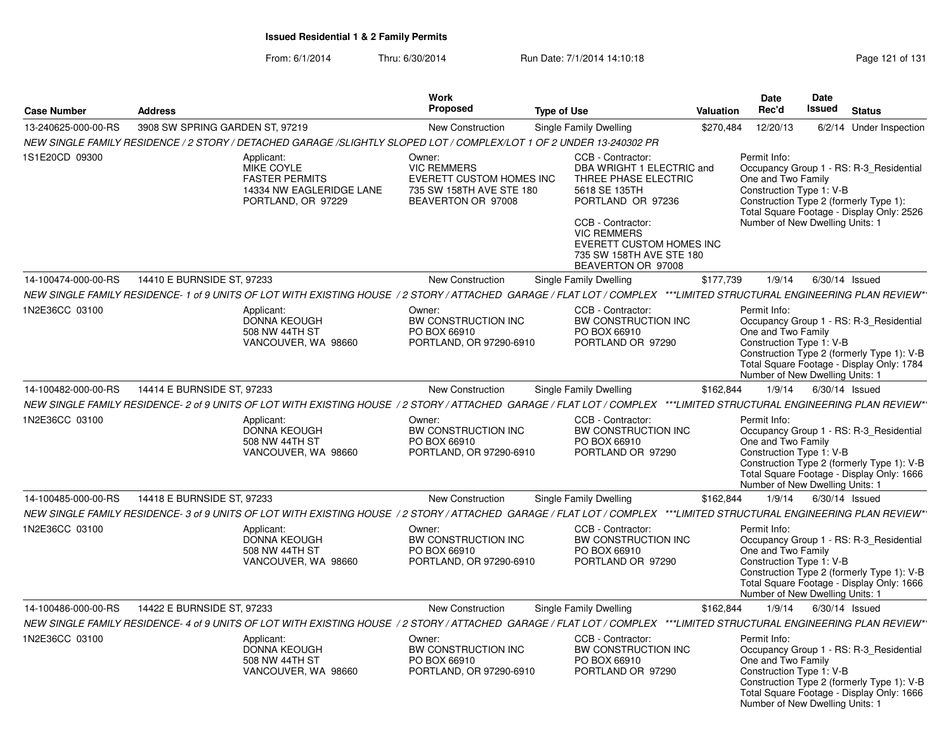| <b>Case Number</b>  | <b>Address</b>                                                                                                                                                       | <b>Work</b><br><b>Proposed</b>                                                                             | <b>Type of Use</b>                                                                                                                                                                                                                    | Valuation | <b>Date</b><br>Rec'd                                                                              | <b>Date</b><br><b>Issued</b> | <b>Status</b>                                                                                                                      |
|---------------------|----------------------------------------------------------------------------------------------------------------------------------------------------------------------|------------------------------------------------------------------------------------------------------------|---------------------------------------------------------------------------------------------------------------------------------------------------------------------------------------------------------------------------------------|-----------|---------------------------------------------------------------------------------------------------|------------------------------|------------------------------------------------------------------------------------------------------------------------------------|
| 13-240625-000-00-RS | 3908 SW SPRING GARDEN ST, 97219                                                                                                                                      | New Construction                                                                                           | Single Family Dwelling                                                                                                                                                                                                                | \$270,484 | 12/20/13                                                                                          |                              | 6/2/14 Under Inspection                                                                                                            |
|                     | NEW SINGLE FAMILY RESIDENCE / 2 STORY / DETACHED GARAGE /SLIGHTLY SLOPED LOT / COMPLEX/LOT 1 OF 2 UNDER 13-240302 PR                                                 |                                                                                                            |                                                                                                                                                                                                                                       |           |                                                                                                   |                              |                                                                                                                                    |
| 1S1E20CD 09300      | Applicant:<br>MIKE COYLE<br><b>FASTER PERMITS</b><br>14334 NW EAGLERIDGE LANE<br>PORTLAND, OR 97229                                                                  | Owner:<br><b>VIC REMMERS</b><br>EVERETT CUSTOM HOMES INC<br>735 SW 158TH AVE STE 180<br>BEAVERTON OR 97008 | CCB - Contractor:<br>DBA WRIGHT 1 ELECTRIC and<br>THREE PHASE ELECTRIC<br>5618 SE 135TH<br>PORTLAND OR 97236<br>CCB - Contractor:<br><b>VIC REMMERS</b><br>EVERETT CUSTOM HOMES INC<br>735 SW 158TH AVE STE 180<br>BEAVERTON OR 97008 |           | Permit Info:<br>One and Two Family<br>Construction Type 1: V-B<br>Number of New Dwelling Units: 1 |                              | Occupancy Group 1 - RS: R-3 Residential<br>Construction Type 2 (formerly Type 1):<br>Total Square Footage - Display Only: 2526     |
| 14-100474-000-00-RS | 14410 E BURNSIDE ST, 97233                                                                                                                                           | <b>New Construction</b>                                                                                    | Single Family Dwelling                                                                                                                                                                                                                | \$177,739 | 1/9/14                                                                                            | $6/30/14$ Issued             |                                                                                                                                    |
|                     | NEW SINGLE FAMILY RESIDENCE-1 of 9 UNITS OF LOT WITH EXISTING HOUSE / 2 STORY / ATTACHED GARAGE / FLAT LOT / COMPLEX ***LIMITED STRUCTURAL ENGINEERING PLAN REVIEW*  |                                                                                                            |                                                                                                                                                                                                                                       |           |                                                                                                   |                              |                                                                                                                                    |
| 1N2E36CC 03100      | Applicant:<br>DONNA KEOUGH<br>508 NW 44TH ST<br>VANCOUVER, WA 98660                                                                                                  | Owner:<br>BW CONSTRUCTION INC<br>PO BOX 66910<br>PORTLAND, OR 97290-6910                                   | CCB - Contractor:<br>BW CONSTRUCTION INC<br>PO BOX 66910<br>PORTLAND OR 97290                                                                                                                                                         |           | Permit Info:<br>One and Two Family<br>Construction Type 1: V-B<br>Number of New Dwelling Units: 1 |                              | Occupancy Group 1 - RS: R-3 Residential<br>Construction Type 2 (formerly Type 1): V-B<br>Total Square Footage - Display Only: 1784 |
| 14-100482-000-00-RS | 14414 E BURNSIDE ST, 97233                                                                                                                                           | <b>New Construction</b>                                                                                    | Single Family Dwelling                                                                                                                                                                                                                | \$162,844 | 1/9/14                                                                                            | $6/30/14$ Issued             |                                                                                                                                    |
|                     | NEW SINGLE FAMILY RESIDENCE- 2 of 9 UNITS OF LOT WITH EXISTING HOUSE / 2 STORY / ATTACHED GARAGE / FLAT LOT / COMPLEX ***LIMITED STRUCTURAL ENGINEERING PLAN REVIEW* |                                                                                                            |                                                                                                                                                                                                                                       |           |                                                                                                   |                              |                                                                                                                                    |
| 1N2E36CC 03100      | Applicant:<br>DONNA KEOUGH<br>508 NW 44TH ST<br>VANCOUVER, WA 98660                                                                                                  | Owner:<br>BW CONSTRUCTION INC<br>PO BOX 66910<br>PORTLAND, OR 97290-6910                                   | CCB - Contractor:<br>BW CONSTRUCTION INC<br>PO BOX 66910<br>PORTLAND OR 97290                                                                                                                                                         |           | Permit Info:<br>One and Two Family<br>Construction Type 1: V-B<br>Number of New Dwelling Units: 1 |                              | Occupancy Group 1 - RS: R-3_Residential<br>Construction Type 2 (formerly Type 1): V-B<br>Total Square Footage - Display Only: 1666 |
| 14-100485-000-00-RS | 14418 E BURNSIDE ST, 97233                                                                                                                                           | New Construction                                                                                           | Single Family Dwelling                                                                                                                                                                                                                | \$162,844 | 1/9/14                                                                                            | $6/30/14$ Issued             |                                                                                                                                    |
|                     | NEW SINGLE FAMILY RESIDENCE- 3 of 9 UNITS OF LOT WITH EXISTING HOUSE / 2 STORY / ATTACHED GARAGE / FLAT LOT / COMPLEX ***LIMITED STRUCTURAL ENGINEERING PLAN REVIEW* |                                                                                                            |                                                                                                                                                                                                                                       |           |                                                                                                   |                              |                                                                                                                                    |
| 1N2E36CC 03100      | Applicant:<br><b>DONNA KEOUGH</b><br>508 NW 44TH ST<br>VANCOUVER, WA 98660                                                                                           | Owner:<br>BW CONSTRUCTION INC<br>PO BOX 66910<br>PORTLAND, OR 97290-6910                                   | CCB - Contractor:<br>BW CONSTRUCTION INC<br>PO BOX 66910<br>PORTLAND OR 97290                                                                                                                                                         |           | Permit Info:<br>One and Two Family<br>Construction Type 1: V-B<br>Number of New Dwelling Units: 1 |                              | Occupancy Group 1 - RS: R-3_Residential<br>Construction Type 2 (formerly Type 1): V-B<br>Total Square Footage - Display Only: 1666 |
| 14-100486-000-00-RS | 14422 E BURNSIDE ST, 97233                                                                                                                                           | <b>New Construction</b>                                                                                    | Single Family Dwelling                                                                                                                                                                                                                | \$162,844 | 1/9/14                                                                                            | $6/30/14$ Issued             |                                                                                                                                    |
|                     | NEW SINGLE FAMILY RESIDENCE- 4 of 9 UNITS OF LOT WITH EXISTING HOUSE / 2 STORY / ATTACHED GARAGE / FLAT LOT / COMPLEX ***LIMITED STRUCTURAL ENGINEERING PLAN REVIEW* |                                                                                                            |                                                                                                                                                                                                                                       |           |                                                                                                   |                              |                                                                                                                                    |
| 1N2E36CC 03100      | Applicant:<br><b>DONNA KEOUGH</b><br>508 NW 44TH ST<br>VANCOUVER, WA 98660                                                                                           | Owner:<br>BW CONSTRUCTION INC<br>PO BOX 66910<br>PORTLAND, OR 97290-6910                                   | CCB - Contractor:<br>BW CONSTRUCTION INC<br>PO BOX 66910<br>PORTLAND OR 97290                                                                                                                                                         |           | Permit Info:<br>One and Two Family<br>Construction Type 1: V-B<br>Number of New Dwelling Units: 1 |                              | Occupancy Group 1 - RS: R-3_Residential<br>Construction Type 2 (formerly Type 1): V-B<br>Total Square Footage - Display Only: 1666 |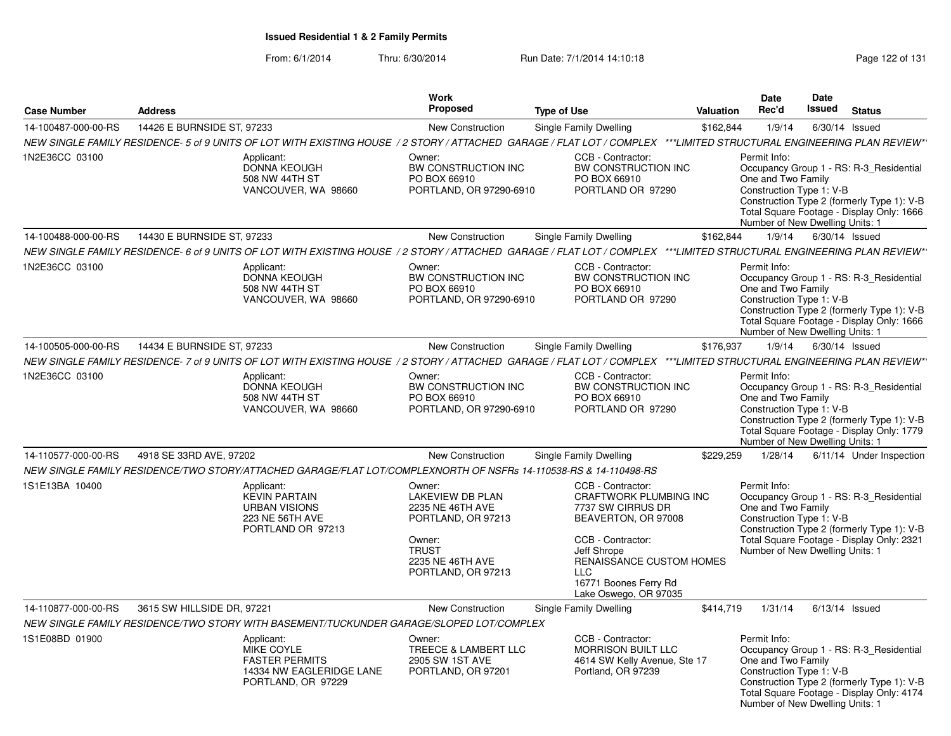From: 6/1/2014Thru: 6/30/2014 Run Date: 7/1/2014 14:10:18 Research 2010 Rage 122 of 131

|                     |                            |                                                                                                                  | <b>Work</b><br>Proposed                                                               |                                                                                                                                                                      |           | <b>Date</b>                                                                                       | <b>Date</b><br><b>Issued</b> |                                                                                                                                    |
|---------------------|----------------------------|------------------------------------------------------------------------------------------------------------------|---------------------------------------------------------------------------------------|----------------------------------------------------------------------------------------------------------------------------------------------------------------------|-----------|---------------------------------------------------------------------------------------------------|------------------------------|------------------------------------------------------------------------------------------------------------------------------------|
| <b>Case Number</b>  | <b>Address</b>             |                                                                                                                  |                                                                                       | <b>Type of Use</b>                                                                                                                                                   | Valuation | Rec'd                                                                                             |                              | <b>Status</b>                                                                                                                      |
| 14-100487-000-00-RS | 14426 E BURNSIDE ST. 97233 |                                                                                                                  | New Construction                                                                      | Single Family Dwelling                                                                                                                                               | \$162,844 | 1/9/14                                                                                            |                              | 6/30/14 Issued                                                                                                                     |
|                     |                            |                                                                                                                  |                                                                                       | NEW SINGLE FAMILY RESIDENCE- 5 of 9 UNITS OF LOT WITH EXISTING HOUSE / 2 STORY / ATTACHED GARAGE / FLAT LOT / COMPLEX ***LIMITED STRUCTURAL ENGINEERING PLAN REVIEW* |           |                                                                                                   |                              |                                                                                                                                    |
| 1N2E36CC 03100      |                            | Applicant:<br>DONNA KEOUGH<br>508 NW 44TH ST<br>VANCOUVER, WA 98660                                              | Owner:<br>BW CONSTRUCTION INC<br>PO BOX 66910<br>PORTLAND, OR 97290-6910              | CCB - Contractor:<br>BW CONSTRUCTION INC<br>PO BOX 66910<br>PORTLAND OR 97290                                                                                        |           | Permit Info:<br>One and Two Family<br>Construction Type 1: V-B<br>Number of New Dwelling Units: 1 |                              | Occupancy Group 1 - RS: R-3_Residential<br>Construction Type 2 (formerly Type 1): V-B<br>Total Square Footage - Display Only: 1666 |
| 14-100488-000-00-RS | 14430 E BURNSIDE ST, 97233 |                                                                                                                  | <b>New Construction</b>                                                               | Single Family Dwelling                                                                                                                                               | \$162,844 | 1/9/14                                                                                            |                              | $6/30/14$ Issued                                                                                                                   |
|                     |                            |                                                                                                                  |                                                                                       | NEW SINGLE FAMILY RESIDENCE- 6 of 9 UNITS OF LOT WITH EXISTING HOUSE / 2 STORY / ATTACHED GARAGE / FLAT LOT / COMPLEX ***LIMITED STRUCTURAL ENGINEERING PLAN REVIEW* |           |                                                                                                   |                              |                                                                                                                                    |
| 1N2E36CC 03100      |                            | Applicant:<br>DONNA KEOUGH<br>508 NW 44TH ST<br>VANCOUVER, WA 98660                                              | Owner:<br>BW CONSTRUCTION INC<br>PO BOX 66910<br>PORTLAND, OR 97290-6910              | CCB - Contractor:<br>BW CONSTRUCTION INC<br>PO BOX 66910<br>PORTLAND OR 97290                                                                                        |           | Permit Info:<br>One and Two Family<br>Construction Type 1: V-B<br>Number of New Dwelling Units: 1 |                              | Occupancy Group 1 - RS: R-3 Residential<br>Construction Type 2 (formerly Type 1): V-B<br>Total Square Footage - Display Only: 1666 |
| 14-100505-000-00-RS | 14434 E BURNSIDE ST, 97233 |                                                                                                                  | <b>New Construction</b>                                                               | Single Family Dwelling                                                                                                                                               | \$176,937 | 1/9/14                                                                                            |                              | $6/30/14$ Issued                                                                                                                   |
|                     |                            |                                                                                                                  |                                                                                       | NEW SINGLE FAMILY RESIDENCE- 7 of 9 UNITS OF LOT WITH EXISTING HOUSE / 2 STORY / ATTACHED GARAGE / FLAT LOT / COMPLEX ***LIMITED STRUCTURAL ENGINEERING PLAN REVIEW* |           |                                                                                                   |                              |                                                                                                                                    |
| 1N2E36CC 03100      |                            | Applicant:<br>DONNA KEOUGH<br>508 NW 44TH ST<br>VANCOUVER, WA 98660                                              | Owner:<br>BW CONSTRUCTION INC<br>PO BOX 66910<br>PORTLAND, OR 97290-6910              | CCB - Contractor:<br><b>BW CONSTRUCTION INC</b><br>PO BOX 66910<br>PORTLAND OR 97290                                                                                 |           | Permit Info:<br>One and Two Family<br>Construction Type 1: V-B<br>Number of New Dwelling Units: 1 |                              | Occupancy Group 1 - RS: R-3 Residential<br>Construction Type 2 (formerly Type 1): V-B<br>Total Square Footage - Display Only: 1779 |
| 14-110577-000-00-RS | 4918 SE 33RD AVE, 97202    |                                                                                                                  | <b>New Construction</b>                                                               | Single Family Dwelling                                                                                                                                               | \$229,259 | 1/28/14                                                                                           |                              | 6/11/14 Under Inspection                                                                                                           |
|                     |                            | NEW SINGLE FAMILY RESIDENCE/TWO STORY/ATTACHED GARAGE/FLAT LOT/COMPLEXNORTH OF NSFRs 14-110538-RS & 14-110498-RS |                                                                                       |                                                                                                                                                                      |           |                                                                                                   |                              |                                                                                                                                    |
| 1S1E13BA 10400      |                            | Applicant:<br><b>KEVIN PARTAIN</b><br><b>URBAN VISIONS</b><br><b>223 NE 56TH AVE</b><br>PORTLAND OR 97213        | Owner:<br><b>LAKEVIEW DB PLAN</b><br>2235 NE 46TH AVE<br>PORTLAND, OR 97213<br>Owner: | CCB - Contractor:<br><b>CRAFTWORK PLUMBING INC</b><br>7737 SW CIRRUS DR<br>BEAVERTON, OR 97008<br>CCB - Contractor:                                                  |           | Permit Info:<br>One and Two Family<br>Construction Type 1: V-B                                    |                              | Occupancy Group 1 - RS: R-3 Residential<br>Construction Type 2 (formerly Type 1): V-B<br>Total Square Footage - Display Only: 2321 |
|                     |                            |                                                                                                                  | <b>TRUST</b><br>2235 NE 46TH AVE<br>PORTLAND, OR 97213                                | Jeff Shrope<br>RENAISSANCE CUSTOM HOMES<br><b>LLC</b><br>16771 Boones Ferry Rd<br>Lake Oswego, OR 97035                                                              |           | Number of New Dwelling Units: 1                                                                   |                              |                                                                                                                                    |
| 14-110877-000-00-RS | 3615 SW HILLSIDE DR, 97221 |                                                                                                                  | New Construction                                                                      | Single Family Dwelling                                                                                                                                               | \$414,719 | 1/31/14                                                                                           |                              | $6/13/14$ Issued                                                                                                                   |
|                     |                            | NEW SINGLE FAMILY RESIDENCE/TWO STORY WITH BASEMENT/TUCKUNDER GARAGE/SLOPED LOT/COMPLEX                          |                                                                                       |                                                                                                                                                                      |           |                                                                                                   |                              |                                                                                                                                    |
| 1S1E08BD 01900      |                            | Applicant:<br><b>MIKE COYLE</b><br><b>FASTER PERMITS</b><br>14334 NW EAGLERIDGE LANE<br>PORTLAND, OR 97229       | Owner:<br>TREECE & LAMBERT LLC<br>2905 SW 1ST AVE<br>PORTLAND, OR 97201               | CCB - Contractor:<br><b>MORRISON BUILT LLC</b><br>4614 SW Kelly Avenue, Ste 17<br>Portland, OR 97239                                                                 |           | Permit Info:<br>One and Two Family<br>Construction Type 1: V-B<br>Number of New Dwelling Units: 1 |                              | Occupancy Group 1 - RS: R-3_Residential<br>Construction Type 2 (formerly Type 1): V-B<br>Total Square Footage - Display Only: 4174 |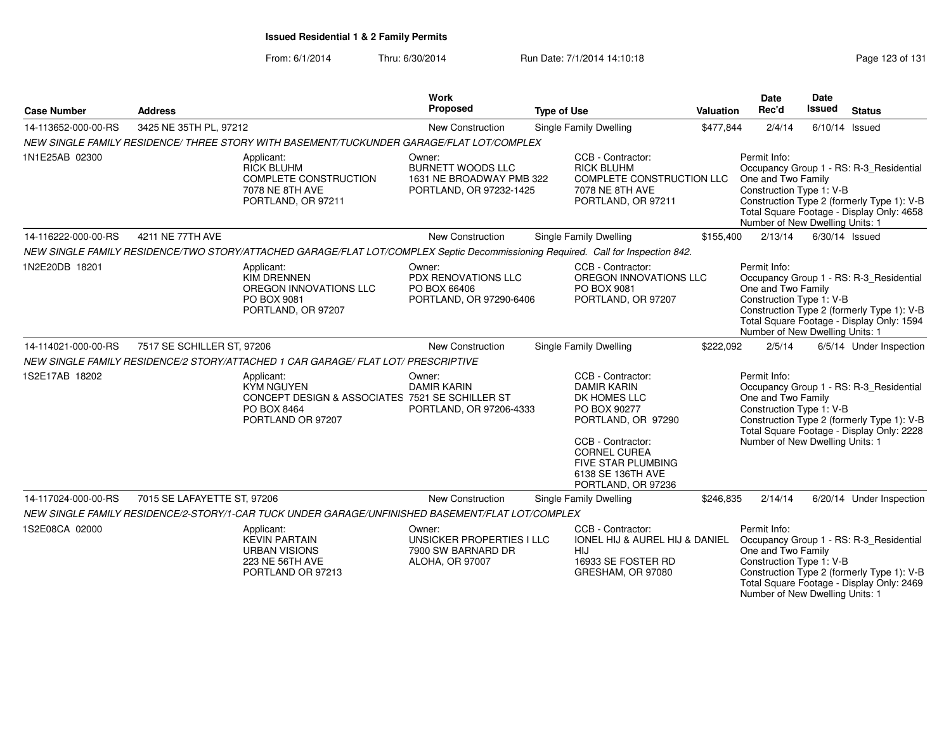| <b>Case Number</b>  | <b>Address</b>              |                                                                                                                        | Work<br>Proposed                                                                          | <b>Type of Use</b>                                                                                                                                                                                         | Valuation | Date<br>Rec'd                                                                                     | <b>Date</b><br><b>Issued</b> | <b>Status</b>                                                                                                                      |
|---------------------|-----------------------------|------------------------------------------------------------------------------------------------------------------------|-------------------------------------------------------------------------------------------|------------------------------------------------------------------------------------------------------------------------------------------------------------------------------------------------------------|-----------|---------------------------------------------------------------------------------------------------|------------------------------|------------------------------------------------------------------------------------------------------------------------------------|
| 14-113652-000-00-RS | 3425 NE 35TH PL, 97212      |                                                                                                                        | New Construction                                                                          | Single Family Dwelling                                                                                                                                                                                     | \$477,844 | 2/4/14                                                                                            | 6/10/14                      | Issued                                                                                                                             |
|                     |                             | NEW SINGLE FAMILY RESIDENCE/ THREE STORY WITH BASEMENT/TUCKUNDER GARAGE/FLAT LOT/COMPLEX                               |                                                                                           |                                                                                                                                                                                                            |           |                                                                                                   |                              |                                                                                                                                    |
| 1N1E25AB 02300      |                             | Applicant:<br><b>RICK BLUHM</b><br>COMPLETE CONSTRUCTION<br>7078 NE 8TH AVE<br>PORTLAND, OR 97211                      | Owner:<br><b>BURNETT WOODS LLC</b><br>1631 NE BROADWAY PMB 322<br>PORTLAND, OR 97232-1425 | CCB - Contractor:<br><b>RICK BLUHM</b><br>COMPLETE CONSTRUCTION LLC<br>7078 NE 8TH AVE<br>PORTLAND, OR 97211                                                                                               |           | Permit Info:<br>One and Two Family<br>Construction Type 1: V-B<br>Number of New Dwelling Units: 1 |                              | Occupancy Group 1 - RS: R-3_Residential<br>Construction Type 2 (formerly Type 1): V-B<br>Total Square Footage - Display Only: 4658 |
| 14-116222-000-00-RS | 4211 NE 77TH AVE            |                                                                                                                        | New Construction                                                                          | Single Family Dwelling                                                                                                                                                                                     | \$155,400 | 2/13/14                                                                                           |                              | 6/30/14 Issued                                                                                                                     |
|                     |                             |                                                                                                                        |                                                                                           | NEW SINGLE FAMILY RESIDENCE/TWO STORY/ATTACHED GARAGE/FLAT LOT/COMPLEX Septic Decommissioning Required. Call for Inspection 842.                                                                           |           |                                                                                                   |                              |                                                                                                                                    |
| 1N2E20DB 18201      |                             | Applicant:<br><b>KIM DRENNEN</b><br>OREGON INNOVATIONS LLC<br>PO BOX 9081<br>PORTLAND, OR 97207                        | Owner:<br>PDX RENOVATIONS LLC<br>PO BOX 66406<br>PORTLAND, OR 97290-6406                  | CCB - Contractor:<br>OREGON INNOVATIONS LLC<br>PO BOX 9081<br>PORTLAND, OR 97207                                                                                                                           |           | Permit Info:<br>One and Two Family<br>Construction Type 1: V-B<br>Number of New Dwelling Units: 1 |                              | Occupancy Group 1 - RS: R-3_Residential<br>Construction Type 2 (formerly Type 1): V-B<br>Total Square Footage - Display Only: 1594 |
| 14-114021-000-00-RS | 7517 SE SCHILLER ST, 97206  |                                                                                                                        | New Construction                                                                          | Single Family Dwelling                                                                                                                                                                                     | \$222,092 | 2/5/14                                                                                            |                              | 6/5/14 Under Inspection                                                                                                            |
|                     |                             | NEW SINGLE FAMILY RESIDENCE/2 STORY/ATTACHED 1 CAR GARAGE/ FLAT LOT/ PRESCRIPTIVE                                      |                                                                                           |                                                                                                                                                                                                            |           |                                                                                                   |                              |                                                                                                                                    |
| 1S2E17AB 18202      |                             | Applicant:<br><b>KYM NGUYEN</b><br>CONCEPT DESIGN & ASSOCIATES 7521 SE SCHILLER ST<br>PO BOX 8464<br>PORTLAND OR 97207 | Owner:<br><b>DAMIR KARIN</b><br>PORTLAND, OR 97206-4333                                   | CCB - Contractor:<br><b>DAMIR KARIN</b><br>DK HOMES LLC<br>PO BOX 90277<br>PORTLAND, OR 97290<br>CCB - Contractor:<br><b>CORNEL CUREA</b><br>FIVE STAR PLUMBING<br>6138 SE 136TH AVE<br>PORTLAND, OR 97236 |           | Permit Info:<br>One and Two Family<br>Construction Type 1: V-B<br>Number of New Dwelling Units: 1 |                              | Occupancy Group 1 - RS: R-3_Residential<br>Construction Type 2 (formerly Type 1): V-B<br>Total Square Footage - Display Only: 2228 |
| 14-117024-000-00-RS | 7015 SE LAFAYETTE ST, 97206 |                                                                                                                        | New Construction                                                                          | Single Family Dwelling                                                                                                                                                                                     | \$246,835 | 2/14/14                                                                                           |                              | 6/20/14 Under Inspection                                                                                                           |
|                     |                             | NEW SINGLE FAMILY RESIDENCE/2-STORY/1-CAR TUCK UNDER GARAGE/UNFINISHED BASEMENT/FLAT LOT/COMPLEX                       |                                                                                           |                                                                                                                                                                                                            |           |                                                                                                   |                              |                                                                                                                                    |
| 1S2E08CA 02000      |                             | Applicant:<br><b>KEVIN PARTAIN</b><br><b>URBAN VISIONS</b><br>223 NE 56TH AVE<br>PORTLAND OR 97213                     | Owner:<br>UNSICKER PROPERTIES I LLC<br>7900 SW BARNARD DR<br>ALOHA, OR 97007              | CCB - Contractor:<br>IONEL HIJ & AUREL HIJ & DANIEL<br>HIJ<br>16933 SE FOSTER RD<br>GRESHAM, OR 97080                                                                                                      |           | Permit Info:<br>One and Two Family<br>Construction Type 1: V-B<br>Number of New Dwelling Units: 1 |                              | Occupancy Group 1 - RS: R-3_Residential<br>Construction Type 2 (formerly Type 1): V-B<br>Total Square Footage - Display Only: 2469 |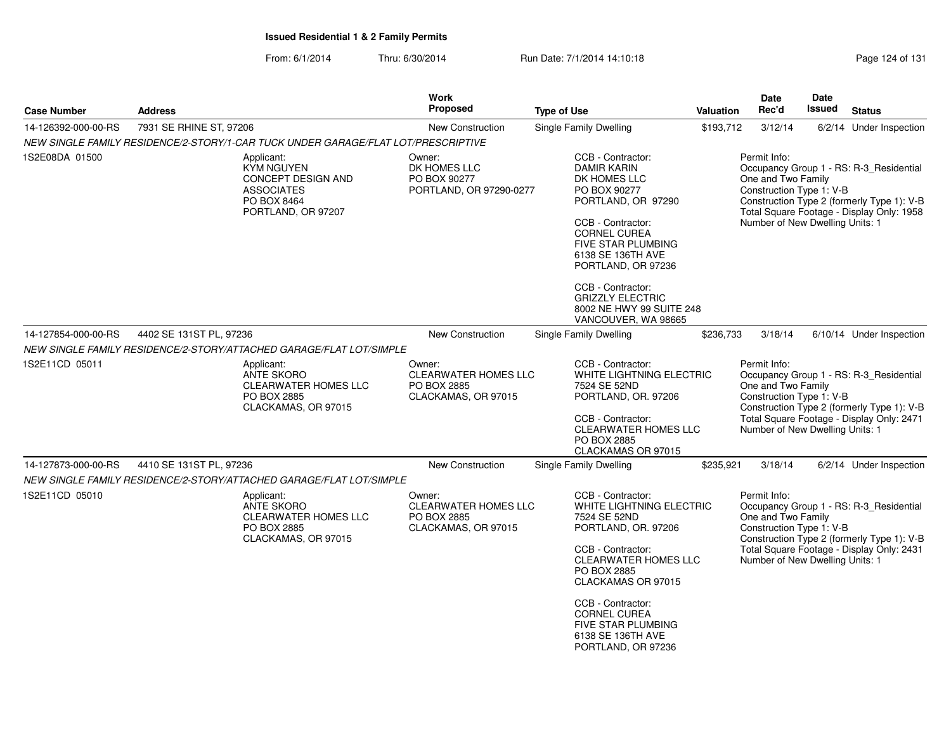From: 6/1/2014Thru: 6/30/2014 Run Date: 7/1/2014 14:10:18 Research 2010 Page 124 of 131

| <b>Case Number</b>  | <b>Address</b>                                                                                                         | <b>Work</b><br><b>Proposed</b>                                              | <b>Type of Use</b>                                                                                                                                                                                                                                                                                                   | Valuation | <b>Date</b><br>Rec'd                                                                              | <b>Date</b><br>Issued | <b>Status</b>                                                                                                                      |
|---------------------|------------------------------------------------------------------------------------------------------------------------|-----------------------------------------------------------------------------|----------------------------------------------------------------------------------------------------------------------------------------------------------------------------------------------------------------------------------------------------------------------------------------------------------------------|-----------|---------------------------------------------------------------------------------------------------|-----------------------|------------------------------------------------------------------------------------------------------------------------------------|
| 14-126392-000-00-RS | 7931 SE RHINE ST, 97206                                                                                                | <b>New Construction</b>                                                     | <b>Single Family Dwelling</b>                                                                                                                                                                                                                                                                                        | \$193,712 | 3/12/14                                                                                           |                       | 6/2/14 Under Inspection                                                                                                            |
|                     | NEW SINGLE FAMILY RESIDENCE/2-STORY/1-CAR TUCK UNDER GARAGE/FLAT LOT/PRESCRIPTIVE                                      |                                                                             |                                                                                                                                                                                                                                                                                                                      |           |                                                                                                   |                       |                                                                                                                                    |
| 1S2E08DA 01500      | Applicant:<br><b>KYM NGUYEN</b><br><b>CONCEPT DESIGN AND</b><br><b>ASSOCIATES</b><br>PO BOX 8464<br>PORTLAND, OR 97207 | Owner:<br>DK HOMES LLC<br>PO BOX 90277<br>PORTLAND, OR 97290-0277           | CCB - Contractor:<br><b>DAMIR KARIN</b><br>DK HOMES LLC<br>PO BOX 90277<br>PORTLAND, OR 97290<br>CCB - Contractor:<br><b>CORNEL CUREA</b><br><b>FIVE STAR PLUMBING</b><br>6138 SE 136TH AVE<br>PORTLAND, OR 97236<br>CCB - Contractor:<br><b>GRIZZLY ELECTRIC</b><br>8002 NE HWY 99 SUITE 248<br>VANCOUVER, WA 98665 |           | Permit Info:<br>One and Two Family<br>Construction Type 1: V-B<br>Number of New Dwelling Units: 1 |                       | Occupancy Group 1 - RS: R-3_Residential<br>Construction Type 2 (formerly Type 1): V-B<br>Total Square Footage - Display Only: 1958 |
| 14-127854-000-00-RS | 4402 SE 131ST PL, 97236                                                                                                | New Construction                                                            | Single Family Dwelling                                                                                                                                                                                                                                                                                               | \$236,733 | 3/18/14                                                                                           |                       | 6/10/14 Under Inspection                                                                                                           |
|                     | NEW SINGLE FAMILY RESIDENCE/2-STORY/ATTACHED GARAGE/FLAT LOT/SIMPLE                                                    |                                                                             |                                                                                                                                                                                                                                                                                                                      |           |                                                                                                   |                       |                                                                                                                                    |
| 1S2E11CD 05011      | Applicant:<br><b>ANTE SKORO</b><br><b>CLEARWATER HOMES LLC</b><br>PO BOX 2885<br>CLACKAMAS, OR 97015                   | Owner:<br><b>CLEARWATER HOMES LLC</b><br>PO BOX 2885<br>CLACKAMAS, OR 97015 | CCB - Contractor:<br>WHITE LIGHTNING ELECTRIC<br>7524 SE 52ND<br>PORTLAND, OR. 97206<br>CCB - Contractor:<br><b>CLEARWATER HOMES LLC</b><br>PO BOX 2885<br>CLACKAMAS OR 97015                                                                                                                                        |           | Permit Info:<br>One and Two Family<br>Construction Type 1: V-B<br>Number of New Dwelling Units: 1 |                       | Occupancy Group 1 - RS: R-3_Residential<br>Construction Type 2 (formerly Type 1): V-B<br>Total Square Footage - Display Only: 2471 |
| 14-127873-000-00-RS | 4410 SE 131ST PL, 97236                                                                                                | New Construction                                                            | Single Family Dwelling                                                                                                                                                                                                                                                                                               | \$235,921 | 3/18/14                                                                                           |                       | 6/2/14 Under Inspection                                                                                                            |
|                     | NEW SINGLE FAMILY RESIDENCE/2-STORY/ATTACHED GARAGE/FLAT LOT/SIMPLE                                                    |                                                                             |                                                                                                                                                                                                                                                                                                                      |           |                                                                                                   |                       |                                                                                                                                    |
| 1S2E11CD 05010      | Applicant:<br><b>ANTE SKORO</b><br><b>CLEARWATER HOMES LLC</b><br>PO BOX 2885<br>CLACKAMAS, OR 97015                   | Owner:<br>CLEARWATER HOMES LLC<br>PO BOX 2885<br>CLACKAMAS, OR 97015        | CCB - Contractor:<br>WHITE LIGHTNING ELECTRIC<br>7524 SE 52ND<br>PORTLAND, OR. 97206<br>CCB - Contractor:<br><b>CLEARWATER HOMES LLC</b><br>PO BOX 2885<br>CLACKAMAS OR 97015<br>CCB - Contractor:<br><b>CORNEL CUREA</b><br>FIVE STAR PLUMBING<br>6138 SE 136TH AVE<br>PORTLAND, OR 97236                           |           | Permit Info:<br>One and Two Family<br>Construction Type 1: V-B<br>Number of New Dwelling Units: 1 |                       | Occupancy Group 1 - RS: R-3_Residential<br>Construction Type 2 (formerly Type 1): V-B<br>Total Square Footage - Display Only: 2431 |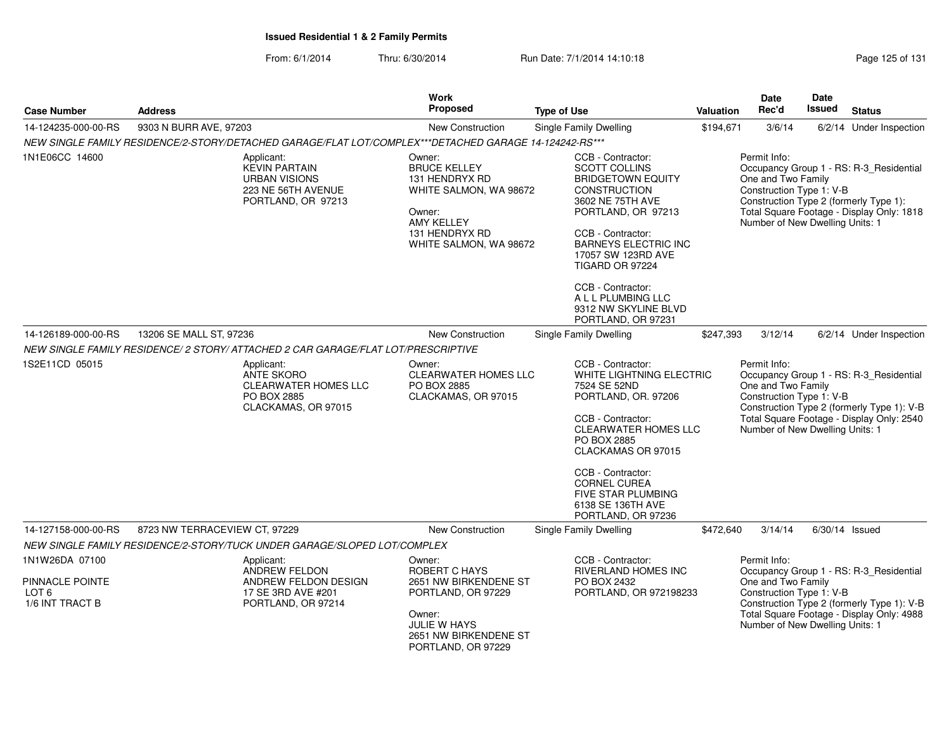From: 6/1/2014Thru: 6/30/2014 Run Date: 7/1/2014 14:10:18 Research 2010 Page 125 of 131

| <b>Case Number</b>                                                       | <b>Address</b>                                                                                         | <b>Work</b><br>Proposed                                                                                                                              | <b>Type of Use</b>                                                                                                                                                                                                                                                                                                           | Valuation | <b>Date</b><br>Rec'd                                                                              | Date<br><b>Issued</b> | <b>Status</b>                                                                                                                      |
|--------------------------------------------------------------------------|--------------------------------------------------------------------------------------------------------|------------------------------------------------------------------------------------------------------------------------------------------------------|------------------------------------------------------------------------------------------------------------------------------------------------------------------------------------------------------------------------------------------------------------------------------------------------------------------------------|-----------|---------------------------------------------------------------------------------------------------|-----------------------|------------------------------------------------------------------------------------------------------------------------------------|
| 14-124235-000-00-RS                                                      | 9303 N BURR AVE, 97203                                                                                 | New Construction                                                                                                                                     | Single Family Dwelling                                                                                                                                                                                                                                                                                                       | \$194,671 | 3/6/14                                                                                            |                       | 6/2/14 Under Inspection                                                                                                            |
|                                                                          | NEW SINGLE FAMILY RESIDENCE/2-STORY/DETACHED GARAGE/FLAT LOT/COMPLEX***DETACHED GARAGE 14-124242-RS*** |                                                                                                                                                      |                                                                                                                                                                                                                                                                                                                              |           |                                                                                                   |                       |                                                                                                                                    |
| 1N1E06CC 14600                                                           | Applicant:<br><b>KEVIN PARTAIN</b><br><b>URBAN VISIONS</b><br>223 NE 56TH AVENUE<br>PORTLAND, OR 97213 | Owner:<br><b>BRUCE KELLEY</b><br>131 HENDRYX RD<br>WHITE SALMON, WA 98672<br>Owner:<br><b>AMY KELLEY</b><br>131 HENDRYX RD<br>WHITE SALMON, WA 98672 | CCB - Contractor:<br><b>SCOTT COLLINS</b><br><b>BRIDGETOWN EQUITY</b><br><b>CONSTRUCTION</b><br>3602 NE 75TH AVE<br>PORTLAND, OR 97213<br>CCB - Contractor:<br><b>BARNEYS ELECTRIC INC</b><br>17057 SW 123RD AVE<br>TIGARD OR 97224<br>CCB - Contractor:<br>A L L PLUMBING LLC<br>9312 NW SKYLINE BLVD<br>PORTLAND, OR 97231 |           | Permit Info:<br>One and Two Family<br>Construction Type 1: V-B<br>Number of New Dwelling Units: 1 |                       | Occupancy Group 1 - RS: R-3_Residential<br>Construction Type 2 (formerly Type 1):<br>Total Square Footage - Display Only: 1818     |
| 14-126189-000-00-RS                                                      | 13206 SE MALL ST, 97236                                                                                | <b>New Construction</b>                                                                                                                              | Single Family Dwelling                                                                                                                                                                                                                                                                                                       | \$247,393 | 3/12/14                                                                                           |                       | 6/2/14 Under Inspection                                                                                                            |
|                                                                          | NEW SINGLE FAMILY RESIDENCE/ 2 STORY/ ATTACHED 2 CAR GARAGE/FLAT LOT/PRESCRIPTIVE                      |                                                                                                                                                      |                                                                                                                                                                                                                                                                                                                              |           |                                                                                                   |                       |                                                                                                                                    |
| 1S2E11CD 05015                                                           | Applicant:<br><b>ANTE SKORO</b><br>CLEARWATER HOMES LLC<br>PO BOX 2885<br>CLACKAMAS, OR 97015          | Owner:<br>CLEARWATER HOMES LLC<br>PO BOX 2885<br>CLACKAMAS, OR 97015                                                                                 | CCB - Contractor:<br>WHITE LIGHTNING ELECTRIC<br>7524 SE 52ND<br>PORTLAND, OR. 97206<br>CCB - Contractor:<br><b>CLEARWATER HOMES LLC</b><br>PO BOX 2885<br>CLACKAMAS OR 97015<br>CCB - Contractor:<br><b>CORNEL CUREA</b><br>FIVE STAR PLUMBING<br>6138 SE 136TH AVE<br>PORTLAND, OR 97236                                   |           | Permit Info:<br>One and Two Family<br>Construction Type 1: V-B<br>Number of New Dwelling Units: 1 |                       | Occupancy Group 1 - RS: R-3_Residential<br>Construction Type 2 (formerly Type 1): V-B<br>Total Square Footage - Display Only: 2540 |
| 14-127158-000-00-RS                                                      | 8723 NW TERRACEVIEW CT, 97229                                                                          | New Construction                                                                                                                                     | Single Family Dwelling                                                                                                                                                                                                                                                                                                       | \$472,640 | 3/14/14                                                                                           |                       | $6/30/14$ Issued                                                                                                                   |
|                                                                          | NEW SINGLE FAMILY RESIDENCE/2-STORY/TUCK UNDER GARAGE/SLOPED LOT/COMPLEX                               |                                                                                                                                                      |                                                                                                                                                                                                                                                                                                                              |           |                                                                                                   |                       |                                                                                                                                    |
| 1N1W26DA 07100<br>PINNACLE POINTE<br>LOT <sub>6</sub><br>1/6 INT TRACT B | Applicant:<br>ANDREW FELDON<br>ANDREW FELDON DESIGN<br>17 SE 3RD AVE #201<br>PORTLAND, OR 97214        | Owner:<br>ROBERT C HAYS<br>2651 NW BIRKENDENE ST<br>PORTLAND, OR 97229<br>Owner:<br>JULIE W HAYS<br>2651 NW BIRKENDENE ST<br>PORTLAND, OR 97229      | CCB - Contractor:<br>RIVERLAND HOMES INC<br>PO BOX 2432<br>PORTLAND, OR 972198233                                                                                                                                                                                                                                            |           | Permit Info:<br>One and Two Family<br>Construction Type 1: V-B<br>Number of New Dwelling Units: 1 |                       | Occupancy Group 1 - RS: R-3_Residential<br>Construction Type 2 (formerly Type 1): V-B<br>Total Square Footage - Display Only: 4988 |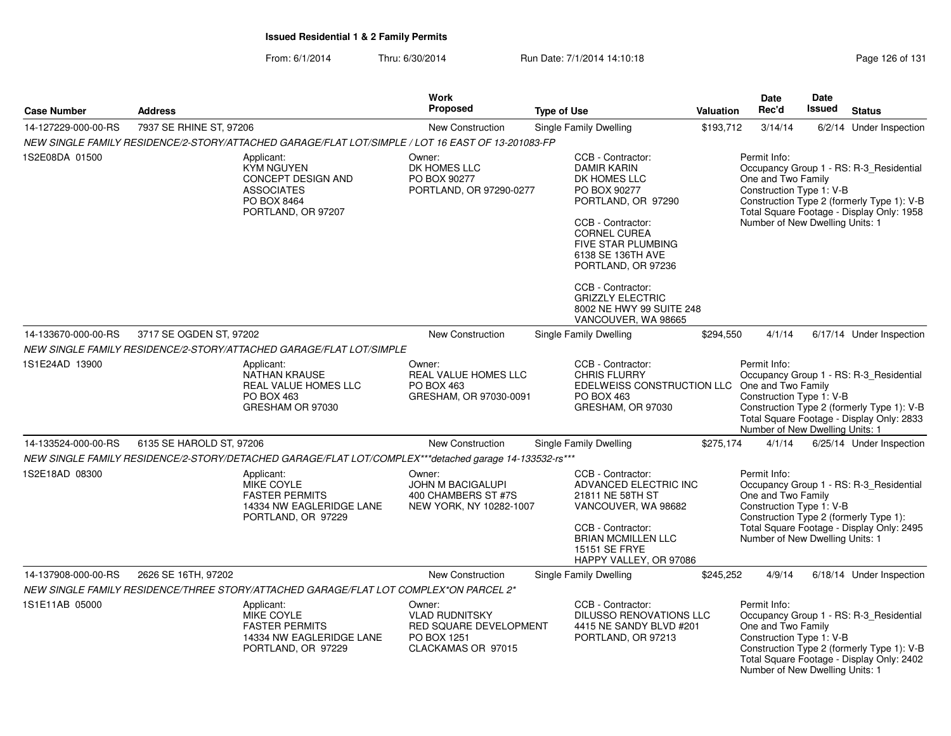|                     |                          |                                                                                                                 | <b>Work</b>                                                                                    |                                                                                                                                                                                                            |                  | <b>Date</b>                                                                                       | <b>Date</b> |                                                                                                                                    |
|---------------------|--------------------------|-----------------------------------------------------------------------------------------------------------------|------------------------------------------------------------------------------------------------|------------------------------------------------------------------------------------------------------------------------------------------------------------------------------------------------------------|------------------|---------------------------------------------------------------------------------------------------|-------------|------------------------------------------------------------------------------------------------------------------------------------|
| <b>Case Number</b>  | <b>Address</b>           |                                                                                                                 | <b>Proposed</b>                                                                                | <b>Type of Use</b>                                                                                                                                                                                         | <b>Valuation</b> | Rec'd                                                                                             | Issued      | <b>Status</b>                                                                                                                      |
| 14-127229-000-00-RS | 7937 SE RHINE ST, 97206  |                                                                                                                 | <b>New Construction</b>                                                                        | <b>Single Family Dwelling</b>                                                                                                                                                                              | \$193,712        | 3/14/14                                                                                           |             | 6/2/14 Under Inspection                                                                                                            |
|                     |                          | NEW SINGLE FAMILY RESIDENCE/2-STORY/ATTACHED GARAGE/FLAT LOT/SIMPLE / LOT 16 EAST OF 13-201083-FP               |                                                                                                |                                                                                                                                                                                                            |                  |                                                                                                   |             |                                                                                                                                    |
| 1S2E08DA 01500      |                          | Applicant:<br><b>KYM NGUYEN</b><br>CONCEPT DESIGN AND<br><b>ASSOCIATES</b><br>PO BOX 8464<br>PORTLAND, OR 97207 | Owner:<br>DK HOMES LLC<br>PO BOX 90277<br>PORTLAND, OR 97290-0277                              | CCB - Contractor:<br><b>DAMIR KARIN</b><br>DK HOMES LLC<br>PO BOX 90277<br>PORTLAND, OR 97290<br>CCB - Contractor:<br><b>CORNEL CUREA</b><br>FIVE STAR PLUMBING<br>6138 SE 136TH AVE<br>PORTLAND, OR 97236 |                  | Permit Info:<br>One and Two Family<br>Construction Type 1: V-B<br>Number of New Dwelling Units: 1 |             | Occupancy Group 1 - RS: R-3_Residential<br>Construction Type 2 (formerly Type 1): V-B<br>Total Square Footage - Display Only: 1958 |
|                     |                          |                                                                                                                 |                                                                                                | CCB - Contractor:<br><b>GRIZZLY ELECTRIC</b><br>8002 NE HWY 99 SUITE 248<br>VANCOUVER, WA 98665                                                                                                            |                  |                                                                                                   |             |                                                                                                                                    |
| 14-133670-000-00-RS | 3717 SE OGDEN ST, 97202  |                                                                                                                 | New Construction                                                                               | Single Family Dwelling                                                                                                                                                                                     | \$294,550        | 4/1/14                                                                                            |             | 6/17/14 Under Inspection                                                                                                           |
|                     |                          | NEW SINGLE FAMILY RESIDENCE/2-STORY/ATTACHED GARAGE/FLAT LOT/SIMPLE                                             |                                                                                                |                                                                                                                                                                                                            |                  |                                                                                                   |             |                                                                                                                                    |
| 1S1E24AD 13900      |                          | Applicant:<br><b>NATHAN KRAUSE</b><br>REAL VALUE HOMES LLC<br>PO BOX 463<br>GRESHAM OR 97030                    | Owner:<br>REAL VALUE HOMES LLC<br><b>PO BOX 463</b><br>GRESHAM, OR 97030-0091                  | CCB - Contractor:<br><b>CHRIS FLURRY</b><br>EDELWEISS CONSTRUCTION LLC One and Two Family<br><b>PO BOX 463</b><br>GRESHAM, OR 97030                                                                        |                  | Permit Info:<br>Construction Type 1: V-B<br>Number of New Dwelling Units: 1                       |             | Occupancy Group 1 - RS: R-3_Residential<br>Construction Type 2 (formerly Type 1): V-B<br>Total Square Footage - Display Only: 2833 |
| 14-133524-000-00-RS | 6135 SE HAROLD ST, 97206 |                                                                                                                 | <b>New Construction</b>                                                                        | Single Family Dwelling                                                                                                                                                                                     | \$275,174        | 4/1/14                                                                                            |             | 6/25/14 Under Inspection                                                                                                           |
|                     |                          | NEW SINGLE FAMILY RESIDENCE/2-STORY/DETACHED GARAGE/FLAT LOT/COMPLEX***detached garage 14-133532-rs***          |                                                                                                |                                                                                                                                                                                                            |                  |                                                                                                   |             |                                                                                                                                    |
| 1S2E18AD 08300      |                          | Applicant:<br><b>MIKE COYLE</b><br><b>FASTER PERMITS</b><br>14334 NW EAGLERIDGE LANE<br>PORTLAND, OR 97229      | Owner:<br><b>JOHN M BACIGALUPI</b><br>400 CHAMBERS ST #7S<br>NEW YORK, NY 10282-1007           | CCB - Contractor:<br>ADVANCED ELECTRIC INC<br>21811 NE 58TH ST<br>VANCOUVER, WA 98682<br>CCB - Contractor:<br><b>BRIAN MCMILLEN LLC</b><br><b>15151 SE FRYE</b><br>HAPPY VALLEY, OR 97086                  |                  | Permit Info:<br>One and Two Family<br>Construction Type 1: V-B<br>Number of New Dwelling Units: 1 |             | Occupancy Group 1 - RS: R-3_Residential<br>Construction Type 2 (formerly Type 1):<br>Total Square Footage - Display Only: 2495     |
| 14-137908-000-00-RS | 2626 SE 16TH, 97202      |                                                                                                                 | New Construction                                                                               | Single Family Dwelling                                                                                                                                                                                     | \$245,252        | 4/9/14                                                                                            |             | 6/18/14 Under Inspection                                                                                                           |
|                     |                          | NEW SINGLE FAMILY RESIDENCE/THREE STORY/ATTACHED GARAGE/FLAT LOT COMPLEX*ON PARCEL 2*                           |                                                                                                |                                                                                                                                                                                                            |                  |                                                                                                   |             |                                                                                                                                    |
| 1S1E11AB 05000      |                          | Applicant:<br>MIKE COYLE<br><b>FASTER PERMITS</b><br>14334 NW EAGLERIDGE LANE<br>PORTLAND, OR 97229             | Owner:<br><b>VLAD RUDNITSKY</b><br>RED SQUARE DEVELOPMENT<br>PO BOX 1251<br>CLACKAMAS OR 97015 | CCB - Contractor:<br>DILUSSO RENOVATIONS LLC<br>4415 NE SANDY BLVD #201<br>PORTLAND, OR 97213                                                                                                              |                  | Permit Info:<br>One and Two Family<br>Construction Type 1: V-B<br>Number of New Dwelling Units: 1 |             | Occupancy Group 1 - RS: R-3_Residential<br>Construction Type 2 (formerly Type 1): V-B<br>Total Square Footage - Display Only: 2402 |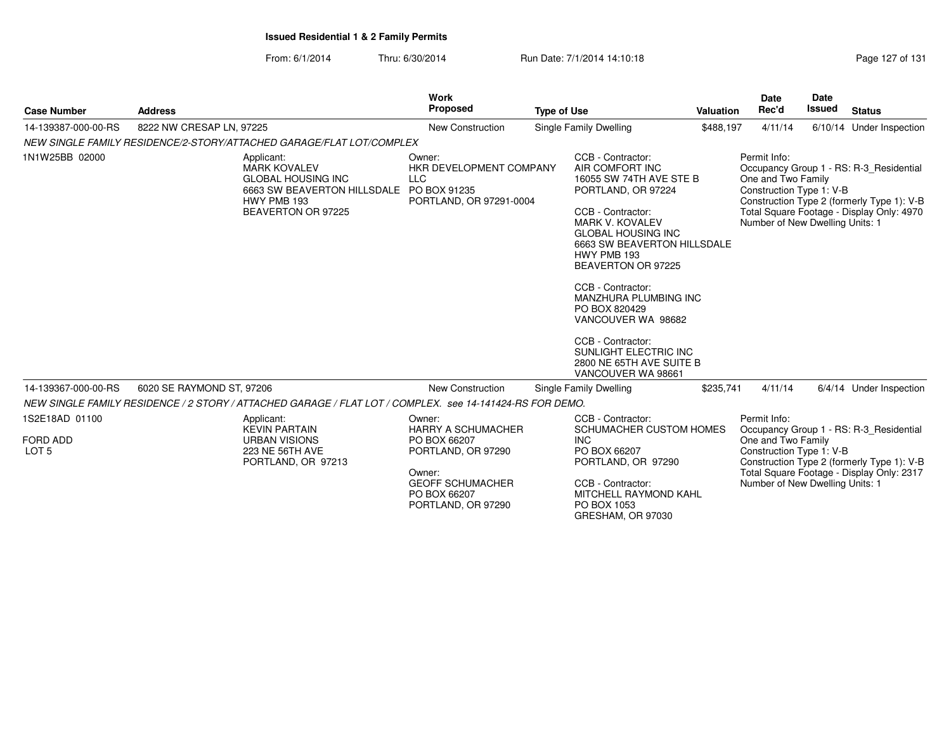From: 6/1/2014Thru: 6/30/2014 Run Date: 7/1/2014 14:10:18

|                                                |                                                                                                                                    | <b>Work</b>                                                                                                                                          |                                                                                                                                                                                                                                                                                                                                                                                                                            |                  | <b>Date</b>                                                                                       | <b>Date</b>   |                                                                                                                                    |
|------------------------------------------------|------------------------------------------------------------------------------------------------------------------------------------|------------------------------------------------------------------------------------------------------------------------------------------------------|----------------------------------------------------------------------------------------------------------------------------------------------------------------------------------------------------------------------------------------------------------------------------------------------------------------------------------------------------------------------------------------------------------------------------|------------------|---------------------------------------------------------------------------------------------------|---------------|------------------------------------------------------------------------------------------------------------------------------------|
| <b>Case Number</b>                             | <b>Address</b>                                                                                                                     | <b>Proposed</b>                                                                                                                                      | <b>Type of Use</b>                                                                                                                                                                                                                                                                                                                                                                                                         | <b>Valuation</b> | Rec'd                                                                                             | <b>Issued</b> | <b>Status</b>                                                                                                                      |
| 14-139387-000-00-RS                            | 8222 NW CRESAP LN, 97225                                                                                                           | <b>New Construction</b>                                                                                                                              | Single Family Dwelling                                                                                                                                                                                                                                                                                                                                                                                                     | \$488,197        | 4/11/14                                                                                           |               | 6/10/14 Under Inspection                                                                                                           |
|                                                | NEW SINGLE FAMILY RESIDENCE/2-STORY/ATTACHED GARAGE/FLAT LOT/COMPLEX                                                               |                                                                                                                                                      |                                                                                                                                                                                                                                                                                                                                                                                                                            |                  |                                                                                                   |               |                                                                                                                                    |
| 1N1W25BB 02000                                 | Applicant:<br><b>MARK KOVALEV</b><br><b>GLOBAL HOUSING INC</b><br>6663 SW BEAVERTON HILLSDALE<br>HWY PMB 193<br>BEAVERTON OR 97225 | Owner:<br>HKR DEVELOPMENT COMPANY<br><b>LLC</b><br>PO BOX 91235<br>PORTLAND, OR 97291-0004                                                           | CCB - Contractor:<br>AIR COMFORT INC<br>16055 SW 74TH AVE STE B<br>PORTLAND, OR 97224<br>CCB - Contractor:<br><b>MARK V. KOVALEV</b><br><b>GLOBAL HOUSING INC</b><br>6663 SW BEAVERTON HILLSDALE<br>HWY PMB 193<br>BEAVERTON OR 97225<br>CCB - Contractor:<br>MANZHURA PLUMBING INC<br>PO BOX 820429<br>VANCOUVER WA 98682<br>CCB - Contractor:<br>SUNLIGHT ELECTRIC INC<br>2800 NE 65TH AVE SUITE B<br>VANCOUVER WA 98661 |                  | Permit Info:<br>One and Two Family<br>Construction Type 1: V-B<br>Number of New Dwelling Units: 1 |               | Occupancy Group 1 - RS: R-3_Residential<br>Construction Type 2 (formerly Type 1): V-B<br>Total Square Footage - Display Only: 4970 |
| 14-139367-000-00-RS                            | 6020 SE RAYMOND ST, 97206                                                                                                          | <b>New Construction</b>                                                                                                                              | Single Family Dwelling                                                                                                                                                                                                                                                                                                                                                                                                     | \$235,741        | 4/11/14                                                                                           |               | 6/4/14 Under Inspection                                                                                                            |
|                                                | NEW SINGLE FAMILY RESIDENCE / 2 STORY / ATTACHED GARAGE / FLAT LOT / COMPLEX. see 14-141424-RS FOR DEMO.                           |                                                                                                                                                      |                                                                                                                                                                                                                                                                                                                                                                                                                            |                  |                                                                                                   |               |                                                                                                                                    |
| 1S2E18AD 01100<br>FORD ADD<br>LOT <sub>5</sub> | Applicant:<br><b>KEVIN PARTAIN</b><br><b>URBAN VISIONS</b><br>223 NE 56TH AVE<br>PORTLAND, OR 97213                                | Owner:<br><b>HARRY A SCHUMACHER</b><br>PO BOX 66207<br>PORTLAND, OR 97290<br>Owner:<br><b>GEOFF SCHUMACHER</b><br>PO BOX 66207<br>PORTLAND, OR 97290 | CCB - Contractor:<br>SCHUMACHER CUSTOM HOMES<br><b>INC</b><br>PO BOX 66207<br>PORTLAND, OR 97290<br>CCB - Contractor:<br>MITCHELL RAYMOND KAHL<br>PO BOX 1053                                                                                                                                                                                                                                                              |                  | Permit Info:<br>One and Two Family<br>Construction Type 1: V-B<br>Number of New Dwelling Units: 1 |               | Occupancy Group 1 - RS: R-3_Residential<br>Construction Type 2 (formerly Type 1): V-B<br>Total Square Footage - Display Only: 2317 |

GRESHAM, OR 97030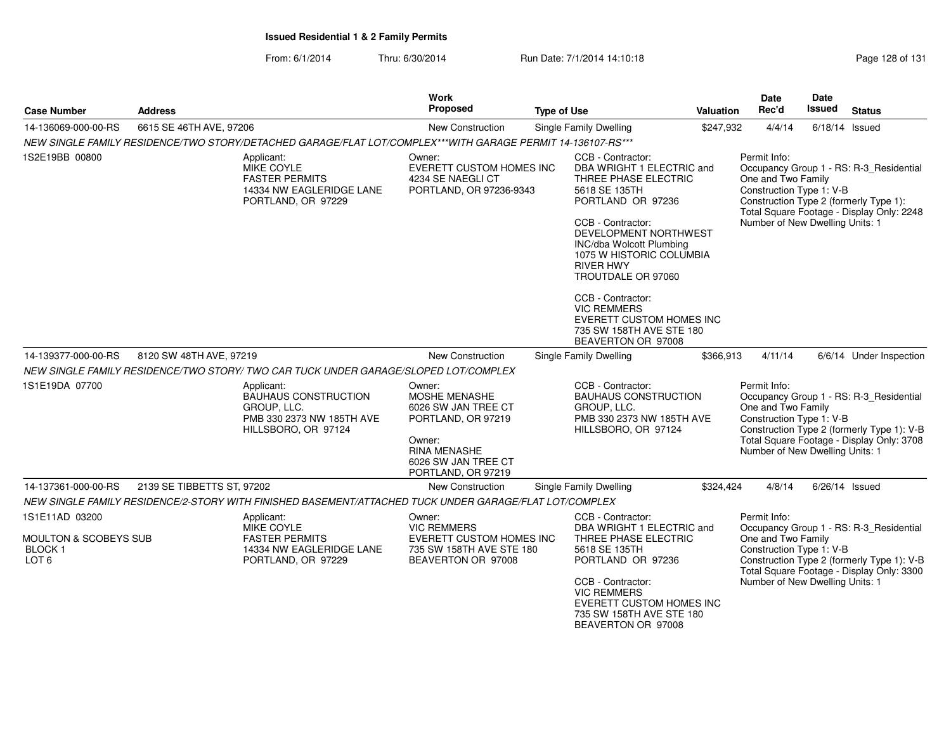| <b>Case Number</b>                                              | <b>Address</b>             |                                                                                                              | Work<br>Proposed                                                                                                                                          | <b>Type of Use</b> |                                                                                                                                                                                                                                                                                                         | Valuation | <b>Date</b><br>Rec'd                                                                                                                                                                                                    | Date<br>Issued   | <b>Status</b>                                                                                                                      |
|-----------------------------------------------------------------|----------------------------|--------------------------------------------------------------------------------------------------------------|-----------------------------------------------------------------------------------------------------------------------------------------------------------|--------------------|---------------------------------------------------------------------------------------------------------------------------------------------------------------------------------------------------------------------------------------------------------------------------------------------------------|-----------|-------------------------------------------------------------------------------------------------------------------------------------------------------------------------------------------------------------------------|------------------|------------------------------------------------------------------------------------------------------------------------------------|
| 14-136069-000-00-RS                                             | 6615 SE 46TH AVE, 97206    |                                                                                                              | New Construction                                                                                                                                          |                    | Single Family Dwelling                                                                                                                                                                                                                                                                                  | \$247,932 | 4/4/14                                                                                                                                                                                                                  | $6/18/14$ Issued |                                                                                                                                    |
|                                                                 |                            | NEW SINGLE FAMILY RESIDENCE/TWO STORY/DETACHED GARAGE/FLAT LOT/COMPLEX***WITH GARAGE PERMIT 14-136107-RS***  |                                                                                                                                                           |                    |                                                                                                                                                                                                                                                                                                         |           |                                                                                                                                                                                                                         |                  |                                                                                                                                    |
| 1S2E19BB 00800                                                  |                            | Applicant:<br>MIKE COYLE<br><b>FASTER PERMITS</b><br>14334 NW EAGLERIDGE LANE<br>PORTLAND, OR 97229          | Owner:<br><b>EVERETT CUSTOM HOMES INC</b><br>4234 SE NAEGLI CT<br>PORTLAND, OR 97236-9343                                                                 |                    | CCB - Contractor:<br>DBA WRIGHT 1 ELECTRIC and<br>THREE PHASE ELECTRIC<br>5618 SE 135TH<br>PORTLAND OR 97236<br>CCB - Contractor:<br>DEVELOPMENT NORTHWEST<br>INC/dba Wolcott Plumbing<br>1075 W HISTORIC COLUMBIA<br><b>RIVER HWY</b><br>TROUTDALE OR 97060<br>CCB - Contractor:<br><b>VIC REMMERS</b> |           | Permit Info:<br>One and Two Family<br>Construction Type 1: V-B<br>Number of New Dwelling Units: 1                                                                                                                       |                  | Occupancy Group 1 - RS: R-3 Residential<br>Construction Type 2 (formerly Type 1):<br>Total Square Footage - Display Only: 2248     |
|                                                                 |                            |                                                                                                              |                                                                                                                                                           |                    | EVERETT CUSTOM HOMES INC<br>735 SW 158TH AVE STE 180<br>BEAVERTON OR 97008                                                                                                                                                                                                                              |           |                                                                                                                                                                                                                         |                  |                                                                                                                                    |
| 14-139377-000-00-RS                                             | 8120 SW 48TH AVE, 97219    |                                                                                                              | New Construction                                                                                                                                          |                    | Single Family Dwelling                                                                                                                                                                                                                                                                                  | \$366,913 | 4/11/14                                                                                                                                                                                                                 |                  | 6/6/14 Under Inspection                                                                                                            |
|                                                                 |                            | NEW SINGLE FAMILY RESIDENCE/TWO STORY/ TWO CAR TUCK UNDER GARAGE/SLOPED LOT/COMPLEX                          |                                                                                                                                                           |                    |                                                                                                                                                                                                                                                                                                         |           |                                                                                                                                                                                                                         |                  |                                                                                                                                    |
| 1S1E19DA 07700                                                  |                            | Applicant:<br><b>BAUHAUS CONSTRUCTION</b><br>GROUP, LLC.<br>PMB 330 2373 NW 185TH AVE<br>HILLSBORO, OR 97124 | Owner:<br><b>MOSHE MENASHE</b><br>6026 SW JAN TREE CT<br>PORTLAND, OR 97219<br>Owner:<br><b>RINA MENASHE</b><br>6026 SW JAN TREE CT<br>PORTLAND, OR 97219 |                    | CCB - Contractor:<br><b>BAUHAUS CONSTRUCTION</b><br>GROUP, LLC.<br>PMB 330 2373 NW 185TH AVE<br>HILLSBORO, OR 97124                                                                                                                                                                                     |           | Permit Info:<br>One and Two Family<br>Construction Type 1: V-B<br>Number of New Dwelling Units: 1                                                                                                                       |                  | Occupancy Group 1 - RS: R-3_Residential<br>Construction Type 2 (formerly Type 1): V-B<br>Total Square Footage - Display Only: 3708 |
| 14-137361-000-00-RS                                             | 2139 SE TIBBETTS ST, 97202 |                                                                                                              | New Construction                                                                                                                                          |                    | Single Family Dwelling                                                                                                                                                                                                                                                                                  | \$324,424 | 4/8/14                                                                                                                                                                                                                  |                  | 6/26/14 Issued                                                                                                                     |
|                                                                 |                            | NEW SINGLE FAMILY RESIDENCE/2-STORY WITH FINISHED BASEMENT/ATTACHED TUCK UNDER GARAGE/FLAT LOT/COMPLEX       |                                                                                                                                                           |                    |                                                                                                                                                                                                                                                                                                         |           |                                                                                                                                                                                                                         |                  |                                                                                                                                    |
| 1S1E11AD 03200                                                  |                            | Applicant:                                                                                                   | Owner:                                                                                                                                                    |                    | CCB - Contractor:                                                                                                                                                                                                                                                                                       |           | Permit Info:                                                                                                                                                                                                            |                  |                                                                                                                                    |
| <b>MOULTON &amp; SCOBEYS SUB</b><br>BLOCK 1<br>LOT <sub>6</sub> |                            | MIKE COYLE<br><b>FASTER PERMITS</b><br>14334 NW EAGLERIDGE LANE<br>PORTLAND, OR 97229                        | <b>VIC REMMERS</b><br>EVERETT CUSTOM HOMES INC<br>735 SW 158TH AVE STE 180<br>BEAVERTON OR 97008                                                          |                    | DBA WRIGHT 1 ELECTRIC and<br>THREE PHASE ELECTRIC<br>5618 SE 135TH<br>PORTLAND OR 97236<br>CCB - Contractor:                                                                                                                                                                                            |           | Occupancy Group 1 - RS: R-3_Residential<br>One and Two Family<br>Construction Type 1: V-B<br>Construction Type 2 (formerly Type 1): V-B<br>Total Square Footage - Display Only: 3300<br>Number of New Dwelling Units: 1 |                  |                                                                                                                                    |
|                                                                 |                            |                                                                                                              |                                                                                                                                                           |                    | <b>VIC REMMERS</b><br>EVERETT CUSTOM HOMES INC<br>735 SW 158TH AVE STE 180<br>BEAVERTON OR 97008                                                                                                                                                                                                        |           |                                                                                                                                                                                                                         |                  |                                                                                                                                    |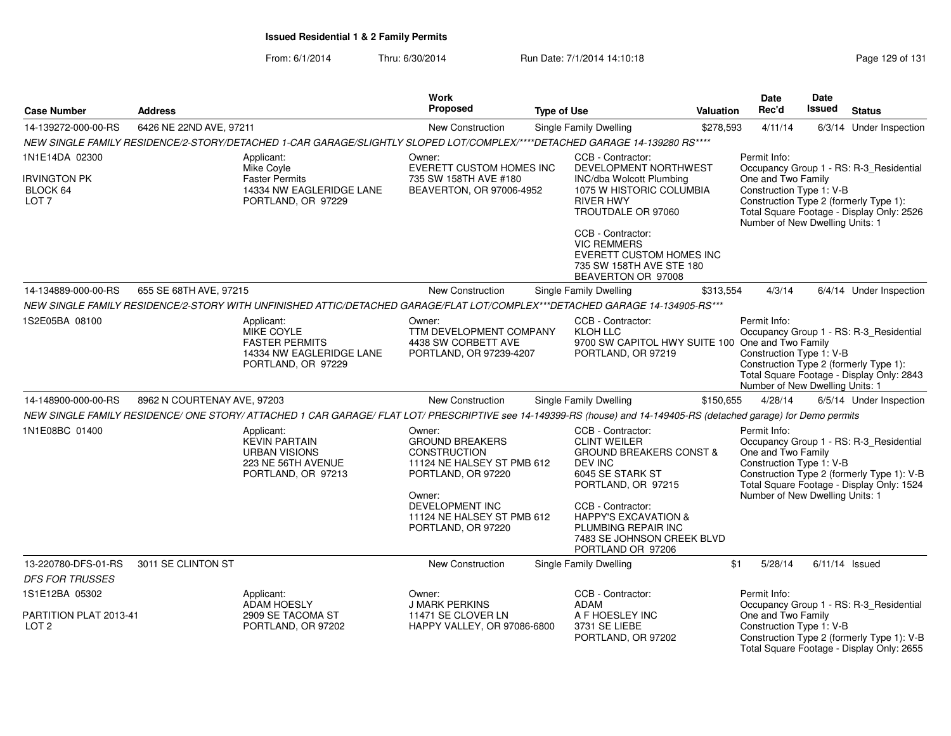From: 6/1/2014Thru: 6/30/2014 Run Date: 7/1/2014 14:10:18 Research 2010 Page 129 of 131

| <b>Case Number</b>                                  | <b>Address</b>              |                                                                                                                                                                    | Work<br>Proposed                                                                                                      | <b>Type of Use</b> |                                                                                                                                     | Valuation | Date<br>Rec'd                                                                                     | Date<br>Issued | <b>Status</b>                                                                                                                      |
|-----------------------------------------------------|-----------------------------|--------------------------------------------------------------------------------------------------------------------------------------------------------------------|-----------------------------------------------------------------------------------------------------------------------|--------------------|-------------------------------------------------------------------------------------------------------------------------------------|-----------|---------------------------------------------------------------------------------------------------|----------------|------------------------------------------------------------------------------------------------------------------------------------|
| 14-139272-000-00-RS                                 | 6426 NE 22ND AVE, 97211     |                                                                                                                                                                    | New Construction                                                                                                      |                    | Single Family Dwelling                                                                                                              | \$278,593 | 4/11/14                                                                                           |                | 6/3/14 Under Inspection                                                                                                            |
|                                                     |                             | NEW SINGLE FAMILY RESIDENCE/2-STORY/DETACHED 1-CAR GARAGE/SLIGHTLY SLOPED LOT/COMPLEX/****DETACHED GARAGE 14-139280 RS****                                         |                                                                                                                       |                    |                                                                                                                                     |           |                                                                                                   |                |                                                                                                                                    |
| 1N1E14DA 02300                                      |                             | Applicant:<br>Mike Coyle                                                                                                                                           | Owner:<br>EVERETT CUSTOM HOMES INC                                                                                    |                    | CCB - Contractor:<br>DEVELOPMENT NORTHWEST                                                                                          |           | Permit Info:                                                                                      |                | Occupancy Group 1 - RS: R-3_Residential                                                                                            |
| <b>IRVINGTON PK</b><br>BLOCK 64<br>LOT <sub>7</sub> |                             | <b>Faster Permits</b><br>14334 NW EAGLERIDGE LANE<br>PORTLAND, OR 97229                                                                                            | 735 SW 158TH AVE #180<br>BEAVERTON, OR 97006-4952                                                                     |                    | <b>INC/dba Wolcott Plumbing</b><br>1075 W HISTORIC COLUMBIA<br><b>RIVER HWY</b><br>TROUTDALE OR 97060                               |           | One and Two Family<br>Construction Type 1: V-B<br>Number of New Dwelling Units: 1                 |                | Construction Type 2 (formerly Type 1):<br>Total Square Footage - Display Only: 2526                                                |
|                                                     |                             |                                                                                                                                                                    |                                                                                                                       |                    | CCB - Contractor:<br><b>VIC REMMERS</b><br><b>EVERETT CUSTOM HOMES INC</b><br>735 SW 158TH AVE STE 180<br>BEAVERTON OR 97008        |           |                                                                                                   |                |                                                                                                                                    |
| 14-134889-000-00-RS                                 | 655 SE 68TH AVE, 97215      |                                                                                                                                                                    | <b>New Construction</b>                                                                                               |                    | Single Family Dwelling                                                                                                              | \$313,554 | 4/3/14                                                                                            |                | 6/4/14 Under Inspection                                                                                                            |
|                                                     |                             | NEW SINGLE FAMILY RESIDENCE/2-STORY WITH UNFINISHED ATTIC/DETACHED GARAGE/FLAT LOT/COMPLEX***DETACHED GARAGE 14-134905-RS***                                       |                                                                                                                       |                    |                                                                                                                                     |           |                                                                                                   |                |                                                                                                                                    |
| 1S2E05BA 08100                                      |                             | Applicant:<br><b>MIKE COYLE</b><br><b>FASTER PERMITS</b><br>14334 NW EAGLERIDGE LANE<br>PORTLAND, OR 97229                                                         | Owner:<br>TTM DEVELOPMENT COMPANY<br>4438 SW CORBETT AVE<br>PORTLAND, OR 97239-4207                                   |                    | CCB - Contractor:<br><b>KLOH LLC</b><br>9700 SW CAPITOL HWY SUITE 100 One and Two Family<br>PORTLAND, OR 97219                      |           | Permit Info:<br>Construction Type 1: V-B<br>Number of New Dwelling Units: 1                       |                | Occupancy Group 1 - RS: R-3_Residential<br>Construction Type 2 (formerly Type 1):<br>Total Square Footage - Display Only: 2843     |
| 14-148900-000-00-RS                                 | 8962 N COURTENAY AVE, 97203 |                                                                                                                                                                    | New Construction                                                                                                      |                    | Single Family Dwelling                                                                                                              | \$150,655 | 4/28/14                                                                                           |                | 6/5/14 Under Inspection                                                                                                            |
|                                                     |                             | NEW SINGLE FAMILY RESIDENCE/ ONE STORY/ ATTACHED 1 CAR GARAGE/ FLAT LOT/ PRESCRIPTIVE see 14-149399-RS (house) and 14-149405-RS (detached garage) for Demo permits |                                                                                                                       |                    |                                                                                                                                     |           |                                                                                                   |                |                                                                                                                                    |
| 1N1E08BC 01400                                      |                             | Applicant:<br><b>KEVIN PARTAIN</b><br><b>URBAN VISIONS</b><br>223 NE 56TH AVENUE<br>PORTLAND, OR 97213                                                             | Owner:<br><b>GROUND BREAKERS</b><br><b>CONSTRUCTION</b><br>11124 NE HALSEY ST PMB 612<br>PORTLAND, OR 97220<br>Owner: |                    | CCB - Contractor:<br><b>CLINT WEILER</b><br><b>GROUND BREAKERS CONST &amp;</b><br>DEV INC<br>6045 SE STARK ST<br>PORTLAND, OR 97215 |           | Permit Info:<br>One and Two Family<br>Construction Type 1: V-B<br>Number of New Dwelling Units: 1 |                | Occupancy Group 1 - RS: R-3_Residential<br>Construction Type 2 (formerly Type 1): V-B<br>Total Square Footage - Display Only: 1524 |
|                                                     |                             |                                                                                                                                                                    | <b>DEVELOPMENT INC</b><br>11124 NE HALSEY ST PMB 612<br>PORTLAND, OR 97220                                            |                    | CCB - Contractor:<br><b>HAPPY'S EXCAVATION &amp;</b><br>PLUMBING REPAIR INC<br>7483 SE JOHNSON CREEK BLVD<br>PORTLAND OR 97206      |           |                                                                                                   |                |                                                                                                                                    |
| 13-220780-DFS-01-RS                                 | 3011 SE CLINTON ST          |                                                                                                                                                                    | New Construction                                                                                                      |                    | Single Family Dwelling                                                                                                              |           | \$1<br>5/28/14                                                                                    |                | $6/11/14$ Issued                                                                                                                   |
| <b>DFS FOR TRUSSES</b>                              |                             |                                                                                                                                                                    |                                                                                                                       |                    |                                                                                                                                     |           |                                                                                                   |                |                                                                                                                                    |
| 1S1E12BA 05302                                      |                             | Applicant:<br><b>ADAM HOESLY</b>                                                                                                                                   | Owner:<br><b>J MARK PERKINS</b>                                                                                       |                    | CCB - Contractor:<br>ADAM                                                                                                           |           | Permit Info:                                                                                      |                | Occupancy Group 1 - RS: R-3_Residential                                                                                            |
| PARTITION PLAT 2013-41<br>LOT <sub>2</sub>          |                             | 2909 SE TACOMA ST<br>PORTLAND, OR 97202                                                                                                                            | 11471 SE CLOVER LN<br>HAPPY VALLEY, OR 97086-6800                                                                     |                    | A F HOESLEY INC<br>3731 SE LIEBE<br>PORTLAND, OR 97202                                                                              |           | One and Two Family<br>Construction Type 1: V-B                                                    |                | Construction Type 2 (formerly Type 1): V-B<br>Total Square Footage - Display Only: 2655                                            |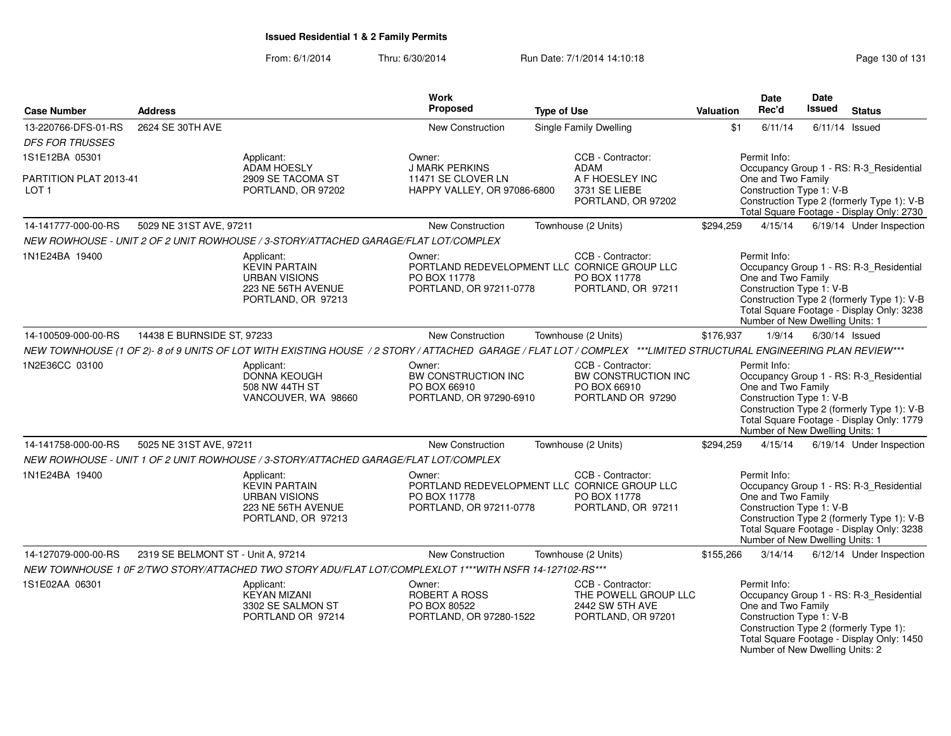| <b>Case Number</b>                         | <b>Address</b>                     |                                                                                                                                                                  | Work<br>Proposed                                                                                  | <b>Type of Use</b> |                                                                                    | Valuation | <b>Date</b><br>Rec'd                                                                              | Date<br><b>Issued</b> | <b>Status</b>                                                                                                                      |
|--------------------------------------------|------------------------------------|------------------------------------------------------------------------------------------------------------------------------------------------------------------|---------------------------------------------------------------------------------------------------|--------------------|------------------------------------------------------------------------------------|-----------|---------------------------------------------------------------------------------------------------|-----------------------|------------------------------------------------------------------------------------------------------------------------------------|
| 13-220766-DFS-01-RS                        | 2624 SE 30TH AVE                   |                                                                                                                                                                  | <b>New Construction</b>                                                                           |                    | <b>Single Family Dwelling</b>                                                      | \$1       | 6/11/14                                                                                           |                       | $6/11/14$ Issued                                                                                                                   |
| <b>DFS FOR TRUSSES</b>                     |                                    |                                                                                                                                                                  |                                                                                                   |                    |                                                                                    |           |                                                                                                   |                       |                                                                                                                                    |
| 1S1E12BA 05301                             |                                    | Applicant:<br><b>ADAM HOESLY</b>                                                                                                                                 | Owner:<br>J MARK PERKINS                                                                          |                    | CCB - Contractor:<br><b>ADAM</b>                                                   |           | Permit Info:                                                                                      |                       | Occupancy Group 1 - RS: R-3_Residential                                                                                            |
| PARTITION PLAT 2013-41<br>LOT <sub>1</sub> |                                    | 2909 SE TACOMA ST<br>PORTLAND, OR 97202                                                                                                                          | 11471 SE CLOVER LN<br>HAPPY VALLEY, OR 97086-6800                                                 |                    | A F HOESLEY INC<br>3731 SE LIEBE<br>PORTLAND, OR 97202                             |           | One and Two Family<br>Construction Type 1: V-B                                                    |                       | Construction Type 2 (formerly Type 1): V-B<br>Total Square Footage - Display Only: 2730                                            |
| 14-141777-000-00-RS                        | 5029 NE 31ST AVE, 97211            |                                                                                                                                                                  | New Construction                                                                                  |                    | Townhouse (2 Units)                                                                | \$294,259 | 4/15/14                                                                                           |                       | 6/19/14 Under Inspection                                                                                                           |
|                                            |                                    | NEW ROWHOUSE - UNIT 2 OF 2 UNIT ROWHOUSE / 3-STORY/ATTACHED GARAGE/FLAT LOT/COMPLEX                                                                              |                                                                                                   |                    |                                                                                    |           |                                                                                                   |                       |                                                                                                                                    |
| 1N1E24BA 19400                             |                                    | Applicant:<br><b>KEVIN PARTAIN</b><br><b>URBAN VISIONS</b><br>223 NE 56TH AVENUE<br>PORTLAND, OR 97213                                                           | Owner:<br>PORTLAND REDEVELOPMENT LLC CORNICE GROUP LLC<br>PO BOX 11778<br>PORTLAND, OR 97211-0778 |                    | CCB - Contractor:<br>PO BOX 11778<br>PORTLAND, OR 97211                            |           | Permit Info:<br>One and Two Family<br>Construction Type 1: V-B<br>Number of New Dwelling Units: 1 |                       | Occupancy Group 1 - RS: R-3_Residential<br>Construction Type 2 (formerly Type 1): V-B<br>Total Square Footage - Display Only: 3238 |
| 14-100509-000-00-RS                        | 14438 E BURNSIDE ST, 97233         |                                                                                                                                                                  | New Construction                                                                                  |                    | Townhouse (2 Units)                                                                | \$176,937 | 1/9/14                                                                                            |                       | $6/30/14$ Issued                                                                                                                   |
|                                            |                                    | NEW TOWNHOUSE (1 OF 2)-8 of 9 UNITS OF LOT WITH EXISTING HOUSE / 2 STORY / ATTACHED GARAGE / FLAT LOT / COMPLEX ***LIMITED STRUCTURAL ENGINEERING PLAN REVIEW*** |                                                                                                   |                    |                                                                                    |           |                                                                                                   |                       |                                                                                                                                    |
| 1N2E36CC 03100                             |                                    | Applicant:<br>DONNA KEOUGH<br>508 NW 44TH ST<br>VANCOUVER, WA 98660                                                                                              | Owner:<br>BW CONSTRUCTION INC<br>PO BOX 66910<br>PORTLAND, OR 97290-6910                          |                    | CCB - Contractor:<br>BW CONSTRUCTION INC<br>PO BOX 66910<br>PORTLAND OR 97290      |           | Permit Info:<br>One and Two Family<br>Construction Type 1: V-B<br>Number of New Dwelling Units: 1 |                       | Occupancy Group 1 - RS: R-3_Residential<br>Construction Type 2 (formerly Type 1): V-B<br>Total Square Footage - Display Only: 1779 |
| 14-141758-000-00-RS                        | 5025 NE 31ST AVE, 97211            |                                                                                                                                                                  | <b>New Construction</b>                                                                           |                    | Townhouse (2 Units)                                                                | \$294,259 | 4/15/14                                                                                           |                       | 6/19/14 Under Inspection                                                                                                           |
|                                            |                                    | NEW ROWHOUSE - UNIT 1 OF 2 UNIT ROWHOUSE / 3-STORY/ATTACHED GARAGE/FLAT LOT/COMPLEX                                                                              |                                                                                                   |                    |                                                                                    |           |                                                                                                   |                       |                                                                                                                                    |
| 1N1E24BA 19400                             |                                    | Applicant:<br><b>KEVIN PARTAIN</b><br><b>URBAN VISIONS</b><br>223 NE 56TH AVENUE<br>PORTLAND, OR 97213                                                           | Owner:<br>PORTLAND REDEVELOPMENT LLC CORNICE GROUP LLC<br>PO BOX 11778<br>PORTLAND, OR 97211-0778 |                    | CCB - Contractor:<br>PO BOX 11778<br>PORTLAND, OR 97211                            |           | Permit Info:<br>One and Two Family<br>Construction Type 1: V-B<br>Number of New Dwelling Units: 1 |                       | Occupancy Group 1 - RS: R-3 Residential<br>Construction Type 2 (formerly Type 1): V-B<br>Total Square Footage - Display Only: 3238 |
| 14-127079-000-00-RS                        | 2319 SE BELMONT ST - Unit A, 97214 |                                                                                                                                                                  | <b>New Construction</b>                                                                           |                    | Townhouse (2 Units)                                                                | \$155,266 | 3/14/14                                                                                           |                       | 6/12/14 Under Inspection                                                                                                           |
|                                            |                                    | NEW TOWNHOUSE 1 0F 2/TWO STORY/ATTACHED TWO STORY ADU/FLAT LOT/COMPLEXLOT 1***WITH NSFR 14-127102-RS***                                                          |                                                                                                   |                    |                                                                                    |           |                                                                                                   |                       |                                                                                                                                    |
| 1S1E02AA 06301                             |                                    | Applicant:<br><b>KEYAN MIZANI</b><br>3302 SE SALMON ST<br>PORTLAND OR 97214                                                                                      | Owner:<br>ROBERT A ROSS<br>PO BOX 80522<br>PORTLAND, OR 97280-1522                                |                    | CCB - Contractor:<br>THE POWELL GROUP LLC<br>2442 SW 5TH AVE<br>PORTLAND, OR 97201 |           | Permit Info:<br>One and Two Family<br>Construction Type 1: V-B<br>Number of New Dwelling Units: 2 |                       | Occupancy Group 1 - RS: R-3_Residential<br>Construction Type 2 (formerly Type 1):<br>Total Square Footage - Display Only: 1450     |